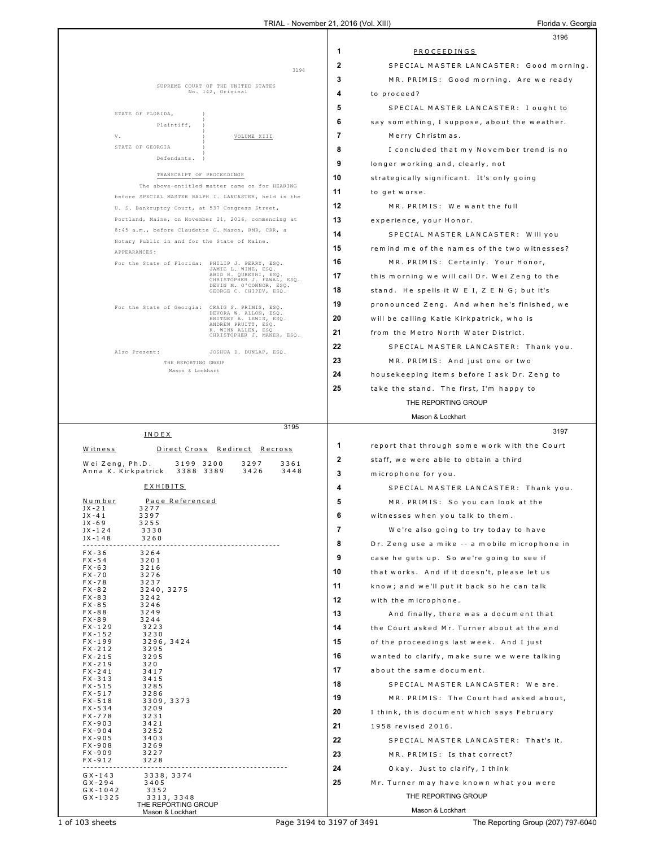|                                        |                           |                                                                                 |              | 3196                                          |
|----------------------------------------|---------------------------|---------------------------------------------------------------------------------|--------------|-----------------------------------------------|
|                                        |                           |                                                                                 | 1            | PROCEEDINGS                                   |
|                                        |                           | 3194                                                                            | $\mathbf{2}$ | SPECIAL MASTER LANCASTER: Good morning.       |
|                                        |                           |                                                                                 | 3            | MR. PRIMIS: Good morning. Are we ready        |
|                                        |                           | SUPREME COURT OF THE UNITED STATES<br>No. 142, Original                         | 4            | to proceed?                                   |
|                                        |                           |                                                                                 | 5            | SPECIAL MASTER LANCASTER: I ought to          |
| STATE OF FLORIDA,                      |                           |                                                                                 | 6            | say something, I suppose, about the weather.  |
| V.                                     | Plaintiff,                | VOLUME XIII                                                                     | 7            | Merry Christmas.                              |
| STATE OF GEORGIA                       |                           |                                                                                 | 8            |                                               |
|                                        | Defendants.               |                                                                                 |              | I concluded that my November trend is no      |
|                                        | TRANSCRIPT OF PROCEEDINGS |                                                                                 | 9            | longer working and, clearly, not              |
|                                        |                           | The above-entitled matter came on for HEARING                                   | 10           | strategically significant. It's only going    |
|                                        |                           | before SPECIAL MASTER RALPH I. LANCASTER, held in the                           | 11           | to get worse.                                 |
|                                        |                           | U. S. Bankruptcy Court, at 537 Congress Street,                                 | 12           | MR. PRIMIS: We want the full                  |
|                                        |                           | Portland, Maine, on November 21, 2016, commencing at                            | 13           | experience, your Honor.                       |
|                                        |                           | 8:45 a.m., before Claudette G. Mason, RMR, CRR, a                               | 14           | SPECIAL MASTER LANCASTER: Will you            |
| APPEARANCES:                           |                           | Notary Public in and for the State of Maine.                                    | 15           | remind me of the names of the two witnesses?  |
|                                        |                           | For the State of Florida: PHILIP J. PERRY, ESQ.                                 | 16           | MR. PRIMIS: Certainly. Your Honor,            |
|                                        |                           | JAMIE L. WINE, ESQ.<br>ABID R. QURESHI, ESQ.                                    | 17           | this morning we will call Dr. Wei Zeng to the |
|                                        |                           | CHRISTOPHER J. FAWAL, ESQ.<br>DEVIN M. O'CONNOR, ESQ.<br>GEORGE C. CHIPEV, ESQ. | 18           | stand. He spells it W E I, Z E N G; but it's  |
|                                        |                           |                                                                                 | 19           | pronounced Zeng. And when he's finished, we   |
|                                        |                           | For the State of Georgia: CRAIG S. PRIMIS, ESQ.<br>DEVORA W. ALLON, ESQ.        |              |                                               |
|                                        |                           | BRITNEY A. LEWIS, ESQ.<br>ANDREW PRUITT, ESQ.<br>K. WINN ALLEN, ESQ             | 20           | will be calling Katie Kirkpatrick, who is     |
|                                        |                           | CHRISTOPHER J. MANER, ESQ.                                                      | 21           | from the Metro North Water District.          |
| Also Present:                          |                           | JOSHUA D. DUNLAP, ESQ.                                                          | 22           | SPECIAL MASTER LANCASTER: Thank you.          |
|                                        | THE REPORTING GROUP       |                                                                                 | 23           | MR. PRIMIS: And just one or two               |
|                                        | Mason & Lockhart          |                                                                                 | 24           | housekeeping items before I ask Dr. Zeng to   |
|                                        |                           |                                                                                 | 25           | take the stand. The first, I'm happy to       |
|                                        |                           |                                                                                 |              | THE REPORTING GROUP                           |
|                                        |                           |                                                                                 |              | Mason & Lockhart                              |
|                                        | INDEX                     | 3195                                                                            |              | 3197                                          |
| <u>Witness</u>                         |                           | Direct Cross Redirect Recross                                                   | 1            | report that through some work with the Court  |
| Wei Zeng, Ph.D.                        | 3199 3200                 | 3361<br>3297                                                                    | $\mathbf{2}$ | staff, we were able to obtain a third         |
| Anna K. Kirkpatrick                    | 3388 3389                 | 3426<br>3448                                                                    | 3            | microphone for you.                           |
|                                        | <b>EXHIBITS</b>           |                                                                                 | 4            | SPECIAL MASTER LANCASTER: Thank you.          |
| <u>Number</u>                          | Page Referenced           |                                                                                 | 5            | MR. PRIMIS: So you can look at the            |
| $JX - 21$<br>3277<br>$JX - 41$<br>3397 |                           |                                                                                 | 6            |                                               |
| $JX - 69$<br>3255                      |                           |                                                                                 |              | witnesses when you talk to them.              |
| $JX - 124$<br>$JX - 148$               | 3330<br>3260              |                                                                                 | 7            | We're also going to try today to have         |
| $FX - 36$                              | 3264                      |                                                                                 | 8            | Dr. Zeng use a mike -- a mobile microphone in |
| $FX - 54$<br>$FX - 63$                 | 3201<br>3216              |                                                                                 | 9            | case he gets up. So we're going to see if     |
| $FX - 70$                              | 3276                      |                                                                                 | 10           | that works. And if it doesn't, please let us  |
| $FX - 78$<br>$FX - 82$                 | 3237<br>3240, 3275        |                                                                                 | 11           | know; and we'll put it back so he can talk    |
| $FX - 83$<br>$FX - 85$                 | 3242<br>3246              |                                                                                 | 12           | with the microphone.                          |
| $FX - 88$<br>3249<br>$FX - 89$         | 3244                      |                                                                                 | 13           | And finally, there was a document that        |
| $FX - 129$                             | 3223                      |                                                                                 | 14           | the Court asked Mr. Turner about at the end   |
| $FX - 152$<br>$FX - 199$               | 3230<br>3296, 3424        |                                                                                 | 15           | of the proceedings last week. And I just      |
| $FX - 212$<br>$FX - 215$               | 3295<br>3295              |                                                                                 | 16           | wanted to clarify, make sure we were talking  |
| $FX - 219$                             | 320                       |                                                                                 | 17           | about the same document.                      |
| $FX - 241$<br>$FX - 313$               | 3417<br>3415              |                                                                                 | 18           |                                               |
| $FX - 515$<br>$FX - 517$               | 3285<br>3286              |                                                                                 |              | SPECIAL MASTER LANCASTER: We are.             |
| $FX - 518$<br>$FX - 534$               | 3309, 3373<br>3209        |                                                                                 | 19           | MR. PRIMIS: The Court had asked about,        |
| $FX - 778$                             | 3231                      |                                                                                 | 20           | I think, this document which says February    |
| $FX - 903$<br>$FX - 904$               | 3421<br>3252              |                                                                                 | 21           | 1958 revised 2016.                            |
| $FX - 905$<br>$FX - 908$               | 3403<br>3269              |                                                                                 | 22           | SPECIAL MASTER LANCASTER: That's it.          |
| $FX - 909$                             | 3227                      |                                                                                 | 23           | MR. PRIMIS: Is that correct?                  |
| $FX - 912$                             | 3228                      |                                                                                 | 24           | Okay. Just to clarify, I think                |
| $GX - 143$<br>$GX - 294$               | 3338, 3374<br>3405        |                                                                                 | 25           | Mr. Turner may have known what you were       |
| $GX - 1042$<br>$GX - 1325$             | 3352<br>3313, 3348        |                                                                                 |              | THE REPORTING GROUP                           |
|                                        | THE REPORTING GROUP       |                                                                                 |              | Mason & Lockhart                              |
|                                        | Mason & Lockhart          |                                                                                 |              |                                               |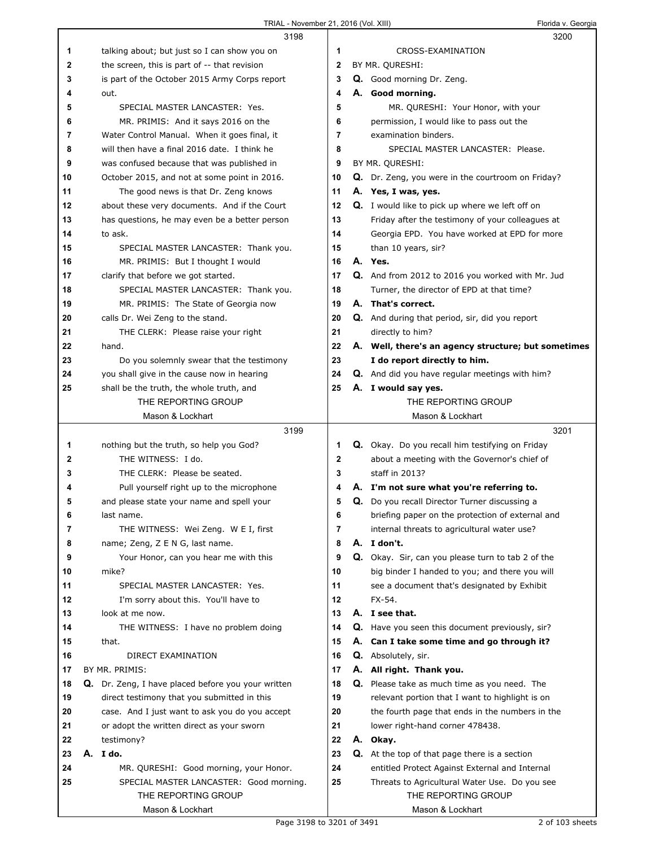|    | 3198                                                    |              | 3200                                                   |
|----|---------------------------------------------------------|--------------|--------------------------------------------------------|
| 1  | talking about; but just so I can show you on            | 1            | CROSS-EXAMINATION                                      |
| 2  | the screen, this is part of -- that revision            | 2            | BY MR. QURESHI:                                        |
| 3  | is part of the October 2015 Army Corps report           | 3            | Q. Good morning Dr. Zeng.                              |
| 4  | out.                                                    | 4            | A. Good morning.                                       |
| 5  | SPECIAL MASTER LANCASTER: Yes.                          | 5            | MR. QURESHI: Your Honor, with your                     |
| 6  | MR. PRIMIS: And it says 2016 on the                     | 6            | permission, I would like to pass out the               |
| 7  | Water Control Manual. When it goes final, it            | 7            | examination binders.                                   |
|    | will then have a final 2016 date. I think he            |              | SPECIAL MASTER LANCASTER: Please.                      |
| 8  |                                                         | 8            |                                                        |
| 9  | was confused because that was published in              | 9            | BY MR. QURESHI:                                        |
| 10 | October 2015, and not at some point in 2016.            | 10           | Q. Dr. Zeng, you were in the courtroom on Friday?      |
| 11 | The good news is that Dr. Zeng knows                    | 11           | A. Yes, I was, yes.                                    |
| 12 | about these very documents. And if the Court            | 12           | <b>Q.</b> I would like to pick up where we left off on |
| 13 | has questions, he may even be a better person           | 13           | Friday after the testimony of your colleagues at       |
| 14 | to ask.                                                 | 14           | Georgia EPD. You have worked at EPD for more           |
| 15 | SPECIAL MASTER LANCASTER: Thank you.                    | 15           | than 10 years, sir?                                    |
| 16 | MR. PRIMIS: But I thought I would                       | 16           | A. Yes.                                                |
| 17 | clarify that before we got started.                     | 17           | Q. And from 2012 to 2016 you worked with Mr. Jud       |
| 18 | SPECIAL MASTER LANCASTER: Thank you.                    | 18           | Turner, the director of EPD at that time?              |
| 19 | MR. PRIMIS: The State of Georgia now                    | 19           | A. That's correct.                                     |
| 20 | calls Dr. Wei Zeng to the stand.                        | 20           | Q. And during that period, sir, did you report         |
| 21 | THE CLERK: Please raise your right                      | 21           | directly to him?                                       |
| 22 | hand.                                                   | 22           | A. Well, there's an agency structure; but sometimes    |
| 23 | Do you solemnly swear that the testimony                | 23           | I do report directly to him.                           |
| 24 | you shall give in the cause now in hearing              | 24           | <b>Q.</b> And did you have regular meetings with him?  |
| 25 | shall be the truth, the whole truth, and                | 25           | A. I would say yes.                                    |
|    | THE REPORTING GROUP                                     |              | THE REPORTING GROUP                                    |
|    | Mason & Lockhart                                        |              | Mason & Lockhart                                       |
|    |                                                         |              |                                                        |
|    | 3199                                                    |              | 3201                                                   |
| 1  | nothing but the truth, so help you God?                 | 1            | Q. Okay. Do you recall him testifying on Friday        |
| 2  | THE WITNESS: I do.                                      | $\mathbf{2}$ | about a meeting with the Governor's chief of           |
| 3  | THE CLERK: Please be seated.                            | 3            | staff in 2013?                                         |
| 4  | Pull yourself right up to the microphone                | 4            | A. I'm not sure what you're referring to.              |
| 5  | and please state your name and spell your               | 5            | <b>Q.</b> Do you recall Director Turner discussing a   |
| 6  | last name.                                              | 6            | briefing paper on the protection of external and       |
| 7  | THE WITNESS: Wei Zeng. W E I, first                     | 7            | internal threats to agricultural water use?            |
| 8  | name; Zeng, Z E N G, last name.                         | 8            | A. I don't.                                            |
| 9  | Your Honor, can you hear me with this                   | 9            | Q. Okay. Sir, can you please turn to tab 2 of the      |
| 10 | mike?                                                   | 10           | big binder I handed to you; and there you will         |
| 11 | SPECIAL MASTER LANCASTER: Yes.                          | 11           | see a document that's designated by Exhibit            |
| 12 |                                                         | 12           | FX-54.                                                 |
| 13 | I'm sorry about this. You'll have to<br>look at me now. | 13           | A. I see that.                                         |
|    |                                                         | 14           |                                                        |
| 14 | THE WITNESS: I have no problem doing                    |              | Q. Have you seen this document previously, sir?        |
| 15 | that.                                                   | 15           | A. Can I take some time and go through it?             |
| 16 | DIRECT EXAMINATION                                      | 16           | Q. Absolutely, sir.                                    |
| 17 | BY MR. PRIMIS:                                          | 17           | A. All right. Thank you.                               |
| 18 | Q. Dr. Zeng, I have placed before you your written      | 18           | Q. Please take as much time as you need. The           |
| 19 | direct testimony that you submitted in this             | 19           | relevant portion that I want to highlight is on        |
| 20 | case. And I just want to ask you do you accept          | 20           | the fourth page that ends in the numbers in the        |
| 21 | or adopt the written direct as your sworn               | 21           | lower right-hand corner 478438.                        |
| 22 | testimony?                                              | 22           | A. Okay.                                               |
| 23 | A. I do.                                                | 23           | Q. At the top of that page there is a section          |
| 24 | MR. QURESHI: Good morning, your Honor.                  | 24           | entitled Protect Against External and Internal         |
| 25 | SPECIAL MASTER LANCASTER: Good morning.                 | 25           | Threats to Agricultural Water Use. Do you see          |
|    | THE REPORTING GROUP<br>Mason & Lockhart                 |              | THE REPORTING GROUP<br>Mason & Lockhart                |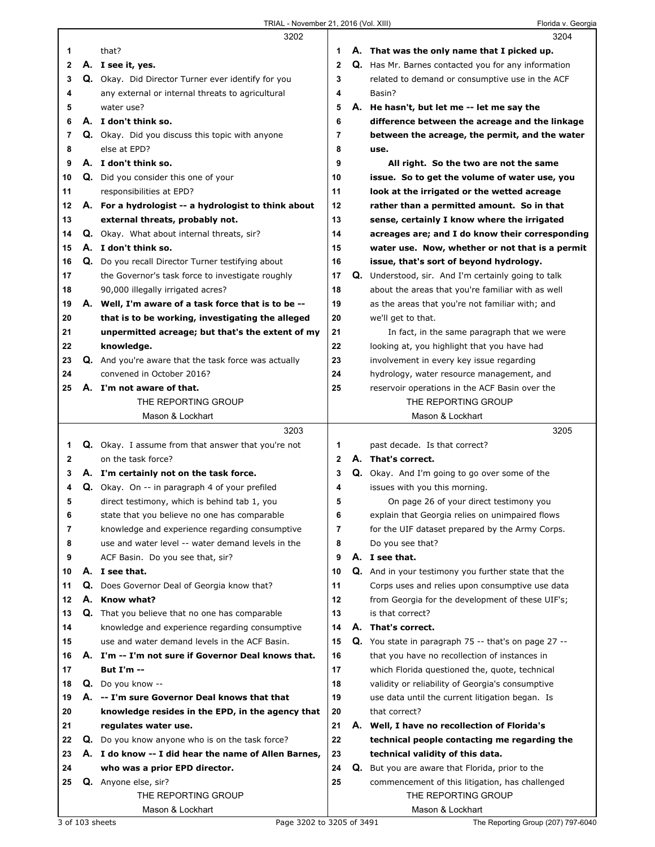|          |    | 3202                                                        |              |    | 3204                                                                                                  |
|----------|----|-------------------------------------------------------------|--------------|----|-------------------------------------------------------------------------------------------------------|
| 1        |    | that?                                                       | 1            |    | A. That was the only name that I picked up.                                                           |
| 2        |    | A. I see it, yes.                                           | $\mathbf{2}$ |    | Q. Has Mr. Barnes contacted you for any information                                                   |
| 3        |    | Q. Okay. Did Director Turner ever identify for you          | 3            |    | related to demand or consumptive use in the ACF                                                       |
| 4        |    | any external or internal threats to agricultural            | 4            |    | Basin?                                                                                                |
| 5        |    | water use?                                                  | 5            |    | A. He hasn't, but let me -- let me say the                                                            |
| 6        |    | A. I don't think so.                                        | 6            |    | difference between the acreage and the linkage                                                        |
| 7        |    | Q. Okay. Did you discuss this topic with anyone             | 7            |    | between the acreage, the permit, and the water                                                        |
| 8        |    | else at EPD?                                                | 8            |    | use.                                                                                                  |
| 9        |    | A. I don't think so.                                        | 9            |    | All right. So the two are not the same                                                                |
| 10       |    | Q. Did you consider this one of your                        | 10           |    | issue. So to get the volume of water use, you                                                         |
| 11       |    | responsibilities at EPD?                                    | 11           |    | look at the irrigated or the wetted acreage                                                           |
| 12       |    | A. For a hydrologist -- a hydrologist to think about        | 12           |    | rather than a permitted amount. So in that                                                            |
| 13       |    | external threats, probably not.                             | 13           |    | sense, certainly I know where the irrigated                                                           |
| 14       |    | Q. Okay. What about internal threats, sir?                  | 14           |    | acreages are; and I do know their corresponding                                                       |
| 15       |    | A. I don't think so.                                        | 15           |    | water use. Now, whether or not that is a permit                                                       |
| 16       |    | Q. Do you recall Director Turner testifying about           | 16           |    | issue, that's sort of beyond hydrology.                                                               |
| 17       |    | the Governor's task force to investigate roughly            | 17           | Q. | Understood, sir. And I'm certainly going to talk                                                      |
| 18       |    | 90,000 illegally irrigated acres?                           | 18           |    | about the areas that you're familiar with as well                                                     |
| 19       |    | A. Well, I'm aware of a task force that is to be --         | 19           |    | as the areas that you're not familiar with; and                                                       |
| 20       |    | that is to be working, investigating the alleged            | 20           |    | we'll get to that.                                                                                    |
| 21       |    | unpermitted acreage; but that's the extent of my            | 21           |    | In fact, in the same paragraph that we were                                                           |
| 22       |    | knowledge.                                                  | 22           |    | looking at, you highlight that you have had                                                           |
| 23       |    | <b>Q.</b> And you're aware that the task force was actually | 23           |    | involvement in every key issue regarding                                                              |
| 24       |    | convened in October 2016?                                   | 24           |    | hydrology, water resource management, and                                                             |
| 25       |    | A. I'm not aware of that.                                   | 25           |    | reservoir operations in the ACF Basin over the                                                        |
|          |    | THE REPORTING GROUP                                         |              |    | THE REPORTING GROUP                                                                                   |
|          |    | Mason & Lockhart                                            |              |    | Mason & Lockhart                                                                                      |
|          |    |                                                             |              |    |                                                                                                       |
|          |    | 3203                                                        |              |    | 3205                                                                                                  |
| 1        |    | <b>Q.</b> Okay. I assume from that answer that you're not   | 1            |    | past decade. Is that correct?                                                                         |
| 2        |    | on the task force?                                          | 2            |    | A. That's correct.                                                                                    |
| 3        |    | A. I'm certainly not on the task force.                     | 3            |    |                                                                                                       |
| 4        |    | <b>Q.</b> Okay. On -- in paragraph 4 of your prefiled       | 4            |    | Q. Okay. And I'm going to go over some of the<br>issues with you this morning.                        |
| 5        |    | direct testimony, which is behind tab 1, you                | 5            |    | On page 26 of your direct testimony you                                                               |
| 6        |    | state that you believe no one has comparable                | 6            |    | explain that Georgia relies on unimpaired flows                                                       |
| 7        |    | knowledge and experience regarding consumptive              | 7            |    | for the UIF dataset prepared by the Army Corps.                                                       |
| 8        |    | use and water level -- water demand levels in the           | 8            |    | Do you see that?                                                                                      |
| 9        |    | ACF Basin. Do you see that, sir?                            | 9            |    | A. I see that.                                                                                        |
| 10       |    | A. I see that.                                              | 10           |    | <b>Q.</b> And in your testimony you further state that the                                            |
| 11       | Q. |                                                             | 11           |    | Corps uses and relies upon consumptive use data                                                       |
| 12       |    | Does Governor Deal of Georgia know that?<br>A. Know what?   | 12           |    | from Georgia for the development of these UIF's;                                                      |
| 13       |    | Q. That you believe that no one has comparable              | 13           |    | is that correct?                                                                                      |
| 14       |    | knowledge and experience regarding consumptive              | 14           |    | A. That's correct.                                                                                    |
| 15       |    | use and water demand levels in the ACF Basin.               | 15           |    |                                                                                                       |
| 16       |    | A. I'm -- I'm not sure if Governor Deal knows that.         | 16           |    | Q. You state in paragraph 75 -- that's on page 27 --<br>that you have no recollection of instances in |
| 17       |    | <b>But I'm --</b>                                           | 17           |    | which Florida questioned the, quote, technical                                                        |
| 18       |    | Q. Do you know --                                           | 18           |    | validity or reliability of Georgia's consumptive                                                      |
| 19       | А. | -- I'm sure Governor Deal knows that that                   | 19           |    | use data until the current litigation began. Is                                                       |
| 20       |    | knowledge resides in the EPD, in the agency that            | 20           |    | that correct?                                                                                         |
|          |    |                                                             | 21           |    |                                                                                                       |
| 21<br>22 |    | regulates water use.                                        | 22           |    | A. Well, I have no recollection of Florida's                                                          |
| 23       |    | Q. Do you know anyone who is on the task force?             | 23           |    | technical people contacting me regarding the                                                          |
| 24       |    | A. I do know -- I did hear the name of Allen Barnes,        | 24           |    | technical validity of this data.                                                                      |
|          |    | who was a prior EPD director.                               |              |    | <b>Q.</b> But you are aware that Florida, prior to the                                                |
| 25       |    | Q. Anyone else, sir?<br>THE REPORTING GROUP                 | 25           |    | commencement of this litigation, has challenged<br>THE REPORTING GROUP                                |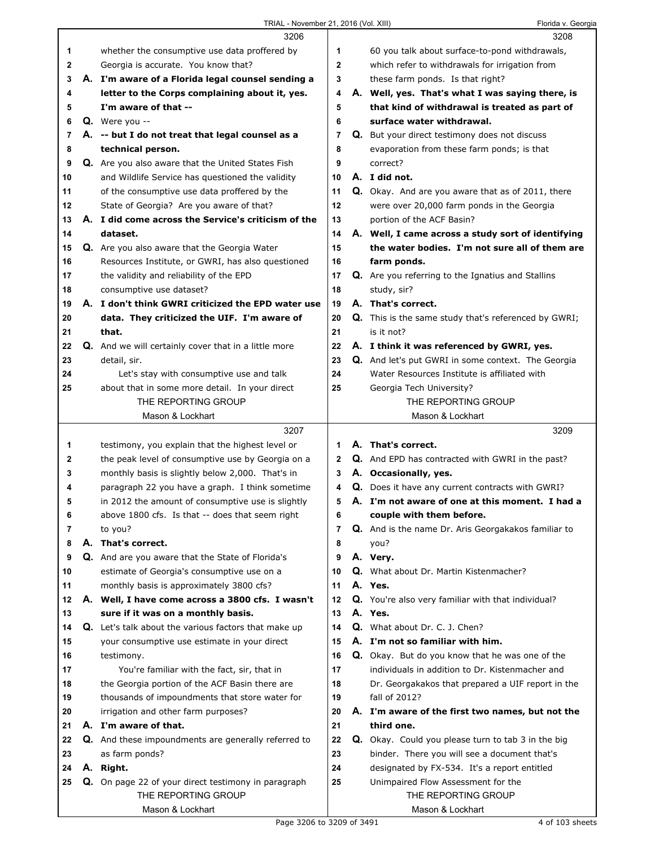## TRIAL - November 21, 2016 (Vol. XIII) Florida v. Georgia

|    | 3206                                                                                                 |              | 3208                                                                             |
|----|------------------------------------------------------------------------------------------------------|--------------|----------------------------------------------------------------------------------|
| 1  | whether the consumptive use data proffered by                                                        | 1            | 60 you talk about surface-to-pond withdrawals,                                   |
| 2  | Georgia is accurate. You know that?                                                                  | $\mathbf{2}$ | which refer to withdrawals for irrigation from                                   |
| 3  | A. I'm aware of a Florida legal counsel sending a                                                    | 3            | these farm ponds. Is that right?                                                 |
| 4  | letter to the Corps complaining about it, yes.                                                       | 4            | A. Well, yes. That's what I was saying there, is                                 |
| 5  | I'm aware of that --                                                                                 | 5            | that kind of withdrawal is treated as part of                                    |
| 6  | $Q.$ Were you --                                                                                     | 6            | surface water withdrawal.                                                        |
| 7  | A. -- but I do not treat that legal counsel as a                                                     | 7            | Q. But your direct testimony does not discuss                                    |
| 8  | technical person.                                                                                    | 8            | evaporation from these farm ponds; is that                                       |
| 9  | Q. Are you also aware that the United States Fish                                                    | 9            | correct?                                                                         |
| 10 | and Wildlife Service has questioned the validity                                                     | 10           | A. I did not.                                                                    |
| 11 | of the consumptive use data proffered by the                                                         | 11           | Q. Okay. And are you aware that as of 2011, there                                |
| 12 | State of Georgia? Are you aware of that?                                                             | 12           | were over 20,000 farm ponds in the Georgia                                       |
| 13 | A. I did come across the Service's criticism of the                                                  | 13           | portion of the ACF Basin?                                                        |
| 14 | dataset.                                                                                             | 14           | A. Well, I came across a study sort of identifying                               |
| 15 | Q. Are you also aware that the Georgia Water                                                         | 15           | the water bodies. I'm not sure all of them are                                   |
| 16 | Resources Institute, or GWRI, has also questioned                                                    | 16           | farm ponds.                                                                      |
| 17 | the validity and reliability of the EPD                                                              | 17           | Q. Are you referring to the Ignatius and Stallins                                |
| 18 | consumptive use dataset?                                                                             | 18           | study, sir?                                                                      |
| 19 | A. I don't think GWRI criticized the EPD water use                                                   | 19           | A. That's correct.                                                               |
| 20 | data. They criticized the UIF. I'm aware of                                                          | 20           | <b>Q.</b> This is the same study that's referenced by GWRI;                      |
| 21 | that.                                                                                                | 21           | is it not?                                                                       |
| 22 | Q. And we will certainly cover that in a little more                                                 | 22           | A. I think it was referenced by GWRI, yes.                                       |
| 23 | detail, sir.                                                                                         | 23           | <b>Q.</b> And let's put GWRI in some context. The Georgia                        |
| 24 | Let's stay with consumptive use and talk                                                             | 24           | Water Resources Institute is affiliated with                                     |
| 25 | about that in some more detail. In your direct                                                       | 25           | Georgia Tech University?                                                         |
|    | THE REPORTING GROUP                                                                                  |              | THE REPORTING GROUP                                                              |
|    | Mason & Lockhart                                                                                     |              | Mason & Lockhart                                                                 |
|    |                                                                                                      |              |                                                                                  |
|    | 3207                                                                                                 |              | 3209                                                                             |
| 1  |                                                                                                      | 1            | A. That's correct.                                                               |
| 2  | testimony, you explain that the highest level or                                                     | $\mathbf{2}$ |                                                                                  |
| 3  | the peak level of consumptive use by Georgia on a                                                    | 3            | <b>Q.</b> And EPD has contracted with GWRI in the past?                          |
| 4  | monthly basis is slightly below 2,000. That's in                                                     | 4            | A. Occasionally, yes.<br><b>Q.</b> Does it have any current contracts with GWRI? |
| 5  | paragraph 22 you have a graph. I think sometime<br>in 2012 the amount of consumptive use is slightly | 5            | A. I'm not aware of one at this moment. I had a                                  |
| 6  | above 1800 cfs. Is that -- does that seem right                                                      | 6            | couple with them before.                                                         |
| 7  | to you?                                                                                              | 7            | Q. And is the name Dr. Aris Georgakakos familiar to                              |
| 8  | A. That's correct.                                                                                   | 8            | you?                                                                             |
| 9  |                                                                                                      | 9            | A. Very.                                                                         |
| 10 | Q. And are you aware that the State of Florida's<br>estimate of Georgia's consumptive use on a       | 10           | <b>Q.</b> What about Dr. Martin Kistenmacher?                                    |
| 11 | monthly basis is approximately 3800 cfs?                                                             | 11           | A. Yes.                                                                          |
| 12 | A. Well, I have come across a 3800 cfs. I wasn't                                                     | 12           | Q. You're also very familiar with that individual?                               |
| 13 | sure if it was on a monthly basis.                                                                   | 13           | A. Yes.                                                                          |
| 14 | <b>Q.</b> Let's talk about the various factors that make up                                          | 14           | Q. What about Dr. C. J. Chen?                                                    |
| 15 | your consumptive use estimate in your direct                                                         | 15           | A. I'm not so familiar with him.                                                 |
| 16 | testimony.                                                                                           | 16           | Q. Okay. But do you know that he was one of the                                  |
| 17 | You're familiar with the fact, sir, that in                                                          | 17           | individuals in addition to Dr. Kistenmacher and                                  |
| 18 | the Georgia portion of the ACF Basin there are                                                       | 18           | Dr. Georgakakos that prepared a UIF report in the                                |
| 19 | thousands of impoundments that store water for                                                       | 19           | fall of 2012?                                                                    |
| 20 | irrigation and other farm purposes?                                                                  | 20           | A. I'm aware of the first two names, but not the                                 |
| 21 | A. I'm aware of that.                                                                                | 21           | third one.                                                                       |
| 22 | Q. And these impoundments are generally referred to                                                  | 22           | Q. Okay. Could you please turn to tab 3 in the big                               |
| 23 | as farm ponds?                                                                                       | 23           | binder. There you will see a document that's                                     |
| 24 | A. Right.                                                                                            | 24           | designated by FX-534. It's a report entitled                                     |
| 25 | Q. On page 22 of your direct testimony in paragraph                                                  | 25           | Unimpaired Flow Assessment for the                                               |
|    | THE REPORTING GROUP                                                                                  |              | THE REPORTING GROUP                                                              |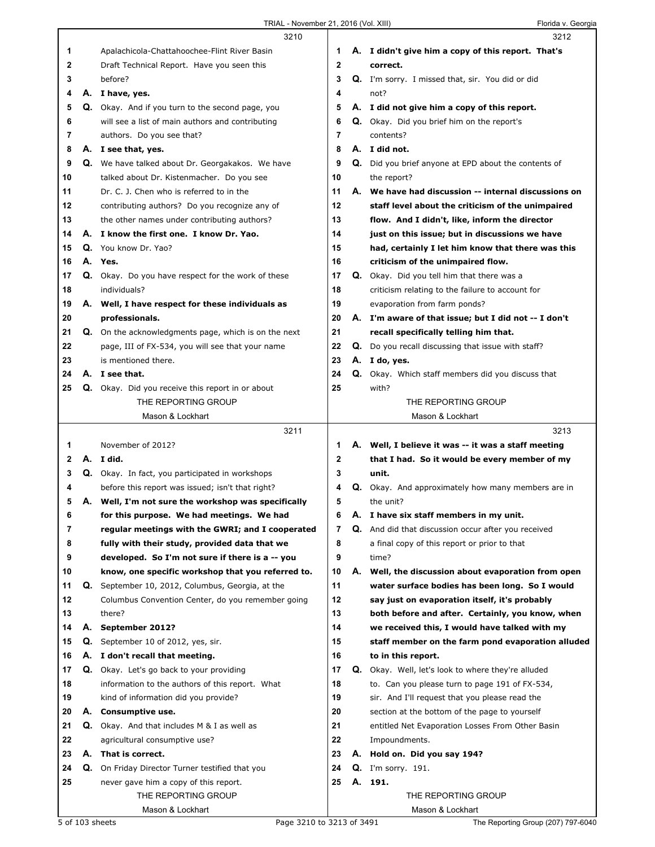|        |    | 3210                                                                                             |             |    | 3212                                                                                                 |
|--------|----|--------------------------------------------------------------------------------------------------|-------------|----|------------------------------------------------------------------------------------------------------|
| 1      |    | Apalachicola-Chattahoochee-Flint River Basin                                                     | 1           |    | A. I didn't give him a copy of this report. That's                                                   |
| 2      |    | Draft Technical Report. Have you seen this                                                       | $\mathbf 2$ |    | correct.                                                                                             |
| 3      |    | before?                                                                                          | 3           |    | Q. I'm sorry. I missed that, sir. You did or did                                                     |
| 4      |    | A. I have, yes.                                                                                  | 4           |    | not?                                                                                                 |
| 5      |    | Q. Okay. And if you turn to the second page, you                                                 | 5           |    | A. I did not give him a copy of this report.                                                         |
| 6      |    | will see a list of main authors and contributing                                                 | 6           |    | Q. Okay. Did you brief him on the report's                                                           |
| 7      |    | authors. Do you see that?                                                                        | 7           |    | contents?                                                                                            |
| 8      |    | A. I see that, yes.                                                                              | 8           |    | A. I did not.                                                                                        |
| 9      |    | Q. We have talked about Dr. Georgakakos. We have                                                 | 9           |    | Q. Did you brief anyone at EPD about the contents of                                                 |
| 10     |    | talked about Dr. Kistenmacher. Do you see                                                        | 10          |    | the report?                                                                                          |
| 11     |    | Dr. C. J. Chen who is referred to in the                                                         | 11          |    | A. We have had discussion -- internal discussions on                                                 |
| 12     |    | contributing authors? Do you recognize any of                                                    | 12          |    | staff level about the criticism of the unimpaired                                                    |
| 13     |    | the other names under contributing authors?                                                      | 13          |    | flow. And I didn't, like, inform the director                                                        |
| 14     |    | A. I know the first one. I know Dr. Yao.                                                         | 14          |    | just on this issue; but in discussions we have                                                       |
| 15     |    | Q. You know Dr. Yao?                                                                             | 15          |    | had, certainly I let him know that there was this                                                    |
| 16     |    | A. Yes.                                                                                          | 16          |    | criticism of the unimpaired flow.                                                                    |
| 17     |    | Q. Okay. Do you have respect for the work of these                                               | 17          |    | <b>Q.</b> Okay. Did you tell him that there was a                                                    |
| 18     |    | individuals?                                                                                     | 18          |    | criticism relating to the failure to account for                                                     |
| 19     |    | A. Well, I have respect for these individuals as                                                 | 19          |    | evaporation from farm ponds?                                                                         |
| 20     |    | professionals.                                                                                   | 20          |    | A. I'm aware of that issue; but I did not -- I don't                                                 |
| 21     |    | Q. On the acknowledgments page, which is on the next                                             | 21          |    | recall specifically telling him that.                                                                |
| 22     |    | page, III of FX-534, you will see that your name                                                 | 22          |    | Q. Do you recall discussing that issue with staff?                                                   |
| 23     |    | is mentioned there.                                                                              | 23          |    | A. I do, yes.                                                                                        |
| 24     |    | A. I see that.                                                                                   | 24          |    | Q. Okay. Which staff members did you discuss that                                                    |
| 25     |    | Q. Okay. Did you receive this report in or about                                                 | 25          |    | with?                                                                                                |
|        |    | THE REPORTING GROUP                                                                              |             |    | THE REPORTING GROUP                                                                                  |
|        |    | Mason & Lockhart                                                                                 |             |    | Mason & Lockhart                                                                                     |
|        |    | 3211                                                                                             |             |    | 3213                                                                                                 |
|        |    |                                                                                                  |             |    |                                                                                                      |
|        |    |                                                                                                  |             |    |                                                                                                      |
| 1      |    | November of 2012?                                                                                | 1           |    | A. Well, I believe it was -- it was a staff meeting                                                  |
| 2      |    | A. I did.                                                                                        | $\mathbf 2$ |    | that I had. So it would be every member of my                                                        |
| 3<br>4 |    | Q. Okay. In fact, you participated in workshops                                                  | 3<br>4      |    | unit.                                                                                                |
| 5      |    | before this report was issued; isn't that right?                                                 | 5           |    | <b>Q.</b> Okay. And approximately how many members are in<br>the unit?                               |
|        |    | A. Well, I'm not sure the workshop was specifically<br>for this purpose. We had meetings. We had | 6           |    |                                                                                                      |
| 6<br>7 |    | regular meetings with the GWRI; and I cooperated                                                 | 7           | Α. | I have six staff members in my unit.<br>Q. And did that discussion occur after you received          |
| 8      |    | fully with their study, provided data that we                                                    | 8           |    | a final copy of this report or prior to that                                                         |
| 9      |    | developed. So I'm not sure if there is a -- you                                                  | 9           |    | time?                                                                                                |
| 10     |    | know, one specific workshop that you referred to.                                                | 10          |    | A. Well, the discussion about evaporation from open                                                  |
| 11     | Q. | September 10, 2012, Columbus, Georgia, at the                                                    | 11          |    | water surface bodies has been long. So I would                                                       |
| 12     |    | Columbus Convention Center, do you remember going                                                | 12          |    | say just on evaporation itself, it's probably                                                        |
| 13     |    | there?                                                                                           | 13          |    | both before and after. Certainly, you know, when                                                     |
| 14     |    | A. September 2012?                                                                               | 14          |    | we received this, I would have talked with my                                                        |
| 15     | Q. | September 10 of 2012, yes, sir.                                                                  | 15          |    | staff member on the farm pond evaporation alluded                                                    |
| 16     |    | A. I don't recall that meeting.                                                                  | 16          |    | to in this report.                                                                                   |
| 17     |    | <b>Q.</b> Okay. Let's go back to your providing                                                  | 17          |    |                                                                                                      |
| 18     |    | information to the authors of this report. What                                                  | 18          |    | Q. Okay. Well, let's look to where they're alluded<br>to. Can you please turn to page 191 of FX-534, |
| 19     |    | kind of information did you provide?                                                             | 19          |    | sir. And I'll request that you please read the                                                       |
| 20     |    | A. Consumptive use.                                                                              | 20          |    | section at the bottom of the page to yourself                                                        |
| 21     |    |                                                                                                  | 21          |    | entitled Net Evaporation Losses From Other Basin                                                     |
| 22     |    | Q. Okay. And that includes M & I as well as<br>agricultural consumptive use?                     | 22          |    | Impoundments.                                                                                        |
| 23     |    | A. That is correct.                                                                              | 23          |    | A. Hold on. Did you say 194?                                                                         |
| 24     |    | Q. On Friday Director Turner testified that you                                                  | 24          |    | <b>Q.</b> I'm sorry. 191.                                                                            |
| 25     |    | never gave him a copy of this report.                                                            | 25          |    | A. 191.                                                                                              |
|        |    | THE REPORTING GROUP                                                                              |             |    | THE REPORTING GROUP                                                                                  |
|        |    | Mason & Lockhart                                                                                 |             |    | Mason & Lockhart                                                                                     |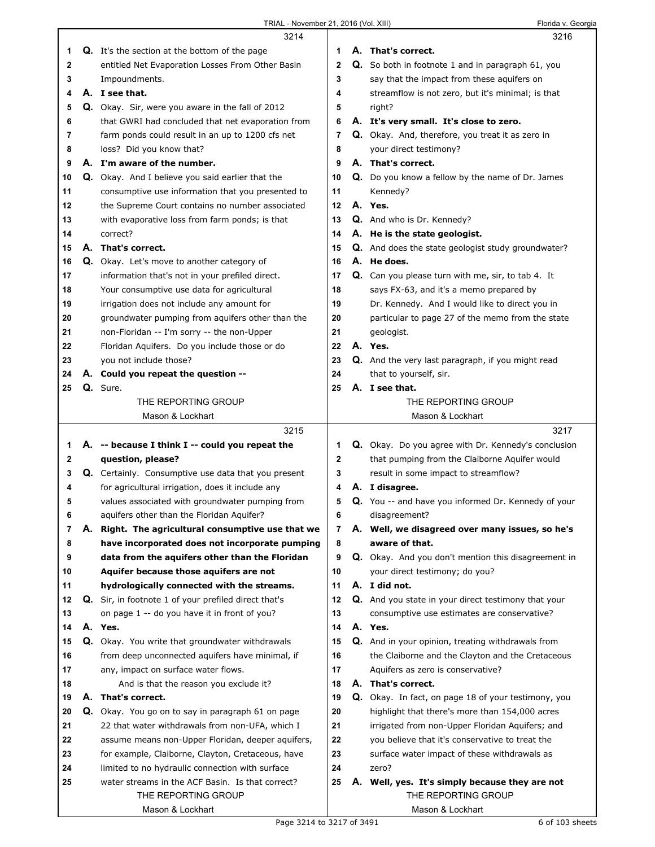|    |    | 3214                                                                     |                | 3216                                                                                  |
|----|----|--------------------------------------------------------------------------|----------------|---------------------------------------------------------------------------------------|
| 1  |    | <b>Q.</b> It's the section at the bottom of the page                     | 1              | A. That's correct.                                                                    |
| 2  |    | entitled Net Evaporation Losses From Other Basin                         | $\mathbf{2}$   | Q. So both in footnote 1 and in paragraph 61, you                                     |
| 3  |    | Impoundments.                                                            | 3              | say that the impact from these aquifers on                                            |
| 4  |    | A. I see that.                                                           | 4              | streamflow is not zero, but it's minimal; is that                                     |
| 5  |    | Q. Okay. Sir, were you aware in the fall of 2012                         | 5              | right?                                                                                |
| 6  |    | that GWRI had concluded that net evaporation from                        | 6              | A. It's very small. It's close to zero.                                               |
| 7  |    | farm ponds could result in an up to 1200 cfs net                         | 7              | Q. Okay. And, therefore, you treat it as zero in                                      |
| 8  |    | loss? Did you know that?                                                 | 8              | your direct testimony?                                                                |
| 9  |    | A. I'm aware of the number.                                              | 9              | A. That's correct.                                                                    |
| 10 |    | Q. Okay. And I believe you said earlier that the                         | 10             | Q. Do you know a fellow by the name of Dr. James                                      |
| 11 |    | consumptive use information that you presented to                        | 11             | Kennedy?                                                                              |
| 12 |    | the Supreme Court contains no number associated                          | 12             | A. Yes.                                                                               |
| 13 |    | with evaporative loss from farm ponds; is that                           | 13             | Q. And who is Dr. Kennedy?                                                            |
| 14 |    | correct?                                                                 | 14             | A. He is the state geologist.                                                         |
| 15 |    | A. That's correct.                                                       | 15             | Q. And does the state geologist study groundwater?                                    |
| 16 |    | Q. Okay. Let's move to another category of                               | 16             | A. He does.                                                                           |
| 17 |    | information that's not in your prefiled direct.                          | 17             | Q. Can you please turn with me, sir, to tab 4. It                                     |
| 18 |    | Your consumptive use data for agricultural                               | 18             | says FX-63, and it's a memo prepared by                                               |
| 19 |    | irrigation does not include any amount for                               | 19             | Dr. Kennedy. And I would like to direct you in                                        |
| 20 |    | groundwater pumping from aquifers other than the                         | 20             | particular to page 27 of the memo from the state                                      |
| 21 |    | non-Floridan -- I'm sorry -- the non-Upper                               | 21             | geologist.                                                                            |
| 22 |    | Floridan Aquifers. Do you include those or do                            | 22             | A. Yes.                                                                               |
| 23 |    | you not include those?                                                   | 23             | Q. And the very last paragraph, if you might read                                     |
| 24 |    | A. Could you repeat the question --                                      | 24             | that to yourself, sir.                                                                |
| 25 |    | Q. Sure.                                                                 | 25             | A. I see that.                                                                        |
|    |    | THE REPORTING GROUP                                                      |                | THE REPORTING GROUP                                                                   |
|    |    | Mason & Lockhart                                                         |                | Mason & Lockhart                                                                      |
|    |    |                                                                          |                |                                                                                       |
|    |    | 3215                                                                     |                | 3217                                                                                  |
| 1  |    |                                                                          | 1              |                                                                                       |
| 2  |    | A. -- because I think I -- could you repeat the                          | $\mathbf{2}$   | Q. Okay. Do you agree with Dr. Kennedy's conclusion                                   |
| 3  |    | question, please?<br>Q. Certainly. Consumptive use data that you present | 3              | that pumping from the Claiborne Aquifer would<br>result in some impact to streamflow? |
| 4  |    | for agricultural irrigation, does it include any                         | 4              | A. I disagree.                                                                        |
| 5  |    | values associated with groundwater pumping from                          | 5              | Q. You -- and have you informed Dr. Kennedy of your                                   |
| 6  |    | aquifers other than the Floridan Aquifer?                                | 6              | disagreement?                                                                         |
| 7  | А. | Right. The agricultural consumptive use that we                          | $\overline{7}$ | A. Well, we disagreed over many issues, so he's                                       |
| 8  |    | have incorporated does not incorporate pumping                           | 8              | aware of that.                                                                        |
| 9  |    | data from the aquifers other than the Floridan                           | 9              | Q. Okay. And you don't mention this disagreement in                                   |
| 10 |    | Aquifer because those aquifers are not                                   | 10             | your direct testimony; do you?                                                        |
| 11 |    | hydrologically connected with the streams.                               | 11             | A. I did not.                                                                         |
| 12 |    | Q. Sir, in footnote 1 of your prefiled direct that's                     | 12             | Q. And you state in your direct testimony that your                                   |
| 13 |    | on page 1 -- do you have it in front of you?                             | 13             | consumptive use estimates are conservative?                                           |
| 14 |    | A. Yes.                                                                  | 14             | A. Yes.                                                                               |
| 15 |    | Q. Okay. You write that groundwater withdrawals                          | 15             | Q. And in your opinion, treating withdrawals from                                     |
| 16 |    | from deep unconnected aquifers have minimal, if                          | 16             | the Claiborne and the Clayton and the Cretaceous                                      |
| 17 |    | any, impact on surface water flows.                                      | 17             | Aquifers as zero is conservative?                                                     |
| 18 |    | And is that the reason you exclude it?                                   | 18             | A. That's correct.                                                                    |
| 19 | А. | That's correct.                                                          | 19             | Q. Okay. In fact, on page 18 of your testimony, you                                   |
| 20 | Q. | Okay. You go on to say in paragraph 61 on page                           | 20             | highlight that there's more than 154,000 acres                                        |
| 21 |    | 22 that water withdrawals from non-UFA, which I                          | 21             | irrigated from non-Upper Floridan Aquifers; and                                       |
| 22 |    | assume means non-Upper Floridan, deeper aquifers,                        | 22             | you believe that it's conservative to treat the                                       |
| 23 |    | for example, Claiborne, Clayton, Cretaceous, have                        | 23             | surface water impact of these withdrawals as                                          |
| 24 |    | limited to no hydraulic connection with surface                          | 24             | zero?                                                                                 |
| 25 |    | water streams in the ACF Basin. Is that correct?                         | 25             | A. Well, yes. It's simply because they are not                                        |
|    |    | THE REPORTING GROUP<br>Mason & Lockhart                                  |                | THE REPORTING GROUP<br>Mason & Lockhart                                               |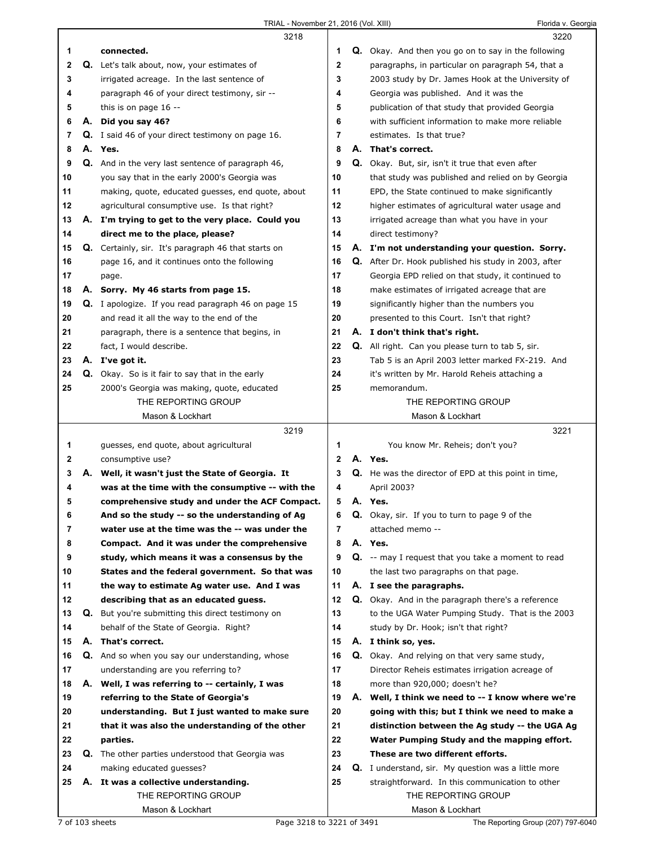|    |    | 3218                                                       |                |    | 3220                                                        |  |
|----|----|------------------------------------------------------------|----------------|----|-------------------------------------------------------------|--|
| 1  |    | connected.                                                 | 1              |    | Q. Okay. And then you go on to say in the following         |  |
| 2  |    | <b>Q.</b> Let's talk about, now, your estimates of         | $\overline{2}$ |    | paragraphs, in particular on paragraph 54, that a           |  |
| 3  |    | irrigated acreage. In the last sentence of                 | 3              |    | 2003 study by Dr. James Hook at the University of           |  |
| 4  |    | paragraph 46 of your direct testimony, sir --              | 4              |    | Georgia was published. And it was the                       |  |
| 5  |    | this is on page $16 -$                                     | 5              |    | publication of that study that provided Georgia             |  |
| 6  | А. | Did you say 46?                                            | 6              |    | with sufficient information to make more reliable           |  |
| 7  |    | <b>Q.</b> I said 46 of your direct testimony on page 16.   | 7              |    | estimates. Is that true?                                    |  |
| 8  |    | A. Yes.                                                    | 8              |    | A. That's correct.                                          |  |
| 9  |    | Q. And in the very last sentence of paragraph 46,          | 9              |    | Q. Okay. But, sir, isn't it true that even after            |  |
| 10 |    | you say that in the early 2000's Georgia was               | 10             |    | that study was published and relied on by Georgia           |  |
|    |    |                                                            | 11             |    |                                                             |  |
| 11 |    | making, quote, educated guesses, end quote, about          |                |    | EPD, the State continued to make significantly              |  |
| 12 |    | agricultural consumptive use. Is that right?               | 12             |    | higher estimates of agricultural water usage and            |  |
| 13 |    | A. I'm trying to get to the very place. Could you          | 13             |    | irrigated acreage than what you have in your                |  |
| 14 |    | direct me to the place, please?                            | 14             |    | direct testimony?                                           |  |
| 15 |    | <b>Q.</b> Certainly, sir. It's paragraph 46 that starts on | 15             |    | A. I'm not understanding your question. Sorry.              |  |
| 16 |    | page 16, and it continues onto the following               | 16             |    | Q. After Dr. Hook published his study in 2003, after        |  |
| 17 |    | page.                                                      | 17             |    | Georgia EPD relied on that study, it continued to           |  |
| 18 |    | A. Sorry. My 46 starts from page 15.                       | 18             |    | make estimates of irrigated acreage that are                |  |
| 19 |    | Q. I apologize. If you read paragraph 46 on page 15        | 19             |    | significantly higher than the numbers you                   |  |
| 20 |    | and read it all the way to the end of the                  | 20             |    | presented to this Court. Isn't that right?                  |  |
| 21 |    | paragraph, there is a sentence that begins, in             | 21             |    | A. I don't think that's right.                              |  |
| 22 |    | fact, I would describe.                                    | 22             |    | <b>Q.</b> All right. Can you please turn to tab 5, sir.     |  |
| 23 |    | A. I've got it.                                            | 23             |    | Tab 5 is an April 2003 letter marked FX-219. And            |  |
| 24 |    | Q. Okay. So is it fair to say that in the early            | 24             |    | it's written by Mr. Harold Reheis attaching a               |  |
| 25 |    | 2000's Georgia was making, quote, educated                 | 25             |    | memorandum.                                                 |  |
|    |    | THE REPORTING GROUP                                        |                |    | THE REPORTING GROUP                                         |  |
|    |    | Mason & Lockhart                                           |                |    | Mason & Lockhart                                            |  |
|    |    |                                                            |                |    |                                                             |  |
|    |    | 3219                                                       |                |    | 3221                                                        |  |
| 1  |    |                                                            | 1              |    |                                                             |  |
| 2  |    | guesses, end quote, about agricultural                     | $\mathbf{2}$   |    | You know Mr. Reheis; don't you?<br>A. Yes.                  |  |
| 3  |    | consumptive use?                                           | 3              |    |                                                             |  |
| 4  |    | A. Well, it wasn't just the State of Georgia. It           | 4              |    | <b>Q.</b> He was the director of EPD at this point in time, |  |
|    |    | was at the time with the consumptive -- with the           | 5              |    | April 2003?<br>A. Yes.                                      |  |
| 5  |    | comprehensive study and under the ACF Compact.             |                |    |                                                             |  |
| 6  |    | And so the study -- so the understanding of Ag             | 6              | Q. | Okay, sir. If you to turn to page 9 of the                  |  |
| 7  |    | water use at the time was the -- was under the             | 7              |    | attached memo --                                            |  |
| 8  |    | Compact. And it was under the comprehensive                | 8              |    | A. Yes.                                                     |  |
| 9  |    | study, which means it was a consensus by the               | 9              |    | <b>Q.</b> -- may I request that you take a moment to read   |  |
| 10 |    | States and the federal government. So that was             | 10             |    | the last two paragraphs on that page.                       |  |
| 11 |    | the way to estimate Ag water use. And I was                | 11             |    | A. I see the paragraphs.                                    |  |
| 12 |    | describing that as an educated guess.                      | 12             |    | Q. Okay. And in the paragraph there's a reference           |  |
| 13 |    | <b>Q.</b> But you're submitting this direct testimony on   | 13             |    | to the UGA Water Pumping Study. That is the 2003            |  |
| 14 |    | behalf of the State of Georgia. Right?                     | 14             |    | study by Dr. Hook; isn't that right?                        |  |
| 15 |    | A. That's correct.                                         | 15             |    | A. I think so, yes.                                         |  |
| 16 |    | Q. And so when you say our understanding, whose            | 16             |    | <b>Q.</b> Okay. And relying on that very same study,        |  |
| 17 |    | understanding are you referring to?                        | 17             |    | Director Reheis estimates irrigation acreage of             |  |
| 18 |    | A. Well, I was referring to -- certainly, I was            | 18             |    | more than 920,000; doesn't he?                              |  |
| 19 |    | referring to the State of Georgia's                        | 19             |    | A. Well, I think we need to -- I know where we're           |  |
| 20 |    | understanding. But I just wanted to make sure              | 20             |    | going with this; but I think we need to make a              |  |
| 21 |    | that it was also the understanding of the other            | 21             |    | distinction between the Ag study -- the UGA Ag              |  |
| 22 |    | parties.                                                   | 22             |    | Water Pumping Study and the mapping effort.                 |  |
| 23 |    | Q. The other parties understood that Georgia was           | 23             |    | These are two different efforts.                            |  |
| 24 |    | making educated guesses?                                   | 24             |    | <b>Q.</b> I understand, sir. My question was a little more  |  |
| 25 |    | A. It was a collective understanding.                      | 25             |    | straightforward. In this communication to other             |  |
|    |    | THE REPORTING GROUP                                        |                |    | THE REPORTING GROUP                                         |  |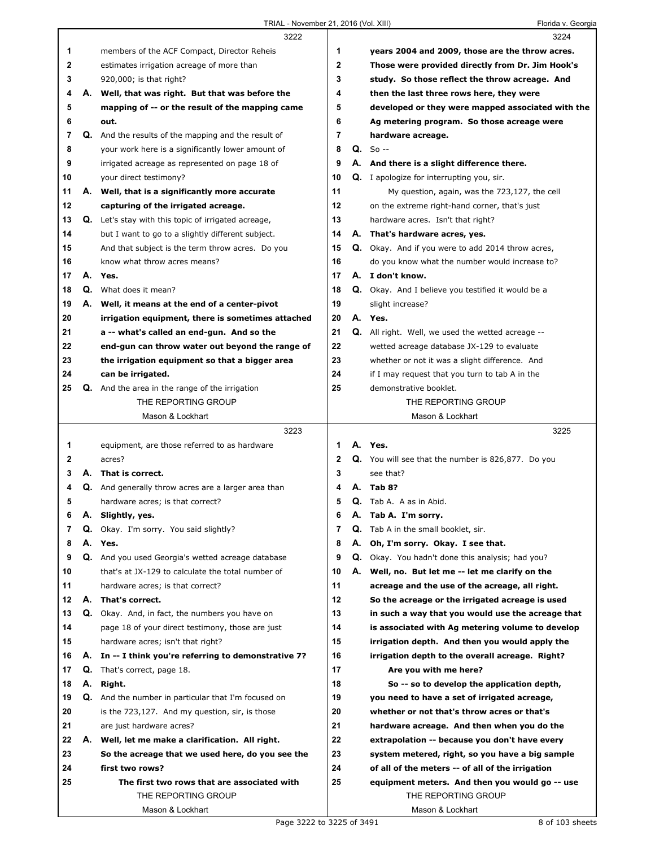|          |    | 3222                                                                      |    |    | 3224                                                                                        |
|----------|----|---------------------------------------------------------------------------|----|----|---------------------------------------------------------------------------------------------|
| 1        |    | members of the ACF Compact, Director Reheis                               | 1  |    | years 2004 and 2009, those are the throw acres.                                             |
| 2        |    | estimates irrigation acreage of more than                                 | 2  |    | Those were provided directly from Dr. Jim Hook's                                            |
| 3        |    | 920,000; is that right?                                                   | 3  |    | study. So those reflect the throw acreage. And                                              |
| 4        | А. | Well, that was right. But that was before the                             | 4  |    | then the last three rows here, they were                                                    |
| 5        |    | mapping of -- or the result of the mapping came                           | 5  |    | developed or they were mapped associated with the                                           |
| 6        |    | out.                                                                      | 6  |    | Ag metering program. So those acreage were                                                  |
| 7        |    | Q. And the results of the mapping and the result of                       | 7  |    | hardware acreage.                                                                           |
| 8        |    | your work here is a significantly lower amount of                         | 8  |    | $Q. So --$                                                                                  |
| 9        |    | irrigated acreage as represented on page 18 of                            | 9  |    | A. And there is a slight difference there.                                                  |
| 10       |    | your direct testimony?                                                    | 10 |    | <b>Q.</b> I apologize for interrupting you, sir.                                            |
| 11       |    | A. Well, that is a significantly more accurate                            | 11 |    | My question, again, was the 723,127, the cell                                               |
| 12       |    | capturing of the irrigated acreage.                                       | 12 |    | on the extreme right-hand corner, that's just                                               |
| 13       |    | <b>Q.</b> Let's stay with this topic of irrigated acreage,                | 13 |    | hardware acres. Isn't that right?                                                           |
| 14       |    | but I want to go to a slightly different subject.                         | 14 |    | A. That's hardware acres, yes.                                                              |
| 15       |    | And that subject is the term throw acres. Do you                          | 15 |    | <b>Q.</b> Okay. And if you were to add 2014 throw acres,                                    |
| 16       |    | know what throw acres means?                                              | 16 |    | do you know what the number would increase to?                                              |
| 17       | А. | Yes.                                                                      | 17 |    | A. I don't know.                                                                            |
| 18       | Q. | What does it mean?                                                        | 18 |    | <b>Q.</b> Okay. And I believe you testified it would be a                                   |
| 19       | А. | Well, it means at the end of a center-pivot                               | 19 |    | slight increase?                                                                            |
| 20       |    | irrigation equipment, there is sometimes attached                         | 20 |    | A. Yes.                                                                                     |
| 21       |    | a -- what's called an end-gun. And so the                                 | 21 |    | Q. All right. Well, we used the wetted acreage --                                           |
| 22       |    | end-gun can throw water out beyond the range of                           | 22 |    | wetted acreage database JX-129 to evaluate                                                  |
| 23       |    | the irrigation equipment so that a bigger area                            | 23 |    | whether or not it was a slight difference. And                                              |
| 24       |    | can be irrigated.                                                         | 24 |    | if I may request that you turn to tab A in the                                              |
| 25       | Q. | And the area in the range of the irrigation                               | 25 |    | demonstrative booklet.                                                                      |
|          |    | THE REPORTING GROUP                                                       |    |    | THE REPORTING GROUP                                                                         |
|          |    | Mason & Lockhart                                                          |    |    | Mason & Lockhart                                                                            |
|          |    |                                                                           |    |    |                                                                                             |
|          |    | 3223                                                                      |    |    | 3225                                                                                        |
| 1        |    | equipment, are those referred to as hardware                              | 1  |    | A. Yes.                                                                                     |
| 2        |    | acres?                                                                    | 2  |    | Q. You will see that the number is 826,877. Do you                                          |
| 3        |    | A. That is correct.                                                       | 3  |    | see that?                                                                                   |
| 4        | Q. | And generally throw acres are a larger area than                          | 4  | А. | Tab 8?                                                                                      |
| 5        |    | hardware acres; is that correct?                                          | 5  |    | Q. Tab A. A as in Abid.                                                                     |
| 6        | Α. | Slightly, yes.                                                            | 6  |    | A. Tab A. I'm sorry.                                                                        |
| 7        | Q. | Okay. I'm sorry. You said slightly?                                       | 7  | Q. | Tab A in the small booklet, sir.                                                            |
| 8        |    | A. Yes.                                                                   | 8  | А. | Oh, I'm sorry. Okay. I see that.                                                            |
| 9        |    | Q. And you used Georgia's wetted acreage database                         | 9  |    | Q. Okay. You hadn't done this analysis; had you?                                            |
| 10       |    | that's at JX-129 to calculate the total number of                         | 10 | А. | Well, no. But let me -- let me clarify on the                                               |
| 11       |    | hardware acres; is that correct?                                          | 11 |    | acreage and the use of the acreage, all right.                                              |
| 12       | А. | That's correct.                                                           | 12 |    | So the acreage or the irrigated acreage is used                                             |
| 13       |    | Q. Okay. And, in fact, the numbers you have on                            | 13 |    | in such a way that you would use the acreage that                                           |
| 14       |    | page 18 of your direct testimony, those are just                          | 14 |    | is associated with Ag metering volume to develop                                            |
| 15       |    | hardware acres; isn't that right?                                         | 15 |    | irrigation depth. And then you would apply the                                              |
| 16       |    | A. In -- I think you're referring to demonstrative 7?                     | 16 |    | irrigation depth to the overall acreage. Right?                                             |
| 17       | Q. | That's correct, page 18.                                                  | 17 |    | Are you with me here?                                                                       |
| 18       | А. | Right.                                                                    | 18 |    | So -- so to develop the application depth,                                                  |
| 19       |    | <b>Q.</b> And the number in particular that I'm focused on                | 19 |    | you need to have a set of irrigated acreage,                                                |
| 20       |    | is the 723,127. And my question, sir, is those                            | 20 |    | whether or not that's throw acres or that's                                                 |
|          |    |                                                                           | 21 |    |                                                                                             |
| 21<br>22 | А. | are just hardware acres?<br>Well, let me make a clarification. All right. | 22 |    | hardware acreage. And then when you do the<br>extrapolation -- because you don't have every |
| 23       |    |                                                                           | 23 |    |                                                                                             |
| 24       |    | So the acreage that we used here, do you see the<br>first two rows?       | 24 |    | system metered, right, so you have a big sample                                             |
| 25       |    | The first two rows that are associated with                               | 25 |    | of all of the meters -- of all of the irrigation                                            |
|          |    | THE REPORTING GROUP                                                       |    |    | equipment meters. And then you would go -- use<br>THE REPORTING GROUP                       |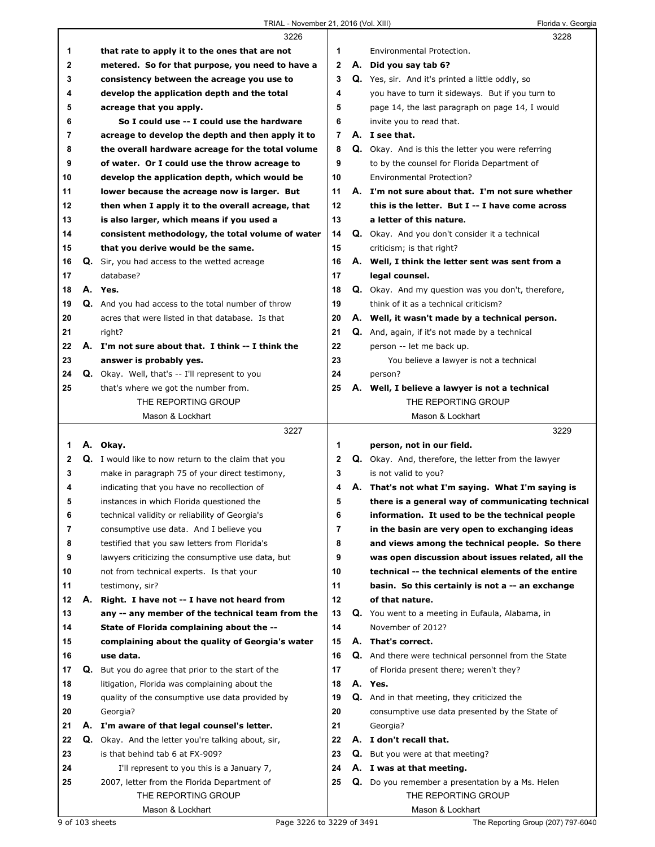## TRIAL - November 21, 2016 (Vol. XIII) Florida v. Georgia

|    |    | 3226                                                       |                | 3228                                                      |
|----|----|------------------------------------------------------------|----------------|-----------------------------------------------------------|
| 1  |    | that rate to apply it to the ones that are not             | $\mathbf 1$    | Environmental Protection.                                 |
| 2  |    | metered. So for that purpose, you need to have a           | $\mathbf{2}$   | A. Did you say tab 6?                                     |
| 3  |    | consistency between the acreage you use to                 | 3              | Q. Yes, sir. And it's printed a little oddly, so          |
| 4  |    | develop the application depth and the total                | 4              | you have to turn it sideways. But if you turn to          |
| 5  |    | acreage that you apply.                                    | 5              | page 14, the last paragraph on page 14, I would           |
| 6  |    | So I could use -- I could use the hardware                 | 6              | invite you to read that.                                  |
| 7  |    | acreage to develop the depth and then apply it to          | $\overline{7}$ | A. I see that.                                            |
| 8  |    | the overall hardware acreage for the total volume          | 8              | <b>Q.</b> Okay. And is this the letter you were referring |
| 9  |    | of water. Or I could use the throw acreage to              | 9              | to by the counsel for Florida Department of               |
| 10 |    | develop the application depth, which would be              | 10             | <b>Environmental Protection?</b>                          |
| 11 |    | lower because the acreage now is larger. But               | 11             | A. I'm not sure about that. I'm not sure whether          |
| 12 |    | then when I apply it to the overall acreage, that          | 12             | this is the letter. But I -- I have come across           |
| 13 |    | is also larger, which means if you used a                  | 13             | a letter of this nature.                                  |
| 14 |    | consistent methodology, the total volume of water          | 14             | Q. Okay. And you don't consider it a technical            |
| 15 |    | that you derive would be the same.                         | 15             | criticism; is that right?                                 |
| 16 |    | Q. Sir, you had access to the wetted acreage               | 16             | A. Well, I think the letter sent was sent from a          |
| 17 |    | database?                                                  | 17             | legal counsel.                                            |
| 18 |    | A. Yes.                                                    | 18             | <b>Q.</b> Okay. And my question was you don't, therefore, |
| 19 |    | <b>Q.</b> And you had access to the total number of throw  | 19             | think of it as a technical criticism?                     |
| 20 |    | acres that were listed in that database. Is that           | 20             | A. Well, it wasn't made by a technical person.            |
| 21 |    | right?                                                     | 21             | Q. And, again, if it's not made by a technical            |
| 22 |    | A. I'm not sure about that. I think -- I think the         | 22             | person -- let me back up.                                 |
| 23 |    | answer is probably yes.                                    | 23             | You believe a lawyer is not a technical                   |
| 24 |    | <b>Q.</b> Okay. Well, that's -- I'll represent to you      | 24             | person?                                                   |
| 25 |    | that's where we got the number from.                       | 25             | A. Well, I believe a lawyer is not a technical            |
|    |    | THE REPORTING GROUP                                        |                | THE REPORTING GROUP                                       |
|    |    |                                                            |                |                                                           |
|    |    | Mason & Lockhart                                           |                | Mason & Lockhart                                          |
|    |    | 3227                                                       |                | 3229                                                      |
| 1. |    | A. Okay.                                                   | 1              | person, not in our field.                                 |
| 2  |    | <b>Q.</b> I would like to now return to the claim that you | $\mathbf{2}$   | Q. Okay. And, therefore, the letter from the lawyer       |
| 3  |    | make in paragraph 75 of your direct testimony,             | 3              | is not valid to you?                                      |
| 4  |    | indicating that you have no recollection of                | 4              | A. That's not what I'm saying. What I'm saying is         |
| 5  |    | instances in which Florida questioned the                  | 5              | there is a general way of communicating technical         |
| 6  |    | technical validity or reliability of Georgia's             | 6              | information. It used to be the technical people           |
| 7  |    | consumptive use data. And I believe you                    | $\overline{7}$ | in the basin are very open to exchanging ideas            |
| 8  |    | testified that you saw letters from Florida's              | 8              | and views among the technical people. So there            |
| 9  |    | lawyers criticizing the consumptive use data, but          | 9              | was open discussion about issues related, all the         |
| 10 |    | not from technical experts. Is that your                   | 10             | technical -- the technical elements of the entire         |
| 11 |    | testimony, sir?                                            | 11             | basin. So this certainly is not a -- an exchange          |
| 12 | А. | Right. I have not -- I have not heard from                 | 12             | of that nature.                                           |
| 13 |    | any -- any member of the technical team from the           | 13             | Q. You went to a meeting in Eufaula, Alabama, in          |
| 14 |    | State of Florida complaining about the --                  | 14             | November of 2012?                                         |
| 15 |    | complaining about the quality of Georgia's water           | 15             | A. That's correct.                                        |
| 16 |    | use data.                                                  | 16             | Q. And there were technical personnel from the State      |
| 17 |    | Q. But you do agree that prior to the start of the         | 17             | of Florida present there; weren't they?                   |
| 18 |    | litigation, Florida was complaining about the              | 18             | A. Yes.                                                   |
| 19 |    | quality of the consumptive use data provided by            | 19             | Q. And in that meeting, they criticized the               |
| 20 |    | Georgia?                                                   | 20             | consumptive use data presented by the State of            |
| 21 |    | A. I'm aware of that legal counsel's letter.               | 21             | Georgia?                                                  |
| 22 |    | <b>Q.</b> Okay. And the letter you're talking about, sir,  | 22             | A. I don't recall that.                                   |
| 23 |    | is that behind tab 6 at FX-909?                            | 23             | Q. But you were at that meeting?                          |
| 24 |    | I'll represent to you this is a January 7,                 | 24             | A. I was at that meeting.                                 |
| 25 |    | 2007, letter from the Florida Department of                | 25             | <b>Q.</b> Do you remember a presentation by a Ms. Helen   |
|    |    | THE REPORTING GROUP<br>Mason & Lockhart                    |                | THE REPORTING GROUP<br>Mason & Lockhart                   |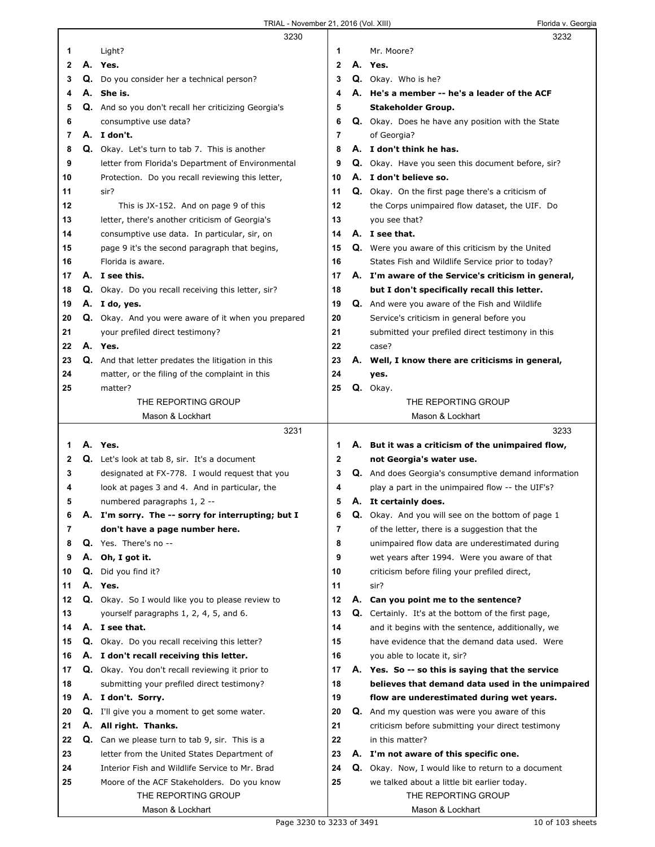|          |    | 3230                                                             |          |    | 3232                                                                                          |
|----------|----|------------------------------------------------------------------|----------|----|-----------------------------------------------------------------------------------------------|
| 1        |    | Light?                                                           | 1        |    | Mr. Moore?                                                                                    |
| 2        |    | A. Yes.                                                          | 2        | А. | Yes.                                                                                          |
| 3        |    | Q. Do you consider her a technical person?                       | 3        |    | Q. Okay. Who is he?                                                                           |
| 4        |    | A. She is.                                                       | 4        |    | A. He's a member -- he's a leader of the ACF                                                  |
| 5        |    | Q. And so you don't recall her criticizing Georgia's             | 5        |    | Stakeholder Group.                                                                            |
| 6        |    | consumptive use data?                                            | 6        |    | Q. Okay. Does he have any position with the State                                             |
| 7        |    | A. I don't.                                                      | 7        |    | of Georgia?                                                                                   |
| 8        |    | Q. Okay. Let's turn to tab 7. This is another                    | 8        |    | A. I don't think he has.                                                                      |
| 9        |    | letter from Florida's Department of Environmental                | 9        |    | Q. Okay. Have you seen this document before, sir?                                             |
| 10       |    | Protection. Do you recall reviewing this letter,                 | 10       |    | A. I don't believe so.                                                                        |
| 11       |    | sir?                                                             | 11       |    | <b>Q.</b> Okay. On the first page there's a criticism of                                      |
| 12       |    | This is JX-152. And on page 9 of this                            | 12       |    | the Corps unimpaired flow dataset, the UIF. Do                                                |
| 13       |    | letter, there's another criticism of Georgia's                   | 13       |    | you see that?                                                                                 |
| 14       |    | consumptive use data. In particular, sir, on                     | 14       |    | A. I see that.                                                                                |
| 15       |    | page 9 it's the second paragraph that begins,                    | 15       |    | <b>Q.</b> Were you aware of this criticism by the United                                      |
| 16       |    | Florida is aware.                                                | 16       |    | States Fish and Wildlife Service prior to today?                                              |
| 17       |    | A. I see this.                                                   | 17       |    | A. I'm aware of the Service's criticism in general,                                           |
| 18       |    | Q. Okay. Do you recall receiving this letter, sir?               | 18       |    | but I don't specifically recall this letter.                                                  |
| 19       |    | A. I do, yes.                                                    | 19       |    | Q. And were you aware of the Fish and Wildlife                                                |
| 20       |    | Q. Okay. And you were aware of it when you prepared              | 20       |    | Service's criticism in general before you                                                     |
| 21       |    | your prefiled direct testimony?                                  | 21       |    | submitted your prefiled direct testimony in this                                              |
| 22       |    | A. Yes.                                                          | 22       |    | case?                                                                                         |
| 23       |    | <b>Q.</b> And that letter predates the litigation in this        | 23       |    | A. Well, I know there are criticisms in general,                                              |
| 24       |    | matter, or the filing of the complaint in this                   | 24       |    | yes.                                                                                          |
| 25       |    | matter?                                                          | 25       |    | Q. Okay.                                                                                      |
|          |    | THE REPORTING GROUP                                              |          |    | THE REPORTING GROUP                                                                           |
|          |    | Mason & Lockhart                                                 |          |    | Mason & Lockhart                                                                              |
|          |    |                                                                  |          |    |                                                                                               |
|          |    | 3231                                                             |          |    | 3233                                                                                          |
| 1        |    | A. Yes.                                                          | 1        |    | A. But it was a criticism of the unimpaired flow,                                             |
| 2        |    | <b>Q.</b> Let's look at tab 8, sir. It's a document              | 2        |    | not Georgia's water use.                                                                      |
| 3        |    | designated at FX-778. I would request that you                   | 3        |    | Q. And does Georgia's consumptive demand information                                          |
| 4        |    | look at pages 3 and 4. And in particular, the                    | 4        |    | play a part in the unimpaired flow -- the UIF's?                                              |
| 5        |    | numbered paragraphs 1, 2 --                                      | 5        |    | A. It certainly does.                                                                         |
| 6        |    | A. I'm sorry. The -- sorry for interrupting; but I               | 6        | Q. | Okay. And you will see on the bottom of page 1                                                |
| 7        |    | don't have a page number here.                                   | 7        |    | of the letter, there is a suggestion that the                                                 |
| 8        |    | Q. Yes. There's no --                                            | 8        |    | unimpaired flow data are underestimated during                                                |
| 9        | А. | Oh, I got it.                                                    | 9        |    | wet years after 1994. Were you aware of that                                                  |
| 10       | Q. | Did you find it?                                                 | 10       |    | criticism before filing your prefiled direct,                                                 |
| 11       |    | A. Yes.                                                          | 11       |    | sir?                                                                                          |
| 12       |    | Q. Okay. So I would like you to please review to                 | 12       |    | A. Can you point me to the sentence?                                                          |
| 13       |    | yourself paragraphs 1, 2, 4, 5, and 6.                           | 13       |    | <b>Q.</b> Certainly. It's at the bottom of the first page,                                    |
| 14       |    | A. I see that.                                                   | 14       |    | and it begins with the sentence, additionally, we                                             |
| 15       |    | <b>Q.</b> Okay. Do you recall receiving this letter?             | 15       |    | have evidence that the demand data used. Were                                                 |
| 16<br>17 |    | A. I don't recall receiving this letter.                         | 16<br>17 |    | you able to locate it, sir?                                                                   |
| 18       |    | Q. Okay. You don't recall reviewing it prior to                  | 18       |    | A. Yes. So -- so this is saying that the service                                              |
| 19       |    | submitting your prefiled direct testimony?<br>A. I don't. Sorry. | 19       |    | believes that demand data used in the unimpaired<br>flow are underestimated during wet years. |
| 20       | Q. |                                                                  | 20       |    |                                                                                               |
| 21       | А. | I'll give you a moment to get some water.<br>All right. Thanks.  | 21       |    | <b>Q.</b> And my question was were you aware of this                                          |
| 22       |    | Q. Can we please turn to tab 9, sir. This is a                   | 22       |    | criticism before submitting your direct testimony<br>in this matter?                          |
| 23       |    | letter from the United States Department of                      | 23       |    | A. I'm not aware of this specific one.                                                        |
| 24       |    | Interior Fish and Wildlife Service to Mr. Brad                   | 24       |    | <b>Q.</b> Okay. Now, I would like to return to a document                                     |
| 25       |    | Moore of the ACF Stakeholders. Do you know                       | 25       |    | we talked about a little bit earlier today.                                                   |
|          |    | THE REPORTING GROUP                                              |          |    | THE REPORTING GROUP                                                                           |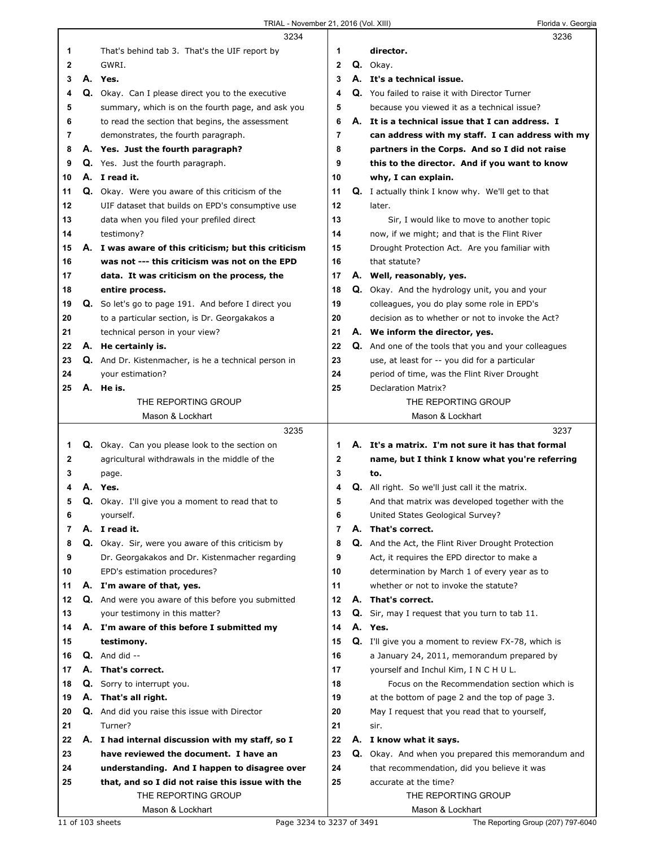|              |    | 3234                                                        |              |    | 3236                                                     |
|--------------|----|-------------------------------------------------------------|--------------|----|----------------------------------------------------------|
| 1            |    | That's behind tab 3. That's the UIF report by               | 1            |    | director.                                                |
| $\mathbf{2}$ |    | GWRI.                                                       | $\mathbf{2}$ |    | Q. Okav.                                                 |
| 3            |    | A. Yes.                                                     | 3            |    | A. It's a technical issue.                               |
| 4            |    | Q. Okay. Can I please direct you to the executive           | 4            |    | Q. You failed to raise it with Director Turner           |
| 5            |    | summary, which is on the fourth page, and ask you           | 5            |    | because you viewed it as a technical issue?              |
| 6            |    | to read the section that begins, the assessment             | 6            |    | A. It is a technical issue that I can address. I         |
|              |    |                                                             | 7            |    |                                                          |
| 7            |    | demonstrates, the fourth paragraph.                         |              |    | can address with my staff. I can address with my         |
| 8            |    | A. Yes. Just the fourth paragraph?                          | 8            |    | partners in the Corps. And so I did not raise            |
| 9            |    | <b>Q.</b> Yes. Just the fourth paragraph.                   | 9            |    | this to the director. And if you want to know            |
| 10           |    | A. I read it.                                               | 10           |    | why, I can explain.                                      |
| 11           |    | <b>Q.</b> Okay. Were you aware of this criticism of the     | 11           |    | <b>Q.</b> I actually think I know why. We'll get to that |
| 12           |    | UIF dataset that builds on EPD's consumptive use            | 12           |    | later.                                                   |
| 13           |    | data when you filed your prefiled direct                    | 13           |    | Sir, I would like to move to another topic               |
| 14           |    | testimony?                                                  | 14           |    | now, if we might; and that is the Flint River            |
| 15           |    | A. I was aware of this criticism; but this criticism        | 15           |    | Drought Protection Act. Are you familiar with            |
| 16           |    | was not --- this criticism was not on the EPD               | 16           |    | that statute?                                            |
| 17           |    | data. It was criticism on the process, the                  | 17           |    | A. Well, reasonably, yes.                                |
| 18           |    | entire process.                                             | 18           |    | <b>Q.</b> Okay. And the hydrology unit, you and your     |
| 19           |    | Q. So let's go to page 191. And before I direct you         | 19           |    | colleagues, you do play some role in EPD's               |
| 20           |    | to a particular section, is Dr. Georgakakos a               | 20           |    | decision as to whether or not to invoke the Act?         |
| 21           |    | technical person in your view?                              | 21           |    | A. We inform the director, yes.                          |
| 22           |    | A. He certainly is.                                         | 22           |    | Q. And one of the tools that you and your colleagues     |
| 23           |    |                                                             | 23           |    |                                                          |
|              |    | <b>Q.</b> And Dr. Kistenmacher, is he a technical person in |              |    | use, at least for -- you did for a particular            |
| 24           |    | your estimation?                                            | 24           |    | period of time, was the Flint River Drought              |
| 25           |    | A. He is.                                                   | 25           |    | <b>Declaration Matrix?</b>                               |
|              |    | THE REPORTING GROUP                                         |              |    | THE REPORTING GROUP                                      |
|              |    | Mason & Lockhart                                            |              |    | Mason & Lockhart                                         |
|              |    |                                                             |              |    |                                                          |
|              |    | 3235                                                        |              |    | 3237                                                     |
| 1            |    | <b>Q.</b> Okay. Can you please look to the section on       | 1            |    | A. It's a matrix. I'm not sure it has that formal        |
| 2            |    | agricultural withdrawals in the middle of the               | $\mathbf 2$  |    | name, but I think I know what you're referring           |
| 3            |    | page.                                                       | 3            |    | to.                                                      |
| 4            |    | A. Yes.                                                     | 4            |    | <b>Q.</b> All right. So we'll just call it the matrix.   |
| 5            |    | <b>Q.</b> Okay. I'll give you a moment to read that to      | 5            |    | And that matrix was developed together with the          |
| 6            |    | yourself.                                                   | 6            |    | United States Geological Survey?                         |
| 7            |    | A. I read it.                                               | 7            |    | A. That's correct.                                       |
| 8            | Q. | Okay. Sir, were you aware of this criticism by              | 8            | Q. | And the Act, the Flint River Drought Protection          |
| 9            |    | Dr. Georgakakos and Dr. Kistenmacher regarding              | 9            |    | Act, it requires the EPD director to make a              |
| 10           |    | EPD's estimation procedures?                                | 10           |    | determination by March 1 of every year as to             |
| 11           |    |                                                             | 11           |    | whether or not to invoke the statute?                    |
|              |    | A. I'm aware of that, yes.                                  | 12           |    |                                                          |
| 12           |    | Q. And were you aware of this before you submitted          |              |    | A. That's correct.                                       |
| 13           |    | your testimony in this matter?                              | 13           |    | Q. Sir, may I request that you turn to tab 11.           |
| 14           |    | A. I'm aware of this before I submitted my                  | 14           |    | A. Yes.                                                  |
| 15           |    | testimony.                                                  | 15           |    | Q. I'll give you a moment to review FX-78, which is      |
| 16           |    | $Q.$ And did $-$                                            | 16           |    | a January 24, 2011, memorandum prepared by               |
| 17           |    | A. That's correct.                                          | 17           |    | yourself and Inchul Kim, I N C H U L.                    |
| 18           | Q. | Sorry to interrupt you.                                     | 18           |    | Focus on the Recommendation section which is             |
| 19           |    | A. That's all right.                                        | 19           |    | at the bottom of page 2 and the top of page 3.           |
| 20           |    | Q. And did you raise this issue with Director               | 20           |    | May I request that you read that to yourself,            |
| 21           |    | Turner?                                                     | 21           |    | sir.                                                     |
| 22           |    | A. I had internal discussion with my staff, so I            | 22           |    | A. I know what it says.                                  |
| 23           |    | have reviewed the document. I have an                       | 23           |    | Q. Okay. And when you prepared this memorandum and       |
| 24           |    | understanding. And I happen to disagree over                | 24           |    | that recommendation, did you believe it was              |
| 25           |    | that, and so I did not raise this issue with the            | 25           |    | accurate at the time?                                    |
|              |    | THE REPORTING GROUP                                         |              |    | THE REPORTING GROUP                                      |

11 of 103 sheets Page 3234 to 3237 of 3491 The Reporting Group (207) 797-6040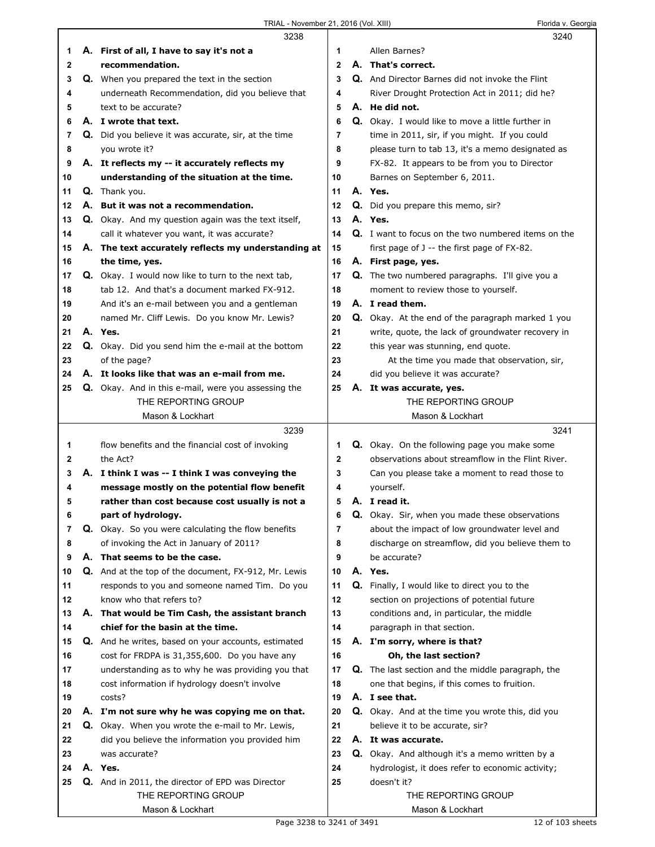|    | 3238                                                        |                | 3240                                                     |  |
|----|-------------------------------------------------------------|----------------|----------------------------------------------------------|--|
| 1  | A. First of all, I have to say it's not a                   | 1              | Allen Barnes?                                            |  |
| 2  | recommendation.                                             | $\overline{2}$ | A. That's correct.                                       |  |
| 3  | Q. When you prepared the text in the section                | 3              | Q. And Director Barnes did not invoke the Flint          |  |
| 4  | underneath Recommendation, did you believe that             | 4              | River Drought Protection Act in 2011; did he?            |  |
| 5  | text to be accurate?                                        | 5              | A. He did not.                                           |  |
| 6  | A. I wrote that text.                                       | 6              | Q. Okay. I would like to move a little further in        |  |
| 7  | Q. Did you believe it was accurate, sir, at the time        | 7              | time in 2011, sir, if you might. If you could            |  |
| 8  | you wrote it?                                               | 8              | please turn to tab 13, it's a memo designated as         |  |
| 9  | A. It reflects my -- it accurately reflects my              | 9              | FX-82. It appears to be from you to Director             |  |
| 10 | understanding of the situation at the time.                 | 10             | Barnes on September 6, 2011.                             |  |
| 11 | Q. Thank you.                                               | 11             | A. Yes.                                                  |  |
| 12 | A. But it was not a recommendation.                         | 12             | Q. Did you prepare this memo, sir?                       |  |
| 13 | Q. Okay. And my question again was the text itself,         | 13             | A. Yes.                                                  |  |
| 14 | call it whatever you want, it was accurate?                 | 14             | Q. I want to focus on the two numbered items on the      |  |
| 15 | A. The text accurately reflects my understanding at         | 15             | first page of J -- the first page of FX-82.              |  |
| 16 | the time, yes.                                              | 16             | A. First page, yes.                                      |  |
| 17 | Q. Okay. I would now like to turn to the next tab,          | 17             | <b>Q.</b> The two numbered paragraphs. I'll give you a   |  |
| 18 | tab 12. And that's a document marked FX-912.                | 18             | moment to review those to yourself.                      |  |
| 19 | And it's an e-mail between you and a gentleman              | 19             | A. I read them.                                          |  |
| 20 | named Mr. Cliff Lewis. Do you know Mr. Lewis?               | 20             | <b>Q.</b> Okay. At the end of the paragraph marked 1 you |  |
| 21 | A. Yes.                                                     | 21             | write, quote, the lack of groundwater recovery in        |  |
| 22 | Q. Okay. Did you send him the e-mail at the bottom          | 22             | this year was stunning, end quote.                       |  |
| 23 | of the page?                                                | 23             | At the time you made that observation, sir,              |  |
| 24 | A. It looks like that was an e-mail from me.                | 24             | did you believe it was accurate?                         |  |
| 25 | <b>Q.</b> Okay. And in this e-mail, were you assessing the  | 25             | A. It was accurate, yes.                                 |  |
|    | THE REPORTING GROUP                                         |                | THE REPORTING GROUP                                      |  |
|    | Mason & Lockhart                                            |                | Mason & Lockhart                                         |  |
|    |                                                             |                |                                                          |  |
|    | 3239                                                        |                | 3241                                                     |  |
| 1  | flow benefits and the financial cost of invoking            | 1              | Q. Okay. On the following page you make some             |  |
| 2  | the Act?                                                    | $\mathbf{2}$   | observations about streamflow in the Flint River.        |  |
| 3  | A. I think I was -- I think I was conveying the             | 3              | Can you please take a moment to read those to            |  |
| 4  | message mostly on the potential flow benefit                | 4              | yourself.                                                |  |
| 5  | rather than cost because cost usually is not a              | 5              | A. I read it.                                            |  |
| 6  | part of hydrology.                                          | 6              | <b>Q.</b> Okay. Sir, when you made these observations    |  |
| 7  | <b>Q.</b> Okay. So you were calculating the flow benefits   | 7              | about the impact of low groundwater level and            |  |
| 8  | of invoking the Act in January of 2011?                     | 8              | discharge on streamflow, did you believe them to         |  |
| 9  | A. That seems to be the case.                               | 9              | be accurate?                                             |  |
| 10 | <b>Q.</b> And at the top of the document, FX-912, Mr. Lewis | 10             | A. Yes.                                                  |  |
| 11 | responds to you and someone named Tim. Do you               | 11             | Q. Finally, I would like to direct you to the            |  |
| 12 | know who that refers to?                                    | 12             | section on projections of potential future               |  |
| 13 | A. That would be Tim Cash, the assistant branch             | 13             | conditions and, in particular, the middle                |  |
| 14 | chief for the basin at the time.                            | 14             | paragraph in that section.                               |  |
| 15 | Q. And he writes, based on your accounts, estimated         | 15             | A. I'm sorry, where is that?                             |  |
| 16 | cost for FRDPA is 31,355,600. Do you have any               | 16             | Oh, the last section?                                    |  |
| 17 | understanding as to why he was providing you that           | 17             | <b>Q.</b> The last section and the middle paragraph, the |  |
| 18 | cost information if hydrology doesn't involve               | 18             | one that begins, if this comes to fruition.              |  |
| 19 | costs?                                                      | 19             | A. I see that.                                           |  |
| 20 | A. I'm not sure why he was copying me on that.              | 20             | <b>Q.</b> Okay. And at the time you wrote this, did you  |  |
| 21 | Q. Okay. When you wrote the e-mail to Mr. Lewis,            | 21             | believe it to be accurate, sir?                          |  |
| 22 | did you believe the information you provided him            | 22             | A. It was accurate.                                      |  |
| 23 | was accurate?                                               | 23             | <b>Q.</b> Okay. And although it's a memo written by a    |  |
| 24 | A. Yes.                                                     | 24             | hydrologist, it does refer to economic activity;         |  |
| 25 | Q. And in 2011, the director of EPD was Director            | 25             | doesn't it?                                              |  |
|    | THE REPORTING GROUP<br>Mason & Lockhart                     |                | THE REPORTING GROUP<br>Mason & Lockhart                  |  |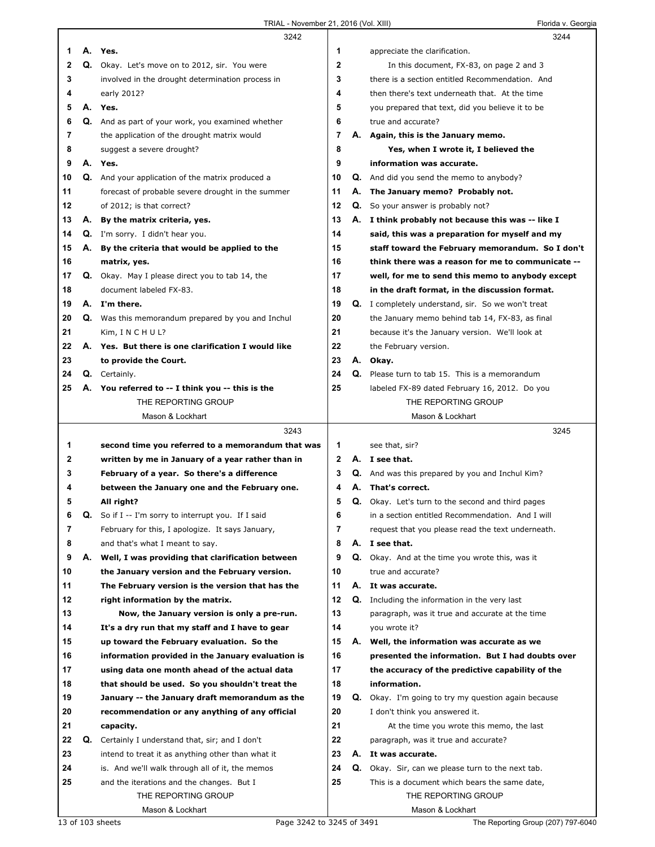|    |    | 3242                                                       |              |    | 3244                                                     |
|----|----|------------------------------------------------------------|--------------|----|----------------------------------------------------------|
| 1  |    | A. Yes.                                                    | 1            |    | appreciate the clarification.                            |
| 2  | Q. | Okay. Let's move on to 2012, sir. You were                 | $\mathbf{2}$ |    | In this document, FX-83, on page 2 and 3                 |
| 3  |    | involved in the drought determination process in           | 3            |    | there is a section entitled Recommendation. And          |
| 4  |    | early 2012?                                                | 4            |    | then there's text underneath that. At the time           |
| 5  |    | A. Yes.                                                    | 5            |    | you prepared that text, did you believe it to be         |
| 6  |    | Q. And as part of your work, you examined whether          | 6            |    | true and accurate?                                       |
| 7  |    | the application of the drought matrix would                | 7            |    | A. Again, this is the January memo.                      |
| 8  |    | suggest a severe drought?                                  | 8            |    | Yes, when I wrote it, I believed the                     |
| 9  |    | A. Yes.                                                    | 9            |    | information was accurate.                                |
| 10 |    | <b>Q.</b> And your application of the matrix produced a    | 10           |    | <b>Q.</b> And did you send the memo to anybody?          |
| 11 |    | forecast of probable severe drought in the summer          | 11           |    | A. The January memo? Probably not.                       |
| 12 |    | of 2012; is that correct?                                  | 12           |    | <b>Q.</b> So your answer is probably not?                |
| 13 |    | A. By the matrix criteria, yes.                            | 13           |    | A. I think probably not because this was -- like I       |
| 14 |    | Q. I'm sorry. I didn't hear you.                           | 14           |    | said, this was a preparation for myself and my           |
| 15 |    | A. By the criteria that would be applied to the            | 15           |    | staff toward the February memorandum. So I don't         |
| 16 |    | matrix, yes.                                               | 16           |    | think there was a reason for me to communicate --        |
| 17 |    | <b>Q.</b> Okay. May I please direct you to tab 14, the     | 17           |    | well, for me to send this memo to anybody except         |
| 18 |    | document labeled FX-83.                                    | 18           |    | in the draft format, in the discussion format.           |
| 19 |    | A. I'm there.                                              | 19           |    | Q. I completely understand, sir. So we won't treat       |
| 20 |    | <b>Q.</b> Was this memorandum prepared by you and Inchul   | 20           |    | the January memo behind tab 14, FX-83, as final          |
| 21 |    | Kim, INCHUL?                                               | 21           |    | because it's the January version. We'll look at          |
| 22 |    | A. Yes. But there is one clarification I would like        | 22           |    | the February version.                                    |
| 23 |    | to provide the Court.                                      | 23           |    | A. Okay.                                                 |
| 24 |    | Q. Certainly.                                              | 24           |    | Q. Please turn to tab 15. This is a memorandum           |
| 25 |    | A. You referred to -- I think you -- this is the           | 25           |    | labeled FX-89 dated February 16, 2012. Do you            |
|    |    | THE REPORTING GROUP                                        |              |    | THE REPORTING GROUP                                      |
|    |    | Mason & Lockhart                                           |              |    | Mason & Lockhart                                         |
|    |    |                                                            |              |    |                                                          |
|    |    | 3243                                                       |              |    | 3245                                                     |
| 1  |    | second time you referred to a memorandum that was          | 1            |    | see that, sir?                                           |
| 2  |    | written by me in January of a year rather than in          | $\mathbf{2}$ |    | A. I see that.                                           |
| 3  |    | February of a year. So there's a difference                | 3            |    | Q. And was this prepared by you and Inchul Kim?          |
| 4  |    | between the January one and the February one.              | 4            | А. | That's correct.                                          |
| 5  |    | All right?                                                 | 5            |    | <b>Q.</b> Okay. Let's turn to the second and third pages |
| 6  |    | <b>Q.</b> So if I -- I'm sorry to interrupt you. If I said | 6            |    | in a section entitled Recommendation. And I will         |
| 7  |    | February for this, I apologize. It says January,           | 7            |    | request that you please read the text underneath.        |
| 8  |    | and that's what I meant to say.                            | 8            |    | A. I see that.                                           |
| 9  | А. | Well, I was providing that clarification between           | 9            |    | Q. Okay. And at the time you wrote this, was it          |
| 10 |    | the January version and the February version.              | 10           |    | true and accurate?                                       |
| 11 |    | The February version is the version that has the           | 11           |    | A. It was accurate.                                      |
| 12 |    | right information by the matrix.                           | 12           |    | <b>Q.</b> Including the information in the very last     |
| 13 |    | Now, the January version is only a pre-run.                | 13           |    | paragraph, was it true and accurate at the time          |
| 14 |    | It's a dry run that my staff and I have to gear            | 14           |    | you wrote it?                                            |
| 15 |    | up toward the February evaluation. So the                  | 15           |    | A. Well, the information was accurate as we              |
| 16 |    | information provided in the January evaluation is          | 16           |    | presented the information. But I had doubts over         |
| 17 |    | using data one month ahead of the actual data              | 17           |    | the accuracy of the predictive capability of the         |
| 18 |    | that should be used. So you shouldn't treat the            | 18           |    | information.                                             |
| 19 |    | January -- the January draft memorandum as the             | 19           |    | Q. Okay. I'm going to try my question again because      |
| 20 |    | recommendation or any anything of any official             | 20           |    | I don't think you answered it.                           |
| 21 |    | capacity.                                                  | 21           |    | At the time you wrote this memo, the last                |
| 22 | Q. | Certainly I understand that, sir; and I don't              | 22           |    | paragraph, was it true and accurate?                     |
| 23 |    | intend to treat it as anything other than what it          | 23           |    | A. It was accurate.                                      |
| 24 |    | is. And we'll walk through all of it, the memos            | 24           |    | Q. Okay. Sir, can we please turn to the next tab.        |
| 25 |    | and the iterations and the changes. But I                  | 25           |    | This is a document which bears the same date,            |
|    |    | THE REPORTING GROUP<br>Mason & Lockhart                    |              |    | THE REPORTING GROUP<br>Mason & Lockhart                  |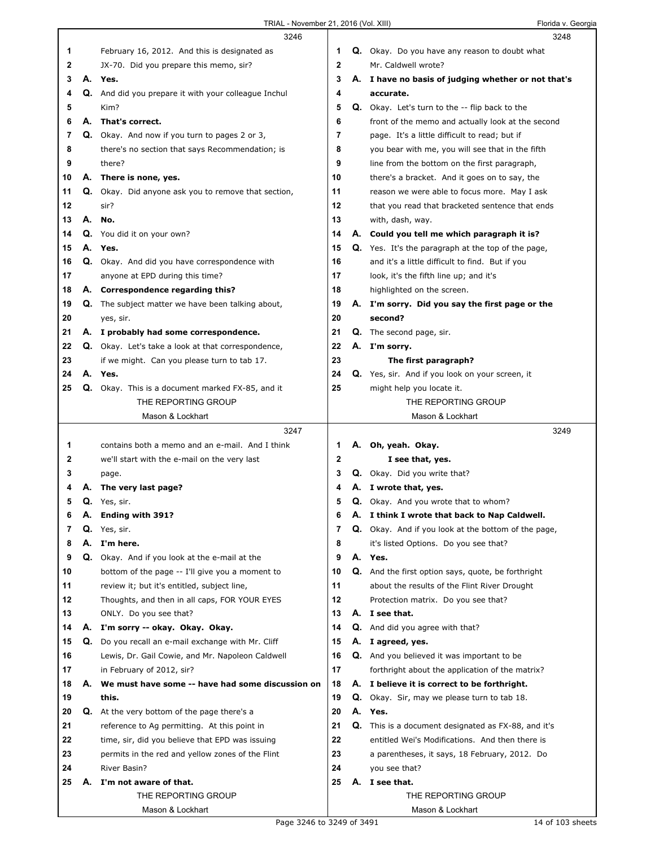|          |    | 3246                                                                          |             |    | 3248                                                                    |  |
|----------|----|-------------------------------------------------------------------------------|-------------|----|-------------------------------------------------------------------------|--|
| 1        |    | February 16, 2012. And this is designated as                                  | 1           |    | Q. Okay. Do you have any reason to doubt what                           |  |
| 2        |    | JX-70. Did you prepare this memo, sir?                                        | $\mathbf 2$ |    | Mr. Caldwell wrote?                                                     |  |
| 3        |    | A. Yes.                                                                       | 3           |    | A. I have no basis of judging whether or not that's                     |  |
| 4        |    | Q. And did you prepare it with your colleague Inchul                          | 4           |    | accurate.                                                               |  |
| 5        |    | Kim?                                                                          | 5           |    | <b>Q.</b> Okay. Let's turn to the -- flip back to the                   |  |
| 6        | А. | That's correct.                                                               | 6           |    | front of the memo and actually look at the second                       |  |
| 7        |    | Q. Okay. And now if you turn to pages 2 or 3,                                 | 7           |    | page. It's a little difficult to read; but if                           |  |
| 8        |    | there's no section that says Recommendation; is                               | 8           |    | you bear with me, you will see that in the fifth                        |  |
| 9        |    | there?                                                                        | 9           |    | line from the bottom on the first paragraph,                            |  |
| 10       |    | A. There is none, yes.                                                        | 10          |    | there's a bracket. And it goes on to say, the                           |  |
| 11       |    | Q. Okay. Did anyone ask you to remove that section,                           | 11          |    | reason we were able to focus more. May I ask                            |  |
| 12       |    | sir?                                                                          | 12          |    | that you read that bracketed sentence that ends                         |  |
| 13       | А. | No.                                                                           | 13          |    | with, dash, way.                                                        |  |
| 14       |    | Q. You did it on your own?                                                    | 14          |    | A. Could you tell me which paragraph it is?                             |  |
| 15       |    | A. Yes.                                                                       | 15          |    | <b>Q.</b> Yes. It's the paragraph at the top of the page,               |  |
| 16       |    | Q. Okay. And did you have correspondence with                                 | 16          |    | and it's a little difficult to find. But if you                         |  |
| 17       |    | anyone at EPD during this time?                                               | 17          |    | look, it's the fifth line up; and it's                                  |  |
| 18       |    | A. Correspondence regarding this?                                             | 18          |    | highlighted on the screen.                                              |  |
| 19       |    | <b>Q.</b> The subject matter we have been talking about,                      | 19          |    | A. I'm sorry. Did you say the first page or the                         |  |
| 20       |    |                                                                               | 20          |    | second?                                                                 |  |
| 21       |    | yes, sir.<br>A. I probably had some correspondence.                           | 21          |    | Q. The second page, sir.                                                |  |
| 22       |    | <b>Q.</b> Okay. Let's take a look at that correspondence,                     | 22          |    | A. I'm sorry.                                                           |  |
| 23       |    |                                                                               | 23          |    |                                                                         |  |
| 24       |    | if we might. Can you please turn to tab 17.<br>A. Yes.                        | 24          |    | The first paragraph?<br>Q. Yes, sir. And if you look on your screen, it |  |
| 25       |    | Q. Okay. This is a document marked FX-85, and it                              | 25          |    | might help you locate it.                                               |  |
|          |    | THE REPORTING GROUP                                                           |             |    | THE REPORTING GROUP                                                     |  |
|          |    | Mason & Lockhart                                                              |             |    | Mason & Lockhart                                                        |  |
|          |    |                                                                               |             |    |                                                                         |  |
|          |    |                                                                               |             |    |                                                                         |  |
|          |    | 3247                                                                          |             |    | 3249                                                                    |  |
| 1        |    | contains both a memo and an e-mail. And I think                               | 1           | Α. | Oh, yeah. Okay.                                                         |  |
| 2        |    | we'll start with the e-mail on the very last                                  | 2           |    | I see that, yes.                                                        |  |
| 3        |    | page.                                                                         | 3           |    | Q. Okay. Did you write that?                                            |  |
| 4        | Α. | The very last page?                                                           | 4           |    | A. I wrote that, yes.                                                   |  |
| 5        |    | Q. Yes, sir.                                                                  | 5           |    | <b>Q.</b> Okay. And you wrote that to whom?                             |  |
| b        | А. | <b>Ending with 391?</b>                                                       | 6           | А. | I think I wrote that back to Nap Caldwell.                              |  |
| 7        | Q. | Yes, sir.                                                                     | 7           |    | <b>Q.</b> Okay. And if you look at the bottom of the page,              |  |
| 8        | А. | I'm here.                                                                     | 8           |    | it's listed Options. Do you see that?                                   |  |
| 9        | Q. | Okay. And if you look at the e-mail at the                                    | 9           |    | A. Yes.                                                                 |  |
| 10       |    | bottom of the page -- I'll give you a moment to                               | 10          |    | <b>Q.</b> And the first option says, quote, be forthright               |  |
| 11       |    | review it; but it's entitled, subject line,                                   | 11          |    | about the results of the Flint River Drought                            |  |
| 12       |    | Thoughts, and then in all caps, FOR YOUR EYES                                 | 12          |    | Protection matrix. Do you see that?                                     |  |
| 13       |    | ONLY. Do you see that?                                                        | 13          |    | A. I see that.                                                          |  |
| 14       |    | A. I'm sorry -- okay. Okay. Okay.                                             | 14          |    | Q. And did you agree with that?                                         |  |
| 15       | Q. | Do you recall an e-mail exchange with Mr. Cliff                               | 15          |    | A. I agreed, yes.                                                       |  |
| 16       |    | Lewis, Dr. Gail Cowie, and Mr. Napoleon Caldwell                              | 16          |    | <b>Q.</b> And you believed it was important to be                       |  |
| 17<br>18 | А. | in February of 2012, sir?<br>We must have some -- have had some discussion on | 17<br>18    |    | forthright about the application of the matrix?                         |  |
| 19       |    |                                                                               | 19          |    | A. I believe it is correct to be forthright.                            |  |
| 20       |    | this.                                                                         | 20          |    | <b>Q.</b> Okay. Sir, may we please turn to tab 18.<br>A. Yes.           |  |
| 21       |    | Q. At the very bottom of the page there's a                                   | 21          |    |                                                                         |  |
| 22       |    | reference to Ag permitting. At this point in                                  | 22          |    | <b>Q.</b> This is a document designated as FX-88, and it's              |  |
| 23       |    | time, sir, did you believe that EPD was issuing                               | 23          |    | entitled Wei's Modifications. And then there is                         |  |
| 24       |    | permits in the red and yellow zones of the Flint<br>River Basin?              | 24          |    | a parentheses, it says, 18 February, 2012. Do<br>you see that?          |  |
| 25       | А. | I'm not aware of that.                                                        | 25          |    | A. I see that.                                                          |  |
|          |    | THE REPORTING GROUP                                                           |             |    | THE REPORTING GROUP                                                     |  |
|          |    | Mason & Lockhart                                                              |             |    | Mason & Lockhart                                                        |  |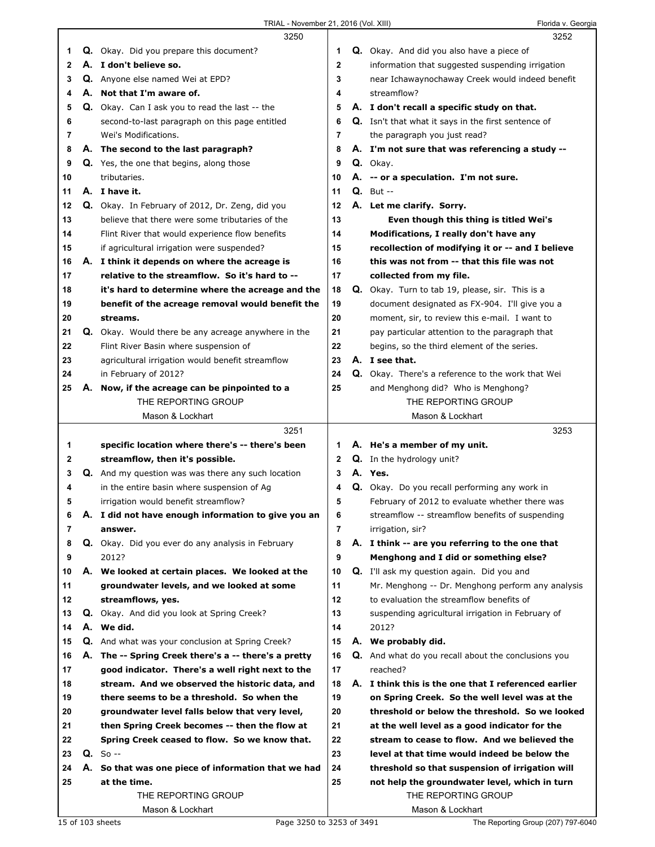|                |    | 3250                                                      |    |    | 3252                                                       |
|----------------|----|-----------------------------------------------------------|----|----|------------------------------------------------------------|
| 1              |    | Q. Okay. Did you prepare this document?                   | 1  |    | Q. Okay. And did you also have a piece of                  |
| $\mathbf{2}$   |    | A. I don't believe so.                                    | 2  |    | information that suggested suspending irrigation           |
| 3              |    | <b>Q.</b> Anyone else named Wei at EPD?                   | 3  |    | near Ichawaynochaway Creek would indeed benefit            |
| 4              | А. | Not that I'm aware of.                                    | 4  |    | streamflow?                                                |
| 5              |    | Q. Okay. Can I ask you to read the last -- the            | 5  |    | A. I don't recall a specific study on that.                |
| 6              |    | second-to-last paragraph on this page entitled            | 6  |    | <b>Q.</b> Isn't that what it says in the first sentence of |
| 7              |    | Wei's Modifications.                                      | 7  |    | the paragraph you just read?                               |
| 8              |    | A. The second to the last paragraph?                      | 8  |    | A. I'm not sure that was referencing a study --            |
| 9              |    | Q. Yes, the one that begins, along those                  | 9  |    | Q. Okay.                                                   |
|                |    | tributaries.                                              | 10 |    |                                                            |
| 10             |    |                                                           |    |    | A. -- or a speculation. I'm not sure.                      |
| 11             |    | A. I have it.                                             | 11 |    | $Q.$ But $-$                                               |
| 12             |    | Q. Okay. In February of 2012, Dr. Zeng, did you           | 12 |    | A. Let me clarify. Sorry.                                  |
| 13             |    | believe that there were some tributaries of the           | 13 |    | Even though this thing is titled Wei's                     |
| 14             |    | Flint River that would experience flow benefits           | 14 |    | Modifications, I really don't have any                     |
| 15             |    | if agricultural irrigation were suspended?                | 15 |    | recollection of modifying it or -- and I believe           |
| 16             |    | A. I think it depends on where the acreage is             | 16 |    | this was not from -- that this file was not                |
| 17             |    | relative to the streamflow. So it's hard to --            | 17 |    | collected from my file.                                    |
| 18             |    | it's hard to determine where the acreage and the          | 18 |    | Q. Okay. Turn to tab 19, please, sir. This is a            |
| 19             |    | benefit of the acreage removal would benefit the          | 19 |    | document designated as FX-904. I'll give you a             |
| 20             |    | streams.                                                  | 20 |    | moment, sir, to review this e-mail. I want to              |
| 21             |    | Q. Okay. Would there be any acreage anywhere in the       | 21 |    | pay particular attention to the paragraph that             |
| 22             |    | Flint River Basin where suspension of                     | 22 |    | begins, so the third element of the series.                |
| 23             |    | agricultural irrigation would benefit streamflow          | 23 |    | A. I see that.                                             |
| 24             |    | in February of 2012?                                      | 24 |    | <b>Q.</b> Okay. There's a reference to the work that Wei   |
| 25             | А. | Now, if the acreage can be pinpointed to a                | 25 |    | and Menghong did? Who is Menghong?                         |
|                |    | THE REPORTING GROUP                                       |    |    | THE REPORTING GROUP                                        |
|                |    | Mason & Lockhart                                          |    |    | Mason & Lockhart                                           |
|                |    |                                                           |    |    |                                                            |
|                |    | 3251                                                      |    |    | 3253                                                       |
| 1              |    | specific location where there's -- there's been           | 1. |    |                                                            |
|                |    |                                                           | 2  |    | A. He's a member of my unit.                               |
| 2              |    | streamflow, then it's possible.                           | 3  |    | Q. In the hydrology unit?<br>A. Yes.                       |
| 3              |    | <b>Q.</b> And my question was was there any such location | 4  |    |                                                            |
| 4              |    | in the entire basin where suspension of Ag                |    |    | Q. Okay. Do you recall performing any work in              |
| 5              |    | irrigation would benefit streamflow?                      | 5  |    | February of 2012 to evaluate whether there was             |
| 6              |    | A. I did not have enough information to give you an       | 6  |    | streamflow -- streamflow benefits of suspending            |
| $\overline{7}$ |    | answer.                                                   | 7  |    | irrigation, sir?                                           |
| 8              |    | Q. Okay. Did you ever do any analysis in February         | 8  |    | A. I think -- are you referring to the one that            |
| 9              |    | 2012?                                                     | 9  |    | Menghong and I did or something else?                      |
| 10             |    | A. We looked at certain places. We looked at the          | 10 |    | <b>Q.</b> I'll ask my question again. Did you and          |
| 11             |    | groundwater levels, and we looked at some                 | 11 |    | Mr. Menghong -- Dr. Menghong perform any analysis          |
| 12             |    | streamflows, yes.                                         | 12 |    | to evaluation the streamflow benefits of                   |
| 13             | Q. | Okay. And did you look at Spring Creek?                   | 13 |    | suspending agricultural irrigation in February of          |
| 14             |    | A. We did.                                                | 14 |    | 2012?                                                      |
| 15             |    | Q. And what was your conclusion at Spring Creek?          | 15 |    | A. We probably did.                                        |
| 16             |    | A. The -- Spring Creek there's a -- there's a pretty      | 16 |    | <b>Q.</b> And what do you recall about the conclusions you |
| 17             |    | good indicator. There's a well right next to the          | 17 |    | reached?                                                   |
| 18             |    | stream. And we observed the historic data, and            | 18 | А. | I think this is the one that I referenced earlier          |
| 19             |    | there seems to be a threshold. So when the                | 19 |    | on Spring Creek. So the well level was at the              |
| 20             |    | groundwater level falls below that very level,            | 20 |    | threshold or below the threshold. So we looked             |
| 21             |    | then Spring Creek becomes -- then the flow at             | 21 |    | at the well level as a good indicator for the              |
| 22             |    | Spring Creek ceased to flow. So we know that.             | 22 |    | stream to cease to flow. And we believed the               |
| 23             |    | $Q. So --$                                                | 23 |    | level at that time would indeed be below the               |
| 24             |    | A. So that was one piece of information that we had       | 24 |    | threshold so that suspension of irrigation will            |
| 25             |    | at the time.                                              | 25 |    | not help the groundwater level, which in turn              |
|                |    | THE REPORTING GROUP                                       |    |    | THE REPORTING GROUP                                        |

15 of 103 sheets Page 3250 to 3253 of 3491 The Reporting Group (207) 797-6040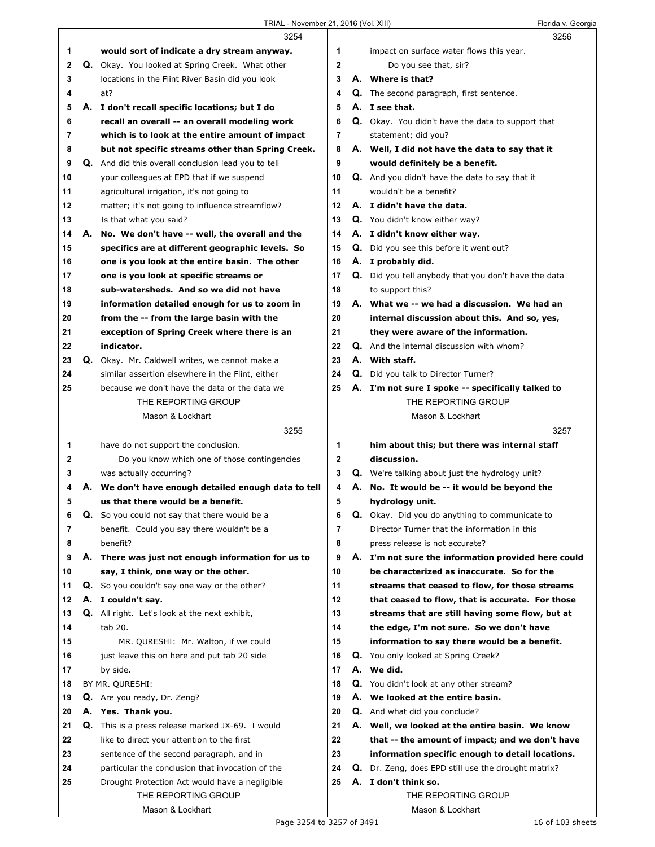ı

|              |    | 3254                                                       |              | 3256                                                     |
|--------------|----|------------------------------------------------------------|--------------|----------------------------------------------------------|
| 1            |    | would sort of indicate a dry stream anyway.                | 1            | impact on surface water flows this year.                 |
| 2            | Q. | Okay. You looked at Spring Creek. What other               | $\mathbf{2}$ | Do you see that, sir?                                    |
| 3            |    | locations in the Flint River Basin did you look            | 3            | A. Where is that?                                        |
| 4            |    | at?                                                        | 4            | <b>Q.</b> The second paragraph, first sentence.          |
| 5            |    | A. I don't recall specific locations; but I do             | 5            | A. I see that.                                           |
| 6            |    | recall an overall -- an overall modeling work              | 6            | <b>Q.</b> Okay. You didn't have the data to support that |
| 7            |    | which is to look at the entire amount of impact            | 7            | statement; did you?                                      |
| 8            |    | but not specific streams other than Spring Creek.          | 8            | A. Well, I did not have the data to say that it          |
| 9            |    | <b>Q.</b> And did this overall conclusion lead you to tell | 9            | would definitely be a benefit.                           |
| 10           |    | your colleagues at EPD that if we suspend                  | 10           | Q. And you didn't have the data to say that it           |
| 11           |    | agricultural irrigation, it's not going to                 | 11           | wouldn't be a benefit?                                   |
| 12           |    | matter; it's not going to influence streamflow?            | 12           | A. I didn't have the data.                               |
| 13           |    | Is that what you said?                                     | 13           | Q. You didn't know either way?                           |
| 14           |    | A. No. We don't have -- well, the overall and the          | 14           | A. I didn't know either way.                             |
| 15           |    | specifics are at different geographic levels. So           | 15           | Q. Did you see this before it went out?                  |
| 16           |    | one is you look at the entire basin. The other             | 16           | A. I probably did.                                       |
| 17           |    | one is you look at specific streams or                     | 17           | Q. Did you tell anybody that you don't have the data     |
| 18           |    | sub-watersheds. And so we did not have                     | 18           | to support this?                                         |
| 19           |    | information detailed enough for us to zoom in              | 19           | A. What we -- we had a discussion. We had an             |
| 20           |    | from the -- from the large basin with the                  | 20           | internal discussion about this. And so, yes,             |
| 21           |    | exception of Spring Creek where there is an                | 21           | they were aware of the information.                      |
| 22           |    | indicator.                                                 | 22           | <b>Q.</b> And the internal discussion with whom?         |
| 23           |    | Q. Okay. Mr. Caldwell writes, we cannot make a             | 23           | A. With staff.                                           |
| 24           |    | similar assertion elsewhere in the Flint, either           | 24           | Q. Did you talk to Director Turner?                      |
| 25           |    | because we don't have the data or the data we              | 25           | A. I'm not sure I spoke -- specifically talked to        |
|              |    | THE REPORTING GROUP                                        |              | THE REPORTING GROUP                                      |
|              |    | Mason & Lockhart                                           |              | Mason & Lockhart                                         |
|              |    |                                                            |              |                                                          |
|              |    | 3255                                                       |              | 3257                                                     |
| 1            |    | have do not support the conclusion.                        | 1            | him about this; but there was internal staff             |
| $\mathbf{2}$ |    | Do you know which one of those contingencies               | $\mathbf{2}$ | discussion.                                              |
| 3            |    | was actually occurring?                                    | 3            | <b>Q.</b> We're talking about just the hydrology unit?   |
| 4            |    | A. We don't have enough detailed enough data to tell       | 4            | A. No. It would be -- it would be beyond the             |
| 5            |    | us that there would be a benefit.                          | 5            | hydrology unit.                                          |
| 6            |    | <b>Q.</b> So you could not say that there would be a       | 6            | Q. Okay. Did you do anything to communicate to           |
| 7            |    | benefit. Could you say there wouldn't be a                 | 7            | Director Turner that the information in this             |
| 8            |    | benefit?                                                   | 8            | press release is not accurate?                           |
| 9            |    | A. There was just not enough information for us to         | 9            | A. I'm not sure the information provided here could      |
| 10           |    | say, I think, one way or the other.                        | 10           | be characterized as inaccurate. So for the               |
| 11           | Q. | So you couldn't say one way or the other?                  | 11           | streams that ceased to flow, for those streams           |
| 12           |    | A. I couldn't say.                                         | 12           | that ceased to flow, that is accurate. For those         |
| 13           |    | Q. All right. Let's look at the next exhibit,              | 13           | streams that are still having some flow, but at          |
| 14           |    | tab 20.                                                    | 14           | the edge, I'm not sure. So we don't have                 |
| 15           |    | MR. QURESHI: Mr. Walton, if we could                       | 15           | information to say there would be a benefit.             |
| 16           |    | just leave this on here and put tab 20 side                | 16           | <b>Q.</b> You only looked at Spring Creek?               |
| 17           |    | by side.                                                   | 17           | A. We did.                                               |
| 18           |    | BY MR. QURESHI:                                            | 18           | <b>Q.</b> You didn't look at any other stream?           |
| 19           |    | Q. Are you ready, Dr. Zeng?                                | 19           | A. We looked at the entire basin.                        |
| 20           |    | A. Yes. Thank you.                                         | 20           | <b>Q.</b> And what did you conclude?                     |
| 21           | Q. | This is a press release marked JX-69. I would              | 21           | A. Well, we looked at the entire basin. We know          |
| 22           |    | like to direct your attention to the first                 | 22           | that -- the amount of impact; and we don't have          |
| 23           |    | sentence of the second paragraph, and in                   | 23           | information specific enough to detail locations.         |
| 24           |    | particular the conclusion that invocation of the           | 24           | Q. Dr. Zeng, does EPD still use the drought matrix?      |
| 25           |    | Drought Protection Act would have a negligible             | 25           | A. I don't think so.                                     |
|              |    | THE REPORTING GROUP<br>Mason & Lockhart                    |              | THE REPORTING GROUP<br>Mason & Lockhart                  |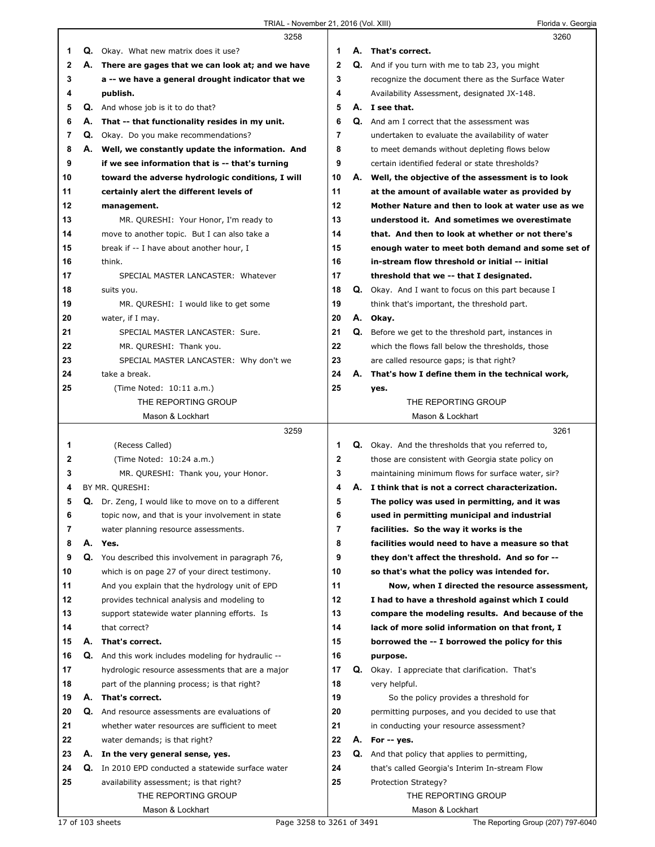|    |    | 3258                                                       |              |    | 3260                                                     |
|----|----|------------------------------------------------------------|--------------|----|----------------------------------------------------------|
| 1. |    | <b>Q.</b> Okay. What new matrix does it use?               | 1            |    | A. That's correct.                                       |
| 2  |    | A. There are gages that we can look at; and we have        | $\mathbf{2}$ |    | Q. And if you turn with me to tab 23, you might          |
| 3  |    | a -- we have a general drought indicator that we           | 3            |    | recognize the document there as the Surface Water        |
| 4  |    | publish.                                                   | 4            |    | Availability Assessment, designated JX-148.              |
| 5  | Q. | And whose job is it to do that?                            | 5            |    | A. I see that.                                           |
| 6  | А. | That -- that functionality resides in my unit.             | 6            |    | <b>Q.</b> And am I correct that the assessment was       |
| 7  | Q. | Okay. Do you make recommendations?                         | 7            |    | undertaken to evaluate the availability of water         |
| 8  |    |                                                            | 8            |    |                                                          |
|    |    | A. Well, we constantly update the information. And         |              |    | to meet demands without depleting flows below            |
| 9  |    | if we see information that is -- that's turning            | 9            |    | certain identified federal or state thresholds?          |
| 10 |    | toward the adverse hydrologic conditions, I will           | 10           |    | A. Well, the objective of the assessment is to look      |
| 11 |    | certainly alert the different levels of                    | 11           |    | at the amount of available water as provided by          |
| 12 |    | management.                                                | 12           |    | Mother Nature and then to look at water use as we        |
| 13 |    | MR. QURESHI: Your Honor, I'm ready to                      | 13           |    | understood it. And sometimes we overestimate             |
| 14 |    | move to another topic. But I can also take a               | 14           |    | that. And then to look at whether or not there's         |
| 15 |    | break if -- I have about another hour, I                   | 15           |    | enough water to meet both demand and some set of         |
| 16 |    | think.                                                     | 16           |    | in-stream flow threshold or initial -- initial           |
| 17 |    | SPECIAL MASTER LANCASTER: Whatever                         | 17           |    | threshold that we -- that I designated.                  |
| 18 |    | suits you.                                                 | 18           |    | Q. Okay. And I want to focus on this part because I      |
| 19 |    | MR. QURESHI: I would like to get some                      | 19           |    | think that's important, the threshold part.              |
| 20 |    | water, if I may.                                           | 20           |    | A. Okay.                                                 |
| 21 |    | SPECIAL MASTER LANCASTER: Sure.                            | 21           | Q. | Before we get to the threshold part, instances in        |
| 22 |    | MR. QURESHI: Thank you.                                    | 22           |    | which the flows fall below the thresholds, those         |
| 23 |    | SPECIAL MASTER LANCASTER: Why don't we                     | 23           |    | are called resource gaps; is that right?                 |
| 24 |    | take a break.                                              | 24           |    | A. That's how I define them in the technical work,       |
| 25 |    | (Time Noted: 10:11 a.m.)                                   | 25           |    | yes.                                                     |
|    |    | THE REPORTING GROUP                                        |              |    | THE REPORTING GROUP                                      |
|    |    | Mason & Lockhart                                           |              |    |                                                          |
|    |    |                                                            |              |    |                                                          |
|    |    |                                                            |              |    | Mason & Lockhart                                         |
|    |    | 3259                                                       |              |    | 3261                                                     |
| 1  |    | (Recess Called)                                            | 1            |    | <b>Q.</b> Okay. And the thresholds that you referred to, |
| 2  |    | (Time Noted: 10:24 a.m.)                                   | $\mathbf 2$  |    | those are consistent with Georgia state policy on        |
| 3  |    | MR. QURESHI: Thank you, your Honor.                        | 3            |    | maintaining minimum flows for surface water, sir?        |
| 4  |    | BY MR. QURESHI:                                            | 4            |    | A. I think that is not a correct characterization.       |
| 5  |    | <b>Q.</b> Dr. Zeng, I would like to move on to a different | 5            |    | The policy was used in permitting, and it was            |
| 6  |    | topic now, and that is your involvement in state           | 6            |    | used in permitting municipal and industrial              |
| 7  |    | water planning resource assessments.                       | 7            |    | facilities. So the way it works is the                   |
| 8  | А. | Yes.                                                       | 8            |    | facilities would need to have a measure so that          |
| 9  | Q. | You described this involvement in paragraph 76,            | 9            |    | they don't affect the threshold. And so for --           |
| 10 |    | which is on page 27 of your direct testimony.              | 10           |    | so that's what the policy was intended for.              |
| 11 |    | And you explain that the hydrology unit of EPD             | 11           |    | Now, when I directed the resource assessment,            |
| 12 |    | provides technical analysis and modeling to                | 12           |    | I had to have a threshold against which I could          |
| 13 |    | support statewide water planning efforts. Is               | 13           |    | compare the modeling results. And because of the         |
| 14 |    | that correct?                                              | 14           |    | lack of more solid information on that front, I          |
| 15 | А. | That's correct.                                            | 15           |    | borrowed the -- I borrowed the policy for this           |
| 16 |    | Q. And this work includes modeling for hydraulic --        | 16           |    | purpose.                                                 |
| 17 |    | hydrologic resource assessments that are a major           | 17           |    | Q. Okay. I appreciate that clarification. That's         |
| 18 |    | part of the planning process; is that right?               | 18           |    | very helpful.                                            |
| 19 | А. | That's correct.                                            | 19           |    | So the policy provides a threshold for                   |
| 20 |    | Q. And resource assessments are evaluations of             | 20           |    | permitting purposes, and you decided to use that         |
| 21 |    | whether water resources are sufficient to meet             | 21           |    | in conducting your resource assessment?                  |
| 22 |    |                                                            | 22           |    | A. For -- yes.                                           |
|    |    | water demands; is that right?                              | 23           |    |                                                          |
| 23 |    | A. In the very general sense, yes.                         |              |    | Q. And that policy that applies to permitting,           |
| 24 | Q. | In 2010 EPD conducted a statewide surface water            | 24           |    | that's called Georgia's Interim In-stream Flow           |
| 25 |    | availability assessment; is that right?                    | 25           |    | Protection Strategy?                                     |
|    |    | THE REPORTING GROUP<br>Mason & Lockhart                    |              |    | THE REPORTING GROUP<br>Mason & Lockhart                  |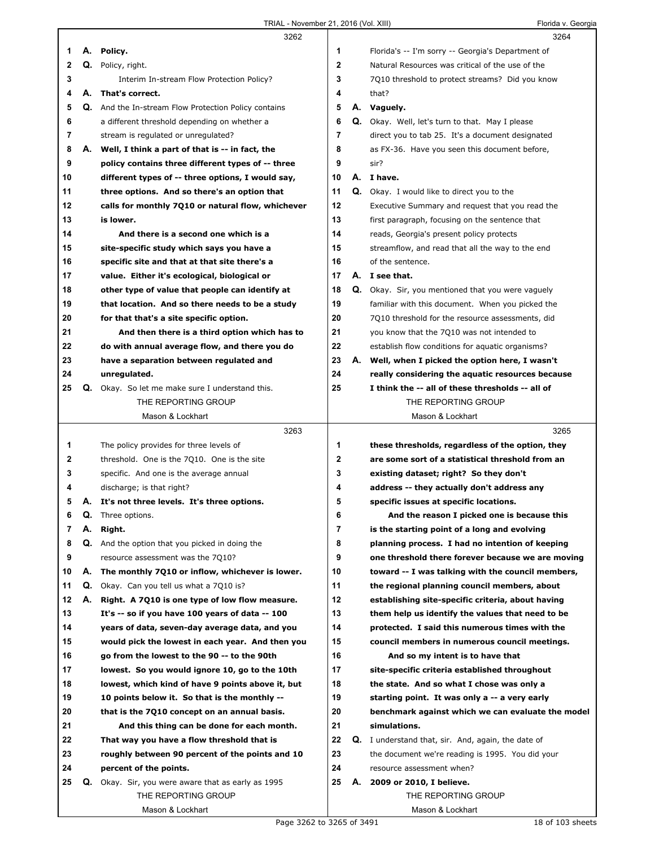|              |    | 3262                                                      |         |    | 3264                                                     |
|--------------|----|-----------------------------------------------------------|---------|----|----------------------------------------------------------|
| 1            |    | A. Policy.                                                | 1       |    | Florida's -- I'm sorry -- Georgia's Department of        |
| $\mathbf{2}$ |    | Q. Policy, right.                                         | 2       |    | Natural Resources was critical of the use of the         |
| 3            |    | Interim In-stream Flow Protection Policy?                 | 3       |    | 7Q10 threshold to protect streams? Did you know          |
| 4            |    | A. That's correct.                                        | 4       |    | that?                                                    |
| 5            | Q. | And the In-stream Flow Protection Policy contains         | 5       |    | A. Vaguely.                                              |
| 6            |    | a different threshold depending on whether a              | 6       |    | <b>Q.</b> Okay. Well, let's turn to that. May I please   |
| 7            |    | stream is regulated or unregulated?                       | 7       |    | direct you to tab 25. It's a document designated         |
| 8            |    | A. Well, I think a part of that is -- in fact, the        | 8       |    | as FX-36. Have you seen this document before,            |
| 9            |    | policy contains three different types of -- three         | 9       |    | sir?                                                     |
| 10           |    | different types of -- three options, I would say,         | 10      |    | A. I have.                                               |
| 11           |    | three options. And so there's an option that              | 11      |    | <b>Q.</b> Okay. I would like to direct you to the        |
| 12           |    | calls for monthly 7Q10 or natural flow, whichever         | $12 \,$ |    | Executive Summary and request that you read the          |
| 13           |    | is lower.                                                 | 13      |    | first paragraph, focusing on the sentence that           |
| 14           |    | And there is a second one which is a                      | 14      |    | reads, Georgia's present policy protects                 |
| 15           |    | site-specific study which says you have a                 | 15      |    | streamflow, and read that all the way to the end         |
| 16           |    | specific site and that at that site there's a             | 16      |    | of the sentence.                                         |
| 17           |    | value. Either it's ecological, biological or              | 17      |    | A. I see that.                                           |
| 18           |    | other type of value that people can identify at           | 18      |    | <b>Q.</b> Okay. Sir, you mentioned that you were vaguely |
| 19           |    | that location. And so there needs to be a study           | 19      |    | familiar with this document. When you picked the         |
| 20           |    | for that that's a site specific option.                   | 20      |    | 7Q10 threshold for the resource assessments, did         |
| 21           |    | And then there is a third option which has to             | 21      |    | you know that the 7010 was not intended to               |
| 22           |    | do with annual average flow, and there you do             | 22      |    | establish flow conditions for aquatic organisms?         |
| 23           |    | have a separation between regulated and                   | 23      |    | A. Well, when I picked the option here, I wasn't         |
| 24           |    | unregulated.                                              | 24      |    | really considering the aquatic resources because         |
| 25           |    | <b>Q.</b> Okay. So let me make sure I understand this.    | 25      |    | I think the -- all of these thresholds -- all of         |
|              |    | THE REPORTING GROUP                                       |         |    | THE REPORTING GROUP                                      |
|              |    | Mason & Lockhart                                          |         |    | Mason & Lockhart                                         |
|              |    |                                                           |         |    |                                                          |
|              |    |                                                           |         |    |                                                          |
|              |    | 3263                                                      |         |    | 3265                                                     |
| 1            |    | The policy provides for three levels of                   | 1       |    | these thresholds, regardless of the option, they         |
| 2            |    | threshold. One is the 7010. One is the site               | 2       |    | are some sort of a statistical threshold from an         |
| 3            |    | specific. And one is the average annual                   | 3       |    | existing dataset; right? So they don't                   |
| 4            |    | discharge; is that right?                                 | 4       |    | address -- they actually don't address any               |
| 5            |    | A. It's not three levels. It's three options.             | 5       |    | specific issues at specific locations.                   |
| 6            | Q. | Three options.                                            | 6       |    | And the reason I picked one is because this              |
| 7            | А. | Right.                                                    | 7       |    | is the starting point of a long and evolving             |
| 8            |    | Q. And the option that you picked in doing the            | 8       |    | planning process. I had no intention of keeping          |
| 9            |    | resource assessment was the 7Q10?                         | 9       |    | one threshold there forever because we are moving        |
| 10           | А. | The monthly 7Q10 or inflow, whichever is lower.           | 10      |    | toward -- I was talking with the council members,        |
| 11           | Q. | Okay. Can you tell us what a 7010 is?                     | 11      |    | the regional planning council members, about             |
| 12           | А. | Right. A 7Q10 is one type of low flow measure.            | 12      |    | establishing site-specific criteria, about having        |
| 13           |    | It's -- so if you have 100 years of data -- 100           | 13      |    | them help us identify the values that need to be         |
| 14           |    | years of data, seven-day average data, and you            | 14      |    | protected. I said this numerous times with the           |
| 15           |    | would pick the lowest in each year. And then you          | 15      |    | council members in numerous council meetings.            |
| 16           |    | go from the lowest to the 90 -- to the 90th               | 16      |    | And so my intent is to have that                         |
| 17           |    | lowest. So you would ignore 10, go to the 10th            | 17      |    | site-specific criteria established throughout            |
| 18           |    | lowest, which kind of have 9 points above it, but         | 18      |    | the state. And so what I chose was only a                |
| 19           |    | 10 points below it. So that is the monthly --             | 19      |    | starting point. It was only a -- a very early            |
| 20           |    | that is the 7010 concept on an annual basis.              | 20      |    | benchmark against which we can evaluate the model        |
| 21           |    | And this thing can be done for each month.                | 21      |    | simulations.                                             |
| 22           |    | That way you have a flow threshold that is                | 22      |    | Q. I understand that, sir. And, again, the date of       |
| 23           |    | roughly between 90 percent of the points and 10           | 23      |    | the document we're reading is 1995. You did your         |
| 24           |    | percent of the points.                                    | 24      |    | resource assessment when?                                |
| 25           |    | <b>Q.</b> Okay. Sir, you were aware that as early as 1995 | 25      | А. | 2009 or 2010, I believe.                                 |
|              |    | THE REPORTING GROUP<br>Mason & Lockhart                   |         |    | THE REPORTING GROUP<br>Mason & Lockhart                  |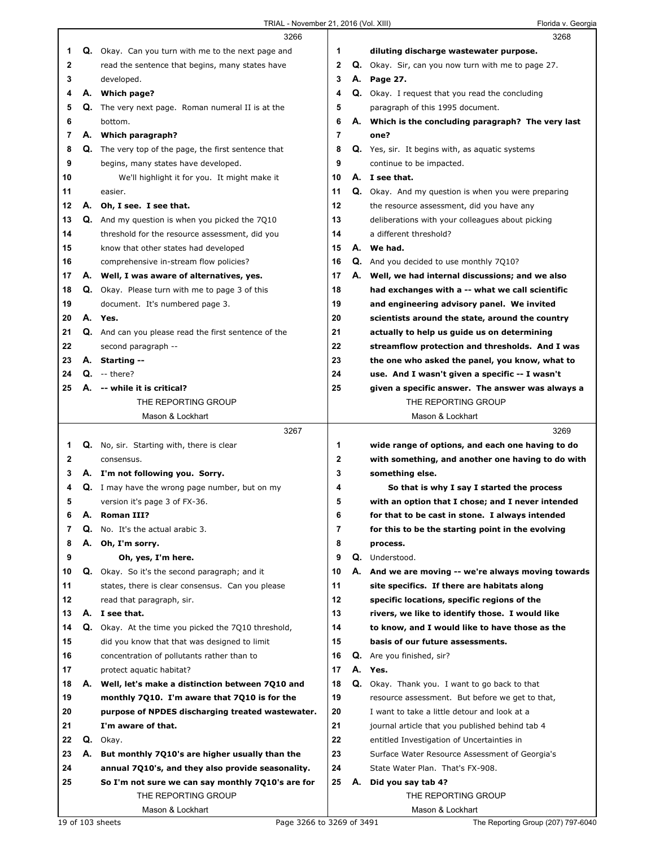|    |    | 3266                                                  |              |    | 3268                                                |
|----|----|-------------------------------------------------------|--------------|----|-----------------------------------------------------|
| 1  |    | Q. Okay. Can you turn with me to the next page and    | 1            |    | diluting discharge wastewater purpose.              |
| 2  |    | read the sentence that begins, many states have       | $\mathbf{2}$ |    | Q. Okay. Sir, can you now turn with me to page 27.  |
| 3  |    | developed.                                            | 3            |    | A. Page 27.                                         |
| 4  |    | A. Which page?                                        | 4            |    | Q. Okay. I request that you read the concluding     |
| 5  | Q. | The very next page. Roman numeral II is at the        | 5            |    | paragraph of this 1995 document.                    |
| 6  |    | bottom.                                               | 6            |    | A. Which is the concluding paragraph? The very last |
| 7  |    | A. Which paragraph?                                   | 7            |    | one?                                                |
| 8  |    | Q. The very top of the page, the first sentence that  | 8            |    | Q. Yes, sir. It begins with, as aguatic systems     |
| 9  |    | begins, many states have developed.                   | 9            |    | continue to be impacted.                            |
| 10 |    | We'll highlight it for you. It might make it          | 10           |    | A. I see that.                                      |
| 11 |    | easier.                                               | 11           |    | Q. Okay. And my question is when you were preparing |
| 12 |    | A. Oh, I see. I see that.                             | 12           |    | the resource assessment, did you have any           |
| 13 |    | Q. And my question is when you picked the 7010        | 13           |    | deliberations with your colleagues about picking    |
| 14 |    | threshold for the resource assessment, did you        | 14           |    | a different threshold?                              |
| 15 |    | know that other states had developed                  | 15           |    | A. We had.                                          |
| 16 |    | comprehensive in-stream flow policies?                | 16           |    | Q. And you decided to use monthly 7Q10?             |
| 17 |    | A. Well, I was aware of alternatives, yes.            | 17           | А. | Well, we had internal discussions; and we also      |
| 18 |    | Q. Okay. Please turn with me to page 3 of this        | 18           |    | had exchanges with a -- what we call scientific     |
| 19 |    | document. It's numbered page 3.                       | 19           |    | and engineering advisory panel. We invited          |
| 20 |    | A. Yes.                                               | 20           |    | scientists around the state, around the country     |
| 21 |    | Q. And can you please read the first sentence of the  | 21           |    | actually to help us quide us on determining         |
| 22 |    | second paragraph --                                   | 22           |    | streamflow protection and thresholds. And I was     |
| 23 |    | A. Starting --                                        | 23           |    | the one who asked the panel, you know, what to      |
| 24 |    | $Q. -$ there?                                         | 24           |    | use. And I wasn't given a specific -- I wasn't      |
| 25 | А. | -- while it is critical?                              | 25           |    | given a specific answer. The answer was always a    |
|    |    | THE REPORTING GROUP                                   |              |    | THE REPORTING GROUP                                 |
|    |    | Mason & Lockhart                                      |              |    | Mason & Lockhart                                    |
|    |    | 3267                                                  |              |    | 3269                                                |
| 1  |    | <b>Q.</b> No, sir. Starting with, there is clear      | 1            |    | wide range of options, and each one having to do    |
| 2  |    | consensus.                                            | $\mathbf 2$  |    | with something, and another one having to do with   |
| 3  |    | A. I'm not following you. Sorry.                      | 3            |    | something else.                                     |
| 4  |    | <b>Q.</b> I may have the wrong page number, but on my | 4            |    | So that is why I say I started the process          |
| 5  |    | version it's page 3 of FX-36.                         | 5            |    | with an option that I chose; and I never intended   |
| 6  | А. | <b>Roman III?</b>                                     | 6            |    | for that to be cast in stone. I always intended     |
| 7  | Q. | No. It's the actual arabic 3.                         | 7            |    | for this to be the starting point in the evolving   |
| 8  | А. | Oh, I'm sorry.                                        | 8            |    | process.                                            |
| 9  |    | Oh, yes, I'm here.                                    | 9            |    | Q. Understood.                                      |
| 10 | Q. | Okay. So it's the second paragraph; and it            | 10           |    | A. And we are moving -- we're always moving towards |
| 11 |    | states, there is clear consensus. Can you please      | 11           |    | site specifics. If there are habitats along         |
| 12 |    | read that paragraph, sir.                             | 12           |    | specific locations, specific regions of the         |
| 13 | А. | I see that.                                           | 13           |    | rivers, we like to identify those. I would like     |
| 14 |    | Q. Okay. At the time you picked the 7Q10 threshold,   | 14           |    | to know, and I would like to have those as the      |
| 15 |    | did you know that that was designed to limit          | 15           |    | basis of our future assessments.                    |
| 16 |    |                                                       | 16           |    | Q. Are you finished, sir?                           |
| 17 |    | concentration of pollutants rather than to            |              |    |                                                     |
|    |    | protect aquatic habitat?                              | 17           | А. | Yes.                                                |
| 18 | А. | Well, let's make a distinction between 7Q10 and       | 18           |    | Q. Okay. Thank you. I want to go back to that       |
| 19 |    | monthly 7Q10. I'm aware that 7Q10 is for the          | 19           |    | resource assessment. But before we get to that,     |
| 20 |    | purpose of NPDES discharging treated wastewater.      | 20           |    | I want to take a little detour and look at a        |
| 21 |    | I'm aware of that.                                    | 21           |    | journal article that you published behind tab 4     |
| 22 |    | Q. Okay.                                              | 22           |    | entitled Investigation of Uncertainties in          |
| 23 | А. | But monthly 7Q10's are higher usually than the        | 23           |    | Surface Water Resource Assessment of Georgia's      |
| 24 |    | annual 7Q10's, and they also provide seasonality.     | 24           |    | State Water Plan. That's FX-908.                    |
| 25 |    | So I'm not sure we can say monthly 7Q10's are for     | 25           |    | A. Did you say tab 4?                               |
|    |    | THE REPORTING GROUP                                   |              |    | THE REPORTING GROUP                                 |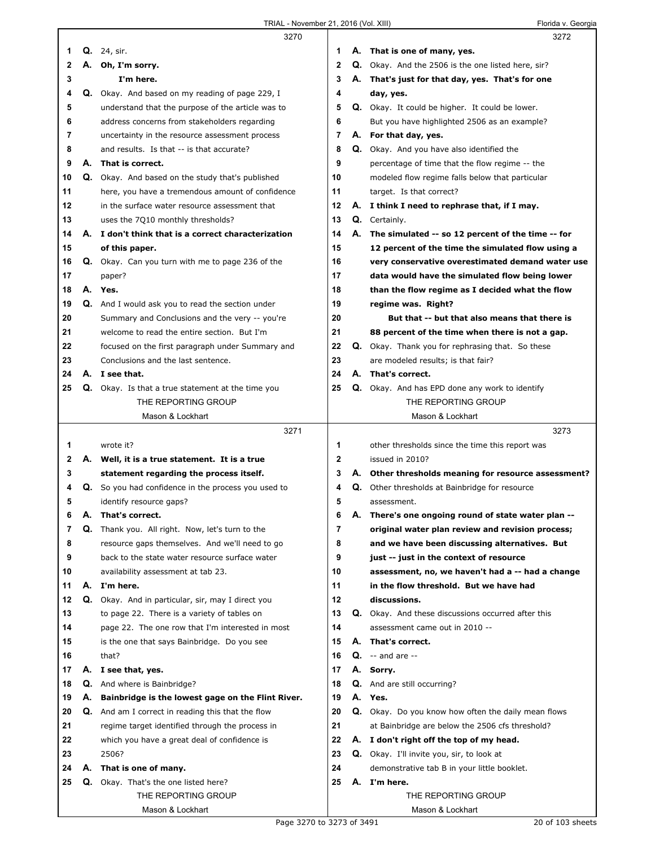I

|              |    | 3270                                                                                               |                         | 3272                                                                                     |
|--------------|----|----------------------------------------------------------------------------------------------------|-------------------------|------------------------------------------------------------------------------------------|
| 1            |    | <b>Q.</b> 24, sir.                                                                                 | 1                       | A. That is one of many, yes.                                                             |
| $\mathbf{2}$ |    | A. Oh, I'm sorry.                                                                                  | $\mathbf{2}$            | Q. Okay. And the 2506 is the one listed here, sir?                                       |
| 3            |    | I'm here.                                                                                          | 3                       | A. That's just for that day, yes. That's for one                                         |
| 4            |    | Q. Okay. And based on my reading of page 229, I                                                    | 4                       | day, yes.                                                                                |
| 5            |    | understand that the purpose of the article was to                                                  | 5                       | Q. Okay. It could be higher. It could be lower.                                          |
| 6            |    | address concerns from stakeholders regarding                                                       | 6                       | But you have highlighted 2506 as an example?                                             |
| 7            |    | uncertainty in the resource assessment process                                                     | 7                       | A. For that day, yes.                                                                    |
| 8            |    | and results. Is that -- is that accurate?                                                          | 8                       | Q. Okay. And you have also identified the                                                |
| 9            | А. | That is correct.                                                                                   | 9                       | percentage of time that the flow regime -- the                                           |
| 10           |    | Q. Okay. And based on the study that's published                                                   | 10                      | modeled flow regime falls below that particular                                          |
| 11           |    | here, you have a tremendous amount of confidence                                                   | 11                      | target. Is that correct?                                                                 |
| 12           |    | in the surface water resource assessment that                                                      | 12                      | A. I think I need to rephrase that, if I may.                                            |
| 13           |    | uses the 7Q10 monthly thresholds?                                                                  | 13                      | Q. Certainly.                                                                            |
| 14           |    | A. I don't think that is a correct characterization                                                | 14                      | A. The simulated -- so 12 percent of the time -- for                                     |
| 15           |    | of this paper.                                                                                     | 15                      | 12 percent of the time the simulated flow using a                                        |
| 16           |    | Q. Okay. Can you turn with me to page 236 of the                                                   | 16                      | very conservative overestimated demand water use                                         |
| 17           |    | paper?                                                                                             | 17                      | data would have the simulated flow being lower                                           |
| 18<br>19     |    | A. Yes.                                                                                            | 18<br>19                | than the flow regime as I decided what the flow<br>regime was. Right?                    |
| 20           |    | Q. And I would ask you to read the section under<br>Summary and Conclusions and the very -- you're | 20                      | But that -- but that also means that there is                                            |
| 21           |    | welcome to read the entire section. But I'm                                                        | 21                      | 88 percent of the time when there is not a gap.                                          |
| 22           |    | focused on the first paragraph under Summary and                                                   | 22                      | <b>Q.</b> Okay. Thank you for rephrasing that. So these                                  |
| 23           |    | Conclusions and the last sentence.                                                                 | 23                      | are modeled results; is that fair?                                                       |
| 24           |    | A. I see that.                                                                                     | 24                      | A. That's correct.                                                                       |
| 25           |    | Q. Okay. Is that a true statement at the time you                                                  | 25                      | Q. Okay. And has EPD done any work to identify                                           |
|              |    | THE REPORTING GROUP                                                                                |                         | THE REPORTING GROUP                                                                      |
|              |    | Mason & Lockhart                                                                                   |                         | Mason & Lockhart                                                                         |
|              |    | 3271                                                                                               |                         | 3273                                                                                     |
| 1            |    | wrote it?                                                                                          | 1                       | other thresholds since the time this report was                                          |
| $\mathbf{2}$ |    | A. Well, it is a true statement. It is a true                                                      | $\mathbf{2}$            | issued in 2010?                                                                          |
| 3            |    | statement regarding the process itself.                                                            | 3                       | A. Other thresholds meaning for resource assessment?                                     |
| 4            | Q. | So you had confidence in the process you used to                                                   | 4                       | Q. Other thresholds at Bainbridge for resource                                           |
| 5            |    | identify resource gaps?                                                                            | 5                       | assessment.                                                                              |
| 6            | А. | That's correct.                                                                                    | 6                       | A. There's one ongoing round of state water plan --                                      |
| 7            | Q. | Thank you. All right. Now, let's turn to the                                                       | $\overline{\mathbf{r}}$ | original water plan review and revision process;                                         |
| 8<br>9       |    | resource gaps themselves. And we'll need to go<br>back to the state water resource surface water   | 8<br>9                  | and we have been discussing alternatives. But<br>just -- just in the context of resource |
| 10           |    | availability assessment at tab 23.                                                                 | 10                      | assessment, no, we haven't had a -- had a change                                         |
| 11           | А. | I'm here.                                                                                          | 11                      | in the flow threshold. But we have had                                                   |
| 12           |    | Q. Okay. And in particular, sir, may I direct you                                                  | 12                      | discussions.                                                                             |
| 13           |    | to page 22. There is a variety of tables on                                                        | 13                      | <b>Q.</b> Okay. And these discussions occurred after this                                |
| 14           |    | page 22. The one row that I'm interested in most                                                   | 14                      | assessment came out in 2010 --                                                           |
| 15           |    | is the one that says Bainbridge. Do you see                                                        | 15                      | A. That's correct.                                                                       |
| 16           |    | that?                                                                                              | 16                      | $Q. - and are --$                                                                        |
| 17           | А. | I see that, yes.                                                                                   | 17                      | A. Sorry.                                                                                |
| 18           | Q. | And where is Bainbridge?                                                                           | 18                      | <b>Q.</b> And are still occurring?                                                       |
| 19           | А. | Bainbridge is the lowest gage on the Flint River.                                                  | 19                      | A. Yes.                                                                                  |
| 20           | Q. | And am I correct in reading this that the flow                                                     | 20                      | Q. Okay. Do you know how often the daily mean flows                                      |
| 21           |    | regime target identified through the process in                                                    | 21                      | at Bainbridge are below the 2506 cfs threshold?                                          |
| 22           |    | which you have a great deal of confidence is                                                       | 22                      | A. I don't right off the top of my head.                                                 |
| 23           |    | 2506?                                                                                              | 23                      | Q. Okay. I'll invite you, sir, to look at                                                |
| 24           | А. | That is one of many.                                                                               | 24                      | demonstrative tab B in your little booklet.                                              |
| 25           |    | <b>Q.</b> Okay. That's the one listed here?                                                        | 25                      | A. I'm here.<br>THE REPORTING GROUP                                                      |
|              |    | THE REPORTING GROUP<br>Mason & Lockhart                                                            |                         | Mason & Lockhart                                                                         |
|              |    |                                                                                                    |                         |                                                                                          |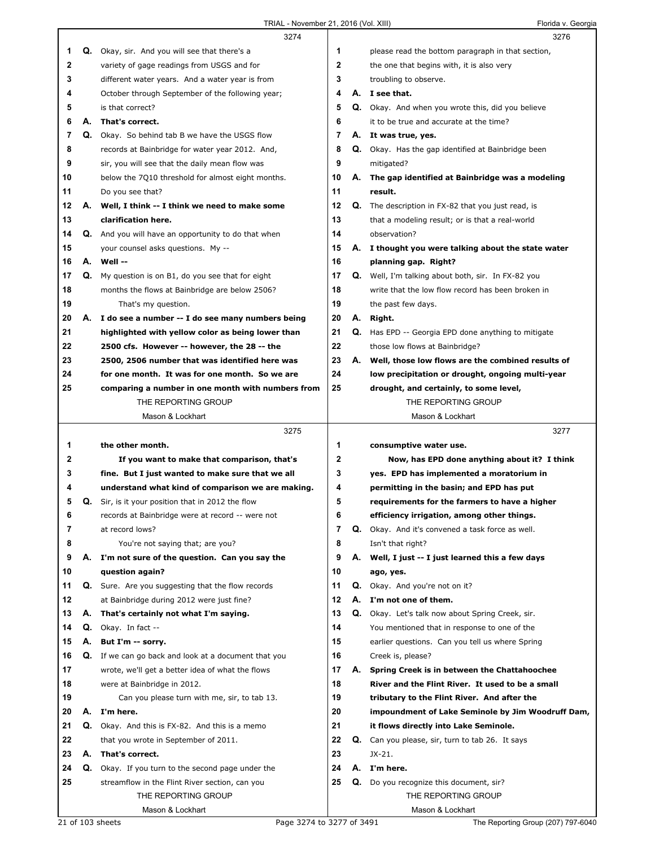|              |    | 3274                                                        |    |    | 3276                                                      |
|--------------|----|-------------------------------------------------------------|----|----|-----------------------------------------------------------|
| 1            |    | Q. Okay, sir. And you will see that there's a               | 1  |    | please read the bottom paragraph in that section,         |
| $\mathbf{2}$ |    | variety of gage readings from USGS and for                  | 2  |    | the one that begins with, it is also very                 |
| 3            |    | different water years. And a water year is from             | 3  |    | troubling to observe.                                     |
| 4            |    | October through September of the following year;            | 4  |    | A. I see that.                                            |
| 5            |    | is that correct?                                            | 5  |    | Q. Okay. And when you wrote this, did you believe         |
| 6            | А. | That's correct.                                             | 6  |    | it to be true and accurate at the time?                   |
| 7            |    | Q. Okay. So behind tab B we have the USGS flow              | 7  |    | A. It was true, yes.                                      |
| 8            |    | records at Bainbridge for water year 2012. And,             | 8  |    | <b>Q.</b> Okay. Has the gap identified at Bainbridge been |
| 9            |    | sir, you will see that the daily mean flow was              | 9  |    | mitigated?                                                |
| 10           |    | below the 7010 threshold for almost eight months.           | 10 |    | A. The gap identified at Bainbridge was a modeling        |
| 11           |    | Do you see that?                                            | 11 |    | result.                                                   |
| 12           |    | A. Well, I think -- I think we need to make some            | 12 |    | <b>Q.</b> The description in FX-82 that you just read, is |
| 13           |    | clarification here.                                         | 13 |    | that a modeling result; or is that a real-world           |
| 14           |    | Q. And you will have an opportunity to do that when         | 14 |    | observation?                                              |
| 15           |    | your counsel asks questions. My --                          | 15 |    | A. I thought you were talking about the state water       |
| 16           |    | A. Well --                                                  | 16 |    | planning gap. Right?                                      |
| 17           |    | Q. My question is on B1, do you see that for eight          | 17 |    | Q. Well, I'm talking about both, sir. In FX-82 you        |
| 18           |    | months the flows at Bainbridge are below 2506?              | 18 |    | write that the low flow record has been broken in         |
| 19           |    | That's my question.                                         | 19 |    | the past few days.                                        |
| 20           |    | A. I do see a number -- I do see many numbers being         | 20 | А. | Right.                                                    |
| 21           |    | highlighted with yellow color as being lower than           | 21 | Q. | Has EPD -- Georgia EPD done anything to mitigate          |
| 22           |    | 2500 cfs. However -- however, the 28 -- the                 | 22 |    | those low flows at Bainbridge?                            |
| 23           |    | 2500, 2506 number that was identified here was              | 23 |    | A. Well, those low flows are the combined results of      |
| 24           |    | for one month. It was for one month. So we are              | 24 |    | low precipitation or drought, ongoing multi-year          |
| 25           |    | comparing a number in one month with numbers from           | 25 |    | drought, and certainly, to some level,                    |
|              |    | THE REPORTING GROUP                                         |    |    | THE REPORTING GROUP                                       |
|              |    | Mason & Lockhart                                            |    |    | Mason & Lockhart                                          |
|              |    |                                                             |    |    |                                                           |
|              |    | 3275                                                        |    |    | 3277                                                      |
| 1            |    | the other month.                                            | 1  |    | consumptive water use.                                    |
| 2            |    | If you want to make that comparison, that's                 | 2  |    | Now, has EPD done anything about it? I think              |
| 3            |    | fine. But I just wanted to make sure that we all            | 3  |    | yes. EPD has implemented a moratorium in                  |
| 4            |    | understand what kind of comparison we are making.           | 4  |    | permitting in the basin; and EPD has put                  |
| 5            |    | Q. Sir, is it your position that in 2012 the flow           | 5  |    | requirements for the farmers to have a higher             |
| 6            |    | records at Bainbridge were at record -- were not            | 6  |    | efficiency irrigation, among other things.                |
| 7            |    | at record lows?                                             | 7  | Q. | Okay. And it's convened a task force as well.             |
| 8            |    | You're not saying that; are you?                            | 8  |    | Isn't that right?                                         |
| 9            | А. | I'm not sure of the question. Can you say the               | 9  |    | A. Well, I just -- I just learned this a few days         |
| 10           |    | question again?                                             | 10 |    | ago, yes.                                                 |
| 11           |    | <b>Q.</b> Sure. Are you suggesting that the flow records    | 11 | Q. | Okay. And you're not on it?                               |
| 12           |    | at Bainbridge during 2012 were just fine?                   | 12 | А. | I'm not one of them.                                      |
| 13           | А. | That's certainly not what I'm saying.                       | 13 |    | Q. Okay. Let's talk now about Spring Creek, sir.          |
| 14           | Q. | Okay. In fact --                                            | 14 |    | You mentioned that in response to one of the              |
| 15           | А. | But I'm -- sorry.                                           | 15 |    | earlier questions. Can you tell us where Spring           |
| 16           |    | <b>Q.</b> If we can go back and look at a document that you | 16 |    | Creek is, please?                                         |
| 17           |    | wrote, we'll get a better idea of what the flows            | 17 | А. | Spring Creek is in between the Chattahoochee              |
| 18           |    | were at Bainbridge in 2012.                                 | 18 |    | River and the Flint River. It used to be a small          |
| 19           |    | Can you please turn with me, sir, to tab 13.                | 19 |    | tributary to the Flint River. And after the               |
| 20           | А. | I'm here.                                                   | 20 |    | impoundment of Lake Seminole by Jim Woodruff Dam,         |
| 21           |    | Q. Okay. And this is FX-82. And this is a memo              | 21 |    | it flows directly into Lake Seminole.                     |
| 22           |    | that you wrote in September of 2011.                        | 22 | Q. | Can you please, sir, turn to tab 26. It says              |
| 23           | А. | That's correct.                                             | 23 |    | $JX-21.$                                                  |
| 24           |    | Q. Okay. If you turn to the second page under the           | 24 |    | A. I'm here.                                              |
| 25           |    | streamflow in the Flint River section, can you              | 25 | Q. | Do you recognize this document, sir?                      |
|              |    | THE REPORTING GROUP                                         |    |    | THE REPORTING GROUP                                       |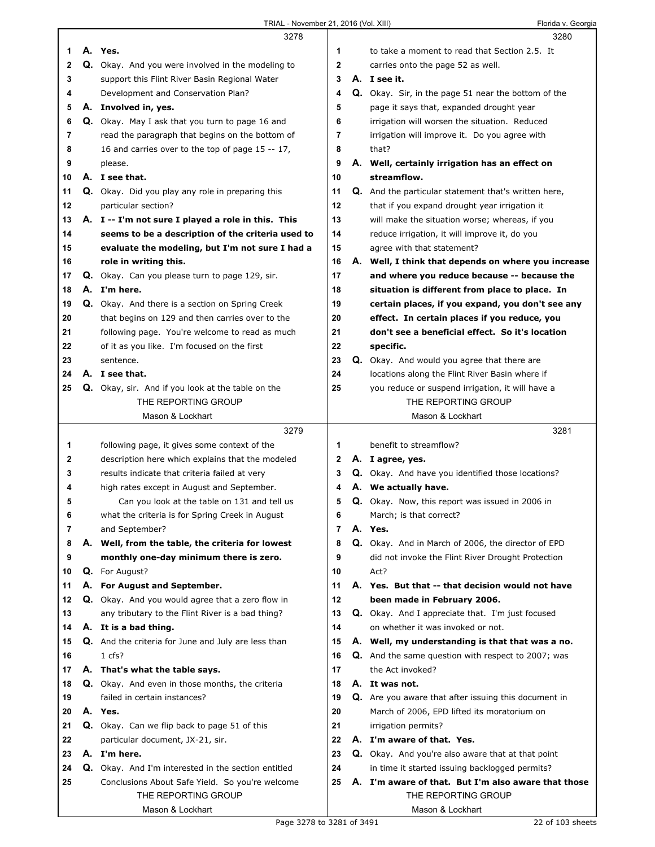|    |    | 3278                                                       |                | 3280                                                        |
|----|----|------------------------------------------------------------|----------------|-------------------------------------------------------------|
| 1  |    | A. Yes.                                                    | 1              | to take a moment to read that Section 2.5. It               |
| 2  |    | Q. Okay. And you were involved in the modeling to          | 2              | carries onto the page 52 as well.                           |
| 3  |    | support this Flint River Basin Regional Water              | 3              | A. I see it.                                                |
| 4  |    | Development and Conservation Plan?                         | 4              | Q. Okay. Sir, in the page 51 near the bottom of the         |
| 5  | А. | Involved in, yes.                                          | 5              | page it says that, expanded drought year                    |
|    |    |                                                            | 6              |                                                             |
| 6  |    | <b>Q.</b> Okay. May I ask that you turn to page 16 and     |                | irrigation will worsen the situation. Reduced               |
| 7  |    | read the paragraph that begins on the bottom of            | 7              | irrigation will improve it. Do you agree with               |
| 8  |    | 16 and carries over to the top of page 15 -- 17,           | 8              | that?                                                       |
| 9  |    | please.                                                    | 9              | A. Well, certainly irrigation has an effect on              |
| 10 |    | A. I see that.                                             | 10             | streamflow.                                                 |
| 11 |    | Q. Okay. Did you play any role in preparing this           | 11             | <b>Q.</b> And the particular statement that's written here, |
| 12 |    | particular section?                                        | 12             | that if you expand drought year irrigation it               |
| 13 |    | A. I -- I'm not sure I played a role in this. This         | 13             | will make the situation worse; whereas, if you              |
| 14 |    | seems to be a description of the criteria used to          | 14             | reduce irrigation, it will improve it, do you               |
| 15 |    | evaluate the modeling, but I'm not sure I had a            | 15             | agree with that statement?                                  |
| 16 |    | role in writing this.                                      | 16             | A. Well, I think that depends on where you increase         |
| 17 |    | Q. Okay. Can you please turn to page 129, sir.             | 17             | and where you reduce because -- because the                 |
| 18 |    | A. I'm here.                                               | 18             | situation is different from place to place. In              |
| 19 |    | Q. Okay. And there is a section on Spring Creek            | 19             | certain places, if you expand, you don't see any            |
| 20 |    | that begins on 129 and then carries over to the            | 20             | effect. In certain places if you reduce, you                |
|    |    |                                                            |                |                                                             |
| 21 |    | following page. You're welcome to read as much             | 21             | don't see a beneficial effect. So it's location             |
| 22 |    | of it as you like. I'm focused on the first                | 22             | specific.                                                   |
| 23 |    | sentence.                                                  | 23             | Q. Okay. And would you agree that there are                 |
| 24 |    | A. I see that.                                             | 24             | locations along the Flint River Basin where if              |
| 25 |    | Q. Okay, sir. And if you look at the table on the          | 25             | you reduce or suspend irrigation, it will have a            |
|    |    | THE REPORTING GROUP                                        |                | THE REPORTING GROUP                                         |
|    |    | Mason & Lockhart                                           |                | Mason & Lockhart                                            |
|    |    |                                                            |                |                                                             |
|    |    | 3279                                                       |                | 3281                                                        |
| 1  |    | following page, it gives some context of the               | 1              | benefit to streamflow?                                      |
| 2  |    | description here which explains that the modeled           | 2              | A. I agree, yes.                                            |
| 3  |    | results indicate that criteria failed at very              | 3              | Q. Okay. And have you identified those locations?           |
| 4  |    | high rates except in August and September.                 | 4              | A. We actually have.                                        |
|    |    |                                                            |                |                                                             |
| 5  |    | Can you look at the table on 131 and tell us               | 5              | Q. Okay. Now, this report was issued in 2006 in             |
| 6  |    | what the criteria is for Spring Creek in August            | 6              | March; is that correct?                                     |
| 7  |    | and September?                                             | $\overline{7}$ | A. Yes.                                                     |
| 8  |    | A. Well, from the table, the criteria for lowest           | 8              | Q. Okay. And in March of 2006, the director of EPD          |
| 9  |    | monthly one-day minimum there is zero.                     | 9              | did not invoke the Flint River Drought Protection           |
| 10 |    | Q. For August?                                             | 10             | Act?                                                        |
| 11 |    | A. For August and September.                               | 11             | A. Yes. But that -- that decision would not have            |
| 12 |    | Q. Okay. And you would agree that a zero flow in           | 12             | been made in February 2006.                                 |
| 13 |    | any tributary to the Flint River is a bad thing?           | 13             | <b>Q.</b> Okay. And I appreciate that. I'm just focused     |
| 14 |    | A. It is a bad thing.                                      | 14             | on whether it was invoked or not.                           |
| 15 |    | <b>Q.</b> And the criteria for June and July are less than | 15             | A. Well, my understanding is that that was a no.            |
| 16 |    | 1 cfs?                                                     | 16             | <b>Q.</b> And the same question with respect to 2007; was   |
| 17 |    | A. That's what the table says.                             | 17             | the Act invoked?                                            |
| 18 |    | Q. Okay. And even in those months, the criteria            | 18             | A. It was not.                                              |
| 19 |    | failed in certain instances?                               | 19             | Q. Are you aware that after issuing this document in        |
| 20 |    | A. Yes.                                                    | 20             | March of 2006, EPD lifted its moratorium on                 |
| 21 |    | Q. Okay. Can we flip back to page 51 of this               | 21             | irrigation permits?                                         |
| 22 |    |                                                            | 22             |                                                             |
|    |    | particular document, JX-21, sir.                           |                | A. I'm aware of that. Yes.                                  |
| 23 |    | A. I'm here.                                               | 23             | Q. Okay. And you're also aware that at that point           |
| 24 |    | <b>Q.</b> Okay. And I'm interested in the section entitled | 24             | in time it started issuing backlogged permits?              |
| 25 |    | Conclusions About Safe Yield. So you're welcome            | 25             | A. I'm aware of that. But I'm also aware that those         |
|    |    | THE REPORTING GROUP<br>Mason & Lockhart                    |                | THE REPORTING GROUP<br>Mason & Lockhart                     |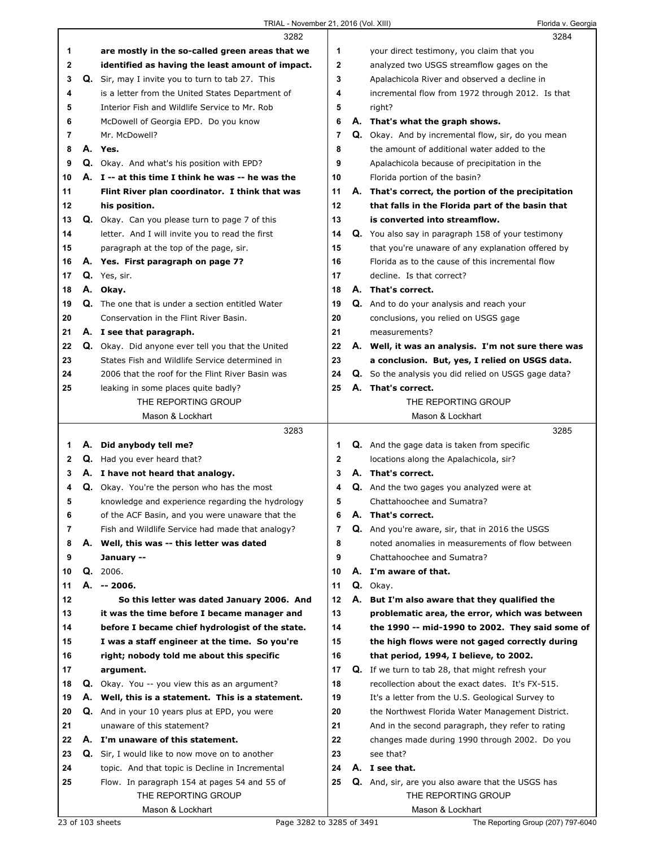|    |    | 3282                                                  |                |    | 3284                                                      |
|----|----|-------------------------------------------------------|----------------|----|-----------------------------------------------------------|
| 1  |    | are mostly in the so-called green areas that we       | 1              |    | your direct testimony, you claim that you                 |
| 2  |    | identified as having the least amount of impact.      | 2              |    | analyzed two USGS streamflow gages on the                 |
| 3  |    | Q. Sir, may I invite you to turn to tab 27. This      | 3              |    | Apalachicola River and observed a decline in              |
| 4  |    | is a letter from the United States Department of      | 4              |    | incremental flow from 1972 through 2012. Is that          |
| 5  |    | Interior Fish and Wildlife Service to Mr. Rob         | 5              |    | right?                                                    |
| 6  |    | McDowell of Georgia EPD. Do you know                  | 6              |    | A. That's what the graph shows.                           |
| 7  |    | Mr. McDowell?                                         | $\overline{7}$ |    | <b>Q.</b> Okay. And by incremental flow, sir, do you mean |
| 8  | А. | Yes.                                                  | 8              |    | the amount of additional water added to the               |
| 9  |    | Q. Okay. And what's his position with EPD?            | 9              |    | Apalachicola because of precipitation in the              |
| 10 |    | A. I -- at this time I think he was -- he was the     | 10             |    | Florida portion of the basin?                             |
| 11 |    | Flint River plan coordinator. I think that was        | 11             |    | A. That's correct, the portion of the precipitation       |
| 12 |    | his position.                                         | 12             |    | that falls in the Florida part of the basin that          |
| 13 |    | <b>Q.</b> Okay. Can you please turn to page 7 of this | 13             |    | is converted into streamflow.                             |
| 14 |    | letter. And I will invite you to read the first       | 14             |    | <b>Q.</b> You also say in paragraph 158 of your testimony |
| 15 |    | paragraph at the top of the page, sir.                | 15             |    | that you're unaware of any explanation offered by         |
| 16 |    | A. Yes. First paragraph on page 7?                    | 16             |    | Florida as to the cause of this incremental flow          |
| 17 |    | Q. Yes, sir.                                          | 17             |    | decline. Is that correct?                                 |
| 18 |    | A. Okay.                                              | 18             |    | A. That's correct.                                        |
| 19 |    | Q. The one that is under a section entitled Water     | 19             |    | Q. And to do your analysis and reach your                 |
| 20 |    | Conservation in the Flint River Basin.                | 20             |    | conclusions, you relied on USGS gage                      |
| 21 |    | A. I see that paragraph.                              | 21             |    | measurements?                                             |
| 22 |    | Q. Okay. Did anyone ever tell you that the United     | 22             |    | A. Well, it was an analysis. I'm not sure there was       |
| 23 |    | States Fish and Wildlife Service determined in        | 23             |    | a conclusion. But, yes, I relied on USGS data.            |
| 24 |    | 2006 that the roof for the Flint River Basin was      | 24             |    | Q. So the analysis you did relied on USGS gage data?      |
| 25 |    | leaking in some places quite badly?                   | 25             |    | A. That's correct.                                        |
|    |    | THE REPORTING GROUP                                   |                |    | THE REPORTING GROUP                                       |
|    |    | Mason & Lockhart                                      |                |    | Mason & Lockhart                                          |
|    |    |                                                       |                |    |                                                           |
|    |    | 3283                                                  |                |    | 3285                                                      |
| 1  |    | A. Did anybody tell me?                               | 1              |    | <b>Q.</b> And the gage data is taken from specific        |
| 2  |    | Q. Had you ever heard that?                           | 2              |    | locations along the Apalachicola, sir?                    |
| 3  |    | A. I have not heard that analogy.                     | 3              |    | A. That's correct.                                        |
| 4  |    | <b>Q.</b> Okay. You're the person who has the most    | 4              |    | <b>Q.</b> And the two gages you analyzed were at          |
| 5  |    | knowledge and experience regarding the hydrology      | 5              |    | Chattahoochee and Sumatra?                                |
| 6  |    | of the ACF Basin, and you were unaware that the       | 6              | А. | That's correct.                                           |
| 7  |    | Fish and Wildlife Service had made that analogy?      | 7              |    | <b>Q.</b> And you're aware, sir, that in 2016 the USGS    |
| 8  |    | A. Well, this was -- this letter was dated            | 8              |    | noted anomalies in measurements of flow between           |
| 9  |    | January --                                            | 9              |    | Chattahoochee and Sumatra?                                |
| 10 |    | Q. 2006.                                              | 10             |    | A. I'm aware of that.                                     |
| 11 | А. | -- 2006.                                              | 11             |    | Q. Okay.                                                  |
| 12 |    | So this letter was dated January 2006. And            | 12             | А. | But I'm also aware that they qualified the                |
| 13 |    | it was the time before I became manager and           | 13             |    | problematic area, the error, which was between            |
| 14 |    | before I became chief hydrologist of the state.       | 14             |    | the 1990 -- mid-1990 to 2002. They said some of           |
| 15 |    | I was a staff engineer at the time. So you're         | 15             |    | the high flows were not gaged correctly during            |
| 16 |    | right; nobody told me about this specific             | 16             |    | that period, 1994, I believe, to 2002.                    |
| 17 |    | argument.                                             | 17             |    | <b>Q.</b> If we turn to tab 28, that might refresh your   |
| 18 |    | <b>Q.</b> Okay. You -- you view this as an argument?  | 18             |    | recollection about the exact dates. It's FX-515.          |
| 19 |    | A. Well, this is a statement. This is a statement.    | 19             |    | It's a letter from the U.S. Geological Survey to          |
| 20 |    | <b>Q.</b> And in your 10 years plus at EPD, you were  | 20             |    | the Northwest Florida Water Management District.          |
| 21 |    | unaware of this statement?                            | 21             |    | And in the second paragraph, they refer to rating         |
| 22 |    | A. I'm unaware of this statement.                     | 22             |    | changes made during 1990 through 2002. Do you             |
| 23 |    | Q. Sir, I would like to now move on to another        | 23             |    | see that?                                                 |
| 24 |    | topic. And that topic is Decline in Incremental       | 24             |    | A. I see that.                                            |
| 25 |    | Flow. In paragraph 154 at pages 54 and 55 of          | 25             |    | Q. And, sir, are you also aware that the USGS has         |
|    |    | THE REPORTING GROUP                                   |                |    | THE REPORTING GROUP                                       |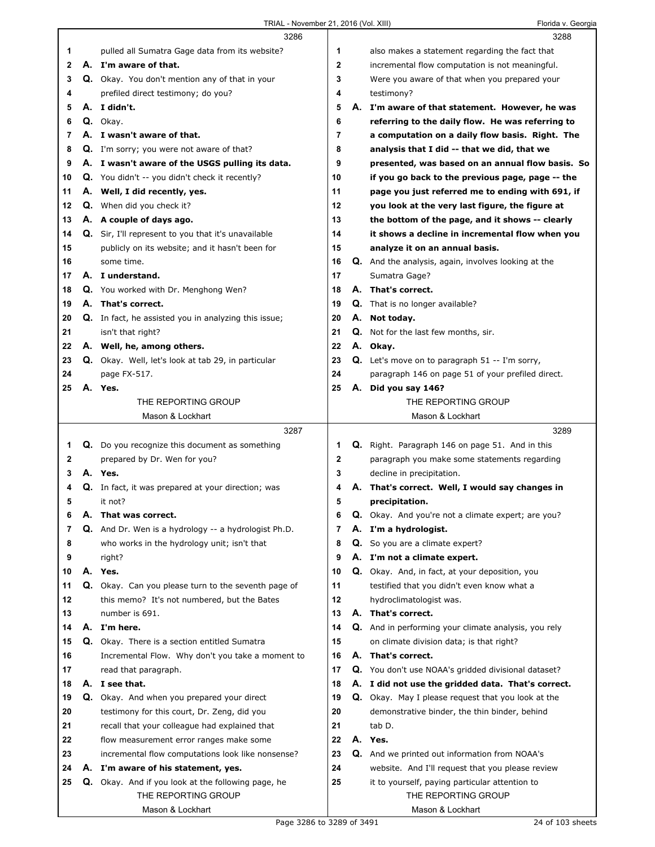|    |    | 3286                                                 |    |    | 3288                                                       |
|----|----|------------------------------------------------------|----|----|------------------------------------------------------------|
| 1  |    | pulled all Sumatra Gage data from its website?       | 1  |    | also makes a statement regarding the fact that             |
| 2  |    | A. I'm aware of that.                                | 2  |    | incremental flow computation is not meaningful.            |
| 3  |    | Q. Okay. You don't mention any of that in your       | 3  |    | Were you aware of that when you prepared your              |
| 4  |    | prefiled direct testimony; do you?                   | 4  |    | testimony?                                                 |
| 5  |    | A. I didn't.                                         | 5  |    | A. I'm aware of that statement. However, he was            |
| 6  |    | Q. Okay.                                             | 6  |    | referring to the daily flow. He was referring to           |
| 7  |    | A. I wasn't aware of that.                           | 7  |    | a computation on a daily flow basis. Right. The            |
| 8  |    | Q. I'm sorry; you were not aware of that?            | 8  |    | analysis that I did -- that we did, that we                |
| 9  |    | A. I wasn't aware of the USGS pulling its data.      | 9  |    | presented, was based on an annual flow basis. So           |
| 10 |    | Q. You didn't -- you didn't check it recently?       | 10 |    | if you go back to the previous page, page -- the           |
| 11 |    | A. Well, I did recently, yes.                        | 11 |    | page you just referred me to ending with 691, if           |
| 12 |    | Q. When did you check it?                            | 12 |    | you look at the very last figure, the figure at            |
| 13 |    | A. A couple of days ago.                             | 13 |    | the bottom of the page, and it shows -- clearly            |
| 14 |    | Q. Sir, I'll represent to you that it's unavailable  | 14 |    | it shows a decline in incremental flow when you            |
| 15 |    | publicly on its website; and it hasn't been for      | 15 |    | analyze it on an annual basis.                             |
| 16 |    | some time.                                           | 16 |    | <b>Q.</b> And the analysis, again, involves looking at the |
| 17 |    | A. I understand.                                     | 17 |    | Sumatra Gage?                                              |
| 18 |    | <b>Q.</b> You worked with Dr. Menghong Wen?          | 18 |    | A. That's correct.                                         |
| 19 |    | A. That's correct.                                   | 19 |    | Q. That is no longer available?                            |
| 20 |    | Q. In fact, he assisted you in analyzing this issue; | 20 | А. | Not today.                                                 |
| 21 |    | isn't that right?                                    | 21 | Q. | Not for the last few months, sir.                          |
| 22 |    | A. Well, he, among others.                           | 22 |    | A. Okay.                                                   |
| 23 |    | Q. Okay. Well, let's look at tab 29, in particular   | 23 |    | <b>Q.</b> Let's move on to paragraph $51 - I'm$ sorry,     |
| 24 |    | page FX-517.                                         | 24 |    | paragraph 146 on page 51 of your prefiled direct.          |
| 25 |    | A. Yes.                                              | 25 |    | A. Did you say 146?                                        |
|    |    | THE REPORTING GROUP                                  |    |    | THE REPORTING GROUP                                        |
|    |    | Mason & Lockhart                                     |    |    | Mason & Lockhart                                           |
|    |    |                                                      |    |    |                                                            |
|    |    | 3287                                                 |    |    | 3289                                                       |
| 1  |    | Q. Do you recognize this document as something       | 1  |    | Q. Right. Paragraph 146 on page 51. And in this            |
| 2  |    | prepared by Dr. Wen for you?                         | 2  |    | paragraph you make some statements regarding               |
| 3  |    | A. Yes.                                              | 3  |    | decline in precipitation.                                  |
| 4  |    | Q. In fact, it was prepared at your direction; was   | 4  | А. | That's correct. Well, I would say changes in               |
| 5  |    | it not?                                              | 5  |    | precipitation.                                             |
| 6  | Α. | That was correct.                                    | 6  | Q. | Okay. And you're not a climate expert; are you?            |
| 7  |    | Q. And Dr. Wen is a hydrology -- a hydrologist Ph.D. | 7  |    | A. I'm a hydrologist.                                      |
| 8  |    | who works in the hydrology unit; isn't that          | 8  | Q. | So you are a climate expert?                               |
| 9  |    | right?                                               | 9  |    | A. I'm not a climate expert.                               |
| 10 |    | A. Yes.                                              | 10 |    | Q. Okay. And, in fact, at your deposition, you             |
| 11 |    | Q. Okay. Can you please turn to the seventh page of  | 11 |    | testified that you didn't even know what a                 |
| 12 |    | this memo? It's not numbered, but the Bates          | 12 |    | hydroclimatologist was.                                    |
| 13 |    | number is 691.                                       | 13 |    | A. That's correct.                                         |
| 14 |    | A. I'm here.                                         | 14 |    | Q. And in performing your climate analysis, you rely       |
| 15 |    | Q. Okay. There is a section entitled Sumatra         | 15 |    | on climate division data; is that right?                   |
| 16 |    | Incremental Flow. Why don't you take a moment to     | 16 |    | A. That's correct.                                         |
| 17 |    | read that paragraph.                                 | 17 |    | Q. You don't use NOAA's gridded divisional dataset?        |
| 18 |    | A. I see that.                                       | 18 |    | A. I did not use the gridded data. That's correct.         |
| 19 |    | Q. Okay. And when you prepared your direct           | 19 |    | <b>Q.</b> Okay. May I please request that you look at the  |
| 20 |    | testimony for this court, Dr. Zeng, did you          | 20 |    | demonstrative binder, the thin binder, behind              |
| 21 |    | recall that your colleague had explained that        | 21 |    | tab D.                                                     |
| 22 |    | flow measurement error ranges make some              | 22 |    | A. Yes.                                                    |
| 23 |    | incremental flow computations look like nonsense?    | 23 |    | Q. And we printed out information from NOAA's              |
| 24 |    | A. I'm aware of his statement, yes.                  | 24 |    | website. And I'll request that you please review           |
| 25 | Q. | Okay. And if you look at the following page, he      | 25 |    | it to yourself, paying particular attention to             |
|    |    | THE REPORTING GROUP<br>Mason & Lockhart              |    |    | THE REPORTING GROUP<br>Mason & Lockhart                    |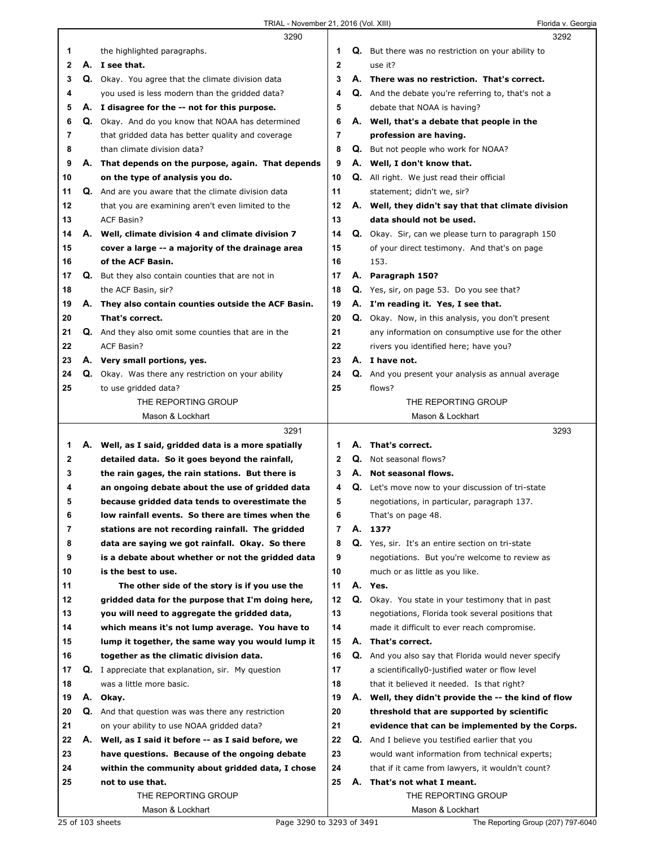|    |    | 3290                                                      |                |    | 3292                                                      |
|----|----|-----------------------------------------------------------|----------------|----|-----------------------------------------------------------|
| 1  |    | the highlighted paragraphs.                               | 1              |    | <b>Q.</b> But there was no restriction on your ability to |
| 2  | А. | I see that.                                               | $\mathbf{2}$   |    | use it?                                                   |
| 3  |    | Q. Okay. You agree that the climate division data         | 3              |    | A. There was no restriction. That's correct.              |
| 4  |    | you used is less modern than the gridded data?            | 4              |    | Q. And the debate you're referring to, that's not a       |
| 5  |    | A. I disagree for the -- not for this purpose.            | 5              |    | debate that NOAA is having?                               |
| 6  | Q. | Okay. And do you know that NOAA has determined            | 6              | А. | Well, that's a debate that people in the                  |
| 7  |    | that gridded data has better quality and coverage         | 7              |    | profession are having.                                    |
| 8  |    | than climate division data?                               | 8              |    | <b>Q.</b> But not people who work for NOAA?               |
| 9  |    | A. That depends on the purpose, again. That depends       | 9              |    | A. Well, I don't know that.                               |
| 10 |    | on the type of analysis you do.                           | 10             |    | <b>Q.</b> All right. We just read their official          |
| 11 |    | Q. And are you aware that the climate division data       | 11             |    | statement; didn't we, sir?                                |
| 12 |    | that you are examining aren't even limited to the         | 12             |    | A. Well, they didn't say that that climate division       |
| 13 |    | <b>ACF Basin?</b>                                         | 13             |    | data should not be used.                                  |
| 14 |    | A. Well, climate division 4 and climate division 7        | 14             |    | Q. Okay. Sir, can we please turn to paragraph 150         |
| 15 |    | cover a large -- a majority of the drainage area          | 15             |    | of your direct testimony. And that's on page              |
| 16 |    | of the ACF Basin.                                         | 16             |    | 153.                                                      |
| 17 | Q. | But they also contain counties that are not in            | 17             |    | A. Paragraph 150?                                         |
| 18 |    | the ACF Basin, sir?                                       | 18             |    | Q. Yes, sir, on page 53. Do you see that?                 |
| 19 |    | A. They also contain counties outside the ACF Basin.      | 19             |    | A. I'm reading it. Yes, I see that.                       |
| 20 |    | That's correct.                                           | 20             |    | Q. Okay. Now, in this analysis, you don't present         |
| 21 |    | Q. And they also omit some counties that are in the       | 21             |    | any information on consumptive use for the other          |
| 22 |    | ACF Basin?                                                | 22             |    | rivers you identified here; have you?                     |
| 23 |    | A. Very small portions, yes.                              | 23             |    | A. I have not.                                            |
| 24 |    | Q. Okay. Was there any restriction on your ability        | 24             |    | Q. And you present your analysis as annual average        |
| 25 |    | to use gridded data?                                      | 25             |    | flows?                                                    |
|    |    | THE REPORTING GROUP                                       |                |    | THE REPORTING GROUP                                       |
|    |    | Mason & Lockhart                                          |                |    | Mason & Lockhart                                          |
|    |    |                                                           |                |    |                                                           |
|    |    | 3291                                                      |                |    | 3293                                                      |
| 1  |    | A. Well, as I said, gridded data is a more spatially      | 1              | А. | That's correct.                                           |
| 2  |    | detailed data. So it goes beyond the rainfall,            | $\mathbf{2}$   |    | Q. Not seasonal flows?                                    |
| 3  |    | the rain gages, the rain stations. But there is           | 3              |    | A. Not seasonal flows.                                    |
| 4  |    | an ongoing debate about the use of gridded data           | 4              |    | Q. Let's move now to your discussion of tri-state         |
| 5  |    | because gridded data tends to overestimate the            | 5              |    | negotiations, in particular, paragraph 137.               |
| ь  |    | low rainfall events. So there are times when the          | 6              |    | That's on page 48.                                        |
| 7  |    | stations are not recording rainfall. The gridded          | $\overline{7}$ | А. | 137?                                                      |
| 8  |    | data are saying we got rainfall. Okay. So there           | 8              |    | Q. Yes, sir. It's an entire section on tri-state          |
| 9  |    | is a debate about whether or not the gridded data         | 9              |    | negotiations. But you're welcome to review as             |
| 10 |    | is the best to use.                                       | 10             |    | much or as little as you like.                            |
| 11 |    | The other side of the story is if you use the             | 11             |    | A. Yes.                                                   |
| 12 |    | gridded data for the purpose that I'm doing here,         | 12             |    | Q. Okay. You state in your testimony that in past         |
| 13 |    | you will need to aggregate the gridded data,              | 13             |    | negotiations, Florida took several positions that         |
| 14 |    | which means it's not lump average. You have to            | 14             |    | made it difficult to ever reach compromise.               |
| 15 |    | lump it together, the same way you would lump it          | 15             |    | A. That's correct.                                        |
| 16 |    | together as the climatic division data.                   | 16             |    | Q. And you also say that Florida would never specify      |
| 17 |    | <b>Q.</b> I appreciate that explanation, sir. My question | 17             |    | a scientifically0-justified water or flow level           |
| 18 |    | was a little more basic.                                  | 18             |    | that it believed it needed. Is that right?                |
| 19 |    | A. Okay.                                                  | 19             |    | A. Well, they didn't provide the -- the kind of flow      |
| 20 | Q. | And that question was was there any restriction           | 20             |    | threshold that are supported by scientific                |
| 21 |    | on your ability to use NOAA gridded data?                 | 21             |    | evidence that can be implemented by the Corps.            |
| 22 |    | A. Well, as I said it before -- as I said before, we      | 22             |    | <b>Q.</b> And I believe you testified earlier that you    |
| 23 |    | have questions. Because of the ongoing debate             | 23             |    | would want information from technical experts;            |
| 24 |    | within the community about gridded data, I chose          | 24             |    | that if it came from lawyers, it wouldn't count?          |
| 25 |    | not to use that.                                          | 25             |    | A. That's not what I meant.                               |
|    |    | THE REPORTING GROUP<br>Mason & Lockhart                   |                |    | THE REPORTING GROUP<br>Mason & Lockhart                   |

I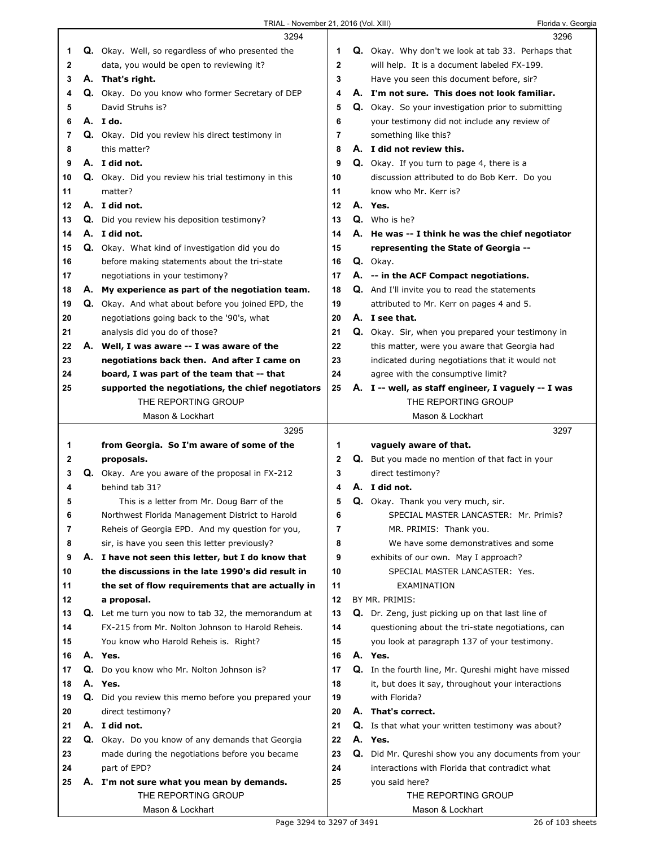|          | 3294                                                                                                    |          | 3296                                                                                                      |  |
|----------|---------------------------------------------------------------------------------------------------------|----------|-----------------------------------------------------------------------------------------------------------|--|
| 1        | <b>Q.</b> Okay. Well, so regardless of who presented the                                                | 1        | Q. Okay. Why don't we look at tab 33. Perhaps that                                                        |  |
| 2        | data, you would be open to reviewing it?                                                                | 2        | will help. It is a document labeled FX-199.                                                               |  |
| 3        | A. That's right.                                                                                        | 3        | Have you seen this document before, sir?                                                                  |  |
| 4        | Q. Okay. Do you know who former Secretary of DEP                                                        | 4        | A. I'm not sure. This does not look familiar.                                                             |  |
| 5        | David Struhs is?                                                                                        | 5        | Q. Okay. So your investigation prior to submitting                                                        |  |
| 6        | A. Ido.                                                                                                 | 6        | your testimony did not include any review of                                                              |  |
| 7        | Q. Okay. Did you review his direct testimony in                                                         | 7        | something like this?                                                                                      |  |
| 8        | this matter?                                                                                            | 8        | A. I did not review this.                                                                                 |  |
| 9        | A. I did not.                                                                                           | 9        | Q. Okay. If you turn to page 4, there is a                                                                |  |
| 10       | <b>Q.</b> Okay. Did you review his trial testimony in this                                              | 10       | discussion attributed to do Bob Kerr. Do you                                                              |  |
| 11       | matter?                                                                                                 | 11       | know who Mr. Kerr is?                                                                                     |  |
| 12       | A. I did not.                                                                                           | 12       | A. Yes.                                                                                                   |  |
| 13       | <b>Q.</b> Did you review his deposition testimony?                                                      | 13       | Q. Who is he?                                                                                             |  |
| 14       | A. I did not.                                                                                           | 14       | A. He was -- I think he was the chief negotiator                                                          |  |
| 15       | Q. Okay. What kind of investigation did you do                                                          | 15       | representing the State of Georgia --                                                                      |  |
| 16       | before making statements about the tri-state                                                            | 16       | Q. Okay.                                                                                                  |  |
| 17       | negotiations in your testimony?                                                                         | 17       | A. -- in the ACF Compact negotiations.                                                                    |  |
| 18       | A. My experience as part of the negotiation team.                                                       | 18       | Q. And I'll invite you to read the statements                                                             |  |
| 19       | Q. Okay. And what about before you joined EPD, the                                                      | 19       | attributed to Mr. Kerr on pages 4 and 5.                                                                  |  |
| 20       | negotiations going back to the '90's, what                                                              | 20       | A. I see that.                                                                                            |  |
| 21       | analysis did you do of those?                                                                           | 21       | Q. Okay. Sir, when you prepared your testimony in                                                         |  |
| 22       | A. Well, I was aware -- I was aware of the                                                              | 22       | this matter, were you aware that Georgia had                                                              |  |
| 23       | negotiations back then. And after I came on                                                             | 23       | indicated during negotiations that it would not                                                           |  |
| 24       | board, I was part of the team that -- that                                                              | 24       | agree with the consumptive limit?                                                                         |  |
| 25       | supported the negotiations, the chief negotiators                                                       | 25       | A. I -- well, as staff engineer, I vaguely -- I was                                                       |  |
|          | THE REPORTING GROUP                                                                                     |          | THE REPORTING GROUP                                                                                       |  |
|          | Mason & Lockhart                                                                                        |          | Mason & Lockhart                                                                                          |  |
|          |                                                                                                         |          |                                                                                                           |  |
|          |                                                                                                         |          |                                                                                                           |  |
|          | 3295                                                                                                    |          | 3297                                                                                                      |  |
| 1        | from Georgia. So I'm aware of some of the                                                               | 1        | vaguely aware of that.                                                                                    |  |
| 2        | proposals.                                                                                              | 2        | Q. But you made no mention of that fact in your                                                           |  |
| 3        | Q. Okay. Are you aware of the proposal in FX-212                                                        | 3        | direct testimony?                                                                                         |  |
| 4        | behind tab 31?                                                                                          | 4        | A. I did not.                                                                                             |  |
| 5        | This is a letter from Mr. Doug Barr of the                                                              | 5        | Q. Okay. Thank you very much, sir.                                                                        |  |
| 6        | Northwest Florida Management District to Harold                                                         | 6        | SPECIAL MASTER LANCASTER: Mr. Primis?                                                                     |  |
| 7        | Reheis of Georgia EPD. And my question for you,                                                         | 7        | MR. PRIMIS: Thank you.                                                                                    |  |
| 8        | sir, is have you seen this letter previously?                                                           | 8        | We have some demonstratives and some                                                                      |  |
| 9        | A. I have not seen this letter, but I do know that                                                      | 9        | exhibits of our own. May I approach?                                                                      |  |
| 10       | the discussions in the late 1990's did result in                                                        | 10       | SPECIAL MASTER LANCASTER: Yes.                                                                            |  |
| 11       | the set of flow requirements that are actually in                                                       | 11       | EXAMINATION                                                                                               |  |
| 12       | a proposal.                                                                                             | 12       | BY MR. PRIMIS:                                                                                            |  |
| 13<br>14 | Q. Let me turn you now to tab 32, the memorandum at<br>FX-215 from Mr. Nolton Johnson to Harold Reheis. | 13<br>14 | Q. Dr. Zeng, just picking up on that last line of                                                         |  |
|          |                                                                                                         |          | questioning about the tri-state negotiations, can                                                         |  |
| 15<br>16 | You know who Harold Reheis is. Right?<br>A. Yes.                                                        | 15<br>16 | you look at paragraph 137 of your testimony.<br>A. Yes.                                                   |  |
| 17       |                                                                                                         | 17       |                                                                                                           |  |
| 18       | <b>Q.</b> Do you know who Mr. Nolton Johnson is?<br>A. Yes.                                             | 18       | Q. In the fourth line, Mr. Qureshi might have missed<br>it, but does it say, throughout your interactions |  |
| 19       | Q. Did you review this memo before you prepared your                                                    | 19       | with Florida?                                                                                             |  |
| 20       | direct testimony?                                                                                       | 20       | A. That's correct.                                                                                        |  |
| 21       | A. I did not.                                                                                           | 21       |                                                                                                           |  |
| 22       | Q. Okay. Do you know of any demands that Georgia                                                        | 22       | Q. Is that what your written testimony was about?<br>A. Yes.                                              |  |
| 23       | made during the negotiations before you became                                                          | 23       |                                                                                                           |  |
| 24       | part of EPD?                                                                                            | 24       | Q. Did Mr. Qureshi show you any documents from your<br>interactions with Florida that contradict what     |  |
| 25       | A. I'm not sure what you mean by demands.                                                               | 25       | you said here?                                                                                            |  |
|          | THE REPORTING GROUP                                                                                     |          | THE REPORTING GROUP                                                                                       |  |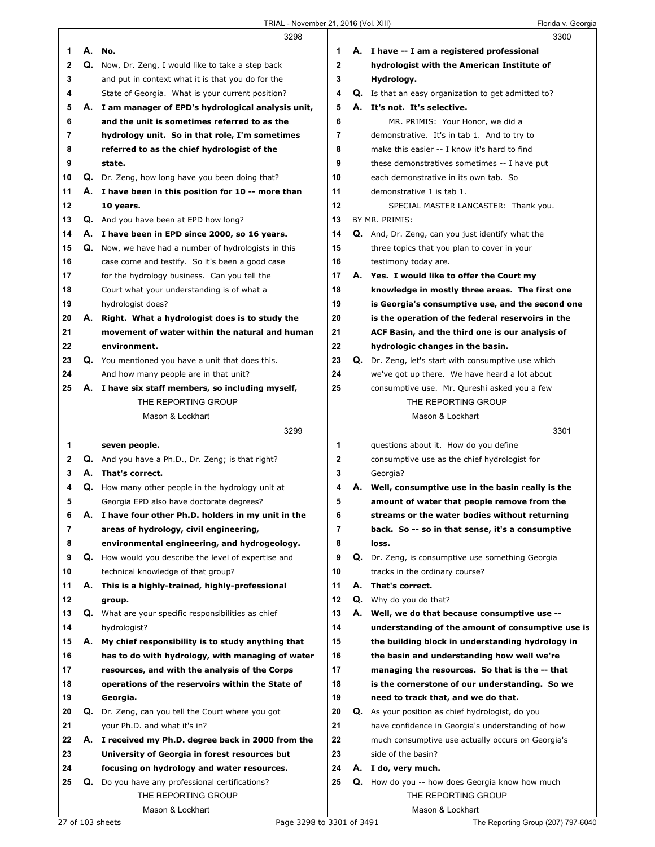|                |    | 3298                                                     |                |    | 3300                                                       |
|----------------|----|----------------------------------------------------------|----------------|----|------------------------------------------------------------|
| 1              | А. | No.                                                      | 1              |    | A. I have -- I am a registered professional                |
| 2              | Q. | Now, Dr. Zeng, I would like to take a step back          | 2              |    | hydrologist with the American Institute of                 |
| 3              |    | and put in context what it is that you do for the        | 3              |    | Hydrology.                                                 |
| 4              |    | State of Georgia. What is your current position?         | 4              |    | <b>Q.</b> Is that an easy organization to get admitted to? |
| 5              |    | A. I am manager of EPD's hydrological analysis unit,     | 5              |    | A. It's not. It's selective.                               |
| 6              |    | and the unit is sometimes referred to as the             | 6              |    |                                                            |
|                |    |                                                          |                |    | MR. PRIMIS: Your Honor, we did a                           |
| 7              |    | hydrology unit. So in that role, I'm sometimes           | $\overline{7}$ |    | demonstrative. It's in tab 1. And to try to                |
| 8              |    | referred to as the chief hydrologist of the              | 8              |    | make this easier -- I know it's hard to find               |
| 9              |    | state.                                                   | 9              |    | these demonstratives sometimes -- I have put               |
| 10             |    | Q. Dr. Zeng, how long have you been doing that?          | 10             |    | each demonstrative in its own tab. So                      |
| 11             |    | A. I have been in this position for 10 -- more than      | 11             |    | demonstrative 1 is tab 1.                                  |
| 12             |    | 10 years.                                                | 12             |    | SPECIAL MASTER LANCASTER: Thank you.                       |
| 13             |    | <b>Q.</b> And you have been at EPD how long?             | 13             |    | BY MR. PRIMIS:                                             |
| 14             |    | A. I have been in EPD since 2000, so 16 years.           | 14             |    | <b>Q.</b> And, Dr. Zeng, can you just identify what the    |
| 15             |    | Q. Now, we have had a number of hydrologists in this     | 15             |    | three topics that you plan to cover in your                |
| 16             |    | case come and testify. So it's been a good case          | 16             |    | testimony today are.                                       |
| 17             |    | for the hydrology business. Can you tell the             | 17             |    | A. Yes. I would like to offer the Court my                 |
| 18             |    | Court what your understanding is of what a               | 18             |    | knowledge in mostly three areas. The first one             |
| 19             |    | hydrologist does?                                        | 19             |    | is Georgia's consumptive use, and the second one           |
| 20             |    | A. Right. What a hydrologist does is to study the        | 20             |    | is the operation of the federal reservoirs in the          |
| 21             |    | movement of water within the natural and human           | 21             |    | ACF Basin, and the third one is our analysis of            |
| 22             |    | environment.                                             | 22             |    | hydrologic changes in the basin.                           |
| 23             |    | Q. You mentioned you have a unit that does this.         | 23             |    | Q. Dr. Zeng, let's start with consumptive use which        |
| 24             |    | And how many people are in that unit?                    | 24             |    | we've got up there. We have heard a lot about              |
| 25             |    |                                                          | 25             |    |                                                            |
|                |    | A. I have six staff members, so including myself,        |                |    | consumptive use. Mr. Qureshi asked you a few               |
|                |    | THE REPORTING GROUP                                      |                |    | THE REPORTING GROUP                                        |
|                |    | Mason & Lockhart                                         |                |    | Mason & Lockhart                                           |
|                |    |                                                          |                |    |                                                            |
|                |    | 3299                                                     |                |    | 3301                                                       |
| 1              |    | seven people.                                            | 1              |    | questions about it. How do you define                      |
| $\mathbf{2}$   |    | Q. And you have a Ph.D., Dr. Zeng; is that right?        | 2              |    | consumptive use as the chief hydrologist for               |
| 3              |    | A. That's correct.                                       | 3              |    | Georgia?                                                   |
| 4              |    | <b>Q.</b> How many other people in the hydrology unit at | 4              | А. | Well, consumptive use in the basin really is the           |
| 5              |    | Georgia EPD also have doctorate degrees?                 | 5              |    | amount of water that people remove from the                |
| 6              |    | A. I have four other Ph.D. holders in my unit in the     | 6              |    | streams or the water bodies without returning              |
| $\overline{7}$ |    | areas of hydrology, civil engineering,                   | $\overline{7}$ |    | back. So -- so in that sense, it's a consumptive           |
| 8              |    | environmental engineering, and hydrogeology.             | 8              |    | loss.                                                      |
| 9              |    | Q. How would you describe the level of expertise and     | 9              |    | <b>Q.</b> Dr. Zeng, is consumptive use something Georgia   |
| 10             |    | technical knowledge of that group?                       | 10             |    | tracks in the ordinary course?                             |
| 11             |    | A. This is a highly-trained, highly-professional         | 11             | А. | That's correct.                                            |
| 12             |    | group.                                                   | 12             | Q. | Why do you do that?                                        |
| 13             |    | Q. What are your specific responsibilities as chief      | 13             | А. | Well, we do that because consumptive use --                |
| 14             |    | hydrologist?                                             | 14             |    | understanding of the amount of consumptive use is          |
| 15             | А. |                                                          | 15             |    |                                                            |
| 16             |    | My chief responsibility is to study anything that        | 16             |    | the building block in understanding hydrology in           |
|                |    | has to do with hydrology, with managing of water         |                |    | the basin and understanding how well we're                 |
| 17             |    | resources, and with the analysis of the Corps            | 17             |    | managing the resources. So that is the -- that             |
| 18             |    | operations of the reservoirs within the State of         | 18             |    | is the cornerstone of our understanding. So we             |
| 19             |    | Georgia.                                                 | 19             |    | need to track that, and we do that.                        |
| 20             |    | <b>Q.</b> Dr. Zeng, can you tell the Court where you got | 20             |    | <b>Q.</b> As your position as chief hydrologist, do you    |
| 21             |    | your Ph.D. and what it's in?                             | 21             |    | have confidence in Georgia's understanding of how          |
| 22             |    | A. I received my Ph.D. degree back in 2000 from the      | 22             |    | much consumptive use actually occurs on Georgia's          |
| 23             |    | University of Georgia in forest resources but            | 23             |    | side of the basin?                                         |
| 24             |    | focusing on hydrology and water resources.               | 24             |    | A. I do, very much.                                        |
| 25             | Q. | Do you have any professional certifications?             | 25             |    | <b>Q.</b> How do you -- how does Georgia know how much     |
|                |    | THE REPORTING GROUP<br>Mason & Lockhart                  |                |    | THE REPORTING GROUP                                        |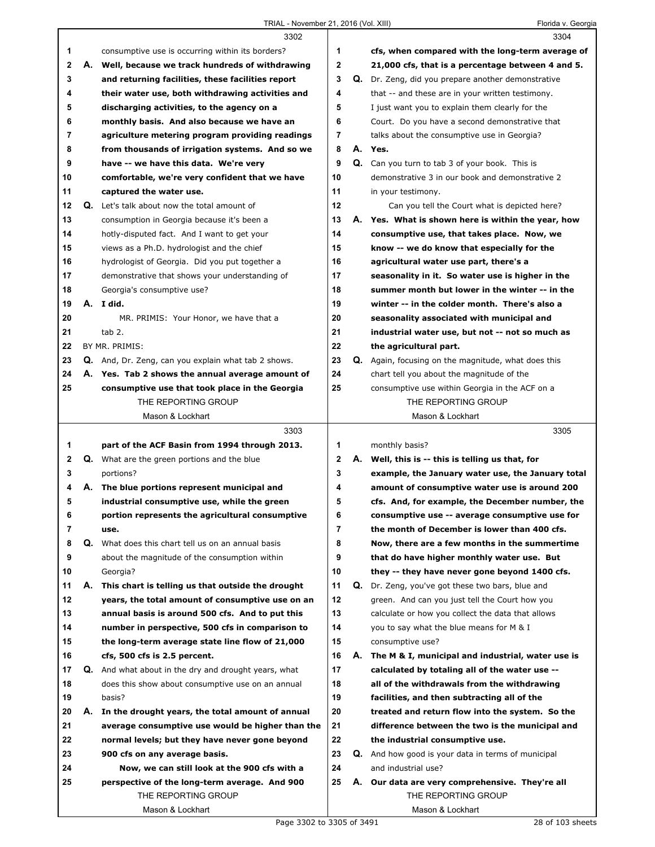|             |    | 3302                                                                 |                         |    | 3304                                                                   |
|-------------|----|----------------------------------------------------------------------|-------------------------|----|------------------------------------------------------------------------|
| 1           |    | consumptive use is occurring within its borders?                     | 1                       |    | cfs, when compared with the long-term average of                       |
| $\mathbf 2$ | А. | Well, because we track hundreds of withdrawing                       | $\mathbf{2}$            |    | 21,000 cfs, that is a percentage between 4 and 5.                      |
| 3           |    | and returning facilities, these facilities report                    | 3                       |    | Q. Dr. Zeng, did you prepare another demonstrative                     |
| 4           |    | their water use, both withdrawing activities and                     | 4                       |    | that -- and these are in your written testimony.                       |
| 5           |    | discharging activities, to the agency on a                           | 5                       |    | I just want you to explain them clearly for the                        |
| 6           |    | monthly basis. And also because we have an                           | 6                       |    | Court. Do you have a second demonstrative that                         |
| 7           |    | agriculture metering program providing readings                      | 7                       |    | talks about the consumptive use in Georgia?                            |
| 8           |    | from thousands of irrigation systems. And so we                      | 8                       |    | A. Yes.                                                                |
| 9           |    | have -- we have this data. We're very                                | 9                       |    | Q. Can you turn to tab 3 of your book. This is                         |
| 10          |    | comfortable, we're very confident that we have                       | 10                      |    | demonstrative 3 in our book and demonstrative 2                        |
| 11          |    | captured the water use.                                              | 11                      |    | in your testimony.                                                     |
| 12          |    | Q. Let's talk about now the total amount of                          | 12                      |    | Can you tell the Court what is depicted here?                          |
| 13          |    | consumption in Georgia because it's been a                           | 13                      |    | A. Yes. What is shown here is within the year, how                     |
| 14          |    | hotly-disputed fact. And I want to get your                          | 14                      |    | consumptive use, that takes place. Now, we                             |
| 15          |    | views as a Ph.D. hydrologist and the chief                           | 15                      |    | know -- we do know that especially for the                             |
| 16          |    | hydrologist of Georgia. Did you put together a                       | 16                      |    | agricultural water use part, there's a                                 |
| 17          |    | demonstrative that shows your understanding of                       | 17                      |    | seasonality in it. So water use is higher in the                       |
| 18          |    | Georgia's consumptive use?                                           | 18                      |    | summer month but lower in the winter -- in the                         |
| 19          |    | A. I did.                                                            | 19                      |    | winter -- in the colder month. There's also a                          |
| 20          |    | MR. PRIMIS: Your Honor, we have that a                               | 20                      |    | seasonality associated with municipal and                              |
| 21          |    | $tab2$ .                                                             | 21                      |    | industrial water use, but not -- not so much as                        |
| 22          |    | BY MR. PRIMIS:                                                       | 22                      |    | the agricultural part.                                                 |
| 23          |    | <b>Q.</b> And, Dr. Zeng, can you explain what tab 2 shows.           | 23                      |    | <b>Q.</b> Again, focusing on the magnitude, what does this             |
| 24          |    | A. Yes. Tab 2 shows the annual average amount of                     | 24                      |    | chart tell you about the magnitude of the                              |
| 25          |    | consumptive use that took place in the Georgia                       | 25                      |    | consumptive use within Georgia in the ACF on a                         |
|             |    | THE REPORTING GROUP                                                  |                         |    | THE REPORTING GROUP                                                    |
|             |    |                                                                      |                         |    |                                                                        |
|             |    |                                                                      |                         |    |                                                                        |
|             |    | Mason & Lockhart                                                     |                         |    | Mason & Lockhart                                                       |
|             |    | 3303                                                                 |                         |    | 3305                                                                   |
| 1           |    | part of the ACF Basin from 1994 through 2013.                        | 1                       |    | monthly basis?                                                         |
| $\mathbf 2$ |    | <b>Q.</b> What are the green portions and the blue                   | $\mathbf{2}$            |    | A. Well, this is -- this is telling us that, for                       |
| 3           |    | portions?                                                            | 3                       |    | example, the January water use, the January total                      |
| 4           |    | A. The blue portions represent municipal and                         | 4                       |    | amount of consumptive water use is around 200                          |
| 5           |    | industrial consumptive use, while the green                          | 5                       |    | cfs. And, for example, the December number, the                        |
| 6           |    | portion represents the agricultural consumptive                      | 6                       |    | consumptive use -- average consumptive use for                         |
| 7           |    | use.                                                                 | $\overline{\mathbf{r}}$ |    | the month of December is lower than 400 cfs.                           |
| 8           | Q. | What does this chart tell us on an annual basis                      | 8                       |    | Now, there are a few months in the summertime                          |
| 9           |    | about the magnitude of the consumption within                        | 9                       |    | that do have higher monthly water use. But                             |
| 10          |    | Georgia?                                                             | 10                      |    | they -- they have never gone beyond 1400 cfs.                          |
| 11          | А. | This chart is telling us that outside the drought                    | 11                      | Q. | Dr. Zeng, you've got these two bars, blue and                          |
| 12          |    | years, the total amount of consumptive use on an                     | 12                      |    | green. And can you just tell the Court how you                         |
| 13          |    | annual basis is around 500 cfs. And to put this                      | 13                      |    | calculate or how you collect the data that allows                      |
| 14          |    | number in perspective, 500 cfs in comparison to                      | 14                      |    | you to say what the blue means for M & I                               |
| 15          |    | the long-term average state line flow of 21,000                      | 15                      |    | consumptive use?                                                       |
| 16          |    | cfs, 500 cfs is 2.5 percent.                                         | 16                      | А. | The M & I, municipal and industrial, water use is                      |
| 17          |    | <b>Q.</b> And what about in the dry and drought years, what          | 17                      |    | calculated by totaling all of the water use --                         |
| 18          |    | does this show about consumptive use on an annual                    | 18                      |    | all of the withdrawals from the withdrawing                            |
| 19          |    | basis?                                                               | 19                      |    | facilities, and then subtracting all of the                            |
| 20          | А. | In the drought years, the total amount of annual                     | 20                      |    | treated and return flow into the system. So the                        |
| 21          |    | average consumptive use would be higher than the                     | 21                      |    | difference between the two is the municipal and                        |
| 22          |    | normal levels; but they have never gone beyond                       | 22                      |    | the industrial consumptive use.                                        |
| 23          |    | 900 cfs on any average basis.                                        | 23                      |    | <b>Q.</b> And how good is your data in terms of municipal              |
| 24          |    | Now, we can still look at the 900 cfs with a                         | 24                      |    | and industrial use?                                                    |
| 25          |    | perspective of the long-term average. And 900<br>THE REPORTING GROUP | 25                      |    | A. Our data are very comprehensive. They're all<br>THE REPORTING GROUP |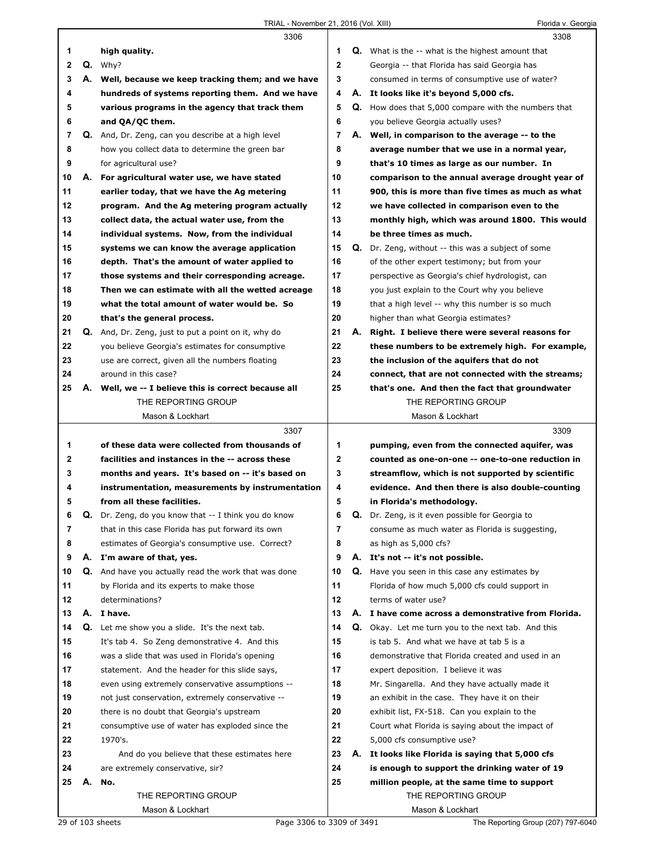|    |    | 3306                                                 |              |    | 3308                                                     |
|----|----|------------------------------------------------------|--------------|----|----------------------------------------------------------|
| 1  |    | high quality.                                        | 1            |    | <b>Q.</b> What is the -- what is the highest amount that |
| 2  |    | $Q.$ Why?                                            | $\mathbf 2$  |    | Georgia -- that Florida has said Georgia has             |
| 3  |    | A. Well, because we keep tracking them; and we have  | 3            |    | consumed in terms of consumptive use of water?           |
| 4  |    | hundreds of systems reporting them. And we have      | 4            | А. | It looks like it's beyond 5,000 cfs.                     |
| 5  |    | various programs in the agency that track them       | 5            |    | Q. How does that 5,000 compare with the numbers that     |
| 6  |    | and QA/QC them.                                      | 6            |    | you believe Georgia actually uses?                       |
| 7  |    | Q. And, Dr. Zeng, can you describe at a high level   | 7            |    | A. Well, in comparison to the average -- to the          |
| 8  |    | how you collect data to determine the green bar      | 8            |    |                                                          |
|    |    |                                                      |              |    | average number that we use in a normal year,             |
| 9  |    | for agricultural use?                                | 9            |    | that's 10 times as large as our number. In               |
| 10 |    | A. For agricultural water use, we have stated        | 10           |    | comparison to the annual average drought year of         |
| 11 |    | earlier today, that we have the Ag metering          | 11           |    | 900, this is more than five times as much as what        |
| 12 |    | program. And the Ag metering program actually        | 12           |    | we have collected in comparison even to the              |
| 13 |    | collect data, the actual water use, from the         | 13           |    | monthly high, which was around 1800. This would          |
| 14 |    | individual systems. Now, from the individual         | 14           |    | be three times as much.                                  |
| 15 |    | systems we can know the average application          | 15           | Q. | Dr. Zeng, without -- this was a subject of some          |
| 16 |    | depth. That's the amount of water applied to         | 16           |    | of the other expert testimony; but from your             |
| 17 |    | those systems and their corresponding acreage.       | 17           |    | perspective as Georgia's chief hydrologist, can          |
| 18 |    | Then we can estimate with all the wetted acreage     | 18           |    | you just explain to the Court why you believe            |
| 19 |    | what the total amount of water would be. So          | 19           |    | that a high level -- why this number is so much          |
| 20 |    | that's the general process.                          | 20           |    | higher than what Georgia estimates?                      |
| 21 |    | Q. And, Dr. Zeng, just to put a point on it, why do  | 21           | А. | Right. I believe there were several reasons for          |
| 22 |    | you believe Georgia's estimates for consumptive      | 22           |    | these numbers to be extremely high. For example,         |
| 23 |    | use are correct, given all the numbers floating      | 23           |    | the inclusion of the aquifers that do not                |
| 24 |    | around in this case?                                 | 24           |    | connect, that are not connected with the streams;        |
| 25 | А. | Well, we -- I believe this is correct because all    | 25           |    | that's one. And then the fact that groundwater           |
|    |    | THE REPORTING GROUP                                  |              |    | THE REPORTING GROUP                                      |
|    |    | Mason & Lockhart                                     |              |    | Mason & Lockhart                                         |
|    |    |                                                      |              |    |                                                          |
|    |    |                                                      |              |    |                                                          |
|    |    | 3307                                                 |              |    | 3309                                                     |
| 1  |    | of these data were collected from thousands of       | 1            |    | pumping, even from the connected aquifer, was            |
| 2  |    | facilities and instances in the -- across these      | $\mathbf{2}$ |    | counted as one-on-one -- one-to-one reduction in         |
| 3  |    | months and years. It's based on -- it's based on     | 3            |    | streamflow, which is not supported by scientific         |
| 4  |    | instrumentation, measurements by instrumentation     | 4            |    | evidence. And then there is also double-counting         |
| 5  |    | from all these facilities.                           | 5            |    | in Florida's methodology.                                |
| 6  |    | Dr. Zeng, do you know that -- I think you do know    | 6            |    | Dr. Zeng, is it even possible for Georgia to             |
| 7  |    | that in this case Florida has put forward its own    | 7            |    | consume as much water as Florida is suggesting,          |
| 8  |    | estimates of Georgia's consumptive use. Correct?     | 8            |    | as high as 5,000 cfs?                                    |
| 9  |    | A. I'm aware of that, yes.                           | 9            | А. | It's not -- it's not possible.                           |
| 10 |    | Q. And have you actually read the work that was done | 10           | Q. | Have you seen in this case any estimates by              |
| 11 |    | by Florida and its experts to make those             | 11           |    | Florida of how much 5,000 cfs could support in           |
| 12 |    | determinations?                                      | 12           |    | terms of water use?                                      |
| 13 | А. | I have.                                              | 13           |    | A. I have come across a demonstrative from Florida.      |
| 14 | Q. | Let me show you a slide. It's the next tab.          | 14           | Q. | Okay. Let me turn you to the next tab. And this          |
| 15 |    | It's tab 4. So Zeng demonstrative 4. And this        | 15           |    | is tab 5. And what we have at tab 5 is a                 |
| 16 |    | was a slide that was used in Florida's opening       | 16           |    | demonstrative that Florida created and used in an        |
| 17 |    | statement. And the header for this slide says,       | 17           |    | expert deposition. I believe it was                      |
| 18 |    | even using extremely conservative assumptions --     | 18           |    | Mr. Singarella. And they have actually made it           |
| 19 |    | not just conservation, extremely conservative --     | 19           |    | an exhibit in the case. They have it on their            |
| 20 |    | there is no doubt that Georgia's upstream            | 20           |    |                                                          |
|    |    |                                                      |              |    | exhibit list, FX-518. Can you explain to the             |
| 21 |    | consumptive use of water has exploded since the      | 21           |    | Court what Florida is saying about the impact of         |
| 22 |    | 1970's.                                              | 22           |    | 5,000 cfs consumptive use?                               |
| 23 |    | And do you believe that these estimates here         | 23           | А. | It looks like Florida is saying that 5,000 cfs           |
| 24 |    | are extremely conservative, sir?                     | 24           |    | is enough to support the drinking water of 19            |
| 25 | А. | No.                                                  | 25           |    | million people, at the same time to support              |
|    |    | THE REPORTING GROUP<br>Mason & Lockhart              |              |    | THE REPORTING GROUP<br>Mason & Lockhart                  |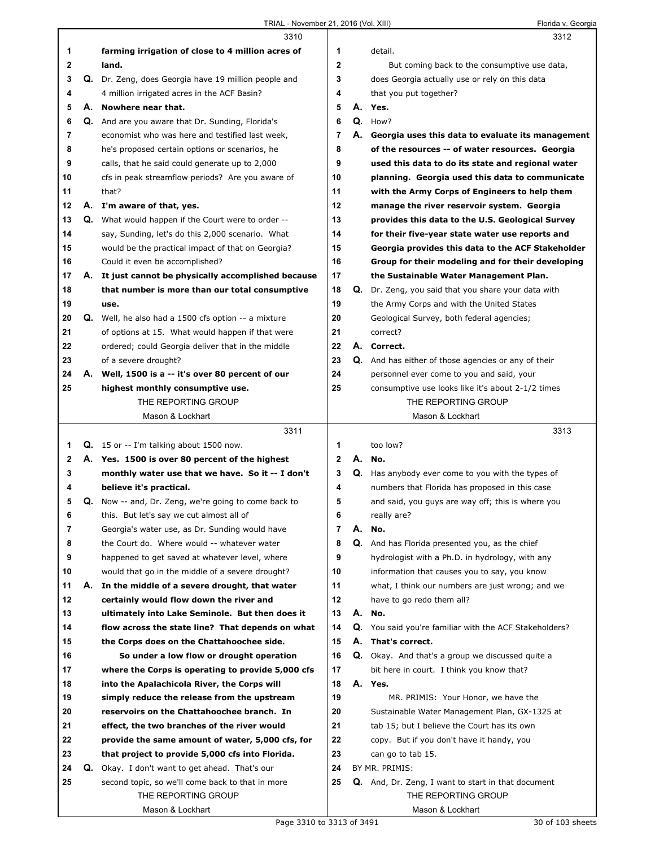|    |    | 3310                                                        |                |    | 3312                                                      |
|----|----|-------------------------------------------------------------|----------------|----|-----------------------------------------------------------|
| 1  |    | farming irrigation of close to 4 million acres of           | 1              |    | detail.                                                   |
| 2  |    | land.                                                       | $\mathbf 2$    |    | But coming back to the consumptive use data,              |
| 3  |    | Q. Dr. Zeng, does Georgia have 19 million people and        | 3              |    | does Georgia actually use or rely on this data            |
| 4  |    | 4 million irrigated acres in the ACF Basin?                 | 4              |    | that you put together?                                    |
| 5  | А. | Nowhere near that.                                          | 5              | А. | Yes.                                                      |
| 6  | Q. | And are you aware that Dr. Sunding, Florida's               | 6              | Q. | How?                                                      |
| 7  |    | economist who was here and testified last week,             | $\overline{7}$ | А. | Georgia uses this data to evaluate its management         |
| 8  |    | he's proposed certain options or scenarios, he              | 8              |    | of the resources -- of water resources. Georgia           |
| 9  |    | calls, that he said could generate up to 2,000              | 9              |    | used this data to do its state and regional water         |
| 10 |    | cfs in peak streamflow periods? Are you aware of            | 10             |    | planning. Georgia used this data to communicate           |
| 11 |    | that?                                                       | 11             |    | with the Army Corps of Engineers to help them             |
| 12 |    | A. I'm aware of that, yes.                                  | 12             |    | manage the river reservoir system. Georgia                |
| 13 |    | <b>Q.</b> What would happen if the Court were to order --   | 13             |    | provides this data to the U.S. Geological Survey          |
| 14 |    | say, Sunding, let's do this 2,000 scenario. What            | 14             |    | for their five-year state water use reports and           |
| 15 |    | would be the practical impact of that on Georgia?           | 15             |    | Georgia provides this data to the ACF Stakeholder         |
| 16 |    | Could it even be accomplished?                              | 16             |    | Group for their modeling and for their developing         |
| 17 |    | A. It just cannot be physically accomplished because        | 17             |    | the Sustainable Water Management Plan.                    |
| 18 |    | that number is more than our total consumptive              | 18             |    | Q. Dr. Zeng, you said that you share your data with       |
| 19 |    | use.                                                        | 19             |    | the Army Corps and with the United States                 |
| 20 |    | <b>Q.</b> Well, he also had a 1500 cfs option -- a mixture  | 20             |    | Geological Survey, both federal agencies;                 |
| 21 |    | of options at 15. What would happen if that were            | 21             |    | correct?                                                  |
| 22 |    | ordered; could Georgia deliver that in the middle           | 22             |    | A. Correct.                                               |
| 23 |    | of a severe drought?                                        | 23             |    | Q. And has either of those agencies or any of their       |
| 24 | А. | Well, 1500 is a -- it's over 80 percent of our              | 24             |    | personnel ever come to you and said, your                 |
| 25 |    | highest monthly consumptive use.                            | 25             |    | consumptive use looks like it's about 2-1/2 times         |
|    |    | THE REPORTING GROUP                                         |                |    | THE REPORTING GROUP                                       |
|    |    | Mason & Lockhart                                            |                |    | Mason & Lockhart                                          |
|    |    |                                                             |                |    |                                                           |
|    |    | 3311                                                        |                |    | 3313                                                      |
| 1  |    | Q. 15 or -- I'm talking about 1500 now.                     | 1              |    | too low?                                                  |
| 2  |    | A. Yes. 1500 is over 80 percent of the highest              | $\mathbf{2}$   | А. | No.                                                       |
| 3  |    | monthly water use that we have. So it -- I don't            | 3              | Q. | Has anybody ever come to you with the types of            |
| 4  |    | believe it's practical.                                     | 4              |    | numbers that Florida has proposed in this case            |
| 5  |    | <b>Q.</b> Now -- and, Dr. Zeng, we're going to come back to | 5              |    | and said, you guys are way off; this is where you         |
| 6  |    | this. But let's say we cut almost all of                    | 6              |    | really are?                                               |
| 7  |    | Georgia's water use, as Dr. Sunding would have              | $\overline{7}$ | А. | No.                                                       |
| 8  |    | the Court do. Where would -- whatever water                 | 8              | Q. | And has Florida presented you, as the chief               |
| 9  |    | happened to get saved at whatever level, where              | 9              |    | hydrologist with a Ph.D. in hydrology, with any           |
| 10 |    | would that go in the middle of a severe drought?            | 10             |    | information that causes you to say, you know              |
| 11 | А. | In the middle of a severe drought, that water               | 11             |    | what, I think our numbers are just wrong; and we          |
| 12 |    | certainly would flow down the river and                     | 12             |    | have to go redo them all?                                 |
| 13 |    | ultimately into Lake Seminole. But then does it             | 13             |    | A. No.                                                    |
| 14 |    | flow across the state line? That depends on what            | 14             |    | Q. You said you're familiar with the ACF Stakeholders?    |
| 15 |    | the Corps does on the Chattahoochee side.                   | 15             | А. | That's correct.                                           |
| 16 |    | So under a low flow or drought operation                    | 16             |    | Q. Okay. And that's a group we discussed quite a          |
| 17 |    | where the Corps is operating to provide 5,000 cfs           | 17             |    | bit here in court. I think you know that?                 |
| 18 |    | into the Apalachicola River, the Corps will                 | 18             |    | A. Yes.                                                   |
| 19 |    | simply reduce the release from the upstream                 | 19             |    | MR. PRIMIS: Your Honor, we have the                       |
| 20 |    | reservoirs on the Chattahoochee branch. In                  | 20             |    | Sustainable Water Management Plan, GX-1325 at             |
| 21 |    | effect, the two branches of the river would                 | 21             |    | tab 15; but I believe the Court has its own               |
| 22 |    | provide the same amount of water, 5,000 cfs, for            | 22             |    | copy. But if you don't have it handy, you                 |
| 23 |    | that project to provide 5,000 cfs into Florida.             | 23             |    | can go to tab 15.                                         |
| 24 | Q. | Okay. I don't want to get ahead. That's our                 | 24             |    | BY MR. PRIMIS:                                            |
| 25 |    | second topic, so we'll come back to that in more            | 25             |    | <b>Q.</b> And, Dr. Zeng, I want to start in that document |
|    |    | THE REPORTING GROUP                                         |                |    | THE REPORTING GROUP                                       |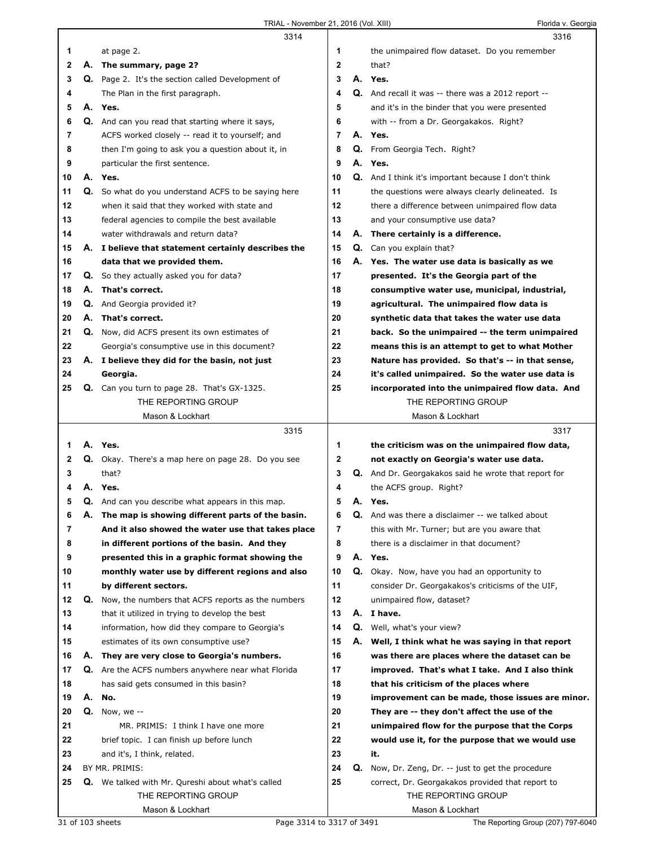|    |    | 3314                                                     |                |    | 3316                                                       |
|----|----|----------------------------------------------------------|----------------|----|------------------------------------------------------------|
| 1  |    | at page 2.                                               | 1              |    | the unimpaired flow dataset. Do you remember               |
| 2  | А. | The summary, page 2?                                     | $\mathbf{2}$   |    | that?                                                      |
| 3  |    | Q. Page 2. It's the section called Development of        | 3              |    | A. Yes.                                                    |
| 4  |    | The Plan in the first paragraph.                         | 4              |    | Q. And recall it was -- there was a 2012 report --         |
| 5  |    | A. Yes.                                                  | 5              |    | and it's in the binder that you were presented             |
| 6  |    | Q. And can you read that starting where it says,         | 6              |    | with -- from a Dr. Georgakakos. Right?                     |
| 7  |    | ACFS worked closely -- read it to yourself; and          | $\overline{7}$ |    | A. Yes.                                                    |
|    |    |                                                          |                |    |                                                            |
| 8  |    | then I'm going to ask you a question about it, in        | 8              |    | Q. From Georgia Tech. Right?                               |
| 9  |    | particular the first sentence.                           | 9              |    | A. Yes.                                                    |
| 10 |    | A. Yes.                                                  | 10             |    | <b>Q.</b> And I think it's important because I don't think |
| 11 | Q. | So what do you understand ACFS to be saying here         | 11             |    | the questions were always clearly delineated. Is           |
| 12 |    | when it said that they worked with state and             | 12             |    | there a difference between unimpaired flow data            |
| 13 |    | federal agencies to compile the best available           | 13             |    | and your consumptive use data?                             |
| 14 |    | water withdrawals and return data?                       | 14             |    | A. There certainly is a difference.                        |
| 15 |    | A. I believe that statement certainly describes the      | 15             |    | Q. Can you explain that?                                   |
| 16 |    | data that we provided them.                              | 16             | А. | Yes. The water use data is basically as we                 |
| 17 | Q. | So they actually asked you for data?                     | 17             |    | presented. It's the Georgia part of the                    |
| 18 | А. | That's correct.                                          | 18             |    | consumptive water use, municipal, industrial,              |
| 19 | Q. | And Georgia provided it?                                 | 19             |    | agricultural. The unimpaired flow data is                  |
| 20 | А. | That's correct.                                          | 20             |    | synthetic data that takes the water use data               |
| 21 | Q. | Now, did ACFS present its own estimates of               | 21             |    | back. So the unimpaired -- the term unimpaired             |
| 22 |    | Georgia's consumptive use in this document?              | 22             |    | means this is an attempt to get to what Mother             |
| 23 |    | A. I believe they did for the basin, not just            | 23             |    | Nature has provided. So that's -- in that sense,           |
| 24 |    | Georgia.                                                 | 24             |    | it's called unimpaired. So the water use data is           |
|    |    |                                                          | 25             |    |                                                            |
| 25 |    | <b>Q.</b> Can you turn to page 28. That's GX-1325.       |                |    | incorporated into the unimpaired flow data. And            |
|    |    | THE REPORTING GROUP                                      |                |    | THE REPORTING GROUP                                        |
|    |    | Mason & Lockhart                                         |                |    | Mason & Lockhart                                           |
|    |    |                                                          |                |    |                                                            |
|    |    | 3315                                                     |                |    | 3317                                                       |
| 1  |    | A. Yes.                                                  | 1              |    | the criticism was on the unimpaired flow data,             |
| 2  |    | Q. Okay. There's a map here on page 28. Do you see       | 2              |    | not exactly on Georgia's water use data.                   |
| 3  |    | that?                                                    | 3              |    | Q. And Dr. Georgakakos said he wrote that report for       |
| 4  |    | A. Yes.                                                  | 4              |    | the ACFS group. Right?                                     |
| 5  |    | <b>Q.</b> And can you describe what appears in this map. | 5              | А. | Yes.                                                       |
| b  | А. | The map is showing different parts of the basin.         | 6              | Q. | And was there a disclaimer -- we talked about              |
| 7  |    | And it also showed the water use that takes place        | 7              |    | this with Mr. Turner; but are you aware that               |
| 8  |    | in different portions of the basin. And they             | 8              |    | there is a disclaimer in that document?                    |
| 9  |    | presented this in a graphic format showing the           | 9              |    | A. Yes.                                                    |
| 10 |    | monthly water use by different regions and also          | 10             |    | <b>Q.</b> Okay. Now, have you had an opportunity to        |
| 11 |    |                                                          | 11             |    | consider Dr. Georgakakos's criticisms of the UIF,          |
| 12 | Q. | by different sectors.                                    | 12             |    | unimpaired flow, dataset?                                  |
|    |    | Now, the numbers that ACFS reports as the numbers        | 13             |    |                                                            |
| 13 |    | that it utilized in trying to develop the best           |                |    | A. I have.                                                 |
| 14 |    | information, how did they compare to Georgia's           | 14             |    | <b>Q.</b> Well, what's your view?                          |
| 15 |    | estimates of its own consumptive use?                    | 15             | А. | Well, I think what he was saying in that report            |
| 16 | А. | They are very close to Georgia's numbers.                | 16             |    | was there are places where the dataset can be              |
| 17 |    | Q. Are the ACFS numbers anywhere near what Florida       | 17             |    | improved. That's what I take. And I also think             |
| 18 |    | has said gets consumed in this basin?                    | 18             |    | that his criticism of the places where                     |
| 19 |    | A. No.                                                   | 19             |    | improvement can be made, those issues are minor.           |
| 20 | Q. | Now, we --                                               | 20             |    | They are -- they don't affect the use of the               |
| 21 |    | MR. PRIMIS: I think I have one more                      | 21             |    | unimpaired flow for the purpose that the Corps             |
| 22 |    | brief topic. I can finish up before lunch                | 22             |    | would use it, for the purpose that we would use            |
| 23 |    | and it's, I think, related.                              | 23             |    | it.                                                        |
| 24 |    | BY MR. PRIMIS:                                           | 24             | Q. | Now, Dr. Zeng, Dr. -- just to get the procedure            |
| 25 |    | Q. We talked with Mr. Qureshi about what's called        | 25             |    | correct, Dr. Georgakakos provided that report to           |
|    |    | THE REPORTING GROUP                                      |                |    | THE REPORTING GROUP                                        |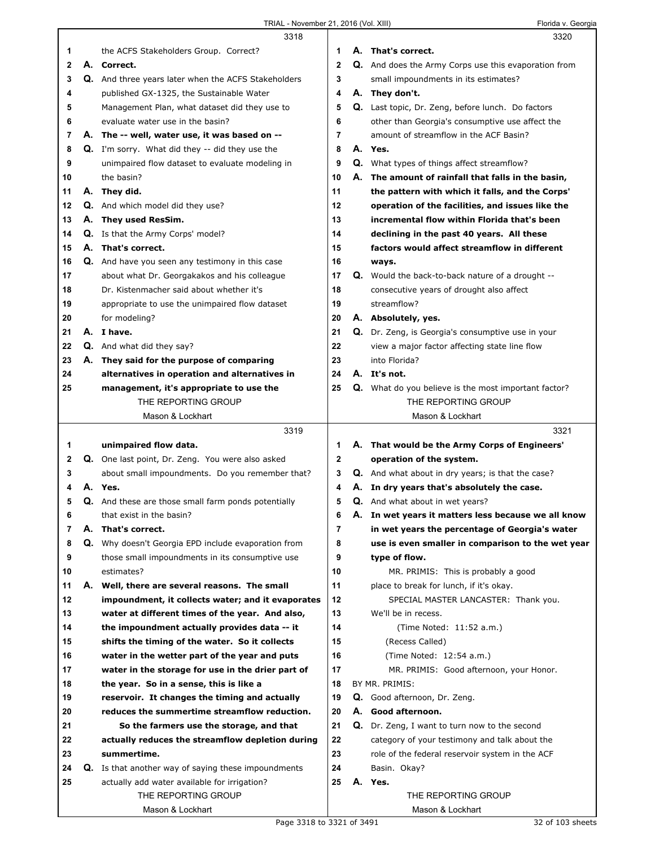|             |    | 3318                                                                                                 |                | 3320                                                        |
|-------------|----|------------------------------------------------------------------------------------------------------|----------------|-------------------------------------------------------------|
| 1           |    | the ACFS Stakeholders Group. Correct?                                                                | 1              | A. That's correct.                                          |
| $\mathbf 2$ | А. | Correct.                                                                                             | $\mathbf{2}$   | Q. And does the Army Corps use this evaporation from        |
| 3           |    | Q. And three years later when the ACFS Stakeholders                                                  | 3              | small impoundments in its estimates?                        |
| 4           |    | published GX-1325, the Sustainable Water                                                             | 4              | A. They don't.                                              |
| 5           |    | Management Plan, what dataset did they use to                                                        | 5              | Q. Last topic, Dr. Zeng, before lunch. Do factors           |
| 6           |    | evaluate water use in the basin?                                                                     | 6              | other than Georgia's consumptive use affect the             |
| 7           |    | A. The -- well, water use, it was based on --                                                        | 7              | amount of streamflow in the ACF Basin?                      |
| 8           |    | Q. I'm sorry. What did they -- did they use the                                                      | 8              | A. Yes.                                                     |
| 9           |    | unimpaired flow dataset to evaluate modeling in                                                      | 9              | <b>Q.</b> What types of things affect streamflow?           |
| 10          |    | the basin?                                                                                           | 10             | A. The amount of rainfall that falls in the basin,          |
| 11          |    | A. They did.                                                                                         | 11             | the pattern with which it falls, and the Corps'             |
| 12          |    | <b>Q.</b> And which model did they use?                                                              | 12             | operation of the facilities, and issues like the            |
| 13          |    | A. They used ResSim.                                                                                 | 13             | incremental flow within Florida that's been                 |
| 14          |    | <b>Q.</b> Is that the Army Corps' model?                                                             | 14             | declining in the past 40 years. All these                   |
| 15          | А. | That's correct.                                                                                      | 15             | factors would affect streamflow in different                |
| 16          |    | Q. And have you seen any testimony in this case                                                      | 16             | ways.                                                       |
| 17          |    | about what Dr. Georgakakos and his colleague                                                         | 17             | Q. Would the back-to-back nature of a drought --            |
| 18          |    | Dr. Kistenmacher said about whether it's                                                             | 18             | consecutive years of drought also affect                    |
| 19          |    | appropriate to use the unimpaired flow dataset                                                       | 19             | streamflow?                                                 |
| 20          |    | for modeling?                                                                                        | 20             | A. Absolutely, yes.                                         |
| 21          |    | A. I have.                                                                                           | 21             | Q. Dr. Zeng, is Georgia's consumptive use in your           |
| 22          |    | Q. And what did they say?                                                                            | 22             | view a major factor affecting state line flow               |
| 23          |    | A. They said for the purpose of comparing                                                            | 23             | into Florida?                                               |
| 24          |    | alternatives in operation and alternatives in                                                        | 24             | A. It's not.                                                |
| 25          |    | management, it's appropriate to use the                                                              | 25             | Q. What do you believe is the most important factor?        |
|             |    | THE REPORTING GROUP                                                                                  |                | THE REPORTING GROUP                                         |
|             |    | Mason & Lockhart                                                                                     |                | Mason & Lockhart                                            |
|             |    |                                                                                                      |                |                                                             |
|             |    |                                                                                                      |                |                                                             |
|             |    | 3319                                                                                                 |                | 3321                                                        |
| 1           |    | unimpaired flow data.                                                                                | 1              | A. That would be the Army Corps of Engineers'               |
| 2           |    | Q. One last point, Dr. Zeng. You were also asked                                                     | $\mathbf{2}$   | operation of the system.                                    |
| 3           |    | about small impoundments. Do you remember that?                                                      | 3              | Q. And what about in dry years; is that the case?           |
| 4           |    | A. Yes.                                                                                              | 4              | A. In dry years that's absolutely the case.                 |
| 5           |    | <b>Q.</b> And these are those small farm ponds potentially                                           | 5              | Q. And what about in wet years?                             |
| 6           |    | that exist in the basin?                                                                             | 6              | A. In wet years it matters less because we all know         |
| 7           | А. | That's correct.                                                                                      | $\overline{7}$ | in wet years the percentage of Georgia's water              |
| 8           |    | <b>Q.</b> Why doesn't Georgia EPD include evaporation from                                           | 8              | use is even smaller in comparison to the wet year           |
| 9<br>10     |    | those small impoundments in its consumptive use<br>estimates?                                        | 9<br>10        | type of flow.                                               |
| 11          |    | A. Well, there are several reasons. The small                                                        | 11             | MR. PRIMIS: This is probably a good                         |
| 12          |    |                                                                                                      | 12             | place to break for lunch, if it's okay.                     |
| 13          |    | impoundment, it collects water; and it evaporates<br>water at different times of the year. And also, | 13             | SPECIAL MASTER LANCASTER: Thank you.<br>We'll be in recess. |
| 14          |    | the impoundment actually provides data -- it                                                         | 14             |                                                             |
| 15          |    | shifts the timing of the water. So it collects                                                       | 15             | (Time Noted: 11:52 a.m.)<br>(Recess Called)                 |
| 16          |    |                                                                                                      | 16             | (Time Noted: 12:54 a.m.)                                    |
| 17          |    | water in the wetter part of the year and puts<br>water in the storage for use in the drier part of   | 17             | MR. PRIMIS: Good afternoon, your Honor.                     |
| 18          |    | the year. So in a sense, this is like a                                                              | 18             | BY MR. PRIMIS:                                              |
| 19          |    | reservoir. It changes the timing and actually                                                        | 19             | Q. Good afternoon, Dr. Zeng.                                |
| 20          |    | reduces the summertime streamflow reduction.                                                         | 20             | A. Good afternoon.                                          |
| 21          |    | So the farmers use the storage, and that                                                             | 21             | Q. Dr. Zeng, I want to turn now to the second               |
| 22          |    | actually reduces the streamflow depletion during                                                     | 22             | category of your testimony and talk about the               |
| 23          |    | summertime.                                                                                          | 23             | role of the federal reservoir system in the ACF             |
| 24          |    | <b>Q.</b> Is that another way of saying these impoundments                                           | 24             | Basin. Okay?                                                |
| 25          |    | actually add water available for irrigation?                                                         | 25             | A. Yes.                                                     |
|             |    | THE REPORTING GROUP                                                                                  |                | THE REPORTING GROUP                                         |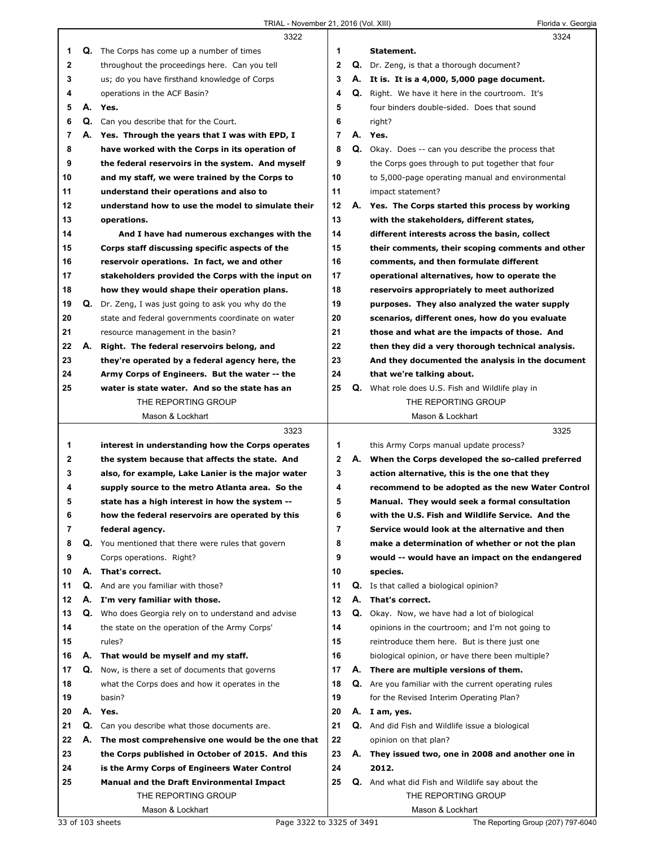|                |    | 3322                                               |                |    | 3324                                                    |
|----------------|----|----------------------------------------------------|----------------|----|---------------------------------------------------------|
| 1.             |    | Q. The Corps has come up a number of times         | 1              |    | Statement.                                              |
| $\mathbf{2}$   |    | throughout the proceedings here. Can you tell      | $\mathbf{2}$   |    | <b>Q.</b> Dr. Zeng, is that a thorough document?        |
| 3              |    | us; do you have firsthand knowledge of Corps       | 3              |    | A. It is. It is a 4,000, 5,000 page document.           |
| 4              |    | operations in the ACF Basin?                       | 4              | Q. | Right. We have it here in the courtroom. It's           |
| 5              |    | A. Yes.                                            | 5              |    | four binders double-sided. Does that sound              |
| 6              |    | <b>Q.</b> Can you describe that for the Court.     | 6              |    | right?                                                  |
| $\overline{7}$ |    | A. Yes. Through the years that I was with EPD, I   | $\overline{7}$ |    | A. Yes.                                                 |
| 8              |    | have worked with the Corps in its operation of     | 8              |    | Q. Okay. Does -- can you describe the process that      |
| 9              |    | the federal reservoirs in the system. And myself   | 9              |    | the Corps goes through to put together that four        |
| 10             |    | and my staff, we were trained by the Corps to      | 10             |    | to 5,000-page operating manual and environmental        |
| 11             |    | understand their operations and also to            | 11             |    | impact statement?                                       |
| 12             |    | understand how to use the model to simulate their  | 12             |    | A. Yes. The Corps started this process by working       |
| 13             |    | operations.                                        | 13             |    | with the stakeholders, different states,                |
| 14             |    | And I have had numerous exchanges with the         | 14             |    | different interests across the basin, collect           |
| 15             |    | Corps staff discussing specific aspects of the     | 15             |    | their comments, their scoping comments and other        |
| 16             |    | reservoir operations. In fact, we and other        | 16             |    | comments, and then formulate different                  |
| 17             |    | stakeholders provided the Corps with the input on  | 17             |    | operational alternatives, how to operate the            |
| 18             |    | how they would shape their operation plans.        | 18             |    | reservoirs appropriately to meet authorized             |
| 19             | Q. | Dr. Zeng, I was just going to ask you why do the   | 19             |    | purposes. They also analyzed the water supply           |
| 20             |    | state and federal governments coordinate on water  | 20             |    | scenarios, different ones, how do you evaluate          |
| 21             |    | resource management in the basin?                  | 21             |    | those and what are the impacts of those. And            |
| 22             | А. | Right. The federal reservoirs belong, and          | 22             |    | then they did a very thorough technical analysis.       |
| 23             |    | they're operated by a federal agency here, the     | 23             |    | And they documented the analysis in the document        |
| 24             |    | Army Corps of Engineers. But the water -- the      | 24             |    | that we're talking about.                               |
| 25             |    | water is state water. And so the state has an      | 25             |    | <b>Q.</b> What role does U.S. Fish and Wildlife play in |
|                |    | THE REPORTING GROUP                                |                |    | THE REPORTING GROUP                                     |
|                |    | Mason & Lockhart                                   |                |    | Mason & Lockhart                                        |
|                |    |                                                    |                |    |                                                         |
|                |    | 3323                                               |                |    | 3325                                                    |
| 1              |    | interest in understanding how the Corps operates   | 1              |    | this Army Corps manual update process?                  |
| 2              |    | the system because that affects the state. And     | $\mathbf 2$    |    | A. When the Corps developed the so-called preferred     |
| 3              |    | also, for example, Lake Lanier is the major water  | 3              |    | action alternative, this is the one that they           |
| 4              |    | supply source to the metro Atlanta area. So the    | 4              |    | recommend to be adopted as the new Water Control        |
| 5              |    | state has a high interest in how the system --     | 5              |    | Manual. They would seek a formal consultation           |
| 6              |    | how the federal reservoirs are operated by this    | 6              |    | with the U.S. Fish and Wildlife Service. And the        |
| 7              |    | federal agency.                                    | 7              |    | Service would look at the alternative and then          |
| 8              |    | Q. You mentioned that there were rules that govern | 8              |    | make a determination of whether or not the plan         |
| 9              |    | Corps operations. Right?                           | 9              |    | would -- would have an impact on the endangered         |
| 10             | А. | That's correct.                                    | 10             |    | species.                                                |
| 11             |    | <b>Q.</b> And are you familiar with those?         | 11             |    | Q. Is that called a biological opinion?                 |
| 12             | А. | I'm very familiar with those.                      | 12             | А. | That's correct.                                         |
| 13             | Q. | Who does Georgia rely on to understand and advise  | 13             | Q. | Okay. Now, we have had a lot of biological              |
| 14             |    | the state on the operation of the Army Corps'      | 14             |    | opinions in the courtroom; and I'm not going to         |
| 15             |    | rules?                                             | 15             |    | reintroduce them here. But is there just one            |
| 16             |    | A. That would be myself and my staff.              | 16             |    | biological opinion, or have there been multiple?        |
| 17             | Q. | Now, is there a set of documents that governs      | 17             |    | A. There are multiple versions of them.                 |
| 18             |    | what the Corps does and how it operates in the     | 18             |    | Q. Are you familiar with the current operating rules    |
| 19             |    | basin?                                             | 19             |    | for the Revised Interim Operating Plan?                 |
| 20             |    | A. Yes.                                            | 20             |    | A. I am, yes.                                           |
| 21             | Q. | Can you describe what those documents are.         | 21             |    | <b>Q.</b> And did Fish and Wildlife issue a biological  |
| 22             | А. | The most comprehensive one would be the one that   | 22             |    | opinion on that plan?                                   |
| 23             |    | the Corps published in October of 2015. And this   | 23             | А. | They issued two, one in 2008 and another one in         |
| 24             |    | is the Army Corps of Engineers Water Control       | 24             |    | 2012.                                                   |
| 25             |    | <b>Manual and the Draft Environmental Impact</b>   | 25             |    | <b>Q.</b> And what did Fish and Wildlife say about the  |
|                |    | THE REPORTING GROUP                                |                |    | THE REPORTING GROUP                                     |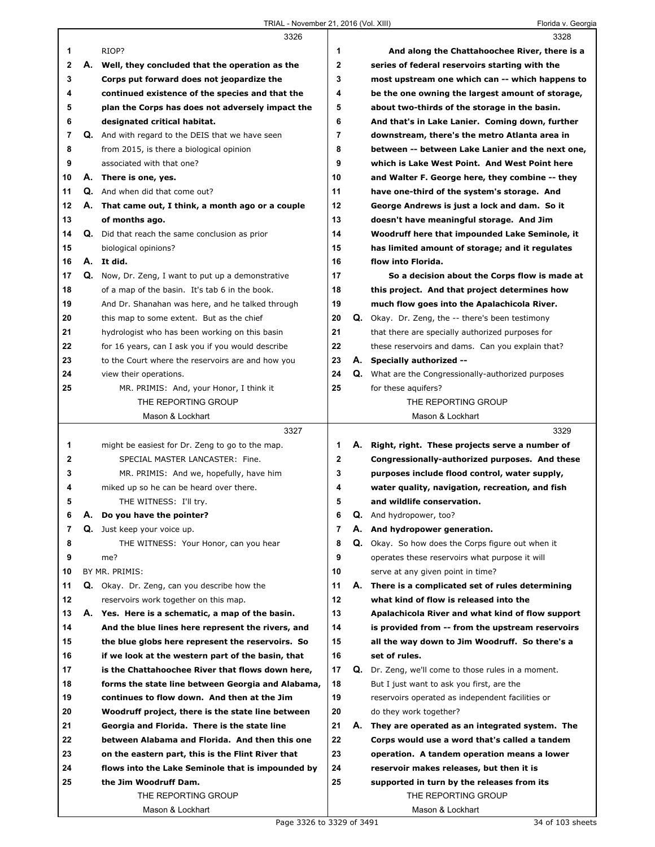TRIAL - November 21, 2016 (Vol. XIII) Florida v. Georgia

|              |    | 3326                                                    |              |    | 3328                                                       |
|--------------|----|---------------------------------------------------------|--------------|----|------------------------------------------------------------|
| 1            |    | RIOP?                                                   | 1            |    | And along the Chattahoochee River, there is a              |
| $\mathbf 2$  |    | A. Well, they concluded that the operation as the       | $\mathbf{2}$ |    | series of federal reservoirs starting with the             |
| 3            |    | Corps put forward does not jeopardize the               | 3            |    | most upstream one which can -- which happens to            |
| 4            |    | continued existence of the species and that the         | 4            |    | be the one owning the largest amount of storage,           |
| 5            |    | plan the Corps has does not adversely impact the        | 5            |    | about two-thirds of the storage in the basin.              |
| 6            |    | designated critical habitat.                            | 6            |    | And that's in Lake Lanier. Coming down, further            |
| 7            |    | <b>Q.</b> And with regard to the DEIS that we have seen | 7            |    | downstream, there's the metro Atlanta area in              |
| 8            |    | from 2015, is there a biological opinion                | 8            |    | between -- between Lake Lanier and the next one,           |
| 9            |    | associated with that one?                               | 9            |    | which is Lake West Point. And West Point here              |
| 10           |    | A. There is one, yes.                                   | 10           |    | and Walter F. George here, they combine -- they            |
| 11           |    | Q. And when did that come out?                          | 11           |    | have one-third of the system's storage. And                |
| 12           |    | A. That came out, I think, a month ago or a couple      | 12           |    | George Andrews is just a lock and dam. So it               |
| 13           |    | of months ago.                                          | 13           |    | doesn't have meaningful storage. And Jim                   |
| 14           |    | <b>Q.</b> Did that reach the same conclusion as prior   | 14           |    | Woodruff here that impounded Lake Seminole, it             |
| 15           |    | biological opinions?                                    | 15           |    | has limited amount of storage; and it regulates            |
| 16           |    | A. It did.                                              | 16           |    | flow into Florida.                                         |
| 17           |    | Q. Now, Dr. Zeng, I want to put up a demonstrative      | 17           |    | So a decision about the Corps flow is made at              |
| 18           |    | of a map of the basin. It's tab 6 in the book.          | 18           |    |                                                            |
| 19           |    |                                                         | 19           |    | this project. And that project determines how              |
|              |    | And Dr. Shanahan was here, and he talked through        |              |    | much flow goes into the Apalachicola River.                |
| 20           |    | this map to some extent. But as the chief               | 20           |    | <b>Q.</b> Okay. Dr. Zeng, the -- there's been testimony    |
| 21           |    | hydrologist who has been working on this basin          | 21           |    | that there are specially authorized purposes for           |
| 22           |    | for 16 years, can I ask you if you would describe       | 22           |    | these reservoirs and dams. Can you explain that?           |
| 23           |    | to the Court where the reservoirs are and how you       | 23           |    | A. Specially authorized --                                 |
| 24           |    | view their operations.                                  | 24           |    | <b>Q.</b> What are the Congressionally-authorized purposes |
| 25           |    | MR. PRIMIS: And, your Honor, I think it                 | 25           |    | for these aquifers?                                        |
|              |    | THE REPORTING GROUP                                     |              |    | THE REPORTING GROUP                                        |
|              |    | Mason & Lockhart                                        |              |    | Mason & Lockhart                                           |
|              |    |                                                         |              |    |                                                            |
|              |    | 3327                                                    |              |    | 3329                                                       |
| 1            |    | might be easiest for Dr. Zeng to go to the map.         | 1            |    | A. Right, right. These projects serve a number of          |
| $\mathbf{2}$ |    | SPECIAL MASTER LANCASTER: Fine.                         | $\mathbf{2}$ |    | Congressionally-authorized purposes. And these             |
| 3            |    | MR. PRIMIS: And we, hopefully, have him                 | 3            |    | purposes include flood control, water supply,              |
| 4            |    | miked up so he can be heard over there.                 | 4            |    | water quality, navigation, recreation, and fish            |
| 5            |    | THE WITNESS: I'll try.                                  | 5            |    | and wildlife conservation.                                 |
| 6            | Α. | Do you have the pointer?                                | 6            | Q. | And hydropower, too?                                       |
| 7            |    | <b>Q.</b> Just keep your voice up.                      | 7            |    | A. And hydropower generation.                              |
| 8            |    | THE WITNESS: Your Honor, can you hear                   | 8            |    | Q. Okay. So how does the Corps figure out when it          |
| 9            |    | me?                                                     | 9            |    | operates these reservoirs what purpose it will             |
| 10           |    | BY MR. PRIMIS:                                          | 10           |    | serve at any given point in time?                          |
| 11           |    | <b>Q.</b> Okay. Dr. Zeng, can you describe how the      | 11           | А. | There is a complicated set of rules determining            |
| 12           |    | reservoirs work together on this map.                   | 12           |    | what kind of flow is released into the                     |
| 13           |    | A. Yes. Here is a schematic, a map of the basin.        | 13           |    | Apalachicola River and what kind of flow support           |
| 14           |    | And the blue lines here represent the rivers, and       | 14           |    | is provided from -- from the upstream reservoirs           |
| 15           |    | the blue globs here represent the reservoirs. So        | 15           |    | all the way down to Jim Woodruff. So there's a             |
| 16           |    | if we look at the western part of the basin, that       | 16           |    | set of rules.                                              |
| 17           |    | is the Chattahoochee River that flows down here,        | 17           | Q. | Dr. Zeng, we'll come to those rules in a moment.           |
| 18           |    | forms the state line between Georgia and Alabama,       | 18           |    | But I just want to ask you first, are the                  |
| 19           |    | continues to flow down. And then at the Jim             | 19           |    | reservoirs operated as independent facilities or           |
| 20           |    | Woodruff project, there is the state line between       | 20           |    | do they work together?                                     |
| 21           |    | Georgia and Florida. There is the state line            | 21           | А. | They are operated as an integrated system. The             |
| 22           |    | between Alabama and Florida. And then this one          | 22           |    | Corps would use a word that's called a tandem              |
| 23           |    | on the eastern part, this is the Flint River that       | 23           |    | operation. A tandem operation means a lower                |
| 24           |    | flows into the Lake Seminole that is impounded by       | 24           |    | reservoir makes releases, but then it is                   |
| 25           |    | the Jim Woodruff Dam.                                   | 25           |    | supported in turn by the releases from its                 |
|              |    | THE REPORTING GROUP                                     |              |    | THE REPORTING GROUP                                        |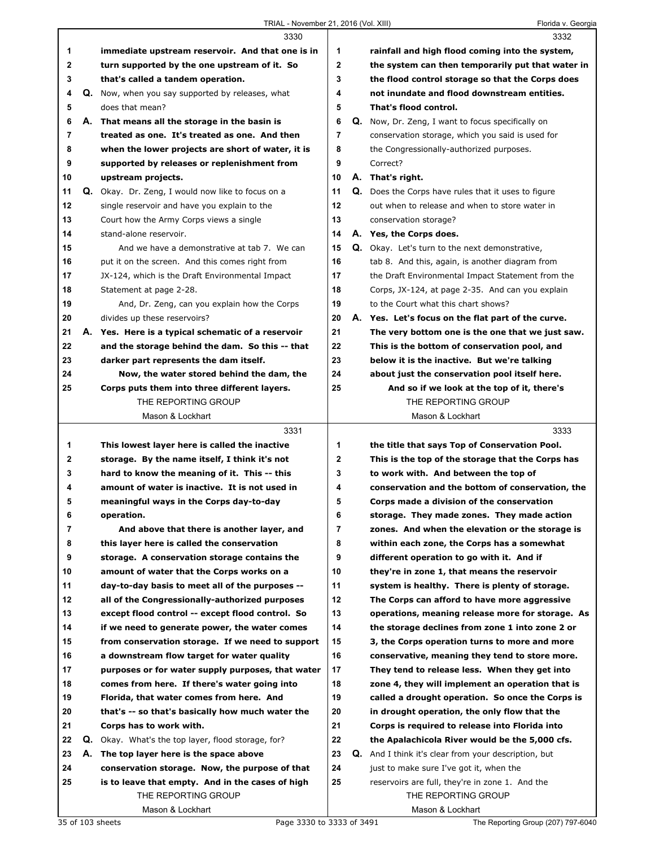|                | 3330                                                      |                | 3332                                                       |
|----------------|-----------------------------------------------------------|----------------|------------------------------------------------------------|
| 1              | immediate upstream reservoir. And that one is in          | 1              | rainfall and high flood coming into the system,            |
| $\mathbf{2}$   | turn supported by the one upstream of it. So              | $\mathbf{2}$   | the system can then temporarily put that water in          |
| 3              | that's called a tandem operation.                         | 3              | the flood control storage so that the Corps does           |
| 4              | Q. Now, when you say supported by releases, what          | 4              | not inundate and flood downstream entities.                |
| 5              | does that mean?                                           | 5              | That's flood control.                                      |
| 6              | A. That means all the storage in the basin is             | 6              | Q. Now, Dr. Zeng, I want to focus specifically on          |
| $\overline{7}$ | treated as one. It's treated as one. And then             | 7              | conservation storage, which you said is used for           |
| 8              | when the lower projects are short of water, it is         | 8              | the Congressionally-authorized purposes.                   |
| 9              | supported by releases or replenishment from               | 9              | Correct?                                                   |
| 10             | upstream projects.                                        | 10             | A. That's right.                                           |
| 11             | <b>Q.</b> Okay. Dr. Zeng, I would now like to focus on a  | 11             | <b>Q.</b> Does the Corps have rules that it uses to figure |
| 12             | single reservoir and have you explain to the              | 12             | out when to release and when to store water in             |
| 13             | Court how the Army Corps views a single                   | 13             | conservation storage?                                      |
| 14             | stand-alone reservoir.                                    | 14             | A. Yes, the Corps does.                                    |
| 15             | And we have a demonstrative at tab 7. We can              | 15             | Q. Okay. Let's turn to the next demonstrative,             |
| 16             | put it on the screen. And this comes right from           | 16             | tab 8. And this, again, is another diagram from            |
| 17             | JX-124, which is the Draft Environmental Impact           | 17             | the Draft Environmental Impact Statement from the          |
| 18             | Statement at page 2-28.                                   | 18             | Corps, JX-124, at page 2-35. And can you explain           |
| 19             | And, Dr. Zeng, can you explain how the Corps              | 19             | to the Court what this chart shows?                        |
| 20             | divides up these reservoirs?                              | 20             | A. Yes. Let's focus on the flat part of the curve.         |
| 21             | A. Yes. Here is a typical schematic of a reservoir        | 21             | The very bottom one is the one that we just saw.           |
| 22             | and the storage behind the dam. So this -- that           | 22             | This is the bottom of conservation pool, and               |
| 23             | darker part represents the dam itself.                    | 23             | below it is the inactive. But we're talking                |
| 24             | Now, the water stored behind the dam, the                 | 24             | about just the conservation pool itself here.              |
| 25             | Corps puts them into three different layers.              | 25             | And so if we look at the top of it, there's                |
|                | THE REPORTING GROUP                                       |                | THE REPORTING GROUP                                        |
|                | Mason & Lockhart                                          |                | Mason & Lockhart                                           |
|                |                                                           |                |                                                            |
|                | 3331                                                      |                | 3333                                                       |
| 1              | This lowest layer here is called the inactive             | 1              | the title that says Top of Conservation Pool.              |
| $\mathbf{2}$   | storage. By the name itself, I think it's not             | $\mathbf{2}$   | This is the top of the storage that the Corps has          |
| 3              | hard to know the meaning of it. This -- this              | 3              | to work with. And between the top of                       |
| 4              | amount of water is inactive. It is not used in            | 4              | conservation and the bottom of conservation, the           |
| 5              | meaningful ways in the Corps day-to-day                   | 5              | Corps made a division of the conservation                  |
| 6              | operation.                                                | 6              | storage. They made zones. They made action                 |
| 7              | And above that there is another layer, and                | $\overline{7}$ | zones. And when the elevation or the storage is            |
| 8              | this layer here is called the conservation                | 8              | within each zone, the Corps has a somewhat                 |
| 9              | storage. A conservation storage contains the              | 9              | different operation to go with it. And if                  |
| 10             | amount of water that the Corps works on a                 | 10             | they're in zone 1, that means the reservoir                |
| 11             | day-to-day basis to meet all of the purposes --           | 11             | system is healthy. There is plenty of storage.             |
| 12             | all of the Congressionally-authorized purposes            | 12             | The Corps can afford to have more aggressive               |
| 13             | except flood control -- except flood control. So          | 13             | operations, meaning release more for storage. As           |
| 14             | if we need to generate power, the water comes             | 14             | the storage declines from zone 1 into zone 2 or            |
| 15             | from conservation storage. If we need to support          | 15             | 3, the Corps operation turns to more and more              |
| 16             | a downstream flow target for water quality                | 16             | conservative, meaning they tend to store more.             |
| 17             | purposes or for water supply purposes, that water         | 17             | They tend to release less. When they get into              |
| 18             | comes from here. If there's water going into              | 18             | zone 4, they will implement an operation that is           |
| 19             | Florida, that water comes from here. And                  | 19             | called a drought operation. So once the Corps is           |
| 20             | that's -- so that's basically how much water the          | 20             | in drought operation, the only flow that the               |
| 21             | Corps has to work with.                                   | 21             | Corps is required to release into Florida into             |
| 22             | <b>Q.</b> Okay. What's the top layer, flood storage, for? | 22             | the Apalachicola River would be the 5,000 cfs.             |
| 23             | A. The top layer here is the space above                  | 23             | Q. And I think it's clear from your description, but       |
| 24             | conservation storage. Now, the purpose of that            | 24             | just to make sure I've got it, when the                    |
| 25             | is to leave that empty. And in the cases of high          | 25             | reservoirs are full, they're in zone 1. And the            |
|                | THE REPORTING GROUP                                       |                | THE REPORTING GROUP                                        |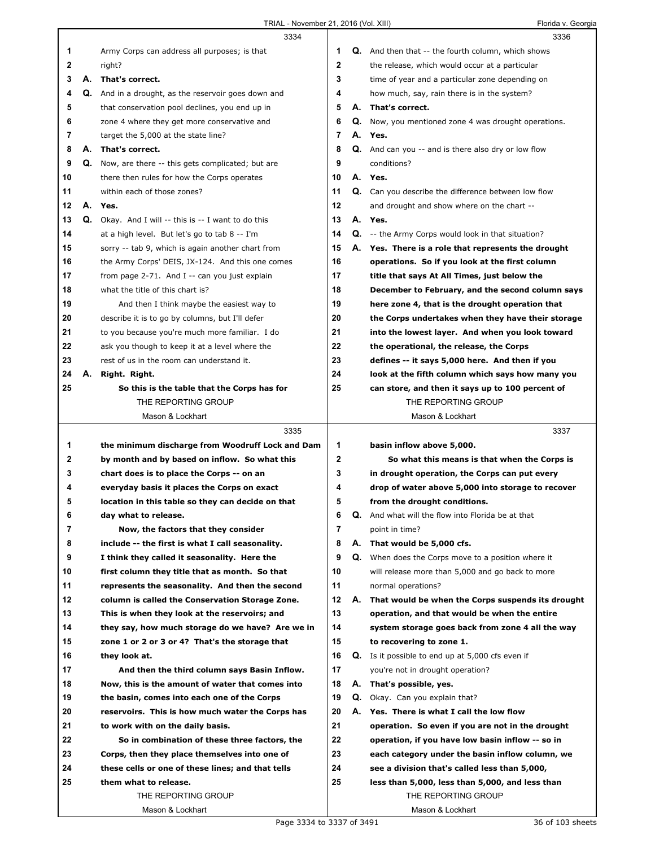|              |    | 3334                                                                                             |              |    | 3336                                                        |
|--------------|----|--------------------------------------------------------------------------------------------------|--------------|----|-------------------------------------------------------------|
| 1            |    | Army Corps can address all purposes; is that                                                     | 1            |    | <b>Q.</b> And then that -- the fourth column, which shows   |
| $\mathbf{2}$ |    | right?                                                                                           | $\mathbf{2}$ |    | the release, which would occur at a particular              |
| 3            | А. | That's correct.                                                                                  | 3            |    | time of year and a particular zone depending on             |
| 4            |    | Q. And in a drought, as the reservoir goes down and                                              | 4            |    | how much, say, rain there is in the system?                 |
| 5            |    | that conservation pool declines, you end up in                                                   | 5            |    | A. That's correct.                                          |
| 6            |    | zone 4 where they get more conservative and                                                      | 6            |    | <b>Q.</b> Now, you mentioned zone 4 was drought operations. |
| 7            |    | target the 5,000 at the state line?                                                              | 7            |    | A. Yes.                                                     |
|              |    |                                                                                                  |              |    |                                                             |
| 8            |    | A. That's correct.                                                                               | 8            |    | Q. And can you -- and is there also dry or low flow         |
| 9            | Q. | Now, are there -- this gets complicated; but are                                                 | 9            |    | conditions?                                                 |
| 10           |    | there then rules for how the Corps operates                                                      | 10           |    | A. Yes.                                                     |
| 11           |    | within each of those zones?                                                                      | 11           |    | Q. Can you describe the difference between low flow         |
| 12           |    | A. Yes.                                                                                          | 12           |    | and drought and show where on the chart --                  |
| 13           |    | Q. Okay. And I will -- this is -- I want to do this                                              | 13           |    | A. Yes.                                                     |
| 14           |    | at a high level. But let's go to tab 8 -- I'm                                                    | 14           |    | Q. -- the Army Corps would look in that situation?          |
| 15           |    | sorry -- tab 9, which is again another chart from                                                | 15           |    | A. Yes. There is a role that represents the drought         |
| 16           |    | the Army Corps' DEIS, JX-124. And this one comes                                                 | 16           |    | operations. So if you look at the first column              |
| 17           |    | from page 2-71. And I -- can you just explain                                                    | 17           |    | title that says At All Times, just below the                |
| 18           |    | what the title of this chart is?                                                                 | 18           |    | December to February, and the second column says            |
| 19           |    | And then I think maybe the easiest way to                                                        | 19           |    | here zone 4, that is the drought operation that             |
| 20           |    | describe it is to go by columns, but I'll defer                                                  | 20           |    | the Corps undertakes when they have their storage           |
| 21           |    | to you because you're much more familiar. I do                                                   | 21           |    | into the lowest layer. And when you look toward             |
| 22           |    | ask you though to keep it at a level where the                                                   | 22           |    | the operational, the release, the Corps                     |
| 23           |    | rest of us in the room can understand it.                                                        | 23           |    | defines -- it says 5,000 here. And then if you              |
| 24           | А. | Right. Right.                                                                                    | 24           |    | look at the fifth column which says how many you            |
| 25           |    | So this is the table that the Corps has for                                                      | 25           |    | can store, and then it says up to 100 percent of            |
|              |    | THE REPORTING GROUP                                                                              |              |    | THE REPORTING GROUP                                         |
|              |    | Mason & Lockhart                                                                                 |              |    | Mason & Lockhart                                            |
|              |    |                                                                                                  |              |    |                                                             |
|              |    | 3335                                                                                             |              |    | 3337                                                        |
| 1            |    | the minimum discharge from Woodruff Lock and Dam                                                 | 1            |    | basin inflow above 5,000.                                   |
| 2            |    | by month and by based on inflow. So what this                                                    | $\mathbf{2}$ |    | So what this means is that when the Corps is                |
| 3            |    | chart does is to place the Corps -- on an                                                        | 3            |    | in drought operation, the Corps can put every               |
| 4            |    |                                                                                                  | 4            |    | drop of water above 5,000 into storage to recover           |
| 5            |    | everyday basis it places the Corps on exact<br>location in this table so they can decide on that | 5            |    | from the drought conditions.                                |
|              |    |                                                                                                  |              |    |                                                             |
| 6<br>7       |    | day what to release.                                                                             | 6            | Q. | And what will the flow into Florida be at that              |
|              |    | Now, the factors that they consider                                                              | 7            |    | point in time?                                              |
| 8            |    | include -- the first is what I call seasonality.                                                 | 8            |    | A. That would be 5,000 cfs.                                 |
| 9            |    | I think they called it seasonality. Here the                                                     | 9            |    | <b>Q.</b> When does the Corps move to a position where it   |
| 10           |    | first column they title that as month. So that                                                   | 10           |    | will release more than 5,000 and go back to more            |
| 11           |    | represents the seasonality. And then the second                                                  | 11           |    | normal operations?                                          |
| 12           |    | column is called the Conservation Storage Zone.                                                  | 12           |    | A. That would be when the Corps suspends its drought        |
| 13           |    | This is when they look at the reservoirs; and                                                    | 13           |    | operation, and that would be when the entire                |
| 14           |    | they say, how much storage do we have? Are we in                                                 | 14           |    | system storage goes back from zone 4 all the way            |
| 15           |    | zone 1 or 2 or 3 or 4? That's the storage that                                                   | 15           |    | to recovering to zone 1.                                    |
| 16           |    | they look at.                                                                                    | 16           |    | <b>Q.</b> Is it possible to end up at 5,000 cfs even if     |
| 17           |    | And then the third column says Basin Inflow.                                                     | 17           |    | you're not in drought operation?                            |
| 18           |    | Now, this is the amount of water that comes into                                                 | 18           |    | A. That's possible, yes.                                    |
| 19           |    | the basin, comes into each one of the Corps                                                      | 19           |    | Q. Okay. Can you explain that?                              |
| 20           |    | reservoirs. This is how much water the Corps has                                                 | 20           |    | A. Yes. There is what I call the low flow                   |
| 21           |    | to work with on the daily basis.                                                                 | 21           |    | operation. So even if you are not in the drought            |
| 22           |    | So in combination of these three factors, the                                                    | 22           |    | operation, if you have low basin inflow -- so in            |
| 23           |    | Corps, then they place themselves into one of                                                    | 23           |    | each category under the basin inflow column, we             |
| 24           |    | these cells or one of these lines; and that tells                                                | 24           |    | see a division that's called less than 5,000,               |
| 25           |    | them what to release.                                                                            | 25           |    | less than 5,000, less than 5,000, and less than             |
|              |    | THE REPORTING GROUP                                                                              |              |    | THE REPORTING GROUP                                         |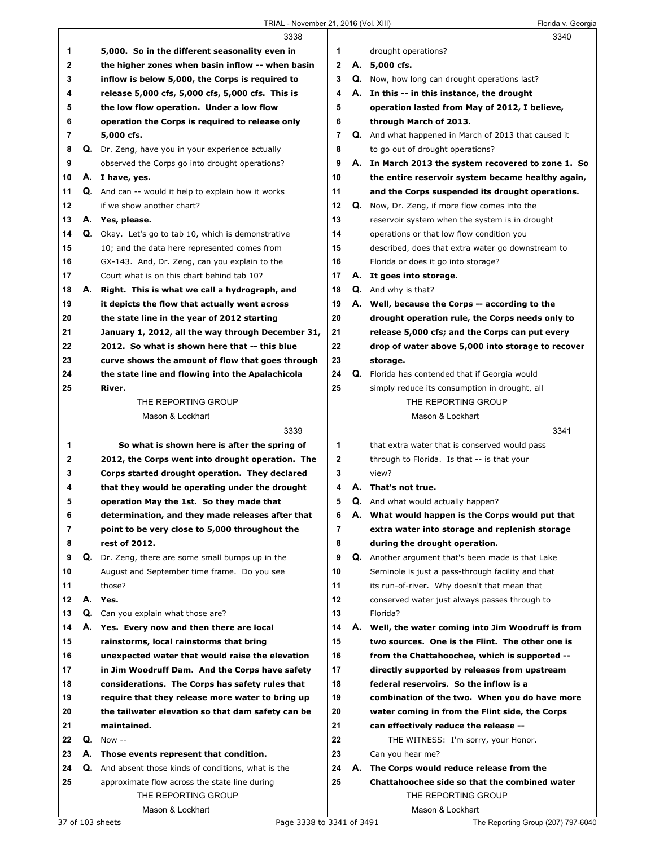## TRIAL - November 21, 2016 (Vol. XIII) Florida v. Georgia

|    |    | 3338                                                       |                | 3340                                                        |
|----|----|------------------------------------------------------------|----------------|-------------------------------------------------------------|
| 1  |    | 5,000. So in the different seasonality even in             | 1              | drought operations?                                         |
| 2  |    | the higher zones when basin inflow -- when basin           | $\mathbf{2}$   | A. 5,000 cfs.                                               |
| 3  |    | inflow is below 5,000, the Corps is required to            | 3              | <b>Q.</b> Now, how long can drought operations last?        |
| 4  |    | release 5,000 cfs, 5,000 cfs, 5,000 cfs. This is           | 4              | A. In this -- in this instance, the drought                 |
| 5  |    | the low flow operation. Under a low flow                   | 5              | operation lasted from May of 2012, I believe,               |
| 6  |    | operation the Corps is required to release only            | 6              | through March of 2013.                                      |
| 7  |    | 5,000 cfs.                                                 | $\overline{7}$ | <b>Q.</b> And what happened in March of 2013 that caused it |
| 8  |    | Q. Dr. Zeng, have you in your experience actually          | 8              | to go out of drought operations?                            |
| 9  |    | observed the Corps go into drought operations?             | 9              | A. In March 2013 the system recovered to zone 1. So         |
| 10 |    | A. I have, yes.                                            | 10             | the entire reservoir system became healthy again,           |
| 11 |    | <b>Q.</b> And can -- would it help to explain how it works | 11             | and the Corps suspended its drought operations.             |
| 12 |    | if we show another chart?                                  | 12             | Q. Now, Dr. Zeng, if more flow comes into the               |
| 13 |    | A. Yes, please.                                            | 13             | reservoir system when the system is in drought              |
| 14 |    | Q. Okay. Let's go to tab 10, which is demonstrative        | 14             | operations or that low flow condition you                   |
| 15 |    | 10; and the data here represented comes from               | 15             | described, does that extra water go downstream to           |
| 16 |    | GX-143. And, Dr. Zeng, can you explain to the              | 16             | Florida or does it go into storage?                         |
| 17 |    | Court what is on this chart behind tab 10?                 | 17             | A. It goes into storage.                                    |
| 18 | А. | Right. This is what we call a hydrograph, and              | 18             | <b>Q.</b> And why is that?                                  |
| 19 |    | it depicts the flow that actually went across              | 19             | A. Well, because the Corps -- according to the              |
| 20 |    | the state line in the year of 2012 starting                | 20             | drought operation rule, the Corps needs only to             |
| 21 |    | January 1, 2012, all the way through December 31,          | 21             | release 5,000 cfs; and the Corps can put every              |
| 22 |    | 2012. So what is shown here that -- this blue              | 22             | drop of water above 5,000 into storage to recover           |
| 23 |    | curve shows the amount of flow that goes through           | 23             | storage.                                                    |
| 24 |    | the state line and flowing into the Apalachicola           | 24             | Q. Florida has contended that if Georgia would              |
| 25 |    | River.                                                     | 25             | simply reduce its consumption in drought, all               |
|    |    | THE REPORTING GROUP                                        |                | THE REPORTING GROUP                                         |
|    |    | Mason & Lockhart                                           |                | Mason & Lockhart                                            |
|    |    | 3339                                                       |                | 3341                                                        |
| 1  |    | So what is shown here is after the spring of               | 1              | that extra water that is conserved would pass               |
| 2  |    | 2012, the Corps went into drought operation. The           | $\mathbf 2$    | through to Florida. Is that -- is that your                 |
| 3  |    | Corps started drought operation. They declared             | 3              | view?                                                       |
| 4  |    | that they would be operating under the drought             | 4              | A. That's not true.                                         |
| 5  |    | operation May the 1st. So they made that                   | 5              | <b>Q.</b> And what would actually happen?                   |
| 6  |    | determination, and they made releases after that           | 6              | A. What would happen is the Corps would put that            |
| 7  |    | point to be very close to 5,000 throughout the             | $\overline{7}$ | extra water into storage and replenish storage              |
| 8  |    | rest of 2012.                                              | 8              | during the drought operation.                               |
| 9  |    | Q. Dr. Zeng, there are some small bumps up in the          | 9              | Q. Another argument that's been made is that Lake           |
| 10 |    | August and September time frame. Do you see                | 10             | Seminole is just a pass-through facility and that           |
| 11 |    | those?                                                     | 11             | its run-of-river. Why doesn't that mean that                |
| 12 | А. | Yes.                                                       | 12             | conserved water just always passes through to               |
| 13 |    | Q. Can you explain what those are?                         | 13             | Florida?                                                    |
| 14 |    | A. Yes. Every now and then there are local                 | 14             | A. Well, the water coming into Jim Woodruff is from         |
| 15 |    | rainstorms, local rainstorms that bring                    | 15             | two sources. One is the Flint. The other one is             |
| 16 |    | unexpected water that would raise the elevation            | 16             | from the Chattahoochee, which is supported --               |
| 17 |    | in Jim Woodruff Dam. And the Corps have safety             | 17             | directly supported by releases from upstream                |
| 18 |    | considerations. The Corps has safety rules that            | 18             | federal reservoirs. So the inflow is a                      |
| 19 |    | require that they release more water to bring up           | 19             | combination of the two. When you do have more               |
| 20 |    | the tailwater elevation so that dam safety can be          | 20             | water coming in from the Flint side, the Corps              |
| 21 |    | maintained.                                                | 21             | can effectively reduce the release --                       |
| 22 | Q. | Now --                                                     | 22             | THE WITNESS: I'm sorry, your Honor.                         |
| 23 |    | A. Those events represent that condition.                  | 23             | Can you hear me?                                            |
| 24 |    | Q. And absent those kinds of conditions, what is the       | 24             | A. The Corps would reduce release from the                  |
| 25 |    | approximate flow across the state line during              | 25             | Chattahoochee side so that the combined water               |
|    |    | THE REPORTING GROUP                                        |                | THE REPORTING GROUP                                         |
|    |    | Mason & Lockhart                                           |                | Mason & Lockhart                                            |
|    |    |                                                            |                |                                                             |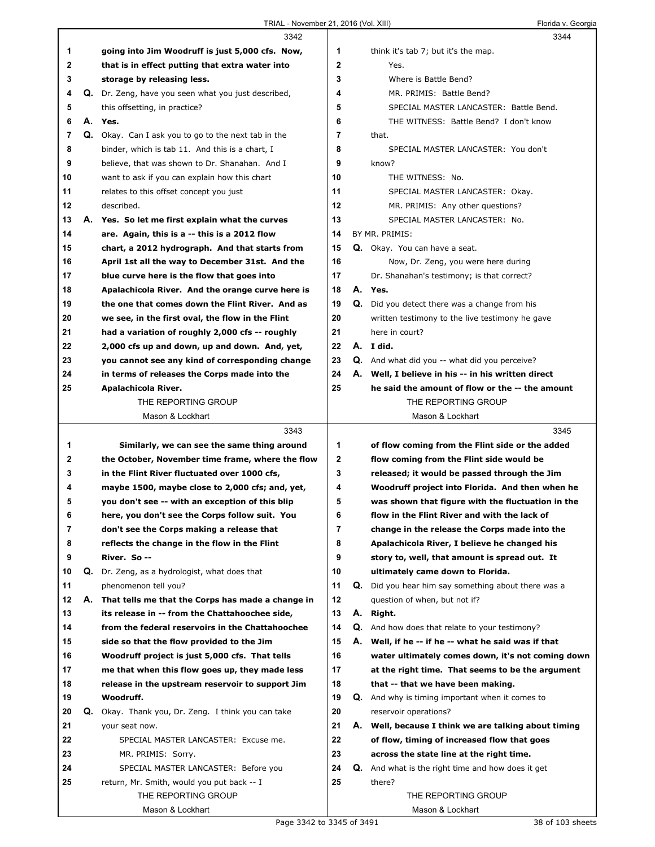|             |    | 3342                                                |    |    | 3344                                                       |
|-------------|----|-----------------------------------------------------|----|----|------------------------------------------------------------|
| 1           |    | going into Jim Woodruff is just 5,000 cfs. Now,     | 1  |    | think it's tab 7; but it's the map.                        |
| $\mathbf 2$ |    | that is in effect putting that extra water into     | 2  |    | Yes.                                                       |
| 3           |    | storage by releasing less.                          | 3  |    | Where is Battle Bend?                                      |
| 4           |    | Q. Dr. Zeng, have you seen what you just described, | 4  |    | MR. PRIMIS: Battle Bend?                                   |
| 5           |    | this offsetting, in practice?                       | 5  |    | SPECIAL MASTER LANCASTER: Battle Bend.                     |
| 6           |    | A. Yes.                                             | 6  |    | THE WITNESS: Battle Bend? I don't know                     |
| 7           |    | Q. Okay. Can I ask you to go to the next tab in the | 7  |    | that.                                                      |
| 8           |    | binder, which is tab 11. And this is a chart, I     | 8  |    | SPECIAL MASTER LANCASTER: You don't                        |
| 9           |    | believe, that was shown to Dr. Shanahan. And I      | 9  |    | know?                                                      |
| 10          |    | want to ask if you can explain how this chart       | 10 |    | THE WITNESS: No.                                           |
| 11          |    | relates to this offset concept you just             | 11 |    | SPECIAL MASTER LANCASTER: Okay.                            |
| 12          |    | described.                                          | 12 |    | MR. PRIMIS: Any other questions?                           |
| 13          |    | A. Yes. So let me first explain what the curves     | 13 |    | SPECIAL MASTER LANCASTER: No.                              |
| 14          |    | are. Again, this is a -- this is a 2012 flow        | 14 |    | BY MR. PRIMIS:                                             |
| 15          |    | chart, a 2012 hydrograph. And that starts from      | 15 |    | Q. Okay. You can have a seat.                              |
| 16          |    | April 1st all the way to December 31st. And the     | 16 |    | Now, Dr. Zeng, you were here during                        |
| 17          |    | blue curve here is the flow that goes into          | 17 |    | Dr. Shanahan's testimony; is that correct?                 |
| 18          |    | Apalachicola River. And the orange curve here is    | 18 |    | A. Yes.                                                    |
| 19          |    | the one that comes down the Flint River. And as     | 19 |    | <b>Q.</b> Did you detect there was a change from his       |
| 20          |    | we see, in the first oval, the flow in the Flint    | 20 |    | written testimony to the live testimony he gave            |
| 21          |    | had a variation of roughly 2,000 cfs -- roughly     | 21 |    | here in court?                                             |
| 22          |    | 2,000 cfs up and down, up and down. And, yet,       | 22 |    | A. I did.                                                  |
| 23          |    | you cannot see any kind of corresponding change     | 23 |    | <b>Q.</b> And what did you -- what did you perceive?       |
| 24          |    | in terms of releases the Corps made into the        | 24 |    | A. Well, I believe in his -- in his written direct         |
| 25          |    | Apalachicola River.                                 | 25 |    | he said the amount of flow or the -- the amount            |
|             |    | THE REPORTING GROUP                                 |    |    | THE REPORTING GROUP                                        |
|             |    | Mason & Lockhart                                    |    |    | Mason & Lockhart                                           |
|             |    |                                                     |    |    |                                                            |
|             |    | 3343                                                |    |    | 3345                                                       |
| 1           |    | Similarly, we can see the same thing around         | 1  |    | of flow coming from the Flint side or the added            |
| 2           |    | the October, November time frame, where the flow    | 2  |    | flow coming from the Flint side would be                   |
| 3           |    | in the Flint River fluctuated over 1000 cfs,        | 3  |    | released; it would be passed through the Jim               |
| 4           |    | maybe 1500, maybe close to 2,000 cfs; and, yet,     | 4  |    | Woodruff project into Florida. And then when he            |
| 5           |    | you don't see -- with an exception of this blip     | 5  |    | was shown that figure with the fluctuation in the          |
| 6           |    | here, you don't see the Corps follow suit. You      | 6  |    | flow in the Flint River and with the lack of               |
| 7           |    | don't see the Corps making a release that           | 7  |    | change in the release the Corps made into the              |
| 8           |    | reflects the change in the flow in the Flint        | 8  |    | Apalachicola River, I believe he changed his               |
| 9           |    | River. So --                                        | 9  |    | story to, well, that amount is spread out. It              |
| 10          | Q. | Dr. Zeng, as a hydrologist, what does that          | 10 |    | ultimately came down to Florida.                           |
| 11          |    | phenomenon tell you?                                | 11 |    | <b>Q.</b> Did you hear him say something about there was a |
| 12          | А. | That tells me that the Corps has made a change in   | 12 |    | question of when, but not if?                              |
| 13          |    | its release in -- from the Chattahoochee side,      | 13 | А. | Right.                                                     |
| 14          |    | from the federal reservoirs in the Chattahoochee    | 14 |    | Q. And how does that relate to your testimony?             |
| 15          |    | side so that the flow provided to the Jim           | 15 |    | A. Well, if he -- if he -- what he said was if that        |
| 16          |    | Woodruff project is just 5,000 cfs. That tells      | 16 |    | water ultimately comes down, it's not coming down          |
| 17          |    | me that when this flow goes up, they made less      | 17 |    | at the right time. That seems to be the argument           |
| 18          |    | release in the upstream reservoir to support Jim    | 18 |    | that -- that we have been making.                          |
| 19          |    | Woodruff.                                           | 19 |    | <b>Q.</b> And why is timing important when it comes to     |
| 20          |    | Q. Okay. Thank you, Dr. Zeng. I think you can take  | 20 |    | reservoir operations?                                      |
| 21          |    | your seat now.                                      | 21 |    | A. Well, because I think we are talking about timing       |
| 22          |    | SPECIAL MASTER LANCASTER: Excuse me.                | 22 |    | of flow, timing of increased flow that goes                |
| 23          |    | MR. PRIMIS: Sorry.                                  | 23 |    | across the state line at the right time.                   |
| 24          |    | SPECIAL MASTER LANCASTER: Before you                | 24 |    | Q. And what is the right time and how does it get          |
| 25          |    | return, Mr. Smith, would you put back -- I          | 25 |    | there?                                                     |
|             |    | THE REPORTING GROUP                                 |    |    | THE REPORTING GROUP                                        |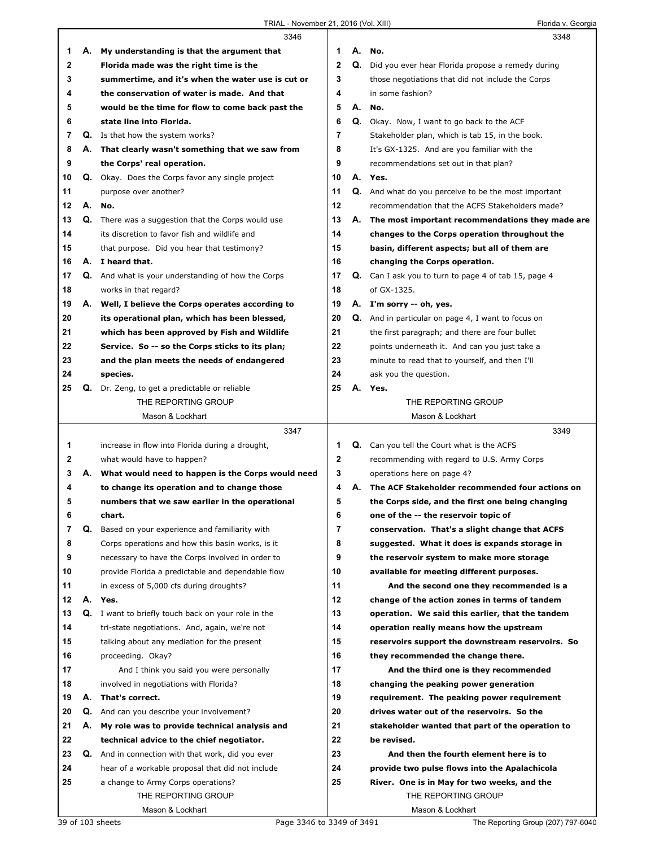|    |    | 3346                                                    |              |    | 3348                                                      |
|----|----|---------------------------------------------------------|--------------|----|-----------------------------------------------------------|
| 1  |    | A. My understanding is that the argument that           | 1            | А. | No.                                                       |
| 2  |    | Florida made was the right time is the                  | $\mathbf{2}$ | Q. | Did you ever hear Florida propose a remedy during         |
| 3  |    | summertime, and it's when the water use is cut or       | 3            |    | those negotiations that did not include the Corps         |
| 4  |    | the conservation of water is made. And that             | 4            |    | in some fashion?                                          |
| 5  |    | would be the time for flow to come back past the        | 5            | А. | No.                                                       |
| 6  |    | state line into Florida.                                | 6            |    | Q. Okay. Now, I want to go back to the ACF                |
| 7  |    | Q. Is that how the system works?                        | 7            |    | Stakeholder plan, which is tab 15, in the book.           |
| 8  |    | A. That clearly wasn't something that we saw from       | 8            |    | It's GX-1325. And are you familiar with the               |
| 9  |    | the Corps' real operation.                              | 9            |    | recommendations set out in that plan?                     |
| 10 |    | <b>Q.</b> Okay. Does the Corps favor any single project | 10           |    | A. Yes.                                                   |
| 11 |    | purpose over another?                                   | 11           |    | Q. And what do you perceive to be the most important      |
| 12 |    | A. No.                                                  | 12           |    | recommendation that the ACFS Stakeholders made?           |
| 13 |    | Q. There was a suggestion that the Corps would use      | 13           |    | A. The most important recommendations they made are       |
| 14 |    | its discretion to favor fish and wildlife and           | 14           |    | changes to the Corps operation throughout the             |
| 15 |    | that purpose. Did you hear that testimony?              | 15           |    | basin, different aspects; but all of them are             |
| 16 |    | A. I heard that.                                        | 16           |    | changing the Corps operation.                             |
| 17 |    | Q. And what is your understanding of how the Corps      | 17           |    | Q. Can I ask you to turn to page 4 of tab 15, page 4      |
| 18 |    | works in that regard?                                   | 18           |    | of GX-1325.                                               |
| 19 |    | A. Well, I believe the Corps operates according to      | 19           |    | A. I'm sorry -- oh, yes.                                  |
| 20 |    | its operational plan, which has been blessed,           | 20           |    | <b>Q.</b> And in particular on page 4, I want to focus on |
| 21 |    | which has been approved by Fish and Wildlife            | 21           |    | the first paragraph; and there are four bullet            |
| 22 |    | Service. So -- so the Corps sticks to its plan;         | 22           |    | points underneath it. And can you just take a             |
| 23 |    |                                                         | 23           |    |                                                           |
|    |    | and the plan meets the needs of endangered              | 24           |    | minute to read that to yourself, and then I'll            |
| 24 |    | species.                                                | 25           |    | ask you the question.                                     |
| 25 |    | <b>Q.</b> Dr. Zeng, to get a predictable or reliable    |              |    | A. Yes.                                                   |
|    |    | THE REPORTING GROUP                                     |              |    | THE REPORTING GROUP<br>Mason & Lockhart                   |
|    |    | Mason & Lockhart                                        |              |    |                                                           |
|    |    |                                                         |              |    |                                                           |
|    |    | 3347                                                    |              |    | 3349                                                      |
| 1  |    | increase in flow into Florida during a drought,         | 1            |    | <b>Q.</b> Can you tell the Court what is the ACFS         |
| 2  |    | what would have to happen?                              | $\mathbf{2}$ |    | recommending with regard to U.S. Army Corps               |
| 3  | А. | What would need to happen is the Corps would need       | 3            |    | operations here on page 4?                                |
| 4  |    | to change its operation and to change those             | 4            |    | A. The ACF Stakeholder recommended four actions on        |
| 5  |    | numbers that we saw earlier in the operational          | 5            |    | the Corps side, and the first one being changing          |
| 6  |    | chart.                                                  | 6            |    | one of the -- the reservoir topic of                      |
| 7  | Q. | Based on your experience and familiarity with           | 7            |    | conservation. That's a slight change that ACFS            |
| 8  |    | Corps operations and how this basin works, is it        | 8            |    | suggested. What it does is expands storage in             |
| 9  |    | necessary to have the Corps involved in order to        | 9            |    | the reservoir system to make more storage                 |
| 10 |    | provide Florida a predictable and dependable flow       | 10           |    | available for meeting different purposes.                 |
| 11 |    | in excess of 5,000 cfs during droughts?                 | 11           |    | And the second one they recommended is a                  |
| 12 |    | A. Yes.                                                 | 12           |    | change of the action zones in terms of tandem             |
| 13 |    | Q. I want to briefly touch back on your role in the     | 13           |    | operation. We said this earlier, that the tandem          |
| 14 |    | tri-state negotiations. And, again, we're not           | 14           |    | operation really means how the upstream                   |
| 15 |    | talking about any mediation for the present             | 15           |    | reservoirs support the downstream reservoirs. So          |
| 16 |    | proceeding. Okay?                                       | 16           |    | they recommended the change there.                        |
| 17 |    | And I think you said you were personally                | 17           |    | And the third one is they recommended                     |
| 18 |    | involved in negotiations with Florida?                  | 18           |    | changing the peaking power generation                     |
| 19 | А. | That's correct.                                         | 19           |    | requirement. The peaking power requirement                |
| 20 | Q. | And can you describe your involvement?                  | 20           |    | drives water out of the reservoirs. So the                |
| 21 |    | A. My role was to provide technical analysis and        | 21           |    | stakeholder wanted that part of the operation to          |
| 22 |    | technical advice to the chief negotiator.               | 22           |    | be revised.                                               |
| 23 | Q. | And in connection with that work, did you ever          | 23           |    | And then the fourth element here is to                    |
| 24 |    | hear of a workable proposal that did not include        | 24           |    | provide two pulse flows into the Apalachicola             |
| 25 |    | a change to Army Corps operations?                      | 25           |    | River. One is in May for two weeks, and the               |
|    |    | THE REPORTING GROUP                                     |              |    | THE REPORTING GROUP                                       |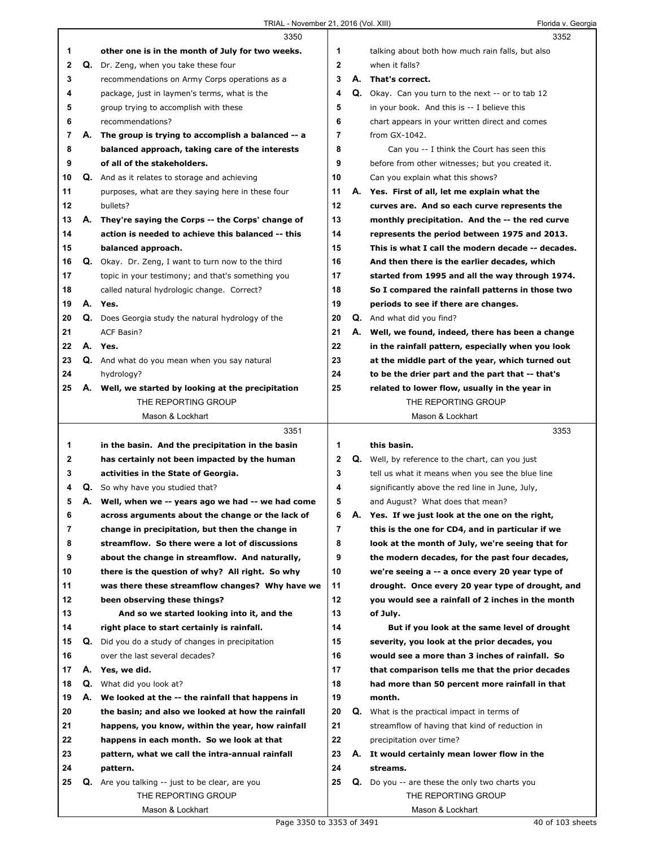|    |    | 3350                                                |             |    | 3352                                                    |
|----|----|-----------------------------------------------------|-------------|----|---------------------------------------------------------|
| 1  |    | other one is in the month of July for two weeks.    | 1           |    | talking about both how much rain falls, but also        |
| 2  |    | Q. Dr. Zeng, when you take these four               | $\mathbf 2$ |    | when it falls?                                          |
| 3  |    | recommendations on Army Corps operations as a       | 3           | А. | That's correct.                                         |
| 4  |    | package, just in laymen's terms, what is the        | 4           |    | Q. Okay. Can you turn to the next -- or to tab 12       |
| 5  |    | group trying to accomplish with these               | 5           |    | in your book. And this is -- I believe this             |
| 6  |    | recommendations?                                    | 6           |    | chart appears in your written direct and comes          |
| 7  | А. | The group is trying to accomplish a balanced -- a   | 7           |    | from GX-1042.                                           |
| 8  |    | balanced approach, taking care of the interests     | 8           |    | Can you -- I think the Court has seen this              |
| 9  |    | of all of the stakeholders.                         | 9           |    | before from other witnesses; but you created it.        |
| 10 |    | Q. And as it relates to storage and achieving       | 10          |    | Can you explain what this shows?                        |
| 11 |    | purposes, what are they saying here in these four   | 11          |    | A. Yes. First of all, let me explain what the           |
| 12 |    | bullets?                                            | 12          |    | curves are. And so each curve represents the            |
| 13 | А. | They're saying the Corps -- the Corps' change of    | 13          |    | monthly precipitation. And the -- the red curve         |
| 14 |    | action is needed to achieve this balanced -- this   | 14          |    | represents the period between 1975 and 2013.            |
| 15 |    | balanced approach.                                  | 15          |    | This is what I call the modern decade -- decades.       |
| 16 | Q. | Okay. Dr. Zeng, I want to turn now to the third     | 16          |    | And then there is the earlier decades, which            |
| 17 |    | topic in your testimony; and that's something you   | 17          |    | started from 1995 and all the way through 1974.         |
| 18 |    | called natural hydrologic change. Correct?          | 18          |    | So I compared the rainfall patterns in those two        |
| 19 |    | A. Yes.                                             | 19          |    | periods to see if there are changes.                    |
| 20 |    | Q. Does Georgia study the natural hydrology of the  | 20          |    | Q. And what did you find?                               |
| 21 |    | <b>ACF Basin?</b>                                   | 21          | А. | Well, we found, indeed, there has been a change         |
| 22 |    | A. Yes.                                             | 22          |    | in the rainfall pattern, especially when you look       |
| 23 |    | Q. And what do you mean when you say natural        | 23          |    | at the middle part of the year, which turned out        |
| 24 |    | hydrology?                                          | 24          |    | to be the drier part and the part that -- that's        |
| 25 |    | A. Well, we started by looking at the precipitation | 25          |    | related to lower flow, usually in the year in           |
|    |    | THE REPORTING GROUP                                 |             |    | THE REPORTING GROUP                                     |
|    |    | Mason & Lockhart                                    |             |    | Mason & Lockhart                                        |
|    |    |                                                     |             |    |                                                         |
|    |    | 3351                                                |             |    | 3353                                                    |
| 1  |    | in the basin. And the precipitation in the basin    | 1           |    | this basin.                                             |
| 2  |    | has certainly not been impacted by the human        | 2           |    | <b>Q.</b> Well, by reference to the chart, can you just |
| 3  |    | activities in the State of Georgia.                 | 3           |    | tell us what it means when you see the blue line        |
| 4  |    | <b>Q.</b> So why have you studied that?             | 4           |    | significantly above the red line in June, July,         |
| 5  |    | A. Well, when we -- years ago we had -- we had come | 5           |    | and August? What does that mean?                        |
|    |    | across arguments about the change or the lack of    | 6           |    | Yes. If we just look at the one on the right,           |
| 7  |    | change in precipitation, but then the change in     | 7           |    | this is the one for CD4, and in particular if we        |
| 8  |    | streamflow. So there were a lot of discussions      | 8           |    | look at the month of July, we're seeing that for        |
| 9  |    | about the change in streamflow. And naturally,      | 9           |    | the modern decades, for the past four decades,          |
| 10 |    | there is the question of why? All right. So why     | 10          |    | we're seeing a -- a once every 20 year type of          |
| 11 |    | was there these streamflow changes? Why have we     | 11          |    | drought. Once every 20 year type of drought, and        |
| 12 |    | been observing these things?                        | 12          |    | you would see a rainfall of 2 inches in the month       |
| 13 |    | And so we started looking into it, and the          | 13          |    | of July.                                                |
| 14 |    | right place to start certainly is rainfall.         | 14          |    | But if you look at the same level of drought            |
| 15 | Q. | Did you do a study of changes in precipitation      | 15          |    | severity, you look at the prior decades, you            |
| 16 |    | over the last several decades?                      | 16          |    | would see a more than 3 inches of rainfall. So          |
| 17 |    | A. Yes, we did.                                     | 17          |    | that comparison tells me that the prior decades         |
| 18 |    | <b>Q.</b> What did you look at?                     | 18          |    | had more than 50 percent more rainfall in that          |
| 19 | А. | We looked at the -- the rainfall that happens in    | 19          |    | month.                                                  |
| 20 |    | the basin; and also we looked at how the rainfall   | 20          | Q. | What is the practical impact in terms of                |
| 21 |    | happens, you know, within the year, how rainfall    | 21          |    | streamflow of having that kind of reduction in          |
| 22 |    | happens in each month. So we look at that           | 22          |    | precipitation over time?                                |
| 23 |    | pattern, what we call the intra-annual rainfall     | 23          |    | A. It would certainly mean lower flow in the            |
| 24 |    | pattern.                                            | 24          |    | streams.                                                |
| 25 | Q. | Are you talking -- just to be clear, are you        | 25          |    | <b>Q.</b> Do you -- are these the only two charts you   |
|    |    | THE REPORTING GROUP                                 |             |    | THE REPORTING GROUP                                     |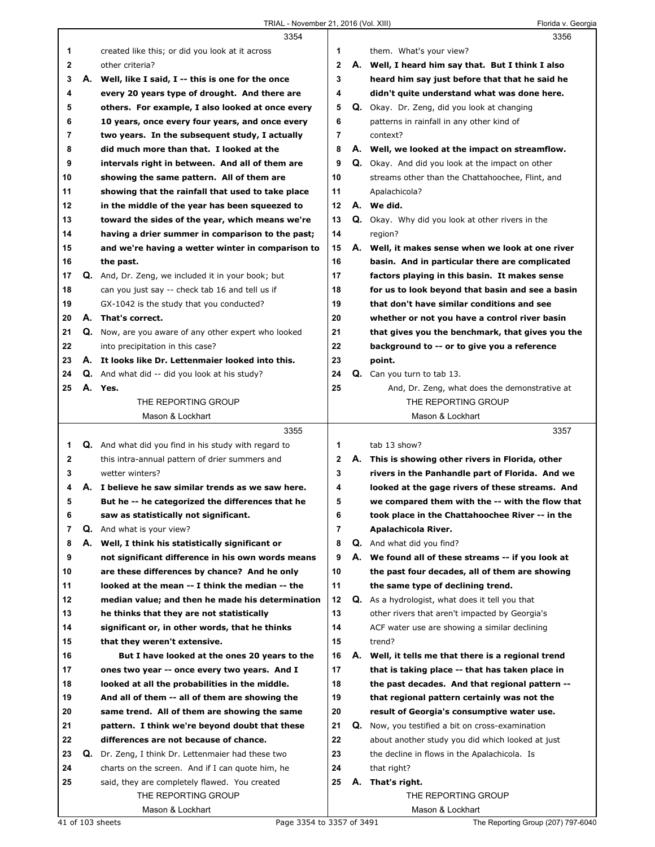|              |    | 3354                                                 |              |    | 3356                                                    |
|--------------|----|------------------------------------------------------|--------------|----|---------------------------------------------------------|
| 1            |    | created like this; or did you look at it across      | 1            |    | them. What's your view?                                 |
| $\mathbf{2}$ |    | other criteria?                                      | $\mathbf{2}$ |    | A. Well, I heard him say that. But I think I also       |
| 3            |    | A. Well, like I said, I -- this is one for the once  | 3            |    | heard him say just before that that he said he          |
| 4            |    | every 20 years type of drought. And there are        | 4            |    | didn't quite understand what was done here.             |
| 5            |    | others. For example, I also looked at once every     | 5            |    | Q. Okay. Dr. Zeng, did you look at changing             |
| 6            |    | 10 years, once every four years, and once every      | 6            |    | patterns in rainfall in any other kind of               |
| 7            |    | two years. In the subsequent study, I actually       | 7            |    | context?                                                |
| 8            |    | did much more than that. I looked at the             | 8            |    | A. Well, we looked at the impact on streamflow.         |
| 9            |    | intervals right in between. And all of them are      | 9            |    | <b>Q.</b> Okay. And did you look at the impact on other |
| 10           |    | showing the same pattern. All of them are            | 10           |    | streams other than the Chattahoochee, Flint, and        |
| 11           |    | showing that the rainfall that used to take place    | 11           |    | Apalachicola?                                           |
| 12           |    | in the middle of the year has been squeezed to       | 12           |    | A. We did.                                              |
| 13           |    | toward the sides of the year, which means we're      | 13           |    | Q. Okay. Why did you look at other rivers in the        |
|              |    |                                                      |              |    |                                                         |
| 14           |    | having a drier summer in comparison to the past;     | 14           |    | region?                                                 |
| 15           |    | and we're having a wetter winter in comparison to    | 15           |    | A. Well, it makes sense when we look at one river       |
| 16           |    | the past.                                            | 16           |    | basin. And in particular there are complicated          |
| 17           |    | Q. And, Dr. Zeng, we included it in your book; but   | 17           |    | factors playing in this basin. It makes sense           |
| 18           |    | can you just say -- check tab 16 and tell us if      | 18           |    | for us to look beyond that basin and see a basin        |
| 19           |    | GX-1042 is the study that you conducted?             | 19           |    | that don't have similar conditions and see              |
| 20           |    | A. That's correct.                                   | 20           |    | whether or not you have a control river basin           |
| 21           |    | Q. Now, are you aware of any other expert who looked | 21           |    | that gives you the benchmark, that gives you the        |
| 22           |    | into precipitation in this case?                     | 22           |    | background to -- or to give you a reference             |
| 23           |    | A. It looks like Dr. Lettenmaier looked into this.   | 23           |    | point.                                                  |
| 24           |    | <b>Q.</b> And what did -- did you look at his study? | 24           |    | <b>Q.</b> Can you turn to tab 13.                       |
| 25           |    | A. Yes.                                              | 25           |    | And, Dr. Zeng, what does the demonstrative at           |
|              |    | THE REPORTING GROUP                                  |              |    | THE REPORTING GROUP                                     |
|              |    | Mason & Lockhart                                     |              |    | Mason & Lockhart                                        |
|              |    |                                                      |              |    |                                                         |
|              |    | 3355                                                 |              |    | 3357                                                    |
| 1            |    | Q. And what did you find in his study with regard to | 1            |    | tab 13 show?                                            |
| 2            |    | this intra-annual pattern of drier summers and       | 2            |    | A. This is showing other rivers in Florida, other       |
| 3            |    | wetter winters?                                      | 3            |    | rivers in the Panhandle part of Florida. And we         |
| 4            |    | A. I believe he saw similar trends as we saw here.   | 4            |    | looked at the gage rivers of these streams. And         |
| 5            |    | But he -- he categorized the differences that he     | 5            |    | we compared them with the -- with the flow that         |
| 6            |    | saw as statistically not significant.                | 6            |    | took place in the Chattahoochee River -- in the         |
| 7            |    | <b>Q.</b> And what is your view?                     | 7            |    | Apalachicola River.                                     |
| 8            | А. | Well, I think his statistically significant or       | 8            |    | Q. And what did you find?                               |
| 9            |    | not significant difference in his own words means    | 9            |    | A. We found all of these streams -- if you look at      |
| 10           |    | are these differences by chance? And he only         | 10           |    | the past four decades, all of them are showing          |
| 11           |    | looked at the mean -- I think the median -- the      | 11           |    | the same type of declining trend.                       |
| 12           |    | median value; and then he made his determination     | 12           |    | Q. As a hydrologist, what does it tell you that         |
| 13           |    |                                                      | 13           |    | other rivers that aren't impacted by Georgia's          |
|              |    | he thinks that they are not statistically            |              |    |                                                         |
| 14           |    | significant or, in other words, that he thinks       | 14           |    | ACF water use are showing a similar declining           |
| 15           |    | that they weren't extensive.                         | 15           |    | trend?                                                  |
| 16           |    | But I have looked at the ones 20 years to the        | 16           |    | A. Well, it tells me that there is a regional trend     |
| 17           |    | ones two year -- once every two years. And I         | 17           |    | that is taking place -- that has taken place in         |
| 18           |    | looked at all the probabilities in the middle.       | 18           |    | the past decades. And that regional pattern --          |
| 19           |    | And all of them -- all of them are showing the       | 19           |    | that regional pattern certainly was not the             |
| 20           |    | same trend. All of them are showing the same         | 20           |    | result of Georgia's consumptive water use.              |
| 21           |    | pattern. I think we're beyond doubt that these       | 21           | Q. | Now, you testified a bit on cross-examination           |
| 22           |    | differences are not because of chance.               | 22           |    | about another study you did which looked at just        |
| 23           | Q. | Dr. Zeng, I think Dr. Lettenmaier had these two      | 23           |    | the decline in flows in the Apalachicola. Is            |
| 24           |    | charts on the screen. And if I can quote him, he     | 24           |    | that right?                                             |
| 25           |    | said, they are completely flawed. You created        | 25           |    | A. That's right.                                        |
|              |    | THE REPORTING GROUP<br>Mason & Lockhart              |              |    | THE REPORTING GROUP<br>Mason & Lockhart                 |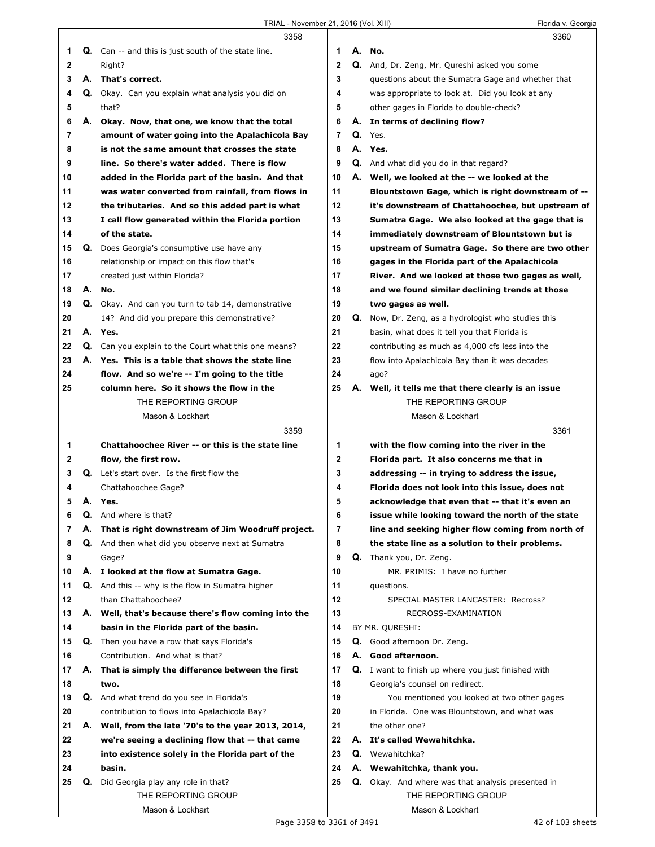|    |    | 3358                                                        |              |    | 3360                                                       |
|----|----|-------------------------------------------------------------|--------------|----|------------------------------------------------------------|
| 1  |    | <b>Q.</b> Can -- and this is just south of the state line.  | 1            |    | A. No.                                                     |
| 2  |    | Right?                                                      | $\mathbf{2}$ |    | Q. And, Dr. Zeng, Mr. Qureshi asked you some               |
| 3  |    | A. That's correct.                                          | 3            |    | questions about the Sumatra Gage and whether that          |
| 4  |    | Q. Okay. Can you explain what analysis you did on           | 4            |    | was appropriate to look at. Did you look at any            |
| 5  |    | that?                                                       | 5            |    | other gages in Florida to double-check?                    |
| 6  | А. | Okay. Now, that one, we know that the total                 | 6            |    | A. In terms of declining flow?                             |
| 7  |    | amount of water going into the Apalachicola Bay             | 7            |    | Q. Yes.                                                    |
| 8  |    | is not the same amount that crosses the state               | 8            |    | A. Yes.                                                    |
| 9  |    | line. So there's water added. There is flow                 | 9            |    | Q. And what did you do in that regard?                     |
| 10 |    | added in the Florida part of the basin. And that            | 10           |    | A. Well, we looked at the -- we looked at the              |
| 11 |    | was water converted from rainfall, from flows in            | 11           |    | Blountstown Gage, which is right downstream of --          |
| 12 |    | the tributaries. And so this added part is what             | 12           |    | it's downstream of Chattahoochee, but upstream of          |
| 13 |    | I call flow generated within the Florida portion            | 13           |    | Sumatra Gage. We also looked at the gage that is           |
| 14 |    | of the state.                                               | 14           |    | immediately downstream of Blountstown but is               |
| 15 | Q. | Does Georgia's consumptive use have any                     | 15           |    | upstream of Sumatra Gage. So there are two other           |
| 16 |    | relationship or impact on this flow that's                  | 16           |    | gages in the Florida part of the Apalachicola              |
| 17 |    | created just within Florida?                                | 17           |    | River. And we looked at those two gages as well,           |
| 18 | А. | No.                                                         | 18           |    | and we found similar declining trends at those             |
| 19 |    | Q. Okay. And can you turn to tab 14, demonstrative          | 19           |    | two gages as well.                                         |
| 20 |    | 14? And did you prepare this demonstrative?                 | 20           | Q. | Now, Dr. Zeng, as a hydrologist who studies this           |
| 21 |    | A. Yes.                                                     | 21           |    | basin, what does it tell you that Florida is               |
| 22 |    | <b>Q.</b> Can you explain to the Court what this one means? | 22           |    | contributing as much as 4,000 cfs less into the            |
| 23 |    | A. Yes. This is a table that shows the state line           | 23           |    | flow into Apalachicola Bay than it was decades             |
| 24 |    | flow. And so we're -- I'm going to the title                | 24           |    | ago?                                                       |
| 25 |    | column here. So it shows the flow in the                    | 25           |    | A. Well, it tells me that there clearly is an issue        |
|    |    | THE REPORTING GROUP                                         |              |    | THE REPORTING GROUP                                        |
|    |    | Mason & Lockhart                                            |              |    | Mason & Lockhart                                           |
|    |    | 3359                                                        |              |    | 3361                                                       |
| 1  |    | Chattahoochee River -- or this is the state line            | 1            |    | with the flow coming into the river in the                 |
| 2  |    | flow, the first row.                                        | $\mathbf 2$  |    | Florida part. It also concerns me that in                  |
| 3  |    | Q. Let's start over. Is the first flow the                  | 3            |    | addressing -- in trying to address the issue,              |
| 4  |    | Chattahoochee Gage?                                         | 4            |    | Florida does not look into this issue, does not            |
| 5  |    | A. Yes.                                                     | 5            |    | acknowledge that even that -- that it's even an            |
| 6  | Q. | And where is that?                                          | b            |    | issue while looking toward the north of the state          |
| 7  | А. | That is right downstream of Jim Woodruff project.           | 7            |    | line and seeking higher flow coming from north of          |
| 8  |    | Q. And then what did you observe next at Sumatra            | 8            |    | the state line as a solution to their problems.            |
| 9  |    | Gage?                                                       | 9            |    | Q. Thank you, Dr. Zeng.                                    |
| 10 |    | A. I looked at the flow at Sumatra Gage.                    | 10           |    | MR. PRIMIS: I have no further                              |
| 11 |    | <b>Q.</b> And this -- why is the flow in Sumatra higher     | 11           |    | questions.                                                 |
| 12 |    | than Chattahoochee?                                         | 12           |    | SPECIAL MASTER LANCASTER: Recross?                         |
| 13 |    | A. Well, that's because there's flow coming into the        | 13           |    | RECROSS-EXAMINATION                                        |
| 14 |    | basin in the Florida part of the basin.                     | 14           |    | BY MR. QURESHI:                                            |
| 15 |    | <b>Q.</b> Then you have a row that says Florida's           | 15           |    | Q. Good afternoon Dr. Zeng.                                |
| 16 |    | Contribution. And what is that?                             | 16           |    | A. Good afternoon.                                         |
| 17 | А. | That is simply the difference between the first             | 17           |    | <b>Q.</b> I want to finish up where you just finished with |
| 18 |    | two.                                                        | 18           |    | Georgia's counsel on redirect.                             |
| 19 |    | Q. And what trend do you see in Florida's                   | 19           |    | You mentioned you looked at two other gages                |
| 20 |    | contribution to flows into Apalachicola Bay?                | 20           |    | in Florida. One was Blountstown, and what was              |
| 21 |    | A. Well, from the late '70's to the year 2013, 2014,        | 21           |    | the other one?                                             |
| 22 |    | we're seeing a declining flow that -- that came             | 22           |    | A. It's called Wewahitchka.                                |
| 23 |    | into existence solely in the Florida part of the            | 23           |    | Q. Wewahitchka?                                            |
| 24 |    | basin.                                                      | 24           |    | A. Wewahitchka, thank you.                                 |
| 25 | Q. | Did Georgia play any role in that?                          | 25           |    | <b>Q.</b> Okay. And where was that analysis presented in   |
|    |    | THE REPORTING GROUP                                         |              |    | THE REPORTING GROUP                                        |
|    |    |                                                             |              |    |                                                            |
|    |    | Mason & Lockhart                                            |              |    | Mason & Lockhart                                           |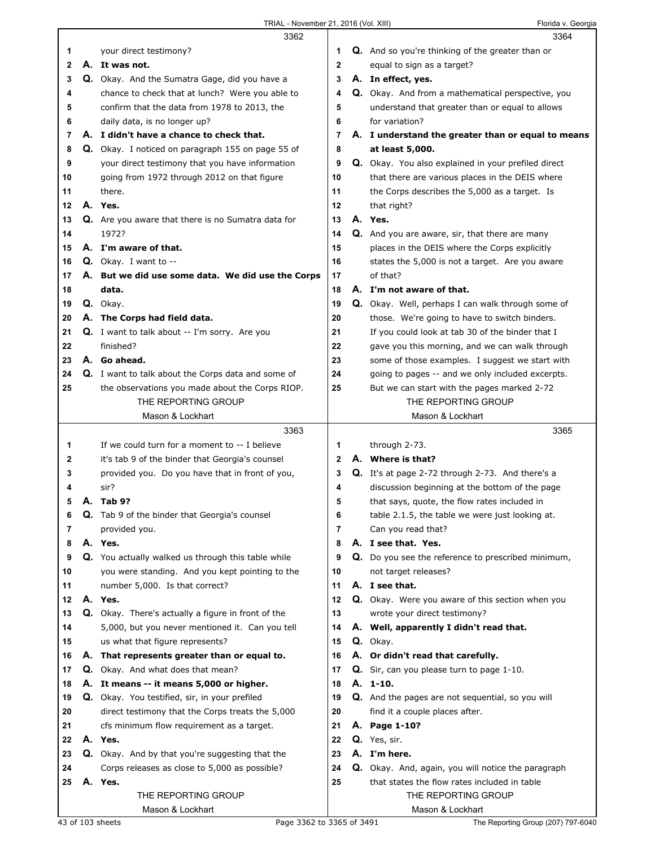|          |    | 3362                                                                                      |              | 3364                                                                           |
|----------|----|-------------------------------------------------------------------------------------------|--------------|--------------------------------------------------------------------------------|
| 1        |    | your direct testimony?                                                                    | 1            | <b>Q.</b> And so you're thinking of the greater than or                        |
| 2        |    | A. It was not.                                                                            | $\mathbf 2$  | equal to sign as a target?                                                     |
| 3        |    | Q. Okay. And the Sumatra Gage, did you have a                                             | 3            | A. In effect, yes.                                                             |
| 4        |    | chance to check that at lunch? Were you able to                                           | 4            | Q. Okay. And from a mathematical perspective, you                              |
| 5        |    | confirm that the data from 1978 to 2013, the                                              | 5            | understand that greater than or equal to allows                                |
| 6        |    | daily data, is no longer up?                                                              | 6            | for variation?                                                                 |
| 7        |    | A. I didn't have a chance to check that.                                                  | 7            | A. I understand the greater than or equal to means                             |
| 8        |    | Q. Okay. I noticed on paragraph 155 on page 55 of                                         | 8            | at least 5,000.                                                                |
| 9        |    | your direct testimony that you have information                                           | 9            | Q. Okay. You also explained in your prefiled direct                            |
| 10       |    | going from 1972 through 2012 on that figure                                               | 10           | that there are various places in the DEIS where                                |
| 11       |    | there.                                                                                    | 11           | the Corps describes the 5,000 as a target. Is                                  |
| 12       |    | A. Yes.                                                                                   | 12           | that right?                                                                    |
| 13       |    | <b>Q.</b> Are you aware that there is no Sumatra data for                                 | 13           | A. Yes.                                                                        |
| 14       |    | 1972?                                                                                     | 14           | Q. And you are aware, sir, that there are many                                 |
| 15       |    | A. I'm aware of that.                                                                     | 15           | places in the DEIS where the Corps explicitly                                  |
| 16       |    | Q. Okay. I want to --                                                                     | 16           | states the 5,000 is not a target. Are you aware                                |
| 17       |    | A. But we did use some data. We did use the Corps                                         | 17           | of that?                                                                       |
| 18       |    | data.                                                                                     | 18           | A. I'm not aware of that.                                                      |
| 19       |    | Q. Okay.                                                                                  | 19           | Q. Okay. Well, perhaps I can walk through some of                              |
| 20       |    | A. The Corps had field data.                                                              | 20           | those. We're going to have to switch binders.                                  |
| 21       |    | Q. I want to talk about -- I'm sorry. Are you                                             | 21           | If you could look at tab 30 of the binder that I                               |
| 22       |    | finished?                                                                                 | 22           | gave you this morning, and we can walk through                                 |
| 23       |    | A. Go ahead.                                                                              | 23           | some of those examples. I suggest we start with                                |
| 24       |    | <b>Q.</b> I want to talk about the Corps data and some of                                 | 24           | going to pages -- and we only included excerpts.                               |
| 25       |    | the observations you made about the Corps RIOP.                                           | 25           | But we can start with the pages marked 2-72                                    |
|          |    | THE REPORTING GROUP                                                                       |              | THE REPORTING GROUP                                                            |
|          |    | Mason & Lockhart                                                                          |              | Mason & Lockhart                                                               |
|          |    | 3363                                                                                      |              | 3365                                                                           |
| 1        |    | If we could turn for a moment to -- I believe                                             | 1            | through 2-73.                                                                  |
| 2        |    | it's tab 9 of the binder that Georgia's counsel                                           | $\mathbf{2}$ | A. Where is that?                                                              |
| 3        |    | provided you. Do you have that in front of you,                                           | 3            | <b>Q.</b> It's at page 2-72 through 2-73. And there's a                        |
| 4        |    | sir?                                                                                      | 4            | discussion beginning at the bottom of the page                                 |
| 5        |    | A. Tab 9?                                                                                 | 5            | that says, quote, the flow rates included in                                   |
| 6        | Q. | Tab 9 of the binder that Georgia's counsel                                                | 6            | table 2.1.5, the table we were just looking at.                                |
| 7        |    | provided you.                                                                             | 7            | Can you read that?                                                             |
| 8        |    | A. Yes.                                                                                   | 8            | A. I see that. Yes.                                                            |
| 9        |    | Q. You actually walked us through this table while                                        | 9            | Q. Do you see the reference to prescribed minimum,                             |
| 10       |    | you were standing. And you kept pointing to the                                           | 10           | not target releases?                                                           |
| 11       |    | number 5,000. Is that correct?                                                            | 11           | A. I see that.                                                                 |
| 12       |    | A. Yes.                                                                                   | 12           | Q. Okay. Were you aware of this section when you                               |
| 13       |    | Q. Okay. There's actually a figure in front of the                                        | 13           | wrote your direct testimony?                                                   |
| 14       |    | 5,000, but you never mentioned it. Can you tell                                           | 14           | A. Well, apparently I didn't read that.                                        |
| 15       |    | us what that figure represents?                                                           | 15           | Q. Okay.                                                                       |
| 16<br>17 |    | A. That represents greater than or equal to.<br>Q. Okay. And what does that mean?         | 16<br>17     | A. Or didn't read that carefully.<br>Q. Sir, can you please turn to page 1-10. |
|          |    |                                                                                           | 18           | A. 1-10.                                                                       |
| 18<br>19 |    | A. It means -- it means 5,000 or higher.<br>Q. Okay. You testified, sir, in your prefiled | 19           | Q. And the pages are not sequential, so you will                               |
| 20       |    | direct testimony that the Corps treats the 5,000                                          | 20           | find it a couple places after.                                                 |
| 21       |    | cfs minimum flow requirement as a target.                                                 | 21           | A. Page 1-10?                                                                  |
| 22       |    | A. Yes.                                                                                   | 22           | Q. Yes, sir.                                                                   |
| 23       |    | Q. Okay. And by that you're suggesting that the                                           | 23           | A. I'm here.                                                                   |
| 24       |    | Corps releases as close to 5,000 as possible?                                             | 24           | Q. Okay. And, again, you will notice the paragraph                             |
| 25       |    | A. Yes.                                                                                   | 25           | that states the flow rates included in table                                   |
|          |    | THE REPORTING GROUP                                                                       |              | THE REPORTING GROUP                                                            |
|          |    | Mason & Lockhart                                                                          |              | Mason & Lockhart                                                               |
|          |    |                                                                                           |              |                                                                                |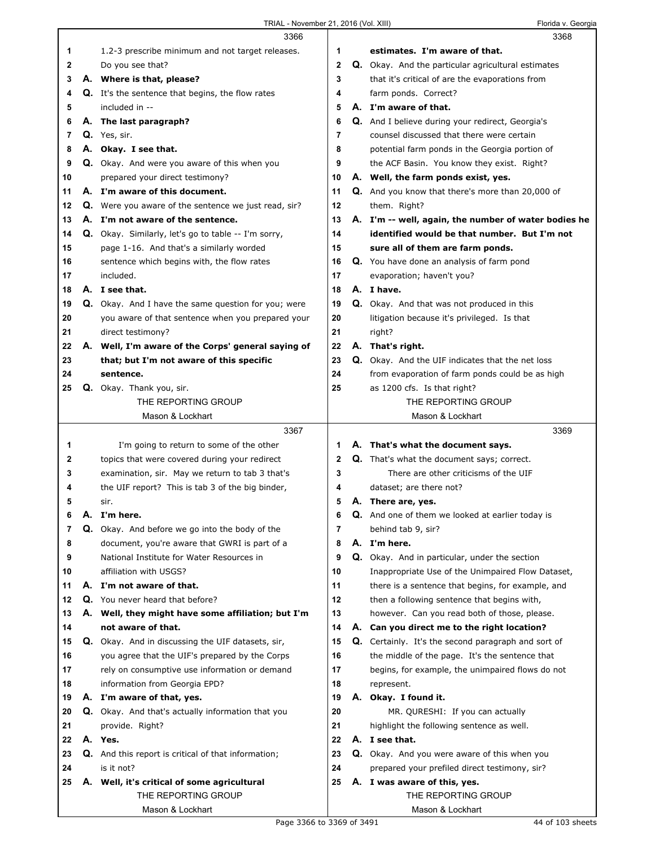|    | 3366                                                       |             | 3368                                                       |
|----|------------------------------------------------------------|-------------|------------------------------------------------------------|
| 1  | 1.2-3 prescribe minimum and not target releases.           | 1           | estimates. I'm aware of that.                              |
| 2  | Do you see that?                                           | $\mathbf 2$ | Q. Okay. And the particular agricultural estimates         |
| 3  | A. Where is that, please?                                  | 3           | that it's critical of are the evaporations from            |
| 4  | <b>Q.</b> It's the sentence that begins, the flow rates    | 4           | farm ponds. Correct?                                       |
| 5  | included in --                                             | 5           | A. I'm aware of that.                                      |
| 6  | A. The last paragraph?                                     | 6           | Q. And I believe during your redirect, Georgia's           |
| 7  | Q. Yes, sir.                                               | 7           | counsel discussed that there were certain                  |
| 8  | A. Okay. I see that.                                       | 8           | potential farm ponds in the Georgia portion of             |
| 9  | Q. Okay. And were you aware of this when you               | 9           | the ACF Basin. You know they exist. Right?                 |
| 10 | prepared your direct testimony?                            | 10          | A. Well, the farm ponds exist, yes.                        |
| 11 | A. I'm aware of this document.                             | 11          | <b>Q.</b> And you know that there's more than 20,000 of    |
| 12 | Q. Were you aware of the sentence we just read, sir?       | 12          | them. Right?                                               |
| 13 | A. I'm not aware of the sentence.                          | 13          | A. I'm -- well, again, the number of water bodies he       |
| 14 | <b>Q.</b> Okay. Similarly, let's go to table -- I'm sorry, | 14          | identified would be that number. But I'm not               |
| 15 | page 1-16. And that's a similarly worded                   | 15          | sure all of them are farm ponds.                           |
| 16 | sentence which begins with, the flow rates                 | 16          | Q. You have done an analysis of farm pond                  |
| 17 | included.                                                  | 17          | evaporation; haven't you?                                  |
| 18 | A. I see that.                                             | 18          | A. I have.                                                 |
| 19 | <b>Q.</b> Okay. And I have the same question for you; were | 19          | <b>Q.</b> Okay. And that was not produced in this          |
| 20 | you aware of that sentence when you prepared your          | 20          | litigation because it's privileged. Is that                |
| 21 | direct testimony?                                          | 21          | right?                                                     |
| 22 | A. Well, I'm aware of the Corps' general saying of         | 22          | A. That's right.                                           |
| 23 | that; but I'm not aware of this specific                   | 23          | Q. Okay. And the UIF indicates that the net loss           |
| 24 | sentence.                                                  | 24          | from evaporation of farm ponds could be as high            |
| 25 | Q. Okay. Thank you, sir.                                   | 25          | as 1200 cfs. Is that right?                                |
|    | THE REPORTING GROUP                                        |             | THE REPORTING GROUP                                        |
|    | Mason & Lockhart                                           |             | Mason & Lockhart                                           |
|    |                                                            |             |                                                            |
|    | 3367                                                       |             | 3369                                                       |
| 1  | I'm going to return to some of the other                   | 1           | A. That's what the document says.                          |
| 2  | topics that were covered during your redirect              | $\mathbf 2$ | Q. That's what the document says; correct.                 |
| 3  | examination, sir. May we return to tab 3 that's            | 3           | There are other criticisms of the UIF                      |
| 4  | the UIF report? This is tab 3 of the big binder,           | 4           | dataset; are there not?                                    |
| 5  | sir.                                                       | 5           | A. There are, yes.                                         |
| 6  | A. I'm here.                                               | 6           | Q. And one of them we looked at earlier today is           |
| 7  | Q. Okay. And before we go into the body of the             | 7           | behind tab 9, sir?                                         |
| 8  | document, you're aware that GWRI is part of a              | 8           | A. I'm here.                                               |
| 9  | National Institute for Water Resources in                  | 9           | Q. Okay. And in particular, under the section              |
| 10 | affiliation with USGS?                                     | 10          | Inappropriate Use of the Unimpaired Flow Dataset,          |
| 11 | A. I'm not aware of that.                                  | 11          | there is a sentence that begins, for example, and          |
| 12 | Q. You never heard that before?                            | 12          | then a following sentence that begins with,                |
| 13 | A. Well, they might have some affiliation; but I'm         | 13          | however. Can you read both of those, please.               |
| 14 | not aware of that.                                         | 14          | A. Can you direct me to the right location?                |
| 15 | Q. Okay. And in discussing the UIF datasets, sir,          | 15          | <b>Q.</b> Certainly. It's the second paragraph and sort of |
| 16 | you agree that the UIF's prepared by the Corps             | 16          | the middle of the page. It's the sentence that             |
| 17 | rely on consumptive use information or demand              | 17          | begins, for example, the unimpaired flows do not           |
| 18 | information from Georgia EPD?                              | 18          | represent.                                                 |
| 19 | A. I'm aware of that, yes.                                 | 19          | A. Okay. I found it.                                       |
| 20 | Q. Okay. And that's actually information that you          | 20          | MR. QURESHI: If you can actually                           |
| 21 | provide. Right?                                            | 21          | highlight the following sentence as well.                  |
| 22 | A. Yes.                                                    | 22          | A. I see that.                                             |
| 23 | Q. And this report is critical of that information;        | 23          | Q. Okay. And you were aware of this when you               |
| 24 | is it not?                                                 | 24          | prepared your prefiled direct testimony, sir?              |
| 25 | A. Well, it's critical of some agricultural                | 25          | A. I was aware of this, yes.                               |
|    | THE REPORTING GROUP                                        |             | THE REPORTING GROUP                                        |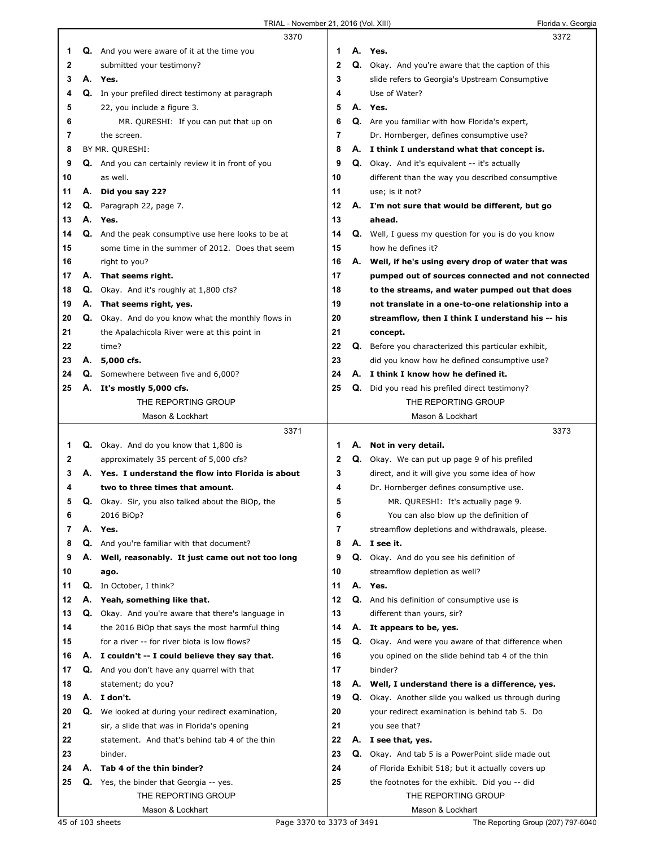|    |    | 3370                                                     |              |    | 3372                                                       |
|----|----|----------------------------------------------------------|--------------|----|------------------------------------------------------------|
| 1  |    | <b>Q.</b> And you were aware of it at the time you       | 1            |    | A. Yes.                                                    |
| 2  |    | submitted your testimony?                                | $\mathbf{2}$ |    | Q. Okay. And you're aware that the caption of this         |
| 3  | А. | Yes.                                                     | 3            |    | slide refers to Georgia's Upstream Consumptive             |
| 4  |    | Q. In your prefiled direct testimony at paragraph        | 4            |    | Use of Water?                                              |
| 5  |    | 22, you include a figure 3.                              | 5            |    | A. Yes.                                                    |
| 6  |    | MR. QURESHI: If you can put that up on                   | 6            |    | Q. Are you familiar with how Florida's expert,             |
| 7  |    | the screen.                                              | 7            |    | Dr. Hornberger, defines consumptive use?                   |
| 8  |    | BY MR. QURESHI:                                          | 8            |    | A. I think I understand what that concept is.              |
| 9  |    | Q. And you can certainly review it in front of you       | 9            |    | <b>Q.</b> Okay. And it's equivalent -- it's actually       |
| 10 |    | as well.                                                 | 10           |    | different than the way you described consumptive           |
| 11 | А. | Did you say 22?                                          | 11           |    | use; is it not?                                            |
| 12 | Q. | Paragraph 22, page 7.                                    | 12           |    | A. I'm not sure that would be different, but go            |
| 13 |    | A. Yes.                                                  | 13           |    | ahead.                                                     |
| 14 |    | Q. And the peak consumptive use here looks to be at      | 14           | Q. | Well, I guess my question for you is do you know           |
| 15 |    | some time in the summer of 2012. Does that seem          | 15           |    | how he defines it?                                         |
| 16 |    | right to you?                                            | 16           |    | A. Well, if he's using every drop of water that was        |
| 17 | А. | That seems right.                                        | 17           |    | pumped out of sources connected and not connected          |
| 18 | Q. | Okay. And it's roughly at 1,800 cfs?                     | 18           |    | to the streams, and water pumped out that does             |
| 19 | А. | That seems right, yes.                                   | 19           |    | not translate in a one-to-one relationship into a          |
| 20 |    | Q. Okay. And do you know what the monthly flows in       | 20           |    | streamflow, then I think I understand his -- his           |
| 21 |    | the Apalachicola River were at this point in             | 21           |    | concept.                                                   |
| 22 |    | time?                                                    | 22           | Q. | Before you characterized this particular exhibit,          |
| 23 |    | A. 5,000 cfs.                                            | 23           |    | did you know how he defined consumptive use?               |
| 24 | Q. | Somewhere between five and 6,000?                        | 24           |    | A. I think I know how he defined it.                       |
| 25 |    | A. It's mostly 5,000 cfs.                                | 25           |    | Q. Did you read his prefiled direct testimony?             |
|    |    | THE REPORTING GROUP                                      |              |    | THE REPORTING GROUP                                        |
|    |    | Mason & Lockhart                                         |              |    | Mason & Lockhart                                           |
|    |    |                                                          |              |    |                                                            |
|    |    | 3371                                                     |              |    | 3373                                                       |
| 1. |    | <b>Q.</b> Okay. And do you know that 1,800 is            | 1            |    | A. Not in very detail.                                     |
| 2  |    | approximately 35 percent of 5,000 cfs?                   | 2            |    | Q. Okay. We can put up page 9 of his prefiled              |
| 3  |    | A. Yes. I understand the flow into Florida is about      | 3            |    | direct, and it will give you some idea of how              |
| 4  |    | two to three times that amount.                          | 4            |    | Dr. Hornberger defines consumptive use.                    |
| 5  |    | <b>Q.</b> Okay. Sir, you also talked about the BiOp, the | 5            |    | MR. QURESHI: It's actually page 9.                         |
| 6  |    | 2016 BiOp?                                               | 6            |    | You can also blow up the definition of                     |
| 7  | А. | Yes.                                                     | 7            |    | streamflow depletions and withdrawals, please.             |
| 8  | Q. | And you're familiar with that document?                  | 8            |    | A. I see it.                                               |
| 9  | А. | Well, reasonably. It just came out not too long          | 9            |    | Q. Okay. And do you see his definition of                  |
| 10 |    | ago.                                                     | 10           |    | streamflow depletion as well?                              |
| 11 | Q. | In October, I think?                                     | 11           |    | A. Yes.                                                    |
| 12 | А. | Yeah, something like that.                               | 12           |    | Q. And his definition of consumptive use is                |
| 13 |    | Q. Okay. And you're aware that there's language in       | 13           |    | different than yours, sir?                                 |
| 14 |    | the 2016 BiOp that says the most harmful thing           | 14           |    | A. It appears to be, yes.                                  |
| 15 |    | for a river -- for river biota is low flows?             | 15           |    | <b>Q.</b> Okay. And were you aware of that difference when |
| 16 |    | A. I couldn't -- I could believe they say that.          | 16           |    | you opined on the slide behind tab 4 of the thin           |
| 17 |    | <b>Q.</b> And you don't have any quarrel with that       | 17           |    | binder?                                                    |
| 18 |    | statement; do you?                                       | 18           |    | A. Well, I understand there is a difference, yes.          |
| 19 |    | A. I don't.                                              | 19           |    | <b>Q.</b> Okay. Another slide you walked us through during |
| 20 | Q. | We looked at during your redirect examination,           | 20           |    | your redirect examination is behind tab 5. Do              |
| 21 |    | sir, a slide that was in Florida's opening               | 21           |    | you see that?                                              |
| 22 |    | statement. And that's behind tab 4 of the thin           | 22           |    | A. I see that, yes.                                        |
| 23 |    | binder.                                                  | 23           |    | <b>Q.</b> Okay. And tab 5 is a PowerPoint slide made out   |
| 24 | А. | Tab 4 of the thin binder?                                | 24           |    | of Florida Exhibit 518; but it actually covers up          |
| 25 |    | <b>Q.</b> Yes, the binder that Georgia -- yes.           | 25           |    | the footnotes for the exhibit. Did you -- did              |
|    |    | THE REPORTING GROUP<br>Mason & Lockhart                  |              |    | THE REPORTING GROUP<br>Mason & Lockhart                    |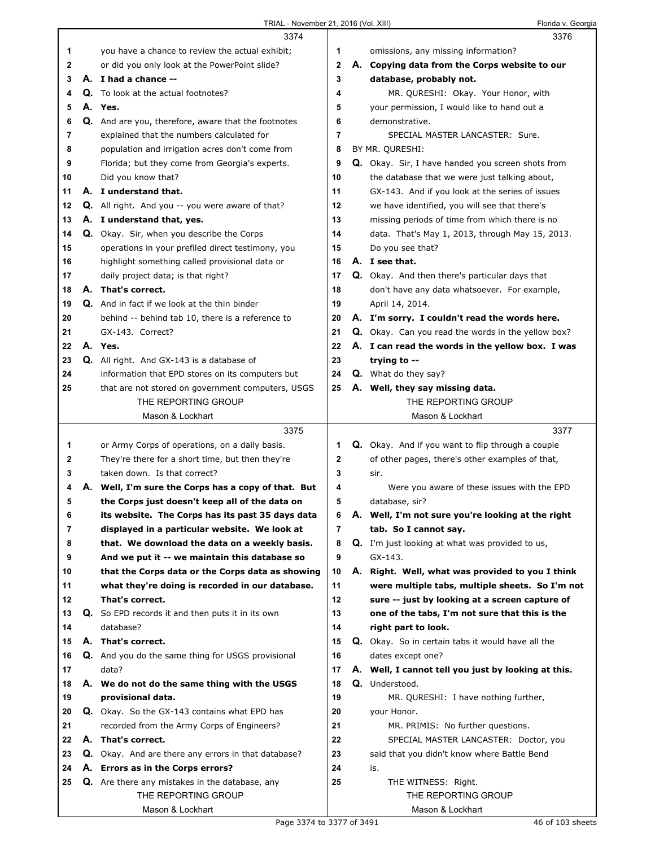|    | 3374                                                       |                |    | 3376                                                      |
|----|------------------------------------------------------------|----------------|----|-----------------------------------------------------------|
| 1  | you have a chance to review the actual exhibit;            | 1              |    | omissions, any missing information?                       |
| 2  | or did you only look at the PowerPoint slide?              | $\mathbf 2$    |    | A. Copying data from the Corps website to our             |
| 3  | A. I had a chance --                                       | 3              |    | database, probably not.                                   |
| 4  | Q. To look at the actual footnotes?                        | 4              |    | MR. QURESHI: Okay. Your Honor, with                       |
| 5  | A. Yes.                                                    | 5              |    | your permission, I would like to hand out a               |
| 6  | Q. And are you, therefore, aware that the footnotes        | 6              |    | demonstrative.                                            |
| 7  | explained that the numbers calculated for                  | 7              |    | SPECIAL MASTER LANCASTER: Sure,                           |
| 8  | population and irrigation acres don't come from            | 8              |    | BY MR. QURESHI:                                           |
| 9  | Florida; but they come from Georgia's experts.             | 9              |    | Q. Okay. Sir, I have handed you screen shots from         |
| 10 | Did you know that?                                         | 10             |    | the database that we were just talking about,             |
| 11 | A. I understand that.                                      | 11             |    | GX-143. And if you look at the series of issues           |
| 12 | <b>Q.</b> All right. And you -- you were aware of that?    | 12             |    | we have identified, you will see that there's             |
| 13 | A. I understand that, yes.                                 | 13             |    | missing periods of time from which there is no            |
| 14 | Q. Okay. Sir, when you describe the Corps                  | 14             |    | data. That's May 1, 2013, through May 15, 2013.           |
| 15 | operations in your prefiled direct testimony, you          | 15             |    | Do you see that?                                          |
| 16 | highlight something called provisional data or             | 16             |    | A. I see that.                                            |
| 17 | daily project data; is that right?                         | 17             |    | <b>Q.</b> Okay. And then there's particular days that     |
| 18 | A. That's correct.                                         | 18             |    | don't have any data whatsoever. For example,              |
| 19 | Q. And in fact if we look at the thin binder               | 19             |    | April 14, 2014.                                           |
| 20 | behind -- behind tab 10, there is a reference to           | 20             |    | A. I'm sorry. I couldn't read the words here.             |
| 21 | GX-143. Correct?                                           | 21             |    | <b>Q.</b> Okay. Can you read the words in the yellow box? |
| 22 | A. Yes.                                                    | 22             |    | A. I can read the words in the yellow box. I was          |
| 23 | Q. All right. And GX-143 is a database of                  | 23             |    | trying to --                                              |
| 24 | information that EPD stores on its computers but           | 24             |    | Q. What do they say?                                      |
| 25 | that are not stored on government computers, USGS          | 25             |    | A. Well, they say missing data.                           |
|    | THE REPORTING GROUP                                        |                |    | THE REPORTING GROUP                                       |
|    | Mason & Lockhart                                           |                |    | Mason & Lockhart                                          |
|    | 3375                                                       |                |    | 3377                                                      |
| 1  | or Army Corps of operations, on a daily basis.             | 1              |    | <b>Q.</b> Okay. And if you want to flip through a couple  |
|    |                                                            |                |    |                                                           |
|    |                                                            |                |    |                                                           |
| 2  | They're there for a short time, but then they're           | $\mathbf 2$    |    | of other pages, there's other examples of that,           |
| 3  | taken down. Is that correct?                               | 3              |    | sir.                                                      |
| 4  | A. Well, I'm sure the Corps has a copy of that. But        | 4              |    | Were you aware of these issues with the EPD               |
| 5  | the Corps just doesn't keep all of the data on             | 5              |    | database, sir?                                            |
| 6  | its website. The Corps has its past 35 days data           | 6              |    | A. Well, I'm not sure you're looking at the right         |
| 7  | displayed in a particular website. We look at              | $\overline{7}$ |    | tab. So I cannot say.                                     |
| 8  | that. We download the data on a weekly basis.              | 8              |    | Q. I'm just looking at what was provided to us,           |
| 9  | And we put it -- we maintain this database so              | 9              |    | GX-143.                                                   |
| 10 | that the Corps data or the Corps data as showing           | 10             | А. | Right. Well, what was provided to you I think             |
| 11 | what they're doing is recorded in our database.            | 11             |    | were multiple tabs, multiple sheets. So I'm not           |
| 12 | That's correct.                                            | 12             |    | sure -- just by looking at a screen capture of            |
| 13 | Q. So EPD records it and then puts it in its own           | 13             |    | one of the tabs, I'm not sure that this is the            |
| 14 | database?                                                  | 14             |    | right part to look.                                       |
| 15 | A. That's correct.                                         | 15             |    | Q. Okay. So in certain tabs it would have all the         |
| 16 | Q. And you do the same thing for USGS provisional          | 16             |    | dates except one?                                         |
| 17 | data?                                                      | 17             |    | A. Well, I cannot tell you just by looking at this.       |
| 18 | A. We do not do the same thing with the USGS               | 18             |    | Q. Understood.                                            |
| 19 | provisional data.                                          | 19             |    | MR. QURESHI: I have nothing further,                      |
| 20 | <b>Q.</b> Okay. So the GX-143 contains what EPD has        | 20             |    | your Honor.                                               |
| 21 | recorded from the Army Corps of Engineers?                 | 21             |    | MR. PRIMIS: No further questions.                         |
| 22 | A. That's correct.                                         | 22             |    | SPECIAL MASTER LANCASTER: Doctor, you                     |
| 23 | <b>Q.</b> Okay. And are there any errors in that database? | 23             |    | said that you didn't know where Battle Bend               |
| 24 | A. Errors as in the Corps errors?                          | 24             |    | is.                                                       |
| 25 | Q. Are there any mistakes in the database, any             | 25             |    | THE WITNESS: Right.                                       |
|    | THE REPORTING GROUP<br>Mason & Lockhart                    |                |    | THE REPORTING GROUP<br>Mason & Lockhart                   |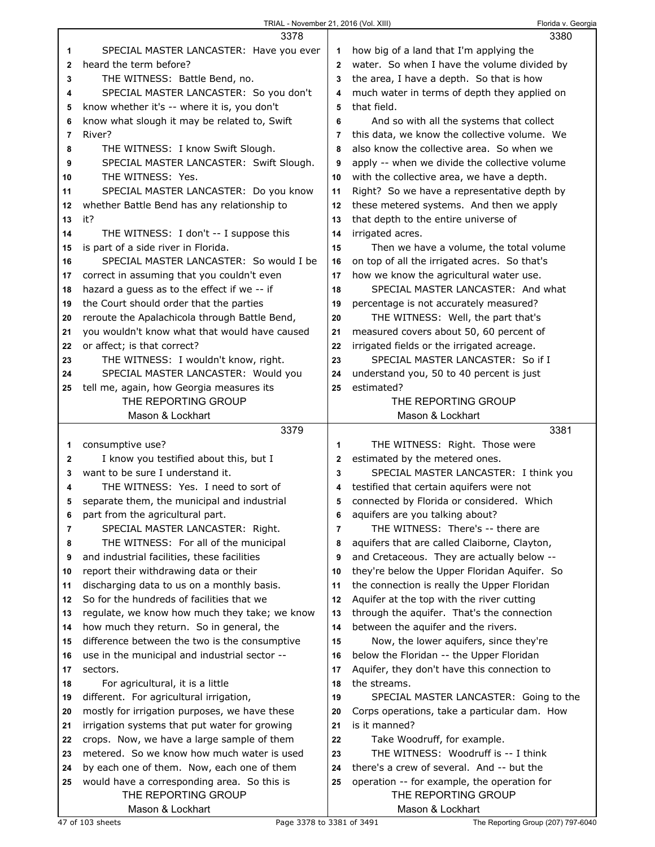| TRIAL - November 21, 2016 (Vol. XIII) |  |  |
|---------------------------------------|--|--|
|                                       |  |  |

Florida v. Georgia

|              | 3378                                          |                | 3380                                          |
|--------------|-----------------------------------------------|----------------|-----------------------------------------------|
| 1            | SPECIAL MASTER LANCASTER: Have you ever       | 1              | how big of a land that I'm applying the       |
| $\mathbf{2}$ | heard the term before?                        | $\overline{2}$ | water. So when I have the volume divided by   |
| 3            | THE WITNESS: Battle Bend, no.                 | 3              | the area, I have a depth. So that is how      |
| 4            | SPECIAL MASTER LANCASTER: So you don't        | 4              | much water in terms of depth they applied on  |
| 5            | know whether it's -- where it is, you don't   | 5              | that field.                                   |
| 6            | know what slough it may be related to, Swift  | 6              | And so with all the systems that collect      |
| 7            | River?                                        | 7              | this data, we know the collective volume. We  |
| 8            | THE WITNESS: I know Swift Slough.             | 8              | also know the collective area. So when we     |
| 9            | SPECIAL MASTER LANCASTER: Swift Slough.       | 9              | apply -- when we divide the collective volume |
| 10           | THE WITNESS: Yes.                             | 10             | with the collective area, we have a depth.    |
| 11           | SPECIAL MASTER LANCASTER: Do you know         | 11             | Right? So we have a representative depth by   |
| 12           | whether Battle Bend has any relationship to   | 12             | these metered systems. And then we apply      |
| 13           | it?                                           | 13             | that depth to the entire universe of          |
| 14           | THE WITNESS: I don't -- I suppose this        | 14             | irrigated acres.                              |
| 15           | is part of a side river in Florida.           | 15             | Then we have a volume, the total volume       |
| 16           | SPECIAL MASTER LANCASTER: So would I be       | 16             | on top of all the irrigated acres. So that's  |
| 17           | correct in assuming that you couldn't even    | 17             | how we know the agricultural water use.       |
| 18           | hazard a guess as to the effect if we -- if   | 18             | SPECIAL MASTER LANCASTER: And what            |
| 19           | the Court should order that the parties       | 19             | percentage is not accurately measured?        |
| 20           | reroute the Apalachicola through Battle Bend, | 20             | THE WITNESS: Well, the part that's            |
| 21           | you wouldn't know what that would have caused | 21             | measured covers about 50, 60 percent of       |
| 22           | or affect; is that correct?                   | 22             | irrigated fields or the irrigated acreage.    |
| 23           | THE WITNESS: I wouldn't know, right.          | 23             | SPECIAL MASTER LANCASTER: So if I             |
| 24           | SPECIAL MASTER LANCASTER: Would you           | 24             | understand you, 50 to 40 percent is just      |
| 25           | tell me, again, how Georgia measures its      | 25             | estimated?                                    |
|              | THE REPORTING GROUP                           |                | THE REPORTING GROUP                           |
|              | Mason & Lockhart                              |                | Mason & Lockhart                              |
|              |                                               |                |                                               |
|              | 3379                                          |                | 3381                                          |
| 1            | consumptive use?                              | 1              | THE WITNESS: Right. Those were                |
| 2            | I know you testified about this, but I        | $\overline{2}$ | estimated by the metered ones.                |
| 3            | want to be sure I understand it.              | 3              | SPECIAL MASTER LANCASTER: I think you         |
| 4            | THE WITNESS: Yes. I need to sort of           | 4              | testified that certain aquifers were not      |
| 5            | separate them, the municipal and industrial   | 5              | connected by Florida or considered. Which     |
| 6            | part from the agricultural part.              | 6              | aquifers are you talking about?               |
| 7            | SPECIAL MASTER LANCASTER: Right.              | 7              | THE WITNESS: There's -- there are             |
| 8            | THE WITNESS: For all of the municipal         | 8              | aquifers that are called Claiborne, Clayton,  |
| 9            | and industrial facilities, these facilities   | 9              | and Cretaceous. They are actually below --    |
| 10           | report their withdrawing data or their        | 10             | they're below the Upper Floridan Aquifer. So  |
| 11           | discharging data to us on a monthly basis.    | 11             | the connection is really the Upper Floridan   |
| 12           | So for the hundreds of facilities that we     | 12             | Aquifer at the top with the river cutting     |
| 13           | regulate, we know how much they take; we know | 13             | through the aquifer. That's the connection    |
| 14           | how much they return. So in general, the      | 14             | between the aquifer and the rivers.           |
| 15           | difference between the two is the consumptive | 15             | Now, the lower aquifers, since they're        |
| 16           | use in the municipal and industrial sector -- | 16             | below the Floridan -- the Upper Floridan      |
| 17           | sectors.                                      | 17             | Aquifer, they don't have this connection to   |
| 18           | For agricultural, it is a little              | 18             | the streams.                                  |
| 19           | different. For agricultural irrigation,       | 19             | SPECIAL MASTER LANCASTER: Going to the        |
| 20           | mostly for irrigation purposes, we have these | 20             | Corps operations, take a particular dam. How  |
| 21           | irrigation systems that put water for growing | 21             | is it manned?                                 |
| 22           | crops. Now, we have a large sample of them    | 22             | Take Woodruff, for example.                   |
| 23           | metered. So we know how much water is used    | 23             | THE WITNESS: Woodruff is -- I think           |
| 24           | by each one of them. Now, each one of them    | 24             | there's a crew of several. And -- but the     |
| 25           | would have a corresponding area. So this is   | 25             | operation -- for example, the operation for   |
|              | THE REPORTING GROUP<br>Mason & Lockhart       |                | THE REPORTING GROUP<br>Mason & Lockhart       |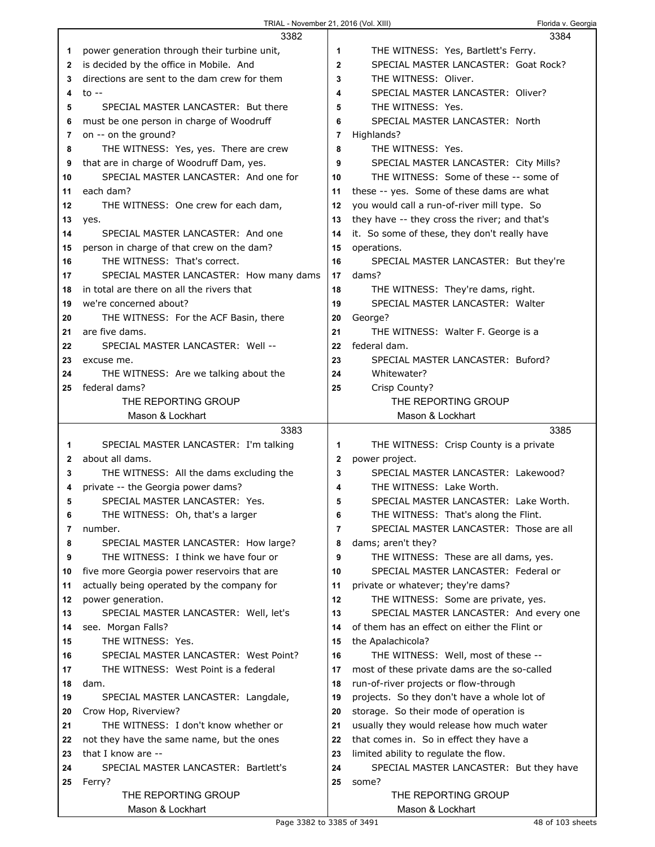|    | 3382                                         |              | 3384                                          |
|----|----------------------------------------------|--------------|-----------------------------------------------|
| 1  | power generation through their turbine unit, | 1            | THE WITNESS: Yes, Bartlett's Ferry.           |
| 2  | is decided by the office in Mobile. And      | $\mathbf{2}$ | SPECIAL MASTER LANCASTER: Goat Rock?          |
| 3  | directions are sent to the dam crew for them | 3            | THE WITNESS: Oliver.                          |
| 4  | to $-$                                       | 4            | SPECIAL MASTER LANCASTER: Oliver?             |
| 5  | SPECIAL MASTER LANCASTER: But there          | 5            | THE WITNESS: Yes.                             |
| 6  | must be one person in charge of Woodruff     | 6            | SPECIAL MASTER LANCASTER: North               |
| 7  | on -- on the ground?                         | 7            | Highlands?                                    |
| 8  | THE WITNESS: Yes, yes. There are crew        | 8            | THE WITNESS: Yes.                             |
| 9  | that are in charge of Woodruff Dam, yes.     | 9            | SPECIAL MASTER LANCASTER: City Mills?         |
| 10 | SPECIAL MASTER LANCASTER: And one for        | 10           | THE WITNESS: Some of these -- some of         |
| 11 | each dam?                                    | 11           | these -- yes. Some of these dams are what     |
| 12 | THE WITNESS: One crew for each dam,          | 12           | you would call a run-of-river mill type. So   |
| 13 | yes.                                         | 13           | they have -- they cross the river; and that's |
| 14 | SPECIAL MASTER LANCASTER: And one            | 14           | it. So some of these, they don't really have  |
| 15 | person in charge of that crew on the dam?    | 15           | operations.                                   |
| 16 | THE WITNESS: That's correct.                 | 16           | SPECIAL MASTER LANCASTER: But they're         |
| 17 | SPECIAL MASTER LANCASTER: How many dams      | 17           | dams?                                         |
| 18 | in total are there on all the rivers that    | 18           | THE WITNESS: They're dams, right.             |
| 19 | we're concerned about?                       | 19           | SPECIAL MASTER LANCASTER: Walter              |
| 20 | THE WITNESS: For the ACF Basin, there        | 20           | George?                                       |
| 21 | are five dams.                               | 21           | THE WITNESS: Walter F. George is a            |
| 22 | SPECIAL MASTER LANCASTER: Well --            | 22           | federal dam.                                  |
| 23 | excuse me.                                   | 23           | SPECIAL MASTER LANCASTER: Buford?             |
| 24 | THE WITNESS: Are we talking about the        | 24           | Whitewater?                                   |
| 25 | federal dams?                                | 25           | Crisp County?                                 |
|    | THE REPORTING GROUP                          |              | THE REPORTING GROUP                           |
|    | Mason & Lockhart                             |              | Mason & Lockhart                              |
|    |                                              |              |                                               |
|    | 3383                                         |              | 3385                                          |
| 1  | SPECIAL MASTER LANCASTER: I'm talking        | 1            | THE WITNESS: Crisp County is a private        |
| 2  | about all dams.                              | 2            | power project.                                |
| 3  | THE WITNESS: All the dams excluding the      | 3            | SPECIAL MASTER LANCASTER: Lakewood?           |
| 4  | private -- the Georgia power dams?           | 4            | THE WITNESS: Lake Worth.                      |
| 5  | SPECIAL MASTER LANCASTER: Yes.               | 5            | SPECIAL MASTER LANCASTER: Lake Worth.         |
| 6  | THE WITNESS: Oh, that's a larger             | 6            | THE WITNESS: That's along the Flint.          |
| 7  | number.                                      | 7            | SPECIAL MASTER LANCASTER: Those are all       |
| 8  | SPECIAL MASTER LANCASTER: How large?         | 8            | dams; aren't they?                            |
| 9  | THE WITNESS: I think we have four or         | 9            | THE WITNESS: These are all dams, yes.         |
| 10 | five more Georgia power reservoirs that are  | 10           | SPECIAL MASTER LANCASTER: Federal or          |
| 11 | actually being operated by the company for   | 11           | private or whatever; they're dams?            |
| 12 | power generation.                            | 12           | THE WITNESS: Some are private, yes.           |
| 13 | SPECIAL MASTER LANCASTER: Well, let's        | 13           | SPECIAL MASTER LANCASTER: And every one       |
| 14 | see. Morgan Falls?                           | 14           | of them has an effect on either the Flint or  |
| 15 | THE WITNESS: Yes.                            | 15           | the Apalachicola?                             |
| 16 | SPECIAL MASTER LANCASTER: West Point?        | 16           | THE WITNESS: Well, most of these --           |
| 17 | THE WITNESS: West Point is a federal         | 17           | most of these private dams are the so-called  |
| 18 | dam.                                         | 18           | run-of-river projects or flow-through         |
| 19 | SPECIAL MASTER LANCASTER: Langdale,          | 19           | projects. So they don't have a whole lot of   |
| 20 | Crow Hop, Riverview?                         | 20           | storage. So their mode of operation is        |
| 21 | THE WITNESS: I don't know whether or         | 21           | usually they would release how much water     |
| 22 | not they have the same name, but the ones    | 22           | that comes in. So in effect they have a       |
| 23 | that I know are --                           | 23           | limited ability to regulate the flow.         |
| 24 | SPECIAL MASTER LANCASTER: Bartlett's         | 24           | SPECIAL MASTER LANCASTER: But they have       |
| 25 | Ferry?<br>THE REPORTING GROUP                | 25           | some?<br>THE REPORTING GROUP                  |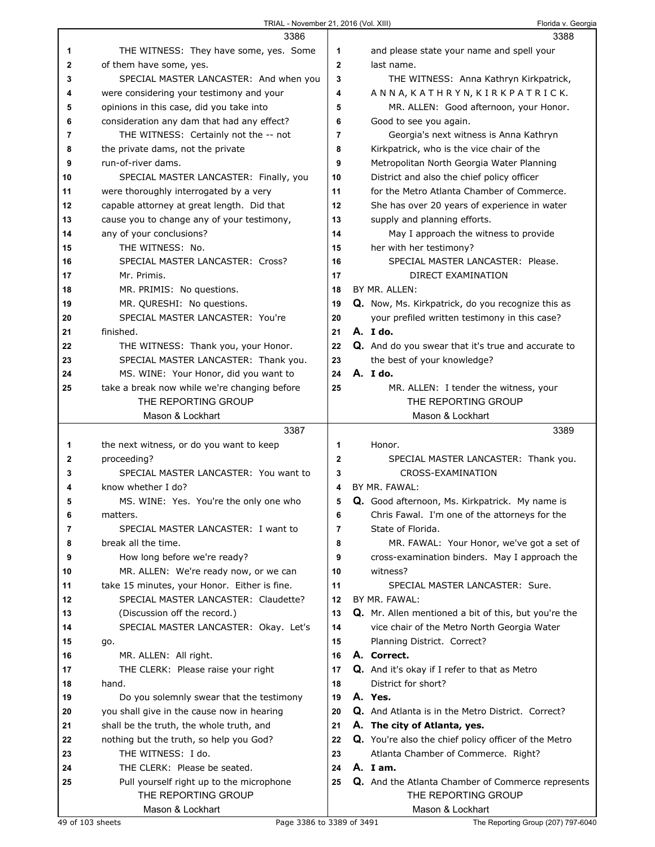|    | 3386                                         |                | 3388                                                 |
|----|----------------------------------------------|----------------|------------------------------------------------------|
| 1  | THE WITNESS: They have some, yes. Some       | 1              | and please state your name and spell your            |
| 2  | of them have some, yes.                      | $\mathbf{2}$   | last name.                                           |
| 3  | SPECIAL MASTER LANCASTER: And when you       | 3              | THE WITNESS: Anna Kathryn Kirkpatrick,               |
| 4  | were considering your testimony and your     | 4              | ANNA, KATHRYN, KIRKPATRICK.                          |
| 5  | opinions in this case, did you take into     | 5              | MR. ALLEN: Good afternoon, your Honor.               |
| 6  | consideration any dam that had any effect?   | 6              | Good to see you again.                               |
| 7  | THE WITNESS: Certainly not the -- not        | 7              | Georgia's next witness is Anna Kathryn               |
| 8  | the private dams, not the private            | 8              | Kirkpatrick, who is the vice chair of the            |
| 9  | run-of-river dams.                           | 9              | Metropolitan North Georgia Water Planning            |
| 10 | SPECIAL MASTER LANCASTER: Finally, you       | 10             | District and also the chief policy officer           |
| 11 | were thoroughly interrogated by a very       | 11             | for the Metro Atlanta Chamber of Commerce.           |
| 12 | capable attorney at great length. Did that   | 12             | She has over 20 years of experience in water         |
| 13 | cause you to change any of your testimony,   | 13             | supply and planning efforts.                         |
| 14 | any of your conclusions?                     | 14             | May I approach the witness to provide                |
| 15 | THE WITNESS: No.                             | 15             | her with her testimony?                              |
| 16 | SPECIAL MASTER LANCASTER: Cross?             | 16             | SPECIAL MASTER LANCASTER: Please.                    |
| 17 | Mr. Primis.                                  | 17             | DIRECT EXAMINATION                                   |
| 18 | MR. PRIMIS: No questions.                    | 18             | BY MR. ALLEN:                                        |
| 19 | MR. QURESHI: No questions.                   | 19             | Q. Now, Ms. Kirkpatrick, do you recognize this as    |
| 20 | SPECIAL MASTER LANCASTER: You're             | 20             | your prefiled written testimony in this case?        |
| 21 | finished.                                    | 21             | $A.$ I do.                                           |
| 22 | THE WITNESS: Thank you, your Honor.          | 22             | Q. And do you swear that it's true and accurate to   |
| 23 | SPECIAL MASTER LANCASTER: Thank you.         | 23             | the best of your knowledge?                          |
| 24 | MS. WINE: Your Honor, did you want to        | 24             | A. I do.                                             |
| 25 | take a break now while we're changing before | 25             | MR. ALLEN: I tender the witness, your                |
|    | THE REPORTING GROUP                          |                | THE REPORTING GROUP                                  |
|    | Mason & Lockhart                             |                | Mason & Lockhart                                     |
|    | 3387                                         |                | 3389                                                 |
| 1  | the next witness, or do you want to keep     | 1              | Honor.                                               |
| 2  | proceeding?                                  | $\mathbf{2}$   | SPECIAL MASTER LANCASTER: Thank you.                 |
|    |                                              |                |                                                      |
| 3  | SPECIAL MASTER LANCASTER: You want to        | 3              | CROSS-EXAMINATION                                    |
| 4  | know whether I do?                           | 4              | BY MR. FAWAL:                                        |
| 5  | MS. WINE: Yes. You're the only one who       | 5              | Q. Good afternoon, Ms. Kirkpatrick. My name is       |
| 6  | matters.                                     | 6              | Chris Fawal. I'm one of the attorneys for the        |
| 7  | SPECIAL MASTER LANCASTER: I want to          | $\overline{7}$ | State of Florida.                                    |
| 8  | break all the time.                          | 8              | MR. FAWAL: Your Honor, we've got a set of            |
| 9  | How long before we're ready?                 | 9              | cross-examination binders. May I approach the        |
| 10 | MR. ALLEN: We're ready now, or we can        | 10             | witness?                                             |
| 11 | take 15 minutes, your Honor. Either is fine. | 11             | SPECIAL MASTER LANCASTER: Sure.                      |
| 12 | SPECIAL MASTER LANCASTER: Claudette?         | 12             | BY MR. FAWAL:                                        |
| 13 | (Discussion off the record.)                 | 13             | Q. Mr. Allen mentioned a bit of this, but you're the |
| 14 | SPECIAL MASTER LANCASTER: Okay. Let's        | 14             | vice chair of the Metro North Georgia Water          |
| 15 | go.                                          | 15             | Planning District. Correct?                          |
| 16 | MR. ALLEN: All right.                        | 16             | A. Correct.                                          |
| 17 | THE CLERK: Please raise your right           | 17             | Q. And it's okay if I refer to that as Metro         |
| 18 | hand.                                        | 18             | District for short?                                  |
| 19 | Do you solemnly swear that the testimony     | 19             | A. Yes.                                              |
| 20 | you shall give in the cause now in hearing   | 20             | Q. And Atlanta is in the Metro District. Correct?    |
| 21 | shall be the truth, the whole truth, and     | 21             | A. The city of Atlanta, yes.                         |
| 22 | nothing but the truth, so help you God?      | 22             | Q. You're also the chief policy officer of the Metro |
| 23 | THE WITNESS: I do.                           | 23             | Atlanta Chamber of Commerce. Right?                  |
| 24 | THE CLERK: Please be seated.                 | 24             | A. Iam.                                              |
| 25 | Pull yourself right up to the microphone     | 25             | Q. And the Atlanta Chamber of Commerce represents    |
|    | THE REPORTING GROUP<br>Mason & Lockhart      |                | THE REPORTING GROUP<br>Mason & Lockhart              |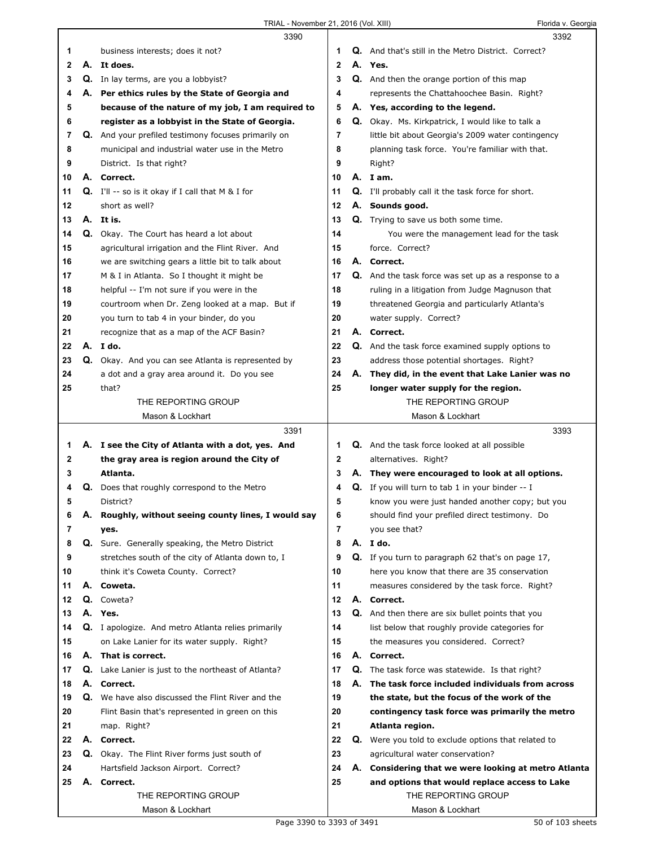$\Gamma$ 

|    |    | 3390                                                      |    |    | 3392                                                       |
|----|----|-----------------------------------------------------------|----|----|------------------------------------------------------------|
| 1  |    | business interests; does it not?                          | 1  |    | <b>Q.</b> And that's still in the Metro District. Correct? |
| 2  | А. | It does.                                                  | 2  | А. | Yes.                                                       |
| 3  |    | <b>Q.</b> In lay terms, are you a lobbyist?               | 3  |    | Q. And then the orange portion of this map                 |
| 4  |    | A. Per ethics rules by the State of Georgia and           | 4  |    | represents the Chattahoochee Basin. Right?                 |
| 5  |    | because of the nature of my job, I am required to         | 5  |    | A. Yes, according to the legend.                           |
| 6  |    | register as a lobbyist in the State of Georgia.           | 6  |    | <b>Q.</b> Okay. Ms. Kirkpatrick, I would like to talk a    |
| 7  |    | Q. And your prefiled testimony focuses primarily on       | 7  |    | little bit about Georgia's 2009 water contingency          |
| 8  |    | municipal and industrial water use in the Metro           | 8  |    | planning task force. You're familiar with that.            |
| 9  |    | District. Is that right?                                  | 9  |    | Right?                                                     |
| 10 |    | A. Correct.                                               | 10 |    | A. I am.                                                   |
| 11 |    | <b>Q.</b> I'll $-$ so is it okay if I call that M & I for | 11 |    | <b>Q.</b> I'll probably call it the task force for short.  |
| 12 |    | short as well?                                            | 12 |    | A. Sounds good.                                            |
| 13 |    | A. It is.                                                 | 13 |    | Q. Trying to save us both some time.                       |
| 14 |    | Q. Okay. The Court has heard a lot about                  | 14 |    | You were the management lead for the task                  |
| 15 |    | agricultural irrigation and the Flint River. And          | 15 |    | force. Correct?                                            |
| 16 |    | we are switching gears a little bit to talk about         | 16 |    | A. Correct.                                                |
| 17 |    | M & I in Atlanta. So I thought it might be                | 17 |    | <b>Q.</b> And the task force was set up as a response to a |
| 18 |    | helpful -- I'm not sure if you were in the                | 18 |    | ruling in a litigation from Judge Magnuson that            |
| 19 |    | courtroom when Dr. Zeng looked at a map. But if           | 19 |    | threatened Georgia and particularly Atlanta's              |
| 20 |    | you turn to tab 4 in your binder, do you                  | 20 |    | water supply. Correct?                                     |
| 21 |    | recognize that as a map of the ACF Basin?                 | 21 |    | A. Correct.                                                |
| 22 |    | A. Ido.                                                   | 22 | Q. | And the task force examined supply options to              |
| 23 |    | Q. Okay. And you can see Atlanta is represented by        | 23 |    | address those potential shortages. Right?                  |
| 24 |    | a dot and a gray area around it. Do you see               | 24 |    | A. They did, in the event that Lake Lanier was no          |
| 25 |    | that?                                                     | 25 |    | longer water supply for the region.                        |
|    |    | THE REPORTING GROUP                                       |    |    | THE REPORTING GROUP                                        |
|    |    | Mason & Lockhart                                          |    |    | Mason & Lockhart                                           |
|    |    |                                                           |    |    |                                                            |
|    |    |                                                           |    |    |                                                            |
|    |    | 3391                                                      |    |    | 3393                                                       |
| 1  |    | A. I see the City of Atlanta with a dot, yes. And         | 1  |    | Q. And the task force looked at all possible               |
| 2  |    | the gray area is region around the City of                | 2  |    | alternatives. Right?                                       |
| 3  |    | Atlanta.                                                  | 3  |    | A. They were encouraged to look at all options.            |
| 4  | Q. | Does that roughly correspond to the Metro                 | 4  | Q. | If you will turn to tab 1 in your binder -- I              |
| 5  |    | District?                                                 | 5  |    | know you were just handed another copy; but you            |
| 6  |    | A. Roughly, without seeing county lines, I would say      | 6  |    | should find your prefiled direct testimony. Do             |
| 7  |    | yes.                                                      | 7  |    | you see that?                                              |
| 8  |    | Q. Sure. Generally speaking, the Metro District           | 8  |    | A. Ido.                                                    |
| 9  |    | stretches south of the city of Atlanta down to, I         | 9  |    | Q. If you turn to paragraph 62 that's on page 17,          |
| 10 |    | think it's Coweta County. Correct?                        | 10 |    | here you know that there are 35 conservation               |
| 11 | А. | Coweta.                                                   | 11 |    | measures considered by the task force. Right?              |
| 12 |    | Q. Coweta?                                                | 12 |    | A. Correct.                                                |
| 13 |    | A. Yes.                                                   | 13 |    | Q. And then there are six bullet points that you           |
| 14 |    | Q. I apologize. And metro Atlanta relies primarily        | 14 |    | list below that roughly provide categories for             |
| 15 |    | on Lake Lanier for its water supply. Right?               | 15 |    | the measures you considered. Correct?                      |
| 16 |    | A. That is correct.                                       | 16 |    | A. Correct.                                                |
| 17 | Q. | Lake Lanier is just to the northeast of Atlanta?          | 17 |    | <b>Q.</b> The task force was statewide. Is that right?     |
| 18 |    | A. Correct.                                               | 18 | А. | The task force included individuals from across            |
| 19 |    | Q. We have also discussed the Flint River and the         | 19 |    | the state, but the focus of the work of the                |
| 20 |    | Flint Basin that's represented in green on this           | 20 |    | contingency task force was primarily the metro             |
| 21 |    | map. Right?                                               | 21 |    | Atlanta region.                                            |
| 22 |    | A. Correct.                                               | 22 |    | <b>Q.</b> Were you told to exclude options that related to |
| 23 |    | Q. Okay. The Flint River forms just south of              | 23 |    | agricultural water conservation?                           |
| 24 |    | Hartsfield Jackson Airport. Correct?                      | 24 |    | A. Considering that we were looking at metro Atlanta       |
| 25 |    | A. Correct.                                               | 25 |    | and options that would replace access to Lake              |
|    |    | THE REPORTING GROUP<br>Mason & Lockhart                   |    |    | THE REPORTING GROUP<br>Mason & Lockhart                    |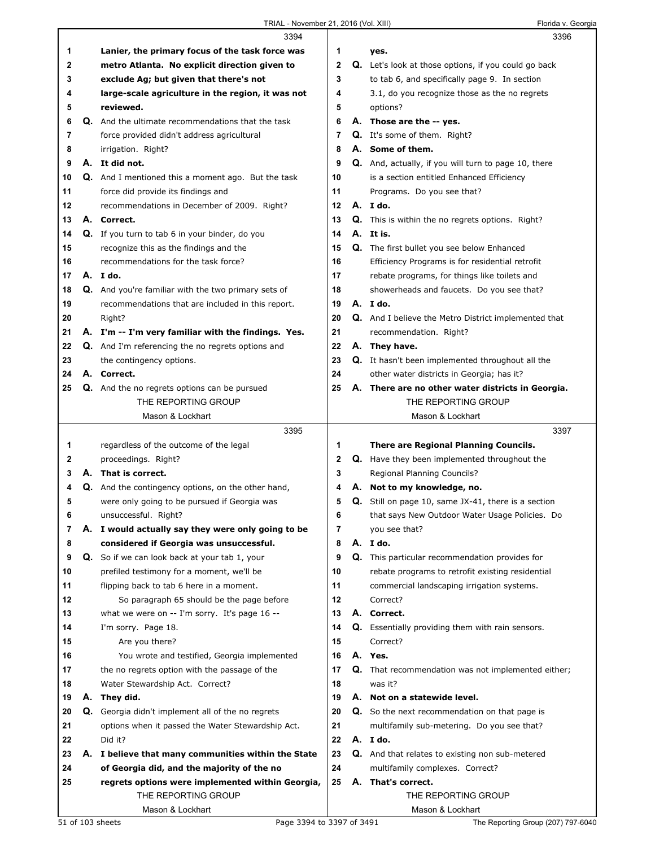|    |    | 3394                                                       |    | 3396                                                        |
|----|----|------------------------------------------------------------|----|-------------------------------------------------------------|
| 1  |    | Lanier, the primary focus of the task force was            | 1. | yes.                                                        |
| 2  |    | metro Atlanta. No explicit direction given to              | 2  | Q. Let's look at those options, if you could go back        |
| 3  |    | exclude Ag; but given that there's not                     | 3  | to tab 6, and specifically page 9. In section               |
| 4  |    | large-scale agriculture in the region, it was not          | 4  | 3.1, do you recognize those as the no regrets               |
| 5  |    | reviewed.                                                  | 5  | options?                                                    |
| 6  |    | <b>Q.</b> And the ultimate recommendations that the task   | 6  | A. Those are the -- yes.                                    |
| 7  |    | force provided didn't address agricultural                 | 7  | Q. It's some of them. Right?                                |
| 8  |    | irrigation. Right?                                         | 8  | A. Some of them.                                            |
| 9  |    | A. It did not.                                             | 9  | Q. And, actually, if you will turn to page 10, there        |
| 10 |    | Q. And I mentioned this a moment ago. But the task         | 10 | is a section entitled Enhanced Efficiency                   |
| 11 |    | force did provide its findings and                         | 11 | Programs. Do you see that?                                  |
| 12 |    | recommendations in December of 2009. Right?                | 12 | A. Ido.                                                     |
| 13 |    | A. Correct.                                                | 13 | <b>Q.</b> This is within the no regrets options. Right?     |
| 14 |    | Q. If you turn to tab 6 in your binder, do you             | 14 | A. It is.                                                   |
| 15 |    | recognize this as the findings and the                     | 15 | Q. The first bullet you see below Enhanced                  |
| 16 |    | recommendations for the task force?                        | 16 | Efficiency Programs is for residential retrofit             |
| 17 |    | A. Ido.                                                    | 17 | rebate programs, for things like toilets and                |
| 18 |    | <b>Q.</b> And you're familiar with the two primary sets of | 18 | showerheads and faucets. Do you see that?                   |
| 19 |    | recommendations that are included in this report.          | 19 | A. I do.                                                    |
| 20 |    | Right?                                                     | 20 | <b>Q.</b> And I believe the Metro District implemented that |
| 21 |    | A. I'm -- I'm very familiar with the findings. Yes.        | 21 | recommendation. Right?                                      |
| 22 |    | <b>Q.</b> And I'm referencing the no regrets options and   | 22 | A. They have.                                               |
| 23 |    | the contingency options.                                   | 23 | <b>Q.</b> It hasn't been implemented throughout all the     |
| 24 |    | A. Correct.                                                | 24 | other water districts in Georgia; has it?                   |
| 25 |    | <b>Q.</b> And the no regrets options can be pursued        | 25 | A. There are no other water districts in Georgia.           |
|    |    | THE REPORTING GROUP                                        |    | THE REPORTING GROUP                                         |
|    |    | Mason & Lockhart                                           |    | Mason & Lockhart                                            |
|    |    | 3395                                                       |    | 3397                                                        |
| 1  |    | regardless of the outcome of the legal                     | 1  | There are Regional Planning Councils.                       |
| 2  |    | proceedings. Right?                                        | 2  | <b>Q.</b> Have they been implemented throughout the         |
| 3  |    | A. That is correct.                                        | 3  | Regional Planning Councils?                                 |
| 4  |    | Q. And the contingency options, on the other hand,         | 4  | A. Not to my knowledge, no.                                 |
| 5  |    | were only going to be pursued if Georgia was               | 5  | Q. Still on page 10, same JX-41, there is a section         |
| 6  |    | unsuccessful. Right?                                       | 6  | that says New Outdoor Water Usage Policies. Do              |
| 7  |    | A. I would actually say they were only going to be         | 7  | you see that?                                               |
| 8  |    | considered if Georgia was unsuccessful.                    | 8  | A. I do.                                                    |
| 9  |    | Q. So if we can look back at your tab 1, your              | 9  | Q. This particular recommendation provides for              |
| 10 |    | prefiled testimony for a moment, we'll be                  | 10 | rebate programs to retrofit existing residential            |
| 11 |    | flipping back to tab 6 here in a moment.                   | 11 | commercial landscaping irrigation systems.                  |
| 12 |    | So paragraph 65 should be the page before                  | 12 | Correct?                                                    |
| 13 |    | what we were on -- I'm sorry. It's page 16 --              | 13 | A. Correct.                                                 |
| 14 |    | I'm sorry. Page 18.                                        | 14 | Q. Essentially providing them with rain sensors.            |
| 15 |    | Are you there?                                             | 15 | Correct?                                                    |
| 16 |    | You wrote and testified, Georgia implemented               | 16 | A. Yes.                                                     |
| 17 |    | the no regrets option with the passage of the              | 17 | <b>Q.</b> That recommendation was not implemented either;   |
| 18 |    | Water Stewardship Act. Correct?                            | 18 | was it?                                                     |
| 19 | А. | They did.                                                  | 19 | A. Not on a statewide level.                                |
| 20 |    | Q. Georgia didn't implement all of the no regrets          | 20 | <b>Q.</b> So the next recommendation on that page is        |
| 21 |    | options when it passed the Water Stewardship Act.          | 21 | multifamily sub-metering. Do you see that?                  |
| 22 |    | Did it?                                                    | 22 | A. I do.                                                    |
| 23 |    | A. I believe that many communities within the State        | 23 | <b>Q.</b> And that relates to existing non sub-metered      |
| 24 |    | of Georgia did, and the majority of the no                 | 24 | multifamily complexes. Correct?                             |
| 25 |    | regrets options were implemented within Georgia,           | 25 | A. That's correct.                                          |
|    |    | THE REPORTING GROUP                                        |    | THE REPORTING GROUP                                         |
|    |    | Mason & Lockhart                                           |    | Mason & Lockhart                                            |
|    |    | 51 of 103 sheets<br>Page 3394 to 3397 of 3491              |    | The Reporting Group (207) 797-6040                          |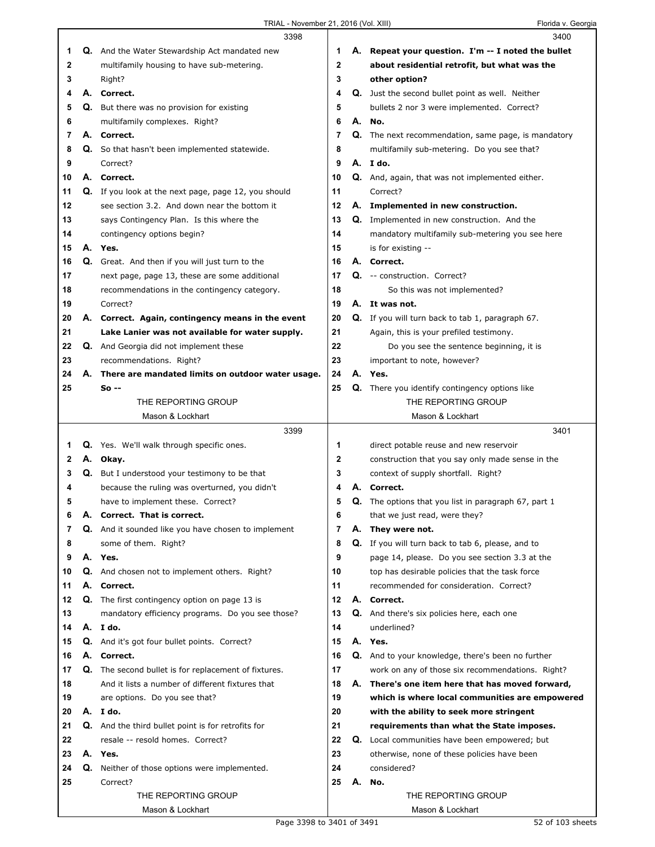|    |    | 3398                                                        |             |    | 3400                                                 |
|----|----|-------------------------------------------------------------|-------------|----|------------------------------------------------------|
| 1  |    | Q. And the Water Stewardship Act mandated new               | 1           |    | A. Repeat your question. I'm -- I noted the bullet   |
| 2  |    | multifamily housing to have sub-metering.                   | $\mathbf 2$ |    | about residential retrofit, but what was the         |
| 3  |    | Right?                                                      | 3           |    | other option?                                        |
| 4  |    | A. Correct.                                                 | 4           |    | Q. Just the second bullet point as well. Neither     |
| 5  |    | Q. But there was no provision for existing                  | 5           |    | bullets 2 nor 3 were implemented. Correct?           |
| 6  |    | multifamily complexes. Right?                               | 6           |    | A. No.                                               |
| 7  |    | A. Correct.                                                 | 7           |    | Q. The next recommendation, same page, is mandatory  |
| 8  |    | Q. So that hasn't been implemented statewide.               | 8           |    | multifamily sub-metering. Do you see that?           |
| 9  |    | Correct?                                                    | 9           |    | A. I do.                                             |
| 10 |    | A. Correct.                                                 | 10          |    | Q. And, again, that was not implemented either.      |
| 11 |    | Q. If you look at the next page, page 12, you should        | 11          |    | Correct?                                             |
| 12 |    | see section 3.2. And down near the bottom it                | 12          |    | A. Implemented in new construction.                  |
| 13 |    | says Contingency Plan. Is this where the                    | 13          |    | <b>Q.</b> Implemented in new construction. And the   |
| 14 |    | contingency options begin?                                  | 14          |    | mandatory multifamily sub-metering you see here      |
| 15 |    | A. Yes.                                                     | 15          |    | is for existing --                                   |
| 16 |    | Q. Great. And then if you will just turn to the             | 16          |    | A. Correct.                                          |
| 17 |    | next page, page 13, these are some additional               | 17          |    | Q. -- construction. Correct?                         |
| 18 |    | recommendations in the contingency category.                | 18          |    | So this was not implemented?                         |
| 19 |    | Correct?                                                    | 19          |    | A. It was not.                                       |
| 20 |    | A. Correct. Again, contingency means in the event           | 20          |    | Q. If you will turn back to tab 1, paragraph 67.     |
| 21 |    | Lake Lanier was not available for water supply.             | 21          |    | Again, this is your prefiled testimony.              |
| 22 |    | <b>Q.</b> And Georgia did not implement these               | 22          |    | Do you see the sentence beginning, it is             |
| 23 |    | recommendations. Right?                                     | 23          |    | important to note, however?                          |
| 24 | А. | There are mandated limits on outdoor water usage.           | 24          | А. | Yes.                                                 |
| 25 |    | So --                                                       | 25          |    | Q. There you identify contingency options like       |
|    |    | THE REPORTING GROUP                                         |             |    | THE REPORTING GROUP                                  |
|    |    | Mason & Lockhart                                            |             |    | Mason & Lockhart                                     |
|    |    |                                                             |             |    |                                                      |
|    |    | 3399                                                        |             |    | 3401                                                 |
| 1  |    | Q. Yes. We'll walk through specific ones.                   | 1           |    | direct potable reuse and new reservoir               |
| 2  |    | A. Okay.                                                    | 2           |    | construction that you say only made sense in the     |
| 3  | Q. | But I understood your testimony to be that                  | 3           |    | context of supply shortfall. Right?                  |
| 4  |    | because the ruling was overturned, you didn't               | 4           |    | Correct.                                             |
| 5  |    | have to implement these. Correct?                           | 5           |    | Q. The options that you list in paragraph 67, part 1 |
| 6  | А. | Correct. That is correct.                                   | 6           |    | that we just read, were they?                        |
| 7  |    | Q. And it sounded like you have chosen to implement         | 7           | А. | They were not.                                       |
| 8  |    | some of them. Right?                                        | 8           |    | Q. If you will turn back to tab 6, please, and to    |
| 9  |    | A. Yes.                                                     | 9           |    | page 14, please. Do you see section 3.3 at the       |
| 10 |    | <b>Q.</b> And chosen not to implement others. Right?        | 10          |    | top has desirable policies that the task force       |
| 11 |    | A. Correct.                                                 | 11          |    | recommended for consideration. Correct?              |
| 12 |    | <b>Q.</b> The first contingency option on page 13 is        | 12          |    | A. Correct.                                          |
| 13 |    | mandatory efficiency programs. Do you see those?            | 13          |    | Q. And there's six policies here, each one           |
| 14 |    | A. Ido.                                                     | 14          |    | underlined?                                          |
| 15 |    | Q. And it's got four bullet points. Correct?                | 15          |    | A. Yes.                                              |
| 16 |    | A. Correct.                                                 | 16          |    | Q. And to your knowledge, there's been no further    |
| 17 |    | <b>Q.</b> The second bullet is for replacement of fixtures. | 17          |    | work on any of those six recommendations. Right?     |
| 18 |    | And it lists a number of different fixtures that            | 18          |    | A. There's one item here that has moved forward,     |
| 19 |    | are options. Do you see that?                               | 19          |    | which is where local communities are empowered       |
| 20 |    | A.Ido.                                                      | 20          |    | with the ability to seek more stringent              |
| 21 |    | Q. And the third bullet point is for retrofits for          | 21          |    | requirements than what the State imposes.            |
| 22 |    | resale -- resold homes. Correct?                            | 22          |    | <b>Q.</b> Local communities have been empowered; but |
| 23 |    | A. Yes.                                                     | 23          |    | otherwise, none of these policies have been          |
| 24 |    | Q. Neither of those options were implemented.               | 24          |    | considered?                                          |
| 25 |    | Correct?                                                    | 25          | А. | No.                                                  |
|    |    | THE REPORTING GROUP                                         |             |    | THE REPORTING GROUP                                  |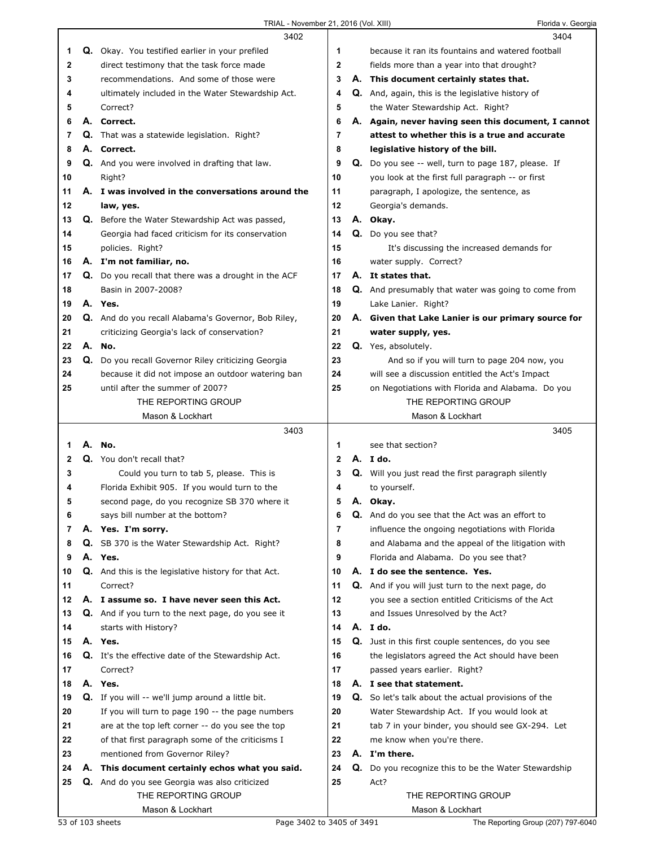|              |    | 3402                                                        |              |    | 3404                                                       |
|--------------|----|-------------------------------------------------------------|--------------|----|------------------------------------------------------------|
| 1            |    | Q. Okay. You testified earlier in your prefiled             | 1            |    | because it ran its fountains and watered football          |
| $\mathbf{2}$ |    | direct testimony that the task force made                   | $\mathbf{2}$ |    | fields more than a year into that drought?                 |
| 3            |    | recommendations. And some of those were                     | 3            |    | A. This document certainly states that.                    |
| 4            |    | ultimately included in the Water Stewardship Act.           | 4            |    | <b>Q.</b> And, again, this is the legislative history of   |
| 5            |    | Correct?                                                    | 5            |    | the Water Stewardship Act. Right?                          |
| 6            |    | A. Correct.                                                 | 6            |    | A. Again, never having seen this document, I cannot        |
| 7            |    | Q. That was a statewide legislation. Right?                 | 7            |    | attest to whether this is a true and accurate              |
| 8            |    | A. Correct.                                                 | 8            |    | legislative history of the bill.                           |
| 9            |    | <b>Q.</b> And you were involved in drafting that law.       | 9            |    | Q. Do you see -- well, turn to page 187, please. If        |
| 10           |    | Right?                                                      | 10           |    | you look at the first full paragraph -- or first           |
| 11           |    | A. I was involved in the conversations around the           | 11           |    | paragraph, I apologize, the sentence, as                   |
| 12           |    | law, yes.                                                   | 12           |    | Georgia's demands.                                         |
| 13           |    | <b>Q.</b> Before the Water Stewardship Act was passed,      | 13           |    | A. Okay.                                                   |
| 14           |    | Georgia had faced criticism for its conservation            | 14           |    | Q. Do you see that?                                        |
| 15           |    | policies. Right?                                            | 15           |    | It's discussing the increased demands for                  |
| 16           |    | A. I'm not familiar, no.                                    | 16           |    | water supply. Correct?                                     |
| 17           |    | <b>Q.</b> Do you recall that there was a drought in the ACF | 17           |    | A. It states that.                                         |
| 18           |    | Basin in 2007-2008?                                         | 18           |    | <b>Q.</b> And presumably that water was going to come from |
| 19           |    | A. Yes.                                                     | 19           |    | Lake Lanier. Right?                                        |
| 20           |    | Q. And do you recall Alabama's Governor, Bob Riley,         | 20           |    | A. Given that Lake Lanier is our primary source for        |
| 21           |    | criticizing Georgia's lack of conservation?                 | 21           |    | water supply, yes.                                         |
| 22           |    | A. No.                                                      | 22           |    | Q. Yes, absolutely.                                        |
| 23           |    | Q. Do you recall Governor Riley criticizing Georgia         | 23           |    | And so if you will turn to page 204 now, you               |
| 24           |    | because it did not impose an outdoor watering ban           | 24           |    | will see a discussion entitled the Act's Impact            |
| 25           |    | until after the summer of 2007?                             | 25           |    | on Negotiations with Florida and Alabama. Do you           |
|              |    | THE REPORTING GROUP                                         |              |    | THE REPORTING GROUP                                        |
|              |    | Mason & Lockhart                                            |              |    | Mason & Lockhart                                           |
|              |    |                                                             |              |    |                                                            |
|              |    | 3403                                                        |              |    | 3405                                                       |
| 1            |    | A. No.                                                      | 1            |    | see that section?                                          |
| $\mathbf{2}$ |    | Q. You don't recall that?                                   | $\mathbf{2}$ |    | A. Ido.                                                    |
| 3            |    | Could you turn to tab 5, please. This is                    | 3            |    | Q. Will you just read the first paragraph silently         |
| 4            |    | Florida Exhibit 905. If you would turn to the               | 4            |    | to yourself.                                               |
| 5            |    | second page, do you recognize SB 370 where it               | 5            |    | A. Okay.                                                   |
| 6            |    | says bill number at the bottom?                             | 6            |    | Q. And do you see that the Act was an effort to            |
| 7            |    | A. Yes. I'm sorry.                                          | 7            |    | influence the ongoing negotiations with Florida            |
| 8            | Q. | SB 370 is the Water Stewardship Act. Right?                 | 8            |    | and Alabama and the appeal of the litigation with          |
| 9            |    | A. Yes.                                                     | 9            |    | Florida and Alabama. Do you see that?                      |
| 10           |    | <b>Q.</b> And this is the legislative history for that Act. | 10           |    | A. I do see the sentence. Yes.                             |
| 11           |    | Correct?                                                    | 11           |    | Q. And if you will just turn to the next page, do          |
| 12           |    | A. I assume so. I have never seen this Act.                 | 12           |    | you see a section entitled Criticisms of the Act           |
| 13           |    | Q. And if you turn to the next page, do you see it          | 13           |    | and Issues Unresolved by the Act?                          |
| 14           |    | starts with History?                                        | 14           |    | A. Ido.                                                    |
| 15           |    | A. Yes.                                                     | 15           |    | <b>Q.</b> Just in this first couple sentences, do you see  |
| 16           |    | Q. It's the effective date of the Stewardship Act.          | 16           |    | the legislators agreed the Act should have been            |
| 17           |    | Correct?                                                    | 17           |    | passed years earlier. Right?                               |
| 18           |    | A. Yes.                                                     | 18           |    | A. I see that statement.                                   |
| 19           |    | <b>Q.</b> If you will -- we'll jump around a little bit.    | 19           |    | <b>Q.</b> So let's talk about the actual provisions of the |
| 20           |    | If you will turn to page 190 -- the page numbers            | 20           |    | Water Stewardship Act. If you would look at                |
| 21           |    | are at the top left corner -- do you see the top            | 21           |    | tab 7 in your binder, you should see GX-294. Let           |
| 22           |    | of that first paragraph some of the criticisms I            | 22           |    | me know when you're there.                                 |
| 23           |    | mentioned from Governor Riley?                              | 23           |    | A. I'm there.                                              |
| 24           | Α. | This document certainly echos what you said.                | 24           | Q. | Do you recognize this to be the Water Stewardship          |
| 25           |    | Q. And do you see Georgia was also criticized               | 25           |    | Act?                                                       |
|              |    | THE REPORTING GROUP<br>Mason & Lockhart                     |              |    | THE REPORTING GROUP<br>Mason & Lockhart                    |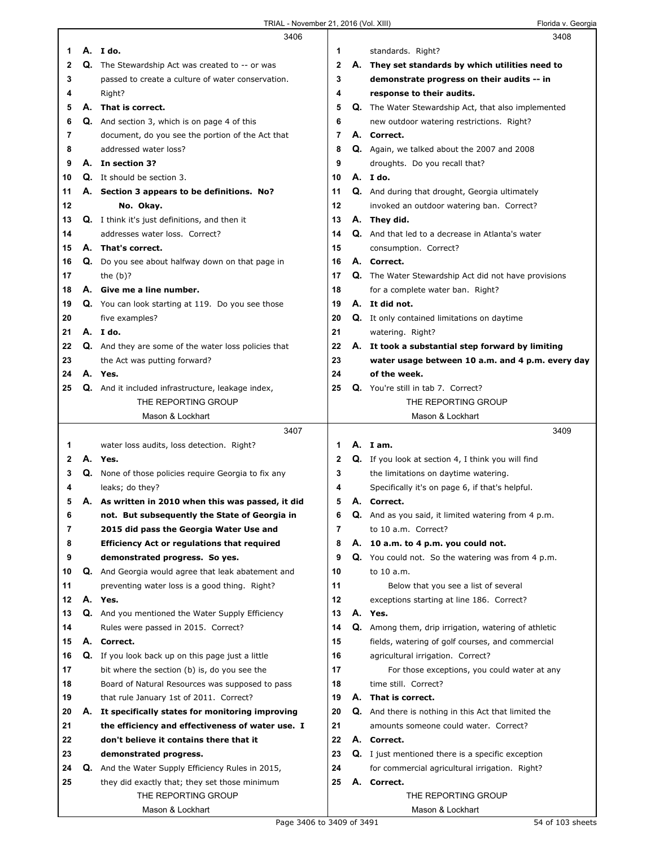|    |    | 3406                                                        |    |    | 3408                                                        |
|----|----|-------------------------------------------------------------|----|----|-------------------------------------------------------------|
| 1  |    | A. I do.                                                    | 1  |    | standards. Right?                                           |
| 2  |    | <b>Q.</b> The Stewardship Act was created to -- or was      | 2  |    | A. They set standards by which utilities need to            |
| 3  |    | passed to create a culture of water conservation.           | 3  |    | demonstrate progress on their audits -- in                  |
| 4  |    | Right?                                                      | 4  |    | response to their audits.                                   |
| 5  |    | A. That is correct.                                         | 5  |    | Q. The Water Stewardship Act, that also implemented         |
|    |    |                                                             |    |    |                                                             |
| 6  |    | <b>Q.</b> And section 3, which is on page 4 of this         | 6  |    | new outdoor watering restrictions. Right?                   |
| 7  |    | document, do you see the portion of the Act that            | 7  |    | A. Correct.                                                 |
| 8  |    | addressed water loss?                                       | 8  |    | Q. Again, we talked about the 2007 and 2008                 |
| 9  |    | A. In section 3?                                            | 9  |    | droughts. Do you recall that?                               |
| 10 |    | Q. It should be section 3.                                  | 10 |    | A. Ido.                                                     |
| 11 |    | A. Section 3 appears to be definitions. No?                 | 11 |    | Q. And during that drought, Georgia ultimately              |
| 12 |    | No. Okay.                                                   | 12 |    | invoked an outdoor watering ban. Correct?                   |
| 13 |    | <b>Q.</b> I think it's just definitions, and then it        | 13 |    | A. They did.                                                |
| 14 |    | addresses water loss. Correct?                              | 14 |    | Q. And that led to a decrease in Atlanta's water            |
| 15 |    | A. That's correct.                                          | 15 |    | consumption. Correct?                                       |
|    |    |                                                             | 16 |    | A. Correct.                                                 |
| 16 | Q. | Do you see about halfway down on that page in               |    |    |                                                             |
| 17 |    | the $(b)$ ?                                                 | 17 |    | Q. The Water Stewardship Act did not have provisions        |
| 18 |    | A. Give me a line number.                                   | 18 |    | for a complete water ban. Right?                            |
| 19 |    | Q. You can look starting at 119. Do you see those           | 19 |    | A. It did not.                                              |
| 20 |    | five examples?                                              | 20 |    | Q. It only contained limitations on daytime                 |
| 21 |    | A. I do.                                                    | 21 |    | watering. Right?                                            |
| 22 |    | <b>Q.</b> And they are some of the water loss policies that | 22 |    | A. It took a substantial step forward by limiting           |
| 23 |    | the Act was putting forward?                                | 23 |    | water usage between 10 a.m. and 4 p.m. every day            |
| 24 |    | A. Yes.                                                     | 24 |    | of the week.                                                |
| 25 |    | Q. And it included infrastructure, leakage index,           | 25 |    | Q. You're still in tab 7. Correct?                          |
|    |    | THE REPORTING GROUP                                         |    |    | THE REPORTING GROUP                                         |
|    |    | Mason & Lockhart                                            |    |    | Mason & Lockhart                                            |
|    |    |                                                             |    |    |                                                             |
|    |    |                                                             |    |    |                                                             |
|    |    | 3407                                                        |    |    | 3409                                                        |
| 1  |    | water loss audits, loss detection. Right?                   | 1  |    | A. Iam.                                                     |
| 2  |    | A. Yes.                                                     | 2  |    | Q. If you look at section 4, I think you will find          |
| 3  | Q. | None of those policies require Georgia to fix any           | 3  |    | the limitations on daytime watering.                        |
| 4  |    | leaks; do they?                                             | 4  |    | Specifically it's on page 6, if that's helpful.             |
| 5  |    | A. As written in 2010 when this was passed, it did          | 5  |    | A. Correct.                                                 |
| 6  |    | not. But subsequently the State of Georgia in               | 6  |    | And as you said, it limited watering from 4 p.m.            |
| 7  |    | 2015 did pass the Georgia Water Use and                     | 7  |    | to 10 a.m. Correct?                                         |
| 8  |    | <b>Efficiency Act or regulations that required</b>          | 8  | А. | 10 a.m. to 4 p.m. you could not.                            |
| 9  |    | demonstrated progress. So yes.                              | 9  |    | <b>Q.</b> You could not. So the watering was from 4 p.m.    |
| 10 | Q. | And Georgia would agree that leak abatement and             | 10 |    | to 10 a.m.                                                  |
| 11 |    | preventing water loss is a good thing. Right?               | 11 |    | Below that you see a list of several                        |
| 12 |    | A. Yes.                                                     | 12 |    | exceptions starting at line 186. Correct?                   |
| 13 |    |                                                             | 13 |    | A. Yes.                                                     |
|    |    | Q. And you mentioned the Water Supply Efficiency            |    |    |                                                             |
| 14 |    | Rules were passed in 2015. Correct?                         | 14 |    | Q. Among them, drip irrigation, watering of athletic        |
| 15 |    | A. Correct.                                                 | 15 |    | fields, watering of golf courses, and commercial            |
| 16 |    | Q. If you look back up on this page just a little           | 16 |    | agricultural irrigation. Correct?                           |
| 17 |    | bit where the section (b) is, do you see the                | 17 |    | For those exceptions, you could water at any                |
| 18 |    | Board of Natural Resources was supposed to pass             | 18 |    | time still. Correct?                                        |
| 19 |    | that rule January 1st of 2011. Correct?                     | 19 |    | A. That is correct.                                         |
| 20 | А. | It specifically states for monitoring improving             | 20 |    | <b>Q.</b> And there is nothing in this Act that limited the |
| 21 |    | the efficiency and effectiveness of water use. I            | 21 |    | amounts someone could water. Correct?                       |
| 22 |    | don't believe it contains there that it                     | 22 |    | A. Correct.                                                 |
| 23 |    | demonstrated progress.                                      | 23 |    | <b>Q.</b> I just mentioned there is a specific exception    |
| 24 | Q. | And the Water Supply Efficiency Rules in 2015,              | 24 |    | for commercial agricultural irrigation. Right?              |
| 25 |    | they did exactly that; they set those minimum               | 25 |    | A. Correct.                                                 |
|    |    | THE REPORTING GROUP                                         |    |    | THE REPORTING GROUP                                         |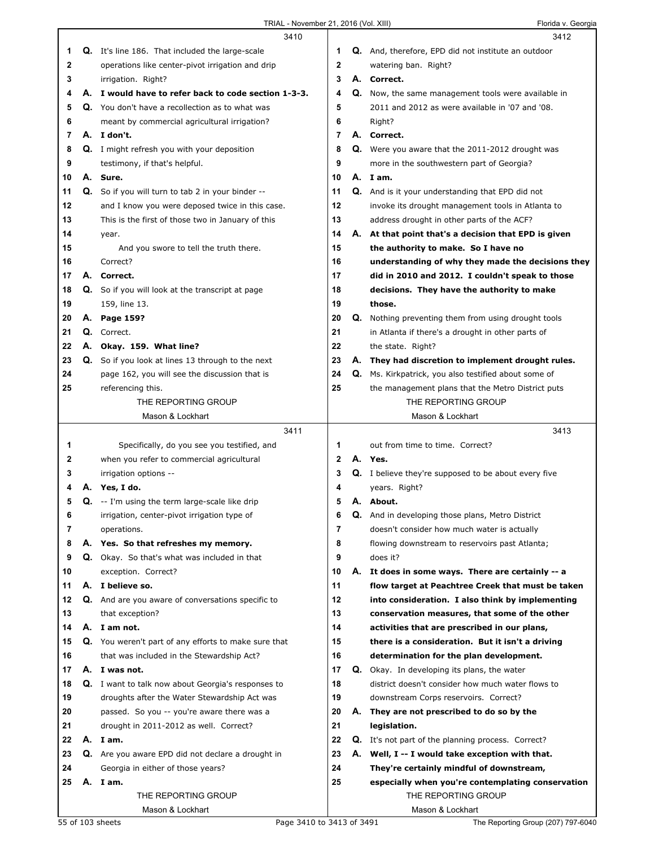|    | 3410                                                      |              |    | 3412                                                        |
|----|-----------------------------------------------------------|--------------|----|-------------------------------------------------------------|
| 1  | <b>Q.</b> It's line 186. That included the large-scale    | 1            |    | Q. And, therefore, EPD did not institute an outdoor         |
| 2  | operations like center-pivot irrigation and drip          | $\mathbf 2$  |    | watering ban. Right?                                        |
| 3  | irrigation. Right?                                        | 3            |    | A. Correct.                                                 |
| 4  | A. I would have to refer back to code section 1-3-3.      | 4            |    | Q. Now, the same management tools were available in         |
| 5  | Q. You don't have a recollection as to what was           | 5            |    | 2011 and 2012 as were available in '07 and '08.             |
| 6  | meant by commercial agricultural irrigation?              | 6            |    | Right?                                                      |
| 7  | A. I don't.                                               | 7            |    | A. Correct.                                                 |
| 8  | <b>Q.</b> I might refresh you with your deposition        | 8            |    | Q. Were you aware that the 2011-2012 drought was            |
| 9  | testimony, if that's helpful.                             | 9            |    | more in the southwestern part of Georgia?                   |
| 10 | A. Sure.                                                  | 10           |    | A. Iam.                                                     |
| 11 | Q. So if you will turn to tab 2 in your binder --         | 11           |    | Q. And is it your understanding that EPD did not            |
| 12 |                                                           | 12           |    |                                                             |
|    | and I know you were deposed twice in this case.           | 13           |    | invoke its drought management tools in Atlanta to           |
| 13 | This is the first of those two in January of this         |              |    | address drought in other parts of the ACF?                  |
| 14 | year.                                                     | 14           |    | A. At that point that's a decision that EPD is given        |
| 15 | And you swore to tell the truth there.                    | 15           |    | the authority to make. So I have no                         |
| 16 | Correct?                                                  | 16           |    | understanding of why they made the decisions they           |
| 17 | A. Correct.                                               | 17           |    | did in 2010 and 2012. I couldn't speak to those             |
| 18 | Q. So if you will look at the transcript at page          | 18           |    | decisions. They have the authority to make                  |
| 19 | 159, line 13.                                             | 19           |    | those.                                                      |
| 20 | A. Page 159?                                              | 20           |    | <b>Q.</b> Nothing preventing them from using drought tools  |
| 21 | Q. Correct.                                               | 21           |    | in Atlanta if there's a drought in other parts of           |
| 22 | A. Okay. 159. What line?                                  | 22           |    | the state. Right?                                           |
| 23 | Q. So if you look at lines 13 through to the next         | 23           |    | A. They had discretion to implement drought rules.          |
| 24 | page 162, you will see the discussion that is             | 24           | Q. | Ms. Kirkpatrick, you also testified about some of           |
| 25 | referencing this.                                         | 25           |    | the management plans that the Metro District puts           |
|    | THE REPORTING GROUP                                       |              |    | THE REPORTING GROUP                                         |
|    | Mason & Lockhart                                          |              |    | Mason & Lockhart                                            |
|    | 3411                                                      |              |    | 3413                                                        |
|    |                                                           |              |    |                                                             |
|    |                                                           |              |    |                                                             |
| 1  | Specifically, do you see you testified, and               | 1            |    | out from time to time. Correct?                             |
| 2  | when you refer to commercial agricultural                 | $\mathbf{2}$ |    | A. Yes.                                                     |
| 3  | irrigation options --                                     | 3            |    | <b>Q.</b> I believe they're supposed to be about every five |
| 4  | A. Yes, I do.                                             | 4            |    | years. Right?                                               |
| 5  | <b>Q.</b> -- I'm using the term large-scale like drip     | 5            |    | A. About.                                                   |
| 6  | irrigation, center-pivot irrigation type of               | 6            | Q. | And in developing those plans, Metro District               |
| 7  | operations.                                               | 7            |    | doesn't consider how much water is actually                 |
| 8  | A. Yes. So that refreshes my memory.                      | 8            |    | flowing downstream to reservoirs past Atlanta;              |
| 9  | Q. Okay. So that's what was included in that              | 9            |    | does it?                                                    |
| 10 | exception. Correct?                                       | 10           |    | A. It does in some ways. There are certainly -- a           |
| 11 | A. I believe so.                                          | 11           |    | flow target at Peachtree Creek that must be taken           |
| 12 | Q. And are you aware of conversations specific to         | 12           |    | into consideration. I also think by implementing            |
| 13 | that exception?                                           | 13           |    | conservation measures, that some of the other               |
| 14 | A. I am not.                                              | 14           |    | activities that are prescribed in our plans,                |
| 15 | Q. You weren't part of any efforts to make sure that      | 15           |    | there is a consideration. But it isn't a driving            |
| 16 | that was included in the Stewardship Act?                 | 16           |    | determination for the plan development.                     |
| 17 | A. I was not.                                             | 17           |    | Q. Okay. In developing its plans, the water                 |
| 18 | <b>Q.</b> I want to talk now about Georgia's responses to | 18           |    | district doesn't consider how much water flows to           |
| 19 | droughts after the Water Stewardship Act was              | 19           |    | downstream Corps reservoirs. Correct?                       |
| 20 | passed. So you -- you're aware there was a                | 20           |    | A. They are not prescribed to do so by the                  |
| 21 | drought in 2011-2012 as well. Correct?                    | 21           |    | legislation.                                                |
| 22 | A. Iam.                                                   | 22           |    | <b>Q.</b> It's not part of the planning process. Correct?   |
| 23 | Q. Are you aware EPD did not declare a drought in         | 23           |    | A. Well, I -- I would take exception with that.             |
| 24 | Georgia in either of those years?                         | 24           |    | They're certainly mindful of downstream,                    |
| 25 | A. I am.                                                  | 25           |    | especially when you're contemplating conservation           |
|    | THE REPORTING GROUP                                       |              |    | THE REPORTING GROUP                                         |
|    | Mason & Lockhart                                          |              |    | Mason & Lockhart                                            |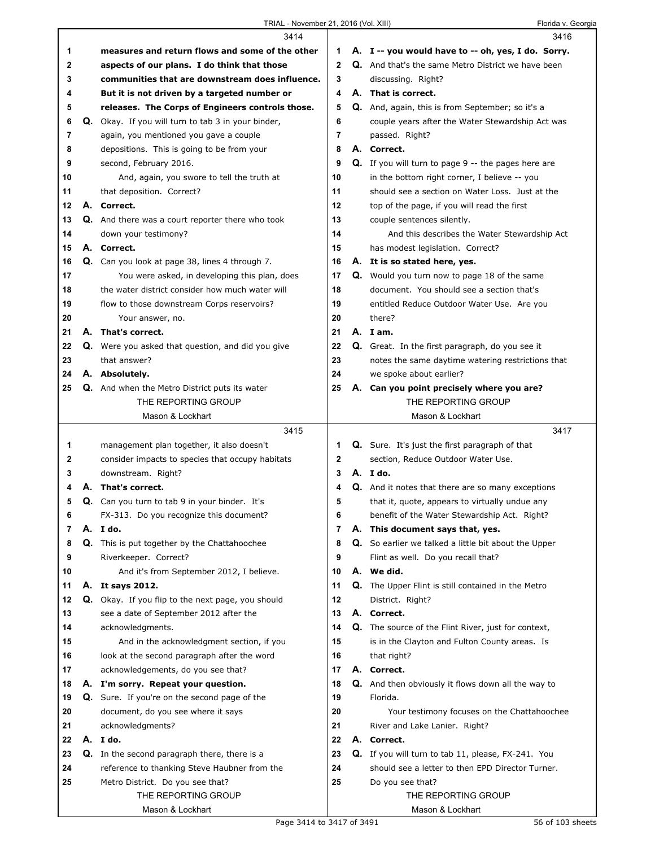## TRIAL - November 21, 2016 (Vol. XIII) Florida v. Georgia

|    |    | 3414                                                                             |                | 3416                                                                                                   |  |
|----|----|----------------------------------------------------------------------------------|----------------|--------------------------------------------------------------------------------------------------------|--|
| 1  |    | measures and return flows and some of the other                                  | 1              | A. I -- you would have to -- oh, yes, I do. Sorry.                                                     |  |
| 2  |    | aspects of our plans. I do think that those                                      | $\mathbf{2}$   | Q. And that's the same Metro District we have been                                                     |  |
| 3  |    | communities that are downstream does influence.                                  | 3              | discussing. Right?                                                                                     |  |
| 4  |    | But it is not driven by a targeted number or                                     | 4              | A. That is correct.                                                                                    |  |
| 5  |    | releases. The Corps of Engineers controls those.                                 | 5              | Q. And, again, this is from September; so it's a                                                       |  |
| 6  |    | Q. Okay. If you will turn to tab 3 in your binder,                               | 6              | couple years after the Water Stewardship Act was                                                       |  |
| 7  |    | again, you mentioned you gave a couple                                           | 7              | passed. Right?                                                                                         |  |
| 8  |    | depositions. This is going to be from your                                       | 8              | A. Correct.                                                                                            |  |
| 9  |    | second, February 2016.                                                           | 9              | <b>Q.</b> If you will turn to page 9 -- the pages here are                                             |  |
| 10 |    | And, again, you swore to tell the truth at                                       | 10             | in the bottom right corner, I believe -- you                                                           |  |
| 11 |    | that deposition. Correct?                                                        | 11             | should see a section on Water Loss. Just at the                                                        |  |
| 12 |    | A. Correct.                                                                      | 12             | top of the page, if you will read the first                                                            |  |
| 13 |    | Q. And there was a court reporter there who took                                 | 13             | couple sentences silently.                                                                             |  |
| 14 |    | down your testimony?                                                             | 14             | And this describes the Water Stewardship Act                                                           |  |
| 15 |    | A. Correct.                                                                      | 15             |                                                                                                        |  |
|    |    |                                                                                  |                | has modest legislation. Correct?                                                                       |  |
| 16 |    | Q. Can you look at page 38, lines 4 through 7.                                   | 16             | A. It is so stated here, yes.                                                                          |  |
| 17 |    | You were asked, in developing this plan, does                                    | 17             | Q. Would you turn now to page 18 of the same                                                           |  |
| 18 |    | the water district consider how much water will                                  | 18             | document. You should see a section that's                                                              |  |
| 19 |    | flow to those downstream Corps reservoirs?                                       | 19             | entitled Reduce Outdoor Water Use. Are you                                                             |  |
| 20 |    | Your answer, no.                                                                 | 20             | there?                                                                                                 |  |
| 21 |    | A. That's correct.                                                               | 21             | A. Iam.                                                                                                |  |
| 22 |    | Q. Were you asked that question, and did you give                                | 22             | Q. Great. In the first paragraph, do you see it                                                        |  |
| 23 |    | that answer?                                                                     | 23             | notes the same daytime watering restrictions that                                                      |  |
| 24 |    | A. Absolutely.                                                                   | 24             | we spoke about earlier?                                                                                |  |
| 25 |    | <b>Q.</b> And when the Metro District puts its water                             | 25             | A. Can you point precisely where you are?                                                              |  |
|    |    | THE REPORTING GROUP                                                              |                | THE REPORTING GROUP                                                                                    |  |
|    |    | Mason & Lockhart                                                                 |                | Mason & Lockhart                                                                                       |  |
|    |    |                                                                                  |                |                                                                                                        |  |
|    |    | 3415                                                                             |                | 3417                                                                                                   |  |
| 1  |    | management plan together, it also doesn't                                        | 1              | <b>Q.</b> Sure. It's just the first paragraph of that                                                  |  |
| 2  |    | consider impacts to species that occupy habitats                                 | 2              | section, Reduce Outdoor Water Use.                                                                     |  |
| 3  |    | downstream. Right?                                                               | 3              | A. I do.                                                                                               |  |
| 4  |    | A. That's correct.                                                               | 4              | Q. And it notes that there are so many exceptions                                                      |  |
| 5  |    | Q. Can you turn to tab 9 in your binder. It's                                    | 5              | that it, quote, appears to virtually undue any                                                         |  |
| 6  |    | FX-313. Do you recognize this document?                                          | 6              | benefit of the Water Stewardship Act. Right?                                                           |  |
| 7  |    | A.Ido.                                                                           | $\overline{7}$ | A. This document says that, yes.                                                                       |  |
| 8  | Q. | This is put together by the Chattahoochee                                        | 8              | Q. So earlier we talked a little bit about the Upper                                                   |  |
| 9  |    | Riverkeeper. Correct?                                                            | 9              | Flint as well. Do you recall that?                                                                     |  |
| 10 |    | And it's from September 2012, I believe.                                         | 10             | A. We did.                                                                                             |  |
| 11 |    | A. It says 2012.                                                                 | 11             | Q. The Upper Flint is still contained in the Metro                                                     |  |
| 12 | Q. | Okay. If you flip to the next page, you should                                   | 12             | District. Right?                                                                                       |  |
| 13 |    | see a date of September 2012 after the                                           | 13             | A. Correct.                                                                                            |  |
| 14 |    | acknowledgments.                                                                 | 14             | Q. The source of the Flint River, just for context,                                                    |  |
| 15 |    | And in the acknowledgment section, if you                                        | 15             | is in the Clayton and Fulton County areas. Is                                                          |  |
| 16 |    | look at the second paragraph after the word                                      | 16             | that right?                                                                                            |  |
| 17 |    | acknowledgements, do you see that?                                               | 17             | A. Correct.                                                                                            |  |
| 18 |    | A. I'm sorry. Repeat your question.                                              | 18             | Q. And then obviously it flows down all the way to                                                     |  |
| 19 |    | Q. Sure. If you're on the second page of the                                     | 19             | Florida.                                                                                               |  |
| 20 |    | document, do you see where it says                                               | 20             | Your testimony focuses on the Chattahoochee                                                            |  |
| 21 |    | acknowledgments?                                                                 | 21             | River and Lake Lanier. Right?                                                                          |  |
| 22 |    | A. I do.                                                                         | 22             | A. Correct.                                                                                            |  |
| 23 | Q. | In the second paragraph there, there is a                                        | 23             |                                                                                                        |  |
| 24 |    |                                                                                  | 24             | Q. If you will turn to tab 11, please, FX-241. You<br>should see a letter to then EPD Director Turner. |  |
| 25 |    | reference to thanking Steve Haubner from the<br>Metro District. Do you see that? | 25             | Do you see that?                                                                                       |  |
|    |    | THE REPORTING GROUP                                                              |                | THE REPORTING GROUP                                                                                    |  |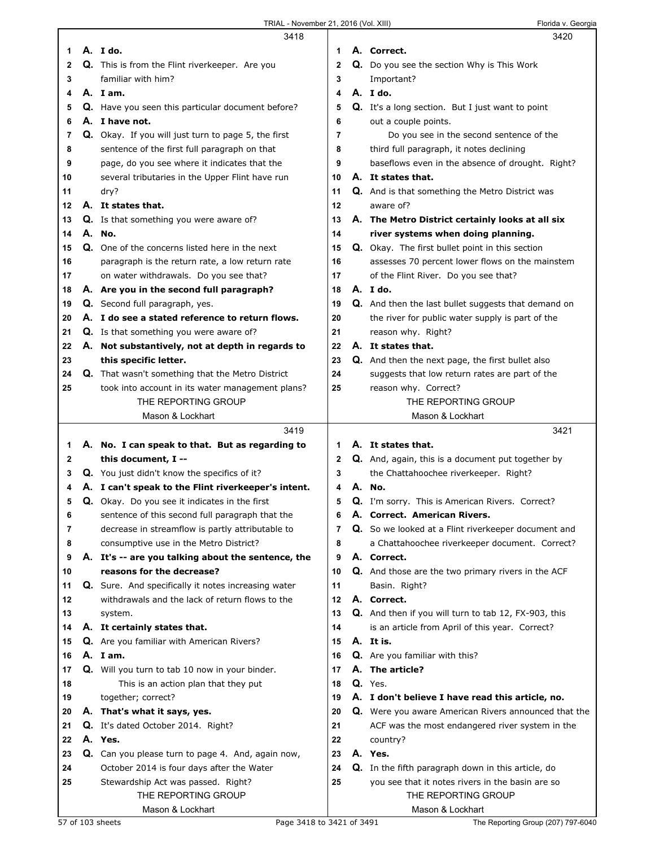|          | 3418                                                                                                   |                     | 3420                                                                                                   |
|----------|--------------------------------------------------------------------------------------------------------|---------------------|--------------------------------------------------------------------------------------------------------|
| 1        | A. Ido.                                                                                                | 1                   | A. Correct.                                                                                            |
| 2        | Q. This is from the Flint riverkeeper. Are you                                                         | $\mathbf 2$         | Q. Do you see the section Why is This Work                                                             |
| 3        | familiar with him?                                                                                     | 3                   | Important?                                                                                             |
| 4        | A. Iam.                                                                                                | 4                   | A. I do.                                                                                               |
| 5        | Q. Have you seen this particular document before?                                                      | 5                   | <b>Q.</b> It's a long section. But I just want to point                                                |
| 6        | A. I have not.                                                                                         | 6                   | out a couple points.                                                                                   |
| 7        | Q. Okay. If you will just turn to page 5, the first                                                    | 7                   | Do you see in the second sentence of the                                                               |
| 8        | sentence of the first full paragraph on that                                                           | 8                   | third full paragraph, it notes declining                                                               |
| 9        | page, do you see where it indicates that the                                                           | 9                   | baseflows even in the absence of drought. Right?                                                       |
| 10       | several tributaries in the Upper Flint have run                                                        | 10                  | A. It states that.                                                                                     |
| 11       | dry?                                                                                                   | 11                  | Q. And is that something the Metro District was                                                        |
| 12       | A. It states that.                                                                                     | 12                  | aware of?                                                                                              |
| 13       | Q. Is that something you were aware of?                                                                | 13                  | A. The Metro District certainly looks at all six                                                       |
| 14       | A. No.                                                                                                 | 14                  | river systems when doing planning.                                                                     |
| 15       | Q. One of the concerns listed here in the next                                                         | 15                  | Q. Okay. The first bullet point in this section                                                        |
| 16       | paragraph is the return rate, a low return rate                                                        | 16                  | assesses 70 percent lower flows on the mainstem                                                        |
| 17       | on water withdrawals. Do you see that?                                                                 | 17                  | of the Flint River. Do you see that?                                                                   |
| 18       | A. Are you in the second full paragraph?                                                               | 18                  | A. Ido.                                                                                                |
| 19       | Q. Second full paragraph, yes.                                                                         | 19                  | Q. And then the last bullet suggests that demand on                                                    |
| 20       | A. I do see a stated reference to return flows.                                                        | 20                  | the river for public water supply is part of the                                                       |
| 21       | Q. Is that something you were aware of?                                                                | 21                  | reason why. Right?                                                                                     |
| 22       | A. Not substantively, not at depth in regards to                                                       | 22                  | A. It states that.                                                                                     |
| 23       | this specific letter.                                                                                  | 23                  | Q. And then the next page, the first bullet also                                                       |
| 24       | <b>Q.</b> That wasn't something that the Metro District                                                | 24                  | suggests that low return rates are part of the                                                         |
| 25       | took into account in its water management plans?                                                       | 25                  | reason why. Correct?                                                                                   |
|          | THE REPORTING GROUP                                                                                    |                     | THE REPORTING GROUP                                                                                    |
|          | Mason & Lockhart                                                                                       |                     | Mason & Lockhart                                                                                       |
|          |                                                                                                        |                     |                                                                                                        |
|          |                                                                                                        |                     |                                                                                                        |
|          | 3419                                                                                                   |                     | 3421                                                                                                   |
| 1        | A. No. I can speak to that. But as regarding to                                                        | 1                   | A. It states that.                                                                                     |
| 2        | this document, I --                                                                                    | $\mathbf 2$         | Q. And, again, this is a document put together by                                                      |
| 3        | Q. You just didn't know the specifics of it?                                                           | 3                   | the Chattahoochee riverkeeper. Right?                                                                  |
| 4        | A. I can't speak to the Flint riverkeeper's intent.                                                    | 4                   | A. No.                                                                                                 |
| 5        | Q. Okay. Do you see it indicates in the first                                                          | 5                   | Q. I'm sorry. This is American Rivers. Correct?                                                        |
| 6        | sentence of this second full paragraph that the                                                        | 6<br>$\overline{7}$ | A. Correct. American Rivers.                                                                           |
| 7        | decrease in streamflow is partly attributable to                                                       |                     | Q. So we looked at a Flint riverkeeper document and                                                    |
| 8        | consumptive use in the Metro District?                                                                 | 8<br>9              | a Chattahoochee riverkeeper document. Correct?<br>A. Correct.                                          |
| 9        | A. It's -- are you talking about the sentence, the                                                     |                     |                                                                                                        |
| 10       | reasons for the decrease?                                                                              | 10<br>11            | Q. And those are the two primary rivers in the ACF                                                     |
| 11<br>12 | Q. Sure. And specifically it notes increasing water<br>withdrawals and the lack of return flows to the | 12                  | Basin. Right?<br>A. Correct.                                                                           |
|          |                                                                                                        | 13                  |                                                                                                        |
| 13<br>14 | system.                                                                                                | 14                  | Q. And then if you will turn to tab 12, FX-903, this                                                   |
| 15       | A. It certainly states that.                                                                           | 15                  | is an article from April of this year. Correct?<br>A. It is.                                           |
| 16       | Q. Are you familiar with American Rivers?<br>A. I am.                                                  | 16                  |                                                                                                        |
| 17       |                                                                                                        | 17                  | Q. Are you familiar with this?<br>A. The article?                                                      |
| 18       | Q. Will you turn to tab 10 now in your binder.                                                         | 18                  | Q. Yes.                                                                                                |
|          | This is an action plan that they put                                                                   | 19                  |                                                                                                        |
| 19<br>20 | together; correct?<br>A. That's what it says, yes.                                                     | 20                  | A. I don't believe I have read this article, no.                                                       |
| 21       |                                                                                                        | 21                  | Q. Were you aware American Rivers announced that the                                                   |
| 22       | Q. It's dated October 2014. Right?<br>A. Yes.                                                          | 22                  | ACF was the most endangered river system in the<br>country?                                            |
| 23       |                                                                                                        | 23                  | A. Yes.                                                                                                |
| 24       | Q. Can you please turn to page 4. And, again now,                                                      | 24                  |                                                                                                        |
| 25       | October 2014 is four days after the Water<br>Stewardship Act was passed. Right?                        | 25                  | Q. In the fifth paragraph down in this article, do<br>you see that it notes rivers in the basin are so |
|          | THE REPORTING GROUP                                                                                    |                     | THE REPORTING GROUP                                                                                    |

 $\mathsf I$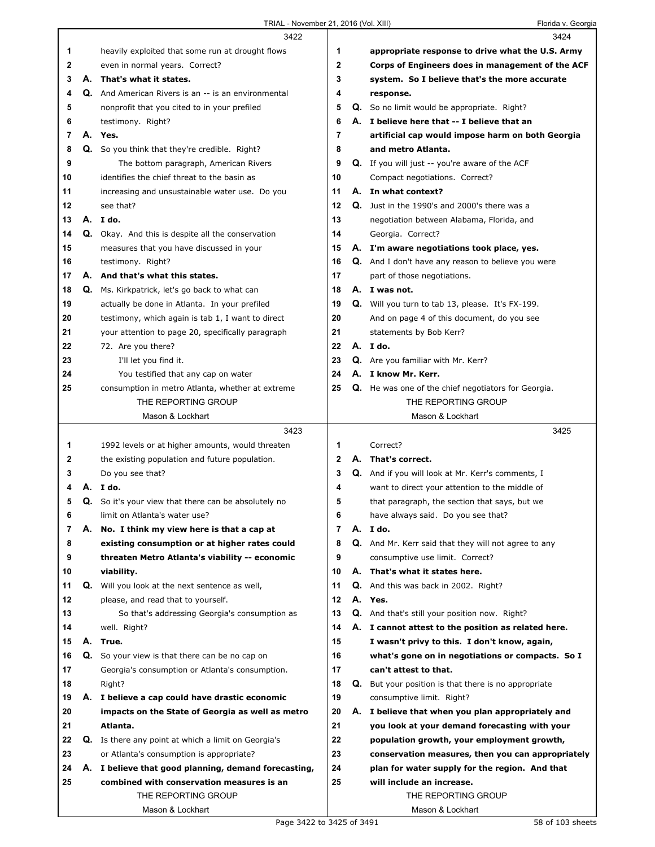|    |    | 3422                                                                                               |                |    | 3424                                                                                            |
|----|----|----------------------------------------------------------------------------------------------------|----------------|----|-------------------------------------------------------------------------------------------------|
| 1  |    | heavily exploited that some run at drought flows                                                   | 1              |    | appropriate response to drive what the U.S. Army                                                |
| 2  |    | even in normal years. Correct?                                                                     | 2              |    | Corps of Engineers does in management of the ACF                                                |
| 3  |    | A. That's what it states.                                                                          | 3              |    | system. So I believe that's the more accurate                                                   |
| 4  |    | <b>Q.</b> And American Rivers is an -- is an environmental                                         | 4              |    | response.                                                                                       |
| 5  |    | nonprofit that you cited to in your prefiled                                                       | 5              |    | <b>Q.</b> So no limit would be appropriate. Right?                                              |
| 6  |    | testimony. Right?                                                                                  | 6              |    | A. I believe here that -- I believe that an                                                     |
| 7  |    | A. Yes.                                                                                            | 7              |    | artificial cap would impose harm on both Georgia                                                |
| 8  |    | Q. So you think that they're credible. Right?                                                      | 8              |    | and metro Atlanta.                                                                              |
| 9  |    | The bottom paragraph, American Rivers                                                              | 9              |    | Q. If you will just -- you're aware of the ACF                                                  |
| 10 |    | identifies the chief threat to the basin as                                                        | 10             |    | Compact negotiations. Correct?                                                                  |
| 11 |    | increasing and unsustainable water use. Do you                                                     | 11             |    | A. In what context?                                                                             |
| 12 |    | see that?                                                                                          | 12             |    | Q. Just in the 1990's and 2000's there was a                                                    |
| 13 |    | A. I do.                                                                                           | 13             |    | negotiation between Alabama, Florida, and                                                       |
| 14 |    | Q. Okay. And this is despite all the conservation                                                  | 14             |    | Georgia. Correct?                                                                               |
| 15 |    | measures that you have discussed in your                                                           | 15             |    | A. I'm aware negotiations took place, yes.                                                      |
| 16 |    | testimony. Right?                                                                                  | 16             |    | Q. And I don't have any reason to believe you were                                              |
| 17 | А. | And that's what this states.                                                                       | 17             |    | part of those negotiations.                                                                     |
| 18 |    | Q. Ms. Kirkpatrick, let's go back to what can                                                      | 18             |    | A. I was not.                                                                                   |
| 19 |    | actually be done in Atlanta. In your prefiled                                                      | 19             |    | Q. Will you turn to tab 13, please. It's FX-199.                                                |
| 20 |    | testimony, which again is tab 1, I want to direct                                                  | 20             |    | And on page 4 of this document, do you see                                                      |
| 21 |    | your attention to page 20, specifically paragraph                                                  | 21             |    | statements by Bob Kerr?                                                                         |
| 22 |    | 72. Are you there?                                                                                 | 22             |    | A. I do.                                                                                        |
| 23 |    | I'll let you find it.                                                                              | 23             |    | Q. Are you familiar with Mr. Kerr?                                                              |
| 24 |    | You testified that any cap on water                                                                | 24             |    | A. I know Mr. Kerr.                                                                             |
| 25 |    | consumption in metro Atlanta, whether at extreme                                                   | 25             |    | Q. He was one of the chief negotiators for Georgia.                                             |
|    |    | THE REPORTING GROUP                                                                                |                |    | THE REPORTING GROUP                                                                             |
|    |    | Mason & Lockhart                                                                                   |                |    | Mason & Lockhart                                                                                |
|    |    |                                                                                                    |                |    |                                                                                                 |
|    |    | 3423                                                                                               |                |    | 3425                                                                                            |
| 1  |    |                                                                                                    | 1              |    | Correct?                                                                                        |
| 2  |    | 1992 levels or at higher amounts, would threaten<br>the existing population and future population. | $\mathbf{2}$   | А. | That's correct.                                                                                 |
| 3  |    | Do you see that?                                                                                   | 3              |    | Q. And if you will look at Mr. Kerr's comments, I                                               |
| 4  | А. | I do.                                                                                              | 4              |    |                                                                                                 |
| 5  |    | <b>Q.</b> So it's your view that there can be absolutely no                                        | 5              |    | want to direct your attention to the middle of<br>that paragraph, the section that says, but we |
| 6  |    | limit on Atlanta's water use?                                                                      | 6              |    | have always said. Do you see that?                                                              |
| 7  | А. | No. I think my view here is that a cap at                                                          | $\overline{7}$ |    | A. I do.                                                                                        |
| 8  |    | existing consumption or at higher rates could                                                      | 8              |    | Q. And Mr. Kerr said that they will not agree to any                                            |
| 9  |    | threaten Metro Atlanta's viability -- economic                                                     | 9              |    | consumptive use limit. Correct?                                                                 |
| 10 |    | viability.                                                                                         | 10             |    | A. That's what it states here.                                                                  |
| 11 | Q. | Will you look at the next sentence as well,                                                        | 11             |    | Q. And this was back in 2002. Right?                                                            |
| 12 |    | please, and read that to yourself.                                                                 | 12             |    | A. Yes.                                                                                         |
| 13 |    | So that's addressing Georgia's consumption as                                                      | 13             |    | Q. And that's still your position now. Right?                                                   |
| 14 |    | well. Right?                                                                                       | 14             |    | A. I cannot attest to the position as related here.                                             |
| 15 | А. | True.                                                                                              | 15             |    | I wasn't privy to this. I don't know, again,                                                    |
| 16 |    | Q. So your view is that there can be no cap on                                                     | 16             |    | what's gone on in negotiations or compacts. So I                                                |
| 17 |    | Georgia's consumption or Atlanta's consumption.                                                    | 17             |    | can't attest to that.                                                                           |
| 18 |    | Right?                                                                                             | 18             |    | Q. But your position is that there is no appropriate                                            |
| 19 |    | A. I believe a cap could have drastic economic                                                     | 19             |    | consumptive limit. Right?                                                                       |
| 20 |    | impacts on the State of Georgia as well as metro                                                   | 20             |    | A. I believe that when you plan appropriately and                                               |
| 21 |    | Atlanta.                                                                                           | 21             |    | you look at your demand forecasting with your                                                   |
| 22 |    | Q. Is there any point at which a limit on Georgia's                                                | 22             |    | population growth, your employment growth,                                                      |
| 23 |    | or Atlanta's consumption is appropriate?                                                           | 23             |    | conservation measures, then you can appropriately                                               |
| 24 |    | A. I believe that good planning, demand forecasting,                                               | 24             |    | plan for water supply for the region. And that                                                  |
| 25 |    | combined with conservation measures is an                                                          | 25             |    | will include an increase.                                                                       |
|    |    | THE REPORTING GROUP                                                                                |                |    | THE REPORTING GROUP                                                                             |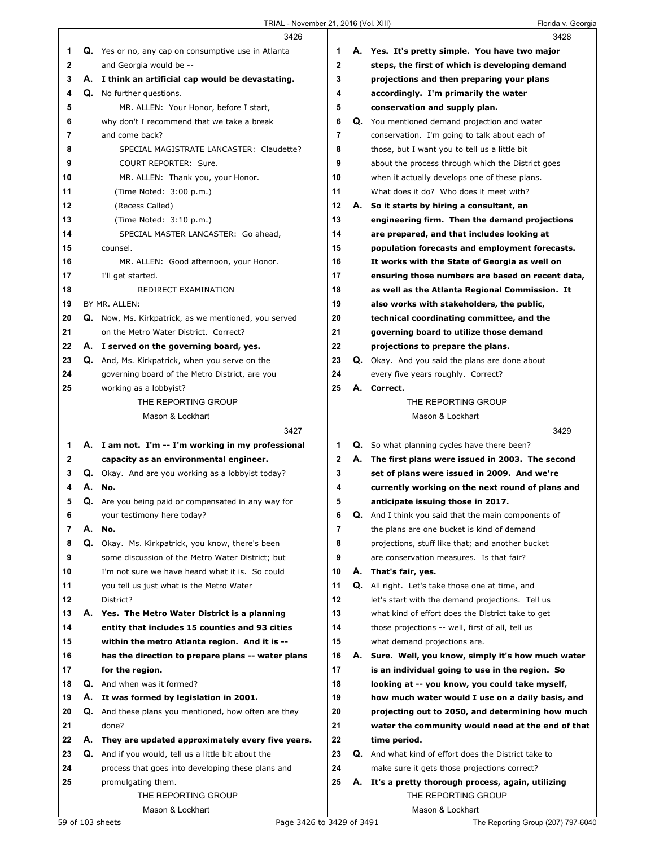|              |    | 3426                                                        |                |    | 3428                                                       |
|--------------|----|-------------------------------------------------------------|----------------|----|------------------------------------------------------------|
| 1            |    | Q. Yes or no, any cap on consumptive use in Atlanta         | 1              |    | A. Yes. It's pretty simple. You have two major             |
| $\mathbf{2}$ |    | and Georgia would be --                                     | $\mathbf{2}$   |    | steps, the first of which is developing demand             |
| 3            |    | A. I think an artificial cap would be devastating.          | 3              |    | projections and then preparing your plans                  |
| 4            |    | Q. No further questions.                                    | 4              |    | accordingly. I'm primarily the water                       |
| 5            |    | MR. ALLEN: Your Honor, before I start,                      | 5              |    | conservation and supply plan.                              |
| 6            |    | why don't I recommend that we take a break                  | 6              |    | Q. You mentioned demand projection and water               |
| 7            |    | and come back?                                              | 7              |    | conservation. I'm going to talk about each of              |
| 8            |    | SPECIAL MAGISTRATE LANCASTER: Claudette?                    | 8              |    | those, but I want you to tell us a little bit              |
| 9            |    | COURT REPORTER: Sure.                                       | 9              |    | about the process through which the District goes          |
| 10           |    | MR. ALLEN: Thank you, your Honor.                           | 10             |    | when it actually develops one of these plans.              |
| 11           |    | (Time Noted: 3:00 p.m.)                                     | 11             |    | What does it do? Who does it meet with?                    |
| 12           |    | (Recess Called)                                             | 12             |    | A. So it starts by hiring a consultant, an                 |
| 13           |    | (Time Noted: 3:10 p.m.)                                     | 13             |    | engineering firm. Then the demand projections              |
| 14           |    | SPECIAL MASTER LANCASTER: Go ahead,                         | 14             |    | are prepared, and that includes looking at                 |
| 15           |    | counsel.                                                    | 15             |    | population forecasts and employment forecasts.             |
| 16           |    | MR. ALLEN: Good afternoon, your Honor.                      | 16             |    | It works with the State of Georgia as well on              |
| 17           |    | I'll get started.                                           | 17             |    | ensuring those numbers are based on recent data,           |
| 18           |    | REDIRECT EXAMINATION                                        | 18             |    | as well as the Atlanta Regional Commission. It             |
| 19           |    | BY MR. ALLEN:                                               | 19             |    | also works with stakeholders, the public,                  |
| 20           |    | <b>Q.</b> Now, Ms. Kirkpatrick, as we mentioned, you served | 20             |    | technical coordinating committee, and the                  |
| 21           |    | on the Metro Water District. Correct?                       | 21             |    | governing board to utilize those demand                    |
| 22           |    | A. I served on the governing board, yes.                    | 22             |    | projections to prepare the plans.                          |
| 23           |    | <b>Q.</b> And, Ms. Kirkpatrick, when you serve on the       | 23             |    | <b>Q.</b> Okay. And you said the plans are done about      |
| 24           |    | governing board of the Metro District, are you              | 24             |    | every five years roughly. Correct?                         |
| 25           |    | working as a lobbyist?                                      | 25             |    | A. Correct.                                                |
|              |    | THE REPORTING GROUP                                         |                |    | THE REPORTING GROUP                                        |
|              |    | Mason & Lockhart                                            |                |    | Mason & Lockhart                                           |
|              |    |                                                             |                |    |                                                            |
|              |    | 3427                                                        |                |    | 3429                                                       |
| 1            |    | A. I am not. I'm -- I'm working in my professional          | 1              |    | Q. So what planning cycles have there been?                |
| $\mathbf{2}$ |    | capacity as an environmental engineer.                      | $\mathbf{2}$   |    | A. The first plans were issued in 2003. The second         |
| 3            |    | Q. Okay. And are you working as a lobbyist today?           | 3              |    | set of plans were issued in 2009. And we're                |
|              |    | No.                                                         | 4              |    | currently working on the next round of plans and           |
| 5            |    | Q. Are you being paid or compensated in any way for         | 5              |    | anticipate issuing those in 2017.                          |
| 6            |    | your testimony here today?                                  | 6              |    | <b>Q.</b> And I think you said that the main components of |
| 7            | А. | No.                                                         | $\overline{7}$ |    | the plans are one bucket is kind of demand                 |
| 8            |    | Q. Okay. Ms. Kirkpatrick, you know, there's been            | 8              |    | projections, stuff like that; and another bucket           |
| 9            |    | some discussion of the Metro Water District; but            | 9              |    | are conservation measures. Is that fair?                   |
| 10           |    | I'm not sure we have heard what it is. So could             | 10             |    | A. That's fair, yes.                                       |
| 11           |    | you tell us just what is the Metro Water                    | 11             |    | <b>Q.</b> All right. Let's take those one at time, and     |
| 12           |    | District?                                                   | 12             |    | let's start with the demand projections. Tell us           |
| 13           |    | A. Yes. The Metro Water District is a planning              | 13             |    | what kind of effort does the District take to get          |
| 14           |    | entity that includes 15 counties and 93 cities              | 14             |    | those projections -- well, first of all, tell us           |
| 15           |    | within the metro Atlanta region. And it is --               | 15             |    | what demand projections are.                               |
| 16           |    | has the direction to prepare plans -- water plans           | 16             | А. | Sure. Well, you know, simply it's how much water           |
| 17           |    | for the region.                                             | 17             |    | is an individual going to use in the region. So            |
| 18           |    | Q. And when was it formed?                                  | 18             |    | looking at -- you know, you could take myself,             |
| 19           |    | A. It was formed by legislation in 2001.                    | 19             |    | how much water would I use on a daily basis, and           |
| 20           |    | Q. And these plans you mentioned, how often are they        | 20             |    | projecting out to 2050, and determining how much           |
| 21           |    | done?                                                       | 21             |    | water the community would need at the end of that          |
| 22           | А. | They are updated approximately every five years.            | 22             |    | time period.                                               |
| 23           |    | Q. And if you would, tell us a little bit about the         | 23             |    | Q. And what kind of effort does the District take to       |
| 24           |    | process that goes into developing these plans and           | 24             |    | make sure it gets those projections correct?               |
| 25           |    | promulgating them.                                          | 25             |    | A. It's a pretty thorough process, again, utilizing        |
|              |    | THE REPORTING GROUP<br>Mason & Lockhart                     |                |    | THE REPORTING GROUP<br>Mason & Lockhart                    |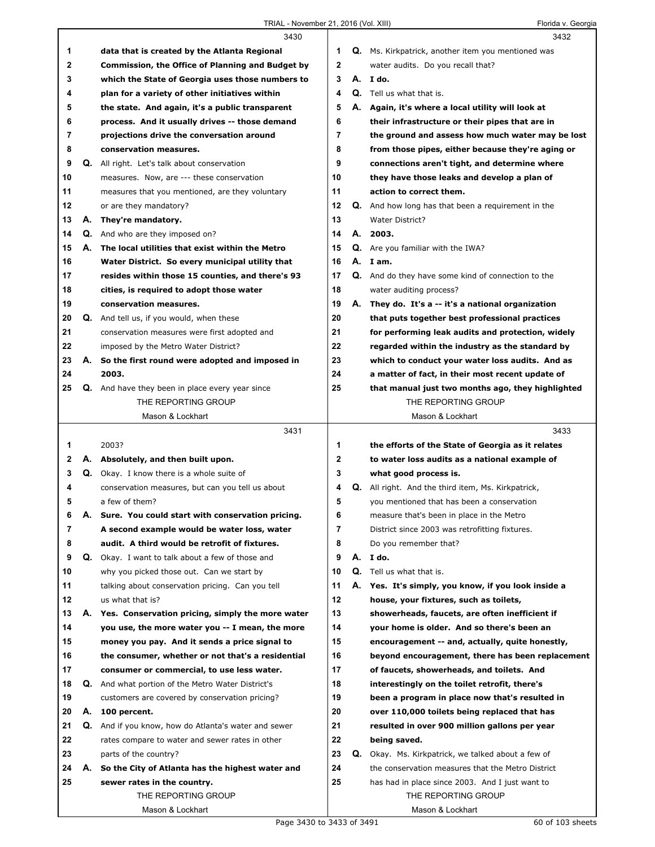|          |    | 3430                                                 |              |    | 3432                                                      |
|----------|----|------------------------------------------------------|--------------|----|-----------------------------------------------------------|
| 1        |    | data that is created by the Atlanta Regional         | 1            |    | Q. Ms. Kirkpatrick, another item you mentioned was        |
| 2        |    | Commission, the Office of Planning and Budget by     | $\mathbf{2}$ |    | water audits. Do you recall that?                         |
| 3        |    | which the State of Georgia uses those numbers to     | 3            |    | A. I do.                                                  |
| 4        |    | plan for a variety of other initiatives within       | 4            |    | <b>Q.</b> Tell us what that is.                           |
| 5        |    | the state. And again, it's a public transparent      | 5            | А. | Again, it's where a local utility will look at            |
| 6        |    | process. And it usually drives -- those demand       | 6            |    | their infrastructure or their pipes that are in           |
| 7        |    | projections drive the conversation around            | 7            |    | the ground and assess how much water may be lost          |
| 8        |    | conservation measures.                               | 8            |    | from those pipes, either because they're aging or         |
| 9        |    | <b>Q.</b> All right. Let's talk about conservation   | 9            |    | connections aren't tight, and determine where             |
| 10       |    | measures. Now, are --- these conservation            | 10           |    | they have those leaks and develop a plan of               |
| 11       |    | measures that you mentioned, are they voluntary      | 11           |    | action to correct them.                                   |
| 12       |    | or are they mandatory?                               | 12           |    | <b>Q.</b> And how long has that been a requirement in the |
| 13       | А. | They're mandatory.                                   | 13           |    | <b>Water District?</b>                                    |
|          |    |                                                      | 14           | А. |                                                           |
| 14       |    | <b>Q.</b> And who are they imposed on?               |              |    | 2003.                                                     |
| 15       | А. | The local utilities that exist within the Metro      | 15           |    | <b>Q.</b> Are you familiar with the IWA?                  |
| 16       |    | Water District. So every municipal utility that      | 16           |    | A. Iam.                                                   |
| 17       |    | resides within those 15 counties, and there's 93     | 17           |    | Q. And do they have some kind of connection to the        |
| 18       |    | cities, is required to adopt those water             | 18           |    | water auditing process?                                   |
| 19       |    | conservation measures.                               | 19           |    | A. They do. It's a -- it's a national organization        |
| 20       |    | Q. And tell us, if you would, when these             | 20           |    | that puts together best professional practices            |
| 21       |    | conservation measures were first adopted and         | 21           |    | for performing leak audits and protection, widely         |
| 22       |    | imposed by the Metro Water District?                 | 22           |    | regarded within the industry as the standard by           |
| 23       |    | A. So the first round were adopted and imposed in    | 23           |    | which to conduct your water loss audits. And as           |
| 24       |    | 2003.                                                | 24           |    | a matter of fact, in their most recent update of          |
| 25       |    | Q. And have they been in place every year since      | 25           |    | that manual just two months ago, they highlighted         |
|          |    | THE REPORTING GROUP                                  |              |    | THE REPORTING GROUP                                       |
|          |    | Mason & Lockhart                                     |              |    | Mason & Lockhart                                          |
|          |    |                                                      |              |    |                                                           |
|          |    | 3431                                                 |              |    | 3433                                                      |
| 1        |    | 2003?                                                | 1            |    | the efforts of the State of Georgia as it relates         |
| 2        |    | A. Absolutely, and then built upon.                  | 2            |    | to water loss audits as a national example of             |
| 3        |    | <b>Q.</b> Okay. I know there is a whole suite of     | 3            |    | what good process is.                                     |
| 4        |    | conservation measures, but can you tell us about     | 4            |    | <b>Q.</b> All right. And the third item, Ms. Kirkpatrick, |
| 5        |    | a few of them?                                       | 5            |    | you mentioned that has been a conservation                |
| 6        | Α. | Sure. You could start with conservation pricing.     | 6            |    | measure that's been in place in the Metro                 |
| 7        |    | A second example would be water loss, water          | 7            |    | District since 2003 was retrofitting fixtures.            |
| 8        |    | audit. A third would be retrofit of fixtures.        | 8            |    | Do you remember that?                                     |
| 9        |    | Q. Okay. I want to talk about a few of those and     | 9            |    | A. I do.                                                  |
| 10       |    | why you picked those out. Can we start by            | 10           |    | Q. Tell us what that is.                                  |
|          |    |                                                      | 11           | А. |                                                           |
| 11<br>12 |    | talking about conservation pricing. Can you tell     | 12           |    | Yes. It's simply, you know, if you look inside a          |
|          |    | us what that is?                                     |              |    | house, your fixtures, such as toilets,                    |
| 13       |    | A. Yes. Conservation pricing, simply the more water  | 13           |    | showerheads, faucets, are often inefficient if            |
| 14       |    | you use, the more water you -- I mean, the more      | 14           |    | your home is older. And so there's been an                |
| 15       |    | money you pay. And it sends a price signal to        | 15           |    | encouragement -- and, actually, quite honestly,           |
| 16       |    | the consumer, whether or not that's a residential    | 16           |    | beyond encouragement, there has been replacement          |
| 17       |    | consumer or commercial, to use less water.           | 17           |    | of faucets, showerheads, and toilets. And                 |
| 18       |    | Q. And what portion of the Metro Water District's    | 18           |    | interestingly on the toilet retrofit, there's             |
| 19       |    | customers are covered by conservation pricing?       | 19           |    | been a program in place now that's resulted in            |
| 20       | А. | 100 percent.                                         | 20           |    | over 110,000 toilets being replaced that has              |
| 21       |    | Q. And if you know, how do Atlanta's water and sewer | 21           |    | resulted in over 900 million gallons per year             |
| 22       |    | rates compare to water and sewer rates in other      | 22           |    | being saved.                                              |
| 23       |    | parts of the country?                                | 23           | Q. | Okay. Ms. Kirkpatrick, we talked about a few of           |
| 24       |    | A. So the City of Atlanta has the highest water and  | 24           |    | the conservation measures that the Metro District         |
| 25       |    | sewer rates in the country.                          | 25           |    | has had in place since 2003. And I just want to           |
|          |    | THE REPORTING GROUP                                  |              |    | THE REPORTING GROUP                                       |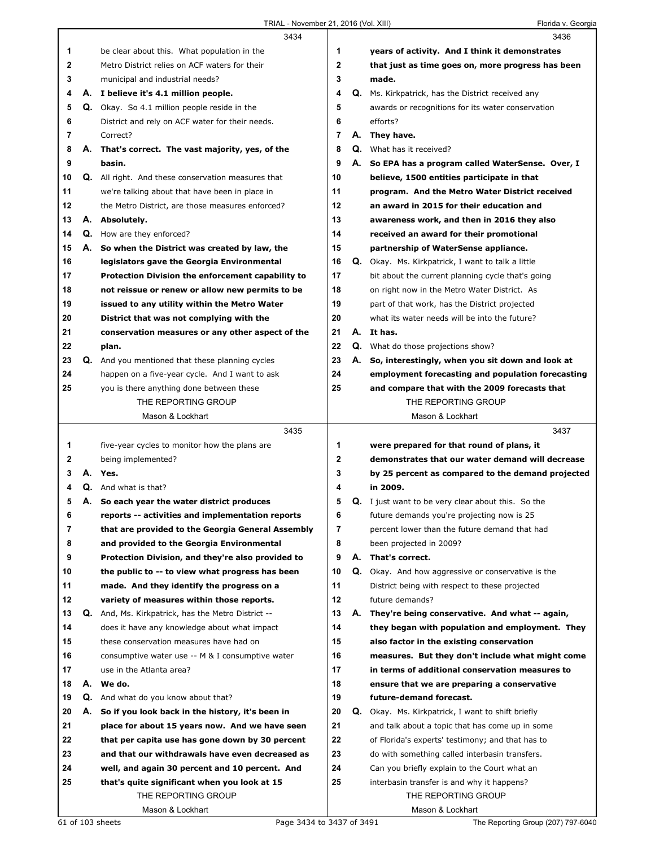|              |    | 3434                                                      |              |    | 3436                                                      |
|--------------|----|-----------------------------------------------------------|--------------|----|-----------------------------------------------------------|
| 1            |    | be clear about this. What population in the               | 1            |    | years of activity. And I think it demonstrates            |
| $\mathbf{2}$ |    | Metro District relies on ACF waters for their             | $\mathbf{2}$ |    | that just as time goes on, more progress has been         |
| 3            |    | municipal and industrial needs?                           | 3            |    | made.                                                     |
| 4            |    | A. I believe it's 4.1 million people.                     | 4            |    | Q. Ms. Kirkpatrick, has the District received any         |
| 5            |    | <b>Q.</b> Okay. So 4.1 million people reside in the       | 5            |    | awards or recognitions for its water conservation         |
| 6            |    | District and rely on ACF water for their needs.           | 6            |    | efforts?                                                  |
| 7            |    | Correct?                                                  | 7            |    | A. They have.                                             |
| 8            |    | A. That's correct. The vast majority, yes, of the         | 8            |    | Q. What has it received?                                  |
| 9            |    | basin.                                                    | 9            |    | A. So EPA has a program called WaterSense. Over, I        |
| 10           |    | Q. All right. And these conservation measures that        | 10           |    | believe, 1500 entities participate in that                |
| 11           |    | we're talking about that have been in place in            | 11           |    | program. And the Metro Water District received            |
| 12           |    | the Metro District, are those measures enforced?          | 12           |    | an award in 2015 for their education and                  |
| 13           |    | A. Absolutely.                                            | 13           |    | awareness work, and then in 2016 they also                |
| 14           |    | <b>Q.</b> How are they enforced?                          | 14           |    | received an award for their promotional                   |
| 15           |    | A. So when the District was created by law, the           | 15           |    | partnership of WaterSense appliance.                      |
| 16           |    | legislators gave the Georgia Environmental                | 16           |    | Q. Okay. Ms. Kirkpatrick, I want to talk a little         |
| 17           |    | Protection Division the enforcement capability to         | 17           |    | bit about the current planning cycle that's going         |
| 18           |    | not reissue or renew or allow new permits to be           | 18           |    | on right now in the Metro Water District. As              |
| 19           |    | issued to any utility within the Metro Water              | 19           |    | part of that work, has the District projected             |
| 20           |    | District that was not complying with the                  | 20           |    | what its water needs will be into the future?             |
| 21           |    | conservation measures or any other aspect of the          | 21           |    | A. It has.                                                |
| 22           |    | plan.                                                     | 22           |    | Q. What do those projections show?                        |
| 23           | Q. | And you mentioned that these planning cycles              | 23           | А. | So, interestingly, when you sit down and look at          |
| 24           |    | happen on a five-year cycle. And I want to ask            | 24           |    | employment forecasting and population forecasting         |
| 25           |    | you is there anything done between these                  | 25           |    | and compare that with the 2009 forecasts that             |
|              |    | THE REPORTING GROUP                                       |              |    | THE REPORTING GROUP                                       |
|              |    | Mason & Lockhart                                          |              |    | Mason & Lockhart                                          |
|              |    |                                                           |              |    |                                                           |
|              |    | 3435                                                      |              |    | 3437                                                      |
| 1            |    | five-year cycles to monitor how the plans are             | 1            |    | were prepared for that round of plans, it                 |
| 2            |    | being implemented?                                        | 2            |    | demonstrates that our water demand will decrease          |
| 3            |    | A. Yes.                                                   | 3            |    | by 25 percent as compared to the demand projected         |
|              |    | <b>Q.</b> And what is that?                               | 4            |    | in 2009.                                                  |
| 5            |    | A. So each year the water district produces               | 5            |    | <b>Q.</b> I just want to be very clear about this. So the |
| 6            |    | reports -- activities and implementation reports          | 6            |    | future demands you're projecting now is 25                |
| 7            |    | that are provided to the Georgia General Assembly         | 7            |    | percent lower than the future demand that had             |
| 8            |    | and provided to the Georgia Environmental                 | 8            |    | been projected in 2009?                                   |
| 9            |    | Protection Division, and they're also provided to         | 9            |    | A. That's correct.                                        |
| 10           |    | the public to -- to view what progress has been           | 10           |    | Q. Okay. And how aggressive or conservative is the        |
| 11           |    | made. And they identify the progress on a                 | 11           |    | District being with respect to these projected            |
| 12           |    | variety of measures within those reports.                 | 12           |    | future demands?                                           |
| 13           |    | <b>Q.</b> And, Ms. Kirkpatrick, has the Metro District -- | 13           |    | A. They're being conservative. And what -- again,         |
| 14           |    | does it have any knowledge about what impact              | 14           |    | they began with population and employment. They           |
| 15           |    | these conservation measures have had on                   | 15           |    | also factor in the existing conservation                  |
| 16           |    | consumptive water use -- M & I consumptive water          | 16           |    | measures. But they don't include what might come          |
| 17           |    | use in the Atlanta area?                                  | 17           |    | in terms of additional conservation measures to           |
| 18           |    | A. We do.                                                 | 18           |    | ensure that we are preparing a conservative               |
| 19           |    | <b>Q.</b> And what do you know about that?                | 19           |    | future-demand forecast.                                   |
| 20           | А. | So if you look back in the history, it's been in          | 20           | Q. | Okay. Ms. Kirkpatrick, I want to shift briefly            |
| 21           |    | place for about 15 years now. And we have seen            | 21           |    | and talk about a topic that has come up in some           |
| 22           |    | that per capita use has gone down by 30 percent           | 22           |    | of Florida's experts' testimony; and that has to          |
| 23           |    | and that our withdrawals have even decreased as           | 23           |    | do with something called interbasin transfers.            |
| 24           |    | well, and again 30 percent and 10 percent. And            | 24           |    | Can you briefly explain to the Court what an              |
| 25           |    | that's quite significant when you look at 15              | 25           |    | interbasin transfer is and why it happens?                |
|              |    | THE REPORTING GROUP                                       |              |    | THE REPORTING GROUP                                       |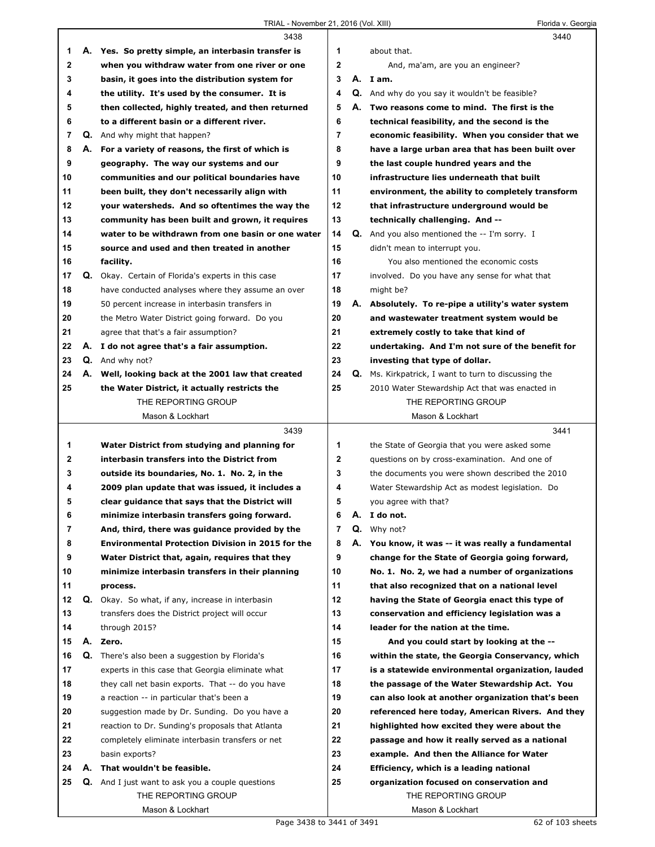$\Gamma$ 

|    |    | 3438                                                     |                |    | 3440                                                    |
|----|----|----------------------------------------------------------|----------------|----|---------------------------------------------------------|
| 1  |    | A. Yes. So pretty simple, an interbasin transfer is      | 1              |    | about that.                                             |
| 2  |    | when you withdraw water from one river or one            | $\mathbf{2}$   |    | And, ma'am, are you an engineer?                        |
| 3  |    | basin, it goes into the distribution system for          | 3              |    | A. I am.                                                |
| 4  |    | the utility. It's used by the consumer. It is            | 4              |    | Q. And why do you say it wouldn't be feasible?          |
| 5  |    | then collected, highly treated, and then returned        | 5              | А. | Two reasons come to mind. The first is the              |
| 6  |    | to a different basin or a different river.               | 6              |    | technical feasibility, and the second is the            |
| 7  |    | <b>Q.</b> And why might that happen?                     | $\overline{7}$ |    | economic feasibility. When you consider that we         |
| 8  |    | A. For a variety of reasons, the first of which is       | 8              |    | have a large urban area that has been built over        |
| 9  |    | geography. The way our systems and our                   | 9              |    | the last couple hundred years and the                   |
| 10 |    | communities and our political boundaries have            | 10             |    | infrastructure lies underneath that built               |
| 11 |    | been built, they don't necessarily align with            | 11             |    | environment, the ability to completely transform        |
| 12 |    | your watersheds. And so oftentimes the way the           | 12             |    | that infrastructure underground would be                |
| 13 |    | community has been built and grown, it requires          | 13             |    | technically challenging. And --                         |
| 14 |    | water to be withdrawn from one basin or one water        | 14             |    | <b>Q.</b> And you also mentioned the $-$ - I'm sorry. I |
| 15 |    | source and used and then treated in another              | 15             |    | didn't mean to interrupt you.                           |
| 16 |    | facility.                                                | 16             |    | You also mentioned the economic costs                   |
| 17 |    | Q. Okay. Certain of Florida's experts in this case       | 17             |    | involved. Do you have any sense for what that           |
| 18 |    | have conducted analyses where they assume an over        | 18             |    | might be?                                               |
| 19 |    | 50 percent increase in interbasin transfers in           | 19             |    | A. Absolutely. To re-pipe a utility's water system      |
| 20 |    | the Metro Water District going forward. Do you           | 20             |    | and wastewater treatment system would be                |
| 21 |    | agree that that's a fair assumption?                     | 21             |    | extremely costly to take that kind of                   |
| 22 |    | A. I do not agree that's a fair assumption.              | 22             |    | undertaking. And I'm not sure of the benefit for        |
| 23 |    | Q. And why not?                                          | 23             |    | investing that type of dollar.                          |
| 24 |    | A. Well, looking back at the 2001 law that created       | 24             |    | Q. Ms. Kirkpatrick, I want to turn to discussing the    |
| 25 |    | the Water District, it actually restricts the            | 25             |    | 2010 Water Stewardship Act that was enacted in          |
|    |    | THE REPORTING GROUP                                      |                |    | THE REPORTING GROUP                                     |
|    |    | Mason & Lockhart                                         |                |    | Mason & Lockhart                                        |
|    |    |                                                          |                |    |                                                         |
|    |    |                                                          |                |    |                                                         |
|    |    | 3439                                                     |                |    | 3441                                                    |
| 1  |    | Water District from studying and planning for            | 1              |    | the State of Georgia that you were asked some           |
| 2  |    | interbasin transfers into the District from              | $\mathbf{2}$   |    | questions on by cross-examination. And one of           |
| 3  |    | outside its boundaries, No. 1. No. 2, in the             | 3              |    | the documents you were shown described the 2010         |
| 4  |    | 2009 plan update that was issued, it includes a          | 4              |    | Water Stewardship Act as modest legislation. Do         |
| 5  |    | clear guidance that says that the District will          | 5              |    | you agree with that?                                    |
| 6  |    | minimize interbasin transfers going forward.             | 6              |    | A. I do not.                                            |
| 7  |    | And, third, there was guidance provided by the           | 7              |    | $Q.$ Why not?                                           |
| 8  |    | <b>Environmental Protection Division in 2015 for the</b> | 8              | А. | You know, it was -- it was really a fundamental         |
| 9  |    | Water District that, again, requires that they           | 9              |    | change for the State of Georgia going forward,          |
| 10 |    | minimize interbasin transfers in their planning          | 10             |    | No. 1. No. 2, we had a number of organizations          |
| 11 |    | process.                                                 | 11             |    | that also recognized that on a national level           |
| 12 |    | Q. Okay. So what, if any, increase in interbasin         | 12             |    | having the State of Georgia enact this type of          |
| 13 |    | transfers does the District project will occur           | 13             |    | conservation and efficiency legislation was a           |
| 14 |    | through 2015?                                            | 14             |    | leader for the nation at the time.                      |
| 15 |    | A. Zero.                                                 | 15             |    | And you could start by looking at the --                |
| 16 | Q. | There's also been a suggestion by Florida's              | 16             |    | within the state, the Georgia Conservancy, which        |
| 17 |    | experts in this case that Georgia eliminate what         | 17             |    | is a statewide environmental organization, lauded       |
| 18 |    | they call net basin exports. That -- do you have         | 18             |    | the passage of the Water Stewardship Act. You           |
| 19 |    | a reaction -- in particular that's been a                | 19             |    | can also look at another organization that's been       |
| 20 |    | suggestion made by Dr. Sunding. Do you have a            | 20             |    | referenced here today, American Rivers. And they        |
| 21 |    | reaction to Dr. Sunding's proposals that Atlanta         | 21             |    | highlighted how excited they were about the             |
| 22 |    | completely eliminate interbasin transfers or net         | 22             |    | passage and how it really served as a national          |
| 23 |    | basin exports?                                           | 23             |    | example. And then the Alliance for Water                |
| 24 | А. | That wouldn't be feasible.                               | 24             |    | Efficiency, which is a leading national                 |
| 25 |    | <b>Q.</b> And I just want to ask you a couple questions  | 25             |    | organization focused on conservation and                |
|    |    | THE REPORTING GROUP                                      |                |    | THE REPORTING GROUP                                     |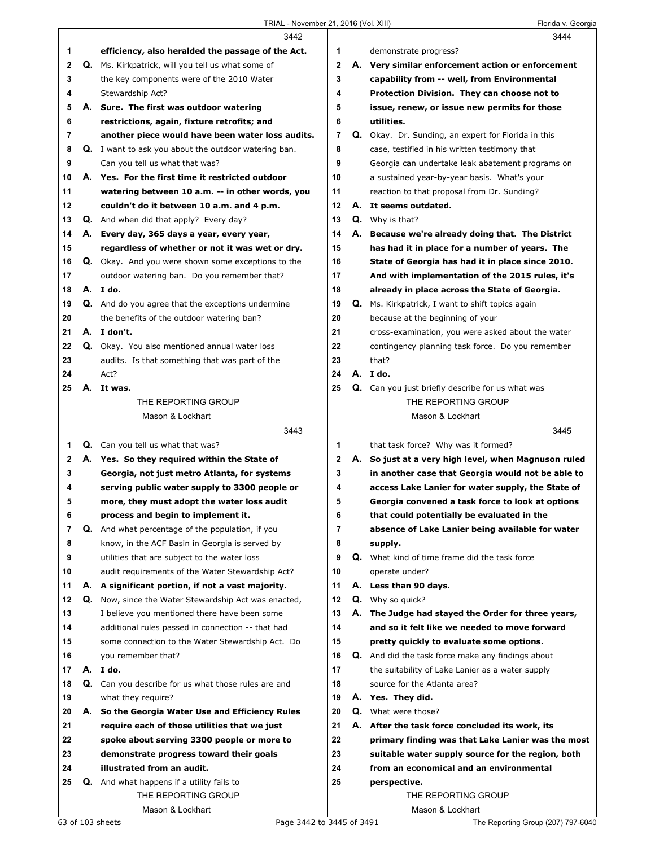|    |    | 3442                                                        |                |    | 3444                                                     |
|----|----|-------------------------------------------------------------|----------------|----|----------------------------------------------------------|
| 1  |    | efficiency, also heralded the passage of the Act.           | 1              |    | demonstrate progress?                                    |
| 2  |    | <b>Q.</b> Ms. Kirkpatrick, will you tell us what some of    | $\mathbf{2}$   |    | A. Very similar enforcement action or enforcement        |
| 3  |    | the key components were of the 2010 Water                   | 3              |    | capability from -- well, from Environmental              |
| 4  |    | Stewardship Act?                                            | 4              |    | Protection Division. They can choose not to              |
| 5  | А. | Sure. The first was outdoor watering                        | 5              |    | issue, renew, or issue new permits for those             |
| 6  |    | restrictions, again, fixture retrofits; and                 | 6              |    | utilities.                                               |
| 7  |    | another piece would have been water loss audits.            | $\overline{7}$ |    | Q. Okay. Dr. Sunding, an expert for Florida in this      |
| 8  |    | <b>Q.</b> I want to ask you about the outdoor watering ban. | 8              |    | case, testified in his written testimony that            |
| 9  |    | Can you tell us what that was?                              | 9              |    | Georgia can undertake leak abatement programs on         |
| 10 |    | A. Yes. For the first time it restricted outdoor            | 10             |    | a sustained year-by-year basis. What's your              |
| 11 |    | watering between 10 a.m. -- in other words, you             | 11             |    | reaction to that proposal from Dr. Sunding?              |
| 12 |    | couldn't do it between 10 a.m. and 4 p.m.                   | 12             |    | A. It seems outdated.                                    |
| 13 |    | <b>Q.</b> And when did that apply? Every day?               | 13             |    | <b>Q.</b> Why is that?                                   |
| 14 |    | A. Every day, 365 days a year, every year,                  | 14             | А. | Because we're already doing that. The District           |
| 15 |    | regardless of whether or not it was wet or dry.             | 15             |    | has had it in place for a number of years. The           |
| 16 |    | Q. Okay. And you were shown some exceptions to the          | 16             |    | State of Georgia has had it in place since 2010.         |
| 17 |    | outdoor watering ban. Do you remember that?                 | 17             |    | And with implementation of the 2015 rules, it's          |
| 18 |    | A. I do.                                                    | 18             |    | already in place across the State of Georgia.            |
| 19 |    | <b>Q.</b> And do you agree that the exceptions undermine    | 19             |    | Q. Ms. Kirkpatrick, I want to shift topics again         |
| 20 |    | the benefits of the outdoor watering ban?                   | 20             |    | because at the beginning of your                         |
| 21 |    | A. I don't.                                                 | 21             |    | cross-examination, you were asked about the water        |
| 22 |    | Q. Okay. You also mentioned annual water loss               | 22             |    | contingency planning task force. Do you remember         |
| 23 |    | audits. Is that something that was part of the              | 23             |    | that?                                                    |
| 24 |    | Act?                                                        | 24             |    | A. I do.                                                 |
| 25 | А. | It was.                                                     | 25             |    | Q. Can you just briefly describe for us what was         |
|    |    | THE REPORTING GROUP                                         |                |    | THE REPORTING GROUP                                      |
|    |    | Mason & Lockhart                                            |                |    | Mason & Lockhart                                         |
|    |    |                                                             |                |    |                                                          |
|    |    |                                                             |                |    |                                                          |
|    |    | 3443                                                        |                |    | 3445                                                     |
| 1. | Q. | Can you tell us what that was?                              | 1              |    | that task force? Why was it formed?                      |
| 2  |    | A. Yes. So they required within the State of                | 2              | А. | So just at a very high level, when Magnuson ruled        |
| 3  |    | Georgia, not just metro Atlanta, for systems                | 3              |    | in another case that Georgia would not be able to        |
| 4  |    | serving public water supply to 3300 people or               | 4              |    | access Lake Lanier for water supply, the State of        |
| 5  |    | more, they must adopt the water loss audit                  | 5              |    | Georgia convened a task force to look at options         |
| 6  |    | process and begin to implement it.                          | 6              |    | that could potentially be evaluated in the               |
| 7  |    | Q. And what percentage of the population, if you            | 7              |    | absence of Lake Lanier being available for water         |
| 8  |    | know, in the ACF Basin in Georgia is served by              | 8              |    | supply.                                                  |
| 9  |    | utilities that are subject to the water loss                | 9              |    | Q. What kind of time frame did the task force            |
| 10 |    | audit requirements of the Water Stewardship Act?            | 10             |    | operate under?                                           |
| 11 |    | A. A significant portion, if not a vast majority.           | 11             |    | A. Less than 90 days.                                    |
| 12 |    | Q. Now, since the Water Stewardship Act was enacted,        | 12             |    | Q. Why so quick?                                         |
| 13 |    | I believe you mentioned there have been some                | 13             | А. | The Judge had stayed the Order for three years,          |
| 14 |    | additional rules passed in connection -- that had           | 14             |    | and so it felt like we needed to move forward            |
| 15 |    | some connection to the Water Stewardship Act. Do            | 15             |    | pretty quickly to evaluate some options.                 |
| 16 |    | you remember that?                                          | 16             |    | <b>Q.</b> And did the task force make any findings about |
| 17 |    | A. I do.                                                    | 17             |    | the suitability of Lake Lanier as a water supply         |
| 18 |    | Q. Can you describe for us what those rules are and         | 18             |    | source for the Atlanta area?                             |
| 19 |    | what they require?                                          | 19             |    | A. Yes. They did.                                        |
| 20 | А. | So the Georgia Water Use and Efficiency Rules               | 20             |    | <b>Q.</b> What were those?                               |
| 21 |    | require each of those utilities that we just                | 21             |    | A. After the task force concluded its work, its          |
| 22 |    | spoke about serving 3300 people or more to                  | 22             |    | primary finding was that Lake Lanier was the most        |
| 23 |    | demonstrate progress toward their goals                     | 23             |    | suitable water supply source for the region, both        |
| 24 |    | illustrated from an audit.                                  | 24             |    | from an economical and an environmental                  |
| 25 |    | <b>Q.</b> And what happens if a utility fails to            | 25             |    | perspective.                                             |
|    |    | THE REPORTING GROUP<br>Mason & Lockhart                     |                |    | THE REPORTING GROUP<br>Mason & Lockhart                  |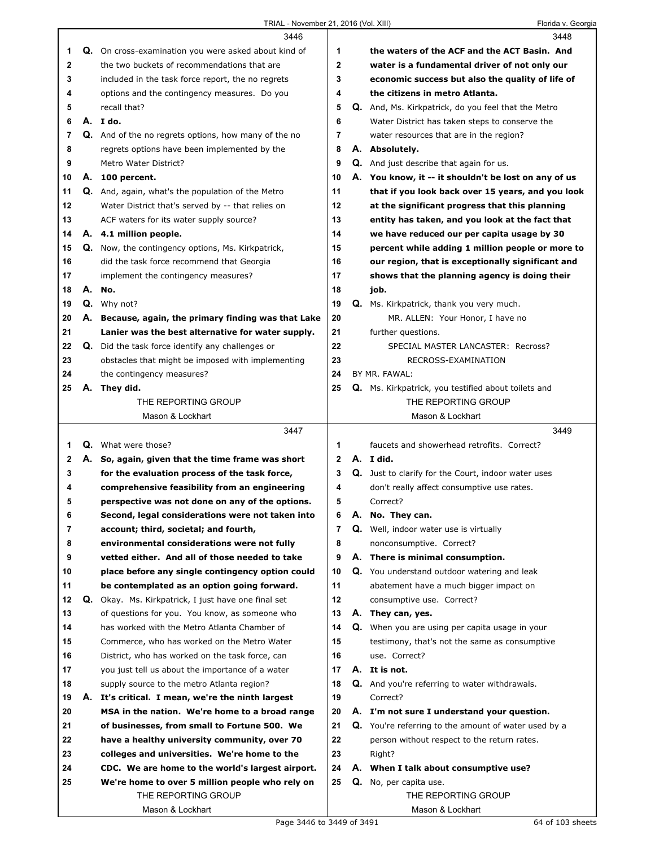|    |    | 3446                                                    |                |    | 3448                                                       |
|----|----|---------------------------------------------------------|----------------|----|------------------------------------------------------------|
| 1  |    | Q. On cross-examination you were asked about kind of    | 1              |    | the waters of the ACF and the ACT Basin. And               |
| 2  |    | the two buckets of recommendations that are             | 2              |    | water is a fundamental driver of not only our              |
| 3  |    | included in the task force report, the no regrets       | 3              |    | economic success but also the quality of life of           |
| 4  |    | options and the contingency measures. Do you            | 4              |    | the citizens in metro Atlanta.                             |
| 5  |    | recall that?                                            | 5              |    | <b>Q.</b> And, Ms. Kirkpatrick, do you feel that the Metro |
| 6  |    | A. I do.                                                | 6              |    | Water District has taken steps to conserve the             |
| 7  |    | Q. And of the no regrets options, how many of the no    | 7              |    | water resources that are in the region?                    |
| 8  |    | regrets options have been implemented by the            | 8              |    | A. Absolutely.                                             |
| 9  |    | Metro Water District?                                   | 9              |    | <b>Q.</b> And just describe that again for us.             |
| 10 |    | A. 100 percent.                                         | 10             |    | A. You know, it -- it shouldn't be lost on any of us       |
| 11 |    | Q. And, again, what's the population of the Metro       | 11             |    | that if you look back over 15 years, and you look          |
| 12 |    | Water District that's served by -- that relies on       | 12             |    | at the significant progress that this planning             |
|    |    |                                                         | 13             |    |                                                            |
| 13 |    | ACF waters for its water supply source?                 |                |    | entity has taken, and you look at the fact that            |
| 14 |    | A. 4.1 million people.                                  | 14             |    | we have reduced our per capita usage by 30                 |
| 15 |    | Q. Now, the contingency options, Ms. Kirkpatrick,       | 15             |    | percent while adding 1 million people or more to           |
| 16 |    | did the task force recommend that Georgia               | 16             |    | our region, that is exceptionally significant and          |
| 17 |    | implement the contingency measures?                     | 17             |    | shows that the planning agency is doing their              |
| 18 | А. | No.                                                     | 18             |    | job.                                                       |
| 19 |    | Q. Why not?                                             | 19             |    | Q. Ms. Kirkpatrick, thank you very much.                   |
| 20 |    | A. Because, again, the primary finding was that Lake    | 20             |    | MR. ALLEN: Your Honor, I have no                           |
| 21 |    | Lanier was the best alternative for water supply.       | 21             |    | further questions.                                         |
| 22 |    | <b>Q.</b> Did the task force identify any challenges or | 22             |    | SPECIAL MASTER LANCASTER: Recross?                         |
| 23 |    | obstacles that might be imposed with implementing       | 23             |    | RECROSS-EXAMINATION                                        |
| 24 |    | the contingency measures?                               | 24             |    | BY MR. FAWAL:                                              |
| 25 |    | A. They did.                                            | 25             |    | Q. Ms. Kirkpatrick, you testified about toilets and        |
|    |    | THE REPORTING GROUP                                     |                |    | THE REPORTING GROUP                                        |
|    |    | Mason & Lockhart                                        |                |    | Mason & Lockhart                                           |
|    |    |                                                         |                |    |                                                            |
|    |    | 3447                                                    |                |    | 3449                                                       |
| 1  |    | <b>Q.</b> What were those?                              | 1              |    | faucets and showerhead retrofits. Correct?                 |
| 2  |    | A. So, again, given that the time frame was short       | $\mathbf{2}$   |    | A. I did.                                                  |
| 3  |    | for the evaluation process of the task force,           | 3              |    | Q. Just to clarify for the Court, indoor water uses        |
| 4  |    | comprehensive feasibility from an engineering           | 4              |    | don't really affect consumptive use rates.                 |
| 5  |    | perspective was not done on any of the options.         | 5              |    | Correct?                                                   |
| 6  |    | Second, legal considerations were not taken into        | 6              | Α. | No. They can.                                              |
| 7  |    | account; third, societal; and fourth,                   | $\overline{7}$ |    | Q. Well, indoor water use is virtually                     |
| 8  |    | environmental considerations were not fully             | 8              |    | nonconsumptive. Correct?                                   |
| 9  |    | vetted either. And all of those needed to take          | 9              |    | A. There is minimal consumption.                           |
| 10 |    | place before any single contingency option could        | 10             |    | Q. You understand outdoor watering and leak                |
| 11 |    | be contemplated as an option going forward.             | 11             |    | abatement have a much bigger impact on                     |
| 12 |    | Q. Okay. Ms. Kirkpatrick, I just have one final set     | 12             |    | consumptive use. Correct?                                  |
| 13 |    | of questions for you. You know, as someone who          | 13             |    | A. They can, yes.                                          |
| 14 |    | has worked with the Metro Atlanta Chamber of            | 14             |    | Q. When you are using per capita usage in your             |
| 15 |    | Commerce, who has worked on the Metro Water             | 15             |    | testimony, that's not the same as consumptive              |
| 16 |    | District, who has worked on the task force, can         | 16             |    | use. Correct?                                              |
| 17 |    | you just tell us about the importance of a water        | 17             |    | A. It is not.                                              |
| 18 |    | supply source to the metro Atlanta region?              | 18             |    | <b>Q.</b> And you're referring to water withdrawals.       |
| 19 | А. | It's critical. I mean, we're the ninth largest          | 19             |    | Correct?                                                   |
| 20 |    | MSA in the nation. We're home to a broad range          | 20             |    | A. I'm not sure I understand your question.                |
| 21 |    | of businesses, from small to Fortune 500. We            | 21             |    | Q. You're referring to the amount of water used by a       |
| 22 |    | have a healthy university community, over 70            | 22             |    | person without respect to the return rates.                |
|    |    |                                                         |                |    |                                                            |
| 23 |    | colleges and universities. We're home to the            | 23             |    | Right?                                                     |
| 24 |    | CDC. We are home to the world's largest airport.        | 24<br>25       |    | A. When I talk about consumptive use?                      |
| 25 |    | We're home to over 5 million people who rely on         |                |    | Q. No, per capita use.                                     |
|    |    | THE REPORTING GROUP<br>Mason & Lockhart                 |                |    | THE REPORTING GROUP<br>Mason & Lockhart                    |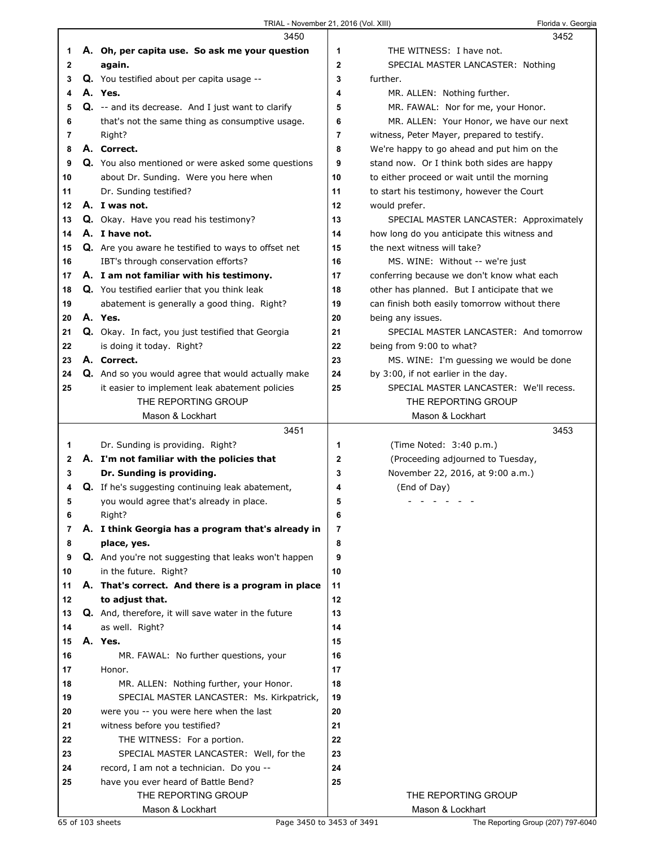|    | 3450                                                 |    | 3452                                          |
|----|------------------------------------------------------|----|-----------------------------------------------|
| 1  | A. Oh, per capita use. So ask me your question       | 1  | THE WITNESS: I have not.                      |
| 2  | again.                                               | 2  | SPECIAL MASTER LANCASTER: Nothing             |
| 3  | Q. You testified about per capita usage --           | 3  | further.                                      |
| 4  | A. Yes.                                              | 4  | MR. ALLEN: Nothing further.                   |
| 5  | Q. -- and its decrease. And I just want to clarify   | 5  | MR. FAWAL: Nor for me, your Honor.            |
| 6  | that's not the same thing as consumptive usage.      | 6  | MR. ALLEN: Your Honor, we have our next       |
| 7  | Right?                                               | 7  | witness, Peter Mayer, prepared to testify.    |
| 8  | A. Correct.                                          | 8  | We're happy to go ahead and put him on the    |
| 9  | Q. You also mentioned or were asked some questions   | 9  | stand now. Or I think both sides are happy    |
| 10 | about Dr. Sunding. Were you here when                | 10 | to either proceed or wait until the morning   |
| 11 | Dr. Sunding testified?                               | 11 | to start his testimony, however the Court     |
| 12 | A. I was not.                                        | 12 | would prefer.                                 |
| 13 | <b>Q.</b> Okay. Have you read his testimony?         | 13 | SPECIAL MASTER LANCASTER: Approximately       |
| 14 | A. I have not.                                       | 14 | how long do you anticipate this witness and   |
| 15 | Q. Are you aware he testified to ways to offset net  | 15 | the next witness will take?                   |
| 16 |                                                      | 16 |                                               |
|    | IBT's through conservation efforts?                  |    | MS. WINE: Without -- we're just               |
| 17 | A. I am not familiar with his testimony.             | 17 | conferring because we don't know what each    |
| 18 | Q. You testified earlier that you think leak         | 18 | other has planned. But I anticipate that we   |
| 19 | abatement is generally a good thing. Right?          | 19 | can finish both easily tomorrow without there |
| 20 | A. Yes.                                              | 20 | being any issues.                             |
| 21 | Q. Okay. In fact, you just testified that Georgia    | 21 | SPECIAL MASTER LANCASTER: And tomorrow        |
| 22 | is doing it today. Right?                            | 22 | being from 9:00 to what?                      |
| 23 | A. Correct.                                          | 23 | MS. WINE: I'm guessing we would be done       |
| 24 | Q. And so you would agree that would actually make   | 24 | by 3:00, if not earlier in the day.           |
| 25 | it easier to implement leak abatement policies       | 25 | SPECIAL MASTER LANCASTER: We'll recess.       |
|    | THE REPORTING GROUP                                  |    | THE REPORTING GROUP                           |
|    |                                                      |    |                                               |
|    | Mason & Lockhart                                     |    | Mason & Lockhart                              |
|    | 3451                                                 |    | 3453                                          |
| 1  | Dr. Sunding is providing. Right?                     | 1  | (Time Noted: 3:40 p.m.)                       |
| 2  | A. I'm not familiar with the policies that           | 2  | (Proceeding adjourned to Tuesday,             |
| 3  | Dr. Sunding is providing.                            | 3  | November 22, 2016, at 9:00 a.m.)              |
| 4  | Q. If he's suggesting continuing leak abatement,     | 4  | (End of Day)                                  |
| 5  | you would agree that's already in place.             | 5  |                                               |
| 6  | Right?                                               | 6  |                                               |
| 7  | A. I think Georgia has a program that's already in   | 7  |                                               |
| 8  | place, yes.                                          | 8  |                                               |
| 9  | Q. And you're not suggesting that leaks won't happen | 9  |                                               |
| 10 | in the future. Right?                                | 10 |                                               |
| 11 | A. That's correct. And there is a program in place   | 11 |                                               |
| 12 | to adjust that.                                      | 12 |                                               |
| 13 | Q. And, therefore, it will save water in the future  | 13 |                                               |
| 14 | as well. Right?                                      | 14 |                                               |
| 15 | A. Yes.                                              | 15 |                                               |
| 16 | MR. FAWAL: No further questions, your                | 16 |                                               |
| 17 | Honor.                                               | 17 |                                               |
| 18 | MR. ALLEN: Nothing further, your Honor.              | 18 |                                               |
| 19 | SPECIAL MASTER LANCASTER: Ms. Kirkpatrick,           | 19 |                                               |
| 20 | were you -- you were here when the last              | 20 |                                               |
| 21 | witness before you testified?                        | 21 |                                               |
| 22 | THE WITNESS: For a portion.                          | 22 |                                               |
| 23 | SPECIAL MASTER LANCASTER: Well, for the              | 23 |                                               |
| 24 | record, I am not a technician. Do you --             | 24 |                                               |
| 25 | have you ever heard of Battle Bend?                  | 25 |                                               |
|    | THE REPORTING GROUP<br>Mason & Lockhart              |    | THE REPORTING GROUP<br>Mason & Lockhart       |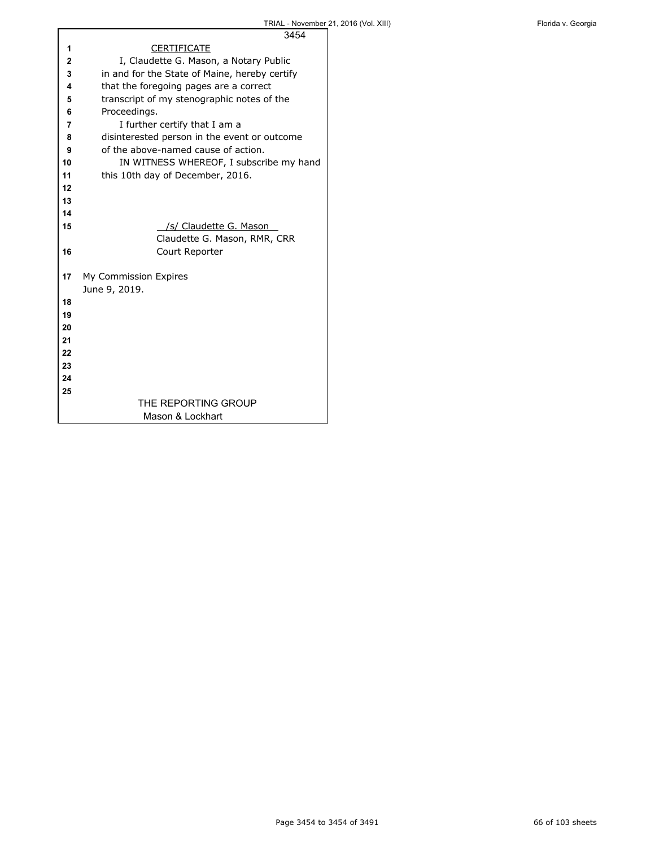|              | 3454                                          |
|--------------|-----------------------------------------------|
| 1            | <b>CERTIFICATE</b>                            |
| $\mathbf{2}$ | I, Claudette G. Mason, a Notary Public        |
| 3            | in and for the State of Maine, hereby certify |
| 4            | that the foregoing pages are a correct        |
| 5            | transcript of my stenographic notes of the    |
| 6            | Proceedings.                                  |
| 7            | I further certify that I am a                 |
| 8            | disinterested person in the event or outcome  |
| 9            | of the above-named cause of action.           |
| 10           | IN WITNESS WHEREOF, I subscribe my hand       |
| 11           | this 10th day of December, 2016.              |
| 12           |                                               |
| 13           |                                               |
| 14           |                                               |
| 15           | /s/ Claudette G. Mason                        |
|              | Claudette G. Mason, RMR, CRR                  |
| 16           | Court Reporter                                |
|              |                                               |
| 17           | My Commission Expires                         |
|              | June 9, 2019.                                 |
| 18           |                                               |
| 19           |                                               |
| 20           |                                               |
| 21           |                                               |
| 22           |                                               |
| 23           |                                               |
| 24           |                                               |
| 25           |                                               |
|              | THE REPORTING GROUP                           |
|              | Mason & Lockhart                              |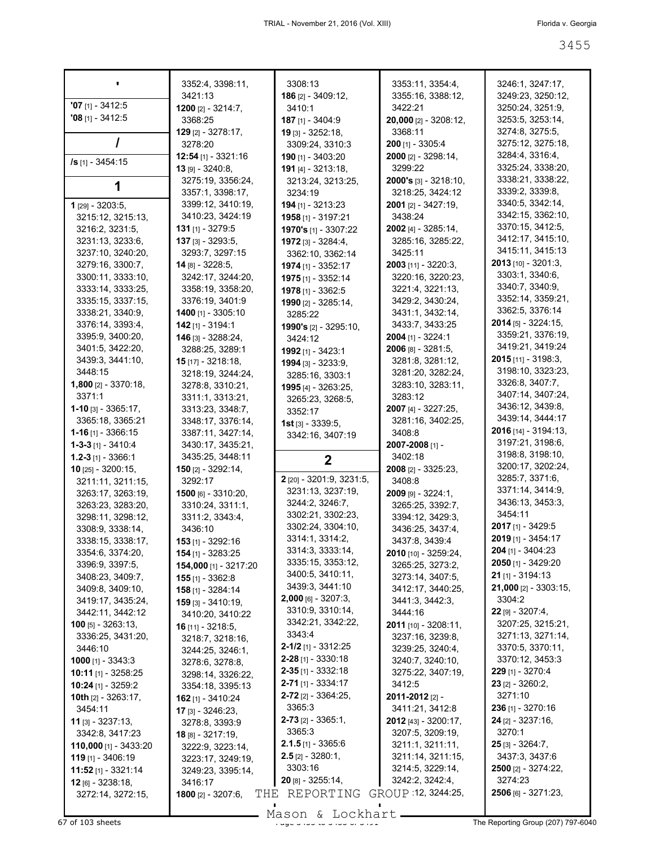|                                                   | 3352:4, 3398:11,                           | 3308:13                      | 3353:11, 3354:4,                       | 3246:1, 3247:17,             |
|---------------------------------------------------|--------------------------------------------|------------------------------|----------------------------------------|------------------------------|
|                                                   | 3421:13                                    | 186 [2] - 3409:12,           | 3355:16, 3388:12,                      | 3249:23, 3250:12,            |
| $'07$ [1] - 3412:5                                | <b>1200</b> [2] - $3214:7$ ,               | 3410:1                       | 3422:21                                | 3250:24, 3251:9,             |
| $'08$ [1] - 3412:5                                | 3368:25                                    | 187 [1] - 3404:9             | 20,000 [2] - 3208:12,                  | 3253:5, 3253:14,             |
|                                                   | 129 [2] - 3278:17,                         | $19$ [3] - 3252:18,          | 3368:11                                | 3274:8, 3275:5,              |
|                                                   | 3278:20                                    | 3309:24, 3310:3              | $200$ [1] - 3305:4                     | 3275:12, 3275:18,            |
| /s [1] - 3454:15                                  | $12:54$ [1] - 3321:16                      | 190 [1] - 3403:20            | 2000 [2] - 3298:14,                    | 3284:4, 3316:4,              |
|                                                   | $13$ [9] - 3240:8,                         | 191 [4] - 3213:18,           | 3299:22                                | 3325:24, 3338:20,            |
|                                                   | 3275:19, 3356:24,                          | 3213:24, 3213:25,            | $2000's$ [3] - 3218:10,                | 3338:21, 3338:22,            |
|                                                   | 3357:1, 3398:17,                           | 3234:19                      | 3218:25, 3424:12                       | 3339:2, 3339:8,              |
| 1 [29] - 3203:5,                                  | 3399:12, 3410:19,                          | 194 [1] - 3213:23            | <b>2001</b> [2] - 3427:19,             | 3340:5, 3342:14,             |
| 3215:12, 3215:13,                                 | 3410:23, 3424:19                           | 1958 [1] - 3197:21           | 3438:24                                | 3342:15, 3362:10,            |
| 3216:2, 3231:5,                                   | $131$ [1] - 3279:5                         | 1970's [1] - 3307:22         | 2002 [4] - 3285:14,                    | 3370:15, 3412:5,             |
| 3231:13, 3233:6,                                  | $137$ [3] - 3293:5,                        | 1972 [3] - 3284:4,           | 3285:16, 3285:22,                      | 3412:17, 3415:10,            |
| 3237:10, 3240:20,                                 | 3293:7, 3297:15                            | 3362:10, 3362:14             | 3425:11                                | 3415:11, 3415:13             |
| 3279:16, 3300:7,                                  | 14 [8] - 3228:5,                           | 1974 [1] - 3352:17           | 2003 [11] - 3220:3,                    | <b>2013</b> [10] - 3201:3,   |
| 3300:11, 3333:10,                                 | 3242:17, 3244:20,                          | 1975 [1] - 3352:14           | 3220:16, 3220:23,                      | 3303:1, 3340:6,              |
| 3333:14, 3333:25,                                 | 3358:19, 3358:20,                          | 1978 [1] - 3362:5            | 3221:4, 3221:13,                       | 3340:7, 3340:9,              |
| 3335:15, 3337:15,                                 | 3376:19, 3401:9                            | 1990 [2] - 3285:14,          | 3429:2, 3430:24,                       | 3352:14, 3359:21,            |
| 3338:21, 3340:9,                                  | 1400 [1] - 3305:10                         | 3285:22                      | 3431:1, 3432:14,                       | 3362:5, 3376:14              |
| 3376:14, 3393:4,                                  | 142 [1] - 3194:1                           | <b>1990's</b> [2] - 3295:10, | 3433:7, 3433:25                        | $2014$ [5] - 3224:15,        |
| 3395:9, 3400:20,                                  | 146 [3] - 3288:24,                         | 3424:12                      | $2004$ [1] - 3224:1                    | 3359:21, 3376:19,            |
| 3401:5, 3422:20,                                  | 3288:25, 3289:1                            | 1992 [1] - 3423:1            | 2006 [8] - 3281:5,                     | 3419:21, 3419:24             |
| 3439:3, 3441:10,                                  | <b>15</b> [17] - 3218:18,                  | 1994 [3] - 3233:9,           | 3281:8, 3281:12,                       | $2015$ [11] - 3198:3,        |
| 3448:15                                           | 3218:19, 3244:24,                          | 3285:16, 3303:1              | 3281:20, 3282:24,                      | 3198:10, 3323:23,            |
| 1,800 [2] - 3370:18,                              | 3278:8, 3310:21,                           | 1995 [4] - 3263:25,          | 3283:10, 3283:11,                      | 3326:8, 3407:7,              |
| 3371:1                                            | 3311:1, 3313:21,                           | 3265:23, 3268:5,             | 3283:12                                | 3407:14, 3407:24,            |
| $1 - 10$ [3] - 3365:17,                           | 3313:23, 3348:7,                           | 3352:17                      | 2007 [4] - 3227:25,                    | 3436:12, 3439:8,             |
| 3365:18, 3365:21                                  | 3348:17, 3376:14,                          | $1st$ [3] - 3339:5,          | 3281:16, 3402:25,                      | 3439:14, 3444:17             |
| $1 - 16$ [1] - 3366:15                            | 3387:11, 3427:14,                          | 3342:16, 3407:19             | 3408:8                                 | $2016$ [14] - 3194:13,       |
|                                                   |                                            |                              |                                        |                              |
| $1 - 3 - 3$ [1] - 3410:4                          | 3430:17, 3435:21,                          |                              | 2007-2008 [1] -                        | 3197:21, 3198:6,             |
| $1.2 - 3$ [1] - 3366:1                            | 3435:25, 3448:11                           |                              | 3402:18                                | 3198:8, 3198:10,             |
| <b>10</b> [25] - 3200:15,                         |                                            | $\mathbf{2}$                 |                                        | 3200:17, 3202:24,            |
| 3211:11, 3211:15,                                 | <b>150</b> [2] - $3292:14$ ,<br>3292:17    | 2 [20] - 3201:9, 3231:5,     | 2008 [2] - 3325:23,<br>3408:8          | 3285:7, 3371:6,              |
| 3263:17, 3263:19,                                 | 1500 [6] - 3310:20,                        | 3231:13, 3237:19,            | 2009 [9] - 3224:1,                     | 3371:14, 3414:9,             |
| 3263:23, 3283:20,                                 | 3310:24, 3311:1,                           | 3244:2, 3246:7,              | 3265:25, 3392:7,                       | 3436:13, 3453:3,             |
| 3298:11, 3298:12,                                 |                                            | 3302:21, 3302:23,            | 3394:12, 3429:3,                       | 3454:11                      |
| 3308:9, 3338:14,                                  | 3311:2, 3343:4,<br>3436:10                 | 3302:24, 3304:10,            | 3436:25, 3437:4,                       | 2017 [1] - 3429:5            |
| 3338:15, 3338:17,                                 |                                            | 3314:1, 3314:2,              |                                        | 2019 [1] - 3454:17           |
| 3354:6, 3374:20,                                  | 153 [1] - 3292:16                          | 3314:3, 3333:14,             | 3437:8, 3439:4<br>2010 [10] - 3259:24, | <b>204</b> [1] - 3404:23     |
| 3396:9, 3397:5,                                   | 154 [1] - 3283:25<br>154,000 [1] - 3217:20 | 3335:15, 3353:12,            | 3265:25, 3273:2,                       | 2050 [1] - 3429:20           |
| 3408:23, 3409:7,                                  | <b>155</b> [1] - 3362:8                    | 3400:5, 3410:11,             | 3273:14, 3407:5,                       | $21$ [1] - 3194:13           |
| 3409:8, 3409:10,                                  |                                            | 3439:3, 3441:10              | 3412:17, 3440:25,                      | <b>21,000</b> [2] - 3303:15, |
| 3419:17, 3435:24,                                 | 158 [1] - 3284:14<br>$159$ [3] - 3410:19,  | 2,000 [6] - 3207:3,          | 3441:3, 3442:3,                        | 3304:2                       |
| 3442:11, 3442:12                                  | 3410:20, 3410:22                           | 3310:9, 3310:14,             | 3444:16                                | $22$ [9] - 3207:4,           |
| <b>100</b> [5] - $3263:13$ ,                      | <b>16</b> [11] - 3218:5,                   | 3342:21, 3342:22,            | $2011$ [10] - 3208:11,                 | 3207:25, 3215:21,            |
| 3336:25, 3431:20,                                 |                                            | 3343:4                       | 3237:16, 3239:8,                       | 3271:13, 3271:14,            |
| 3446:10                                           | 3218:7, 3218:16,<br>3244:25, 3246:1,       | $2 - 1/2$ [1] - 3312:25      | 3239:25, 3240:4,                       | 3370:5, 3370:11,             |
| <b>1000</b> [1] - 3343:3                          | 3278:6, 3278:8,                            | $2 - 28$ [1] - 3330:18       | 3240:7, 3240:10,                       | 3370:12, 3453:3              |
| <b>10:11</b> [1] - 3258:25                        | 3298:14, 3326:22,                          | $2 - 35$ [1] - 3332:18       | 3275:22, 3407:19,                      | <b>229</b> [1] - 3270:4      |
| 10:24 [1] - 3259:2                                | 3354:18, 3395:13                           | $2-71$ [1] - 3334:17         | 3412:5                                 | $23$ [2] - 3260:2,           |
| 10th [2] - 3263:17,                               | <b>162</b> [1] - 3410:24                   | $2-72$ [2] - 3364:25,        | 2011-2012 [2] -                        | 3271:10                      |
| 3454:11                                           |                                            | 3365:3                       | 3411:21, 3412:8                        | <b>236</b> [1] - 3270:16     |
| $11$ [3] - 3237:13,                               | 17 [3] - 3246:23,                          | $2-73$ [2] - 3365:1,         | <b>2012</b> [43] - 3200:17,            | <b>24</b> [2] - 3237:16,     |
| 3342:8, 3417:23                                   | 3278:8, 3393:9                             | 3365:3                       | 3207:5, 3209:19,                       | 3270:1                       |
| 110,000 [1] - 3433:20                             | 18 [8] - 3217:19,                          | <b>2.1.5</b> [1] - 3365:6    | 3211:1, 3211:11,                       | $25$ [3] - 3264:7,           |
| <b>119</b> [1] - 3406:19                          | 3222:9, 3223:14,                           | $2.5$ [2] - 3280:1,          | 3211:14, 3211:15,                      | 3437:3, 3437:6               |
|                                                   | 3223:17, 3249:19,                          | 3303:16                      | 3214:5, 3229:14,                       | <b>2500</b> [2] - 3274:22,   |
| <b>11:52</b> [1] - 3321:14<br>$12$ [6] - 3238:18, | 3249:23, 3395:14,<br>3416:17               | $20$ [8] - 3255:14,          | 3242:2, 3242:4,                        | 3274:23                      |
| 3272:14, 3272:15,                                 | THE<br>1800 [2] - 3207:6,                  | REPORTING                    | GROUP 12, 3244:25,                     | <b>2506</b> [6] - 3271:23,   |

Mason & Lockhart **Page 3455 of 103 sheets** Page 3455 to 3455 of 3455 of 3491 Mason & Lockhart **Page 3455 of 3455 of 3455 of 3455 of 3455 of 3455 of 3455 of 3455 of 3455 of 3455 of 3455 of 3465 of 3465 of 3465 of 3465 of 34**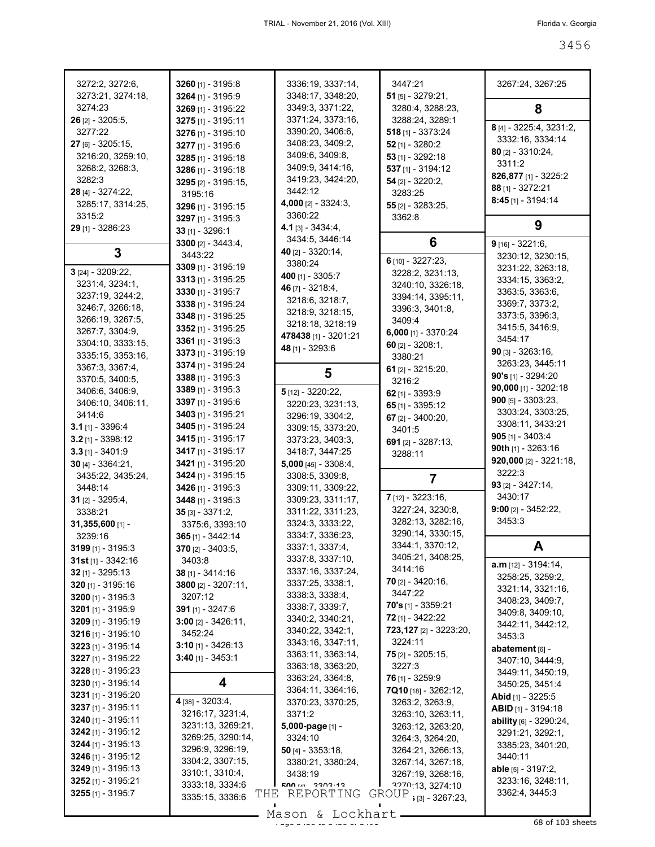| 3272:2, 3272:6,                          | 3260 $[1] - 3195:8$                       | 3336:19, 3337:14,                       | 3447:21                                                                | 3267:24, 3267:25                           |
|------------------------------------------|-------------------------------------------|-----------------------------------------|------------------------------------------------------------------------|--------------------------------------------|
| 3273:21, 3274:18,<br>3274:23             | 3264 [1] - 3195:9<br>3269 [1] - 3195:22   | 3348:17, 3348:20,<br>3349:3, 3371:22,   | $51$ [5] - 3279:21,<br>3280:4, 3288:23,                                | 8                                          |
| $26$ [2] - 3205:5,                       | 3275 [1] - 3195:11                        | 3371:24, 3373:16,                       | 3288:24, 3289:1                                                        |                                            |
| 3277:22                                  | 3276 [1] - 3195:10                        | 3390:20, 3406:6,                        | $518$ [1] - 3373:24                                                    | 8 [4] - 3225:4, 3231:2,                    |
| 27 [6] - 3205:15,                        | 3277 [1] - 3195:6                         | 3408:23, 3409:2,                        | $52$ [1] - 3280:2                                                      | 3332:16, 3334:14                           |
| 3216:20, 3259:10,                        | 3285 [1] - 3195:18                        | 3409:6, 3409:8,                         | $53$ [1] - 3292:18                                                     | 80 [2] - 3310:24,                          |
| 3268:2, 3268:3,                          | 3286 [1] - 3195:18                        | 3409:9, 3414:16,                        | 537 [1] - 3194:12                                                      | 3311:2                                     |
| 3282:3                                   | 3295 [2] - 3195:15,                       | 3419:23, 3424:20,                       | $54$ [2] - 3220:2,                                                     | 826,877 [1] - 3225:2<br>$88$ [1] - 3272:21 |
| 28 [4] - 3274:22,                        | 3195:16                                   | 3442:12                                 | 3283:25                                                                | $8:45$ [1] - 3194:14                       |
| 3285:17, 3314:25,                        | 3296 [1] - 3195:15                        | 4,000 $[2] - 3324:3$ ,                  | $55$ [2] - 3283:25,                                                    |                                            |
| 3315:2                                   | 3297 [1] - 3195:3                         | 3360:22<br>$4.1$ [3] - 3434:4,          | 3362:8                                                                 | 9                                          |
| 29 [1] - 3286:23                         | 33 [1] - 3296:1                           | 3434:5, 3446:14                         |                                                                        |                                            |
| 3                                        | 3300 $[2] - 3443:4,$                      | 40 $[2] - 3320:14$                      | 6                                                                      | $9$ [16] - 3221:6,                         |
|                                          | 3443:22                                   | 3380:24                                 | 6 $[10] - 3227:23,$                                                    | 3230:12, 3230:15,                          |
| 3 [24] - 3209:22,                        | 3309 [1] - 3195:19                        | 400 [1] - 3305:7                        | 3228:2, 3231:13,                                                       | 3231:22, 3263:18,                          |
| 3231:4, 3234:1,                          | $3313$ [1] - 3195:25                      | 46 $[7] - 3218.4$                       | 3240:10, 3326:18,                                                      | 3334:15, 3363:2,                           |
| 3237:19, 3244:2,                         | 3330 $[1] - 3195:7$<br>3338 [1] - 3195:24 | 3218:6, 3218:7,                         | 3394:14, 3395:11,                                                      | 3363:5, 3363:6,<br>3369:7, 3373:2,         |
| 3246:7, 3266:18,                         | 3348 [1] - 3195:25                        | 3218:9, 3218:15,                        | 3396:3, 3401:8,                                                        | 3373:5, 3396:3,                            |
| 3266:19, 3267:5,                         | 3352 [1] - 3195:25                        | 3218:18, 3218:19                        | 3409:4                                                                 | 3415:5, 3416:9,                            |
| 3267:7, 3304:9,                          | 3361 $[1]$ - 3195:3                       | 478438 [1] - 3201:21                    | $6,000$ [1] - 3370:24                                                  | 3454:17                                    |
| 3304:10, 3333:15,<br>3335:15, 3353:16,   | 3373 [1] - 3195:19                        | 48 [1] - 3293:6                         | 60 $[2] - 3208:1$                                                      | 90 [3] - 3263:16,                          |
| 3367:3, 3367:4,                          | 3374 [1] - 3195:24                        |                                         | 3380:21                                                                | 3263:23, 3445:11                           |
| 3370:5, 3400:5,                          | 3388 [1] - 3195:3                         | 5                                       | 61 $[2] - 3215:20,$                                                    | 90's [1] - 3294:20                         |
| 3406:6, 3406:9,                          | $3389$ [1] - 3195:3                       | 5 [12] - 3220:22,                       | 3216:2<br>62 $[1] - 3393.9$                                            | 90,000 [1] - 3202:18                       |
| 3406:10, 3406:11,                        | 3397 [1] - 3195:6                         | 3220:23, 3231:13,                       | 65 $[1] - 3395:12$                                                     | $900$ [5] - 3303:23,                       |
| 3414:6                                   | 3403 [1] - 3195:21                        | 3296:19, 3304:2,                        | 67 $[2] - 3400:20,$                                                    | 3303:24, 3303:25,                          |
| $3.1$ [1] - 3396:4                       | <b>3405</b> [1] - 3195:24                 | 3309:15, 3373:20,                       | 3401:5                                                                 | 3308:11, 3433:21                           |
| $3.2$ [1] - 3398:12                      | 3415 [1] - 3195:17                        | 3373:23, 3403:3,                        | 691 [2] - 3287:13,                                                     | $905$ [1] - 3403:4                         |
| $3.3$ [1] - 3401:9                       | 3417 [1] - 3195:17                        | 3418:7, 3447:25                         | 3288:11                                                                | 90th $[1]$ - 3263:16                       |
|                                          |                                           |                                         |                                                                        |                                            |
| $30$ [4] - 3364:21,                      | 3421 [1] - 3195:20                        | 5,000 [45] - 3308:4,                    |                                                                        | 920,000 [2] - 3221:18,                     |
| 3435:22, 3435:24,                        | 3424 [1] - 3195:15                        | 3308:5, 3309:8,                         | 7                                                                      | 3222:3                                     |
| 3448:14                                  | 3426 [1] - 3195:3                         | 3309:11, 3309:22,                       |                                                                        | $93$ [2] - 3427:14,                        |
| 31 $[2] - 3295:4,$                       | 3448 [1] - 3195:3                         | 3309:23, 3311:17,                       | $7$ [12] - 3223:16,                                                    | 3430:17                                    |
| 3338:21                                  | $35$ [3] - 3371:2,                        | 3311:22, 3311:23,                       | 3227:24, 3230:8,                                                       | $9:00$ [2] - 3452:22,                      |
| $31,355,600$ [1] -                       | 3375:6, 3393:10                           | 3324:3, 3333:22,                        | 3282:13, 3282:16,                                                      | 3453:3                                     |
| 3239:16                                  | 365 [1] - 3442:14                         | 3334:7, 3336:23,                        | 3290:14, 3330:15,                                                      |                                            |
| $3199$ [1] - $3195:3$                    | 370 [2] - 3403:5,                         | 3337:1, 3337:4,                         | 3344:1, 3370:12,<br>3405:21, 3408:25,                                  | A                                          |
| $31st$ [1] - 3342:16                     | 3403:8                                    | 3337:8, 3337:10,<br>3337:16, 3337:24,   | 3414:16                                                                | $a.m$ [12] - 3194:14,                      |
| $32$ [1] - 3295:13                       | 38 [1] - 3414:16                          | 3337:25, 3338:1,                        | <b>70</b> $[2] - 3420:16$ ,                                            | 3258:25, 3259:2,                           |
| 320 [1] - 3195:16<br>3200 $[1] - 3195:3$ | $3800$ [2] - $3207:11$ ,<br>3207:12       | 3338:3, 3338:4,                         | 3447:22                                                                | 3321:14, 3321:16,                          |
| 3201 [1] - 3195:9                        | 391 [1] - 3247:6                          | 3338:7, 3339:7,                         | <b>70's</b> [1] - 3359:21                                              | 3408:23, 3409:7,                           |
| 3209 [1] - 3195:19                       | $3:00$ [2] - 3426:11,                     | 3340:2, 3340:21,                        | 72 [1] - 3422:22                                                       | 3409:8, 3409:10,                           |
| 3216 [1] - 3195:10                       | 3452:24                                   | 3340:22, 3342:1,                        | 723, 127 [2] - 3223: 20,                                               | 3442:11, 3442:12,<br>3453:3                |
| 3223 [1] - 3195:14                       | $3:10$ [1] - 3426:13                      | 3343:16, 3347:11,                       | 3224:11                                                                | abatement [6] -                            |
| 3227 [1] - 3195:22                       | $3:40$ [1] - 3453:1                       | 3363:11, 3363:14,                       | $75$ [2] - 3205:15,                                                    | 3407:10, 3444:9,                           |
| 3228 [1] - 3195:23                       |                                           | 3363:18, 3363:20,                       | 3227:3                                                                 | 3449:11, 3450:19,                          |
| 3230 [1] - 3195:14                       | 4                                         | 3363:24, 3364:8,                        | 76 [1] - 3259:9                                                        | 3450:25, 3451:4                            |
| 3231 [1] - 3195:20                       | 4 [38] - 3203:4,                          | 3364:11, 3364:16,                       | 7Q10 [18] - 3262:12,<br>3263:2, 3263:9,                                | Abid [1] - 3225:5                          |
| 3237 [1] - 3195:11                       | 3216:17, 3231:4,                          | 3370:23, 3370:25,<br>3371:2             | 3263:10, 3263:11,                                                      | ABID [1] - 3194:18                         |
| 3240 [1] - 3195:11                       | 3231:13, 3269:21,                         | 5,000-page [1] -                        | 3263:12, 3263:20,                                                      | ability [6] - 3290:24,                     |
| 3242 [1] - 3195:12                       | 3269:25, 3290:14,                         | 3324:10                                 | 3264:3, 3264:20,                                                       | 3291:21, 3292:1,                           |
| 3244 [1] - 3195:13                       | 3296:9, 3296:19,                          | 50 [4] - $3353:18$ ,                    | 3264:21, 3266:13,                                                      | 3385:23, 3401:20,                          |
| 3246 [1] - 3195:12                       | 3304:2, 3307:15,                          | 3380:21, 3380:24,                       | 3267:14, 3267:18,                                                      | 3440:11                                    |
| 3249 [1] - 3195:13                       | 3310:1, 3310:4,                           | 3438:19                                 | 3267:19, 3268:16,                                                      | <b>able</b> [5] - 3197:2,                  |
| 3252 [1] - 3195:21<br>3255 [1] - 3195:7  | 3333:18, 3334:6<br>3335:15, 3336:6        | <b>EUU</b> IVI 33U3.13<br>THE REPORTING | 3274:10<br>$\operatorname{GROUP}_{\;\; \;\{3\} \;\text{-}\; 3267:23,}$ | 3233:16, 3248:11,<br>3362:4, 3445:3        |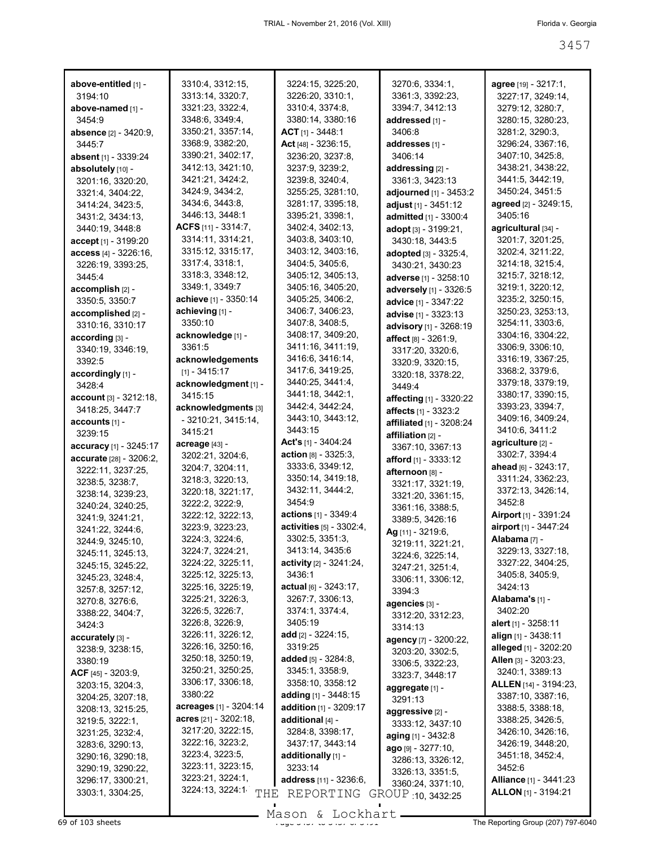| above-entitled [1] -                  | 3310:4, 3312:15,         | 3224:15, 3225:20,               | 3270:6, 3334:1,                        | agree [19] - 3217:1,          |
|---------------------------------------|--------------------------|---------------------------------|----------------------------------------|-------------------------------|
| 3194:10                               | 3313:14, 3320:7,         | 3226:20, 3310:1,                | 3361:3, 3392:23,                       | 3227:17, 3249:14,             |
| above-named [1] -                     | 3321:23, 3322:4,         | 3310:4, 3374:8,                 | 3394:7, 3412:13                        | 3279:12, 3280:7,              |
| 3454:9                                | 3348:6, 3349:4,          | 3380:14, 3380:16                | addressed [1] -                        | 3280:15, 3280:23,             |
| absence [2] - 3420:9,                 | 3350:21, 3357:14,        | $ACT$ [1] - 3448:1              | 3406:8                                 | 3281:2, 3290:3,               |
| 3445:7                                | 3368:9, 3382:20,         | Act [48] - 3236:15,             | addresses [1] -                        | 3296:24, 3367:16,             |
|                                       | 3390:21, 3402:17,        | 3236:20, 3237:8,                | 3406:14                                | 3407:10, 3425:8,              |
| absent [1] - 3339:24                  |                          |                                 |                                        |                               |
| absolutely [10] -                     | 3412:13, 3421:10,        | 3237:9, 3239:2,                 | addressing [2] -                       | 3438:21, 3438:22,             |
| 3201:16, 3320:20,                     | 3421:21, 3424:2,         | 3239:8, 3240:4,                 | 3361:3, 3423:13                        | 3441:5, 3442:19,              |
| 3321:4, 3404:22,                      | 3424:9, 3434:2,          | 3255:25, 3281:10,               | adjourned [1] - 3453:2                 | 3450:24, 3451:5               |
| 3414:24, 3423:5.                      | 3434:6, 3443:8,          | 3281:17, 3395:18,               | adjust [1] - 3451:12                   | agreed [2] - 3249:15,         |
| 3431:2, 3434:13,                      | 3446:13, 3448:1          | 3395:21, 3398:1,                | admitted [1] - 3300:4                  | 3405:16                       |
| 3440:19, 3448:8                       | ACFS [11] - 3314:7,      | 3402:4, 3402:13,                | adopt [3] - 3199:21,                   | agricultural [34] -           |
| accept [1] - 3199:20                  | 3314:11, 3314:21,        | 3403:8, 3403:10,                | 3430:18, 3443:5                        | 3201:7, 3201:25,              |
| access [4] - 3226:16,                 | 3315:12, 3315:17,        | 3403:12, 3403:16,               | adopted [3] - 3325:4,                  | 3202:4, 3211:22,              |
| 3226:19, 3393:25,                     | 3317:4, 3318:1,          | 3404:5, 3405:6,                 | 3430:21, 3430:23                       | 3214:18, 3215:4,              |
| 3445:4                                | 3318:3, 3348:12,         | 3405:12, 3405:13,               | adverse [1] - 3258:10                  | 3215:7, 3218:12,              |
| accomplish [2] -                      | 3349:1, 3349:7           | 3405:16, 3405:20,               | adversely [1] - 3326:5                 | 3219:1, 3220:12,              |
| 3350:5, 3350:7                        | achieve [1] - 3350:14    | 3405:25, 3406:2,                |                                        | 3235:2, 3250:15,              |
|                                       | achieving [1] -          | 3406:7, 3406:23,                | advice [1] - 3347:22                   | 3250:23, 3253:13,             |
| accomplished [2] -                    | 3350:10                  | 3407:8, 3408:5,                 | advise [1] - 3323:13                   | 3254:11, 3303:6,              |
| 3310:16, 3310:17                      |                          |                                 | advisory [1] - 3268:19                 |                               |
| according [3] -                       | acknowledge [1] -        | 3408:17, 3409:20,               | affect [8] - 3261:9,                   | 3304:16, 3304:22,             |
| 3340:19, 3346:19,                     | 3361:5                   | 3411:16, 3411:19,               | 3317:20, 3320:6,                       | 3306:9, 3306:10,              |
| 3392:5                                | acknowledgements         | 3416:6, 3416:14,                | 3320:9, 3320:15,                       | 3316:19, 3367:25,             |
| accordingly [1] -                     | $[1] - 3415:17$          | 3417:6, 3419:25,                | 3320:18, 3378:22,                      | 3368:2, 3379:6,               |
| 3428:4                                | acknowledgment [1] -     | 3440:25, 3441:4,                | 3449:4                                 | 3379:18, 3379:19,             |
| $account [3] - 3212:18,$              | 3415:15                  | 3441:18, 3442:1,                | <b>affecting</b> [1] - 3320:22         | 3380:17, 3390:15,             |
| 3418:25, 3447:7                       | acknowledgments [3]      | 3442:4, 3442:24,                | <b>affects</b> [1] - 3323:2            | 3393:23, 3394:7,              |
| accounts [1] -                        | - 3210:21, 3415:14,      | 3443:10, 3443:12,               | affiliated [1] - 3208:24               | 3409:16, 3409:24,             |
| 3239:15                               | 3415:21                  | 3443:15                         | affiliation [2] -                      | 3410:6, 3411:2                |
|                                       | acreage [43] -           | <b>Act's</b> [1] - 3404:24      |                                        | agriculture [2] -             |
| <b>accuracy</b> [1] - 3245:17         | 3202:21, 3204:6,         | action [8] - 3325:3,            | 3367:10, 3367:13                       | 3302:7, 3394:4                |
| accurate [28] - 3206:2,               | 3204:7, 3204:11,         | 3333:6, 3349:12,                | afford [1] - 3333:12                   | ahead [6] - 3243:17,          |
| 3222:11, 3237:25,                     | 3218:3, 3220:13,         | 3350:14, 3419:18,               | afternoon [8] -                        | 3311:24, 3362:23,             |
| 3238:5, 3238:7,                       |                          | 3432:11, 3444:2,                | 3321:17, 3321:19,                      | 3372:13, 3426:14,             |
| 3238:14, 3239:23,                     | 3220:18, 3221:17,        | 3454:9                          | 3321:20, 3361:15,                      | 3452:8                        |
| 3240:24, 3240:25,                     | 3222:2, 3222:9,          |                                 | 3361:16, 3388:5,                       | Airport [1] - 3391:24         |
| 3241:9, 3241:21,                      | 3222:12, 3222:13,        | actions [1] - 3349:4            | 3389:5, 3426:16                        |                               |
|                                       |                          |                                 |                                        |                               |
| 3241:22, 3244:6,                      | 3223:9, 3223:23,         | <b>activities</b> [5] - 3302:4, | Ag [11] - 3219:6,                      | airport [1] - 3447:24         |
| 3244:9, 3245:10,                      | 3224:3, 3224:6,          | 3302:5, 3351:3,                 |                                        | Alabama <sub>[7]</sub> -      |
| 3245:11, 3245:13,                     | 3224:7, 3224:21,         | 3413:14, 3435:6                 | 3219:11, 3221:21,                      | 3229:13, 3327:18,             |
| 3245:15, 3245:22,                     | 3224:22, 3225:11,        | activity [2] - 3241:24,         | 3224:6, 3225:14,                       | 3327:22, 3404:25,             |
| 3245:23, 3248:4,                      | 3225:12, 3225:13,        | 3436:1                          | 3247:21, 3251:4,                       | 3405:8, 3405:9,               |
|                                       | 3225:16, 3225:19,        | actual $[6] - 3243:17$ ,        | 3306:11, 3306:12,                      | 3424:13                       |
| 3257:8, 3257:12,                      | 3225:21, 3226:3,         | 3267:7, 3306:13,                | 3394:3                                 | Alabama's [1] -               |
| 3270:8, 3276:6,                       | 3226:5, 3226:7,          | 3374:1, 3374:4,                 | agencies [3] -                         | 3402:20                       |
| 3388:22, 3404:7,                      | 3226:8, 3226:9,          | 3405:19                         | 3312:20, 3312:23,                      |                               |
| 3424:3                                |                          |                                 | 3314:13                                | <b>alert</b> [1] - $3258:11$  |
| accurately [3] -                      | 3226:11, 3226:12,        | add $[2] - 3224:15$ ,           | <b>agency</b> [7] - 3200:22,           | align [1] - 3438:11           |
| 3238:9, 3238:15,                      | 3226:16, 3250:16,        | 3319:25                         | 3203:20, 3302:5,                       | alleged [1] - 3202:20         |
| 3380:19                               | 3250:18, 3250:19,        | added [5] - 3284:8,             | 3306:5, 3322:23,                       | Allen [3] - 3203:23,          |
| $ACF$ [45] - 3203:9,                  | 3250:21, 3250:25,        | 3345:1, 3358:9,                 | 3323:7, 3448:17                        | 3240:1, 3389:13               |
| 3203:15, 3204:3,                      | 3306:17, 3306:18,        | 3358:10, 3358:12                | aggregate [1] -                        | <b>ALLEN</b> [14] - 3194:23,  |
| 3204:25, 3207:18,                     | 3380:22                  | adding $[1]$ - 3448:15          | 3291:13                                | 3387:10, 3387:16,             |
| 3208:13, 3215:25,                     | acreages [1] - 3204:14   | addition [1] - 3209:17          | aggressive [2] -                       | 3388:5, 3388:18,              |
| 3219:5, 3222:1,                       | acres $[21] - 3202:18$ , | additional [4] -                | 3333:12, 3437:10                       | 3388:25, 3426:5,              |
| 3231:25, 3232:4,                      | 3217:20, 3222:15,        | 3284:8, 3398:17,                |                                        | 3426:10, 3426:16,             |
| 3283:6, 3290:13,                      | 3222:16, 3223:2,         | 3437:17, 3443:14                | aging [1] - 3432:8                     | 3426:19, 3448:20,             |
| 3290:16, 3290:18,                     | 3223:4, 3223:5,          | additionally [1] -              | ago [9] - 3277:10,                     | 3451:18, 3452:4,              |
| 3290:19, 3290:22,                     | 3223:11, 3223:15,        | 3233:14                         | 3286:13, 3326:12,                      | 3452:6                        |
|                                       | 3223:21, 3224:1,         | <b>address</b> [11] - 3236:6,   | 3326:13, 3351:5,                       | <b>Alliance</b> [1] - 3441:23 |
| 3296:17, 3300:21,<br>3303:1, 3304:25, | 3224:13, 3224:1<br>THE   | REPORTING                       | 3360:24, 3371:10,<br>GROUP 10, 3432:25 | <b>ALLON</b> [1] - 3194:21    |

Mason & Lockhart **Page 3457 of 103 sheets** Page 3457 to 3457 and 3457 to 3457 of 3491 The Reporting Group (207) 797-6040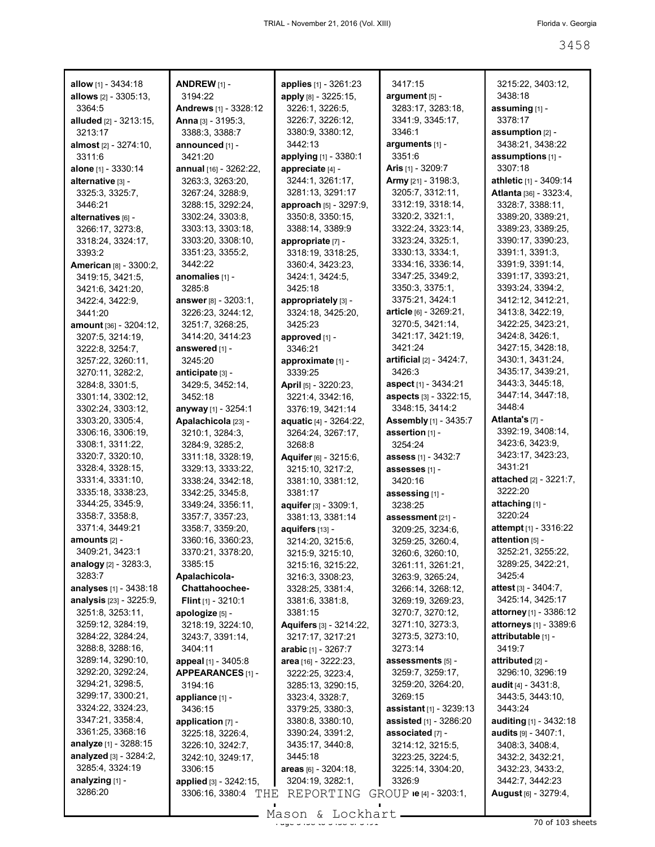| allow [1] - 3434:18                  | <b>ANDREW [1] -</b>                  | applies [1] - 3261:23        | 3417:15                               | 3215:22, 3403:12,                     |
|--------------------------------------|--------------------------------------|------------------------------|---------------------------------------|---------------------------------------|
| <b>allows</b> $[2] - 3305:13$ ,      | 3194:22                              | apply [8] - 3225:15,         | argument [5] -                        | 3438:18                               |
| 3364:5                               | Andrews [1] - 3328:12                | 3226:1, 3226:5,              | 3283:17, 3283:18,                     | assuming [1] -                        |
| <b>alluded</b> [2] - 3213:15,        | Anna [3] - 3195:3,                   | 3226:7, 3226:12,             | 3341:9, 3345:17,                      | 3378:17                               |
| 3213:17                              | 3388:3, 3388:7                       | 3380:9, 3380:12,             | 3346:1                                | assumption [2] -                      |
| almost [2] - 3274:10.                | announced [1] -                      | 3442:13                      | arguments [1] -                       | 3438:21, 3438:22                      |
| 3311:6                               | 3421:20                              | applying [1] - 3380:1        | 3351:6                                | assumptions [1] -                     |
| alone [1] - 3330:14                  | annual [16] - 3262:22,               | appreciate [4] -             | <b>Aris</b> $[1]$ - 3209:7            | 3307:18                               |
| alternative [3] -                    | 3263:3, 3263:20,                     | 3244:1, 3261:17,             | Army [21] - 3198:3,                   | athletic [1] - 3409:14                |
| 3325:3, 3325:7,                      | 3267:24, 3288:9,                     | 3281:13, 3291:17             | 3205:7, 3312:11,                      | Atlanta [36] - 3323:4,                |
| 3446:21                              | 3288:15, 3292:24,                    | approach [5] - 3297:9,       | 3312:19, 3318:14,                     | 3328:7, 3388:11,                      |
| alternatives [6] -                   | 3302:24, 3303:8,                     | 3350:8, 3350:15,             | 3320:2, 3321:1,                       | 3389:20, 3389:21,                     |
| 3266:17, 3273:8,                     | 3303:13, 3303:18,                    | 3388:14, 3389:9              | 3322:24, 3323:14,                     | 3389:23, 3389:25,                     |
| 3318:24, 3324:17,                    | 3303:20, 3308:10,                    | appropriate [7] -            | 3323:24, 3325:1,                      | 3390:17, 3390:23,                     |
| 3393:2                               | 3351:23, 3355:2,                     | 3318:19, 3318:25,            | 3330:13, 3334:1,                      | 3391:1, 3391:3,                       |
| <b>American [8] - 3300:2,</b>        | 3442:22                              | 3360:4, 3423:23,             | 3334:16, 3336:14,                     | 3391:9, 3391:14,                      |
| 3419:15, 3421:5,                     | anomalies [1] -                      | 3424:1, 3424:5,              | 3347:25, 3349:2,                      | 3391:17, 3393:21,                     |
| 3421:6, 3421:20,                     | 3285:8                               | 3425:18                      | 3350:3, 3375:1,                       | 3393:24, 3394:2,                      |
| 3422:4, 3422:9,                      | answer [8] - 3203:1,                 | appropriately [3] -          | 3375:21, 3424:1                       | 3412:12, 3412:21,                     |
| 3441:20                              | 3226:23, 3244:12,                    | 3324:18, 3425:20,            | article [6] - 3269:21,                | 3413:8, 3422:19,<br>3422:25, 3423:21, |
| amount [36] - 3204:12,               | 3251:7, 3268:25,                     | 3425:23                      | 3270:5, 3421:14,<br>3421:17, 3421:19, | 3424:8, 3426:1,                       |
| 3207:5, 3214:19,                     | 3414:20, 3414:23                     | approved [1] -<br>3346:21    | 3421:24                               | 3427:15, 3428:18,                     |
| 3222:8, 3254:7,<br>3257:22, 3260:11, | answered [1] -<br>3245:20            | approximate [1] -            | artificial [2] - 3424:7,              | 3430:1, 3431:24,                      |
|                                      |                                      | 3339:25                      | 3426:3                                | 3435:17, 3439:21,                     |
| 3270:11, 3282:2,<br>3284:8, 3301:5,  | anticipate [3] -<br>3429:5, 3452:14, | April [5] - 3220:23,         | aspect [1] - 3434:21                  | 3443:3, 3445:18,                      |
| 3301:14, 3302:12,                    | 3452:18                              | 3221:4, 3342:16,             | aspects [3] - 3322:15,                | 3447:14, 3447:18,                     |
| 3302:24, 3303:12,                    | anyway [1] - 3254:1                  | 3376:19, 3421:14             | 3348:15, 3414:2                       | 3448:4                                |
| 3303:20, 3305:4,                     | Apalachicola [23] -                  | aquatic [4] - 3264:22,       | <b>Assembly</b> [1] - 3435:7          | Atlanta's [7] -                       |
| 3306:16, 3306:19,                    | 3210:1, 3284:3,                      | 3264:24, 3267:17,            | assertion [1] -                       | 3392:19, 3408:14,                     |
| 3308:1, 3311:22,                     | 3284:9, 3285:2,                      | 3268:8                       | 3254:24                               | 3423:6, 3423:9,                       |
| 3320:7, 3320:10,                     | 3311:18, 3328:19,                    | Aquifer [6] - 3215:6,        | assess [1] - 3432:7                   | 3423:17, 3423:23,                     |
| 3328:4, 3328:15,                     | 3329:13, 3333:22,                    | 3215:10, 3217:2,             | assesses [1] -                        | 3431:21                               |
| 3331:4, 3331:10,                     | 3338:24, 3342:18,                    | 3381:10, 3381:12,            | 3420:16                               | attached [2] - 3221:7,                |
| 3335:18, 3338:23,                    | 3342:25, 3345:8,                     | 3381:17                      | assessing [1] -                       | 3222:20                               |
| 3344:25, 3345:9,                     | 3349:24, 3356:11,                    | aquifer [3] - 3309:1,        | 3238:25                               | attaching [1] -                       |
| 3358:7, 3358:8,                      | 3357:7, 3357:23,                     | 3381:13, 3381:14             | assessment [21] -                     | 3220:24                               |
| 3371:4, 3449:21                      | 3358:7, 3359:20,                     | aquifers [13] -              | 3209:25, 3234:6,                      | attempt [1] - 3316:22                 |
| amounts $[2]$ -                      | 3360:16, 3360:23,                    | 3214:20, 3215:6,             | 3259:25, 3260:4,                      | attention [5] -                       |
| 3409:21, 3423:1                      | 3370:21, 3378:20,                    | 3215:9, 3215:10,             | 3260:6, 3260:10,                      | 3252:21, 3255:22,                     |
| analogy $[2] - 3283.3$ ,             | 3385:15                              | 3215:16, 3215:22,            | 3261:11, 3261:21,                     | 3289:25, 3422:21,                     |
| 3283:7                               | Apalachicola-                        | 3216:3, 3308:23,             | 3263:9, 3265:24,                      | 3425:4                                |
| <b>analyses</b> [1] - 3438:18        | <b>Chattahoochee-</b>                | 3328:25, 3381:4,             | 3266:14, 3268:12,                     | <b>attest</b> $[3] - 3404:7$ ,        |
| analysis [23] - 3225:9,              | Flint $[1]$ - 3210:1                 | 3381:6, 3381:8,              | 3269:19, 3269:23,                     | 3425:14, 3425:17                      |
| 3251:8, 3253:11,                     | apologize [5] -                      | 3381:15                      | 3270:7, 3270:12,                      | attorney [1] - 3386:12                |
| 3259:12, 3284:19,                    | 3218:19, 3224:10,                    | Aquifers [3] - 3214:22,      | 3271:10, 3273:3,                      | attorneys [1] - 3389:6                |
| 3284:22, 3284:24,                    | 3243:7, 3391:14,                     | 3217:17, 3217:21             | 3273:5, 3273:10,                      | attributable [1] -                    |
| 3288:8, 3288:16,                     | 3404:11                              | <b>arabic</b> $[1] - 3267.7$ | 3273:14                               | 3419:7                                |
| 3289:14, 3290:10,                    | appeal [1] - 3405:8                  | area [16] - 3222:23,         | assessments [5] -                     | attributed [2] -                      |
| 3292:20, 3292:24,                    | APPEARANCES [1] -                    | 3222:25, 3223:4,             | 3259:7, 3259:17,                      | 3296:10, 3296:19                      |
| 3294:21, 3298:5,                     | 3194:16                              | 3285:13, 3290:15,            | 3259:20, 3264:20,                     | audit [4] - 3431:8.                   |
| 3299:17, 3300:21,                    | appliance [1] -                      | 3323:4, 3328:7,              | 3269:15                               | 3443:5, 3443:10,                      |
| 3324:22, 3324:23,                    | 3436:15                              | 3379:25, 3380:3,             | <b>assistant</b> [1] - 3239:13        | 3443:24                               |
| 3347:21, 3358:4,                     | application [7] -                    | 3380:8, 3380:10,             | assisted [1] - 3286:20                | auditing [1] - 3432:18                |
| 3361:25, 3368:16                     | 3225:18, 3226:4,                     | 3390:24, 3391:2,             | associated [7] -                      | <b>audits</b> $[9] - 3407:1$ ,        |
| analyze [1] - 3288:15                | 3226:10, 3242:7,                     | 3435:17, 3440:8,             | 3214:12, 3215:5,                      | 3408:3, 3408:4,                       |
| analyzed [3] - 3284:2,               | 3242:10, 3249:17,                    | 3445:18                      | 3223:25, 3224:5,                      | 3432:2, 3432:21,                      |
| 3285:4, 3324:19                      | 3306:15                              | areas [6] - 3204:18,         | 3225:14, 3304:20,                     | 3432:23, 3433:2,                      |
| analyzing [1] -<br>3286:20           | applied [3] - 3242:15,               | 3204:19, 3282:1,             | 3326:9                                | 3442:7, 3442:23                       |
|                                      | 3306:16, 3380:4<br>THE               | REPORTING                    | $GROUP$ ie [4] - 3203:1,              | <b>August</b> [6] - 3279:4,           |

 $\frac{3}{5}$ <br>Page 3458 to 3458 or 3458 of 3558 of 3488 or 3458 of 3491  $\frac{3}{5}$  70 of 103 sheets Mason & Lockhart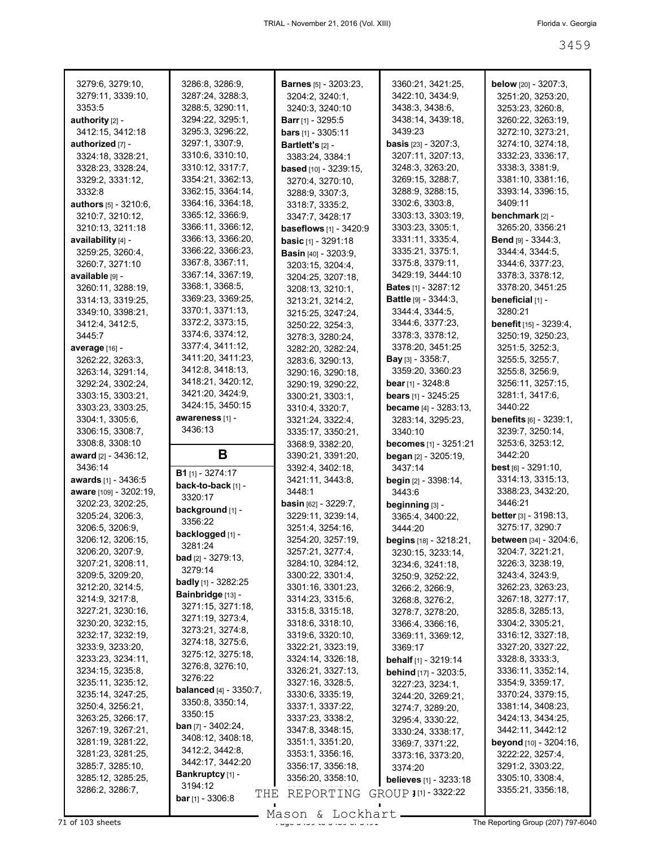| 3279:6, 3279:10,             | 3286:8, 3286:9,                           | <b>Barnes</b> $[5] - 3203:23$ , | 3360:21, 3421:25,               | <b>below</b> [20] - 3207:3,     |
|------------------------------|-------------------------------------------|---------------------------------|---------------------------------|---------------------------------|
| 3279:11, 3339:10,            | 3287:24, 3288:3,                          | 3204:2, 3240:1,                 | 3422:10, 3434:9,                | 3251:20, 3253:20,               |
| 3353:5                       | 3288:5, 3290:11,                          | 3240:3, 3240:10                 | 3438:3, 3438:6,                 | 3253:23, 3260:8,                |
| authority [2] -              | 3294:22, 3295:1,                          | <b>Barr</b> [1] - 3295:5        | 3438:14, 3439:18,               | 3260:22, 3263:19,               |
| 3412:15, 3412:18             | 3295:3, 3296:22,                          | bars [1] - 3305:11              | 3439:23                         | 3272:10, 3273:21,               |
| authorized [7] -             | 3297:1, 3307:9,                           | Bartlett's [2] -                | basis [23] - 3207:3,            | 3274:10, 3274:18,               |
| 3324:18, 3328:21,            | 3310:6, 3310:10,                          | 3383:24, 3384:1                 | 3207:11, 3207:13,               | 3332:23, 3336:17,               |
| 3328:23, 3328:24,            | 3310:12, 3317:7,                          | <b>based</b> $[10] - 3239:15$ , | 3248:3, 3263:20,                | 3338:3, 3381:9,                 |
| 3329:2, 3331:12,             | 3354:21, 3362:13,                         | 3270:4, 3270:10,                | 3269:15, 3288:7,                | 3381:10, 3381:16,               |
| 3332:8                       | 3362:15, 3364:14,                         | 3288:9, 3307:3,                 | 3288:9, 3288:15,                | 3393:14, 3396:15,               |
| <b>authors</b> [5] - 3210:6, | 3364:16, 3364:18,                         |                                 | 3302:6, 3303:8,                 | 3409:11                         |
|                              | 3365:12, 3366:9,                          | 3318:7, 3335:2,                 | 3303:13, 3303:19,               | benchmark [2] -                 |
| 3210:7, 3210:12,             | 3366:11, 3366:12,                         | 3347:7, 3428:17                 |                                 |                                 |
| 3210:13, 3211:18             |                                           | <b>baseflows</b> [1] - 3420:9   | 3303:23, 3305:1,                | 3265:20, 3356:21                |
| availability [4] -           | 3366:13, 3366:20,                         | <b>basic</b> $[1] - 3291:18$    | 3331:11, 3335:4,                | <b>Bend</b> $[9] - 3344:3$ ,    |
| 3259:25, 3260:4,             | 3366:22, 3366:23,                         | <b>Basin</b> [40] - 3203:9,     | 3335:21, 3375:1,                | 3344:4, 3344:5,                 |
| 3260:7, 3271:10              | 3367:8, 3367:11,                          | 3203:15, 3204:4,                | 3375:8, 3379:11,                | 3344:6, 3377:23,                |
| available [9] -              | 3367:14, 3367:19,                         | 3204:25, 3207:18,               | 3429:19, 3444:10                | 3378:3, 3378:12,                |
| 3260:11, 3288:19,            | 3368:1, 3368:5,                           | 3208:13, 3210:1,                | <b>Bates</b> [1] - 3287:12      | 3378:20, 3451:25                |
| 3314:13, 3319:25,            | 3369:23, 3369:25,                         | 3213:21, 3214:2,                | Battle [9] - 3344:3,            | beneficial [1] -                |
| 3349:10, 3398:21,            | 3370:1, 3371:13,                          | 3215:25, 3247:24,               | 3344:4, 3344:5,                 | 3280:21                         |
| 3412:4, 3412:5,              | 3372:2, 3373:15,                          | 3250:22, 3254:3,                | 3344:6, 3377:23,                | <b>benefit</b> [15] - 3239:4,   |
| 3445:7                       | 3374:6, 3374:12,                          | 3278:3, 3280:24,                | 3378:3, 3378:12,                | 3250:19, 3250:23,               |
| average [16] -               | 3377:4, 3411:12,                          | 3282:20, 3282:24,               | 3378:20, 3451:25                | 3251:5, 3252:3,                 |
| 3262:22, 3263:3,             | 3411:20, 3411:23,                         | 3283:6, 3290:13,                | <b>Bay</b> [3] - 3358:7,        | 3255:5, 3255:7,                 |
| 3263:14, 3291:14,            | 3412:8, 3418:13,                          | 3290:16, 3290:18,               | 3359:20, 3360:23                | 3255:8, 3256:9,                 |
| 3292:24, 3302:24,            | 3418:21, 3420:12,                         | 3290:19, 3290:22,               | bear $[1] - 3248.8$             | 3256:11, 3257:15,               |
| 3303:15, 3303:21,            | 3421:20, 3424:9,                          | 3300:21, 3303:1,                | <b>bears</b> $[1] - 3245:25$    | 3281:1, 3417:6,                 |
| 3303:23, 3303:25,            | 3424:15, 3450:15                          | 3310:4, 3320:7,                 | <b>became</b> $[4] - 3283:13$ , | 3440:22                         |
|                              | awareness [1] -                           |                                 |                                 |                                 |
| 3304:1, 3305:6,              | 3436:13                                   | 3321:24, 3322:4,                | 3283:14, 3295:23,               | <b>benefits</b> $[6]$ - 3239:1, |
| 3306:15, 3308:7,             |                                           | 3335:17, 3350:21,               | 3340:10                         | 3239:7, 3250:14,                |
| 3308:8, 3308:10              |                                           | 3368:9, 3382:20,                | <b>becomes</b> [1] - 3251:21    | 3253:6, 3253:12,                |
|                              |                                           |                                 |                                 |                                 |
| award [2] - 3436:12,         | В                                         | 3390:21, 3391:20,               | began [2] - 3205:19,            | 3442:20                         |
| 3436:14                      |                                           | 3392:4, 3402:18,                | 3437:14                         | <b>best</b> $[6] - 3291:10$ ,   |
| awards [1] - 3436:5          | <b>B1</b> $[1] - 3274:17$                 | 3421:11, 3443:8,                | <b>begin</b> [2] - 3398:14,     | 3314:13, 3315:13,               |
| aware [109] - 3202:19,       | back-to-back [1] -                        | 3448:1                          | 3443:6                          | 3388:23, 3432:20,               |
| 3202:23, 3202:25,            | 3320:17                                   | <b>basin</b> $[62] - 3229:7$ ,  | beginning [3] -                 | 3446:21                         |
| 3205:24, 3206:3,             | background [1] -                          | 3229:11, 3239:14,               | 3365:4, 3400:22,                | <b>better</b> $[3] - 3198:13$ , |
| 3206:5, 3206:9,              | 3356:22                                   | 3251:4, 3254:16,                | 3444:20                         | 3275:17, 3290:7                 |
| 3206:12, 3206:15,            | backlogged [1] -                          | 3254:20, 3257:19,               | begins [18] - 3218:21,          | between [34] - 3204:6,          |
| 3206:20, 3207:9,             | 3281:24                                   | 3257:21, 3277:4,                | 3230:15, 3233:14,               | 3204:7, 3221:21,                |
| 3207:21, 3208:11,            | <b>bad</b> $[2] - 3279:13$ ,              | 3284:10, 3284:12,               | 3234:6, 3241:18,                | 3226:3, 3238:19,                |
| 3209:5, 3209:20,             | 3279:14                                   | 3300:22, 3301:4,                |                                 | 3243:4, 3243:9,                 |
| 3212:20, 3214:5,             | <b>badly</b> [1] - 3282:25                | 3301:16, 3301:23,               | 3250:9, 3252:22,                | 3262:23, 3263:23,               |
| 3214:9, 3217:8,              | Bainbridge [13] -                         | 3314:23, 3315:6,                | 3266:2, 3266:9,                 | 3267:18, 3277:17,               |
| 3227:21, 3230:16,            | 3271:15, 3271:18,                         | 3315:8, 3315:18,                | 3268:8, 3276:2,                 | 3285:8, 3285:13,                |
|                              | 3271:19, 3273:4,                          | 3318:6, 3318:10,                | 3278:7, 3278:20,                |                                 |
| 3230:20, 3232:15,            | 3273:21, 3274:8,                          |                                 | 3366:4, 3366:16,                | 3304:2, 3305:21,                |
| 3232:17, 3232:19,            | 3274:18, 3275:6,                          | 3319:6, 3320:10,                | 3369:11, 3369:12,               | 3316:12, 3327:18,               |
| 3233:9, 3233:20,             | 3275:12, 3275:18,                         | 3322:21, 3323:19,               | 3369:17                         | 3327:20, 3327:22,               |
| 3233:23, 3234:11,            | 3276:8, 3276:10,                          | 3324:14, 3326:18,               | behalf [1] - 3219:14            | 3328:8, 3333:3,                 |
| 3234:15, 3235:8,             | 3276:22                                   | 3326:21, 3327:13,               | <b>behind</b> [17] - 3203:5,    | 3336:11, 3352:14,               |
| 3235:11, 3235:12,            | <b>balanced</b> [4] - 3350:7,             | 3327:16, 3328:5,                | 3227:23, 3234:1,                | 3354:9, 3359:17,                |
| 3235:14, 3247:25,            | 3350:8, 3350:14,                          | 3330:6, 3335:19,                | 3244:20, 3269:21,               | 3370:24, 3379:15,               |
| 3250:4, 3256:21,             | 3350:15                                   | 3337:1, 3337:22,                | 3274:7, 3289:20,                | 3381:14, 3408:23,               |
| 3263:25, 3266:17,            |                                           | 3337:23, 3338:2,                | 3295:4, 3330:22,                | 3424:13, 3434:25,               |
| 3267:19, 3267:21,            | <b>ban</b> [7] - $3402:24$ ,              | 3347:8, 3348:15,                | 3330:24, 3338:17,               | 3442:11, 3442:12                |
| 3281:19, 3281:22,            | 3408:12, 3408:18,                         | 3351:1, 3351:20,                | 3369:7, 3371:22,                | beyond [10] - 3204:16,          |
| 3281:23, 3281:25,            | 3412:2, 3442:8,                           | 3353:1, 3356:16,                | 3373:16, 3373:20,               | 3222:22, 3257:4,                |
| 3285:7, 3285:10,             | 3442:17, 3442:20                          | 3356:17, 3356:18,               | 3374:20                         | 3291:2, 3303:22,                |
| 3285:12, 3285:25,            | Bankruptcy [1] -                          | 3356:20, 3358:10,               | believes [1] - 3233:18          | 3305:10, 3308:4,                |
| 3286:2, 3286:7,              | 3194:12<br>THE<br><b>bar</b> [1] - 3306:8 | REPORTING                       | GROUP J [1] - 3322:22           | 3355:21, 3356:18,               |

The Reporting Group (207) 797-6040<br>The Reporting Group (207) 797-6040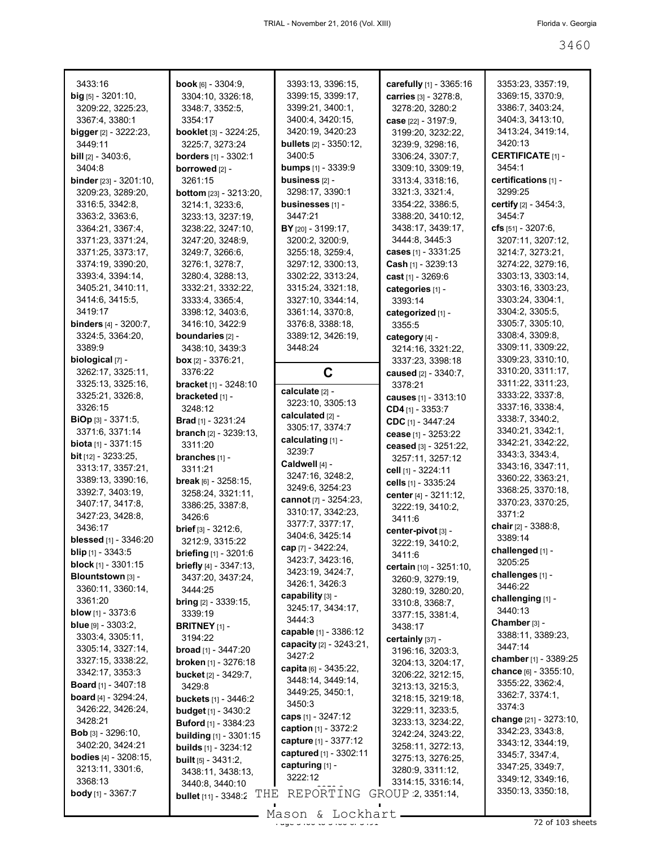|                                                                                                                                                                                                                                                                                                                                                                                                                                                    |                                                                                                                                                                                                                                                                                                                                       | 3313:4, 3318:16,<br>3321:3, 3321:4,                                                                                                                                                                                                                                                                                        | certifications [1] -<br>3299:25                                                                                                                                                                                                                                                                                                      |
|----------------------------------------------------------------------------------------------------------------------------------------------------------------------------------------------------------------------------------------------------------------------------------------------------------------------------------------------------------------------------------------------------------------------------------------------------|---------------------------------------------------------------------------------------------------------------------------------------------------------------------------------------------------------------------------------------------------------------------------------------------------------------------------------------|----------------------------------------------------------------------------------------------------------------------------------------------------------------------------------------------------------------------------------------------------------------------------------------------------------------------------|--------------------------------------------------------------------------------------------------------------------------------------------------------------------------------------------------------------------------------------------------------------------------------------------------------------------------------------|
| 3238:22, 3247:10,<br>3247:20, 3248:9,<br>3249:7, 3266:6,<br>3276:1, 3278:7,<br>3280:4, 3288:13,<br>3332:21, 3332:22,<br>3333:4, 3365:4,<br>3398:12, 3403:6,<br>3416:10, 3422:9<br>boundaries [2] -                                                                                                                                                                                                                                                 | 3447:21<br>BY [20] - 3199:17,<br>3200:2, 3200:9,<br>3255:18, 3259:4,<br>3297:12, 3300:13,<br>3302:22, 3313:24,<br>3315:24, 3321:18,<br>3327:10, 3344:14,<br>3361:14, 3370:8,<br>3376:8, 3388:18,<br>3389:12, 3426:19,                                                                                                                 | 3388:20, 3410:12,<br>3438:17, 3439:17,<br>3444:8, 3445:3<br>cases [1] - 3331:25<br><b>Cash</b> $[1]$ - 3239:13<br>cast [1] - 3269:6<br>categories [1] -<br>3393:14<br>categorized [1] -<br>3355:5<br>category [4] -                                                                                                        | certify [2] - 3454:3,<br>3454.7<br>cfs $[51] - 3207:6$ ,<br>3207:11, 3207:12,<br>3214:7, 3273:21,<br>3274:22, 3279:16,<br>3303:13, 3303:14,<br>3303:16, 3303:23,<br>3303:24, 3304:1,<br>3304:2, 3305:5,<br>3305:7, 3305:10,<br>3308:4, 3309:8,<br>3309:11, 3309:22,                                                                  |
| <b>box</b> $[2] - 3376:21$ ,<br>3376:22<br><b>bracket</b> [1] - 3248:10<br>bracketed [1] -<br>3248:12                                                                                                                                                                                                                                                                                                                                              | C<br>calculate [2] -<br>3223:10, 3305:13                                                                                                                                                                                                                                                                                              | 3337:23, 3398:18<br>caused [2] - 3340:7,<br>3378:21<br>causes [1] - 3313:10<br>CD4 [1] - 3353:7                                                                                                                                                                                                                            | 3309:23, 3310:10,<br>3310:20, 3311:17,<br>3311:22, 3311:23,<br>3333:22, 3337:8,<br>3337:16, 3338:4,                                                                                                                                                                                                                                  |
| <b>Brad</b> $[1] - 3231:24$<br><b>branch</b> $[2] - 3239:13$ ,<br>3311:20<br>branches [1] -<br>3311:21<br>break [6] - 3258:15,<br>3258:24, 3321:11,<br>3386:25, 3387:8,<br>3426:6<br>$brief [3] - 3212:6,$<br>3212:9, 3315:22<br><b>briefing</b> $[1] - 3201:6$<br>briefly [4] - 3347:13,<br>3437:20, 3437:24,                                                                                                                                     | 3305:17, 3374:7<br>calculating [1] -<br>3239:7<br>Caldwell [4] -<br>3247:16, 3248:2,<br>3249:6, 3254:23<br>cannot $[7] - 3254:23$ ,<br>3310:17, 3342:23,<br>3377:7, 3377:17,<br>3404:6, 3425:14<br>cap [7] - 3422:24,<br>3423:7, 3423:16,<br>3423:19, 3424:7,                                                                         | CDC [1] - 3447:24<br>cease [1] - 3253:22<br>ceased [3] - 3251:22,<br>3257:11, 3257:12<br>cell [1] - 3224:11<br>cells [1] - 3335:24<br>center [4] - 3211:12,<br>3222:19, 3410:2,<br>3411:6<br>center-pivot [3] -<br>3222:19, 3410:2,<br>3411:6<br>certain [10] - 3251:10,<br>3260:9, 3279:19,                               | 3338:7, 3340:2,<br>3340:21, 3342:1,<br>3342:21, 3342:22,<br>3343:3, 3343:4,<br>3343:16, 3347:11,<br>3360:22, 3363:21,<br>3368:25, 3370:18,<br>3370:23, 3370:25,<br>3371:2<br>chair [2] - 3388:8,<br>3389:14<br>challenged [1] -<br>3205:25<br>challenges [1] -<br>3446:22                                                            |
| <b>bring</b> $[2] - 3339:15$ ,<br>3339:19<br><b>BRITNEY</b> $[1]$ -<br>3194:22<br><b>broad</b> [1] - $3447:20$<br>broken [1] - 3276:18<br><b>bucket</b> [2] - 3429:7,<br>3429:8<br><b>buckets</b> [1] - 3446:2<br><b>budget</b> $[1]$ - 3430:2<br><b>Buford</b> $[1] - 3384:23$<br><b>building</b> $[1]$ - 3301:15<br><b>builds</b> [1] - 3234:12<br><b>built</b> $[5] - 3431:2$ ,<br>3438:11, 3438:13,<br>3440:8, 3440:10<br>bullet [11] - 3348:2 | capability [3] -<br>3245:17, 3434:17,<br>3444:3<br>capable [1] - 3386:12<br>capacity [2] - 3243:21,<br>3427:2<br>capita [6] - 3435:22,<br>3448:14, 3449:14,<br>3449:25, 3450:1,<br>3450:3<br>caps [1] - 3247:12<br>caption [1] - 3372:2<br>capture [1] - 3377:12<br>captured [1] - 3302:11<br>capturing [1] -<br>3222:12<br>REPORTING | 3310:8, 3368:7,<br>3377:15, 3381:4,<br>3438:17<br>certainly [37] -<br>3196:16, 3203:3,<br>3204:13, 3204:17,<br>3206:22, 3212:15,<br>3213:13, 3215:3,<br>3218:15, 3219:18,<br>3229:11, 3233:5,<br>3233:13, 3234:22,<br>3242:24, 3243:22,<br>3258:11, 3272:13,<br>3275:13, 3276:25,<br>3280:9, 3311:12,<br>3314:15, 3316:14, | challenging [1] -<br>3440:13<br>Chamber [3] -<br>3388:11, 3389:23,<br>3447:14<br>chamber [1] - 3389:25<br>chance [6] - 3355:10,<br>3355:22, 3362:4,<br>3362:7, 3374:1,<br>3374:3<br>change [21] - 3273:10,<br>3342:23, 3343:8,<br>3343:12, 3344:19,<br>3345:7, 3347:4,<br>3347:25, 3349:7,<br>3349:12, 3349:16,<br>3350:13, 3350:18, |
|                                                                                                                                                                                                                                                                                                                                                                                                                                                    | 3233:13, 3237:19,<br>3438:10, 3439:3<br>3444:25                                                                                                                                                                                                                                                                                       | 3298:17, 3390:1<br><b>bottom</b> [23] - 3213:20,<br>businesses [1] -<br>3214:1, 3233:6,<br>3448:24<br>calculated [2] -<br>3426:1, 3426:3<br>THE                                                                                                                                                                            | 3354:22, 3386:5,<br>3214:16, 3321:22,<br>3280:19, 3280:20,<br>GROUP 2, 3351:14,<br>Mason & Lockhart                                                                                                                                                                                                                                  |

Mason & Lockhart 2000 of 32 of 103 sheets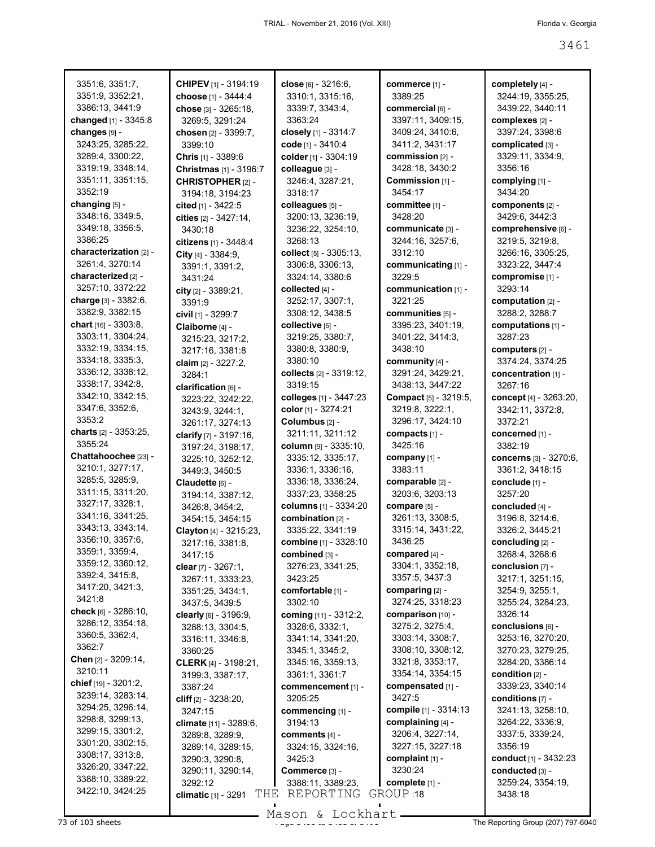| 3351:6, 3351:7,<br>3351:9, 3352:21, | <b>CHIPEV</b> [1] - 3194:19<br>choose [1] - 3444:4 | close [6] - 3216:6,<br>3310:1, 3315:16, | commerce [1] -<br>3389:25 | completely [4] -<br>3244:19, 3355:25, |
|-------------------------------------|----------------------------------------------------|-----------------------------------------|---------------------------|---------------------------------------|
| 3386:13, 3441:9                     | chose [3] - 3265:18,                               | 3339:7, 3343:4,                         | commercial [6] -          | 3439:22, 3440:11                      |
| changed [1] - 3345:8                | 3269:5, 3291:24                                    | 3363:24                                 | 3397:11, 3409:15,         | complexes [2] -                       |
| changes [9] -                       | chosen [2] - 3399:7,                               | closely [1] - 3314:7                    | 3409:24, 3410:6,          | 3397:24, 3398:6                       |
| 3243:25, 3285:22,                   | 3399:10                                            | code [1] - 3410:4                       | 3411:2, 3431:17           | complicated [3] -                     |
| 3289:4, 3300:22,                    | Chris [1] - 3389:6                                 | colder [1] - 3304:19                    | commission [2] -          | 3329:11, 3334:9,                      |
| 3319:19, 3348:14,                   |                                                    | colleague [3] -                         | 3428:18, 3430:2           | 3356:16                               |
| 3351:11, 3351:15,                   | Christmas [1] - 3196:7                             | 3246:4, 3287:21,                        | Commission [1] -          | complying [1] -                       |
| 3352:19                             | <b>CHRISTOPHER [2] -</b>                           | 3318:17                                 | 3454:17                   | 3434:20                               |
| changing [5] -                      | 3194:18, 3194:23<br>cited [1] - 3422:5             | colleagues [5] -                        | committee [1] -           | components [2] -                      |
| 3348:16, 3349:5,                    |                                                    | 3200:13, 3236:19,                       | 3428:20                   | 3429:6, 3442:3                        |
| 3349:18, 3356:5,                    | cities [2] - 3427:14,                              | 3236:22, 3254:10,                       | communicate [3] -         | comprehensive [6] -                   |
| 3386:25                             | 3430:18                                            | 3268:13                                 | 3244:16, 3257:6,          | 3219:5, 3219:8,                       |
| characterization [2] -              | citizens [1] - 3448:4                              | collect [5] - 3305:13,                  | 3312:10                   | 3266:16, 3305:25,                     |
| 3261:4, 3270:14                     | City $[4] - 3384:9,$                               | 3306:8, 3306:13,                        | communicating [1] -       | 3323:22, 3447:4                       |
| characterized [2] -                 | 3391:1, 3391:2,<br>3431:24                         | 3324:14, 3380:6                         | 3229:5                    | compromise [1] -                      |
| 3257:10, 3372:22                    |                                                    | collected [4] -                         | communication [1] -       | 3293:14                               |
| charge [3] - 3382:6,                | city $[2] - 3389:21$ ,<br>3391:9                   | 3252:17, 3307:1,                        | 3221:25                   | computation $[2]$ -                   |
| 3382:9, 3382:15                     |                                                    | 3308:12, 3438:5                         | communities [5] -         | 3288:2, 3288:7                        |
| chart $[16] - 3303.8$ ,             | civil [1] - 3299:7                                 | collective [5] -                        | 3395:23, 3401:19,         | computations [1] -                    |
| 3303:11, 3304:24,                   | Claiborne [4] -                                    | 3219:25, 3380:7,                        | 3401:22, 3414:3,          | 3287:23                               |
| 3332:19, 3334:15,                   | 3215:23, 3217:2,                                   | 3380:8, 3380:9,                         | 3438:10                   | computers [2] -                       |
| 3334:18, 3335:3,                    | 3217:16, 3381:8                                    | 3380:10                                 | community [4] -           | 3374:24, 3374:25                      |
| 3336:12, 3338:12,                   | claim [2] - 3227:2,                                | collects [2] - 3319:12,                 | 3291:24, 3429:21,         | concentration [1] -                   |
| 3338:17, 3342:8,                    | 3284:1                                             | 3319:15                                 | 3438:13, 3447:22          | 3267:16                               |
| 3342:10, 3342:15,                   | clarification [6] -                                | colleges [1] - 3447:23                  | Compact [5] - 3219:5,     | concept [4] - 3263:20,                |
| 3347:6, 3352:6,                     | 3223:22, 3242:22,                                  | color [1] - 3274:21                     | 3219:8, 3222:1,           | 3342:11, 3372:8,                      |
| 3353:2                              | 3243:9, 3244:1,                                    | Columbus [2] -                          | 3296:17, 3424:10          | 3372:21                               |
| charts [2] - 3353:25,               | 3261:17, 3274:13                                   | 3211:11, 3211:12                        | compacts [1] -            | concerned [1] -                       |
| 3355:24                             | clarify [7] - 3197:16,                             | column [9] - 3335:10,                   | 3425:16                   | 3382:19                               |
| Chattahoochee [23] -                | 3197:24, 3198:17,                                  | 3335:12, 3335:17,                       | company [1] -             | concerns [3] - 3270:6,                |
| 3210:1, 3277:17,                    | 3225:10, 3252:12,                                  | 3336:1, 3336:16,                        | 3383:11                   | 3361:2, 3418:15                       |
| 3285:5, 3285:9,                     | 3449:3, 3450:5<br>Claudette [6] -                  | 3336:18, 3336:24,                       | comparable [2] -          | conclude [1] -                        |
| 3311:15, 3311:20,                   | 3194:14, 3387:12,                                  | 3337:23, 3358:25                        | 3203:6, 3203:13           | 3257:20                               |
| 3327:17, 3328:1,                    | 3426:8, 3454:2,                                    | columns [1] - 3334:20                   | compare [5] -             | concluded [4] -                       |
| 3341:16, 3341:25,                   | 3454:15, 3454:15                                   | combination [2] -                       | 3261:13, 3308:5,          | 3196:8, 3214:6,                       |
| 3343:13, 3343:14,                   | Clayton [4] - 3215:23,                             | 3335:22, 3341:19                        | 3315:14, 3431:22,         | 3326:2, 3445:21                       |
| 3356:10, 3357:6,                    | 3217:16, 3381:8,                                   | combine [1] - 3328:10                   | 3436:25                   | concluding [2] -                      |
| 3359:1, 3359:4,                     | 3417:15                                            | combined [3] -                          | compared [4] -            | 3268:4, 3268:6                        |
| 3359:12, 3360:12,                   | clear [7] - 3267:1,                                | 3276:23, 3341:25,                       | 3304:1, 3352:18,          | conclusion [7] -                      |
| 3392:4, 3415:8,                     | 3267:11, 3333:23,                                  | 3423:25                                 | 3357:5, 3437:3            | 3217:1, 3251:15,                      |
| 3417:20, 3421:3,                    | 3351:25, 3434:1,                                   | comfortable [1] -                       | comparing [2] -           | 3254:9, 3255:1,                       |
| 3421:8                              | 3437:5, 3439:5                                     | 3302:10                                 | 3274:25, 3318:23          | 3255:24, 3284:23,                     |
| check [6] - 3286:10,                | clearly [6] - 3196:9,                              | coming [11] - 3312:2,                   | comparison [10] -         | 3326:14                               |
| 3286:12, 3354:18,                   | 3288:13, 3304:5,                                   | 3328:6, 3332:1,                         | 3275:2, 3275:4,           | conclusions [6] -                     |
| 3360:5, 3362:4,                     | 3316:11, 3346:8,                                   | 3341:14, 3341:20,                       | 3303:14, 3308:7,          | 3253:16, 3270:20,                     |
| 3362:7                              | 3360:25                                            | 3345:1, 3345:2,                         | 3308:10, 3308:12,         | 3270:23, 3279:25,                     |
| <b>Chen</b> $[2] - 3209:14,$        | CLERK [4] - 3198:21,                               | 3345:16, 3359:13,                       | 3321:8, 3353:17,          | 3284:20, 3386:14                      |
| 3210:11                             | 3199:3, 3387:17,                                   | 3361:1, 3361:7                          | 3354:14, 3354:15          | condition [2] -                       |
| chief $[19] - 3201:2,$              | 3387:24                                            | commencement [1] -                      | compensated [1] -         | 3339:23, 3340:14                      |
| 3239:14, 3283:14,                   | cliff $[2] - 3238:20,$                             | 3205:25                                 | 3427:5                    | conditions $[7] -$                    |
| 3294:25, 3296:14,                   | 3247:15                                            | commencing [1] -                        | compile [1] - 3314:13     | 3241:13, 3258:10,                     |
| 3298:8, 3299:13,                    | climate [11] - 3289:6,                             | 3194:13                                 | complaining [4] -         | 3264:22, 3336:9,                      |
| 3299:15, 3301:2,                    | 3289:8, 3289:9,                                    | comments [4] -                          | 3206:4, 3227:14,          | 3337:5, 3339:24,                      |
| 3301:20, 3302:15,                   | 3289:14, 3289:15,                                  | 3324:15, 3324:16,                       | 3227:15, 3227:18          | 3356:19                               |
| 3308:17, 3313:8,                    | 3290:3, 3290:8,                                    | 3425:3                                  | complaint [1] -           | conduct [1] - 3432:23                 |
| 3326:20, 3347:22,                   | 3290:11, 3290:14,                                  | Commerce [3] -                          | 3230:24                   | conducted [3] -                       |
| 3388:10, 3389:22,                   | 3292:12                                            | 3388:11, 3389:23,                       | complete [1] -            | 3259:24, 3354:19,                     |
| 3422:10, 3424:25                    | THE<br>climatic [1] - 3291                         | REPORTING                               | GROUP 18                  | 3438:18                               |
|                                     |                                                    |                                         |                           |                                       |

Mason & Lockhart **Page 3461 to 3461 to 3461 to 3461 to 3461 of 3461 to 3461 of 3461 to 3461 to 3461 of 3461 of 3461 of 3461 The Reporting Group (207) 797-6040**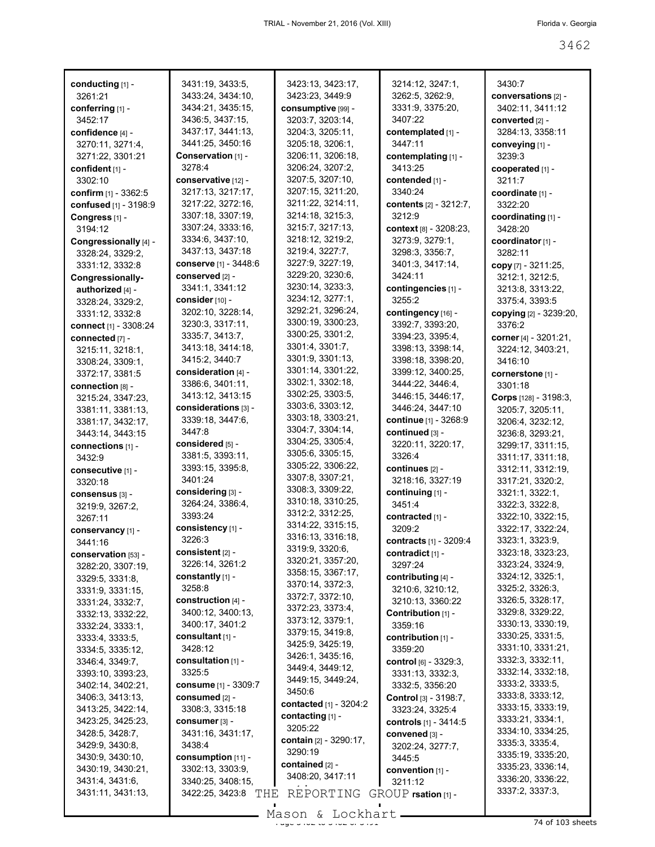| conducting [1] -      | 3431:19, 3433:5,       | 3423:13, 3423:17,      | 3214:12, 3247:1,                       | 3430:7                                 |
|-----------------------|------------------------|------------------------|----------------------------------------|----------------------------------------|
| 3261:21               | 3433:24, 3434:10,      | 3423:23, 3449:9        | 3262:5, 3262:9,                        | conversations [2] -                    |
| conferring [1] -      | 3434:21, 3435:15,      | consumptive [99] -     | 3331:9, 3375:20,                       | 3402:11, 3411:12                       |
| 3452:17               | 3436:5, 3437:15,       | 3203:7, 3203:14,       | 3407:22                                | converted [2] -                        |
| confidence [4] -      | 3437:17, 3441:13,      | 3204:3, 3205:11,       | contemplated [1] -                     | 3284:13, 3358:11                       |
| 3270:11, 3271:4,      | 3441:25, 3450:16       | 3205:18, 3206:1,       | 3447:11                                | conveying [1] -                        |
| 3271:22, 3301:21      | Conservation [1] -     | 3206:11, 3206:18,      | contemplating [1] -                    | 3239:3                                 |
| confident [1] -       | 3278:4                 | 3206:24, 3207:2,       | 3413:25                                | cooperated [1] -                       |
| 3302:10               | conservative [12] -    | 3207:5, 3207:10,       | contended [1] -                        | 3211:7                                 |
| confirm [1] - 3362:5  | 3217:13, 3217:17,      | 3207:15, 3211:20,      | 3340:24                                | coordinate [1] -                       |
| confused [1] - 3198:9 | 3217:22, 3272:16,      | 3211:22, 3214:11,      | contents [2] - 3212:7,                 | 3322:20                                |
| Congress [1] -        | 3307:18, 3307:19,      | 3214:18, 3215:3,       | 3212:9                                 | coordinating [1] -                     |
| 3194:12               | 3307:24, 3333:16,      | 3215:7, 3217:13,       | context [8] - 3208:23,                 | 3428:20                                |
| Congressionally [4] - | 3334:6, 3437:10,       | 3218:12, 3219:2,       | 3273:9, 3279:1,                        | coordinator [1] -                      |
| 3328:24, 3329:2,      | 3437:13, 3437:18       | 3219:4, 3227:7,        | 3298:3, 3356:7,                        | 3282:11                                |
| 3331:12, 3332:8       | conserve [1] - 3448:6  | 3227:9, 3227:19,       | 3401:3, 3417:14,                       | copy [7] - 3211:25,                    |
| Congressionally-      | conserved [2] -        | 3229:20, 3230:6,       | 3424:11                                | 3212:1, 3212:5,                        |
| authorized [4] -      | 3341:1, 3341:12        | 3230:14, 3233:3,       | contingencies [1] -                    | 3213:8, 3313:22,                       |
| 3328:24, 3329:2,      | consider [10] -        | 3234:12, 3277:1,       | 3255:2                                 | 3375:4, 3393:5                         |
| 3331:12, 3332:8       | 3202:10, 3228:14,      | 3292:21, 3296:24,      | contingency [16] -                     | copying [2] - 3239:20,                 |
| connect [1] - 3308:24 | 3230:3, 3317:11,       | 3300:19, 3300:23,      | 3392:7, 3393:20,                       | 3376:2                                 |
| connected [7] -       | 3335:7, 3413:7,        | 3300:25, 3301:2,       | 3394:23, 3395:4,                       | corner $[4] - 3201:21$ ,               |
|                       | 3413:18, 3414:18,      | 3301:4, 3301:7,        | 3398:13, 3398:14,                      | 3224:12, 3403:21,                      |
| 3215:11, 3218:1,      | 3415:2, 3440:7         | 3301:9, 3301:13,       | 3398:18, 3398:20,                      | 3416:10                                |
| 3308:24, 3309:1,      | consideration [4] -    | 3301:14, 3301:22,      | 3399:12, 3400:25,                      | cornerstone [1] -                      |
| 3372:17, 3381:5       | 3386:6, 3401:11,       | 3302:1, 3302:18,       | 3444:22, 3446:4,                       | 3301:18                                |
| connection [8] -      | 3413:12, 3413:15       | 3302:25, 3303:5,       | 3446:15, 3446:17,                      |                                        |
| 3215:24, 3347:23,     | considerations [3] -   | 3303:6, 3303:12,       | 3446:24, 3447:10                       | Corps [128] - 3198:3,                  |
| 3381:11, 3381:13,     | 3339:18, 3447:6,       | 3303:18, 3303:21,      | continue [1] - 3268:9                  | 3205:7, 3205:11,                       |
| 3381:17, 3432:17,     | 3447:8                 | 3304:7, 3304:14,       | continued [3] -                        | 3206:4, 3232:12,                       |
| 3443:14, 3443:15      | considered [5] -       | 3304:25, 3305:4,       | 3220:11, 3220:17,                      | 3236:8, 3293:21,                       |
| connections [1] -     | 3381:5, 3393:11,       | 3305:6, 3305:15,       | 3326:4                                 | 3299:17, 3311:15,                      |
| 3432:9                | 3393:15, 3395:8,       | 3305:22, 3306:22,      | continues [2] -                        | 3311:17, 3311:18,                      |
| consecutive [1] -     | 3401:24                | 3307:8, 3307:21,       | 3218:16, 3327:19                       | 3312:11, 3312:19,                      |
| 3320:18               | considering [3] -      | 3308:3, 3309:22,       | continuing [1] -                       | 3317:21, 3320:2,                       |
| consensus [3] -       | 3264:24, 3386:4,       | 3310:18, 3310:25,      | 3451:4                                 | 3321:1, 3322:1,                        |
| 3219:9, 3267:2,       | 3393:24                | 3312:2, 3312:25,       | contracted [1] -                       | 3322:3, 3322:8,                        |
| 3267:11               | consistency [1] -      | 3314:22, 3315:15,      | 3209:2                                 | 3322:10, 3322:15,<br>3322:17, 3322:24, |
| conservancy [1] -     | 3226:3                 | 3316:13, 3316:18,      |                                        | 3323:1, 3323:9,                        |
| 3441:16               | consistent [2] -       | 3319:9, 3320:6,        | contracts [1] - 3209:4                 | 3323:18, 3323:23,                      |
| conservation [53] -   | 3226:14, 3261:2        | 3320:21, 3357:20,      | contradict [1] -                       | 3323:24, 3324:9,                       |
| 3282:20, 3307:19,     | constantly $[1]$ -     | 3358:15, 3367:17,      | 3297:24                                | 3324:12, 3325:1,                       |
| 3329:5, 3331:8,       | 3258:8                 | 3370:14, 3372:3,       | contributing [4] -<br>3210:6, 3210:12, | 3325:2, 3326:3,                        |
| 3331:9, 3331:15,      | construction [4] -     | 3372:7, 3372:10,       | 3210:13, 3360:22                       | 3326:5, 3328:17,                       |
| 3331:24, 3332:7,      | 3400:12, 3400:13,      | 3372:23, 3373:4,       | Contribution [1] -                     | 3329:8, 3329:22,                       |
| 3332:13, 3332:22,     | 3400:17, 3401:2        | 3373:12, 3379:1,       | 3359:16                                | 3330:13, 3330:19,                      |
| 3332:24, 3333:1,      | consultant [1] -       | 3379:15, 3419:8,       |                                        | 3330:25, 3331:5,                       |
| 3333:4, 3333:5,       | 3428:12                | 3425:9, 3425:19,       | contribution [1] -                     | 3331:10, 3331:21,                      |
| 3334:5, 3335:12,      | consultation $[1]$ -   | 3426:1, 3435:16,       | 3359:20                                | 3332:3, 3332:11,                       |
| 3346:4, 3349:7,       | 3325:5                 | 3449:4, 3449:12,       | <b>control</b> [6] - 3329:3,           | 3332:14, 3332:18,                      |
| 3393:10, 3393:23,     |                        | 3449:15, 3449:24,      | 3331:13, 3332:3,                       | 3333:2, 3333:5,                        |
| 3402:14, 3402:21,     | consume [1] - 3309:7   | 3450:6                 | 3332:5, 3356:20                        | 3333:8, 3333:12,                       |
| 3406:3, 3413:13,      | consumed $[2]$ -       | contacted [1] - 3204:2 | Control [3] - 3198:7,                  | 3333:15, 3333:19,                      |
| 3413:25, 3422:14,     | 3308:3, 3315:18        | contacting [1] -       | 3323:24, 3325:4                        | 3333:21, 3334:1,                       |
| 3423:25, 3425:23,     | consumer [3] -         | 3205:22                | controls [1] - 3414:5                  | 3334:10, 3334:25,                      |
| 3428:5, 3428:7,       | 3431:16, 3431:17,      | contain [2] - 3290:17, | convened [3] -                         | 3335:3, 3335:4,                        |
| 3429:9, 3430:8,       | 3438:4                 | 3290:19                | 3202:24, 3277:7,                       | 3335:19, 3335:20,                      |
| 3430:9, 3430:10,      | consumption [11] -     | contained [2] -        | 3445:5                                 | 3335:23, 3336:14,                      |
| 3430:19, 3430:21,     | 3302:13, 3303:9,       | 3408:20, 3417:11       | convention [1] -                       | 3336:20, 3336:22,                      |
| 3431:4, 3431:6,       | 3340:25, 3408:15,      |                        | 3211:12                                | 3337:2, 3337:3,                        |
| 3431:11, 3431:13,     | 3422:25, 3423:8<br>THE | REPORTING              | $GROUP$ rsation $[1]$ -                |                                        |
|                       |                        |                        |                                        |                                        |

 $\frac{200011}{2400}$  of 103 sheets Mason & Lockhart.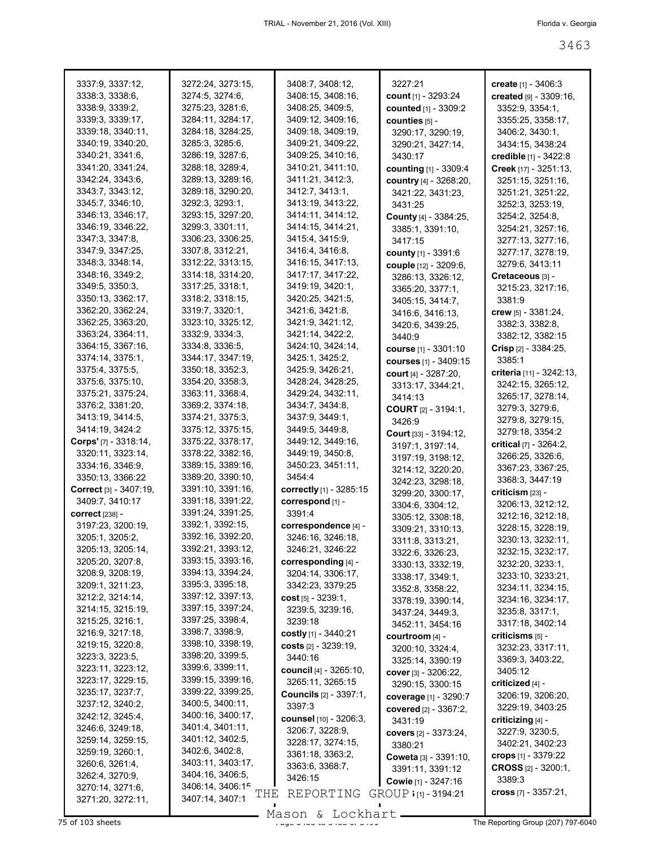| 3337:9, 3337:12,                     | 3272:24, 3273:15,                     | 3408:7, 3408:12,                     | 3227:21                               | create $[1] - 3406:3$                 |
|--------------------------------------|---------------------------------------|--------------------------------------|---------------------------------------|---------------------------------------|
| 3338:3, 3338:6,                      | 3274:5, 3274:6,                       | 3408:15, 3408:16,                    | count $[1]$ - 3293:24                 | created [9] - 3309:16,                |
| 3338:9, 3339:2,                      | 3275:23, 3281:6,                      | 3408:25, 3409:5,                     | counted [1] - 3309:2                  | 3352:9, 3354:1,                       |
| 3339:3, 3339:17,                     | 3284:11, 3284:17,                     | 3409:12, 3409:16,                    | counties [5] -                        | 3355:25, 3358:17,                     |
| 3339:18, 3340:11,                    | 3284:18, 3284:25,                     | 3409:18, 3409:19,                    | 3290:17, 3290:19,                     | 3406:2, 3430:1,                       |
| 3340:19, 3340:20,                    | 3285:3, 3285:6,                       | 3409:21, 3409:22,                    | 3290:21, 3427:14,                     | 3434:15, 3438:24                      |
| 3340:21, 3341:6,                     | 3286:19, 3287:6,                      | 3409:25, 3410:16,                    | 3430:17                               | credible $[1] - 3422:8$               |
| 3341:20, 3341:24,                    | 3288:18, 3289:4,                      | 3410:21, 3411:10,                    | <b>counting</b> [1] - 3309:4          | Creek [17] - 3251:13,                 |
| 3342:24, 3343:6,                     | 3289:13, 3289:16,                     | 3411:21, 3412:3,                     | country [4] - 3268:20,                | 3251:15, 3251:16,                     |
| 3343:7, 3343:12,                     | 3289:18, 3290:20,                     | 3412:7, 3413:1,                      | 3421:22, 3431:23,                     | 3251:21, 3251:22,                     |
| 3345:7, 3346:10,                     | 3292:3, 3293:1,                       | 3413:19, 3413:22,                    | 3431:25                               | 3252:3, 3253:19,                      |
| 3346:13, 3346:17,                    | 3293:15, 3297:20,<br>3299:3, 3301:11, | 3414:11, 3414:12,                    | County [4] - 3384:25,                 | 3254:2, 3254:8,                       |
| 3346:19, 3346:22,<br>3347:3, 3347:8, | 3306:23, 3306:25,                     | 3414:15, 3414:21,<br>3415:4, 3415:9, | 3385:1, 3391:10,                      | 3254:21, 3257:16,                     |
| 3347:9, 3347:25,                     | 3307:8, 3312:21,                      | 3416:4, 3416:8,                      | 3417:15                               | 3277:13, 3277:16,                     |
| 3348:3, 3348:14,                     | 3312:22, 3313:15,                     | 3416:15, 3417:13,                    | county [1] - 3391:6                   | 3277:17, 3278:19,                     |
| 3348:16, 3349:2,                     | 3314:18, 3314:20,                     | 3417:17, 3417:22,                    | couple [12] - 3209:6,                 | 3279:6, 3413:11                       |
| 3349:5, 3350:3,                      | 3317:25, 3318:1,                      | 3419:19, 3420:1,                     | 3286:13, 3326:12,                     | Cretaceous [3] -                      |
| 3350:13, 3362:17,                    | 3318:2, 3318:15,                      | 3420:25, 3421:5,                     | 3365:20, 3377:1,                      | 3215:23, 3217:16,                     |
| 3362:20, 3362:24,                    | 3319:7, 3320:1,                       | 3421:6, 3421:8,                      | 3405:15, 3414:7,                      | 3381:9                                |
| 3362:25, 3363:20,                    | 3323:10, 3325:12,                     | 3421:9, 3421:12,                     | 3416:6, 3416:13,                      | crew [5] - 3381:24,                   |
| 3363:24, 3364:11,                    | 3332:9, 3334:3,                       | 3421:14, 3422:2,                     | 3420:6, 3439:25,                      | 3382:3, 3382:8,                       |
| 3364:15, 3367:16,                    | 3334:8, 3336:5,                       | 3424:10, 3424:14,                    | 3440.9                                | 3382:12, 3382:15                      |
| 3374:14, 3375:1,                     | 3344:17, 3347:19,                     | 3425:1, 3425:2,                      | <b>course</b> [1] - 3301:10           | Crisp $[2] - 3384:25$ ,               |
| 3375:4, 3375:5,                      | 3350:18, 3352:3,                      | 3425:9, 3426:21,                     | courses [1] - 3409:15                 | 3385:1                                |
| 3375:6, 3375:10,                     | 3354:20, 3358:3,                      | 3428:24, 3428:25,                    | <b>court</b> [4] - 3287:20,           | criteria [11] - 3242:13,              |
| 3375:21, 3375:24,                    | 3363:11, 3368:4,                      | 3429:24, 3432:11,                    | 3313:17, 3344:21,                     | 3242:15, 3265:12,                     |
| 3376:2, 3381:20,                     | 3369:2, 3374:18,                      | 3434:7, 3434:8,                      | 3414:13                               | 3265:17, 3278:14,                     |
| 3413:19, 3414:5,                     | 3374:21, 3375:3,                      | 3437:9, 3449:1,                      | <b>COURT</b> $[2] - 3194:1$           | 3279:3, 3279:6,                       |
| 3414:19, 3424:2                      | 3375:12, 3375:15,                     | 3449:5, 3449:8,                      | 3426:9                                | 3279:8, 3279:15,                      |
| Corps' [7] - 3318:14,                | 3375:22, 3378:17,                     | 3449:12, 3449:16,                    | Court [33] - 3194:12,                 | 3279:18, 3354:2                       |
| 3320:11, 3323:14,                    | 3378:22, 3382:16,                     | 3449:19, 3450:8,                     | 3197:1, 3197:14,                      | critical $[7] - 3264:2$ ,             |
| 3334:16, 3346:9,                     | 3389:15, 3389:16,                     | 3450:23, 3451:11,                    | 3197:19, 3198:12,                     | 3266:25, 3326:6,                      |
| 3350:13, 3366:22                     | 3389:20, 3390:10,                     | 3454:4                               | 3214:12, 3220:20,                     | 3367:23, 3367:25,                     |
| Correct [3] - 3407:19,               | 3391:10, 3391:16,                     | correctly [1] - 3285:15              | 3242:23, 3298:18,                     | 3368:3, 3447:19                       |
| 3409:7, 3410:17                      | 3391:18, 3391:22,                     | correspond [1] -                     | 3299:20, 3300:17,                     | criticism [23] -<br>3206:13, 3212:12, |
| correct [238] -                      | 3391:24, 3391:25,                     | 3391:4                               | 3304:6, 3304:12,                      | 3212:16, 3212:18,                     |
| 3197:23, 3200:19,                    | 3392:1, 3392:15,                      | correspondence [4] -                 | 3305:12, 3308:18,                     | 3228:15, 3228:19,                     |
| 3205:1, 3205:2,                      | 3392:16, 3392:20,                     | 3246:16, 3246:18,                    | 3309:21, 3310:13,                     | 3230:13, 3232:11,                     |
| 3205:13, 3205:14,                    | 3392:21, 3393:12,                     | 3246:21, 3246:22                     | 3311:8, 3313:21,                      | 3232:15, 3232:17,                     |
| 3205:20, 3207:8,                     | 3393:15, 3393:16,                     | corresponding [4] -                  | 3322:6, 3326:23,<br>3330:13, 3332:19, | 3232:20, 3233:1,                      |
| 3208:9, 3208:19,                     | 3394:13, 3394:24,                     | 3204:14, 3306:17,                    | 3338:17, 3349:1,                      | 3233:10, 3233:21,                     |
| 3209:1, 3211:23,                     | 3395:3, 3395:18,                      | 3342:23, 3379:25                     | 3352:8, 3358:22,                      | 3234:11, 3234:15,                     |
| 3212:2, 3214:14,                     | 3397:12, 3397:13,                     | cost $[5] - 3239:1$ ,                | 3378:19, 3390:14,                     | 3234:16, 3234:17,                     |
| 3214:15, 3215:19,                    | 3397:15, 3397:24,                     | 3239:5, 3239:16,                     | 3437:24, 3449:3,                      | 3235:8, 3317:1,                       |
| 3215:25, 3216:1,                     | 3397:25, 3398:4,                      | 3239:18                              | 3452:11, 3454:16                      | 3317:18, 3402:14                      |
| 3216:9, 3217:18,                     | 3398:7, 3398:9,                       | costly $[1]$ - 3440:21               | courtroom [4] -                       | criticisms [5] -                      |
| 3219:15, 3220:8,                     | 3398:10, 3398:19,                     | costs $[2] - 3239:19$ ,              | 3200:10, 3324:4,                      | 3232:23, 3317:11,                     |
| 3223:3, 3223:5,                      | 3398:20, 3399:5,                      | 3440:16                              | 3325:14, 3390:19                      | 3369:3, 3403:22,                      |
| 3223:11, 3223:12,                    | 3399:6, 3399:11,                      | council [4] - 3265:10,               | <b>cover</b> $[3] - 3206:22$          | 3405:12                               |
| 3223:17, 3229:15,                    | 3399:15, 3399:16,                     | 3265:11, 3265:15                     | 3290:15, 3300:15                      | criticized [4] -                      |
| 3235:17, 3237:7,                     | 3399:22, 3399:25,                     | <b>Councils</b> [2] - 3397:1,        | coverage [1] - 3290:7                 | 3206:19, 3206:20,                     |
| 3237:12, 3240:2,                     | 3400:5, 3400:11,                      | 3397:3                               | covered [2] - 3367:2,                 | 3229:19, 3403:25                      |
| 3242:12, 3245:4,                     | 3400:16, 3400:17,                     | counsel [10] - 3206:3,               | 3431:19                               | criticizing [4] -                     |
| 3246:6, 3249:18,                     | 3401:4, 3401:11,                      | 3206:7, 3228:9,                      | covers [2] - 3373:24,                 | 3227:9, 3230:5,                       |
| 3259:14, 3259:15,                    | 3401:12, 3402:5,                      | 3228:17, 3274:15,                    | 3380:21                               | 3402:21, 3402:23                      |
| 3259:19, 3260:1,                     | 3402:6, 3402:8,                       | 3361:18, 3363:2,                     | Coweta [3] - 3391:10,                 | crops $[1]$ - 3379:22                 |
| 3260:6, 3261:4,                      | 3403:11, 3403:17,                     | 3363:6, 3368:7,                      | 3391:11, 3391:12                      | <b>CROSS</b> [2] - 3200:1,            |
| 3262:4, 3270:9,                      | 3404:16, 3406:5,                      | 3426:15                              | <b>Cowie</b> $[1] - 3247:16$          | 3389:3                                |
| 3270:14, 3271:6,                     | 3406:14, 3406:15<br>THE               | REPORTING                            | GROUP $: [1] - 3194:21$               | cross $[7] - 3357:21$ ,               |
| 3271:20, 3272:11,                    | 3407:14, 3407:1                       |                                      |                                       |                                       |
|                                      |                                       | Mason & Lockhart                     |                                       |                                       |
| 75 of 103 sheets                     |                                       |                                      |                                       | The Reporting Group (207) 797-6040    |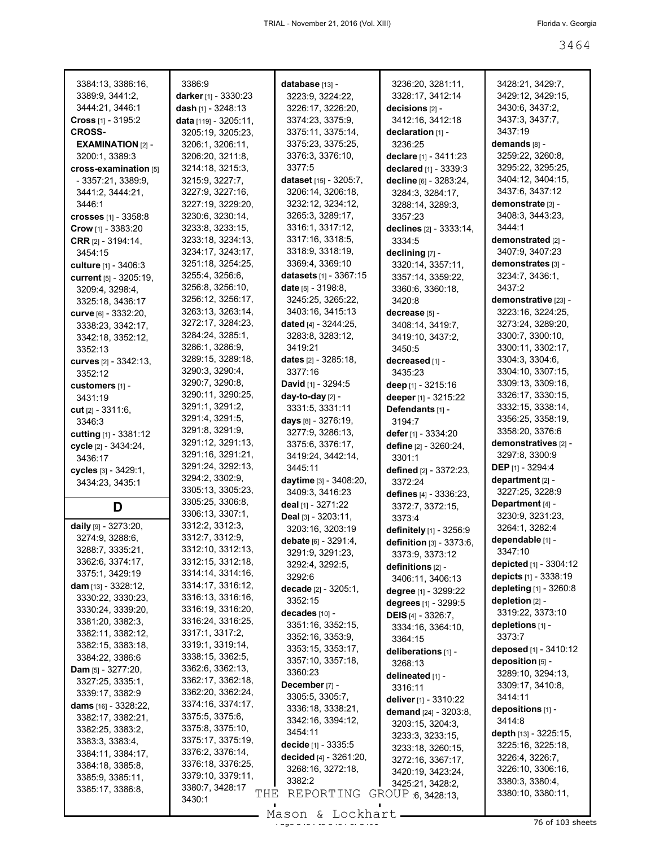| 3384:13, 3386:16,             | 3386:9                 | database [13] -               | 3236:20, 3281:11,            | 3428:21, 3429:7,            |
|-------------------------------|------------------------|-------------------------------|------------------------------|-----------------------------|
| 3389:9, 3441:2,               | darker [1] - 3330:23   | 3223:9, 3224:22,              | 3328:17, 3412:14             | 3429:12, 3429:15,           |
|                               |                        |                               |                              |                             |
| 3444:21, 3446:1               | dash [1] - 3248:13     | 3226:17, 3226:20,             | decisions [2] -              | 3430:6, 3437:2,             |
| Cross $[1] - 3195:2$          | data [119] - 3205:11,  | 3374:23, 3375:9,              | 3412:16, 3412:18             | 3437:3, 3437:7,             |
| <b>CROSS-</b>                 | 3205:19, 3205:23,      | 3375:11, 3375:14,             | declaration [1] -            | 3437:19                     |
| <b>EXAMINATION [2] -</b>      | 3206:1, 3206:11,       | 3375:23, 3375:25,             | 3236:25                      | demands [8] -               |
| 3200:1, 3389:3                | 3206:20, 3211:8,       | 3376:3, 3376:10,              | declare [1] - 3411:23        | 3259:22, 3260:8,            |
| cross-examination [5]         | 3214:18, 3215:3,       | 3377:5                        | declared [1] - 3339:3        | 3295:22, 3295:25,           |
| $-3357:21, 3389:9.$           | 3215:9, 3227:7,        | dataset [15] - 3205:7,        | decline [6] - 3283:24,       | 3404:12, 3404:15,           |
| 3441:2, 3444:21,              | 3227:9, 3227:16,       | 3206:14, 3206:18,             | 3284:3, 3284:17,             | 3437:6, 3437:12             |
| 3446:1                        | 3227:19, 3229:20,      | 3232:12, 3234:12,             |                              | demonstrate [3] -           |
|                               |                        |                               | 3288:14, 3289:3,             |                             |
| crosses [1] - 3358:8          | 3230:6, 3230:14,       | 3265:3, 3289:17,              | 3357:23                      | 3408:3, 3443:23,            |
| Crow [1] - 3383:20            | 3233:8, 3233:15,       | 3316:1, 3317:12,              | declines [2] - 3333:14,      | 3444:1                      |
| CRR [2] - 3194:14,            | 3233:18, 3234:13,      | 3317:16, 3318:5,              | 3334:5                       | demonstrated [2] -          |
| 3454:15                       | 3234:17, 3243:17,      | 3318:9, 3318:19,              | declining [7] -              | 3407:9, 3407:23             |
| culture [1] - 3406:3          | 3251:18, 3254:25,      | 3369:4, 3369:10               | 3320:14, 3357:11,            | demonstrates [3] -          |
| current [5] - 3205:19,        | 3255:4, 3256:6,        | <b>datasets</b> [1] - 3367:15 | 3357:14, 3359:22,            | 3234:7, 3436:1,             |
| 3209:4, 3298:4,               | 3256:8, 3256:10,       | date $[5] - 3198.8$           | 3360:6, 3360:18,             | 3437:2                      |
| 3325:18, 3436:17              | 3256:12, 3256:17,      | 3245:25, 3265:22,             | 3420:8                       | <b>demonstrative [23] -</b> |
|                               | 3263:13, 3263:14,      | 3403:16, 3415:13              | decrease [5] -               | 3223:16, 3224:25,           |
| Curve [6] - 3332:20,          | 3272:17, 3284:23,      |                               |                              |                             |
| 3338:23, 3342:17,             |                        | dated [4] - 3244:25,          | 3408:14, 3419:7,             | 3273:24, 3289:20,           |
| 3342:18, 3352:12,             | 3284:24, 3285:1,       | 3283:8, 3283:12,              | 3419:10, 3437:2,             | 3300:7, 3300:10,            |
| 3352:13                       | 3286:1, 3286:9,        | 3419:21                       | 3450:5                       | 3300:11, 3302:17,           |
| curves [2] - 3342:13,         | 3289:15, 3289:18,      | dates $[2] - 3285:18$ ,       | decreased [1] -              | 3304:3, 3304:6,             |
| 3352:12                       | 3290:3, 3290:4,        | 3377:16                       | 3435:23                      | 3304:10, 3307:15,           |
| customers [1] -               | 3290:7, 3290:8,        | David [1] - 3294:5            | deep [1] - 3215:16           | 3309:13, 3309:16,           |
| 3431:19                       | 3290:11, 3290:25,      | day-to-day [2] -              | deeper [1] - 3215:22         | 3326:17, 3330:15,           |
| cut [2] - 3311:6,             | 3291:1, 3291:2,        | 3331:5, 3331:11               | Defendants [1] -             | 3332:15, 3338:14,           |
|                               | 3291:4, 3291:5,        | days [8] - 3276:19,           | 3194:7                       | 3356:25, 3358:19,           |
| 3346:3                        | 3291:8, 3291:9,        | 3277:9, 3286:13,              |                              | 3358:20, 3376:6             |
| cutting [1] - 3381:12         | 3291:12, 3291:13,      |                               | defer [1] - 3334:20          | demonstratives [2] -        |
| cycle [2] - 3434:24,          | 3291:16, 3291:21,      | 3375:6, 3376:17,              | define [2] - 3260:24,        |                             |
| 3436:17                       |                        | 3419:24, 3442:14,             | 3301:1                       | 3297:8, 3300:9              |
| cycles [3] - 3429:1,          | 3291:24, 3292:13,      | 3445:11                       | defined [2] - 3372:23,       | <b>DEP</b> [1] - 3294:4     |
| 3434:23, 3435:1               | 3294:2, 3302:9,        | daytime [3] - 3408:20,        | 3372:24                      | department [2] -            |
|                               | 3305:13, 3305:23,      | 3409:3, 3416:23               | defines [4] - 3336:23,       | 3227:25, 3228:9             |
| D                             | 3305:25, 3306:8,       | deal [1] - 3271:22            | 3372:7, 3372:15,             | Department [4] -            |
|                               | 3306:13, 3307:1,       | Deal $[3] - 3203:11$ ,        | 3373:4                       | 3230:9, 3231:23,            |
| daily [9] - 3273:20,          | 3312:2, 3312:3,        | 3203:16, 3203:19              | definitely [1] - 3256:9      | 3264:1, 3282:4              |
| 3274:9, 3288:6,               | 3312:7, 3312:9,        | debate [6] - 3291:4,          | definition [3] - 3373:6,     | dependable [1] -            |
| 3288:7, 3335:21,              | 3312:10, 3312:13,      | 3291:9, 3291:23,              | 3373:9, 3373:12              | 3347:10                     |
| 3362:6, 3374:17,              | 3312:15, 3312:18,      | 3292:4, 3292:5,               |                              | depicted [1] - 3304:12      |
| 3375:1, 3429:19               | 3314:14, 3314:16,      | 3292:6                        | definitions [2] -            | depicts [1] - 3338:19       |
| <b>dam</b> [13] - $3328:12$ , | 3314:17, 3316:12,      |                               | 3406:11, 3406:13             |                             |
| 3330:22, 3330:23,             | 3316:13, 3316:16,      | decade $[2] - 3205:1$ ,       | degree [1] - 3299:22         | depleting [1] - 3260:8      |
| 3330:24, 3339:20,             | 3316:19, 3316:20,      | 3352:15                       | degrees [1] - 3299:5         | depletion $[2]$ -           |
|                               | 3316:24, 3316:25,      | decades [10] -                | <b>DEIS</b> $[4] - 3326:7$ , | 3319:22, 3373:10            |
| 3381:20, 3382:3,              |                        | 3351:16, 3352:15,             | 3334:16, 3364:10,            | depletions [1] -            |
| 3382:11, 3382:12,             | 3317:1, 3317:2,        | 3352:16, 3353:9,              | 3364:15                      | 3373:7                      |
| 3382:15, 3383:18,             | 3319:1, 3319:14,       | 3353:15, 3353:17,             | deliberations [1] -          | deposed [1] - 3410:12       |
| 3384:22, 3386:6               | 3338:15, 3362:5,       | 3357:10, 3357:18,             | 3268:13                      | deposition [5] -            |
| <b>Dam</b> $[5] - 3277:20$ ,  | 3362:6, 3362:13,       | 3360:23                       | delineated [1] -             | 3289:10, 3294:13,           |
| 3327:25, 3335:1,              | 3362:17, 3362:18,      | December [7] -                | 3316:11                      | 3309:17, 3410:8,            |
| 3339:17, 3382:9               | 3362:20, 3362:24,      | 3305:5, 3305:7,               |                              | 3414:11                     |
| dams $[16] - 3328:22$         | 3374:16, 3374:17,      | 3336:18, 3338:21,             | deliver [1] - 3310:22        |                             |
| 3382:17, 3382:21,             | 3375:5, 3375:6,        |                               | <b>demand</b> [24] - 3203:8, | depositions [1] -<br>3414:8 |
| 3382:25, 3383:2,              | 3375:8, 3375:10,       | 3342:16, 3394:12,             | 3203:15, 3204:3,             |                             |
| 3383:3, 3383:4,               | 3375:17, 3375:19,      | 3454:11                       | 3233:3, 3233:15,             | depth [13] - 3225:15,       |
| 3384:11, 3384:17,             | 3376:2, 3376:14,       | decide [1] - 3335:5           | 3233:18, 3260:15,            | 3225:16, 3225:18,           |
|                               | 3376:18, 3376:25,      | decided [4] - 3261:20,        | 3272:16, 3367:17,            | 3226:4, 3226:7,             |
| 3384:18, 3385:8,              |                        | 3268:16, 3272:18,             | 3420:19, 3423:24,            | 3226:10, 3306:16,           |
| 3385:9, 3385:11,              | 3379:10, 3379:11,      | 3382:2                        | 3425:21, 3428:2,             | 3380:3, 3380:4,             |
| 3385:17, 3386:8,              | 3380:7, 3428:17<br>THE | REPORTING                     | GROUP 6, 3428:13,            | 3380:10, 3380:11,           |
|                               | 3430:1                 |                               |                              |                             |
|                               |                        | $Məcon$ $I$ $\cap$            |                              |                             |

Mason & Lockhart 2008 and 3464 of 3664 of 3486 of 349 sheets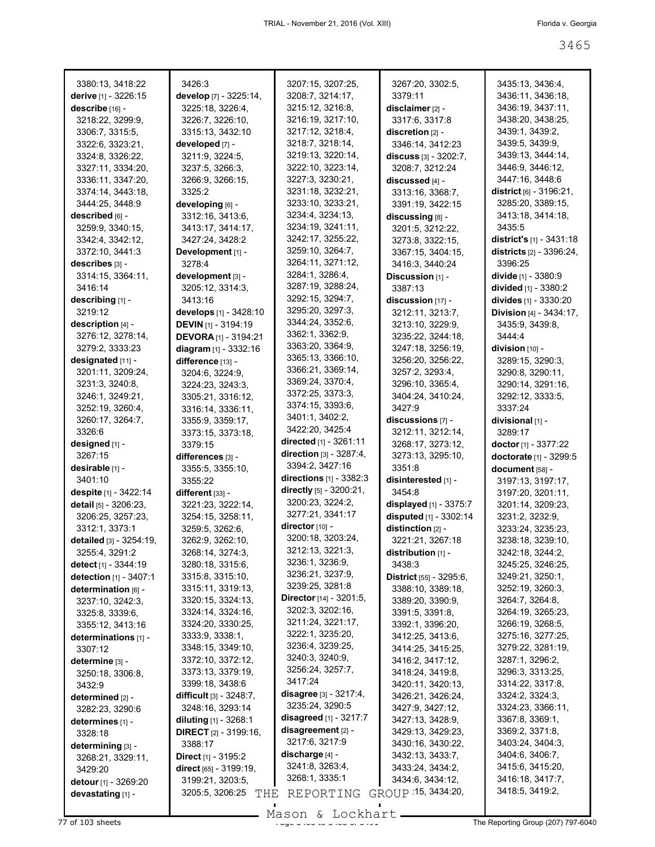| 3380:13, 3418:22        | 3426:3                            | 3207:15, 3207:25,                | 3267:20, 3302:5,        | 3435:13, 3436:4,                  |
|-------------------------|-----------------------------------|----------------------------------|-------------------------|-----------------------------------|
| derive [1] - 3226:15    | develop [7] - 3225:14,            | 3208:7, 3214:17,                 | 3379:11                 | 3436:11, 3436:18,                 |
| describe [16] -         | 3225:18, 3226:4,                  | 3215:12, 3216:8,                 | disclaimer [2] -        | 3436:19, 3437:11,                 |
| 3218:22, 3299:9,        | 3226:7, 3226:10,                  | 3216:19, 3217:10,                | 3317:6, 3317:8          | 3438:20, 3438:25,                 |
| 3306:7, 3315:5,         | 3315:13, 3432:10                  | 3217:12, 3218:4,                 | discretion [2] -        | 3439:1, 3439:2,                   |
| 3322:6, 3323:21,        | developed [7] -                   | 3218:7, 3218:14,                 | 3346:14, 3412:23        | 3439:5, 3439:9,                   |
| 3324:8, 3326:22,        | 3211:9, 3224:5,                   | 3219:13, 3220:14,                | discuss [3] - 3202:7,   | 3439:13, 3444:14,                 |
| 3327:11, 3334:20,       | 3237:5, 3266:3,                   | 3222:10, 3223:14,                | 3208:7, 3212:24         | 3446:9, 3446:12,                  |
| 3336:11, 3347:20,       | 3266:9, 3266:15,                  | 3227:3, 3230:21,                 | discussed [4] -         | 3447:16, 3448:6                   |
| 3374:14, 3443:18,       | 3325:2                            | 3231:18, 3232:21,                | 3313:16, 3368:7,        | district $[6] - 3196:21$ ,        |
| 3444:25, 3448:9         | developing [6] -                  | 3233:10, 3233:21,                | 3391:19, 3422:15        | 3285:20, 3389:15,                 |
| described [6] -         | 3312:16, 3413:6,                  | 3234:4, 3234:13,                 | discussing [8] -        | 3413:18, 3414:18,                 |
| 3259:9, 3340:15,        | 3413:17, 3414:17,                 | 3234:19, 3241:11,                | 3201:5, 3212:22,        | 3435:5                            |
| 3342:4, 3342:12,        | 3427:24, 3428:2                   | 3242:17, 3255:22,                | 3273:8, 3322:15,        | <b>district's</b> $[1] - 3431:18$ |
| 3372:10, 3441:3         | Development [1] -                 | 3259:10, 3264:7,                 | 3367:15, 3404:15,       | <b>districts</b> [2] - 3396:24,   |
| describes [3] -         | 3278:4                            | 3264:11, 3271:12,                | 3416:3, 3440:24         | 3396:25                           |
| 3314:15, 3364:11,       | development [3] -                 | 3284:1, 3286:4,                  | Discussion [1] -        | divide [1] - 3380:9               |
| 3416:14                 | 3205:12, 3314:3,                  | 3287:19, 3288:24,                | 3387:13                 | divided [1] - 3380:2              |
| describing [1] -        | 3413:16                           | 3292:15, 3294:7,                 | discussion [17] -       | divides [1] - 3330:20             |
| 3219:12                 | develops [1] - 3428:10            | 3295:20, 3297:3,                 | 3212:11, 3213:7,        | <b>Division [4] - 3434:17,</b>    |
| description $[4]$ -     | DEVIN [1] - 3194:19               | 3344:24, 3352:6,                 | 3213:10, 3229:9,        | 3435:9, 3439:8,                   |
| 3276:12, 3278:14,       | <b>DEVORA</b> $[1]$ - 3194:21     | 3362:1, 3362:9,                  | 3235:22, 3244:18,       | 3444:4                            |
| 3279:2, 3333:23         | diagram [1] - 3332:16             | 3363:20, 3364:9,                 | 3247:18, 3256:19,       | $division$ [10] -                 |
| designated [11] -       | difference [13] -                 | 3365:13, 3366:10,                | 3256:20, 3256:22,       | 3289:15, 3290:3,                  |
| 3201:11, 3209:24,       | 3204:6, 3224:9,                   | 3366:21, 3369:14,                | 3257:2, 3293:4,         | 3290:8, 3290:11,                  |
| 3231:3, 3240:8,         | 3224:23, 3243:3,                  | 3369:24, 3370:4,                 | 3296:10, 3365:4,        | 3290:14, 3291:16,                 |
| 3246:1, 3249:21,        | 3305:21, 3316:12,                 | 3372:25, 3373:3,                 | 3404:24, 3410:24,       | 3292:12, 3333:5,                  |
| 3252:19, 3260:4,        |                                   | 3374:15, 3393:6,                 | 3427:9                  | 3337:24                           |
| 3260:17, 3264:7,        | 3316:14, 3336:11,                 | 3401:1, 3402:2,                  | discussions [7] -       | divisional [1] -                  |
| 3326:6                  | 3355:9, 3359:17,                  | 3422:20, 3425:4                  | 3212:11, 3212:14,       | 3289:17                           |
| designed [1] -          | 3373:15, 3373:18,                 | directed $[1] - 3261:11$         | 3268:17, 3273:12,       |                                   |
|                         | 3379:15                           |                                  |                         | doctor $[1] - 3377:22$            |
|                         |                                   |                                  |                         |                                   |
| 3267:15                 | differences [3] -                 | direction $[3] - 3287:4$ ,       | 3273:13, 3295:10,       | doctorate [1] - 3299:5            |
| desirable [1] -         | 3355:5, 3355:10,                  | 3394:2, 3427:16                  | 3351:8                  | document [58] -                   |
| 3401:10                 | 3355:22                           | <b>directions</b> $[1] - 3382:3$ | disinterested [1] -     | 3197:13, 3197:17,                 |
| despite $[1] - 3422:14$ | different $[33]$ -                | directly [5] - 3200:21,          | 3454:8                  | 3197:20, 3201:11,                 |
| detail [5] - 3206:23.   | 3221:23, 3222:14,                 | 3200:23, 3224:2,                 | displayed [1] - 3375:7  | 3201:14, 3209:23,                 |
| 3206:25, 3257:23,       | 3254:15, 3258:11,                 | 3277:21, 3341:17                 | disputed [1] - 3302:14  | 3231:2, 3232:9,                   |
| 3312:1, 3373:1          | 3259:5, 3262:6,                   | director $[10]$ -                | distinction $[2]$ -     | 3233:24, 3235:23,                 |
| detailed [3] - 3254:19, | 3262:9, 3262:10,                  | 3200:18, 3203:24,                | 3221:21, 3267:18        | 3238:18, 3239:10,                 |
| 3255:4, 3291:2          | 3268:14, 3274:3,                  | 3212:13, 3221:3,                 | distribution [1] -      | 3242:18, 3244:2,                  |
| detect [1] - 3344:19    | 3280:18, 3315:6,                  | 3236:1, 3236:9,                  | 3438:3                  | 3245:25, 3246:25,                 |
| detection [1] - 3407:1  | 3315:8, 3315:10,                  | 3236:21, 3237:9,                 | District [55] - 3295:6, | 3249:21, 3250:1,                  |
| determination [6] -     | 3315:11, 3319:13,                 | 3239:25, 3281:8                  | 3388:10, 3389:18,       | 3252:19, 3260:3,                  |
| 3237:10, 3242:3,        | 3320:15, 3324:13,                 | <b>Director</b> [14] - 3201:5,   | 3389:20, 3390:9,        | 3264:7, 3264:8,                   |
| 3325:8, 3339:6,         | 3324:14, 3324:16,                 | 3202:3, 3202:16,                 | 3391:5, 3391:8,         | 3264:19, 3265:23,                 |
| 3355:12, 3413:16        | 3324:20, 3330:25,                 | 3211:24, 3221:17,                | 3392:1, 3396:20,        | 3266:19, 3268:5,                  |
| determinations [1] -    | 3333:9, 3338:1,                   | 3222:1, 3235:20,                 | 3412:25, 3413:6,        | 3275:16, 3277:25,                 |
| 3307:12                 | 3348:15, 3349:10,                 | 3236:4, 3239:25,                 | 3414:25, 3415:25,       | 3279:22, 3281:19,                 |
| determine [3] -         | 3372:10, 3372:12,                 | 3240:3, 3240:9,                  | 3416:2, 3417:12,        | 3287:1, 3296:2,                   |
| 3250:18, 3306:8,        | 3373:13, 3379:19,                 | 3256:24, 3257:7,                 | 3418:24, 3419:8,        | 3296:3, 3313:25,                  |
| 3432:9                  | 3399:18, 3438:6                   | 3417:24                          | 3420:11, 3420:13,       | 3314:22, 3317:8,                  |
| determined [2] -        | <b>difficult</b> $[3] - 3248:7$ , | disagree $[3] - 3217:4,$         | 3426:21, 3426:24,       | 3324:2, 3324:3,                   |
| 3282:23, 3290:6         | 3248:16, 3293:14                  | 3235:24, 3290:5                  | 3427:9, 3427:12,        | 3324:23, 3366:11,                 |
| determines [1] -        | diluting [1] - 3268:1             | disagreed $[1]$ - 3217:7         | 3427:13, 3428:9,        | 3367:8, 3369:1,                   |
| 3328:18                 | <b>DIRECT</b> $[2] - 3199:16$ ,   | disagreement [2] -               | 3429:13, 3429:23,       | 3369:2, 3371:8,                   |
| determining $[3]$ -     | 3388:17                           | 3217:6, 3217:9                   | 3430:16, 3430:22,       | 3403:24, 3404:3,                  |
| 3268:21, 3329:11,       | <b>Direct</b> [1] - 3195:2        | discharge [4] -                  | 3432:13, 3433:7,        | 3404:6, 3406:7,                   |
| 3429:20                 | direct [65] - 3199:19,            | 3241:8, 3263:4,                  | 3433:24, 3434:2,        | 3415:6, 3415:20,                  |
| detour [1] - 3269:20    | 3199:21, 3203:5,                  | 3268:1, 3335:1                   | 3434:6, 3434:12,        | 3416:18, 3417:7,                  |
| devastating [1] -       | 3205:5, 3206:25<br>THE            | REPORTING                        | GROUP : 15, 3434:20,    | 3418:5, 3419:2,                   |

Mason & Lockhart **Page 3466 of 3465 of 3465 of 3465 of 3465 of 3465 of 3465 of 3465 of 3465 of 3465 of 3465 of 3465 of 3465 of 3465 of 3465 of 3465 of 3465 of 3465 of 3465 of 3465 of 3465 of 3465 of 3465 of 3465 of 3465 of**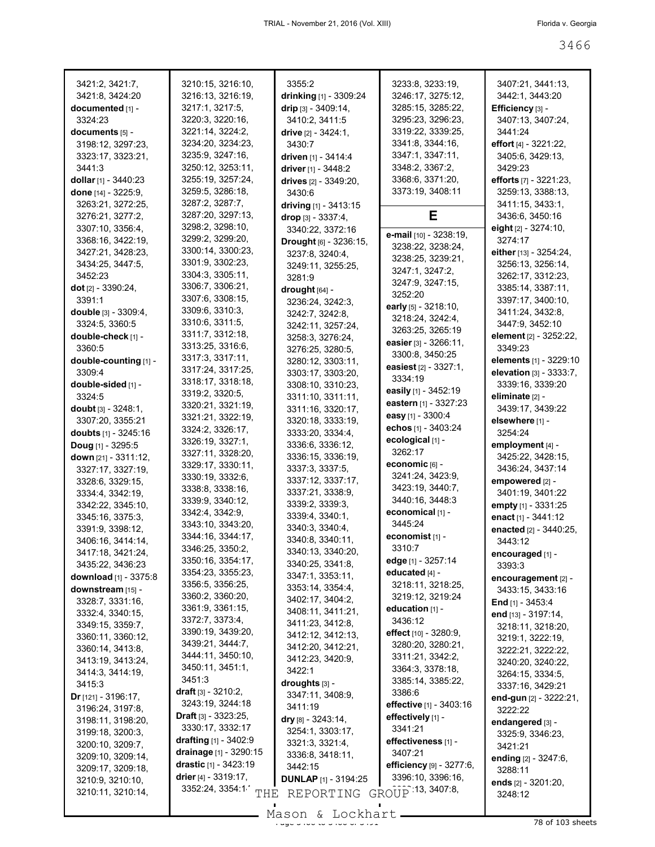| 3421:2, 3421:7,                       | 3210:15, 3216:10,                             | 3355:2                                | 3233:8, 3233:19,            | 3407:21, 3441:13,                      |
|---------------------------------------|-----------------------------------------------|---------------------------------------|-----------------------------|----------------------------------------|
| 3421:8, 3424:20                       | 3216:13, 3216:19,                             | drinking [1] - 3309:24                | 3246:17, 3275:12,           | 3442:1, 3443:20                        |
| documented [1] -                      | 3217:1, 3217:5,                               | drip [3] - 3409:14,                   | 3285:15, 3285:22,           | Efficiency [3] -                       |
| 3324:23                               | 3220:3, 3220:16,                              | 3410:2, 3411:5                        | 3295:23, 3296:23,           | 3407:13, 3407:24,                      |
| documents [5] -                       | 3221:14, 3224:2,                              | drive $[2] - 3424:1$ ,                | 3319:22, 3339:25,           | 3441:24                                |
| 3198:12, 3297:23,                     | 3234:20, 3234:23,                             | 3430:7                                | 3341:8, 3344:16,            | effort $[4] - 3221:22$                 |
| 3323:17, 3323:21,                     | 3235:9, 3247:16,                              | driven [1] - 3414:4                   | 3347:1, 3347:11,            | 3405:6, 3429:13,                       |
| 3441:3                                | 3250:12, 3253:11,                             | driver [1] - 3448:2                   | 3348:2, 3367:2,             | 3429:23                                |
| dollar [1] - 3440:23                  | 3255:19, 3257:24,                             | drives [2] - 3349:20,                 | 3368:6, 3371:20,            | efforts [7] - 3221:23,                 |
| done [14] - 3225:9,                   | 3259:5, 3286:18,                              | 3430:6                                | 3373:19, 3408:11            | 3259:13, 3388:13,                      |
| 3263:21, 3272:25,                     | 3287:2, 3287:7,                               | driving [1] - 3413:15                 |                             | 3411:15, 3433:1,                       |
| 3276:21, 3277:2,                      | 3287:20, 3297:13,                             | drop $[3] - 3337:4,$                  | Е                           | 3436:6, 3450:16                        |
| 3307:10, 3356:4,                      | 3298:2, 3298:10,                              | 3340:22, 3372:16                      | e-mail [10] - 3238:19,      | eight [2] - 3274:10,                   |
| 3368:16, 3422:19,                     | 3299:2, 3299:20,                              | Drought [6] - 3236:15,                | 3238:22, 3238:24,           | 3274:17                                |
| 3427:21, 3428:23,                     | 3300:14, 3300:23,                             | 3237:8, 3240:4,                       | 3238:25, 3239:21,           | either [13] - 3254:24,                 |
| 3434:25, 3447:5,                      | 3301:9, 3302:23,<br>3304:3, 3305:11,          | 3249:11, 3255:25,                     | 3247:1, 3247:2,             | 3256:13, 3256:14,                      |
| 3452:23                               | 3306:7, 3306:21,                              | 3281:9                                | 3247:9, 3247:15,            | 3262:17, 3312:23,<br>3385:14, 3387:11, |
| dot [2] - 3390:24,<br>3391:1          | 3307:6, 3308:15,                              | drought $[64]$ -                      | 3252:20                     | 3397:17, 3400:10,                      |
| double $[3] - 3309:4$ ,               | 3309:6, 3310:3,                               | 3236:24, 3242:3,                      | early [5] - 3218:10,        | 3411:24, 3432:8,                       |
| 3324:5, 3360:5                        | 3310:6, 3311:5,                               | 3242:7, 3242:8,                       | 3218:24, 3242:4,            | 3447:9, 3452:10                        |
| double-check [1] -                    | 3311:7, 3312:18,                              | 3242:11, 3257:24,<br>3258:3, 3276:24, | 3263:25, 3265:19            | element [2] - 3252:22,                 |
| 3360:5                                | 3313:25, 3316:6,                              | 3276:25, 3280:5,                      | easier [3] - 3266:11,       | 3349:23                                |
| double-counting [1] -                 | 3317:3, 3317:11,                              | 3280:12, 3303:11,                     | 3300:8, 3450:25             | <b>elements</b> [1] - 3229:10          |
| 3309:4                                | 3317:24, 3317:25,                             | 3303:17, 3303:20,                     | easiest $[2] - 3327:1$ ,    | <b>elevation</b> $[3] - 3333:7$ ,      |
| double-sided [1] -                    | 3318:17, 3318:18,                             | 3308:10, 3310:23,                     | 3334:19                     | 3339:16, 3339:20                       |
| 3324:5                                | 3319:2, 3320:5,                               | 3311:10, 3311:11,                     | easily [1] - 3452:19        | eliminate [2] -                        |
| doubt $[3] - 3248:1$ ,                | 3320:21, 3321:19,                             | 3311:16, 3320:17,                     | eastern [1] - 3327:23       | 3439:17, 3439:22                       |
| 3307:20, 3355:21                      | 3321:21, 3322:19,                             | 3320:18, 3333:19,                     | easy [1] - 3300:4           | elsewhere [1] -                        |
| doubts [1] - 3245:16                  | 3324:2, 3326:17,                              | 3333:20, 3334:4,                      | echos [1] - 3403:24         | 3254:24                                |
| Doug [1] - 3295:5                     | 3326:19, 3327:1,                              | 3336:6, 3336:12,                      | ecological [1] -            | employment [4] -                       |
| down [21] - 3311:12,                  | 3327:11, 3328:20,                             | 3336:15, 3336:19,                     | 3262:17                     | 3425:22, 3428:15,                      |
| 3327:17, 3327:19,                     | 3329:17, 3330:11,                             | 3337:3, 3337:5,                       | economic $[6]$ -            | 3436:24, 3437:14                       |
| 3328:6, 3329:15,                      | 3330:19, 3332:6,                              | 3337:12, 3337:17,                     | 3241:24, 3423:9,            | empowered [2] -                        |
| 3334:4, 3342:19,                      | 3338:8, 3338:16,                              | 3337:21, 3338:9,                      | 3423:19, 3440:7,            | 3401:19, 3401:22                       |
| 3342:22, 3345:10,                     | 3339:9, 3340:12,                              | 3339:2, 3339:3,                       | 3440:16, 3448:3             | empty [1] - 3331:25                    |
| 3345:16, 3375:3,                      | 3342:4, 3342:9,<br>3343:10, 3343:20,          | 3339:4, 3340:1,                       | economical [1] -<br>3445:24 | enact [1] - 3441:12                    |
| 3391:9, 3398:12,                      | 3344:16, 3344:17,                             | 3340:3, 3340:4,                       |                             | enacted [2] - 3440:25,                 |
| 3406:16, 3414:14,                     | 3346:25, 3350:2,                              | 3340:8, 3340:11,                      | economist [1] -<br>3310:7   | 3443:12                                |
| 3417:18, 3421:24,                     | 3350:16, 3354:17,                             | 3340:13, 3340:20,                     | edge [1] - 3257:14          | encouraged [1] -                       |
| 3435:22, 3436:23                      | 3354:23, 3355:23,                             | 3340:25, 3341:8,                      | educated [4] -              | 3393:3                                 |
| download [1] - 3375:8                 | 3356:5, 3356:25,                              | 3347:1, 3353:11,                      | 3218:11, 3218:25,           | encouragement [2] -                    |
| downstream [15] -                     | 3360:2, 3360:20,                              | 3353:14, 3354:4,<br>3402:17, 3404:2,  | 3219:12, 3219:24            | 3433:15, 3433:16                       |
| 3328:7, 3331:16,                      | 3361:9, 3361:15,                              | 3408:11, 3411:21,                     | education $[1]$ -           | End $[1]$ - 3453:4                     |
| 3332:4, 3340:15,                      | 3372:7, 3373:4,                               | 3411:23, 3412:8,                      | 3436:12                     | end [13] - 3197:14,                    |
| 3349:15, 3359:7,                      | 3390:19, 3439:20,                             | 3412:12, 3412:13,                     | effect [10] - 3280:9,       | 3218:11, 3218:20,                      |
| 3360:11, 3360:12,<br>3360:14, 3413:8, | 3439:21, 3444:7,                              | 3412:20, 3412:21,                     | 3280:20, 3280:21,           | 3219:1, 3222:19,                       |
| 3413:19, 3413:24,                     | 3444:11, 3450:10,                             | 3412:23, 3420:9,                      | 3311:21, 3342:2,            | 3222:21, 3222:22,<br>3240:20, 3240:22, |
| 3414:3, 3414:19,                      | 3450:11, 3451:1,                              | 3422:1                                | 3364:3, 3378:18,            | 3264:15, 3334:5,                       |
| 3415:3                                | 3451:3                                        | droughts [3] -                        | 3385:14, 3385:22,           | 3337:16, 3429:21                       |
| <b>Dr</b> [121] - 3196:17,            | draft [3] - 3210:2,                           | 3347:11, 3408:9,                      | 3386:6                      | end-gun [2] - 3222:21,                 |
| 3196:24, 3197:8,                      | 3243:19, 3244:18                              | 3411:19                               | effective [1] - 3403:16     | 3222:22                                |
| 3198:11, 3198:20,                     | <b>Draft</b> $[3] - 3323:25$ ,                | dry $[8] - 3243:14$ ,                 | effectively [1] -           | endangered [3] -                       |
| 3199:18, 3200:3,                      | 3330:17, 3332:17                              | 3254:1, 3303:17,                      | 3341:21                     | 3325:9, 3346:23,                       |
| 3200:10, 3209:7,                      | drafting [1] - 3402:9                         | 3321:3, 3321:4,                       | effectiveness [1] -         | 3421:21                                |
| 3209:10, 3209:14,                     | drainage [1] - 3290:15                        | 3336:8, 3418:11,                      | 3407:21                     | ending [2] - 3247:6,                   |
| 3209:17, 3209:18,                     | drastic [1] - 3423:19                         | 3442:15                               | efficiency [9] - 3277:6,    | 3288:11                                |
| 3210:9, 3210:10,                      | drier $[4] - 3319:17$ ,                       | <b>DUNLAP</b> [1] - 3194:25           | 3396:10, 3396:16,           | ends [2] - 3201:20,                    |
| 3210:11, 3210:14,                     | 3352:24, 3354:1<br>$\operatorname{{\bf THE}}$ | REPORTING GROUP 13, 3407:8,           |                             | 3248:12                                |
|                                       |                                               |                                       |                             |                                        |

Mason & Lockhart 2000 and 3466 of 103 sheets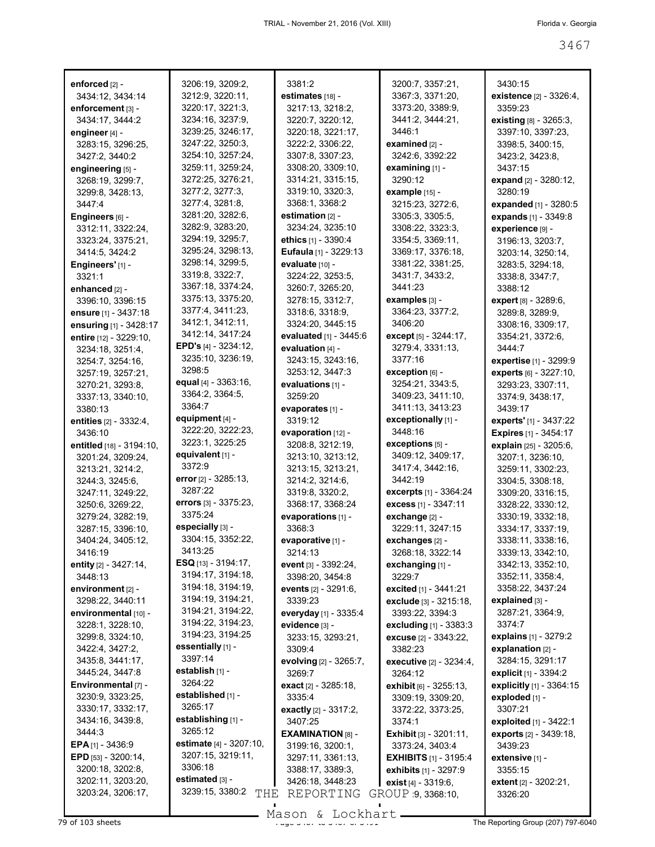| enforced [2] -<br>3434:12, 3434:14      | 3206:19, 3209:2,<br>3212:9, 3220:11, | 3381:2<br>estimates [18] -            | 3200:7, 3357:21,<br>3367:3, 3371:20,     | 3430:15<br><b>existence</b> [2] - 3326:4, |
|-----------------------------------------|--------------------------------------|---------------------------------------|------------------------------------------|-------------------------------------------|
| enforcement [3] -                       | 3220:17, 3221:3,                     | 3217:13, 3218:2,                      | 3373:20, 3389:9,                         | 3359:23                                   |
| 3434:17, 3444:2                         | 3234:16, 3237:9,                     | 3220:7, 3220:12,                      | 3441:2, 3444:21,                         | existing [8] - 3265:3,                    |
| engineer [4] -                          | 3239:25, 3246:17,                    | 3220:18, 3221:17,                     | 3446:1                                   | 3397:10, 3397:23,                         |
| 3283:15, 3296:25,                       | 3247:22, 3250:3,                     | 3222:2, 3306:22,                      | examined [2] -                           | 3398:5, 3400:15,                          |
| 3427:2, 3440:2                          | 3254:10, 3257:24,                    | 3307:8, 3307:23,                      | 3242:6, 3392:22                          | 3423:2, 3423:8,                           |
| engineering [5] -                       | 3259:11, 3259:24,                    | 3308:20, 3309:10,                     | examining $[1]$ -                        | 3437:15                                   |
| 3268:19, 3299:7,                        | 3272:25, 3276:21,                    | 3314:21, 3315:15,                     | 3290:12                                  | expand [2] - 3280:12,                     |
| 3299:8, 3428:13,                        | 3277:2, 3277:3,                      | 3319:10, 3320:3,                      | example [15] -                           | 3280:19                                   |
| 3447:4                                  | 3277:4, 3281:8,                      | 3368:1, 3368:2                        | 3215:23, 3272:6,                         | expanded [1] - 3280:5                     |
| Engineers [6] -                         | 3281:20, 3282:6,                     | estimation [2] -                      | 3305:3, 3305:5,                          | expands [1] - 3349:8                      |
| 3312:11, 3322:24,                       | 3282:9, 3283:20,                     | 3234:24, 3235:10                      | 3308:22, 3323:3,                         | experience [9] -                          |
| 3323:24, 3375:21,                       | 3294:19, 3295:7,                     | ethics [1] - 3390:4                   | 3354:5, 3369:11,                         | 3196:13, 3203:7,                          |
| 3414:5, 3424:2                          | 3295:24, 3298:13,                    | <b>Eufaula</b> [1] - $3229:13$        | 3369:17, 3376:18,                        | 3203:14, 3250:14,                         |
| Engineers'[1] -                         | 3298:14, 3299:5,                     | evaluate [10] -                       | 3381:22, 3381:25,                        | 3283:5, 3294:18,                          |
| 3321:1                                  | 3319:8, 3322:7,                      | 3224:22, 3253:5,                      | 3431:7, 3433:2,                          | 3338:8, 3347:7,                           |
| enhanced [2] -                          | 3367:18, 3374:24,                    | 3260:7, 3265:20,                      | 3441:23                                  | 3388:12                                   |
| 3396:10, 3396:15                        | 3375:13, 3375:20,                    | 3278:15, 3312:7,                      | examples [3] -                           | expert [8] - 3289:6,                      |
| ensure [1] - 3437:18                    | 3377:4, 3411:23,                     | 3318:6, 3318:9,                       | 3364:23, 3377:2,                         | 3289:8, 3289:9,                           |
| ensuring [1] - 3428:17                  | 3412:1, 3412:11,                     | 3324:20, 3445:15                      | 3406:20                                  | 3308:16, 3309:17,                         |
| entire [12] - 3229:10,                  | 3412:14, 3417:24                     | evaluated [1] - 3445:6                | except [5] - 3244:17,                    | 3354:21, 3372:6,                          |
| 3234:18, 3251:4,                        | <b>EPD's</b> $[4] - 3234:12$ ,       | evaluation [4] -                      | 3279:4, 3331:13,                         | 3444:7                                    |
| 3254:7, 3254:16,                        | 3235:10, 3236:19,                    | 3243:15, 3243:16,                     | 3377:16                                  | expertise [1] - 3299:9                    |
| 3257:19, 3257:21,                       | 3298:5                               | 3253:12, 3447:3                       | exception [6] -                          | experts [6] - 3227:10,                    |
| 3270:21, 3293:8,                        | equal [4] - 3363:16,                 | evaluations [1] -                     | 3254:21, 3343:5,                         | 3293:23, 3307:11,                         |
| 3337:13, 3340:10,                       | 3364:2, 3364:5,<br>3364:7            | 3259:20                               | 3409:23, 3411:10,                        | 3374:9, 3438:17,                          |
| 3380:13                                 | equipment $[4]$ -                    | evaporates [1] -                      | 3411:13, 3413:23                         | 3439:17                                   |
| entities [2] - 3332:4,                  | 3222:20, 3222:23,                    | 3319:12                               | exceptionally [1] -<br>3448:16           | experts' [1] - 3437:22                    |
| 3436:10                                 | 3223:1, 3225:25                      | evaporation [12] -                    | exceptions [5] -                         | <b>Expires</b> [1] - 3454:17              |
| entitled [18] - 3194:10,                | equivalent [1] -                     | 3208:8, 3212:19,<br>3213:10, 3213:12, | 3409:12, 3409:17,                        | explain [25] - 3205:6,                    |
| 3201:24, 3209:24,<br>3213:21, 3214:2,   | 3372:9                               | 3213:15, 3213:21,                     | 3417:4, 3442:16,                         | 3207:1, 3236:10,<br>3259:11, 3302:23,     |
| 3244:3, 3245:6,                         | error $[2] - 3285:13,$               | 3214:2, 3214:6,                       | 3442:19                                  | 3304:5, 3308:18,                          |
| 3247:11, 3249:22,                       | 3287:22                              | 3319:8, 3320:2,                       | <b>excerpts</b> [1] - 3364:24            | 3309:20, 3316:15,                         |
| 3250:6, 3269:22,                        | errors [3] - 3375:23,                | 3368:17, 3368:24                      | excess [1] - 3347:11                     | 3328:22, 3330:12,                         |
| 3279:24, 3282:19,                       | 3375:24                              | evaporations [1] -                    | exchange [2] -                           | 3330:19, 3332:18,                         |
| 3287:15, 3396:10,                       | especially [3] -                     | 3368:3                                | 3229:11, 3247:15                         | 3334:17, 3337:19,                         |
| 3404:24, 3405:12,                       | 3304:15, 3352:22,                    | evaporative [1] -                     | exchanges [2] -                          | 3338:11, 3338:16,                         |
| 3416:19                                 | 3413:25                              | 3214:13                               | 3268:18, 3322:14                         | 3339:13, 3342:10,                         |
| entity [2] - 3427:14,                   | <b>ESQ</b> [13] - 3194:17,           | event [3] - 3392:24,                  | exchanging [1] -                         | 3342:13, 3352:10,                         |
| 3448:13                                 | 3194:17, 3194:18,                    | 3398:20, 3454:8                       | 3229.7                                   | 3352:11, 3358:4,                          |
| environment [2] -                       | 3194:18, 3194:19,                    | events $[2] - 3291:6$ ,               | excited [1] - 3441:21                    | 3358:22, 3437:24                          |
| 3298:22, 3440:11                        | 3194:19, 3194:21,                    | 3339:23                               | <b>exclude</b> $[3] - 3215:18$           | explained [3] -                           |
| environmental [10] -                    | 3194:21, 3194:22,                    | everyday [1] - 3335:4                 | 3393:22, 3394:3                          | 3287:21, 3364:9,                          |
| 3228:1, 3228:10,                        | 3194:22, 3194:23,                    | evidence [3] -                        | <b>excluding</b> $[1]$ - 3383:3          | 3374.7                                    |
| 3299:8, 3324:10,                        | 3194:23, 3194:25                     | 3233:15, 3293:21,                     | <b>excuse</b> $[2] - 3343:22$            | explains [1] - 3279:2                     |
| 3422:4, 3427:2,                         | essentially [1] -                    | 3309:4                                | 3382:23                                  | explanation $[2]$ -                       |
| 3435:8, 3441:17,                        | 3397:14                              | evolving [2] - 3265:7,                | <b>executive</b> $[2] - 3234:4,$         | 3284:15, 3291:17                          |
| 3445:24, 3447:8                         | establish [1] -<br>3264:22           | 3269:7                                | 3264:12                                  | explicit [1] - 3394:2                     |
| Environmental [7] -                     | established [1] -                    | exact [2] - 3285:18,                  | exhibit [6] - 3255:13,                   | explicitly [1] - 3364:15                  |
| 3230:9, 3323:25,                        | 3265:17                              | 3335:4                                | 3309:19, 3309:20,                        | exploded [1] -                            |
| 3330:17, 3332:17,                       |                                      | <b>exactly</b> [2] - 3317:2,          | 3372:22, 3373:25,                        | 3307:21                                   |
| 3434:16, 3439:8,                        | establishing [1] -<br>3265:12        | 3407:25                               | 3374:1                                   | exploited [1] - 3422:1                    |
| 3444:3                                  | estimate [4] - 3207:10,              | <b>EXAMINATION [8] -</b>              | <b>Exhibit</b> $[3] - 3201:11$ ,         | <b>exports</b> [2] - 3439:18,             |
| <b>EPA</b> $[1]$ - 3436:9               | 3207:15, 3219:11,                    | 3199:16, 3200:1,                      | 3373:24, 3403:4                          | 3439:23                                   |
| EPD [53] - 3200:14,<br>3200:18, 3202:8, | 3306:18                              | 3297:11, 3361:13,                     | <b>EXHIBITS</b> $[1]$ - 3195:4           | extensive [1] -                           |
| 3202:11, 3203:20,                       | estimated [3] -                      | 3388:17, 3389:3,                      | exhibits [1] - 3297:9                    | 3355:15                                   |
| 3203:24, 3206:17,                       | 3239:15, 3380:2<br>THE               | 3426:18, 3448:23<br>REPORTING         | exist [4] - 3319:6,<br>GROUP 9, 3368:10, | extent [2] - 3202:21,<br>3326:20          |
|                                         |                                      |                                       |                                          |                                           |

 $\frac{279 \text{ of } 103 \text{ sheets}}{103 \text{ sheets}}$  The Reporting Group (207) 797-6040 Mason & Lockhart

 $\blacksquare$ 

 $\blacksquare$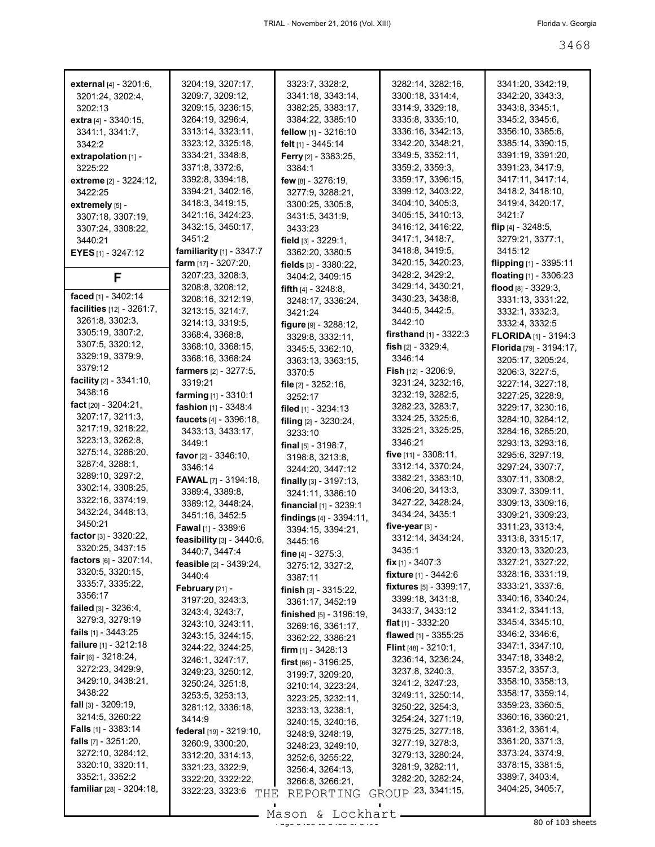| external [4] - 3201:6,             | 3204:19, 3207:17,               | 3323:7, 3328:2,                   | 3282:14, 3282:16,               | 3341:20, 3342:19,       |
|------------------------------------|---------------------------------|-----------------------------------|---------------------------------|-------------------------|
| 3201:24, 3202:4,                   | 3209:7, 3209:12,                | 3341:18, 3343:14,                 | 3300:18, 3314:4,                | 3342:20, 3343:3,        |
| 3202:13                            | 3209:15, 3236:15,               | 3382:25, 3383:17,                 | 3314:9, 3329:18,                | 3343:8, 3345:1,         |
| extra [4] - 3340:15,               | 3264:19, 3296:4,                | 3384:22, 3385:10                  | 3335:8, 3335:10,                | 3345:2, 3345:6,         |
| 3341:1, 3341:7,                    | 3313:14, 3323:11,               | fellow $[1]$ - 3216:10            | 3336:16, 3342:13,               | 3356:10, 3385:6,        |
|                                    |                                 |                                   |                                 |                         |
| 3342:2                             | 3323:12, 3325:18,               | felt [1] - 3445:14                | 3342:20, 3348:21,               | 3385:14, 3390:15,       |
| extrapolation $[1]$ -              | 3334:21, 3348:8,                | <b>Ferry</b> $[2] - 3383:25$ ,    | 3349:5, 3352:11,                | 3391:19, 3391:20,       |
| 3225:22                            | 3371:8, 3372:6,                 | 3384:1                            | 3359:2, 3359:3,                 | 3391:23, 3417:9,        |
| <b>extreme</b> [2] - 3224:12,      | 3392:8, 3394:18,                | few $[8] - 3276:19$ ,             | 3359:17, 3396:15,               | 3417:11, 3417:14,       |
| 3422:25                            | 3394:21, 3402:16,               | 3277:9, 3288:21,                  | 3399:12, 3403:22,               | 3418:2, 3418:10,        |
| extremely [5] -                    | 3418:3, 3419:15,                | 3300:25, 3305:8,                  | 3404:10, 3405:3,                | 3419:4, 3420:17,        |
| 3307:18, 3307:19,                  | 3421:16, 3424:23,               | 3431:5, 3431:9,                   | 3405:15, 3410:13,               | 3421:7                  |
| 3307:24, 3308:22,                  | 3432:15, 3450:17,               | 3433:23                           | 3416:12, 3416:22,               | flip $[4] - 3248.5$ ,   |
| 3440:21                            | 3451:2                          | field $[3] - 3229:1$ ,            | 3417:1, 3418:7,                 | 3279:21, 3377:1,        |
|                                    | familiarity [1] - 3347:7        |                                   | 3418:8, 3419:5,                 | 3415:12                 |
| <b>EYES</b> [1] - 3247:12          |                                 | 3362:20, 3380:5                   |                                 |                         |
|                                    | <b>farm</b> $[17] - 3207:20$ ,  | fields $[3] - 3380:22$            | 3420:15, 3420:23,               | flipping [1] - 3395:11  |
| F                                  | 3207:23, 3208:3,                | 3404:2, 3409:15                   | 3428:2, 3429:2,                 | floating [1] - 3306:23  |
|                                    | 3208:8, 3208:12,                | fifth $[4] - 3248.8$ .            | 3429:14, 3430:21,               | flood [8] - 3329:3.     |
| faced [1] - 3402:14                | 3208:16, 3212:19,               | 3248:17, 3336:24,                 | 3430:23, 3438:8,                | 3331:13, 3331:22,       |
| facilities [12] - 3261:7,          | 3213:15, 3214:7,                | 3421:24                           | 3440:5, 3442:5,                 | 3332:1, 3332:3,         |
| 3261:8, 3302:3,                    | 3214:13, 3319:5,                | figure $[9] - 3288:12$ ,          | 3442:10                         | 3332:4, 3332:5          |
| 3305:19, 3307:2,                   | 3368:4, 3368:8,                 | 3329:8, 3332:11,                  | <b>firsthand</b> $[1]$ - 3322:3 | FLORIDA [1] - 3194:3    |
| 3307:5, 3320:12,                   | 3368:10, 3368:15,               | 3345:5, 3362:10,                  | fish $[2] - 3329:4,$            | Florida [79] - 3194:17, |
| 3329:19, 3379:9,                   | 3368:16, 3368:24                |                                   | 3346:14                         |                         |
| 3379:12                            |                                 | 3363:13, 3363:15,                 |                                 | 3205:17, 3205:24,       |
| <b>facility</b> $[2] - 3341:10$ ,  | <b>farmers</b> $[2] - 3277:5$ , | 3370:5                            | <b>Fish</b> [12] - 3206:9,      | 3206:3, 3227:5,         |
| 3438:16                            | 3319:21                         | file $[2] - 3252:16$ ,            | 3231:24, 3232:16,               | 3227:14, 3227:18,       |
|                                    | <b>farming</b> $[1]$ - 3310:1   | 3252:17                           | 3232:19, 3282:5,                | 3227:25, 3228:9,        |
| fact $[20] - 3204:21$ ,            | fashion [1] - 3348:4            | filed [1] - 3234:13               | 3282:23, 3283:7,                | 3229:17, 3230:16,       |
| 3207:17, 3211:3,                   | faucets [4] - 3396:18,          | filing [2] - 3230:24,             | 3324:25, 3325:6,                | 3284:10, 3284:12,       |
| 3217:19, 3218:22,                  | 3433:13, 3433:17,               | 3233:10                           | 3325:21, 3325:25,               | 3284:16, 3285:20,       |
| 3223:13, 3262:8,                   | 3449:1                          | final $[5] - 3198.7$ ,            | 3346:21                         | 3293:13, 3293:16,       |
| 3275:14, 3286:20,                  | <b>favor</b> $[2] - 3346:10$ ,  | 3198:8, 3213:8,                   | <b>five</b> $[11] - 3308:11$ ,  | 3295:6, 3297:19,        |
| 3287:4, 3288:1,                    | 3346:14                         |                                   | 3312:14, 3370:24,               | 3297:24, 3307:7,        |
| 3289:10, 3297:2,                   | <b>FAWAL</b> [7] - 3194:18,     | 3244:20, 3447:12                  | 3382:21, 3383:10,               | 3307:11, 3308:2,        |
| 3302:14, 3308:25,                  |                                 | <b>finally</b> $[3] - 3197:13$ ,  |                                 |                         |
| 3322:16, 3374:19,                  | 3389:4, 3389:8,                 | 3241:11, 3386:10                  | 3406:20, 3413:3,                | 3309:7, 3309:11,        |
| 3432:24, 3448:13,                  | 3389:12, 3448:24,               | <b>financial</b> $[1]$ - 3239:1   | 3427:22, 3428:24,               | 3309:13, 3309:16,       |
| 3450:21                            | 3451:16, 3452:5                 | findings $[4] - 3394:11$ ,        | 3434:24, 3435:1                 | 3309:21, 3309:23,       |
|                                    | <b>Fawal</b> [1] - 3389:6       | 3394:15, 3394:21,                 | five-year $[3]$ -               | 3311:23, 3313:4,        |
| factor $[3] - 3320:22$ ,           | feasibility [3] - 3440:6,       | 3445:16                           | 3312:14, 3434:24,               | 3313:8, 3315:17,        |
| 3320:25, 3437:15                   | 3440:7, 3447:4                  | fine $[4] - 3275:3$ ,             | 3435:1                          | 3320:13, 3320:23,       |
| factors $[6] - 3207:14$ ,          | feasible [2] - 3439:24,         | 3275:12, 3327:2,                  | <b>fix</b> $[1] - 3407:3$       | 3327:21, 3327:22,       |
| 3320:5, 3320:15,                   | 3440:4                          | 3387:11                           | <b>fixture</b> [1] - 3442:6     | 3328:16, 3331:19,       |
| 3335:7, 3335:22,                   | February [21] -                 |                                   | fixtures [5] - 3399:17,         | 3333:21, 3337:6,        |
| 3356:17                            | 3197:20, 3243:3,                | finish $[3] - 3315:22$ ,          | 3399:18, 3431:8,                | 3340:16, 3340:24,       |
| <b>failed</b> $[3] - 3236:4,$      |                                 | 3361:17, 3452:19                  | 3433:7, 3433:12                 | 3341:2, 3341:13,        |
| 3279:3, 3279:19                    | 3243:4, 3243:7,                 | <b>finished</b> $[5] - 3196:19$ , |                                 | 3345:4, 3345:10,        |
| <b>fails</b> $[1]$ - 3443:25       | 3243:10, 3243:11,               | 3269:16, 3361:17,                 | <b>flat</b> $[1]$ - 3332:20     | 3346:2, 3346:6,         |
|                                    | 3243:15, 3244:15,               | 3362:22, 3386:21                  | flawed [1] - 3355:25            |                         |
| failure [1] - 3212:18              | 3244:22, 3244:25,               | <b>firm</b> $[1]$ - 3428:13       | <b>Flint</b> [48] - $3210:1$ ,  | 3347:1, 3347:10,        |
| fair $[6] - 3218:24$ ,             | 3246:1, 3247:17,                | first [66] - 3196:25,             | 3236:14, 3236:24,               | 3347:18, 3348:2,        |
| 3272:23, 3429:9,                   | 3249:23, 3250:12,               | 3199:7, 3209:20,                  | 3237:8, 3240:3,                 | 3357:2, 3357:3,         |
| 3429:10, 3438:21,                  | 3250:24, 3251:8,                | 3210:14, 3223:24,                 | 3241:2, 3247:23,                | 3358:10, 3358:13,       |
| 3438:22                            | 3253:5, 3253:13,                | 3223:25, 3232:11,                 | 3249:11, 3250:14,               | 3358:17, 3359:14,       |
| <b>fall</b> $[3] - 3209:19$ ,      | 3281:12, 3336:18,               |                                   | 3250:22, 3254:3,                | 3359:23, 3360:5,        |
| 3214:5, 3260:22                    | 3414:9                          | 3233:13, 3238:1,                  | 3254:24, 3271:19,               | 3360:16, 3360:21,       |
| <b>Falls</b> $[1] - 3383:14$       |                                 | 3240:15, 3240:16,                 | 3275:25, 3277:18,               | 3361:2, 3361:4,         |
| <b>falls</b> $[7] - 3251:20$ ,     | federal [19] - 3219:10,         | 3248:9, 3248:19,                  |                                 | 3361:20, 3371:3,        |
| 3272:10, 3284:12,                  | 3260:9, 3300:20,                | 3248:23, 3249:10,                 | 3277:19, 3278:3,                | 3373:24, 3374:9,        |
|                                    | 3312:20, 3314:13,               | 3252:6, 3255:22,                  | 3279:13, 3280:24,               |                         |
| 3320:10, 3320:11,                  | 3321:23, 3322:9,                | 3256:4, 3264:13,                  | 3281:9, 3282:11,                | 3378:15, 3381:5,        |
| 3352:1, 3352:2                     | 3322:20, 3322:22,               | 3266:8, 3266:21,                  | 3282:20, 3282:24,               | 3389:7, 3403:4,         |
| <b>familiar</b> [28] - $3204:18$ , | 3322:23, 3323:6<br>THE          | REPORTING                         | GROUP 23, 3341:15,              | 3404:25, 3405:7,        |
|                                    |                                 |                                   |                                 |                         |

Mason & Lockhart <u>entitled and a set</u> 30 of 103 sheets

 $\mathcal{L}_{\mathcal{A}}$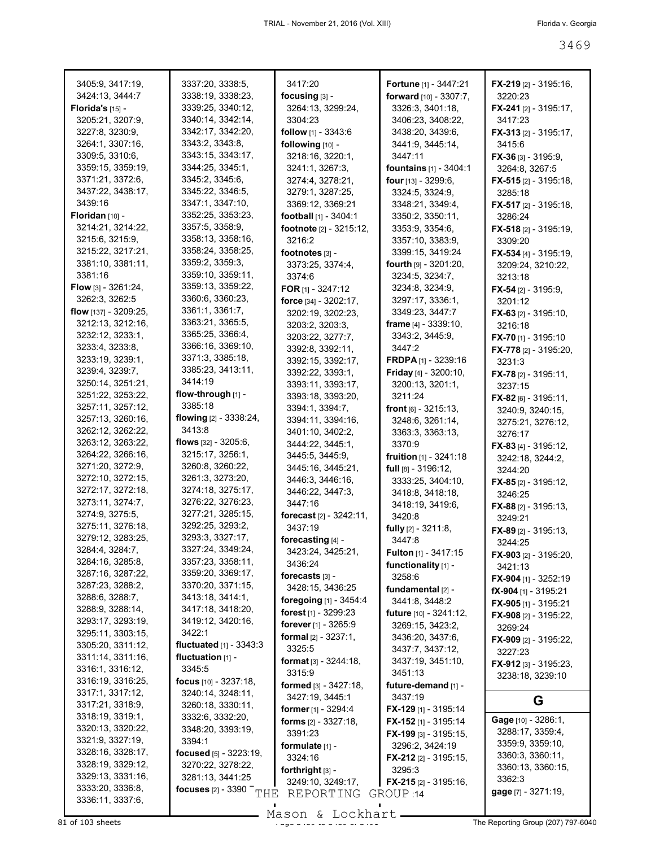| 3405:9, 3417:19,                       | 3337:20, 3338:5,                    | 3417:20                         | Fortune [1] - 3447:21           | <b>FX-219</b> [2] - 3195:16,  |
|----------------------------------------|-------------------------------------|---------------------------------|---------------------------------|-------------------------------|
| 3424:13, 3444:7                        | 3338:19, 3338:23,                   | focusing $[3]$ -                | forward [10] - 3307:7,          | 3220:23                       |
| Florida's $[15]$ -                     | 3339:25, 3340:12,                   | 3264:13, 3299:24,               | 3326:3, 3401:18,                | <b>FX-241</b> [2] - 3195:17,  |
| 3205:21, 3207:9,                       | 3340:14, 3342:14,                   | 3304:23                         | 3406:23, 3408:22,               | 3417:23                       |
| 3227:8, 3230:9,                        | 3342:17, 3342:20,                   | follow [1] - 3343:6             | 3438:20, 3439:6,                | $FX-313$ [2] - 3195:17,       |
| 3264:1, 3307:16,                       | 3343:2, 3343:8,                     | following [10] -                | 3441:9, 3445:14,                | 3415:6                        |
| 3309:5, 3310:6,                        | 3343:15, 3343:17,                   | 3218:16, 3220:1,                | 3447:11                         | <b>FX-36</b> [3] - 3195:9,    |
| 3359:15, 3359:19,                      | 3344:25, 3345:1,                    | 3241:1, 3267:3,                 | <b>fountains</b> [1] - 3404:1   | 3264:8, 3267:5                |
| 3371:21, 3372:6,                       | 3345:2, 3345:6,                     | 3274:4, 3278:21,                | <b>four</b> [13] - 3299:6,      | $FX-515$ [2] - 3195:18,       |
| 3437:22, 3438:17,                      | 3345:22, 3346:5,                    | 3279:1, 3287:25,                | 3324:5, 3324:9,                 | 3285:18                       |
| 3439:16                                | 3347:1, 3347:10,                    | 3369:12, 3369:21                | 3348:21, 3349:4,                | FX-517 [2] - 3195:18,         |
| Floridan [10] -                        | 3352:25, 3353:23,                   | football [1] - 3404:1           | 3350:2, 3350:11,                | 3286:24                       |
| 3214:21, 3214:22,                      | 3357:5, 3358:9,                     | footnote [2] - 3215:12,         | 3353:9, 3354:6,                 | <b>FX-518</b> [2] - 3195:19,  |
| 3215:6, 3215:9,                        | 3358:13, 3358:16,                   | 3216:2                          | 3357:10, 3383:9,                | 3309:20                       |
| 3215:22, 3217:21,                      | 3358:24, 3358:25,                   | footnotes [3] -                 | 3399:15, 3419:24                | <b>FX-534</b> [4] - 3195:19,  |
| 3381:10, 3381:11,                      | 3359:2, 3359:3,                     | 3373:25, 3374:4,                | <b>fourth</b> $[9] - 3201:20$ , | 3209:24, 3210:22,             |
| 3381:16                                | 3359:10, 3359:11,                   | 3374:6                          | 3234:5, 3234:7,                 | 3213:18                       |
| <b>Flow</b> [3] - $3261:24$ ,          | 3359:13, 3359:22,                   | FOR [1] - 3247:12               | 3234:8, 3234:9,                 | FX-54 $[2] - 3195:9$          |
| 3262:3, 3262:5                         | 3360:6, 3360:23,                    | force [34] - 3202:17,           | 3297:17, 3336:1,                | 3201:12                       |
| flow [137] - 3209:25,                  | 3361:1, 3361:7,                     | 3202:19, 3202:23,               | 3349:23, 3447:7                 | <b>FX-63</b> [2] - 3195:10,   |
| 3212:13, 3212:16,                      | 3363:21, 3365:5,                    | 3203:2, 3203:3,                 | <b>frame</b> $[4] - 3339:10$ ,  | 3216:18                       |
| 3232:12, 3233:1,                       | 3365:25, 3366:4,                    | 3203:22, 3277:7,                | 3343:2, 3445:9,                 | <b>FX-70</b> [1] - 3195:10    |
| 3233:4, 3233:8,                        | 3366:16, 3369:10,                   | 3392:8, 3392:11,                | 3447:2                          | FX-778 [2] - 3195:20,         |
| 3233:19, 3239:1,                       | 3371:3, 3385:18,                    | 3392:15, 3392:17,               | <b>FRDPA</b> $[1]$ - 3239:16    | 3231:3                        |
| 3239:4, 3239:7,                        | 3385:23, 3413:11,                   | 3392:22, 3393:1,                | Friday [4] - 3200:10,           | $FX-78$ [2] - 3195:11,        |
| 3250:14, 3251:21,                      | 3414:19                             | 3393:11, 3393:17,               | 3200:13, 3201:1,                | 3237:15                       |
| 3251:22, 3253:22,                      | flow-through [1] -                  | 3393:18, 3393:20,               | 3211:24                         | $FX-82$ [6] - 3195:11,        |
| 3257:11, 3257:12,                      | 3385:18                             | 3394:1, 3394:7,                 | front [6] - 3215:13,            | 3240:9, 3240:15,              |
| 3257:13, 3260:16,                      | flowing [2] - 3338:24,              | 3394:11, 3394:16,               | 3248:6, 3261:14,                | 3275:21, 3276:12,             |
| 3262:12, 3262:22,                      | 3413:8                              | 3401:10, 3402:2,                | 3363:3, 3363:13,                | 3276:17                       |
| 3263:12, 3263:22,                      | flows $[32] - 3205:6$ ,             | 3444:22, 3445:1,                | 3370.9                          | <b>FX-83</b> [4] - 3195:12,   |
| 3264:22, 3266:16,                      | 3215:17, 3256:1,                    | 3445:5, 3445:9,                 | fruition [1] - 3241:18          | 3242:18, 3244:2,              |
| 3271:20, 3272:9,                       | 3260:8, 3260:22,                    | 3445:16, 3445:21,               | full [8] - 3196:12,             | 3244:20                       |
| 3272:10, 3272:15,                      | 3261:3, 3273:20,                    | 3446:3, 3446:16,                | 3333:25, 3404:10,               | <b>FX-85</b> [2] - 3195:12,   |
| 3272:17, 3272:18,                      | 3274:18, 3275:17,                   | 3446:22, 3447:3,                | 3418:8, 3418:18,                | 3246:25                       |
| 3273:11, 3274:7,                       | 3276:22, 3276:23,                   | 3447:16                         | 3418:19, 3419:6,                | <b>FX-88</b> [2] - 3195:13,   |
| 3274:9, 3275:5,                        | 3277:21, 3285:15,                   | forecast [2] - 3242:11,         | 3420:8                          | 3249:21                       |
| 3275:11, 3276:18,                      | 3292:25, 3293:2,                    | 3437:19                         | fully [2] - 3211:8,             | <b>FX-89</b> [2] - 3195:13,   |
| 3279:12, 3283:25,                      | 3293:3, 3327:17,                    | forecasting [4] -               | 3447:8                          | 3244:25                       |
| 3284:4, 3284:7,                        | 3327:24, 3349:24,                   | 3423:24, 3425:21,               | <b>Fulton</b> [1] - 3417:15     | <b>FX-903</b> [2] - 3195:20,  |
| 3284:16, 3285:8,                       | 3357:23, 3358:11,                   | 3436:24                         | functionality [1] -             | 3421:13                       |
| 3287:16, 3287:22,                      | 3359:20, 3369:17,                   | forecasts [3] -                 | 3258:6                          | FX-904 [1] - 3252:19          |
| 3287:23, 3288:2,                       | 3370:20, 3371:15,                   | 3428:15, 3436:25                | fundamental [2] -               | $fX-904$ [1] - 3195:21        |
| 3288:6, 3288:7,                        | 3413:18, 3414:1,                    | foregoing [1] - 3454:4          | 3441:8, 3448:2                  | FX-905 [1] - 3195:21          |
| 3288:9, 3288:14,                       | 3417:18, 3418:20,                   | forest [1] - 3299:23            | future [10] - 3241:12,          | FX-908 [2] - 3195:22,         |
| 3293:17, 3293:19,<br>3295:11, 3303:15, | 3419:12, 3420:16,<br>3422:1         | forever [1] - 3265:9            | 3269:15, 3423:2,                | 3269:24                       |
|                                        | fluctuated [1] - 3343:3             | <b>formal</b> $[2] - 3237:1$ ,  | 3436:20, 3437:6,                | <b>FX-909</b> $[2] - 3195:22$ |
| 3305:20, 3311:12,<br>3311:14, 3311:16, |                                     | 3325:5                          | 3437:7, 3437:12,                | 3227:23                       |
|                                        | fluctuation $[1]$ -                 | <b>format</b> $[3] - 3244:18$ , | 3437:19, 3451:10,               | $FX-912$ [3] - 3195:23,       |
| 3316:1, 3316:12,<br>3316:19, 3316:25,  | 3345:5<br>focus [10] - 3237:18,     | 3315:9                          | 3451:13                         | 3238:18, 3239:10              |
| 3317:1, 3317:12,                       |                                     | formed [3] - 3427:18,           | future-demand [1] -             |                               |
|                                        | 3240:14, 3248:11,                   | 3427:19, 3445:1                 | 3437:19                         | G                             |
| 3317:21, 3318:9,<br>3318:19, 3319:1,   | 3260:18, 3330:11,                   | former [1] - 3294:4             | FX-129 [1] - 3195:14            |                               |
| 3320:13, 3320:22,                      | 3332:6, 3332:20,                    | <b>forms</b> $[2] - 3327:18$ ,  | <b>FX-152</b> [1] - 3195:14     | Gage [10] - 3286:1,           |
| 3321:9, 3327:19,                       | 3348:20, 3393:19,<br>3394:1         | 3391:23                         | $FX-199$ [3] - 3195:15,         | 3288:17, 3359:4,              |
| 3328:16, 3328:17,                      |                                     | formulate [1] -                 | 3296:2, 3424:19                 | 3359:9, 3359:10,              |
| 3328:19, 3329:12,                      | <b>focused</b> [5] - 3223:19,       | 3324:16                         | <b>FX-212</b> [2] - 3195:15,    | 3360:3, 3360:11,              |
| 3329:13, 3331:16,                      | 3270:22, 3278:22,                   | forthright [3] -                | 3295:3                          | 3360:13, 3360:15,             |
| 3333:20, 3336:8,                       | 3281:13, 3441:25                    | 3249:10, 3249:17,               | <b>FX-215</b> [2] - 3195:16,    | 3362:3                        |
| 3336:11, 3337:6,                       | focuses $[2]$ - 3390 $^ \text{THE}$ | REPORTING                       | GROUP 14                        | gage [7] - 3271:19,           |
|                                        |                                     |                                 |                                 |                               |

Mason & Lockhart **Page 3469 of 3469 to 3469 to 3469 to 3469 of 3491 of 3491 of 3469 of 3469** or 3469 of 3469 of 3469 of 3491 of 3469 of 3469 of 3469 of 3469 of 3469 of 3469 of 3469 or 3469 or 3469 or 3469 or 3469 or 3469 o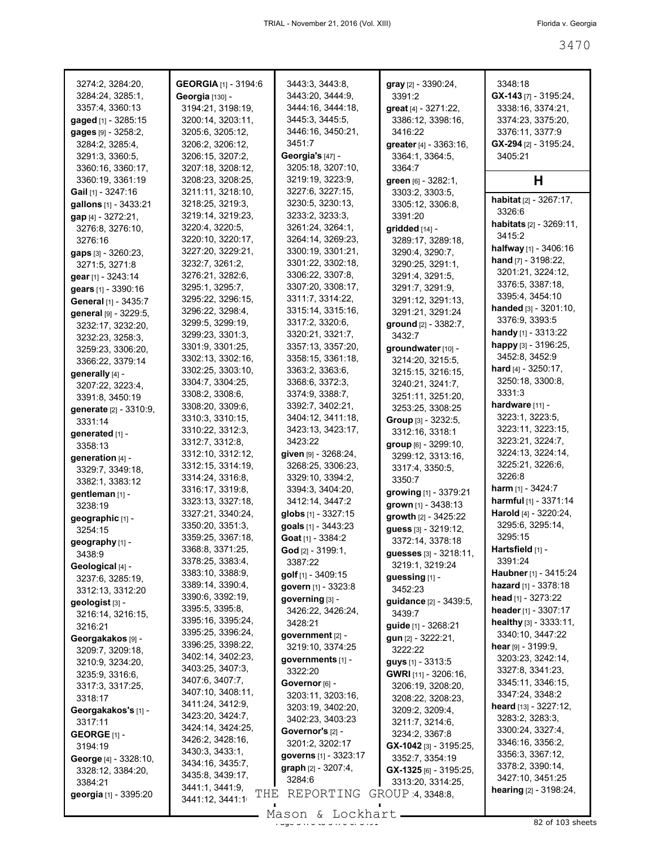| 3274:2, 3284:20,                      | <b>GEORGIA</b> [1] - 3194:6 | 3443:3, 3443:8,       | $gray$ [2] - 3390:24,                              | 3348:18                       |
|---------------------------------------|-----------------------------|-----------------------|----------------------------------------------------|-------------------------------|
| 3284:24, 3285:1,                      | <b>Georgia</b> [130] -      | 3443:20, 3444:9,      | 3391:2                                             | $GX-143$ [7] - 3195:24,       |
| 3357:4, 3360:13                       | 3194:21, 3198:19,           | 3444:16, 3444:18,     | great [4] - 3271:22,                               | 3338:16, 3374:21,             |
| gaged [1] - 3285:15                   | 3200:14, 3203:11,           | 3445:3, 3445:5,       | 3386:12, 3398:16,                                  | 3374:23, 3375:20,             |
| gages [9] - 3258:2,                   | 3205:6, 3205:12,            | 3446:16, 3450:21,     | 3416:22                                            | 3376:11, 3377:9               |
| 3284:2, 3285:4,                       | 3206:2, 3206:12,            | 3451:7                | greater [4] - 3363:16,                             | GX-294 [2] - 3195:24,         |
| 3291:3, 3360:5,                       | 3206:15, 3207:2,            | Georgia's [47] -      | 3364:1, 3364:5,                                    | 3405:21                       |
| 3360:16, 3360:17,                     | 3207:18, 3208:12,           | 3205:18, 3207:10,     | 3364:7                                             |                               |
| 3360:19, 3361:19                      | 3208:23, 3208:25,           | 3219:19, 3223:9,      | green [6] - 3282:1,                                | н                             |
| Gail [1] - 3247:16                    | 3211:11, 3218:10,           | 3227:6, 3227:15,      | 3303:2, 3303:5,                                    |                               |
| gallons [1] - 3433:21                 | 3218:25, 3219:3,            | 3230:5, 3230:13,      | 3305:12, 3306:8,                                   | habitat [2] - 3267:17,        |
| gap [4] - 3272:21,                    | 3219:14, 3219:23,           | 3233:2, 3233:3,       | 3391:20                                            | 3326:6                        |
| 3276:8, 3276:10,                      | 3220:4, 3220:5,             | 3261:24, 3264:1,      | gridded [14] -                                     | habitats [2] - 3269:11,       |
| 3276:16                               | 3220:10, 3220:17,           | 3264:14, 3269:23,     | 3289:17, 3289:18,                                  | 3415:2                        |
| gaps [3] - 3260:23,                   | 3227:20, 3229:21,           | 3300:19, 3301:21,     | 3290:4, 3290:7,                                    | halfway [1] - 3406:16         |
| 3271:5, 3271:8                        | 3232:7, 3261:2,             | 3301:22, 3302:18,     | 3290:25, 3291:1,                                   | <b>hand</b> $[7] - 3198:22$ , |
| gear [1] - 3243:14                    | 3276:21, 3282:6,            | 3306:22, 3307:8,      | 3291:4, 3291:5,                                    | 3201:21, 3224:12,             |
| gears [1] - 3390:16                   | 3295:1, 3295:7,             | 3307:20, 3308:17,     | 3291:7, 3291:9,                                    | 3376:5, 3387:18,              |
| General [1] - 3435:7                  | 3295:22, 3296:15,           | 3311:7, 3314:22,      | 3291:12, 3291:13,                                  | 3395:4, 3454:10               |
| general [9] - 3229:5,                 | 3296:22, 3298:4,            | 3315:14, 3315:16,     | 3291:21, 3291:24                                   | handed [3] - 3201:10,         |
|                                       | 3299:5, 3299:19,            | 3317:2, 3320:6,       | ground [2] - 3382:7.                               | 3376:9, 3393:5                |
| 3232:17, 3232:20,                     | 3299:23, 3301:3,            | 3320:21, 3321:7,      | 3432:7                                             | handy [1] - 3313:22           |
| 3232:23, 3258:3,<br>3259:23, 3306:20, | 3301:9, 3301:25,            | 3357:13, 3357:20,     | groundwater [10] -                                 | happy [3] - 3196:25,          |
| 3366:22, 3379:14                      | 3302:13, 3302:16,           | 3358:15, 3361:18,     | 3214:20, 3215:5,                                   | 3452:8, 3452:9                |
|                                       | 3302:25, 3303:10,           | 3363:2, 3363:6,       | 3215:15, 3216:15,                                  | <b>hard</b> $[4] - 3250:17$ , |
| generally [4] -                       | 3304:7, 3304:25,            | 3368:6, 3372:3,       | 3240:21, 3241:7,                                   | 3250:18, 3300:8,              |
| 3207:22, 3223:4,                      | 3308:2, 3308:6,             | 3374:9, 3388:7,       | 3251:11, 3251:20,                                  | 3331:3                        |
| 3391:8, 3450:19                       | 3308:20, 3309:6,            | 3392:7, 3402:21,      | 3253:25, 3308:25                                   | hardware [11] -               |
| generate [2] - 3310:9,                | 3310:3, 3310:15,            | 3404:12, 3411:18,     | Group [3] - 3232:5,                                | 3223:1, 3223:5,               |
| 3331:14                               | 3310:22, 3312:3,            | 3423:13, 3423:17,     | 3312:16, 3318:1                                    | 3223:11, 3223:15,             |
| generated [1] -                       | 3312:7, 3312:8,             | 3423:22               | group [6] - 3299:10,                               | 3223:21, 3224:7,              |
| 3358:13                               | 3312:10, 3312:12,           | given [9] - 3268:24,  | 3299:12, 3313:16,                                  | 3224:13, 3224:14,             |
| generation $[4]$ -                    | 3312:15, 3314:19,           | 3268:25, 3306:23,     | 3317:4, 3350:5,                                    | 3225:21, 3226:6,              |
| 3329:7, 3349:18,                      | 3314:24, 3316:8,            | 3329:10, 3394:2,      | 3350:7                                             | 3226:8                        |
| 3382:1, 3383:12                       | 3316:17, 3319:8,            | 3394:3, 3404:20,      | growing [1] - 3379:21                              | <b>harm</b> $[1]$ - 3424:7    |
| gentleman [1] -<br>3238:19            | 3323:13, 3327:18,           | 3412:14, 3447:2       | grown [1] - 3438:13                                | harmful [1] - 3371:14         |
|                                       | 3327:21, 3340:24,           | globs [1] - 3327:15   | growth [2] - 3425:22                               | Harold [4] - 3220:24,         |
| geographic [1] -                      | 3350:20, 3351:3,            | goals [1] - 3443:23   | guess [3] - 3219:12,                               | 3295:6, 3295:14,              |
| 3254:15                               | 3359:25, 3367:18,           | Goat [1] - 3384:2     | 3372:14, 3378:18                                   | 3295:15                       |
| geography [1] -                       | 3368:8, 3371:25,            | God [2] - 3199:1,     |                                                    | Hartsfield [1] -              |
| 3438:9                                | 3378:25, 3383:4,            | 3387:22               | <b>guesses</b> [3] - 3218:11,<br>3219:1, 3219:24   | 3391:24                       |
| Geological [4] -                      | 3383:10, 3388:9,            | golf [1] - 3409:15    | guessing [1] -                                     | Haubner [1] - 3415:24         |
| 3237:6, 3285:19,                      | 3389:14, 3390:4,            | govern [1] - 3323:8   | 3452:23                                            | hazard [1] - 3378:18          |
| 3312:13, 3312:20                      | 3390:6, 3392:19,            | governing [3] -       |                                                    | head $[1] - 3273:22$          |
| geologist [3] -                       | 3395:5, 3395:8,             | 3426:22, 3426:24,     | guidance [2] - 3439:5,<br>3439:7                   | header [1] - 3307:17          |
| 3216:14, 3216:15,                     | 3395:16, 3395:24,           | 3428:21               | guide [1] - 3268:21                                | healthy [3] - 3333:11,        |
| 3216:21                               | 3395:25, 3396:24,           | government [2] -      | $gun [2] - 3222:21,$                               | 3340:10, 3447:22              |
| Georgakakos [9] -<br>3209:7, 3209:18, | 3396:25, 3398:22,           | 3219:10, 3374:25      | 3222:22                                            | hear $[9] - 3199.9$ ,         |
|                                       | 3402:14, 3402:23,           | governments [1] -     |                                                    | 3203:23, 3242:14,             |
| 3210:9, 3234:20,                      | 3403:25, 3407:3,            | 3322:20               | <b>guys</b> $[1]$ - 3313:5<br>GWRI [11] - 3206:16, | 3327:8, 3341:23,              |
| 3235:9, 3316:6,                       | 3407:6, 3407:7,             | Governor [6] -        |                                                    | 3345:11, 3346:15,             |
| 3317:3, 3317:25,<br>3318:17           | 3407:10, 3408:11,           | 3203:11, 3203:16,     | 3206:19, 3208:20,<br>3208:22, 3208:23,             | 3347:24, 3348:2               |
|                                       | 3411:24, 3412:9,            | 3203:19, 3402:20,     |                                                    | heard [13] - 3227:12,         |
| Georgakakos's [1] -                   | 3423:20, 3424:7,            | 3402:23, 3403:23      | 3209:2, 3209:4,                                    | 3283:2, 3283:3,               |
| 3317:11                               | 3424:14, 3424:25,           | Governor's [2] -      | 3211:7, 3214:6,<br>3234:2, 3367:8                  | 3300:24, 3327:4,              |
| GEORGE $[1]$ -                        | 3426:2, 3428:16,            | 3201:2, 3202:17       |                                                    | 3346:16, 3356:2,              |
| 3194:19                               | 3430:3, 3433:1,             | governs [1] - 3323:17 | GX-1042 [3] - 3195:25,                             | 3356:3, 3367:12,              |
| George [4] - 3328:10,                 | 3434:16, 3435:7,            | graph [2] - 3207:4,   | 3352:7, 3354:19                                    | 3378:2, 3390:14,              |
| 3328:12, 3384:20,                     | 3435:8, 3439:17,            | 3284:6                | $GX-1325$ [6] - 3195:25,                           | 3427:10, 3451:25              |
| 3384:21                               | 3441:1, 3441:9,<br>THE      |                       | 3313:20, 3314:25,                                  | hearing [2] - 3198:24,        |
| georgia [1] - 3395:20                 | 3441:12, 3441:1             | REPORTING             | GROUP 4, 3348:8,                                   |                               |

 $\frac{200011}{320011}$   $\frac{2000111}{3200}$   $\frac{200011}{3200}$  82 of 103 sheets Mason & Lockhart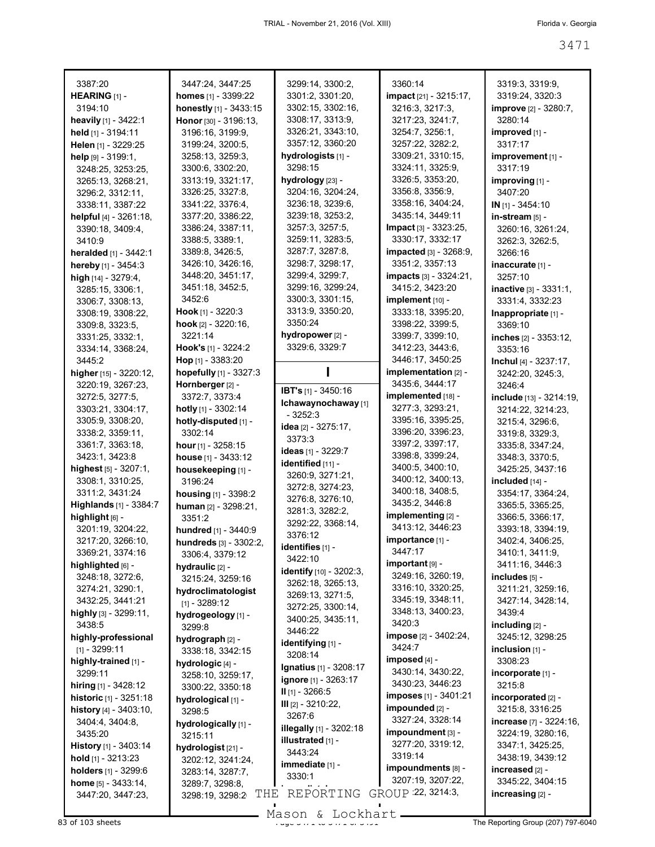| 3387:20                               | 3447:24, 3447:25              | 3299:14, 3300:2,                             | 3360:14                            | 3319:3, 3319:9,                    |
|---------------------------------------|-------------------------------|----------------------------------------------|------------------------------------|------------------------------------|
| HEARING $[1]$ -                       | homes [1] - 3399:22           | 3301:2, 3301:20,                             | impact [21] - 3215:17,             | 3319:24, 3320:3                    |
| 3194:10                               | honestly [1] - 3433:15        | 3302:15, 3302:16,                            | 3216:3, 3217:3,                    | improve [2] - 3280:7,              |
| heavily [1] - 3422:1                  | Honor [30] - 3196:13,         | 3308:17, 3313:9,                             | 3217:23, 3241:7,                   | 3280:14                            |
| held [1] - 3194:11                    | 3196:16, 3199:9,              | 3326:21, 3343:10,                            | 3254:7, 3256:1,                    | improved [1] -                     |
| Helen [1] - 3229:25                   | 3199:24, 3200:5,              | 3357:12, 3360:20                             | 3257:22, 3282:2,                   | 3317:17                            |
| help [9] - 3199:1,                    | 3258:13, 3259:3,              | hydrologists [1] -                           | 3309:21, 3310:15,                  | improvement [1] -                  |
| 3248:25, 3253:25,                     | 3300:6, 3302:20,              | 3298:15                                      | 3324:11, 3325:9,                   | 3317:19                            |
| 3265:13, 3268:21,                     | 3313:19, 3321:17,             | hydrology [23] -                             | 3326:5, 3353:20,                   | improving [1] -                    |
| 3296:2, 3312:11,                      | 3326:25, 3327:8,              | 3204:16, 3204:24,                            | 3356:8, 3356:9,                    | 3407:20                            |
| 3338:11, 3387:22                      | 3341:22, 3376:4,              | 3236:18, 3239:6,                             | 3358:16, 3404:24,                  | $IN$ [1] - 3454:10                 |
| helpful [4] - 3261:18,                | 3377:20, 3386:22,             | 3239:18, 3253:2,                             | 3435:14, 3449:11                   | in-stream [5] -                    |
| 3390:18, 3409:4,                      | 3386:24, 3387:11,             | 3257:3, 3257:5,                              | Impact [3] - 3323:25,              | 3260:16, 3261:24,                  |
| 3410:9                                | 3388:5, 3389:1,               | 3259:11, 3283:5,                             | 3330:17, 3332:17                   | 3262:3, 3262:5,                    |
| heralded [1] - 3442:1                 | 3389:8, 3426:5,               | 3287:7, 3287:8,                              | <b>impacted</b> [3] - 3268:9,      | 3266:16                            |
| hereby [1] - 3454:3                   | 3426:10, 3426:16,             | 3298:7, 3298:17,                             | 3351:2, 3357:13                    | inaccurate [1] -                   |
| high $[14] - 3279:4,$                 | 3448:20, 3451:17,             | 3299:4, 3299:7,                              | <b>impacts</b> [3] - 3324:21,      | 3257:10                            |
| 3285:15, 3306:1,                      | 3451:18, 3452:5,              | 3299:16, 3299:24,                            | 3415:2, 3423:20                    | <b>inactive</b> $[3] - 3331:1$ ,   |
| 3306:7, 3308:13,                      | 3452:6                        | 3300:3, 3301:15,                             | implement [10] -                   | 3331:4, 3332:23                    |
| 3308:19, 3308:22,                     | <b>Hook</b> [1] - $3220:3$    | 3313:9, 3350:20,                             | 3333:18, 3395:20,                  | Inappropriate [1] -                |
| 3309:8, 3323:5,                       | hook $[2] - 3220:16$ ,        | 3350:24                                      | 3398:22, 3399:5,                   | 3369:10                            |
| 3331:25, 3332:1,                      | 3221:14                       | hydropower [2] -                             | 3399:7, 3399:10,                   | inches [2] - 3353:12,              |
| 3334:14, 3368:24,                     | Hook's [1] - 3224:2           | 3329:6, 3329:7                               | 3412:23, 3443:6,                   | 3353:16                            |
| 3445:2                                | Hop $[1]$ - 3383:20           |                                              | 3446:17, 3450:25                   | <b>Inchul</b> [4] - $3237:17$ ,    |
| higher [15] - 3220:12,                | hopefully [1] - 3327:3        |                                              | implementation [2] -               | 3242:20, 3245:3,                   |
| 3220:19, 3267:23,                     | Hornberger [2] -              | IBT's [1] - 3450:16                          | 3435:6, 3444:17                    | 3246:4                             |
| 3272:5, 3277:5,                       | 3372:7, 3373:4                | Ichawaynochaway [1]                          | implemented [18] -                 | include [13] - 3214:19,            |
| 3303:21, 3304:17,                     | hotly [1] - 3302:14           | $-3252:3$                                    | 3277:3, 3293:21,                   | 3214:22, 3214:23,                  |
| 3305:9, 3308:20,                      | hotly-disputed [1] -          | idea [2] - 3275:17,                          | 3395:16, 3395:25,                  | 3215:4, 3296:6,                    |
| 3338:2, 3359:11,                      | 3302:14                       | 3373:3                                       | 3396:20, 3396:23,                  | 3319:8, 3329:3,                    |
| 3361:7, 3363:18,                      | hour $[1]$ - 3258:15          | ideas [1] - 3229:7                           | 3397:2, 3397:17,                   | 3335:8, 3347:24,                   |
| 3423:1, 3423:8                        | house [1] - 3433:12           | identified [11] -                            | 3398:8, 3399:24,                   | 3348:3, 3370:5,                    |
| highest [5] - 3207:1,                 | housekeeping [1] -            | 3260:9, 3271:21,                             | 3400:5, 3400:10,                   | 3425:25, 3437:16                   |
| 3308:1, 3310:25,                      | 3196:24                       | 3272:8, 3274:23,                             | 3400:12, 3400:13,                  | included [14] -                    |
| 3311:2, 3431:24                       | housing [1] - 3398:2          | 3276:8, 3276:10,                             | 3400:18, 3408:5,<br>3435:2, 3446:8 | 3354:17, 3364:24,                  |
| Highlands [1] - 3384:7                | human [2] - 3298:21,          | 3281:3, 3282:2,                              | implementing [2] -                 | 3365:5, 3365:25,                   |
| highlight [6] -                       | 3351:2                        | 3292:22, 3368:14,                            | 3413:12, 3446:23                   | 3366:5, 3366:17,                   |
| 3201:19, 3204:22,                     | hundred [1] - 3440:9          | 3376:12                                      | importance [1] -                   | 3393:18, 3394:19,                  |
| 3217:20, 3266:10,                     | hundreds [3] - 3302:2,        | identifies [1] -                             | 3447:17                            | 3402:4, 3406:25,                   |
| 3369:21, 3374:16                      | 3306:4, 3379:12               | 3422:10                                      | important [9] -                    | 3410:1, 3411:9,<br>3411:16, 3446:3 |
| highlighted [6] -<br>3248:18, 3272:6, | hydraulic [2] -               | identify [10] - 3202:3,                      | 3249:16, 3260:19,                  | includes [5] -                     |
| 3274:21, 3290:1,                      | 3215:24, 3259:16              | 3262:18, 3265:13,                            | 3316:10, 3320:25,                  | 3211:21, 3259:16,                  |
| 3432:25, 3441:21                      | hydroclimatologist            | 3269:13, 3271:5,                             | 3345:19, 3348:11,                  | 3427:14, 3428:14,                  |
| highly [3] - 3299:11,                 | $[1] - 3289:12$               | 3272:25, 3300:14,                            | 3348:13, 3400:23,                  | 3439:4                             |
| 3438:5                                | hydrogeology [1] -<br>3299:8  | 3400:25, 3435:11,                            | 3420:3                             | including [2] -                    |
| highly-professional                   | hydrograph [2] -              | 3446:22                                      | impose [2] - 3402:24,              | 3245:12, 3298:25                   |
| $[1] - 3299:11$                       | 3338:18, 3342:15              | identifying [1] -                            | 3424.7                             | inclusion $[1]$ -                  |
| highly-trained [1] -                  | hydrologic [4] -              | 3208:14                                      | imposed [4] -                      | 3308:23                            |
| 3299:11                               | 3258:10, 3259:17,             | <b>Ignatius</b> [1] - 3208:17                | 3430:14, 3430:22,                  | incorporate [1] -                  |
| hiring [1] - 3428:12                  | 3300:22, 3350:18              | <b>ignore</b> [1] - 3263:17                  | 3430:23, 3446:23                   | 3215:8                             |
| <b>historic</b> [1] - 3251:18         | hydrological [1] -            | $II$ [1] - 3266:5                            | <b>imposes</b> [1] - 3401:21       | incorporated [2] -                 |
| history [4] - 3403:10,                | 3298:5                        | III [2] - 3210:22,<br>3267:6                 | impounded [2] -                    | 3215:8, 3316:25                    |
| 3404:4, 3404:8,                       | hydrologically [1] -          |                                              | 3327:24, 3328:14                   | <b>increase</b> $[7] - 3224:16$ ,  |
| 3435:20                               | 3215:11                       | illegally [1] - 3202:18<br>illustrated [1] - | impoundment [3] -                  | 3224:19, 3280:16,                  |
| <b>History</b> $[1]$ - 3403:14        | hydrologist <sub>[21]</sub> - | 3443:24                                      | 3277:20, 3319:12,                  | 3347:1, 3425:25,                   |
| hold $[1]$ - 3213:23                  | 3202:12, 3241:24,             | immediate [1] -                              | 3319:14                            | 3438:19, 3439:12                   |
| holders [1] - 3299:6                  | 3283:14, 3287:7,              | 3330:1                                       | impoundments [8] -                 | increased [2] -                    |
| home [5] - 3433:14,                   | 3289:7, 3298:8,               |                                              | 3207:19, 3207:22,                  | 3345:22, 3404:15                   |
| 3447:20, 3447:23,                     | THE<br>3298:19, 3298:2        | REPORTING                                    | GROUP 22, 3214:3,                  | increasing [2] -                   |

 $83$  of 103 sheets  $\frac{3489611}{48711000011}$  of  $\frac{3492611}{4871000011}$  of  $\frac{3492611}{4871000000}$  The Reporting Group (207) 797-6040 Mason & Lockhart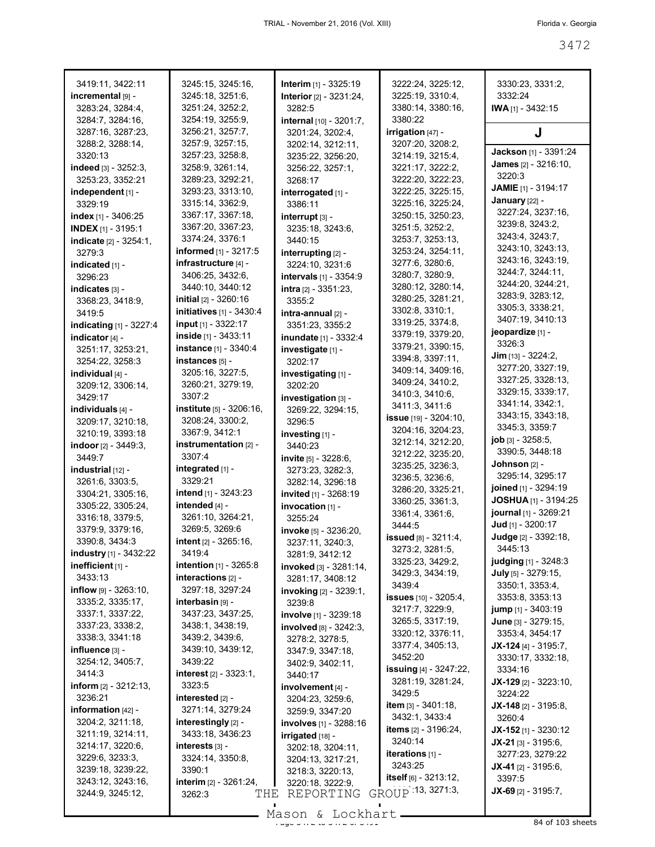| 3419:11, 3422:11          | 3245:15, 3245:16,                  | Interim [1] - 3325:19            | 3222:24, 3225:12,                         | 3330:23, 3331:2,               |
|---------------------------|------------------------------------|----------------------------------|-------------------------------------------|--------------------------------|
| incremental [9] -         | 3245:18, 3251:6,                   | Interior [2] - 3231:24,          | 3225:19, 3310:4,                          | 3332:24                        |
| 3283:24, 3284:4,          | 3251:24, 3252:2,                   | 3282:5                           | 3380:14, 3380:16,                         | $IWA$ <sub>[1]</sub> - 3432:15 |
| 3284:7, 3284:16,          | 3254:19, 3255:9,                   | internal [10] - 3201:7,          | 3380:22                                   |                                |
| 3287:16, 3287:23,         | 3256:21, 3257:7,                   | 3201:24, 3202:4,                 | irrigation [47] -                         | J                              |
| 3288:2, 3288:14,          | 3257:9, 3257:15,                   | 3202:14, 3212:11,                | 3207:20, 3208:2,                          |                                |
| 3320:13                   | 3257:23, 3258:8,                   | 3235:22, 3256:20,                | 3214:19, 3215:4,                          | Jackson [1] - 3391:24          |
| indeed [3] - 3252:3,      | 3258:9, 3261:14,                   | 3256:22, 3257:1,                 | 3221:17, 3222:2,                          | <b>James</b> [2] - 3216:10,    |
| 3253:23, 3352:21          | 3289:23, 3292:21,                  | 3268:17                          | 3222:20, 3222:23,                         | 3220:3                         |
| independent [1] -         | 3293:23, 3313:10,                  | interrogated [1] -               | 3222:25, 3225:15,                         | JAMIE [1] - 3194:17            |
| 3329:19                   | 3315:14, 3362:9,                   | 3386:11                          | 3225:16, 3225:24,                         | January [22] -                 |
| index $[1] - 3406:25$     | 3367:17, 3367:18,                  | interrupt [3] -                  | 3250:15, 3250:23,                         | 3227:24, 3237:16,              |
| <b>INDEX</b> [1] - 3195:1 | 3367:20, 3367:23,                  | 3235:18, 3243:6,                 | 3251:5, 3252:2,                           | 3239:8, 3243:2,                |
| indicate [2] - 3254:1,    | 3374:24, 3376:1                    | 3440:15                          | 3253:7, 3253:13,                          | 3243:4, 3243:7,                |
| 3279:3                    | informed [1] - 3217:5              | interrupting [2] -               | 3253:24, 3254:11,                         | 3243:10, 3243:13,              |
| indicated [1] -           | infrastructure [4] -               | 3224:10, 3231:6                  | 3277:6, 3280:6,                           | 3243:16, 3243:19,              |
| 3296:23                   | 3406:25, 3432:6,                   | <b>intervals</b> [1] - 3354:9    | 3280:7, 3280:9,                           | 3244:7, 3244:11,               |
| indicates [3] -           | 3440:10, 3440:12                   | intra [2] - 3351:23,             | 3280:12, 3280:14,                         | 3244:20, 3244:21,              |
| 3368:23, 3418:9,          | initial [2] - 3260:16              | 3355:2                           | 3280:25, 3281:21,                         | 3283:9, 3283:12,               |
| 3419:5                    | <b>initiatives</b> [1] - 3430:4    | intra-annual [2] -               | 3302:8, 3310:1,                           | 3305:3, 3338:21,               |
| indicating $[1] - 3227:4$ | input [1] - 3322:17                | 3351:23, 3355:2                  | 3319:25, 3374:8,                          | 3407:19, 3410:13               |
| indicator [4] -           | inside $[1] - 3433.11$             | inundate [1] - 3332:4            | 3379:19, 3379:20,                         | jeopardize [1] -               |
| 3251:17, 3253:21,         | instance [1] - 3340:4              | investigate [1] -                | 3379:21, 3390:15,                         | 3326:3                         |
| 3254:22, 3258:3           | instances [5] -                    | 3202:17                          | 3394:8, 3397:11,                          | $Jim$ [13] - 3224:2,           |
| individual [4] -          | 3205:16, 3227:5,                   | investigating [1] -              | 3409:14, 3409:16,                         | 3277:20, 3327:19,              |
| 3209:12, 3306:14,         | 3260:21, 3279:19,                  | 3202:20                          | 3409:24, 3410:2,                          | 3327:25, 3328:13,              |
| 3429:17                   | 3307:2                             | investigation [3] -              | 3410:3, 3410:6,                           | 3329:15, 3339:17,              |
| individuals [4] -         | <b>institute</b> $[5] - 3206:16$ , | 3269:22, 3294:15,                | 3411:3, 3411:6                            | 3341:14, 3342:1,               |
| 3209:17, 3210:18,         | 3208:24, 3300:2,                   | 3296:5                           | <b>issue</b> $[19] - 3204:10$ ,           | 3343:15, 3343:18,              |
| 3210:19, 3393:18          | 3367:9, 3412:1                     | investing [1] -                  | 3204:16, 3204:23,                         | 3345:3, 3359:7                 |
| indoor $[2] - 3449:3$ ,   | instrumentation [2] -              | 3440:23                          | 3212:14, 3212:20,                         | job [3] - 3258:5,              |
| 3449:7                    | 3307:4                             | <b>invite</b> $[5] - 3228:6$ ,   | 3212:22, 3235:20,                         | 3390:5, 3448:18                |
| industrial [12] -         | integrated [1] -                   | 3273:23, 3282:3,                 | 3235:25, 3236:3,                          | Johnson [2] -                  |
| 3261:6, 3303:5,           | 3329:21                            | 3282:14, 3296:18                 | 3236:5, 3236:6,                           | 3295:14, 3295:17               |
| 3304:21, 3305:16,         | intend [1] - 3243:23               | <b>invited</b> [1] - 3268:19     | 3286:20, 3325:21,                         | joined [1] - 3294:19           |
| 3305:22, 3305:24,         | intended [4] -                     | $invocation$ [1] -               | 3360:25, 3361:3,                          | JOSHUA [1] - 3194:25           |
| 3316:18, 3379:5,          | 3261:10, 3264:21,                  | 3255:24                          | 3361:4, 3361:6,                           | journal [1] - 3269:21          |
| 3379:9, 3379:16,          | 3269:5, 3269:6                     | invoke [5] - 3236:20,            | 3444:5                                    | Jud [1] - 3200:17              |
| 3390:8, 3434:3            | intent [2] - 3265:16,              | 3237:11, 3240:3,                 | issued [8] - 3211:4,                      | Judge [2] - 3392:18,           |
| industry [1] - 3432:22    | 3419:4                             | 3281:9, 3412:12                  | 3273:2, 3281:5,                           | 3445:13                        |
| inefficient [1] -         | intention [1] - 3265:8             | invoked [3] - 3281:14,           | 3325:23, 3429:2,                          | <b>judging</b> $[1] - 3248.3$  |
| 3433:13                   | interactions [2] -                 | 3281:17, 3408:12                 | 3429:3, 3434:19,                          | July [5] - 3279:15,            |
| $inflow$ [9] - 3263:10,   | 3297:18, 3297:24                   | <b>invoking</b> $[2] - 3239:1$ , | 3439:4                                    | 3350:1, 3353:4,                |
| 3335:2, 3335:17,          | interbasin <sub>[9]</sub> -        | 3239:8                           | <b>issues</b> [10] - 3205:4,              | 3353:8, 3353:13                |
| 3337:1, 3337:22,          | 3437:23, 3437:25,                  | involve [1] - 3239:18            | 3217:7, 3229:9,                           | <b>jump</b> $[1] - 3403:19$    |
| 3337:23, 3338:2,          | 3438:1, 3438:19,                   | involved [8] - 3242:3,           | 3265:5, 3317:19,                          | June [3] - 3279:15,            |
| 3338:3, 3341:18           | 3439:2, 3439:6,                    | 3278:2, 3278:5,                  | 3320:12, 3376:11,                         | 3353:4, 3454:17                |
| influence [3] -           | 3439:10, 3439:12,                  | 3347:9, 3347:18,                 | 3377:4, 3405:13,                          | $JX-124$ [4] - 3195:7,         |
| 3254:12, 3405:7,          | 3439:22                            | 3402:9, 3402:11,                 | 3452:20                                   | 3330:17, 3332:18,              |
| 3414:3                    | interest [2] - 3323:1,             | 3440:17                          | <b>issuing</b> [4] - 3247:22,             | 3334:16                        |
| inform $[2] - 3212:13$ ,  | 3323:5                             | involvement [4] -                | 3281:19, 3281:24,                         | $JX-129$ [2] - 3223:10,        |
| 3236:21                   | interested [2] -                   | 3204:23, 3259:6,                 | 3429:5                                    | 3224:22                        |
| information $[42]$ -      | 3271:14, 3279:24                   | 3259:9, 3347:20                  | item $[3] - 3401:18$ ,                    | $JX-148$ [2] - 3195:8,         |
| 3204:2, 3211:18,          | interestingly [2] -                | involves [1] - 3288:16           | 3432:1, 3433:4                            | 3260:4                         |
| 3211:19, 3214:11,         | 3433:18, 3436:23                   | irrigated [18] -                 | <b>items</b> $[2] - 3196:24$ ,<br>3240:14 | JX-152 [1] - 3230:12           |
| 3214:17, 3220:6,          | interests [3] -                    | 3202:18, 3204:11,                |                                           | $JX-21$ [3] - 3195:6,          |
| 3229:6, 3233:3,           | 3324:14, 3350:8,                   | 3204:13, 3217:21,                | iterations [1] -                          | 3277:23, 3279:22               |
| 3239:18, 3239:22,         | 3390:1                             | 3218:3, 3220:13,                 | 3243:25                                   | $JX-41$ [2] - 3195:6,          |
| 3243:12, 3243:16,         | interim [2] - 3261:24,             | 3220:18, 3222:9,                 | itself $[6] - 3213:12$ ,                  | 3397:5                         |
| 3244:9, 3245:12,          | 3262:3<br>THE                      | REPORTING                        | GROUP 13, 3271:3,                         | $JX-69$ [2] - 3195:7,          |

 $\frac{25}{34}$  of 103 sheets Mason & Lockhart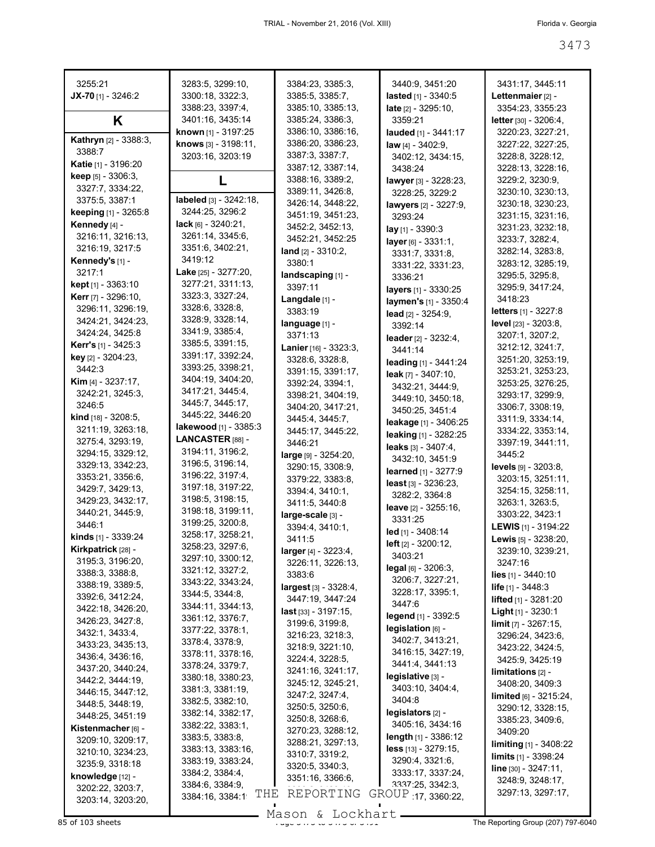| 3255:21                               | 3283:5, 3299:10,                             | 3384:23, 3385:3,                     | 3440:9, 3451:20                              | 3431:17, 3445:11                                        |
|---------------------------------------|----------------------------------------------|--------------------------------------|----------------------------------------------|---------------------------------------------------------|
| JX-70 $[1]$ - 3246:2                  | 3300:18, 3322:3,                             | 3385:5, 3385:7,                      | lasted [1] - 3340:5                          | Lettenmaier [2] -                                       |
|                                       | 3388:23, 3397:4,                             | 3385:10, 3385:13,                    | <b>late</b> $[2] - 3295:10$ ,                | 3354:23, 3355:23                                        |
| K                                     | 3401:16, 3435:14                             | 3385:24, 3386:3,                     | 3359:21                                      | letter [30] - 3206:4,                                   |
|                                       | known [1] - 3197:25                          | 3386:10, 3386:16,                    | lauded [1] - 3441:17                         | 3220:23, 3227:21,                                       |
| <b>Kathryn</b> [2] - 3388:3,          | knows [3] - 3198:11,                         | 3386:20, 3386:23,                    | law $[4] - 3402:9$ ,                         | 3227:22, 3227:25,                                       |
| 3388:7                                | 3203:16, 3203:19                             | 3387:3, 3387:7,                      | 3402:12, 3434:15,                            | 3228:8, 3228:12,                                        |
| Katie [1] - 3196:20                   |                                              | 3387:12, 3387:14,                    | 3438:24                                      | 3228:13, 3228:16,                                       |
| keep [5] - 3306:3,                    | L                                            | 3388:16, 3389:2,                     | lawyer [3] - 3228:23,                        | 3229:2, 3230:9,                                         |
| 3327:7, 3334:22,                      |                                              | 3389:11, 3426:8,                     | 3228:25, 3229:2                              | 3230:10, 3230:13,                                       |
| 3375:5, 3387:1                        | labeled $[3] - 3242:18$ ,<br>3244:25, 3296:2 | 3426:14, 3448:22,                    | lawyers [2] - 3227:9.                        | 3230:18, 3230:23,                                       |
| keeping [1] - 3265:8                  | $lack 61 - 3240:21,$                         | 3451:19, 3451:23,                    | 3293:24                                      | 3231:15, 3231:16,                                       |
| Kennedy [4] -                         | 3261:14, 3345:6,                             | 3452:2, 3452:13,                     | lay [1] - 3390:3                             | 3231:23, 3232:18,                                       |
| 3216:11, 3216:13,<br>3216:19, 3217:5  | 3351:6, 3402:21,                             | 3452:21, 3452:25                     | layer [6] - 3331:1,                          | 3233:7, 3282:4,                                         |
| Kennedy's [1] -                       | 3419:12                                      | land $[2] - 3310:2$ ,                | 3331:7, 3331:8,                              | 3282:14, 3283:8,                                        |
| 3217:1                                | Lake [25] - 3277:20,                         | 3380:1                               | 3331:22, 3331:23,                            | 3283:12, 3285:19,                                       |
| <b>kept</b> $[1]$ - 3363:10           | 3277:21, 3311:13,                            | landscaping [1] -                    | 3336:21                                      | 3295:5, 3295:8,                                         |
| <b>Kerr</b> [7] - 3296:10,            | 3323:3, 3327:24,                             | 3397:11                              | layers [1] - 3330:25                         | 3295:9, 3417:24,                                        |
| 3296:11, 3296:19,                     | 3328:6, 3328:8,                              | Langdale [1] -<br>3383:19            | laymen's [1] - 3350:4                        | 3418:23<br><b>letters</b> [1] - 3227:8                  |
| 3424:21, 3424:23,                     | 3328:9, 3328:14,                             | language [1] -                       | lead [2] - 3254:9,                           | <b>level</b> [23] - 3203:8,                             |
| 3424:24, 3425:8                       | 3341:9, 3385:4,                              | 3371:13                              | 3392:14                                      | 3207:1, 3207:2,                                         |
| <b>Kerr's</b> $[1] - 3425:3$          | 3385:5, 3391:15,                             | Lanier [16] - 3323:3,                | leader [2] - 3232:4,                         | 3212:12, 3241:7,                                        |
| key [2] - 3204:23,                    | 3391:17, 3392:24,                            | 3328:6, 3328:8,                      | 3441:14                                      | 3251:20, 3253:19,                                       |
| 3442:3                                | 3393:25, 3398:21,                            | 3391:15, 3391:17,                    | leading [1] - 3441:24                        | 3253:21, 3253:23,                                       |
| <b>Kim</b> $[4] - 3237:17$ ,          | 3404:19, 3404:20,                            | 3392:24, 3394:1,                     | leak [7] - 3407:10,                          | 3253:25, 3276:25,                                       |
| 3242:21, 3245:3,                      | 3417:21, 3445:4,                             | 3398:21, 3404:19,                    | 3432:21, 3444:9,                             | 3293:17, 3299:9,                                        |
| 3246:5                                | 3445:7, 3445:17,                             | 3404:20, 3417:21,                    | 3449:10, 3450:18,                            | 3306:7, 3308:19,                                        |
| kind [18] - 3208:5,                   | 3445:22, 3446:20                             | 3445:4, 3445:7,                      | 3450:25, 3451:4                              | 3311:9, 3334:14,                                        |
| 3211:19, 3263:18,                     | lakewood [1] - 3385:3                        | 3445:17, 3445:22,                    | leakage [1] - 3406:25                        | 3334:22, 3353:14,                                       |
| 3275:4, 3293:19,                      | LANCASTER [88] -                             | 3446:21                              | leaking [1] - 3282:25<br>leaks [3] - 3407:4, | 3397:19, 3441:11,                                       |
| 3294:15, 3329:12,                     | 3194:11, 3196:2,                             | large [9] - 3254:20,                 | 3432:10, 3451:9                              | 3445:2                                                  |
| 3329:13, 3342:23,                     | 3196:5, 3196:14,                             | 3290:15, 3308:9,                     | learned [1] - 3277:9                         | <b>levels</b> [9] - 3203:8,                             |
| 3353:21, 3356:6,                      | 3196:22, 3197:4,                             | 3379:22, 3383:8,                     | least $[3] - 3236:23$ ,                      | 3203:15, 3251:11,                                       |
| 3429:7, 3429:13,                      | 3197:18, 3197:22,                            | 3394:4, 3410:1,                      | 3282:2, 3364:8                               | 3254:15, 3258:11,                                       |
| 3429:23, 3432:17,                     | 3198:5, 3198:15,                             | 3411:5, 3440:8                       | leave [2] - 3255:16,                         | 3263:1, 3263:5,                                         |
| 3440:21, 3445:9,                      | 3198:18, 3199:11,                            | large-scale [3] -                    | 3331:25                                      | 3303:22, 3423:1                                         |
| 3446:1                                | 3199:25, 3200:8,                             | 3394:4, 3410:1,                      | led [1] - 3408:14                            | LEWIS [1] - 3194:22                                     |
| kinds [1] - 3339:24                   | 3258:17, 3258:21,                            | 3411:5                               | left [2] - 3200:12,                          | Lewis [5] - 3238:20,                                    |
| Kirkpatrick [28] -                    | 3258:23, 3297:6,<br>3297:10, 3300:12,        | $larger_{[4]} - 3223:4,$             | 3403:21                                      | 3239:10, 3239:21,                                       |
| 3195:3, 3196:20,                      | 3321:12, 3327:2,                             | 3226:11, 3226:13,                    | legal [6] - 3206:3,                          | 3247:16                                                 |
| 3388:3, 3388:8,                       | 3343:22, 3343:24,                            | 3383:6                               | 3206:7, 3227:21,                             | <b>lies</b> $[1] - 3440:10$                             |
| 3388:19, 3389:5,                      | 3344:5, 3344:8,                              | largest [3] - 3328:4,                | 3228:17, 3395:1,                             | <b>life</b> $[1] - 3448:3$                              |
| 3392:6, 3412:24,                      | 3344:11, 3344:13,                            | 3447:19, 3447:24                     | 3447:6                                       | lifted [1] - 3281:20                                    |
| 3422:18, 3426:20,<br>3426:23, 3427:8, | 3361:12, 3376:7,                             | last [33] - 3197:15,                 | legend [1] - 3392:5                          | Light [1] - 3230:1                                      |
| 3432:1, 3433:4,                       | 3377:22, 3378:1,                             | 3199:6, 3199:8,                      | legislation [6] -                            | $limit_{[7]} - 3267:15,$                                |
| 3433:23, 3435:13,                     | 3378:4, 3378:9,                              | 3216:23, 3218:3.                     | 3402:7, 3413:21,                             | 3296:24, 3423:6,                                        |
| 3436:4, 3436:16,                      | 3378:11, 3378:16,                            | 3218:9, 3221:10,                     | 3416:15, 3427:19,                            | 3423:22, 3424:5,                                        |
| 3437:20, 3440:24,                     | 3378:24, 3379:7,                             | 3224:4, 3228:5,                      | 3441:4, 3441:13                              | 3425:9, 3425:19                                         |
| 3442:2, 3444:19,                      | 3380:18, 3380:23,                            | 3241:16, 3241:17,                    | legislative [3] -                            | $limitations 2] -$                                      |
| 3446:15, 3447:12,                     | 3381:3, 3381:19,                             | 3245:12, 3245:21,<br>3247:2, 3247:4, | 3403:10, 3404:4,                             | 3408:20, 3409:3                                         |
| 3448:5, 3448:19,                      | 3382:5, 3382:10,                             | 3250:5, 3250:6,                      | 3404:8                                       | limited [6] - 3215:24,                                  |
| 3448:25, 3451:19                      | 3382:14, 3382:17,                            | 3250:8, 3268:6,                      | legislators [2] -                            | 3290:12, 3328:15,<br>3385:23, 3409:6,                   |
| Kistenmacher [6] -                    | 3382:22, 3383:1,                             | 3270:23, 3288:12,                    | 3405:16, 3434:16                             | 3409:20                                                 |
| 3209:10, 3209:17,                     | 3383:5, 3383:8,                              | 3288:21, 3297:13,                    | length [1] - 3386:12                         | <b>limiting</b> $[1]$ - 3408:22                         |
| 3210:10, 3234:23,                     | 3383:13, 3383:16,                            | 3310:7, 3319:2,                      | less [13] - 3279:15,                         |                                                         |
| 3235:9, 3318:18                       | 3383:19, 3383:24,                            | 3320:5, 3340:3,                      | 3290:4, 3321:6,                              | <b>limits</b> $[1]$ - 3398:24<br>$line [30] - 3247:11,$ |
| knowledge [12] -                      | 3384:2, 3384:4,                              | 3351:16, 3366:6,                     | 3333:17, 3337:24,                            | 3248:9, 3248:17,                                        |
| 3202:22, 3203:7,                      | 3384:6, 3384:9,                              |                                      | 3337.25, 3342.3,                             | 3297:13, 3297:17,                                       |
| 3203:14, 3203:20,                     | THE<br>3384:16, 3384:1                       | REPORTING                            | GROUP 17, 3360:22,                           |                                                         |

Mason & Lockhart **Page 3473 of 103 sheets** Page 3473 to 3473 Mason & Lockhart **Page 3473 to 3473 of 3491 The Reporting Group (207) 797-6040**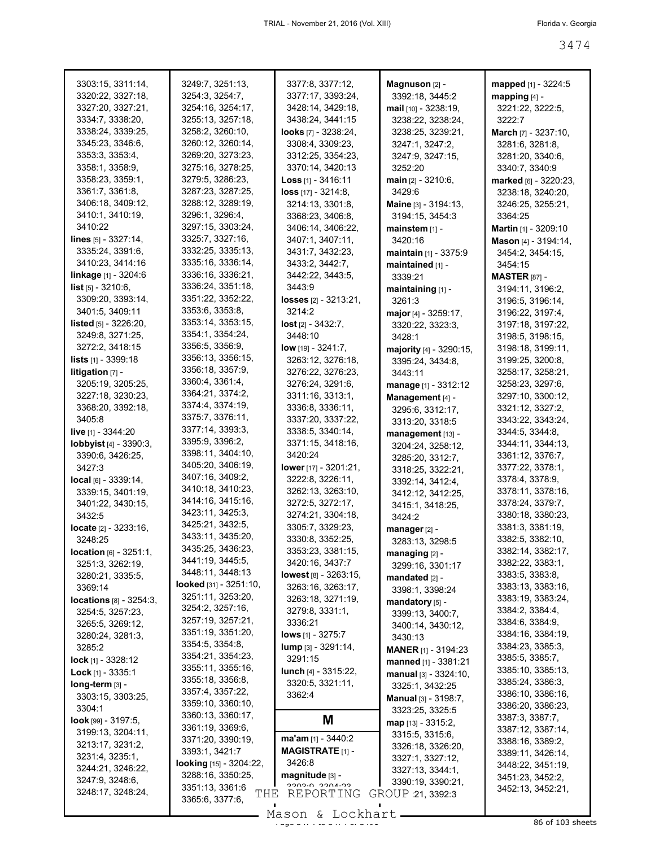| 3303:15, 3311:14,                 | 3249:7, 3251:13,                          | 3377:8, 3377:12,                | Magnuson [2] -                 | mapped [1] - 3224:5         |
|-----------------------------------|-------------------------------------------|---------------------------------|--------------------------------|-----------------------------|
| 3320:22, 3327:18,                 | 3254:3, 3254:7,                           | 3377:17, 3393:24,               | 3392:18, 3445:2                | mapping $[4]$ -             |
| 3327:20, 3327:21,                 | 3254:16, 3254:17,                         | 3428:14, 3429:18,               | mail [10] - 3238:19,           | 3221:22, 3222:5,            |
| 3334:7, 3338:20,                  | 3255:13, 3257:18,                         | 3438:24, 3441:15                | 3238:22, 3238:24,              | 3222:7                      |
| 3338:24, 3339:25,                 | 3258:2, 3260:10,                          | looks $[7] - 3238:24$ ,         | 3238:25, 3239:21,              | March [7] - 3237:10,        |
| 3345:23, 3346:6,                  | 3260:12, 3260:14,                         | 3308:4, 3309:23,                | 3247:1, 3247:2,                | 3281:6, 3281:8,             |
| 3353:3, 3353:4,                   | 3269:20, 3273:23,                         | 3312:25, 3354:23,               | 3247:9, 3247:15,               | 3281:20, 3340:6,            |
| 3358:1, 3358:9,                   | 3275:16, 3278:25,                         | 3370:14, 3420:13                | 3252:20                        | 3340:7, 3340:9              |
| 3358:23, 3359:1,                  | 3279:5, 3286:23,                          | Loss $[1] - 3416:11$            | <b>main</b> $[2] - 3210.6$ ,   | marked [6] - 3220:23,       |
| 3361:7, 3361:8,                   | 3287:23, 3287:25,                         | $loss$ [17] - 3214:8,           | 3429:6                         | 3238:18, 3240:20,           |
| 3406:18, 3409:12,                 | 3288:12, 3289:19,                         | 3214:13, 3301:8,                | <b>Maine</b> $[3] - 3194:13$ , |                             |
| 3410:1, 3410:19,                  | 3296:1, 3296:4,                           | 3368:23, 3406:8,                |                                | 3246:25, 3255:21,           |
| 3410:22                           | 3297:15, 3303:24,                         |                                 | 3194:15, 3454:3                | 3364:25                     |
|                                   | 3325:7, 3327:16,                          | 3406:14, 3406:22,               | mainstem [1] -                 | <b>Martin</b> [1] - 3209:10 |
| lines [5] - 3327:14,              |                                           | 3407:1, 3407:11,                | 3420:16                        | Mason [4] - 3194:14,        |
| 3335:24, 3391:6,                  | 3332:25, 3335:13,                         | 3431:7, 3432:23,                | <b>maintain</b> $[1] - 3375.9$ | 3454:2, 3454:15,            |
| 3410:23, 3414:16                  | 3335:16, 3336:14,                         | 3433:2, 3442:7,                 | maintained [1] -               | 3454:15                     |
| linkage [1] - 3204:6              | 3336:16, 3336:21,                         | 3442:22, 3443:5,                | 3339:21                        | <b>MASTER</b> [87] -        |
| <b>list</b> $[5] - 3210:6$ ,      | 3336:24, 3351:18,                         | 3443:9                          | maintaining [1] -              | 3194:11, 3196:2,            |
| 3309:20, 3393:14,                 | 3351:22, 3352:22,                         | <b>losses</b> $[2] - 3213:21$ , | 3261:3                         | 3196:5, 3196:14,            |
| 3401:5, 3409:11                   | 3353:6, 3353:8,                           | 3214:2                          | major [4] - 3259:17,           | 3196:22, 3197:4,            |
| <b>listed</b> $[5] - 3226:20,$    | 3353:14, 3353:15,                         | $lost$ [2] - 3432:7,            | 3320:22, 3323:3,               | 3197:18, 3197:22,           |
| 3249:8, 3271:25,                  | 3354:1, 3354:24,                          | 3448:10                         | 3428:1                         | 3198:5, 3198:15,            |
| 3272:2, 3418:15                   | 3356:5, 3356:9,                           | low [19] - 3241:7,              | majority [4] - 3290:15,        | 3198:18, 3199:11,           |
| <b>lists</b> $[1] - 3399:18$      | 3356:13, 3356:15,                         | 3263:12, 3276:18,               | 3395:24, 3434:8,               | 3199:25, 3200:8,            |
| litigation [7] -                  | 3356:18, 3357:9,                          | 3276:22, 3276:23,               | 3443:11                        | 3258:17, 3258:21,           |
| 3205:19, 3205:25,                 | 3360:4, 3361:4,                           | 3276:24, 3291:6,                | manage [1] - 3312:12           | 3258:23, 3297:6,            |
| 3227:18, 3230:23,                 | 3364:21, 3374:2,                          | 3311:16, 3313:1,                | Management [4] -               | 3297:10, 3300:12,           |
| 3368:20, 3392:18,                 | 3374:4, 3374:19,                          | 3336:8, 3336:11,                | 3295:6, 3312:17,               | 3321:12, 3327:2,            |
| 3405:8                            | 3375:7, 3376:11,                          | 3337:20, 3337:22,               | 3313:20, 3318:5                | 3343:22, 3343:24,           |
| live [1] - 3344:20                | 3377:14, 3393:3,                          | 3338:5, 3340:14,                | management [13] -              | 3344:5, 3344:8,             |
| lobbyist [4] - 3390:3,            | 3395:9, 3396:2,                           | 3371:15, 3418:16,               | 3204:24, 3258:12,              | 3344:11, 3344:13,           |
| 3390:6, 3426:25,                  | 3398:11, 3404:10,                         | 3420:24                         | 3285:20, 3312:7,               | 3361:12, 3376:7,            |
| 3427:3                            | 3405:20, 3406:19,                         | lower [17] - 3201:21,           | 3318:25, 3322:21,              | 3377:22, 3378:1,            |
| $local_{[6]} - 3339:14,$          | 3407:16, 3409:2,                          | 3222:8, 3226:11,                | 3392:14, 3412:4,               | 3378:4, 3378:9,             |
| 3339:15, 3401:19,                 | 3410:18, 3410:23,                         | 3262:13, 3263:10,               | 3412:12, 3412:25,              | 3378:11, 3378:16,           |
| 3401:22, 3430:15,                 | 3414:16, 3415:16,                         | 3272:5, 3272:17,                | 3415:1, 3418:25,               | 3378:24, 3379:7,            |
| 3432:5                            | 3423:11, 3425:3,                          | 3274:21, 3304:18,               | 3424:2                         | 3380:18, 3380:23,           |
| <b>locate</b> $[2] - 3233:16$ ,   | 3425:21, 3432:5,                          | 3305:7, 3329:23,                | manager [2] -                  | 3381:3, 3381:19,            |
| 3248:25                           | 3433:11, 3435:20,                         | 3330:8, 3352:25,                | 3283:13, 3298:5                | 3382:5, 3382:10,            |
| <b>location</b> $[6] - 3251:1$ ,  | 3435:25, 3436:23,                         | 3353:23, 3381:15,               |                                | 3382:14, 3382:17,           |
| 3251:3, 3262:19,                  | 3441:19, 3445:5,                          | 3420:16, 3437:7                 | managing [2] -                 | 3382:22, 3383:1,            |
| 3280:21, 3335:5,                  | 3448:11, 3448:13                          | lowest [8] - 3263:15,           | 3299:16, 3301:17               | 3383:5, 3383:8,             |
| 3369:14                           | looked [31] - 3251:10,                    | 3263:16, 3263:17,               | mandated [2] -                 | 3383:13, 3383:16,           |
| <b>locations</b> $[8] - 3254:3$ , | 3251:11, 3253:20,                         | 3263:18, 3271:19,               | 3398:1, 3398:24                | 3383:19, 3383:24,           |
| 3254:5, 3257:23,                  | 3254:2, 3257:16,                          | 3279:8, 3331:1,                 | mandatory [5] -                | 3384:2, 3384:4,             |
|                                   | 3257:19, 3257:21,                         | 3336:21                         | 3399:13, 3400:7,               | 3384:6, 3384:9,             |
| 3265:5, 3269:12,                  | 3351:19, 3351:20,                         | <b>lows</b> $[1]$ - 3275:7      | 3400:14, 3430:12,              | 3384:16, 3384:19,           |
| 3280:24, 3281:3,                  | 3354:5, 3354:8,                           | <b>lump</b> [3] - 3291:14,      | 3430:13                        | 3384:23, 3385:3,            |
| 3285:2                            | 3354:21, 3354:23,                         | 3291:15                         | <b>MANER</b> [1] - 3194:23     | 3385:5, 3385:7,             |
| <b>lock</b> [1] - $3328:12$       | 3355:11, 3355:16,                         |                                 | manned [1] - 3381:21           | 3385:10, 3385:13,           |
| $Lock$ [1] - 3335:1               | 3355:18, 3356:8,                          | <b>lunch</b> $[4] - 3315:22$ ,  | $manual [3] - 3324:10,$        | 3385:24, 3386:3,            |
| long-term [3] -                   | 3357:4, 3357:22,                          | 3320:5, 3321:11,                | 3325:1, 3432:25                | 3386:10, 3386:16,           |
| 3303:15, 3303:25,                 | 3359:10, 3360:10,                         | 3362:4                          | <b>Manual</b> [3] - 3198:7,    |                             |
| 3304:1                            | 3360:13, 3360:17,                         |                                 | 3323:25, 3325:5                | 3386:20, 3386:23,           |
| <b>look</b> [99] $-3197:5$ ,      | 3361:19, 3369:6,                          | M                               | $map$ [13] - 3315:2,           | 3387:3, 3387:7,             |
| 3199:13, 3204:11,                 | 3371:20, 3390:19,                         | $ma'am_{[1]} - 3440:2$          | 3315:5, 3315:6,                | 3387:12, 3387:14,           |
| 3213:17, 3231:2,                  | 3393:1, 3421:7                            | <b>MAGISTRATE [1] -</b>         | 3326:18, 3326:20,              | 3388:16, 3389:2,            |
| 3231:4, 3235:1,                   | looking [15] - 3204:22,                   | 3426:8                          | 3327:1, 3327:12,               | 3389:11, 3426:14,           |
| 3244:21, 3246:22,                 | 3288:16, 3350:25,                         | magnitude [3] -                 | 3327:13, 3344:1,               | 3448:22, 3451:19,           |
| 3247:9, 3248:6,                   |                                           | פחיגחפפ חיפחפפ                  | 3390:19, 3390:21,              | 3451:23, 3452:2,            |
| 3248:17, 3248:24,                 | 3351:13, 3361:6<br>THE<br>3365:6, 3377:6, | REPORTING                       | GROUP 21, 3392:3               | 3452:13, 3452:21,           |
|                                   |                                           |                                 |                                |                             |
|                                   |                                           | $M$ acon f. Iochbart            |                                |                             |

Mason & Lockhart 2008 and 36 of 103 sheets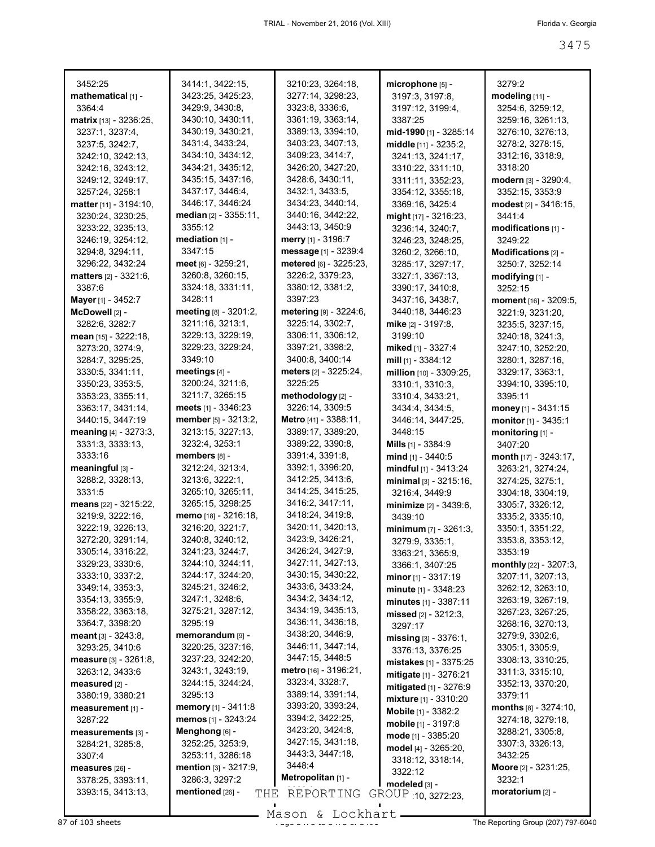| 3452:25                        | 3414:1, 3422:15,                | 3210:23, 3264:18,         | microphone [5] -             | 3279:2                           |
|--------------------------------|---------------------------------|---------------------------|------------------------------|----------------------------------|
| mathematical [1] -             | 3423:25, 3425:23,               | 3277:14, 3298:23,         | 3197:3, 3197:8,              | modeling [11] -                  |
| 3364:4                         | 3429:9, 3430:8,                 | 3323:8, 3336:6,           | 3197:12, 3199:4,             | 3254:6, 3259:12,                 |
| <b>matrix</b> $[13] - 3236:25$ | 3430:10, 3430:11,               | 3361:19, 3363:14,         | 3387:25                      | 3259:16, 3261:13,                |
| 3237:1, 3237:4,                | 3430:19, 3430:21,               | 3389:13, 3394:10,         | mid-1990 [1] - 3285:14       | 3276:10, 3276:13,                |
| 3237:5, 3242:7,                | 3431:4, 3433:24,                | 3403:23, 3407:13,         | middle [11] - 3235:2,        | 3278:2, 3278:15,                 |
| 3242:10, 3242:13,              | 3434:10, 3434:12,               | 3409:23, 3414:7,          | 3241:13, 3241:17,            | 3312:16, 3318:9,                 |
| 3242:16, 3243:12,              | 3434:21, 3435:12,               | 3426:20, 3427:20,         | 3310:22, 3311:10,            | 3318:20                          |
| 3249:12, 3249:17,              | 3435:15, 3437:16,               | 3428:6, 3430:11,          | 3311:11, 3352:23,            | modern [3] - 3290:4,             |
| 3257:24, 3258:1                | 3437:17, 3446:4,                | 3432:1, 3433:5,           | 3354:12, 3355:18,            | 3352:15, 3353:9                  |
| matter [11] - 3194:10,         | 3446:17, 3446:24                | 3434:23, 3440:14,         | 3369:16, 3425:4              | modest [2] - 3416:15,            |
| 3230:24, 3230:25,              | median [2] - 3355:11,           | 3440:16, 3442:22,         | might [17] - 3216:23,        | 3441:4                           |
| 3233:22, 3235:13,              | 3355:12                         | 3443:13, 3450:9           | 3236:14, 3240:7,             | modifications [1] -              |
| 3246:19, 3254:12,              | mediation $[1]$ -               | <b>merry</b> [1] - 3196:7 | 3246:23, 3248:25,            | 3249:22                          |
| 3294:8, 3294:11,               | 3347:15                         | message [1] - 3239:4      | 3260:2, 3266:10,             | Modifications [2] -              |
| 3296:22, 3432:24               | meet [6] - 3259:21,             | metered [6] - 3225:23,    | 3285:17, 3297:17,            | 3250:7, 3252:14                  |
| <b>matters</b> $[2] - 3321:6$  | 3260:8, 3260:15,                | 3226:2, 3379:23,          | 3327:1, 3367:13,             | modifying $[1]$ -                |
| 3387:6                         | 3324:18, 3331:11,               | 3380:12, 3381:2,          | 3390:17, 3410:8,             | 3252:15                          |
|                                | 3428:11                         | 3397:23                   | 3437:16, 3438:7,             |                                  |
| Mayer [1] - 3452:7             | meeting [8] - 3201:2,           |                           |                              | moment [16] - 3209:5,            |
| McDowell [2] -                 |                                 | metering $[9] - 3224:6$ , | 3440:18, 3446:23             | 3221:9, 3231:20,                 |
| 3282:6, 3282:7                 | 3211:16, 3213:1,                | 3225:14, 3302:7,          | mike [2] - 3197:8,           | 3235:5, 3237:15,                 |
| mean [15] - 3222:18,           | 3229:13, 3229:19,               | 3306:11, 3306:12,         | 3199:10                      | 3240:18, 3241:3,                 |
| 3273:20, 3274:9,               | 3229:23, 3229:24,               | 3397:21, 3398:2,          | miked [1] - 3327:4           | 3247:10, 3252:20,                |
| 3284:7, 3295:25,               | 3349:10                         | 3400:8, 3400:14           | mill [1] - 3384:12           | 3280:1, 3287:16,                 |
| 3330:5, 3341:11,               | meetings $[4]$ -                | meters [2] - 3225:24,     | million [10] - 3309:25,      | 3329:17, 3363:1,                 |
| 3350:23, 3353:5,               | 3200:24, 3211:6,                | 3225:25                   | 3310:1, 3310:3,              | 3394:10, 3395:10,                |
| 3353:23, 3355:11,              | 3211:7, 3265:15                 | methodology [2] -         | 3310:4, 3433:21,             | 3395:11                          |
| 3363:17, 3431:14,              | meets $[1] - 3346:23$           | 3226:14, 3309:5           | 3434:4, 3434:5,              | money [1] - $3431:15$            |
| 3440:15, 3447:19               | member [5] - 3213:2,            | Metro [41] - 3388:11,     | 3446:14, 3447:25,            | monitor [1] - 3435:1             |
| meaning [4] - 3273:3,          | 3213:15, 3227:13,               | 3389:17, 3389:20,         | 3448:15                      | monitoring [1] -                 |
| 3331:3, 3333:13,               | 3232:4, 3253:1                  | 3389:22, 3390:8,          | <b>Mills</b> $[1] - 3384:9$  | 3407:20                          |
| 3333:16                        | members [8] -                   | 3391:4, 3391:8,           | mind $[1]$ - 3440:5          | month $[17] - 3243:17$ ,         |
| meaningful [3] -               | 3212:24, 3213:4,                | 3392:1, 3396:20,          | mindful [1] - 3413:24        | 3263:21, 3274:24,                |
| 3288:2, 3328:13,               | 3213:6, 3222:1,                 | 3412:25, 3413:6,          | minimal [3] - 3215:16,       | 3274:25, 3275:1,                 |
| 3331:5                         | 3265:10, 3265:11,               | 3414:25, 3415:25,         | 3216:4, 3449:9               | 3304:18, 3304:19,                |
| means [22] - 3215:22,          | 3265:15, 3298:25                | 3416:2, 3417:11,          | minimize [2] - 3439:6,       | 3305:7, 3326:12,                 |
| 3219:9, 3222:16,               | memo [18] - 3216:18,            | 3418:24, 3419:8,          | 3439:10                      | 3335:2, 3335:10,                 |
| 3222:19, 3226:13,              | 3216:20, 3221:7,                | 3420:11, 3420:13,         | minimum [7] - 3261:3.        | 3350:1, 3351:22,                 |
| 3272:20, 3291:14,              | 3240:8, 3240:12,                | 3423:9, 3426:21,          | 3279:9, 3335:1,              | 3353:8, 3353:12,                 |
| 3305:14, 3316:22,              | 3241:23, 3244:7,                | 3426:24, 3427:9,          | 3363:21, 3365:9,             | 3353:19                          |
| 3329:23, 3330:6,               | 3244:10, 3244:11,               | 3427:11, 3427:13,         | 3366:1, 3407:25              | <b>monthly</b> $[22] - 3207:3$ , |
| 3333:10, 3337:2,               | 3244:17, 3244:20,               | 3430:15, 3430:22,         | <b>minor</b> $[1]$ - 3317:19 | 3207:11, 3207:13,                |
| 3349:14, 3353:3,               | 3245:21, 3246:2,                | 3433:6, 3433:24,          |                              | 3262:12, 3263:10,                |
| 3354:13, 3355:9,               | 3247:1, 3248:6,                 | 3434:2, 3434:12,          | minute [1] - 3348:23         | 3263:19, 3267:19,                |
| 3358:22, 3363:18,              | 3275:21, 3287:12,               | 3434:19, 3435:13,         | minutes [1] - 3387:11        | 3267:23, 3267:25,                |
| 3364:7, 3398:20                | 3295:19                         | 3436:11, 3436:18,         | missed $[2] - 3212:3$ ,      |                                  |
| <b>meant</b> $[3] - 3243:8$    | memorandum [9] -                | 3438:20, 3446:9,          | 3297:17                      | 3268:16, 3270:13,                |
|                                |                                 | 3446:11, 3447:14,         | $missing$ [3] - 3376:1,      | 3279:9, 3302:6,                  |
| 3293:25, 3410:6                | 3220:25, 3237:16,               | 3447:15, 3448:5           | 3376:13, 3376:25             | 3305:1, 3305:9,                  |
| measure [3] - 3261:8,          | 3237:23, 3242:20,               | metro $[16] - 3196:21$ ,  | mistakes [1] - 3375:25       | 3308:13, 3310:25,                |
| 3263:12, 3433:6                | 3243:1, 3243:19,                |                           | mitigate $[1] - 3276:21$     | 3311:3, 3315:10,                 |
| measured $[2]$ -               | 3244:15, 3244:24,               | 3323:4, 3328:7,           | mitigated [1] - 3276:9       | 3352:13, 3370:20,                |
| 3380:19, 3380:21               | 3295:13                         | 3389:14, 3391:14,         | mixture $[1] - 3310:20$      | 3379:11                          |
| measurement [1] -              | memory [1] - 3411:8             | 3393:20, 3393:24,         | <b>Mobile</b> [1] - 3382:2   | $months$ $[8] - 3274:10,$        |
| 3287:22                        | memos [1] - 3243:24             | 3394:2, 3422:25,          | mobile [1] - 3197:8          | 3274:18, 3279:18,                |
| measurements [3] -             | Menghong [6] -                  | 3423:20, 3424:8,          | mode [1] - 3385:20           | 3288:21, 3305:8,                 |
| 3284:21, 3285:8,               | 3252:25, 3253:9,                | 3427:15, 3431:18,         | model $[4] - 3265:20$ ,      | 3307:3, 3326:13,                 |
| 3307:4                         | 3253:11, 3286:18                | 3443:3, 3447:18,          | 3318:12, 3318:14,            | 3432:25                          |
| measures [26] -                | <b>mention</b> $[3] - 3217:9$ , | 3448:4                    | 3322:12                      | Moore [2] - 3231:25,             |
| 3378:25, 3393:11,              | 3286:3, 3297:2                  | Metropolitan [1] -        | modeled [3] -                | 3232:1                           |
| 3393:15, 3413:13,              | mentioned [26] -<br>THE         | REPORTING                 | GROUP 10, 3272:23,           | moratorium [2] -                 |
|                                |                                 |                           |                              |                                  |

Mason & Lockhart **Page 3475 of 103 sheets** Page 3475 to 3475 Mason & Lockhart **Page 3475 of 3475 of 3475 of 3475 of 3475 of 3475 of 3475 of 3475 of 3475 of 3475 of 3475 of 3475 of 3475 of 3475 of 3475 of 3475 of 3475 of 34**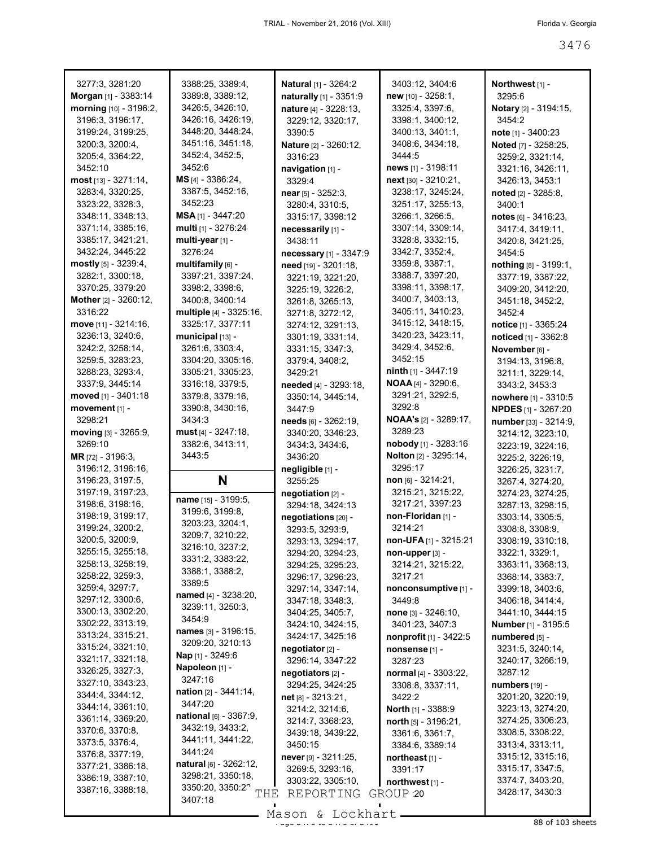| 3277:3, 3281:20                                                                 | 3388:25, 3389:4,                                                                  | <b>Natural</b> [1] - 3264:2                                                  | 3403:12, 3404:6                                            | Northwest <sub>[1]</sub> -                                                     |
|---------------------------------------------------------------------------------|-----------------------------------------------------------------------------------|------------------------------------------------------------------------------|------------------------------------------------------------|--------------------------------------------------------------------------------|
| Morgan [1] - 3383:14                                                            | 3389:8, 3389:12,                                                                  | naturally [1] - 3351:9                                                       | new [10] - 3258:1,                                         | 3295:6                                                                         |
| morning [10] - 3196:2,                                                          | 3426:5, 3426:10,                                                                  | nature [4] - 3228:13,                                                        | 3325:4, 3397:6,                                            | Notary [2] - 3194:15,                                                          |
| 3196:3, 3196:17,                                                                | 3426:16, 3426:19,                                                                 | 3229:12, 3320:17,                                                            | 3398:1, 3400:12,                                           | 3454:2                                                                         |
| 3199:24, 3199:25,                                                               | 3448:20, 3448:24,                                                                 | 3390:5                                                                       | 3400:13, 3401:1,                                           | note [1] - 3400:23                                                             |
| 3200:3, 3200:4,                                                                 | 3451:16, 3451:18,                                                                 | Nature [2] - 3260:12,                                                        | 3408:6, 3434:18,                                           | Noted [7] - 3258:25,                                                           |
| 3205:4, 3364:22,                                                                | 3452:4, 3452:5,                                                                   | 3316:23                                                                      | 3444:5                                                     | 3259:2, 3321:14,                                                               |
| 3452:10                                                                         | 3452:6                                                                            | navigation [1] -                                                             | news [1] - 3198:11                                         | 3321:16, 3426:11,                                                              |
| most [13] - 3271:14,                                                            | MS [4] - 3386:24,                                                                 | 3329:4                                                                       | next [30] - 3210:21,                                       | 3426:13, 3453:1                                                                |
| 3283:4, 3320:25,                                                                | 3387:5, 3452:16,                                                                  | near $[5] - 3252:3$ ,                                                        | 3238:17, 3245:24,                                          | noted [2] - 3285:8,                                                            |
| 3323:22, 3328:3,                                                                | 3452:23                                                                           | 3280:4, 3310:5,                                                              | 3251:17, 3255:13,                                          | 3400:1                                                                         |
| 3348:11, 3348:13,                                                               | $MSA_{[1]} - 3447:20$                                                             | 3315:17, 3398:12                                                             | 3266:1, 3266:5,                                            | notes [6] - 3416:23,                                                           |
| 3371:14, 3385:16,                                                               | multi [1] - 3276:24                                                               | necessarily [1] -                                                            | 3307:14, 3309:14,                                          | 3417:4, 3419:11,                                                               |
| 3385:17, 3421:21,                                                               | multi-year [1] -                                                                  | 3438:11                                                                      | 3328:8, 3332:15,                                           | 3420:8, 3421:25,                                                               |
| 3432:24, 3445:22                                                                | 3276:24                                                                           | necessary [1] - 3347:9                                                       | 3342:7, 3352:4,                                            | 3454:5                                                                         |
| mostly [5] - 3239:4,                                                            | multifamily $[6]$ -                                                               | need [19] - 3201:18,                                                         | 3359:8, 3387:1,                                            | nothing [8] - 3199:1,                                                          |
| 3282:1, 3300:18,                                                                | 3397:21, 3397:24,                                                                 | 3221:19, 3221:20,                                                            | 3388:7, 3397:20,                                           | 3377:19, 3387:22,                                                              |
| 3370:25, 3379:20                                                                | 3398:2, 3398:6,                                                                   | 3225:19, 3226:2,                                                             | 3398:11, 3398:17,                                          | 3409:20, 3412:20,                                                              |
| Mother [2] - 3260:12,                                                           | 3400:8, 3400:14                                                                   | 3261:8, 3265:13,                                                             | 3400:7, 3403:13,                                           | 3451:18, 3452:2,                                                               |
| 3316:22                                                                         | multiple [4] - 3325:16,                                                           | 3271:8, 3272:12,                                                             | 3405:11, 3410:23,                                          | 3452:4                                                                         |
| move [11] - 3214:16,                                                            | 3325:17, 3377:11                                                                  | 3274:12, 3291:13,                                                            | 3415:12, 3418:15,                                          | notice [1] - 3365:24                                                           |
| 3236:13, 3240:6,                                                                | municipal [13] -                                                                  | 3301:19, 3331:14,                                                            | 3420:23, 3423:11,                                          | noticed [1] - 3362:8                                                           |
| 3242:2, 3258:14,                                                                | 3261:6, 3303:4,                                                                   | 3331:15, 3347:3,                                                             | 3429:4, 3452:6,                                            | November [6] -                                                                 |
| 3259:5, 3283:23,                                                                | 3304:20, 3305:16,                                                                 | 3379:4, 3408:2,                                                              | 3452:15                                                    | 3194:13, 3196:8,                                                               |
| 3288:23, 3293:4,                                                                | 3305:21, 3305:23,                                                                 | 3429:21                                                                      | <b>ninth</b> $[1] - 3447:19$                               | 3211:1, 3229:14,                                                               |
| 3337:9, 3445:14                                                                 | 3316:18, 3379:5,                                                                  | needed [4] - 3293:18,                                                        | <b>NOAA</b> [4] - 3290:6,                                  | 3343:2, 3453:3                                                                 |
| moved [1] - 3401:18                                                             | 3379:8, 3379:16,                                                                  | 3350:14, 3445:14,                                                            | 3291:21, 3292:5,                                           | nowhere [1] - 3310:5                                                           |
| movement [1] -                                                                  | 3390:8, 3430:16,                                                                  | 3447:9                                                                       | 3292:8                                                     | <b>NPDES</b> [1] - 3267:20                                                     |
| 3298:21                                                                         | 3434:3                                                                            | needs [6] - 3262:19,                                                         | <b>NOAA's</b> [2] - 3289:17,                               | number [33] - 3214:9,                                                          |
| moving [3] - 3265:9,                                                            | $must [4] - 3247:18,$                                                             | 3340:20, 3346:23,                                                            | 3289:23                                                    | 3214:12, 3223:10,                                                              |
| 3269:10                                                                         | 3382:6, 3413:11,                                                                  | 3434:3, 3434:6,                                                              | nobody [1] - 3283:16                                       | 3223:19, 3224:16,                                                              |
| MR [72] - 3196:3,                                                               | 3443:5                                                                            | 3436:20                                                                      | <b>Nolton</b> [2] - 3295:14,                               | 3225:2, 3226:19,                                                               |
| 3196:12, 3196:16,<br>3196:23, 3197:5,<br>3197:19, 3197:23,                      | N<br>name [15] - 3199:5,                                                          | negligible [1] -<br>3255:25<br>negotiation [2] -                             | 3295:17<br>$non$ [6] - 3214:21,<br>3215:21, 3215:22,       | 3226:25, 3231:7,<br>3267:4, 3274:20,<br>3274:23, 3274:25,                      |
| 3198:6, 3198:16,                                                                | 3199:6, 3199:8,                                                                   | 3294:18, 3424:13                                                             | 3217:21, 3397:23                                           | 3287:13, 3298:15,                                                              |
| 3198:19, 3199:17,                                                               | 3203:23, 3204:1,                                                                  | negotiations [20] -                                                          | non-Floridan [1] -                                         | 3303:14, 3305:5,                                                               |
| 3199:24, 3200:2,                                                                | 3209:7, 3210:22,                                                                  | 3293:5, 3293:9,                                                              | 3214:21                                                    | 3308:8, 3308:9,                                                                |
| 3200:5, 3200:9,                                                                 | 3216:10, 3237:2,                                                                  | 3293:13, 3294:17,                                                            | non-UFA [1] - 3215:21                                      | 3308:19, 3310:18,                                                              |
| 3255:15, 3255:18,                                                               | 3331:2, 3383:22,                                                                  | 3294:20, 3294:23,                                                            | non-upper [3] -                                            | 3322:1, 3329:1,                                                                |
| 3258:13, 3258:19,                                                               | 3388:1, 3388:2,                                                                   | 3294:25, 3295:23,                                                            | 3214:21, 3215:22,                                          | 3363:11, 3368:13,                                                              |
| 3258:22, 3259:3,                                                                | 3389:5                                                                            | 3296:17, 3296:23,                                                            | 3217:21                                                    | 3368:14, 3383:7,                                                               |
| 3259:4, 3297:7,                                                                 | named [4] - 3238:20,                                                              | 3297:14, 3347:14,                                                            | nonconsumptive [1] -                                       | 3399:18, 3403:6,                                                               |
| 3297:12, 3300:6,                                                                | 3239:11, 3250:3,                                                                  | 3347:18, 3348:3,                                                             | 3449:8                                                     | 3406:18, 3414:4,                                                               |
| 3300:13, 3302:20,                                                               | 3454:9                                                                            | 3404:25, 3405:7,                                                             | none [3] - 3246:10,                                        | 3441:10, 3444:15                                                               |
| 3302:22, 3313:19,                                                               | names [3] - 3196:15,                                                              | 3424:10, 3424:15,                                                            | 3401:23, 3407:3                                            | Number [1] - 3195:5                                                            |
| 3313:24, 3315:21,                                                               | 3209:20, 3210:13                                                                  | 3424:17, 3425:16                                                             | nonprofit [1] - 3422:5                                     | numbered [5] -                                                                 |
| 3315:24, 3321:10,<br>3321:17, 3321:18,<br>3326:25, 3327:3,<br>3327:10, 3343:23, | Nap [1] - 3249:6<br>Napoleon [1] -<br>3247:16                                     | negotiator [2] -<br>3296:14, 3347:22<br>negotiators [2] -                    | nonsense [1] -<br>3287:23<br>normal [4] - 3303:22,         | 3231:5, 3240:14,<br>3240:17, 3266:19,<br>3287:12                               |
| 3344:4, 3344:12,                                                                | nation [2] - 3441:14,                                                             | 3294:25, 3424:25                                                             | 3308:8, 3337:11,                                           | numbers [19] -                                                                 |
| 3344:14, 3361:10,                                                               | 3447:20                                                                           | $net [8] - 3213:21,$                                                         | 3422:2                                                     | 3201:20, 3220:19,                                                              |
| 3361:14, 3369:20,                                                               | $national$ [6] - 3367:9,                                                          | 3214:2, 3214:6,                                                              | <b>North</b> $[1]$ - 3388:9                                | 3223:13, 3274:20,                                                              |
| 3370:6, 3370:8,<br>3373:5, 3376:4,<br>3376:8, 3377:19,                          | 3432:19, 3433:2,<br>3441:11, 3441:22,<br>3441:24                                  | 3214:7, 3368:23,<br>3439:18, 3439:22,<br>3450:15                             | north [5] - 3196:21,<br>3361:6, 3361:7,<br>3384:6, 3389:14 | 3274:25, 3306:23,<br>3308:5, 3308:22,<br>3313:4, 3313:11,<br>3315:12, 3315:16, |
| 3377:21, 3386:18,<br>3386:19, 3387:10,<br>3387:16, 3388:18,                     | natural [6] - 3262:12,<br>3298:21, 3350:18,<br>3350:20, 3350:22<br>THE<br>3407:18 | $never$ [9] - 3211:25,<br>3269:5, 3293:16,<br>3303:22, 3305:10,<br>REPORTING | northeast [1] -<br>3391:17<br>northwest [1] -<br>GROUP 20  | 3315:17, 3347:5,<br>3374:7, 3403:20,<br>3428:17, 3430:3                        |
|                                                                                 |                                                                                   | Mason & Lockhart                                                             |                                                            |                                                                                |

Mason & Lockhart 2008 and 380 times and 380 to 388 of 103 sheets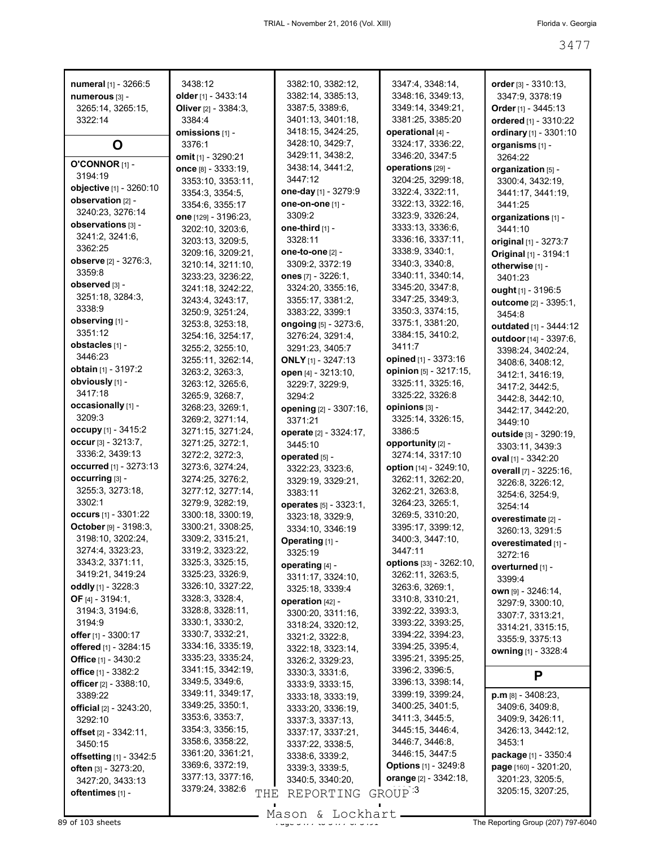| numeral [1] - 3266:5                           | 3438:12                                          | 3382:10, 3382:12,             | 3347:4, 3348:14,                            | order $[3] - 3310.13$ ,               |
|------------------------------------------------|--------------------------------------------------|-------------------------------|---------------------------------------------|---------------------------------------|
| numerous [3] -                                 | older $[1]$ - 3433:14                            | 3382:14, 3385:13,             | 3348:16, 3349:13,                           | 3347:9, 3378:19                       |
| 3265:14, 3265:15,                              | Oliver [2] - 3384:3,                             | 3387:5, 3389:6,               | 3349:14, 3349:21,                           | Order [1] - 3445:13                   |
| 3322:14                                        | 3384:4                                           | 3401:13, 3401:18,             | 3381:25, 3385:20                            | ordered [1] - 3310:22                 |
|                                                | omissions [1] -                                  | 3418:15, 3424:25,             | operational [4] -                           | ordinary [1] - 3301:10                |
| O                                              | 3376:1                                           | 3428:10, 3429:7,              | 3324:17, 3336:22,                           | organisms [1] -                       |
| O'CONNOR [1] -                                 | omit [1] - 3290:21                               | 3429:11, 3438:2,              | 3346:20, 3347:5                             | 3264:22                               |
| 3194:19                                        | once [8] - 3333:19,                              | 3438:14, 3441:2,              | operations [29] -                           | organization [5] -                    |
| objective [1] - 3260:10                        | 3353:10, 3353:11,                                | 3447:12                       | 3204:25, 3299:18,                           | 3300:4, 3432:19,                      |
| observation [2] -                              | 3354:3, 3354:5,                                  | one-day [1] - 3279:9          | 3322:4, 3322:11,                            | 3441:17, 3441:19,                     |
| 3240:23, 3276:14                               | 3354:6, 3355:17                                  | one-on-one [1] -              | 3322:13, 3322:16,                           | 3441:25                               |
| observations [3] -                             | one [129] - 3196:23,                             | 3309:2                        | 3323:9, 3326:24,                            | organizations [1] -                   |
| 3241:2, 3241:6,                                | 3202:10, 3203:6,                                 | one-third [1] -               | 3333:13, 3336:6,                            | 3441:10                               |
| 3362:25                                        | 3203:13, 3209:5,                                 | 3328:11                       | 3336:16, 3337:11,                           | original [1] - 3273:7                 |
|                                                | 3209:16, 3209:21,                                | one-to-one $[2]$ -            | 3338:9, 3340:1,                             | Original [1] - 3194:1                 |
| observe [2] - 3276:3,                          | 3210:14, 3211:10,                                | 3309:2, 3372:19               | 3340:3, 3340:8,                             | otherwise [1] -                       |
| 3359:8<br>observed [3] -                       | 3233:23, 3236:22,                                | ones [7] - 3226:1,            | 3340:11, 3340:14,                           | 3401:23                               |
|                                                | 3241:18, 3242:22,                                | 3324:20, 3355:16,             | 3345:20, 3347:8,                            | ought [1] - 3196:5                    |
| 3251:18, 3284:3,                               | 3243:4, 3243:17,                                 | 3355:17, 3381:2,              | 3347:25, 3349:3,                            | outcome [2] - 3395:1,                 |
| 3338:9                                         | 3250:9, 3251:24,                                 | 3383:22, 3399:1               | 3350:3, 3374:15,                            | 3454:8                                |
| observing [1] -                                | 3253:8, 3253:18,                                 | ongoing [5] - 3273:6,         | 3375:1, 3381:20,                            | outdated [1] - 3444:12                |
| 3351:12                                        | 3254:16, 3254:17,                                | 3276:24, 3291:4,              | 3384:15, 3410:2,                            | outdoor [14] - 3397:6,                |
| obstacles [1] -                                | 3255:2, 3255:10,                                 | 3291:23, 3405:7               | 3411:7                                      | 3398:24, 3402:24,                     |
| 3446:23                                        | 3255:11, 3262:14,                                | <b>ONLY</b> [1] - 3247:13     | opined [1] - 3373:16                        | 3408:6, 3408:12,                      |
| obtain [1] - 3197:2                            | 3263:2, 3263:3,                                  | open [4] - 3213:10,           | opinion [5] - 3217:15,                      | 3412:1, 3416:19,                      |
| obviously [1] -                                | 3263:12, 3265:6,                                 | 3229:7, 3229:9,               | 3325:11, 3325:16,                           | 3417:2, 3442:5,                       |
| 3417:18                                        | 3265:9, 3268:7,                                  | 3294:2                        | 3325:22, 3326:8                             | 3442:8, 3442:10,                      |
| occasionally [1] -                             | 3268:23, 3269:1,                                 | opening [2] - 3307:16,        | opinions [3] -                              | 3442:17, 3442:20,                     |
| 3209:3                                         | 3269:2, 3271:14,                                 | 3371:21                       | 3325:14, 3326:15,                           | 3449:10                               |
| occupy $[1] - 3415:2$                          | 3271:15, 3271:24,                                | operate [2] - 3324:17,        | 3386:5                                      | outside [3] - 3290:19,                |
| occur [3] - 3213:7,                            | 3271:25, 3272:1,                                 | 3445:10                       | opportunity [2] -                           | 3303:11, 3439:3                       |
| 3336:2, 3439:13                                | 3272:2, 3272:3,                                  | operated [5] -                | 3274:14, 3317:10                            | oval [1] - 3342:20                    |
| occurred [1] - 3273:13                         | 3273:6, 3274:24,                                 | 3322:23, 3323:6,              | option [14] - 3249:10,                      | overall [7] - 3225:16,                |
| occurring [3] -                                | 3274:25, 3276:2,                                 | 3329:19, 3329:21,             | 3262:11, 3262:20,                           | 3226:8, 3226:12,                      |
| 3255:3, 3273:18,                               | 3277:12, 3277:14,                                | 3383:11                       | 3262:21, 3263:8,                            | 3254:6, 3254:9,                       |
| 3302:1                                         | 3279:9, 3282:19,                                 | operates [5] - 3323:1,        | 3264:23, 3265:1,                            | 3254:14                               |
| <b>occurs</b> [1] - 3301:22                    | 3300:18, 3300:19,                                | 3323:18, 3329:9,              | 3269:5, 3310:20,                            | overestimate [2] -                    |
| October [9] - 3198:3,                          | 3300:21, 3308:25,                                | 3334:10, 3346:19              | 3395:17, 3399:12,                           | 3260:13, 3291:5                       |
| 3198:10, 3202:24,                              | 3309:2, 3315:21,                                 | Operating [1] -               |                                             |                                       |
| 3274:4, 3323:23,                               |                                                  |                               | 3400:3, 3447:10,                            |                                       |
|                                                | 3319:2, 3323:22,                                 |                               | 3447:11                                     | overestimated [1] -                   |
| 3343:2, 3371:11,                               | 3325:3, 3325:15,                                 | 3325:19                       | options [33] - 3262:10,                     | 3272:16                               |
| 3419:21, 3419:24                               | 3325:23, 3326:9,                                 | operating [4] -               | 3262:11, 3263:5,                            | overturned [1] -                      |
| oddly [1] - 3228:3                             | 3326:10, 3327:22,                                | 3311:17, 3324:10,             | 3263.6, 3269.1,                             | 3399:4                                |
| OF $[4] - 3194:1$ ,                            | 3328:3, 3328:4,                                  | 3325:18, 3339:4               | 3310:8, 3310:21,                            | own [9] - 3246:14,                    |
| 3194:3, 3194:6,                                | 3328:8, 3328:11,                                 | operation [42] -              | 3392:22, 3393:3,                            | 3297:9, 3300:10,                      |
| 3194:9                                         | 3330:1, 3330:2,                                  | 3300:20, 3311:16,             | 3393:22, 3393:25,                           | 3307:7, 3313:21,                      |
| offer $[1] - 3300:17$                          | 3330:7, 3332:21,                                 | 3318:24, 3320:12,             | 3394:22, 3394:23,                           | 3314:21, 3315:15,                     |
|                                                | 3334:16, 3335:19,                                | 3321:2, 3322:8,               | 3394:25, 3395:4,                            | 3355:9, 3375:13                       |
| offered [1] - 3284:15<br>Office $[1] - 3430:2$ | 3335:23, 3335:24,                                | 3322:18, 3323:14,             | 3395:21, 3395:25,                           | owning [1] - 3328:4                   |
|                                                | 3341:15, 3342:19,                                | 3326:2, 3329:23,              | 3396:2, 3396:5,                             |                                       |
| office [1] - 3382:2<br>officer [2] - 3388:10,  | 3349:5, 3349:6,                                  | 3330:3, 3331:6,               | 3396:13, 3398:14,                           | P                                     |
| 3389:22                                        | 3349:11, 3349:17,                                | 3333:9, 3333:15,              | 3399:19, 3399:24,                           | $p.m$ [8] - 3408:23,                  |
|                                                | 3349:25, 3350:1,                                 | 3333:18, 3333:19,             | 3400:25, 3401:5,                            | 3409:6, 3409:8,                       |
| <b>official</b> [2] - 3243:20,                 | 3353:6, 3353:7,                                  | 3333:20, 3336:19,             | 3411:3, 3445:5,                             | 3409:9, 3426:11,                      |
| 3292:10                                        | 3354:3, 3356:15,                                 | 3337:3, 3337:13,              | 3445:15, 3446:4,                            | 3426:13, 3442:12,                     |
| offset [2] - 3342:11,                          | 3358:6, 3358:22,                                 | 3337:17, 3337:21,             | 3446.7, 3446.8,                             | 3453:1                                |
| 3450:15                                        | 3361:20, 3361:21,                                | 3337:22, 3338:5,              | 3446:15, 3447:5                             |                                       |
| offsetting [1] - 3342:5                        | 3369:6, 3372:19,                                 | 3338:6, 3339:2,               | <b>Options</b> [1] - 3249:8                 | package [1] - 3350:4                  |
| often [3] - 3273:20,                           | 3377:13, 3377:16,                                | 3339:3, 3339:5,               |                                             | page [160] - 3201:20,                 |
| 3427:20, 3433:13<br>oftentimes [1] -           | 3379:24, 3382:6<br>$\operatorname{\mathbf{THE}}$ | 3340:5, 3340:20,<br>REPORTING | orange [2] - 3342:18,<br>GROUP <sup>3</sup> | 3201:23, 3205:5,<br>3205:15, 3207:25, |

Mason & Lockhart **Page 3478 of 103 sheets** Page 3477-6040<br>B9 of 103 sheets **Page 3491 of 3491 of 3477 of 3477 of 3477 of 3477 of 3477 of 3477 of 3477 of 3477 of 3477 of 34**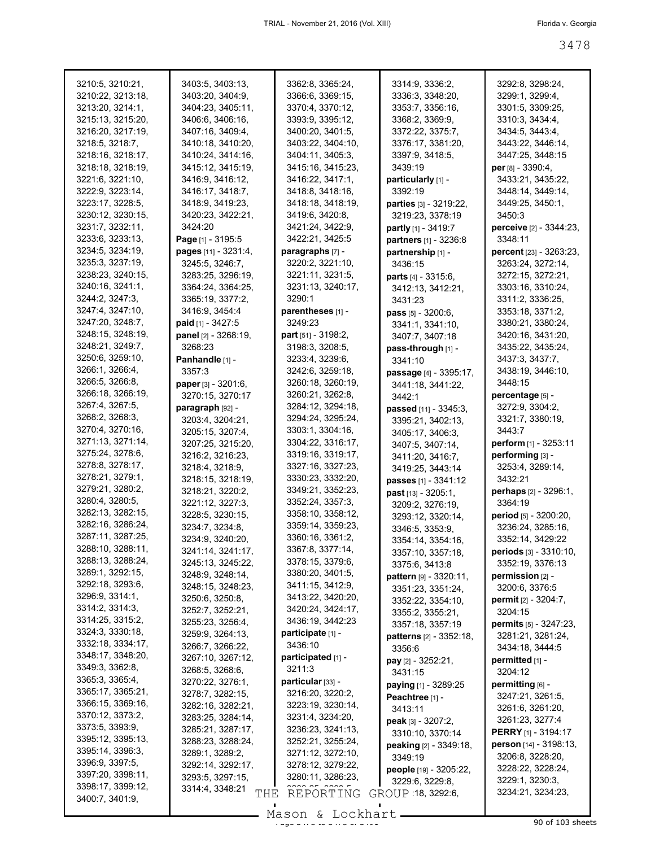| 3210:5, 3210:21,                       | 3403:5, 3403:13,                     | 3362:8, 3365:24,                       | 3314:9, 3336:2,                 | 3292:8, 3298:24,                      |
|----------------------------------------|--------------------------------------|----------------------------------------|---------------------------------|---------------------------------------|
| 3210:22, 3213:18,                      | 3403:20, 3404:9,                     | 3366:6, 3369:15,                       | 3336:3, 3348:20,                | 3299:1, 3299:4,                       |
| 3213:20, 3214:1,                       | 3404:23, 3405:11,                    | 3370:4, 3370:12,                       | 3353:7, 3356:16,                | 3301:5, 3309:25,                      |
| 3215:13, 3215:20,                      | 3406:6, 3406:16,                     | 3393:9, 3395:12,                       | 3368:2, 3369:9,                 | 3310:3, 3434:4,                       |
| 3216:20, 3217:19,                      | 3407:16, 3409:4,                     | 3400:20, 3401:5,                       | 3372:22, 3375:7,                | 3434:5, 3443:4,                       |
| 3218:5, 3218:7,                        | 3410:18, 3410:20,                    | 3403:22, 3404:10,                      | 3376:17, 3381:20,               | 3443:22, 3446:14,                     |
| 3218:16, 3218:17,                      | 3410:24, 3414:16,                    | 3404:11, 3405:3,                       | 3397:9, 3418:5,                 | 3447:25, 3448:15                      |
| 3218:18, 3218:19,                      | 3415:12, 3415:19,                    | 3415:16, 3415:23,                      | 3439:19                         | $per$ [8] - 3390:4,                   |
| 3221:6, 3221:10,                       | 3416:9, 3416:12,                     | 3416:22, 3417:1,                       | particularly [1] -              | 3433:21, 3435:22,                     |
| 3222:9, 3223:14,                       | 3416:17, 3418:7,                     | 3418:8, 3418:16,                       | 3392:19                         | 3448:14, 3449:14,                     |
| 3223:17, 3228:5,                       | 3418:9, 3419:23,                     | 3418:18, 3418:19,                      | <b>parties</b> [3] - 3219:22,   | 3449:25, 3450:1,                      |
| 3230:12, 3230:15,                      | 3420:23, 3422:21,                    | 3419:6, 3420:8,                        | 3219:23, 3378:19                | 3450:3                                |
| 3231:7, 3232:11,                       | 3424:20                              | 3421:24, 3422:9,                       | partly [1] - 3419:7             | perceive [2] - 3344:23,               |
| 3233:6, 3233:13,                       | Page [1] - 3195:5                    | 3422:21, 3425:5                        | partners [1] - 3236:8           | 3348:11                               |
| 3234:5, 3234:19,                       | pages [11] - 3231:4,                 | paragraphs [7] -                       | partnership [1] -               | percent [23] - 3263:23,               |
| 3235:3, 3237:19,                       | 3245:5, 3246:7,                      | 3220:2, 3221:10,                       | 3436:15                         | 3263:24, 3272:14,                     |
| 3238:23, 3240:15,                      | 3283:25, 3296:19,                    | 3221:11, 3231:5,                       | parts [4] - 3315:6,             | 3272:15, 3272:21,                     |
| 3240:16, 3241:1,                       | 3364:24, 3364:25,                    | 3231:13, 3240:17,                      | 3412:13, 3412:21,               | 3303:16, 3310:24,                     |
| 3244:2, 3247:3,                        | 3365:19, 3377:2,                     | 3290:1                                 | 3431:23                         | 3311:2, 3336:25,                      |
| 3247:4, 3247:10,                       | 3416:9, 3454:4                       | parentheses [1] -                      | pass [5] - 3200:6,              | 3353:18, 3371:2,                      |
| 3247:20, 3248:7,                       | paid [1] - 3427:5                    | 3249:23                                | 3341:1, 3341:10,                | 3380:21, 3380:24,                     |
| 3248:15, 3248:19,                      | panel [2] - 3268:19,                 | <b>part</b> [51] - $3198:2$ ,          | 3407:7, 3407:18                 | 3420:16, 3431:20,                     |
| 3248:21, 3249:7,                       | 3268:23                              | 3198:3, 3208:5,                        | pass-through [1] -              | 3435:22, 3435:24,                     |
| 3250:6, 3259:10,                       | Panhandle [1] -                      | 3233:4, 3239:6,                        | 3341:10                         | 3437:3, 3437:7,                       |
| 3266:1, 3266:4,                        | 3357:3                               | 3242:6, 3259:18,                       | <b>passage</b> [4] - 3395:17,   | 3438:19, 3446:10,                     |
| 3266:5, 3266:8,                        | paper [3] - 3201:6,                  | 3260:18, 3260:19,                      | 3441:18, 3441:22,               | 3448:15                               |
| 3266:18, 3266:19,                      | 3270:15, 3270:17                     | 3260:21, 3262:8,                       | 3442:1                          | percentage [5] -                      |
| 3267:4, 3267:5,                        | paragraph [92] -                     | 3284:12, 3294:18,                      | passed [11] - 3345:3,           | 3272:9, 3304:2,                       |
| 3268:2, 3268:3,                        | 3203:4, 3204:21,                     | 3294:24, 3295:24,                      | 3395:21, 3402:13,               | 3321:7, 3380:19,                      |
| 3270:4, 3270:16,                       | 3205:15, 3207:4,                     | 3303:1, 3304:16,                       | 3405:17, 3406:3,                | 3443:7                                |
| 3271:13, 3271:14,                      | 3207:25, 3215:20,                    | 3304:22, 3316:17,                      | 3407:5, 3407:14,                | perform [1] - 3253:11                 |
| 3275:24, 3278:6,                       | 3216:2, 3216:23,                     | 3319:16, 3319:17,                      | 3411:20, 3416:7,                | performing [3] -                      |
| 3278:8, 3278:17,                       | 3218:4, 3218:9,                      | 3327:16, 3327:23,                      | 3419:25, 3443:14                | 3253:4, 3289:14,                      |
| 3278:21, 3279:1,                       | 3218:15, 3218:19,                    | 3330:23, 3332:20,                      | passes [1] - 3341:12            | 3432:21                               |
| 3279:21, 3280:2,                       | 3218:21, 3220:2,                     | 3349:21, 3352:23,                      | past [13] - 3205:1,             | perhaps [2] - 3296:1,                 |
| 3280:4, 3280:5,                        | 3221:12, 3227:3,                     | 3352:24, 3357:3,                       | 3209:2, 3276:19,                | 3364:19                               |
| 3282:13, 3282:15,                      | 3228:5, 3230:15,                     | 3358:10, 3358:12,                      | 3293:12, 3320:14,               | <b>period</b> [5] - 3200:20,          |
| 3282:16, 3286:24,                      | 3234:7, 3234:8,                      | 3359:14, 3359:23,                      | 3346:5, 3353:9,                 | 3236:24, 3285:16,                     |
| 3287:11, 3287:25,                      | 3234:9, 3240:20,                     | 3360:16, 3361:2,                       | 3354:14, 3354:16,               | 3352:14, 3429:22                      |
| 3288:10, 3288:11,<br>3288:13, 3288:24, | 3241:14, 3241:17,                    | 3367:8, 3377:14,                       | 3357:10, 3357:18,               | <b>periods</b> [3] - 3310:10,         |
| 3289:1, 3292:15,                       | 3245:13, 3245:22,                    | 3378:15, 3379:6,<br>3380:20, 3401:5,   | 3375:6, 3413:8                  | 3352:19, 3376:13                      |
| 3292:18, 3293:6,                       | 3248:9, 3248:14,                     |                                        | pattern [9] - 3320:11,          | permission $[2]$ -                    |
| 3296:9, 3314:1,                        | 3248:15, 3248:23,                    | 3411:15, 3412:9,                       | 3351:23, 3351:24,               | 3200:6, 3376:5                        |
| 3314:2, 3314:3,                        | 3250:6, 3250:8,                      | 3413:22, 3420:20,<br>3420:24, 3424:17, | 3352:22, 3354:10,               | permit [2] - 3204:7,                  |
| 3314:25, 3315:2,                       | 3252:7, 3252:21,                     | 3436:19, 3442:23                       | 3355:2, 3355:21,                | 3204:15                               |
| 3324:3, 3330:18,                       | 3255:23, 3256:4,<br>3259:9, 3264:13, | participate [1] -                      | 3357:18, 3357:19                | permits [5] - 3247:23,                |
| 3332:18, 3334:17,                      | 3266:7, 3266:22,                     | 3436:10                                | <b>patterns</b> $[2] - 3352:18$ | 3281:21, 3281:24,                     |
| 3348:17, 3348:20,                      | 3267:10, 3267:12,                    | participated [1] -                     | 3356:6                          | 3434:18, 3444:5                       |
| 3349:3, 3362:8,                        | 3268:5, 3268:6,                      | 3211:3                                 | pay [2] - 3252:21,              | permitted [1] -                       |
| 3365:3, 3365:4,                        | 3270:22, 3276:1,                     | particular [33] -                      | 3431:15                         | 3204:12                               |
| 3365:17, 3365:21,                      | 3278:7, 3282:15,                     | 3216:20, 3220:2,                       | paying $[1]$ - 3289:25          | permitting [6] -                      |
| 3366:15, 3369:16,                      | 3282:16, 3282:21,                    | 3223:19, 3230:14,                      | Peachtree [1] -                 | 3247:21, 3261:5,                      |
| 3370:12, 3373:2,                       | 3283:25, 3284:14,                    | 3231:4, 3234:20,                       | 3413:11                         | 3261:6, 3261:20,                      |
| 3373:5, 3393:9,                        | 3285:21, 3287:17,                    | 3236:23, 3241:13,                      | peak [3] - 3207:2,              | 3261:23, 3277:4                       |
| 3395:12, 3395:13,                      | 3288:23, 3288:24,                    | 3252:21, 3255:24,                      | 3310:10, 3370:14                | <b>PERRY</b> [1] - 3194:17            |
| 3395:14, 3396:3,                       | 3289:1, 3289:2,                      | 3271:12, 3272:10,                      | peaking [2] - 3349:18,          | person [14] - 3198:13,                |
| 3396:9, 3397:5,                        | 3292:14, 3292:17,                    | 3278:12, 3279:22,                      | 3349:19                         | 3206:8, 3228:20,<br>3228:22, 3228:24, |
| 3397:20, 3398:11,                      | 3293:5, 3297:15,                     | 3280:11, 3286:23,                      | people [19] - 3205:22,          | 3229:1, 3230:3,                       |
| 3398:17, 3399:12,                      | 3314:4, 3348:21                      |                                        | 3229:6, 3229:8,                 | 3234:21, 3234:23,                     |
| 3400:7, 3401:9,                        | THE                                  | REPORTING                              | GROUP 18, 3292:6,               |                                       |
|                                        |                                      | Mason & Lockhart                       |                                 |                                       |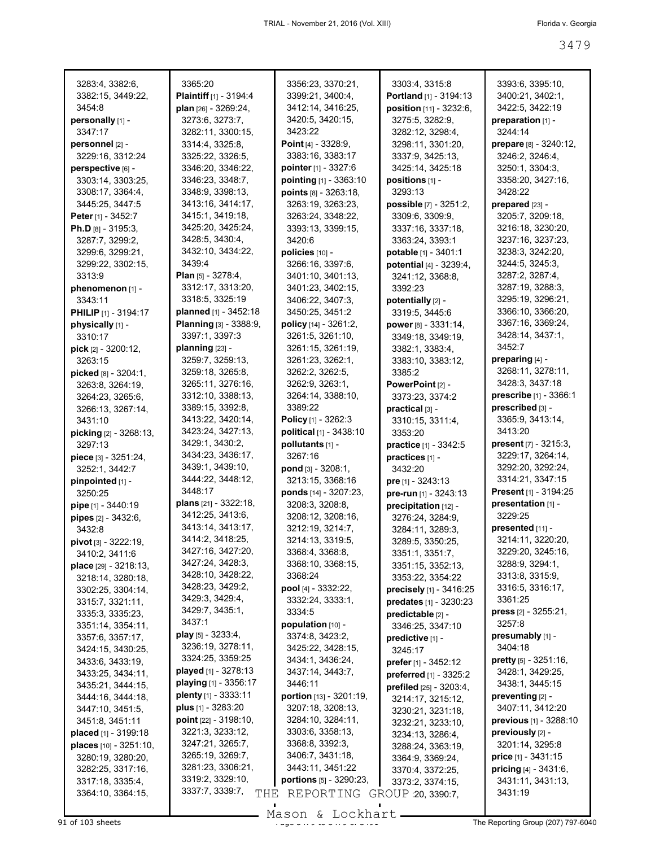| 3283:4, 3382:6,                       | 3365:20                                    | 3356:23, 3370:21,                    | 3303:4, 3315:8                                    | 3393:6, 3395:10,                       |
|---------------------------------------|--------------------------------------------|--------------------------------------|---------------------------------------------------|----------------------------------------|
| 3382:15, 3449:22,                     | Plaintiff [1] - 3194:4                     | 3399:21, 3400:4,                     | Portland [1] - 3194:13                            | 3400:21, 3402:1,                       |
| 3454:8                                | plan [26] - 3269:24,                       | 3412:14, 3416:25,                    | position [11] - 3232:6,                           | 3422:5, 3422:19                        |
| personally [1] -                      | 3273:6, 3273:7,                            | 3420:5, 3420:15,                     | 3275:5, 3282:9,                                   | preparation [1] -                      |
| 3347:17                               | 3282:11, 3300:15,                          | 3423:22                              | 3282:12, 3298:4,                                  | 3244:14                                |
| personnel [2] -                       | 3314:4, 3325:8,                            | <b>Point</b> [4] - $3328:9$ ,        | 3298:11, 3301:20,                                 | prepare [8] - 3240:12,                 |
| 3229:16, 3312:24                      | 3325:22, 3326:5,                           | 3383:16, 3383:17                     | 3337:9, 3425:13,                                  | 3246:2, 3246:4,                        |
| perspective [6] -                     | 3346:20, 3346:22,                          | pointer [1] - 3327:6                 | 3425:14, 3425:18                                  | 3250:1, 3304:3,                        |
| 3303:14, 3303:25,                     | 3346:23, 3348:7,                           | pointing [1] - 3363:10               | positions [1] -                                   | 3358:20, 3427:16,                      |
| 3308:17, 3364:4,                      | 3348:9, 3398:13,                           | points [8] - 3263:18,                | 3293:13                                           | 3428:22                                |
| 3445:25, 3447:5                       | 3413:16, 3414:17,                          | 3263:19, 3263:23.                    | possible [7] - 3251:2,                            | prepared [23] -                        |
| Peter [1] - 3452:7                    | 3415:1, 3419:18,                           | 3263:24, 3348:22,                    | 3309:6, 3309:9,                                   | 3205:7, 3209:18,                       |
| Ph.D [8] - 3195:3,                    | 3425:20, 3425:24,<br>3428:5, 3430:4,       | 3393:13, 3399:15,<br>3420:6          | 3337:16, 3337:18,                                 | 3216:18, 3230:20,<br>3237:16, 3237:23, |
| 3287:7, 3299:2,<br>3299:6, 3299:21,   | 3432:10, 3434:22,                          | policies [10] -                      | 3363:24, 3393:1<br>potable [1] - 3401:1           | 3238:3, 3242:20,                       |
| 3299:22, 3302:15,                     | 3439:4                                     | 3266:16, 3397:6,                     | potential [4] - 3239:4,                           | 3244:5, 3245:3,                        |
| 3313:9                                | <b>Plan</b> [5] - $3278:4$ ,               | 3401:10, 3401:13,                    | 3241:12, 3368:8,                                  | 3287:2, 3287:4,                        |
| phenomenon [1] -                      | 3312:17, 3313:20,                          | 3401:23, 3402:15,                    | 3392:23                                           | 3287:19, 3288:3,                       |
| 3343:11                               | 3318:5, 3325:19                            | 3406:22, 3407:3,                     | potentially [2] -                                 | 3295:19, 3296:21,                      |
| <b>PHILIP</b> $[1] - 3194:17$         | planned [1] - 3452:18                      | 3450:25, 3451:2                      | 3319:5, 3445:6                                    | 3366:10, 3366:20,                      |
| physically [1] -                      | <b>Planning</b> $[3] - 3388.9$ ,           | policy [14] - 3261:2,                | power [8] - 3331:14,                              | 3367:16, 3369:24,                      |
| 3310:17                               | 3397:1, 3397:3                             | 3261:5, 3261:10,                     | 3349:18, 3349:19,                                 | 3428:14, 3437:1,                       |
| pick [2] - 3200:12,                   | planning $[23]$ -                          | 3261:15, 3261:19,                    | 3382:1, 3383:4,                                   | 3452.7                                 |
| 3263:15                               | 3259:7, 3259:13,                           | 3261:23, 3262:1,                     | 3383:10, 3383:12,                                 | preparing $[4]$ -                      |
| picked [8] - 3204:1,                  | 3259:18, 3265:8,                           | 3262:2, 3262:5,                      | 3385:2                                            | 3268:11, 3278:11,                      |
| 3263:8, 3264:19,                      | 3265:11, 3276:16,                          | 3262:9, 3263:1,                      | PowerPoint [2] -                                  | 3428:3, 3437:18                        |
| 3264:23, 3265:6,                      | 3312:10, 3388:13,                          | 3264:14, 3388:10,                    | 3373:23, 3374:2                                   | prescribe [1] - 3366:1                 |
| 3266:13, 3267:14,                     | 3389:15, 3392:8,                           | 3389:22                              | practical [3] -                                   | prescribed [3] -                       |
| 3431:10                               | 3413:22, 3420:14,                          | <b>Policy</b> [1] - 3262:3           | 3310:15, 3311:4,                                  | 3365:9, 3413:14,                       |
| picking [2] - 3268:13,                | 3423:24, 3427:13,                          | political [1] - 3438:10              | 3353:20                                           | 3413:20                                |
| 3297:13                               | 3429:1, 3430:2,                            | pollutants [1] -                     | practice [1] - 3342:5                             | present [7] - 3215:3,                  |
|                                       |                                            |                                      |                                                   |                                        |
| piece [3] - 3251:24,                  | 3434:23, 3436:17,                          | 3267:16                              | practices [1] -                                   | 3229:17, 3264:14,                      |
| 3252:1, 3442:7                        | 3439:1, 3439:10,                           | pond [3] - 3208:1,                   | 3432:20                                           | 3292:20, 3292:24,                      |
| pinpointed [1] -                      | 3444:22, 3448:12,                          | 3213:15, 3368:16                     | pre [1] - 3243:13                                 | 3314:21, 3347:15                       |
| 3250:25                               | 3448:17                                    | ponds [14] - 3207:23.                | pre-run [1] - 3243:13                             | Present [1] - 3194:25                  |
| pipe [1] - 3440:19                    | plans $[21] - 3322:18$ ,                   | 3208:3, 3208:8,                      | precipitation [12] -                              | presentation [1] -                     |
| pipes [2] - 3432:6,                   | 3412:25, 3413:6,                           | 3208:12, 3208:16,                    | 3276:24, 3284:9,                                  | 3229:25                                |
| 3432:8                                | 3413:14, 3413:17,                          | 3212:19, 3214:7,                     | 3284:11, 3289:3,                                  | $presented$ [11] -                     |
| pivot [3] - 3222:19,                  | 3414:2, 3418:25,                           | 3214:13, 3319:5,                     | 3289:5, 3350:25,                                  | 3214:11, 3220:20,                      |
| 3410:2, 3411:6                        | 3427:16, 3427:20,                          | 3368:4, 3368:8,                      | 3351:1, 3351:7,                                   | 3229:20, 3245:16,                      |
| place [29] - 3218:13,                 | 3427:24, 3428:3,                           | 3368:10, 3368:15,                    | 3351:15, 3352:13,                                 | 3288:9, 3294:1,                        |
| 3218:14, 3280:18,                     | 3428:10, 3428:22,<br>3428:23, 3429:2,      | 3368:24                              | 3353:22, 3354:22                                  | 3313:8, 3315:9,                        |
| 3302:25, 3304:14,                     | 3429:3, 3429:4,                            | pool [4] - 3332:22,                  | precisely [1] - 3416:25                           | 3316:5, 3316:17,<br>3361:25            |
| 3315:7, 3321:11,                      | 3429:7, 3435:1,                            | 3332:24, 3333:1,<br>3334:5           | predates [1] - 3230:23                            | <b>press</b> $[2] - 3255:21$ ,         |
| 3335:3, 3335:23,                      | 3437:1                                     | population [10] -                    | predictable [2] -                                 | 3257:8                                 |
| 3351:14, 3354:11,                     | play [5] - 3233:4,                         | 3374:8, 3423:2,                      | 3346:25, 3347:10                                  | presumably [1] -                       |
| 3357:6, 3357:17,<br>3424:15, 3430:25, | 3236:19, 3278:11,                          | 3425:22, 3428:15,                    | predictive [1] -<br>3245:17                       | 3404:18                                |
| 3433:6, 3433:19,                      | 3324:25, 3359:25                           | 3434:1, 3436:24,                     |                                                   | <b>pretty</b> $[5] - 3251:16$ ,        |
| 3433:25, 3434:11,                     | played [1] - 3278:13                       | 3437:14, 3443:7,                     | prefer [1] - 3452:12                              | 3428:1, 3429:25,                       |
| 3435:21, 3444:15,                     | <b>playing</b> $[1]$ - 3356:17             | 3446:11                              | preferred [1] - 3325:2<br>prefiled [25] - 3203:4, | 3438:1, 3445:15                        |
| 3444:16, 3444:18,                     | plenty $[1]$ - 3333:11                     | portion [13] - 3201:19,              | 3214:17, 3215:12,                                 | preventing [2] -                       |
| 3447:10, 3451:5,                      | <b>plus</b> $[1] - 3283:20$                | 3207:18, 3208:13,                    | 3230:21, 3231:18,                                 | 3407:11, 3412:20                       |
| 3451:8, 3451:11                       | point [22] - 3198:10,                      | 3284:10, 3284:11,                    | 3232:21, 3233:10,                                 | previous [1] - 3288:10                 |
| placed [1] - 3199:18                  | 3221:3, 3233:12,                           | 3303:6, 3358:13,                     | 3234:13, 3286:4,                                  | $previously [2] -$                     |
| places $[10] - 3251:10$ ,             | 3247:21, 3265:7,                           | 3368:8, 3392:3,                      | 3288:24, 3363:19,                                 | 3201:14, 3295:8                        |
| 3280:19, 3280:20,                     | 3265:19, 3269:7,                           | 3406:7, 3431:18,                     | 3364:9, 3369:24,                                  | <b>price</b> $[1] - 3431:15$           |
| 3282:25, 3317:16,                     | 3281:23, 3306:21,                          | 3443:11, 3451:22                     | 3370:4, 3372:25,                                  | pricing [4] - 3431:6,                  |
| 3317:18, 3335:4,<br>3364:10, 3364:15, | 3319:2, 3329:10,<br>3337:7, 3339:7,<br>THE | portions [5] - 3290:23,<br>REPORTING | 3373:2, 3374:15,<br>GROUP 20, 3390.7,             | 3431:11, 3431:13,<br>3431:19           |

91 of 103 sheets  $\frac{9}{2}$  of  $\frac{100}{20}$  or  $\frac{100}{20}$  or  $\frac{100}{20}$  or  $\frac{100}{20}$  The Reporting Group (207) 797-6040 Mason & Lockhart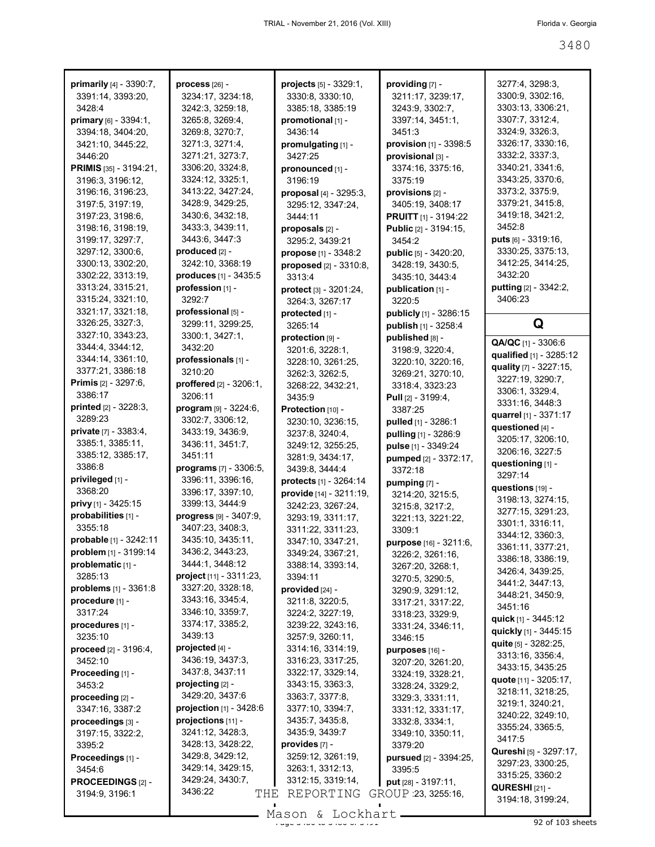| primarily [4] - 3390:7,         | process [26] -                        | projects [5] - 3329:1,               | providing [7] -                      | 3277:4, 3298:3,<br>3300:9, 3302:16, |
|---------------------------------|---------------------------------------|--------------------------------------|--------------------------------------|-------------------------------------|
| 3391:14, 3393:20,<br>3428:4     | 3234:17, 3234:18,<br>3242:3, 3259:18, | 3330:8, 3330:10,<br>3385:18, 3385:19 | 3211:17, 3239:17,<br>3243.9, 3302:7, | 3303:13, 3306:21,                   |
|                                 |                                       |                                      |                                      |                                     |
| primary [6] - 3394:1,           | 3265:8, 3269:4,                       | promotional [1] -                    | 3397:14, 3451:1,                     | 3307:7, 3312:4,<br>3324:9, 3326:3,  |
| 3394:18, 3404:20,               | 3269:8, 3270:7,                       | 3436:14                              | 3451:3                               |                                     |
| 3421:10, 3445:22,               | 3271:3, 3271:4,                       | promulgating [1] -                   | provision [1] - 3398:5               | 3326:17, 3330:16,                   |
| 3446:20                         | 3271:21, 3273:7,                      | 3427:25                              | provisional [3] -                    | 3332:2, 3337:3,                     |
| PRIMIS [35] - 3194:21,          | 3306:20, 3324:8,                      | pronounced [1] -                     | 3374:16, 3375:16,                    | 3340:21, 3341:6,                    |
| 3196:3, 3196:12,                | 3324:12, 3325:1,                      | 3196:19                              | 3375:19                              | 3343:25, 3370:6,                    |
| 3196:16, 3196:23,               | 3413:22, 3427:24,                     | proposal $[4] - 3295:3$ ,            | provisions [2] -                     | 3373:2, 3375:9,                     |
| 3197:5, 3197:19,                | 3428:9, 3429:25,                      | 3295:12, 3347:24,                    | 3405:19, 3408:17                     | 3379:21, 3415:8,                    |
| 3197:23, 3198:6,                | 3430:6, 3432:18,                      | 3444:11                              | <b>PRUITT</b> [1] - 3194:22          | 3419:18, 3421:2,                    |
| 3198:16, 3198:19,               | 3433:3, 3439:11,                      | proposals [2] -                      | Public [2] - 3194:15,                | 3452:8                              |
| 3199:17, 3297:7,                | 3443:6, 3447:3                        | 3295:2, 3439:21                      | 3454:2                               | <b>puts</b> $[6] - 3319:16$ ,       |
| 3297:12, 3300:6,                | produced [2] -                        | propose $[1] - 3348:2$               | public [5] - 3420:20,                | 3330:25, 3375:13,                   |
| 3300:13, 3302:20,               | 3242:10, 3368:19                      | proposed [2] - 3310:8,               | 3428:19, 3430:5,                     | 3412:25, 3414:25,                   |
| 3302:22, 3313:19,               | produces [1] - 3435:5                 | 3313:4                               | 3435:10, 3443:4                      | 3432:20                             |
| 3313:24, 3315:21,               | profession [1] -                      | protect $[3] - 3201:24$ ,            | publication [1] -                    | putting [2] - 3342:2,               |
| 3315:24, 3321:10,               | 3292:7                                | 3264:3, 3267:17                      | 3220:5                               | 3406:23                             |
| 3321:17, 3321:18,               | professional [5] -                    | protected [1] -                      | publicly [1] - 3286:15               |                                     |
| 3326:25, 3327:3,                | 3299:11, 3299:25,                     | 3265:14                              | publish [1] - 3258:4                 | Q                                   |
| 3327:10, 3343:23,               | 3300:1, 3427:1,                       | protection [9] -                     | published [8] -                      | QA/QC [1] - 3306:6                  |
| 3344:4, 3344:12,                | 3432:20                               | 3201:6, 3228:1,                      | 3198:9, 3220:4,                      | qualified [1] - 3285:12             |
| 3344:14, 3361:10,               | professionals [1] -                   | 3228:10, 3261:25,                    | 3220:10, 3220:16,                    |                                     |
| 3377:21, 3386:18                | 3210:20                               | 3262:3, 3262:5,                      | 3269:21, 3270:10,                    | quality [7] - 3227:15,              |
| Primis [2] - 3297:6,            | proffered [2] - 3206:1,               | 3268:22, 3432:21,                    | 3318:4, 3323:23                      | 3227:19, 3290:7,                    |
| 3386:17                         | 3206:11                               | 3435:9                               | <b>Pull</b> [2] - 3199:4,            | 3306:1, 3329:4,                     |
| printed [2] - 3228:3,           | program [9] - 3224:6,                 | Protection [10] -                    | 3387:25                              | 3331:16, 3448:3                     |
| 3289:23                         | 3302:7, 3306:12,                      | 3230:10, 3236:15,                    | pulled [1] - 3286:1                  | quarrel [1] - 3371:17               |
| <b>private</b> $[7] - 3383:4$ , | 3433:19, 3436:9,                      | 3237:8, 3240:4,                      | pulling [1] - 3286:9                 | questioned [4] -                    |
| 3385:1, 3385:11,                | 3436:11, 3451:7,                      | 3249:12, 3255:25,                    | pulse [1] - 3349:24                  | 3205:17, 3206:10,                   |
| 3385:12, 3385:17,               | 3451:11                               | 3281:9, 3434:17,                     | pumped [2] - 3372:17,                | 3206:16, 3227:5                     |
| 3386:8                          | programs [7] - 3306:5,                | 3439:8, 3444:4                       | 3372:18                              | questioning [1] -                   |
| privileged [1] -                | 3396:11, 3396:16,                     | protects [1] - 3264:14               | pumping [7] -                        | 3297:14                             |
| 3368:20                         | 3396:17, 3397:10,                     | provide [14] - 3211:19,              | 3214:20, 3215:5,                     | questions [19] -                    |
| privy [1] - 3425:15             | 3399:13, 3444:9                       | 3242:23, 3267:24,                    | 3215:8, 3217:2,                      | 3198:13, 3274:15,                   |
| probabilities [1] -             | progress [9] - 3407:9,                | 3293:19, 3311:17,                    | 3221:13, 3221:22,                    | 3277:15, 3291:23,                   |
| 3355:18                         | 3407:23, 3408:3,                      | 3311:22, 3311:23,                    | 3309:1                               | 3301:1, 3316:11,                    |
| probable [1] - 3242:11          | 3435:10, 3435:11,                     | 3347:10, 3347:21,                    | purpose [16] - 3211:6,               | 3344:12, 3360:3,                    |
| <b>problem</b> [1] - 3199:14    | 3436:2, 3443:23,                      | 3349:24, 3367:21,                    | 3226:2, 3261:16,                     | 3361:11, 3377:21                    |
| problematic [1] -               | 3444:1, 3448:12                       | 3388:14, 3393:14,                    | 3267:20, 3268:1,                     | 3386:18, 3386:19,                   |
| 3285:13                         | project [11] - 3311:23,               | 3394:11                              | 3270:5, 3290:5,                      | 3426:4, 3439:25,                    |
| problems $[1] - 3361:8$         | 3327:20, 3328:18,                     | provided $[24]$ -                    | 3290:9, 3291:12,                     | 3441:2, 3447:13,                    |
| procedure [1] -                 | 3343:16, 3345:4,                      | 3211:8, 3220:5,                      | 3317:21, 3317:22,                    | 3448:21, 3450:9,                    |
| 3317:24                         | 3346:10, 3359:7,                      | 3224:2, 3227:19,                     | 3318:23, 3329:9,                     | 3451:16                             |
| procedures [1] -                | 3374:17, 3385:2,                      | 3239:22, 3243:16,                    | 3331:24, 3346:11,                    | quick [1] - 3445:12                 |
| 3235:10                         | 3439:13                               | 3257:9, 3260:11,                     | 3346:15                              | quickly [1] - 3445:15               |
| proceed [2] - 3196:4,           | projected [4] -                       | 3314:16, 3314:19,                    | purposes [16] -                      | <b>quite</b> [5] - 3282:25,         |
| 3452:10                         | 3436:19, 3437:3,                      | 3316:23, 3317:25,                    | 3207:20, 3261:20,                    | 3313:16, 3356:4,                    |
| Proceeding [1] -                | 3437:8, 3437:11                       | 3322:17, 3329:14,                    | 3324:19, 3328:21,                    | 3433:15, 3435:25                    |
| 3453:2                          | projecting [2] -                      | 3343:15, 3363:3,                     | 3328:24, 3329:2,                     | quote [11] - 3205:17,               |
| proceeding [2] -                | 3429:20, 3437:6                       | 3363:7, 3377:8,                      | 3329:3, 3331:11,                     | 3218:11, 3218:25,                   |
| 3347:16, 3387:2                 | projection [1] - 3428:6               | 3377:10, 3394:7,                     | 3331:12, 3331:17,                    | 3219:1, 3240:21,                    |
| proceedings [3] -               | projections [11] -                    | 3435:7, 3435:8,                      | 3332:8, 3334:1,                      | 3240:22, 3249:10,                   |
| 3197:15, 3322:2,                | 3241:12, 3428:3,                      | 3435:9, 3439:7                       | 3349:10, 3350:11,                    | 3355:24, 3365:5,                    |
| 3395:2                          | 3428:13, 3428:22,                     | provides [7] -                       | 3379:20                              | 3417:5                              |
| Proceedings [1] -               | 3429:8, 3429:12,                      | 3259:12, 3261:19,                    | pursued [2] - 3394:25,               | <b>Qureshi</b> [5] - 3297:17,       |
| 3454:6                          | 3429:14, 3429:15,                     | 3263:1, 3312:13,                     | 3395:5                               | 3297:23, 3300:25,                   |
| <b>PROCEEDINGS [2] -</b>        | 3429:24, 3430:7,                      | 3312:15, 3319:14,                    | put [28] - 3197:11,                  | 3315:25, 3360:2                     |
| 3194:9, 3196:1                  | 3436:22<br>THE                        | REPORTING                            | GROUP 23, 3255:16,                   | <b>QURESHI</b> [21] -               |
|                                 |                                       |                                      |                                      | 3194:18, 3199:24,                   |

 $\frac{3680 \text{ cm}}{92 \text{ of } 103 \text{ sheets}}$ Mason & Lockhart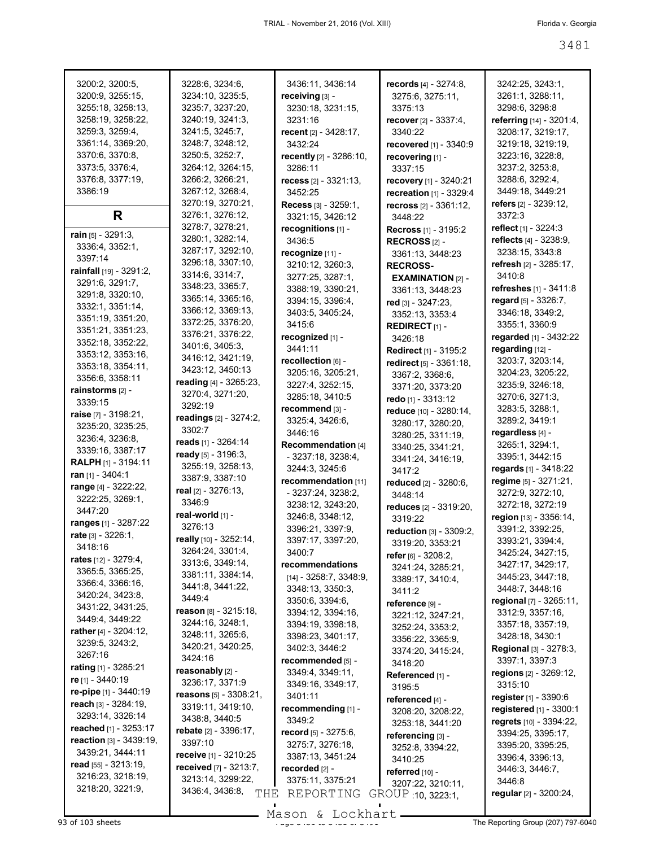| 3200:2, 3200:5,<br>3200:9, 3255:15,<br>3255:18, 3258:13,<br>3258:19, 3258:22,<br>3259:3, 3259:4,<br>3361:14, 3369:20,<br>3370:6, 3370:8,<br>3373:5, 3376:4,<br>3376:8, 3377:19,<br>3386:19 | 3228:6, 3234:6,<br>3234:10, 3235:5,<br>3235:7, 3237:20,<br>3240:19, 3241:3,<br>3241:5, 3245:7,<br>3248:7, 3248:12,<br>3250:5, 3252:7,<br>3264:12, 3264:15,<br>3266:2, 3266:21,<br>3267:12, 3268:4,<br>3270:19, 3270:21, | 3436:11, 3436:14<br>receiving $[3]$ -<br>3230:18, 3231:15,<br>3231:16<br>recent [2] - 3428:17,<br>3432:24<br>recently [2] - 3286:10,<br>3286:11<br>recess [2] - 3321:13,<br>3452:25<br>Recess [3] - 3259:1, | <b>records</b> $[4] - 3274:8$ ,<br>3275:6, 3275:11,<br>3375:13<br><b>recover</b> $[2] - 3337:4,$<br>3340:22<br>recovered [1] - 3340:9<br>recovering [1] -<br>3337:15<br>recovery [1] - 3240:21<br>recreation [1] - 3329:4<br>recross [2] - 3361:12. | 3242:25, 3243:1,<br>3261:1, 3288:11,<br>3298:6, 3298:8<br>referring [14] - 3201:4,<br>3208:17, 3219:17,<br>3219:18, 3219:19,<br>3223:16, 3228:8,<br>3237:2, 3253:8,<br>3288:6, 3292:4,<br>3449:18, 3449:21<br>refers [2] - 3239:12, |
|--------------------------------------------------------------------------------------------------------------------------------------------------------------------------------------------|-------------------------------------------------------------------------------------------------------------------------------------------------------------------------------------------------------------------------|-------------------------------------------------------------------------------------------------------------------------------------------------------------------------------------------------------------|-----------------------------------------------------------------------------------------------------------------------------------------------------------------------------------------------------------------------------------------------------|-------------------------------------------------------------------------------------------------------------------------------------------------------------------------------------------------------------------------------------|
| R                                                                                                                                                                                          | 3276:1, 3276:12,                                                                                                                                                                                                        | 3321:15, 3426:12                                                                                                                                                                                            | 3448:22                                                                                                                                                                                                                                             | 3372:3                                                                                                                                                                                                                              |
| rain [5] - 3291:3,<br>3336:4, 3352:1,<br>3397:14<br>rainfall [19] - 3291:2,<br>3291:6, 3291:7,                                                                                             | 3278:7, 3278:21,<br>3280:1, 3282:14,<br>3287:17, 3292:10,<br>3296:18, 3307:10,<br>3314:6, 3314:7,                                                                                                                       | recognitions [1] -<br>3436:5<br>recognize [11] -<br>3210:12, 3260:3,<br>3277:25, 3287:1,                                                                                                                    | <b>Recross</b> $[1] - 3195:2$<br>RECROSS $[2]$ -<br>3361:13, 3448:23<br><b>RECROSS-</b><br><b>EXAMINATION [2] -</b>                                                                                                                                 | reflect $[1] - 3224:3$<br>reflects [4] - 3238:9,<br>3238:15, 3343:8<br>refresh $[2] - 3285:17$ ,<br>3410:8                                                                                                                          |
| 3291:8, 3320:10,<br>3332:1, 3351:14,<br>3351:19, 3351:20,<br>3351:21, 3351:23,                                                                                                             | 3348:23, 3365:7,<br>3365:14, 3365:16,<br>3366:12, 3369:13,<br>3372:25, 3376:20,<br>3376:21, 3376:22,                                                                                                                    | 3388:19, 3390:21,<br>3394:15, 3396:4,<br>3403:5, 3405:24,<br>3415:6                                                                                                                                         | 3361:13, 3448:23<br>red [3] - 3247:23,<br>3352:13, 3353:4<br><b>REDIRECT</b> $[1]$ -                                                                                                                                                                | refreshes [1] - 3411:8<br>regard [5] - 3326:7,<br>3346:18, 3349:2,<br>3355:1, 3360:9                                                                                                                                                |
| 3352:18, 3352:22,<br>3353:12, 3353:16,<br>3353:18, 3354:11,<br>3356:6, 3358:11                                                                                                             | 3401:6, 3405:3,<br>3416:12, 3421:19,<br>3423:12, 3450:13<br>reading [4] - 3265:23,                                                                                                                                      | recognized [1] -<br>3441:11<br>recollection [6] -<br>3205:16, 3205:21,                                                                                                                                      | 3426:18<br><b>Redirect</b> [1] - 3195:2<br>redirect [5] - 3361:18,<br>3367:2, 3368:6,                                                                                                                                                               | regarded [1] - 3432:22<br>regarding $[12]$ -<br>3203:7, 3203:14,<br>3204:23, 3205:22,                                                                                                                                               |
| rainstorms [2] -                                                                                                                                                                           | 3270:4, 3271:20,                                                                                                                                                                                                        | 3227:4, 3252:15,<br>3285:18, 3410:5                                                                                                                                                                         | 3371:20, 3373:20                                                                                                                                                                                                                                    | 3235:9, 3246:18,<br>3270:6, 3271:3,                                                                                                                                                                                                 |
| 3339:15                                                                                                                                                                                    | 3292:19                                                                                                                                                                                                                 | recommend [3] -                                                                                                                                                                                             | redo [1] - 3313:12                                                                                                                                                                                                                                  | 3283:5, 3288:1,                                                                                                                                                                                                                     |
| raise $[7] - 3198:21$ ,                                                                                                                                                                    | readings [2] - 3274:2,                                                                                                                                                                                                  | 3325:4, 3426:6,                                                                                                                                                                                             | reduce [10] - 3280:14,<br>3280:17, 3280:20,                                                                                                                                                                                                         | 3289:2, 3419:1                                                                                                                                                                                                                      |
| 3235:20, 3235:25,                                                                                                                                                                          | 3302:7                                                                                                                                                                                                                  | 3446:16                                                                                                                                                                                                     | 3280:25, 3311:19,                                                                                                                                                                                                                                   | regardless [4] -                                                                                                                                                                                                                    |
| 3236:4, 3236:8,<br>3339:16, 3387:17                                                                                                                                                        | reads [1] - 3264:14                                                                                                                                                                                                     | Recommendation [4]                                                                                                                                                                                          | 3340:25, 3341:21,                                                                                                                                                                                                                                   | 3265:1, 3294:1,                                                                                                                                                                                                                     |
| <b>RALPH</b> [1] - 3194:11                                                                                                                                                                 | ready [5] - 3196:3,                                                                                                                                                                                                     | - 3237:18, 3238:4,                                                                                                                                                                                          | 3341:24, 3416:19,                                                                                                                                                                                                                                   | 3395:1, 3442:15                                                                                                                                                                                                                     |
| ran [1] - 3404:1                                                                                                                                                                           | 3255:19, 3258:13,                                                                                                                                                                                                       | 3244:3, 3245:6                                                                                                                                                                                              | 3417:2                                                                                                                                                                                                                                              | regards [1] - 3418:22                                                                                                                                                                                                               |
| range [4] - 3222:22,                                                                                                                                                                       | 3387:9, 3387:10                                                                                                                                                                                                         | recommendation [11]                                                                                                                                                                                         | reduced [2] - 3280:6,                                                                                                                                                                                                                               | regime [5] - 3271:21,                                                                                                                                                                                                               |
| 3222:25, 3269:1,                                                                                                                                                                           | real [2] - 3276:13,<br>3346:9                                                                                                                                                                                           | - 3237:24, 3238:2,                                                                                                                                                                                          | 3448:14                                                                                                                                                                                                                                             | 3272:9, 3272:10,                                                                                                                                                                                                                    |
| 3447:20                                                                                                                                                                                    | real-world [1] -                                                                                                                                                                                                        | 3238:12, 3243:20,                                                                                                                                                                                           | reduces [2] - 3319:20,                                                                                                                                                                                                                              | 3272:18, 3272:19                                                                                                                                                                                                                    |
| <b>ranges</b> [1] - 3287:22                                                                                                                                                                | 3276:13                                                                                                                                                                                                                 | 3246:8, 3348:12,                                                                                                                                                                                            | 3319:22                                                                                                                                                                                                                                             | region [13] - 3356:14,                                                                                                                                                                                                              |
| rate [3] - 3226:1,                                                                                                                                                                         | really [10] - 3252:14,                                                                                                                                                                                                  | 3396:21, 3397:9,<br>3397:17, 3397:20,                                                                                                                                                                       | reduction [3] - 3309:2,                                                                                                                                                                                                                             | 3391:2, 3392:25,<br>3393:21, 3394:4,                                                                                                                                                                                                |
| 3418:16                                                                                                                                                                                    | 3264:24, 3301:4,                                                                                                                                                                                                        | 3400:7                                                                                                                                                                                                      | 3319:20, 3353:21                                                                                                                                                                                                                                    | 3425:24, 3427:15,                                                                                                                                                                                                                   |
| rates $[12] - 3279:4,$                                                                                                                                                                     | 3313:6, 3349:14,                                                                                                                                                                                                        | recommendations                                                                                                                                                                                             | refer [6] - 3208:2,<br>3241:24, 3285:21,                                                                                                                                                                                                            | 3427:17, 3429:17,                                                                                                                                                                                                                   |
| 3365:5, 3365:25,                                                                                                                                                                           | 3381:11, 3384:14,                                                                                                                                                                                                       | $[14] - 3258:7, 3348:9,$                                                                                                                                                                                    | 3389:17, 3410:4,                                                                                                                                                                                                                                    | 3445:23, 3447:18,                                                                                                                                                                                                                   |
| 3366:4, 3366:16,<br>3420:24, 3423:8,                                                                                                                                                       | 3441:8, 3441:22,                                                                                                                                                                                                        | 3348:13, 3350:3,                                                                                                                                                                                            | 3411:2                                                                                                                                                                                                                                              | 3448:7, 3448:16                                                                                                                                                                                                                     |
| 3431:22, 3431:25,                                                                                                                                                                          | 3449:4                                                                                                                                                                                                                  | 3350:6, 3394:6,                                                                                                                                                                                             | reference [9] -                                                                                                                                                                                                                                     | regional [7] - 3265:11,                                                                                                                                                                                                             |
| 3449:4, 3449:22                                                                                                                                                                            | reason [8] - 3215:18,                                                                                                                                                                                                   | 3394:12, 3394:16,                                                                                                                                                                                           | 3221:12, 3247:21,                                                                                                                                                                                                                                   | 3312:9, 3357:16,                                                                                                                                                                                                                    |
| rather [4] - 3204:12,                                                                                                                                                                      | 3244:16, 3248:1,<br>3248:11, 3265:6,                                                                                                                                                                                    | 3394:19, 3398:18,<br>3398:23, 3401:17,                                                                                                                                                                      | 3252:24, 3353:2,                                                                                                                                                                                                                                    | 3357:18, 3357:19,                                                                                                                                                                                                                   |
| 3239:5, 3243:2,                                                                                                                                                                            | 3420:21, 3420:25,                                                                                                                                                                                                       | 3402:3, 3446:2                                                                                                                                                                                              | 3356:22, 3365:9,                                                                                                                                                                                                                                    | 3428:18, 3430:1<br>Regional [3] - 3278:3,                                                                                                                                                                                           |
| 3267:16                                                                                                                                                                                    | 3424:16                                                                                                                                                                                                                 | recommended [5] -                                                                                                                                                                                           | 3374:20, 3415:24,<br>3418:20                                                                                                                                                                                                                        | 3397:1, 3397:3                                                                                                                                                                                                                      |
| <b>rating</b> $[1]$ - 3285:21                                                                                                                                                              | reasonably [2] -                                                                                                                                                                                                        | 3349:4, 3349:11,                                                                                                                                                                                            | Referenced [1] -                                                                                                                                                                                                                                    | regions [2] - 3269:12,                                                                                                                                                                                                              |
| re [1] - 3440:19                                                                                                                                                                           | 3236:17, 3371:9                                                                                                                                                                                                         | 3349:16, 3349:17,                                                                                                                                                                                           | 3195:5                                                                                                                                                                                                                                              | 3315:10                                                                                                                                                                                                                             |
| re-pipe $[1]$ - 3440:19                                                                                                                                                                    | reasons [5] - 3308:21,                                                                                                                                                                                                  | 3401:11                                                                                                                                                                                                     | referenced [4] -                                                                                                                                                                                                                                    | register $[1] - 3390.6$                                                                                                                                                                                                             |
| reach [3] - 3284:19,<br>3293:14, 3326:14                                                                                                                                                   | 3319:11, 3419:10,                                                                                                                                                                                                       | recommending [1] -                                                                                                                                                                                          | 3208:20, 3208:22,                                                                                                                                                                                                                                   | registered [1] - 3300:1                                                                                                                                                                                                             |
| reached [1] - 3253:17                                                                                                                                                                      | 3438:8, 3440:5                                                                                                                                                                                                          | 3349:2                                                                                                                                                                                                      | 3253:18, 3441:20                                                                                                                                                                                                                                    | regrets [10] - 3394:22,                                                                                                                                                                                                             |
| reaction [3] - 3439:19,                                                                                                                                                                    | rebate [2] - 3396:17,<br>3397:10                                                                                                                                                                                        | record [5] - 3275:6,                                                                                                                                                                                        | referencing [3] -                                                                                                                                                                                                                                   | 3394:25, 3395:17,                                                                                                                                                                                                                   |
| 3439:21, 3444:11                                                                                                                                                                           | receive [1] - 3210:25                                                                                                                                                                                                   | 3275:7, 3276:18,<br>3387:13, 3451:24                                                                                                                                                                        | 3252:8, 3394:22,                                                                                                                                                                                                                                    | 3395:20, 3395:25,<br>3396:4, 3396:13,                                                                                                                                                                                               |
| read [55] - 3213:19,                                                                                                                                                                       | <b>received</b> [7] - 3213:7,                                                                                                                                                                                           | recorded [2] -                                                                                                                                                                                              | 3410:25<br>referred [10] -                                                                                                                                                                                                                          | 3446:3, 3446:7,                                                                                                                                                                                                                     |
| 3216:23, 3218:19,                                                                                                                                                                          | 3213:14, 3299:22,                                                                                                                                                                                                       | 3375:11, 3375:21                                                                                                                                                                                            | 3207:22, 3210:11,                                                                                                                                                                                                                                   | 3446:8                                                                                                                                                                                                                              |
| 3218:20, 3221:9,                                                                                                                                                                           | 3436:4, 3436:8,<br>THE                                                                                                                                                                                                  | REPORTING                                                                                                                                                                                                   | GROUP 10, 3223:1,                                                                                                                                                                                                                                   | regular [2] - 3200:24,                                                                                                                                                                                                              |
|                                                                                                                                                                                            |                                                                                                                                                                                                                         |                                                                                                                                                                                                             |                                                                                                                                                                                                                                                     |                                                                                                                                                                                                                                     |

93 of 103 sheets  $\frac{93}{100}$  of  $\frac{100}{100}$  of  $\frac{100}{100}$   $\frac{100}{100}$  of  $\frac{100}{100}$  of  $\frac{100}{100}$  of  $\frac{100}{100}$  of  $\frac{100}{100}$  of  $\frac{100}{100}$  of  $\frac{100}{100}$  of  $\frac{100}{100}$  of  $\frac{100}{100}$  of  $\frac{$ Mason & Lockhart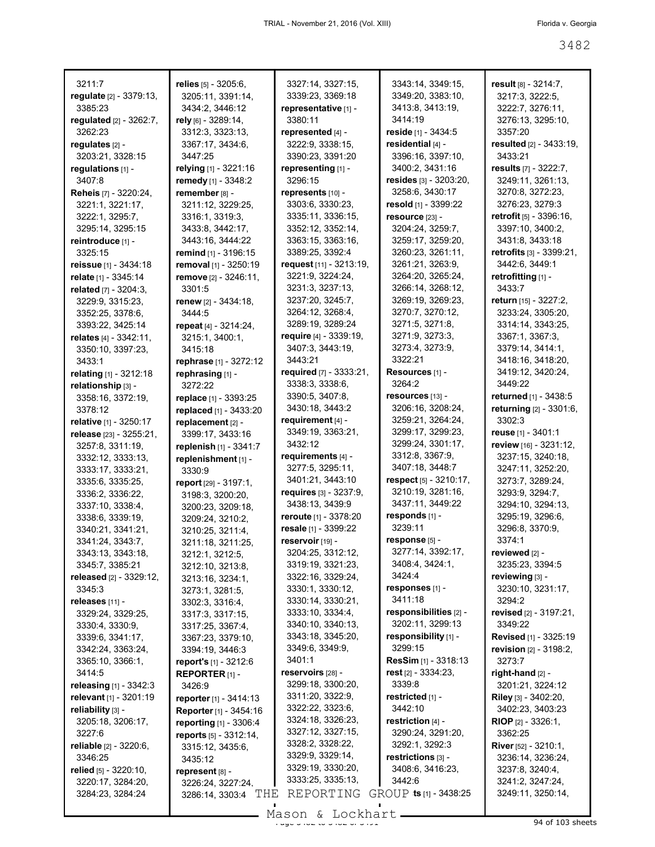| 3211:7                           | relies $[5] - 3205:6$ ,        | 3327:14, 3327:15,              | 3343:14, 3349:15,                    | result $[8] - 3214:7$ ,          |
|----------------------------------|--------------------------------|--------------------------------|--------------------------------------|----------------------------------|
| regulate [2] - 3379:13,          | 3205:11, 3391:14,              | 3339:23, 3369:18               | 3349:20, 3383:10,                    | 3217:3, 3222:5,                  |
| 3385:23                          | 3434:2, 3446:12                | representative [1] -           | 3413:8, 3413:19,                     | 3222:7, 3276:11,                 |
|                                  |                                | 3380:11                        | 3414:19                              |                                  |
| regulated $[2] - 3262:7$ ,       | rely <sub>[6]</sub> - 3289:14, |                                |                                      | 3276:13, 3295:10,                |
| 3262:23                          | 3312:3, 3323:13,               | represented [4] -              | reside $[1]$ - 3434:5                | 3357:20                          |
| regulates [2] -                  | 3367:17, 3434:6,               | 3222:9, 3338:15,               | residential [4] -                    | <b>resulted</b> [2] - 3433:19,   |
| 3203:21, 3328:15                 | 3447:25                        | 3390:23, 3391:20               | 3396:16, 3397:10,                    | 3433:21                          |
| regulations [1] -                | relying [1] - 3221:16          | representing [1] -             | 3400:2, 3431:16                      | results [7] - 3222:7,            |
| 3407:8                           | remedy [1] - 3348:2            | 3296:15                        | resides $[3] - 3203:20,$             | 3249:11, 3261:13,                |
| Reheis [7] - 3220:24,            | remember [8] -                 | represents [10] -              | 3258:6, 3430:17                      | 3270:8, 3272:23,                 |
| 3221:1, 3221:17,                 | 3211:12, 3229:25,              | 3303:6, 3330:23,               | resold $\lbrack 1 \rbrack - 3399:22$ | 3276:23, 3279:3                  |
| 3222:1, 3295:7,                  | 3316:1, 3319:3,                | 3335:11, 3336:15,              | resource [23] -                      | <b>retrofit</b> [5] - 3396:16,   |
| 3295:14, 3295:15                 | 3433:8, 3442:17,               | 3352:12, 3352:14,              | 3204:24, 3259:7,                     | 3397:10, 3400:2,                 |
| reintroduce [1] -                | 3443:16, 3444:22               | 3363:15, 3363:16,              | 3259:17, 3259:20,                    | 3431:8, 3433:18                  |
| 3325:15                          | <b>remind</b> [1] - 3196:15    | 3389:25, 3392:4                | 3260:23, 3261:11,                    | <b>retrofits</b> $[3] - 3399.21$ |
| <b>reissue</b> [1] - $3434:18$   | removal [1] - 3250:19          | request $[11] - 3213.19$ ,     | 3261:21, 3263:9,                     | 3442:6, 3449:1                   |
|                                  |                                |                                |                                      | retrofitting [1] -               |
| relate [1] - 3345:14             | remove [2] - 3246:11,          | 3221:9, 3224:24,               | 3264:20, 3265:24,                    |                                  |
| related [7] - 3204:3,            | 3301:5                         | 3231:3, 3237:13,               | 3266:14, 3268:12,                    | 3433:7                           |
| 3229:9, 3315:23,                 | renew [2] - 3434:18,           | 3237:20, 3245:7,               | 3269:19, 3269:23,                    | return [15] - 3227:2.            |
| 3352:25, 3378:6,                 | 3444:5                         | 3264:12, 3268:4,               | 3270:7, 3270:12,                     | 3233:24, 3305:20,                |
| 3393:22, 3425:14                 | repeat $[4] - 3214:24$ ,       | 3289:19, 3289:24               | 3271:5, 3271:8,                      | 3314:14, 3343:25,                |
| relates $[4] - 3342:11$ ,        | 3215:1, 3400:1,                | require $[4] - 3339:19$ ,      | 3271:9, 3273:3,                      | 3367:1, 3367:3,                  |
| 3350:10, 3397:23,                | 3415:18                        | 3407:3, 3443:19,               | 3273:4, 3273:9,                      | 3379:14, 3414:1,                 |
| 3433:1                           | <b>rephrase</b> [1] - 3272:12  | 3443:21                        | 3322:21                              | 3418:16, 3418:20,                |
| relating [1] - 3212:18           | rephrasing [1] -               | required [7] - 3333:21,        | Resources [1] -                      | 3419:12, 3420:24,                |
| relationship [3] -               | 3272:22                        | 3338:3, 3338:6,                | 3264:2                               | 3449.22                          |
| 3358:16, 3372:19,                | <b>replace</b> [1] - 3393:25   | 3390:5, 3407:8,                | resources [13] -                     | returned [1] - 3438:5            |
| 3378:12                          | replaced [1] - 3433:20         | 3430:18, 3443:2                | 3206:16, 3208:24,                    | returning [2] - 3301:6,          |
|                                  |                                | requirement $[4]$ -            | 3259:21, 3264:24,                    | 3302:3                           |
| <b>relative</b> [1] - 3250:17    | replacement [2] -              | 3349:19, 3363:21,              | 3299:17, 3299:23,                    | reuse [1] - 3401:1               |
| release [23] - 3255:21,          | 3399:17, 3433:16               |                                | 3299:24, 3301:17,                    |                                  |
| 3257:8, 3311:19,                 | replenish $[1] - 3341.7$       | 3432:12                        |                                      | review [16] - 3231:12,           |
| 3332:12, 3333:13,                | replenishment [1] -            | requirements [4] -             | 3312:8, 3367:9,                      | 3237:15, 3240:18,                |
| 3333:17, 3333:21,                | 3330:9                         | 3277:5, 3295:11,               | 3407:18, 3448:7                      | 3247:11, 3252:20,                |
| 3335:6, 3335:25,                 | report $[29] - 3197:1$ ,       | 3401:21, 3443:10               | respect [5] - 3210:17,               | 3273:7, 3289:24,                 |
| 3336:2, 3336:22,                 | 3198:3, 3200:20,               | <b>requires</b> [3] - 3237:9,  | 3210:19, 3281:16,                    | 3293:9, 3294:7,                  |
| 3337:10, 3338:4,                 | 3200:23, 3209:18,              | 3438:13, 3439:9                | 3437:11, 3449:22                     | 3294:10, 3294:13,                |
| 3338:6, 3339:19,                 | 3209:24, 3210:2,               | <b>reroute</b> $[1] - 3378:20$ | responds [1] -                       | 3295:19, 3296:6,                 |
| 3340:21, 3341:21,                | 3210:25, 3211:4,               | resale [1] - 3399:22           | 3239:11                              | 3296:8, 3370:9,                  |
| 3341:24, 3343:7,                 | 3211:18, 3211:25,              | reservoir $[19]$ -             | response [5] -                       | 3374:1                           |
| 3343:13, 3343:18,                | 3212:1, 3212:5,                | 3204:25, 3312:12,              | 3277:14, 3392:17,                    | reviewed [2] -                   |
| 3345:7, 3385:21                  | 3212:10, 3213:8,               | 3319:19, 3321:23,              | 3408:4, 3424:1,                      | 3235:23, 3394:5                  |
| <b>released</b> [2] - 3329:12,   | 3213:16, 3234:1,               | 3322:16, 3329:24,              | 3424:4                               | reviewing [3] -                  |
| 3345:3                           |                                | 3330:1, 3330:12,               | responses [1] -                      | 3230:10, 3231:17,                |
|                                  | 3273:1, 3281:5,                | 3330:14, 3330:21,              | 3411:18                              | 3294:2                           |
| releases $[11]$ -                | 3302:3, 3316:4,                | 3333:10, 3334:4,               | responsibilities [2] -               | revised [2] - 3197:21,           |
| 3329:24, 3329:25,                | 3317:3, 3317:15,               | 3340:10, 3340:13,              | 3202:11, 3299:13                     |                                  |
| 3330:4, 3330:9,                  | 3317:25, 3367:4,               |                                |                                      | 3349:22                          |
| 3339:6, 3341:17,                 | 3367:23, 3379:10,              | 3343:18, 3345:20,              | responsibility [1] -                 | <b>Revised</b> [1] - 3325:19     |
| 3342:24, 3363:24,                | 3394:19, 3446:3                | 3349:6, 3349:9,                | 3299:15                              | revision [2] - 3198:2,           |
| 3365:10, 3366:1,                 | report's [1] - 3212:6          | 3401:1                         | <b>ResSim</b> [1] - 3318:13          | 3273:7                           |
| 3414:5                           | REPORTER $[1]$ -               | reservoirs [28] -              | rest $[2] - 3334:23$ ,               | right-hand [2] -                 |
| releasing $[1] - 3342:3$         | 3426:9                         | 3299:18, 3300:20,              | 3339:8                               | 3201:21, 3224:12                 |
| relevant [1] - 3201:19           | reporter [1] - 3414:13         | 3311:20, 3322:9,               | restricted [1] -                     | Riley [3] - 3402:20,             |
| reliability [3] -                | Reporter [1] - 3454:16         | 3322:22, 3323:6,               | 3442:10                              | 3402:23, 3403:23                 |
| 3205:18, 3206:17,                | reporting [1] - 3306:4         | 3324:18, 3326:23,              | restriction $[4]$ -                  | <b>RIOP</b> $[2] - 3326:1$       |
| 3227:6                           | reports [5] - 3312:14,         | 3327:12, 3327:15,              | 3290:24, 3291:20,                    | 3362:25                          |
| <b>reliable</b> $[2] - 3220:6$ , | 3315:12, 3435:6,               | 3328:2, 3328:22,               | 3292:1, 3292:3                       | <b>River</b> [52] - 3210:1,      |
| 3346:25                          | 3435:12                        | 3329:9, 3329:14,               | restrictions $[3]$ -                 | 3236:14, 3236:24,                |
| relied $[5]$ - 3220:10,          |                                | 3329:19, 3330:20,              | 3408:6, 3416:23,                     | 3237:8, 3240:4,                  |
| 3220:17, 3284:20,                | represent [8] -                | 3333:25, 3335:13,              | 3442:6                               | 3241:2, 3247:24,                 |
| 3284:23, 3284:24                 | 3226:24, 3227:24.              | REPORTING                      | GROUP ts [1] - 3438:25               | 3249:11, 3250:14,                |
|                                  | THE<br>3286:14, 3303:4         |                                |                                      |                                  |
|                                  |                                | $Mronon$ $Tonkhon+$            |                                      |                                  |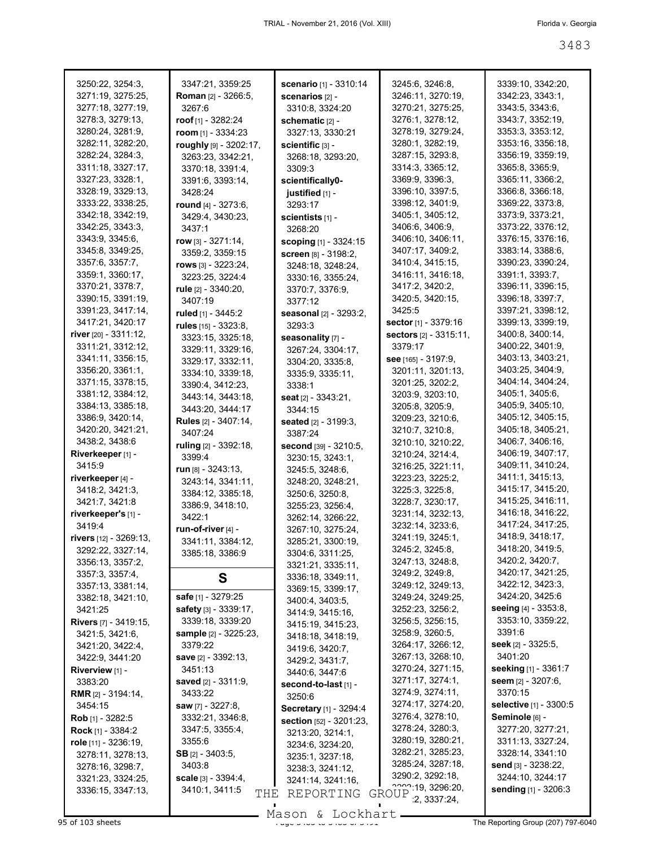| 3250:22, 3254:3,             | 3347:21, 3359:25           | scenario [1] - 3310:14        | 3245:6, 3246:8,                  | 3339:10, 3342:20,      |
|------------------------------|----------------------------|-------------------------------|----------------------------------|------------------------|
| 3271:19, 3275:25,            | <b>Roman</b> [2] - 3266:5, | <b>scenarios</b> [2] -        | 3246:11, 3270:19,                | 3342:23, 3343:1,       |
| 3277:18, 3277:19,            | 3267:6                     | 3310:8, 3324:20               | 3270:21, 3275:25,                | 3343:5, 3343:6,        |
| 3278:3, 3279:13,             | roof $[1] - 3282:24$       | schematic [2] -               | 3276:1, 3278:12,                 | 3343:7, 3352:19,       |
|                              |                            |                               |                                  |                        |
| 3280:24, 3281:9,             | room $[1]$ - 3334:23       | 3327:13, 3330:21              | 3278:19, 3279:24,                | 3353:3, 3353:12,       |
| 3282:11, 3282:20.            | roughly [9] - 3202:17,     | scientific [3] -              | 3280:1, 3282:19,                 | 3353:16, 3356:18,      |
| 3282:24, 3284:3,             | 3263:23, 3342:21,          | 3268:18, 3293:20,             | 3287:15, 3293:8,                 | 3356:19, 3359:19,      |
| 3311:18, 3327:17,            | 3370:18, 3391:4,           | 3309:3                        | 3314:3, 3365:12,                 | 3365:8, 3365:9,        |
| 3327:23, 3328:1,             | 3391:6, 3393:14,           | scientifically0-              | 3369.9, 3396.3,                  | 3365:11, 3366:2,       |
| 3328:19, 3329:13,            | 3428:24                    | justified [1] -               | 3396:10, 3397:5,                 | 3366:8, 3366:18,       |
| 3333:22, 3338:25,            |                            |                               | 3398:12, 3401:9,                 | 3369:22, 3373:8,       |
| 3342:18, 3342:19,            | round [4] - 3273:6,        | 3293:17                       | 3405:1, 3405:12,                 |                        |
|                              | 3429:4, 3430:23,           | scientists $[1]$ -            |                                  | 3373:9, 3373:21,       |
| 3342:25, 3343:3,             | 3437:1                     | 3268:20                       | 3406:6, 3406:9,                  | 3373:22, 3376:12,      |
| 3343:9, 3345:6,              | $row$ [3] - 3271:14,       | scoping [1] - 3324:15         | 3406:10, 3406:11,                | 3376:15, 3376:16,      |
| 3345:8, 3349:25,             | 3359:2, 3359:15            | screen [8] - 3198:2,          | 3407:17, 3409:2,                 | 3383:14, 3388:6,       |
| 3357:6, 3357:7,              | rows $[3] - 3223:24$ ,     | 3248:18, 3248:24,             | 3410:4, 3415:15,                 | 3390:23, 3390:24,      |
| 3359:1, 3360:17,             | 3223:25, 3224:4            | 3330:16, 3355:24,             | 3416:11, 3416:18,                | 3391:1, 3393:7,        |
| 3370:21, 3378:7,             |                            |                               | 3417:2, 3420:2,                  | 3396:11, 3396:15,      |
| 3390:15, 3391:19,            | rule [2] - 3340:20,        | 3370:7, 3376:9,               | 3420:5, 3420:15,                 | 3396:18, 3397:7,       |
|                              | 3407:19                    | 3377:12                       |                                  |                        |
| 3391:23, 3417:14,            | ruled [1] - 3445:2         | seasonal [2] - 3293:2,        | 3425:5                           | 3397:21, 3398:12,      |
| 3417:21, 3420:17             | rules [15] - 3323:8,       | 3293:3                        | sector [1] - 3379:16             | 3399:13, 3399:19,      |
| river [20] - 3311:12,        | 3323:15, 3325:18,          | seasonality [7] -             | <b>sectors</b> $[2] - 3315:11$ , | 3400:8, 3400:14,       |
| 3311:21, 3312:12,            | 3329:11, 3329:16,          | 3267:24, 3304:17,             | 3379:17                          | 3400:22, 3401:9,       |
| 3341:11, 3356:15,            | 3329:17, 3332:11,          | 3304:20, 3335:8,              | see [165] - 3197:9,              | 3403:13, 3403:21,      |
| 3356:20, 3361:1,             |                            |                               | 3201:11, 3201:13,                | 3403:25, 3404:9,       |
| 3371:15, 3378:15,            | 3334:10, 3339:18,          | 3335:9, 3335:11,              | 3201:25, 3202:2,                 | 3404:14, 3404:24,      |
| 3381:12, 3384:12,            | 3390:4, 3412:23,           | 3338:1                        |                                  | 3405:1, 3405:6,        |
|                              | 3443:14, 3443:18,          | <b>seat</b> $[2] - 3343:21$ , | 3203:9, 3203:10,                 |                        |
| 3384:13, 3385:18,            | 3443:20, 3444:17           | 3344:15                       | 3205:8, 3205:9,                  | 3405:9, 3405:10,       |
| 3386:9, 3420:14,             | Rules [2] - 3407:14,       | seated [2] - 3199:3,          | 3209:23, 3210:6,                 | 3405:12, 3405:15,      |
| 3420:20, 3421:21,            | 3407:24                    | 3387:24                       | 3210:7, 3210:8,                  | 3405:18, 3405:21,      |
| 3438:2, 3438:6               | ruling [2] - 3392:18,      | second [39] - 3210:5,         | 3210:10, 3210:22,                | 3406:7, 3406:16,       |
| Riverkeeper [1] -            | 3399:4                     | 3230:15, 3243:1,              | 3210:24, 3214:4,                 | 3406:19, 3407:17,      |
| 3415:9                       | run $[8] - 3243:13$ ,      |                               | 3216:25, 3221:11,                | 3409:11, 3410:24,      |
| riverkeeper [4] -            |                            | 3245:5, 3248:6,               | 3223:23, 3225:2,                 | 3411:1, 3415:13,       |
|                              | 3243:14, 3341:11,          | 3248:20, 3248:21,             | 3225:3, 3225:8,                  | 3415:17, 3415:20,      |
| 3418:2, 3421:3,              | 3384:12, 3385:18,          | 3250:6, 3250:8,               |                                  | 3415:25, 3416:11,      |
| 3421:7, 3421:8               | 3386:9, 3418:10,           | 3255:23, 3256:4,              | 3228:7, 3230:17,                 |                        |
| riverkeeper's [1] -          | 3422:1                     | 3262:14, 3266:22,             | 3231:14, 3232:13,                | 3416:18, 3416:22,      |
| 3419:4                       | run-of-river [4] -         | 3267:10, 3275:24,             | 3232:14, 3233:6,                 | 3417:24, 3417:25,      |
| rivers $[12] - 3269:13$ ,    | 3341:11, 3384:12,          | 3285:21, 3300:19,             | 3241:19, 3245:1,                 | 3418:9, 3418:17,       |
| 3292:22, 3327:14,            | 3385:18, 3386:9            | 3304:6, 3311:25,              | 3245:2, 3245:8,                  | 3418:20, 3419:5,       |
| 3356:13, 3357:2,             |                            |                               | 3247:13, 3248:8,                 | 3420:2, 3420:7,        |
| 3357:3, 3357:4,              |                            | 3321:21, 3335:11,             | 3249:2, 3249:8,                  | 3420:17, 3421:25,      |
| 3357:13, 3381:14,            | S                          | 3336:18, 3349:11,             | 3249:12, 3249:13,                | 3422:12, 3423:3,       |
|                              | safe [1] - 3279:25         | 3369:15, 3399:17,             |                                  | 3424:20, 3425:6        |
| 3382:18, 3421:10,            |                            | 3400:4, 3403:5,               | 3249:24, 3249:25,                |                        |
| 3421:25                      | safety [3] - 3339:17,      | 3414:9, 3415:16,              | 3252:23, 3256:2,                 | seeing [4] - 3353:8,   |
| <b>Rivers</b> [7] - 3419:15, | 3339:18, 3339:20           | 3415:19, 3415:23,             | 3256:5, 3256:15,                 | 3353:10, 3359:22,      |
| 3421:5, 3421:6,              | sample [2] - 3225:23,      | 3418:18, 3418:19,             | 3258:9, 3260:5,                  | 3391:6                 |
| 3421:20, 3422:4,             | 3379:22                    | 3419:6, 3420:7,               | 3264:17, 3266:12,                | seek [2] - 3325:5,     |
| 3422:9, 3441:20              | save [2] - 3392:13,        | 3429:2, 3431:7,               | 3267:13, 3268:10,                | 3401:20                |
| Riverview $[1]$ -            | 3451:13                    | 3440:6, 3447:6                | 3270:24, 3271:15,                | seeking [1] - 3361:7   |
| 3383:20                      | <b>saved</b> [2] - 3311:9, |                               | 3271:17, 3274:1,                 | seem $[2] - 3207:6$ ,  |
| <b>RMR</b> $[2] - 3194:14$ , | 3433:22                    | second-to-last [1] -          | 3274:9, 3274:11,                 | 3370:15                |
|                              |                            | 3250:6                        | 3274:17, 3274:20,                | selective [1] - 3300:5 |
| 3454:15                      | saw [7] - 3227:8,          | Secretary [1] - 3294:4        |                                  |                        |
| <b>Rob</b> [1] - 3282:5      | 3332:21, 3346:8,           | section [52] - 3201:23,       | 3276:4, 3278:10,                 | Seminole [6] -         |
| <b>Rock</b> [1] - 3384:2     | 3347:5, 3355:4,            | 3213:20, 3214:1,              | 3278:24, 3280:3,                 | 3277:20, 3277:21,      |
| role [11] - 3236:19,         | 3355:6                     | 3234:6, 3234:20,              | 3280:19, 3280:21,                | 3311:13, 3327:24,      |
| 3278:11, 3278:13,            | $SB$ [2] - 3403:5,         | 3235:1, 3237:18,              | 3282:21, 3285:23,                | 3328:14, 3341:10       |
| 3278:16, 3298:7,             | 3403:8                     | 3238:3, 3241:12,              | 3285:24, 3287:18,                | send $[3] - 3238:22$ , |
| 3321:23, 3324:25,            | scale [3] - 3394:4,        |                               | 3290:2, 3292:18,                 | 3244:10, 3244:17       |
| 3336:15, 3347:13,            | 3410:1, 3411:5             | 3241:14, 3241:16,             | 222.19, 3296.20,                 | sending [1] - 3206:3   |
|                              | THE                        | REPORTING                     | GROUP<br>2, 3337:24,             |                        |

Mason & Lockhart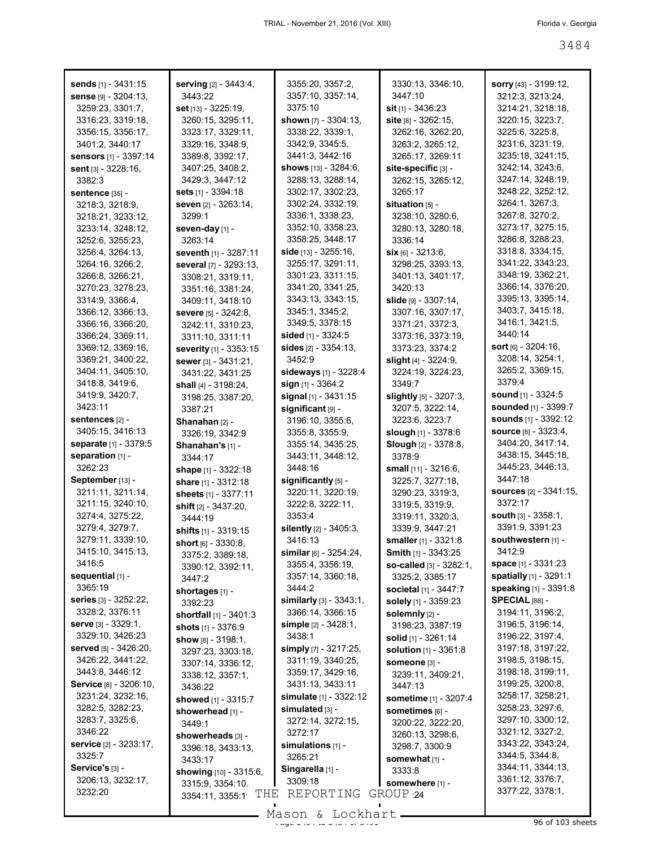| sends [1] - 3431:15          | serving [2] - 3443:4,         | 3355:20, 3357:2,               | 3330:13, 3346:10,            | <b>sorry</b> $[43] - 3199:12$ , |
|------------------------------|-------------------------------|--------------------------------|------------------------------|---------------------------------|
| sense [9] - 3204:13,         | 3443:22                       | 3357:10, 3357:14,              | 3447:10                      | 3212:3, 3213:24,                |
| 3259:23, 3301:7,             |                               | 3375:10                        | $\sin$ [1] - 3436:23         | 3214:21, 3218:18,               |
|                              | <b>set</b> [13] - $3225:19$ , |                                |                              |                                 |
| 3316:23, 3319:18,            | 3260:15, 3295:11,             | shown $[7] - 3304:13$ ,        | site [8] - 3262:15,          | 3220:15, 3223:7,                |
| 3356:15, 3356:17,            | 3323:17, 3329:11,             | 3338:22, 3339:1,               | 3262:16, 3262:20,            | 3225:6, 3225:8,                 |
| 3401:2, 3440:17              | 3329:16, 3348:9,              | 3342:9, 3345:5,                | 3263:2, 3265:12,             | 3231:6, 3231:19,                |
| <b>sensors</b> [1] - 3397:14 | 3389:8, 3392:17,              | 3441:3, 3442:16                | 3265:17, 3269:11             | 3235:18, 3241:15,               |
| sent [3] - 3228:16,          | 3407:25, 3408:2,              | shows [13] - 3284:6,           | site-specific [3] -          | 3242:14, 3243:6,                |
| 3382:3                       | 3429:3, 3447:12               | 3288:13, 3288:14,              | 3262:15, 3265:12,            | 3247:14, 3248:19,               |
| <b>sentence [35] -</b>       | sets [1] - 3394:18            | 3302:17, 3302:23,              | 3265:17                      | 3248:22, 3252:12,               |
| 3218:3, 3218:9,              | seven [2] - 3263:14,          | 3302:24, 3332:19,              | situation $[5]$ -            | 3264:1, 3267:3,                 |
|                              |                               | 3336:1, 3338:23,               |                              | 3267:8, 3270:2,                 |
| 3218:21, 3233:12,            | 3299:1                        |                                | 3238:10, 3280:6,             |                                 |
| 3233:14, 3248:12,            | seven-day [1] -               | 3352:10, 3358:23,              | 3280:13, 3280:18,            | 3273:17, 3275:15,               |
| 3252:6, 3255:23,             | 3263:14                       | 3358:25, 3448:17               | 3336:14                      | 3286:8, 3288:23,                |
| 3256:4, 3264:13,             | seventh [1] - 3287:11         | side $[13] - 3255:16$ ,        | $\sin 6$ = 3213:6,           | 3318:8, 3334:15,                |
| 3264:16, 3266:2,             | several [7] - 3293:13,        | 3255:17, 3291:11,              | 3298:25, 3393:13,            | 3341:22, 3343:23,               |
| 3266:8, 3266:21,             | 3308:21, 3319:11,             | 3301:23, 3311:15,              | 3401:13, 3401:17,            | 3348:19, 3362:21,               |
| 3270:23, 3278:23,            | 3351:16, 3381:24,             | 3341:20, 3341:25,              | 3420:13                      | 3366:14, 3376:20,               |
| 3314:9, 3366:4,              | 3409:11, 3418:10              | 3343:13, 3343:15,              | slide [9] - 3307:14,         | 3395:13, 3395:14,               |
| 3366:12, 3366:13,            | <b>severe</b> [5] - 3242:8,   | 3345:1, 3345:2,                | 3307:16, 3307:17,            | 3403:7, 3415:18,                |
| 3366:16, 3366:20,            | 3242:11, 3310:23,             | 3349:5, 3378:15                | 3371:21, 3372:3,             | 3416:1, 3421:5,                 |
| 3366:24, 3369:11,            |                               | sided [1] - 3324:5             | 3373:16, 3373:19,            | 3440:14                         |
|                              | 3311:10, 3311:11              |                                |                              | <b>sort</b> $[6] - 3204:16$ ,   |
| 3369:12, 3369:16,            | severity [1] - 3353:15        | <b>sides</b> $[2] - 3354:13$ , | 3373:23, 3374:2              |                                 |
| 3369:21, 3400:22,            | sewer [3] - 3431:21,          | 3452:9                         | slight $[4] - 3224:9$ ,      | 3208:14, 3254:1,                |
| 3404:11, 3405:10,            | 3431:22, 3431:25              | sideways [1] - 3228:4          | 3224:19, 3224:23,            | 3265:2, 3369:15,                |
| 3418:8, 3419:6,              | shall [4] - 3198:24,          | sign [1] - 3364:2              | 3349.7                       | 3379:4                          |
| 3419:9, 3420:7,              | 3198:25, 3387:20,             | signal $[1]$ - 3431:15         | slightly [5] - 3207:3,       | <b>sound</b> $[1] - 3324:5$     |
| 3423:11                      | 3387:21                       | significant [9] -              | 3207:5, 3222:14,             | sounded [1] - 3399:7            |
| sentences [2] -              | Shanahan [2] -                | 3196:10, 3355:6,               | 3223:6, 3223:7               | <b>sounds</b> [1] - 3392:12     |
| 3405:15, 3416:13             | 3326:19, 3342:9               | 3355:8, 3355:9,                | slough $[1]$ - 3378:6        | <b>source</b> $[8] - 3323:4$ ,  |
| separate [1] - 3379:5        | Shanahan's [1] -              | 3355:14, 3435:25,              | <b>Slough [2] - 3378:8,</b>  | 3404:20, 3417:14,               |
| separation [1] -             | 3344:17                       | 3443:11, 3448:12,              | 3378.9                       | 3438:15, 3445:18,               |
| 3262:23                      |                               | 3448:16                        |                              | 3445:23, 3446:13,               |
|                              | <b>shape</b> $[1]$ - 3322:18  |                                | small $[11] - 3216.6$ ,      | 3447:18                         |
| September [13] -             | share $[1] - 3312:18$         | significantly [5] -            | 3225:7, 3277:18,             |                                 |
| 3211:11, 3211:14,            | sheets [1] - 3377:11          | 3220:11, 3220:19,              | 3290:23, 3319:3,             | sources [2] - 3341:15,          |
| 3211:15, 3240:10,            | <b>shift</b> [2] - 3437:20,   | 3222:8, 3222:11,               | 3319:5, 3319:9,              | 3372:17                         |
| 3274:4, 3275:22,             | 3444:19                       | 3353:4                         | 3319:11, 3320:3,             | <b>south</b> $[3]$ - $3358:1$ , |
| 3279:4, 3279:7,              | shifts $[1]$ - 3319:15        | silently [2] - 3405:3,         | 3339:9, 3447:21              | 3391:9, 3391:23                 |
| 3279:11, 3339:10,            | short $[6] - 3330.8$ ,        | 3416:13                        | smaller [1] - 3321:8         | southwestern [1] -              |
| 3415:10, 3415:13,            | 3375:2, 3389:18,              | similar $[6] - 3254:24$ ,      | Smith [1] - 3343:25          | 3412:9                          |
| 3416:5                       | 3390:12, 3392:11,             | 3355:4, 3356:19,               | so-called [3] - 3282:1,      | space $[1] - 3331:23$           |
| sequential [1] -             | 3447:2                        | 3357:14, 3360:18,              | 3325:2, 3385:17              | spatially [1] - 3291:1          |
| 3365:19                      |                               | 3444:2                         | <b>societal</b> [1] - 3447:7 | speaking [1] - 3391:8           |
| series [3] - 3252:22,        | shortages [1] -               | similarly $[3] - 3343:1$ ,     | solely [1] - 3359:23         | SPECIAL [88] -                  |
| 3328:2, 3376:11              | 3392:23                       | 3366:14, 3366:15               |                              | 3194:11, 3196:2,                |
|                              | shortfall $[1] - 3401:3$      |                                | solemnly [2] -               |                                 |
| serve [3] - 3329:1,          | shots [1] - 3376:9            | simple $[2] - 3428:1$ ,        | 3198:23, 3387:19             | 3196:5, 3196:14,                |
| 3329:10, 3426:23             | show $[8] - 3198:1$ ,         | 3438:1                         | solid [1] - 3261:14          | 3196:22, 3197:4,                |
| served [5] - 3426:20,        | 3297:23, 3303:18,             | simply [7] - 3217:25,          | <b>solution</b> [1] - 3361:8 | 3197:18, 3197:22,               |
| 3426:22, 3441:22,            | 3307:14, 3336:12,             | 3311:19, 3340:25,              | Someone [3] -                | 3198:5, 3198:15,                |
| 3443:8, 3446:12              | 3338:12, 3357:1,              | 3359:17, 3429:16,              | 3239:11, 3409:21,            | 3198:18, 3199:11,               |
| Service [8] - 3206:10,       | 3436:22                       | 3431:13, 3433:11               | 3447:13                      | 3199:25, 3200:8,                |
| 3231:24, 3232:16,            | showed [1] - 3315:7           | simulate [1] - 3322:12         | <b>sometime</b> [1] - 3207:4 | 3258:17, 3258:21,               |
| 3282:5, 3282:23,             | showerhead [1] -              | simulated [3] -                | sometimes [6] -              | 3258:23, 3297:6,                |
| 3283:7, 3325:6,              |                               | 3272:14, 3272:15,              | 3200:22, 3222:20,            | 3297:10, 3300:12,               |
| 3346:22                      | 3449:1                        | 3272:17                        |                              | 3321:12, 3327:2,                |
| service [2] - 3233:17,       | showerheads [3] -             |                                | 3260:13, 3298:6,             | 3343:22, 3343:24,               |
|                              | 3396:18, 3433:13,             | simulations $[1]$ -            | 3298:7, 3300:9               | 3344:5, 3344:8,                 |
| 3325:7                       | 3433:17                       | 3265:21                        | somewhat [1] -               |                                 |
| Service's [3] -              | showing [10] - 3315:6,        | Singarella [1] -               | 3333:8                       | 3344:11, 3344:13,               |
| 3206:13, 3232:17,            | 3315:9, 3354:10.              | 3309:18                        | somewhere [1] -              | 3361:12, 3376:7,                |
| 3232:20                      | THE<br>3354:11, 3355:1        | REPORTING                      | GROUP 24                     | 3377:22, 3378:1,                |

 $\frac{268611}{2484}$  of  $\frac{269111}{2484}$  of  $\frac{269111}{2484}$  of  $\frac{269111}{2484}$  of  $\frac{269111}{2484}$  or  $\frac{269111}{2484}$  or  $\frac{269111}{2484}$  or  $\frac{269111}{2484}$  or  $\frac{269111}{2484}$  or  $\frac{269111}{2484}$  or  $\frac{2691111$ Mason & Lockhart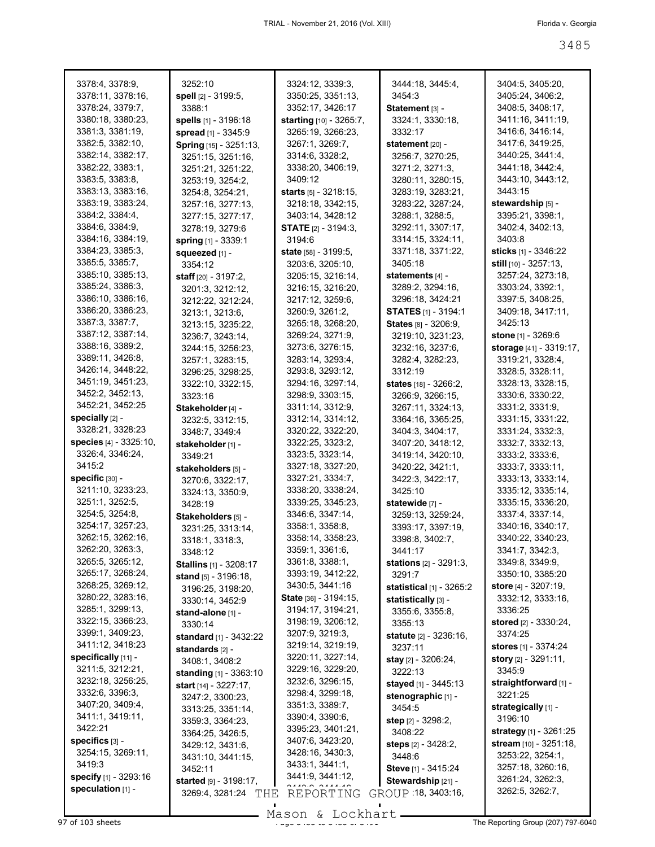| 3378:4, 3378:9,        | 3252:10                       | 3324:12, 3339:3,             | 3444:18, 3445:4,              | 3404:5, 3405:20,              |
|------------------------|-------------------------------|------------------------------|-------------------------------|-------------------------------|
| 3378:11, 3378:16,      | spell [2] - 3199:5,           | 3350:25, 3351:13,            | 3454:3                        | 3405:24, 3406:2,              |
| 3378:24, 3379:7,       | 3388:1                        | 3352:17, 3426:17             | Statement [3] -               | 3408:5, 3408:17,              |
| 3380:18, 3380:23,      | spells [1] - 3196:18          | starting [10] - 3265:7,      | 3324:1, 3330:18,              | 3411:16, 3411:19,             |
| 3381:3, 3381:19,       | spread [1] - 3345:9           | 3265:19, 3266:23,            | 3332:17                       | 3416:6, 3416:14,              |
| 3382:5, 3382:10,       | Spring [15] - 3251:13,        | 3267:1, 3269:7,              | statement [20] -              | 3417:6, 3419:25,              |
|                        |                               |                              |                               | 3440:25, 3441:4,              |
| 3382:14, 3382:17,      | 3251:15, 3251:16,             | 3314:6, 3328:2,              | 3256:7, 3270:25,              |                               |
| 3382:22, 3383:1,       | 3251:21, 3251:22,             | 3338:20, 3406:19,            | 3271:2, 3271:3,               | 3441:18, 3442:4,              |
| 3383:5, 3383:8,        | 3253:19, 3254:2,              | 3409:12                      | 3280:11, 3280:15,             | 3443:10, 3443:12,             |
| 3383:13, 3383:16,      | 3254:8, 3254:21,              | <b>starts</b> [5] - 3218:15, | 3283:19, 3283:21,             | 3443:15                       |
| 3383:19, 3383:24,      | 3257:16, 3277:13,             | 3218:18, 3342:15,            | 3283:22, 3287:24,             | stewardship [5] -             |
| 3384:2, 3384:4,        | 3277:15, 3277:17,             | 3403:14, 3428:12             | 3288:1, 3288:5,               | 3395:21, 3398:1,              |
| 3384:6, 3384:9,        | 3278:19, 3279:6               | <b>STATE</b> $[2] - 3194:3$  | 3292:11, 3307:17,             | 3402:4, 3402:13,              |
| 3384:16, 3384:19,      | spring [1] - 3339:1           | 3194:6                       | 3314:15, 3324:11,             | 3403:8                        |
| 3384:23, 3385:3,       | squeezed [1] -                | state [58] - 3199:5,         | 3371:18, 3371:22,             | <b>sticks</b> [1] - 3346:22   |
| 3385:5, 3385:7,        | 3354:12                       | 3203:6, 3205:10,             | 3405:18                       | <b>still</b> $[10] - 3257:13$ |
| 3385:10, 3385:13,      | <b>staff</b> $[20] - 3197:2$  | 3205:15, 3216:14,            | statements [4] -              | 3257:24, 3273:18,             |
| 3385:24, 3386:3,       | 3201:3, 3212:12,              | 3216:15, 3216:20,            | 3289:2, 3294:16,              | 3303:24, 3392:1,              |
| 3386:10, 3386:16,      | 3212:22, 3212:24,             | 3217:12, 3259:6,             | 3296:18, 3424:21              | 3397:5, 3408:25,              |
| 3386:20, 3386:23,      |                               | 3260:9, 3261:2,              | <b>STATES [1] - 3194:1</b>    | 3409:18, 3417:11,             |
| 3387:3, 3387:7,        | 3213:1, 3213:6,               | 3265:18, 3268:20,            |                               | 3425:13                       |
| 3387:12, 3387:14,      | 3213:15, 3235:22,             |                              | States [8] - 3206:9,          |                               |
| 3388:16, 3389:2,       | 3236:7, 3243:14,              | 3269:24, 3271:9,             | 3219:10, 3231:23,             | stone [1] - 3269:6            |
|                        | 3244:15, 3256:23,             | 3273:6, 3276:15,             | 3232:16, 3237:6,              | storage [41] - 3319:17,       |
| 3389:11, 3426:8,       | 3257:1, 3283:15,              | 3283:14, 3293:4,             | 3282:4, 3282:23,              | 3319:21, 3328:4,              |
| 3426:14, 3448:22,      | 3296:25, 3298:25,             | 3293:8, 3293:12,             | 3312:19                       | 3328:5, 3328:11,              |
| 3451:19, 3451:23,      | 3322:10, 3322:15,             | 3294:16, 3297:14,            | states [18] - 3266:2,         | 3328:13, 3328:15,             |
| 3452:2, 3452:13,       | 3323:16                       | 3298:9, 3303:15,             | 3266:9, 3266:15,              | 3330:6, 3330:22,              |
| 3452:21, 3452:25       | Stakeholder [4] -             | 3311:14, 3312:9,             | 3267:11, 3324:13,             | 3331:2, 3331:9,               |
| specially [2] -        | 3232:5, 3312:15,              | 3312:14, 3314:12,            | 3364:16, 3365:25,             | 3331:15, 3331:22,             |
| 3328:21, 3328:23       | 3348:7, 3349:4                | 3320:22, 3322:20,            | 3404:3, 3404:17,              | 3331:24, 3332:3,              |
| species [4] - 3325:10, | stakeholder [1] -             | 3322:25, 3323:2,             | 3407:20, 3418:12,             | 3332:7, 3332:13,              |
| 3326:4, 3346:24,       | 3349:21                       | 3323:5, 3323:14,             | 3419:14, 3420:10,             | 3333:2, 3333:6,               |
| 3415:2                 | stakeholders [5] -            | 3327:18, 3327:20,            | 3420:22, 3421:1,              | 3333:7, 3333:11,              |
| specific [30] -        | 3270:6, 3322:17,              | 3327:21, 3334:7,             | 3422:3, 3422:17,              | 3333:13, 3333:14,             |
| 3211:10, 3233:23,      | 3324:13, 3350:9,              | 3338:20, 3338:24,            | 3425:10                       | 3335:12, 3335:14,             |
| 3251:1, 3252:5,        | 3428:19                       | 3339:25, 3345:23,            | statewide [7] -               | 3335:15, 3336:20,             |
| 3254:5, 3254:8,        | Stakeholders [5] -            | 3346:6, 3347:14,             | 3259:13, 3259:24,             | 3337:4, 3337:14,              |
| 3254:17, 3257:23,      |                               | 3358:1, 3358:8,              | 3393:17, 3397:19,             | 3340:16, 3340:17,             |
| 3262:15, 3262:16,      | 3231:25, 3313:14,             | 3358:14, 3358:23,            | 3398:8, 3402:7,               | 3340:22, 3340:23,             |
| 3262:20, 3263:3,       | 3318:1, 3318:3,               | 3359:1, 3361:6,              | 3441:17                       | 3341:7, 3342:3,               |
| 3265:5, 3265:12,       | 3348:12                       | 3361:8, 3388:1,              |                               | 3349:8, 3349:9,               |
| 3265:17, 3268:24,      | <b>Stallins</b> [1] - 3208:17 | 3393:19, 3412:22,            | <b>stations</b> [2] - 3291:3, |                               |
|                        | stand [5] - 3196:18,          |                              | 3291.7                        | 3350:10, 3385:20              |
| 3268:25, 3269:12,      | 3196:25, 3198:20,             | 3430:5, 3441:16              | statistical [1] - 3265:2      | <b>store</b> [4] - 3207:19,   |
| 3280:22, 3283:16,      | 3330:14, 3452:9               | <b>State</b> [36] - 3194:15, | statistically [3] -           | 3332:12, 3333:16,             |
| 3285:1, 3299:13,       | stand-alone [1] -             | 3194:17, 3194:21,            | 3355:6, 3355:8,               | 3336:25                       |
| 3322:15, 3366:23,      | 3330:14                       | 3198:19, 3206:12,            | 3355:13                       | stored [2] - 3330:24,         |
| 3399:1, 3409:23,       | standard [1] - 3432:22        | 3207:9, 3219:3,              | statute [2] - 3236:16,        | 3374:25                       |
| 3411:12, 3418:23       | standards [2] -               | 3219:14, 3219:19,            | 3237:11                       | stores [1] - 3374:24          |
| specifically [11] -    | 3408:1, 3408:2                | 3220:11, 3227:14,            | <b>stay</b> [2] - 3206:24,    | <b>story</b> [2] - 3291:11,   |
| 3211:5, 3212:21,       | standing [1] - 3363:10        | 3229:16, 3229:20,            | 3222:13                       | 3345:9                        |
| 3232:18, 3256:25,      | start [14] - 3227:17,         | 3232:6, 3296:15,             | stayed [1] - 3445:13          | straightforward [1] -         |
| 3332:6, 3396:3,        | 3247:2, 3300:23,              | 3298:4, 3299:18,             | stenographic [1] -            | 3221:25                       |
| 3407:20, 3409:4,       | 3313:25, 3351:14,             | 3351:3, 3389:7,              | 3454:5                        | strategically [1] -           |
| 3411:1, 3419:11,       | 3359:3, 3364:23,              | 3390:4, 3390:6,              | step [2] - 3298:2,            | 3196:10                       |
| 3422:21                |                               | 3395:23, 3401:21,            | 3408:22                       | <b>strategy</b> [1] - 3261:25 |
| specifics [3] -        | 3364:25, 3426:5,              | 3407:6, 3423:20,             | steps [2] - 3428:2,           | stream [10] - 3251:18,        |
| 3254:15, 3269:11,      | 3429:12, 3431:6,              | 3428:16, 3430:3,             | 3448:6                        | 3253:22, 3254:1,              |
| 3419:3                 | 3431:10, 3441:15,             | 3433:1, 3441:1,              |                               | 3257:18, 3260:16,             |
| specify [1] - 3293:16  | 3452:11                       | 3441:9, 3441:12,             | Steve [1] - 3415:24           | 3261:24, 3262:3,              |
| speculation [1] -      | started [9] - 3198:17,        |                              | Stewardship [21] -            | 3262:5, 3262:7,               |
|                        | 3269:4, 3281:24<br>THE        | REPORTING                    | GROUP 18, 3403:16,            |                               |
|                        |                               |                              |                               |                               |

Mason & Lockhart

97 of 103 sheets  $\frac{99}{200}$  or  $\frac{100}{200}$  or  $\frac{100}{200}$  or  $\frac{100}{200}$  or  $\frac{100}{200}$  The Reporting Group (207) 797-6040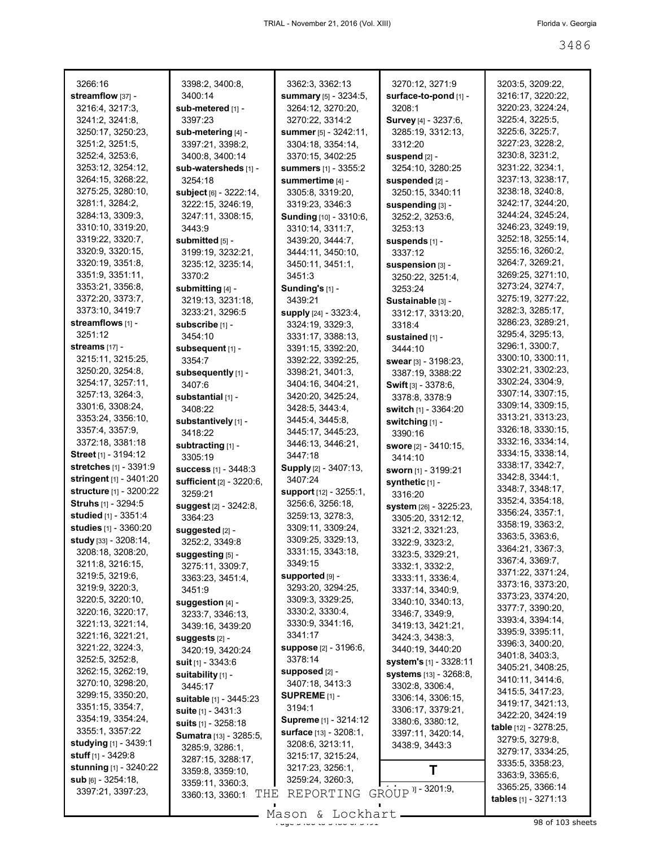| 3266:16<br>streamflow [37] -<br>3216:4, 3217:3,       | 3398:2, 3400:8,<br>3400:14<br>sub-metered [1] - | 3362:3, 3362:13<br>summary [5] - 3234:5,<br>3264:12, 3270:20, | 3270:12, 3271:9<br>surface-to-pond [1] -<br>3208:1 | 3203:5, 3209:22,<br>3216:17, 3220:22,<br>3220:23, 3224:24, |
|-------------------------------------------------------|-------------------------------------------------|---------------------------------------------------------------|----------------------------------------------------|------------------------------------------------------------|
| 3241:2, 3241:8,<br>3250:17, 3250:23,                  | 3397:23<br>sub-metering [4] -                   | 3270:22, 3314:2<br>summer [5] - 3242:11,                      | <b>Survey</b> [4] - 3237:6,<br>3285:19, 3312:13,   | 3225:4, 3225:5,<br>3225:6, 3225:7,                         |
| 3251:2, 3251:5,<br>3252:4, 3253:6,                    | 3397:21, 3398:2,<br>3400:8, 3400:14             | 3304:18, 3354:14,<br>3370:15, 3402:25                         | 3312:20<br>suspend [2] -                           | 3227:23, 3228:2,<br>3230:8, 3231:2,                        |
| 3253:12, 3254:12,                                     | sub-watersheds [1] -                            | summers [1] - 3355:2                                          | 3254:10, 3280:25                                   | 3231:22, 3234:1,                                           |
| 3264:15, 3268:22,                                     | 3254:18                                         | summertime [4] -                                              | suspended [2] -                                    | 3237:13, 3238:17,                                          |
| 3275:25, 3280:10,                                     | subject [6] - 3222:14,                          | 3305:8, 3319:20,                                              | 3250:15, 3340:11                                   | 3238:18, 3240:8,                                           |
| 3281:1, 3284:2,                                       | 3222:15, 3246:19,                               | 3319:23, 3346:3                                               | suspending [3] -                                   | 3242:17, 3244:20,                                          |
| 3284:13, 3309:3,                                      | 3247:11, 3308:15,                               | Sunding [10] - 3310:6,                                        | 3252:2, 3253:6,                                    | 3244:24, 3245:24,                                          |
| 3310:10, 3319:20,<br>3319:22, 3320:7,                 | 3443:9                                          | 3310:14, 3311:7,                                              | 3253:13                                            | 3246:23, 3249:19,<br>3252:18, 3255:14,                     |
| 3320:9, 3320:15,                                      | submitted [5] -<br>3199:19, 3232:21,            | 3439:20, 3444:7,<br>3444:11, 3450:10,                         | suspends [1] -<br>3337:12                          | 3255:16, 3260:2,                                           |
| 3320:19, 3351:8,                                      | 3235:12, 3235:14,                               | 3450:11, 3451:1,                                              | suspension [3] -                                   | 3264:7, 3269:21,                                           |
| 3351:9, 3351:11,                                      | 3370:2                                          | 3451:3                                                        | 3250:22, 3251:4,                                   | 3269:25, 3271:10,                                          |
| 3353:21, 3356:8,                                      | submitting [4] -                                | Sunding's [1] -                                               | 3253:24                                            | 3273:24, 3274:7,                                           |
| 3372:20, 3373:7,                                      | 3219:13, 3231:18,                               | 3439:21                                                       | Sustainable [3] -                                  | 3275:19, 3277:22,                                          |
| 3373:10, 3419:7                                       | 3233:21, 3296:5                                 | supply [24] - 3323:4,                                         | 3312:17, 3313:20,                                  | 3282:3, 3285:17,                                           |
| streamflows [1] -                                     | subscribe [1] -                                 | 3324:19, 3329:3,                                              | 3318:4                                             | 3286:23, 3289:21,                                          |
| 3251:12                                               | 3454:10                                         | 3331:17, 3388:13,                                             | sustained [1] -                                    | 3295:4, 3295:13,                                           |
| streams $[17] -$                                      | subsequent [1] -                                | 3391:15, 3392:20,                                             | 3444:10                                            | 3296:1, 3300:7,                                            |
| 3215:11, 3215:25,                                     | 3354:7                                          | 3392:22, 3392:25,                                             | swear [3] - 3198:23,                               | 3300:10, 3300:11,<br>3302:21, 3302:23,                     |
| 3250:20, 3254:8,<br>3254:17, 3257:11,                 | subsequently [1] -                              | 3398:21, 3401:3,                                              | 3387:19, 3388:22                                   | 3302:24, 3304:9,                                           |
| 3257:13, 3264:3,                                      | 3407:6                                          | 3404:16, 3404:21,<br>3420:20, 3425:24,                        | <b>Swift</b> $[3] - 3378:6$ ,                      | 3307:14, 3307:15,                                          |
| 3301:6, 3308:24,                                      | substantial [1] -<br>3408:22                    | 3428:5, 3443:4,                                               | 3378:8, 3378:9<br>switch [1] - 3364:20             | 3309:14, 3309:15,                                          |
| 3353:24, 3356:10,                                     | substantively [1] -                             | 3445:4, 3445:8,                                               | switching [1] -                                    | 3313:21, 3313:23,                                          |
| 3357:4, 3357:9,                                       | 3418:22                                         | 3445:17, 3445:23,                                             | 3390:16                                            | 3326:18, 3330:15,                                          |
| 3372:18, 3381:18                                      | subtracting [1] -                               | 3446:13, 3446:21,                                             | swore [2] - 3410:15,                               | 3332:16, 3334:14,                                          |
| Street [1] - 3194:12                                  | 3305:19                                         | 3447:18                                                       | 3414:10                                            | 3334:15, 3338:14,                                          |
| stretches [1] - 3391:9                                | <b>success</b> [1] - 3448:3                     | Supply [2] - 3407:13,                                         | sworn [1] - 3199:21                                | 3338:17, 3342:7,                                           |
| stringent [1] - 3401:20                               | <b>sufficient</b> [2] - 3220:6,                 | 3407:24                                                       | synthetic [1] -                                    | 3342:8, 3344:1,                                            |
| structure [1] - 3200:22                               | 3259:21                                         | <b>support</b> [12] - 3255:1,                                 | 3316:20                                            | 3348:7, 3348:17,<br>3352:4, 3354:18,                       |
| Struhs [1] - 3294:5                                   | suggest [2] - 3242:8,                           | 3256:6, 3256:18,                                              | system [26] - 3225:23,                             | 3356:24, 3357:1,                                           |
| studied [1] - 3351:4<br>studies [1] - 3360:20         | 3364:23                                         | 3259:13, 3278:3,<br>3309:11, 3309:24,                         | 3305:20, 3312:12,                                  | 3358:19, 3363:2,                                           |
| study [33] - 3208:14,                                 | suggested [2] -                                 | 3309:25, 3329:13,                                             | 3321:2, 3321:23,                                   | 3363:5, 3363:6,                                            |
| 3208:18, 3208:20,                                     | 3252:2, 3349:8                                  | 3331:15, 3343:18,                                             | 3322:9, 3323:2,                                    | 3364:21, 3367:3,                                           |
| 3211:8, 3216:15,                                      | suggesting [5] -<br>3275:11, 3309:7,            | 3349:15                                                       | 3323:5, 3329:21,<br>3332:1, 3332:2,                | 3367:4, 3369:7,                                            |
| 3219:5, 3219:6,                                       | 3363:23, 3451:4,                                | supported [9] -                                               | 3333:11, 3336:4,                                   | 3371:22, 3371:24,                                          |
| 3219:9, 3220:3,                                       | 3451:9                                          | 3293:20, 3294:25,                                             | 3337:14, 3340:9,                                   | 3373:16, 3373:20,                                          |
| 3220:5, 3220:10,                                      | suggestion [4] -                                | 3309:3, 3329:25,                                              | 3340:10, 3340:13,                                  | 3373:23, 3374:20,                                          |
| 3220:16, 3220:17,                                     | 3233:7, 3346:13,                                | 3330:2, 3330:4,                                               | 3346:7, 3349:9,                                    | 3377:7, 3390:20,<br>3393:4, 3394:14,                       |
| 3221:13, 3221:14,                                     | 3439:16, 3439:20                                | 3330:9, 3341:16,                                              | 3419:13, 3421:21,                                  | 3395:9, 3395:11,                                           |
| 3221:16, 3221:21,                                     | suggests [2] -                                  | 3341:17                                                       | 3424:3, 3438:3,                                    | 3396:3, 3400:20,                                           |
| 3221:22, 3224:3,<br>3252:5, 3252:8,                   | 3420:19, 3420:24                                | suppose [2] - 3196:6,<br>3378:14                              | 3440:19, 3440:20                                   | 3401:8, 3403:3,                                            |
| 3262:15, 3262:19,                                     | suit $[1] - 3343.6$                             | supposed [2] -                                                | system's [1] - 3328:11<br>systems [13] - 3268:8,   | 3405:21, 3408:25,                                          |
| 3270:10, 3298:20,                                     | suitability [1] -<br>3445:17                    | 3407:18, 3413:3                                               | 3302:8, 3306:4,                                    | 3410:11, 3414:6,                                           |
| 3299:15, 3350:20,                                     | suitable [1] - 3445:23                          | SUPREME <sub>[1]</sub> -                                      | 3306:14, 3306:15,                                  | 3415:5, 3417:23,                                           |
| 3351:15, 3354:7,                                      | suite [1] - 3431:3                              | 3194:1                                                        | 3306:17, 3379:21,                                  | 3419:17, 3421:13,                                          |
| 3354:19, 3354:24,                                     | <b>suits</b> $[1]$ - 3258:18                    | Supreme [1] - 3214:12                                         | 3380:6, 3380:12,                                   | 3422:20, 3424:19<br>table [12] - 3278:25,                  |
| 3355:1, 3357:22                                       | Sumatra [13] - 3285:5,                          | surface [13] - 3208:1,                                        | 3397:11, 3420:14,                                  | 3279:5, 3279:8,                                            |
| <b>studying</b> [1] - 3439:1                          | 3285:9, 3286:1,                                 | 3208:6, 3213:11,                                              | 3438:9, 3443:3                                     | 3279:17, 3334:25,                                          |
| <b>stuff</b> $[1] - 3429:8$                           | 3287:15, 3288:17,                               | 3215:17, 3215:24,                                             |                                                    | 3335:5, 3358:23,                                           |
| <b>stunning</b> $[1]$ - 3240:22<br>sub [6] - 3254:18, | 3359:8, 3359:10,                                | 3217:23, 3256:1,<br>3259:24, 3260:3,                          | Т                                                  | 3363:9, 3365:6,                                            |
| 3397:21, 3397:23,                                     | 3359:11, 3360:3.                                |                                                               | GROUP <sup> )</sup> ] - 3201:9,                    | 3365:25, 3366:14                                           |
|                                                       | THE<br>3360:13, 3360:1                          | REPORTING                                                     |                                                    | tables [1] - 3271:13                                       |
|                                                       |                                                 | Mason & Lockhart                                              |                                                    |                                                            |

Mason & Lockhart 2008 of 103 sheets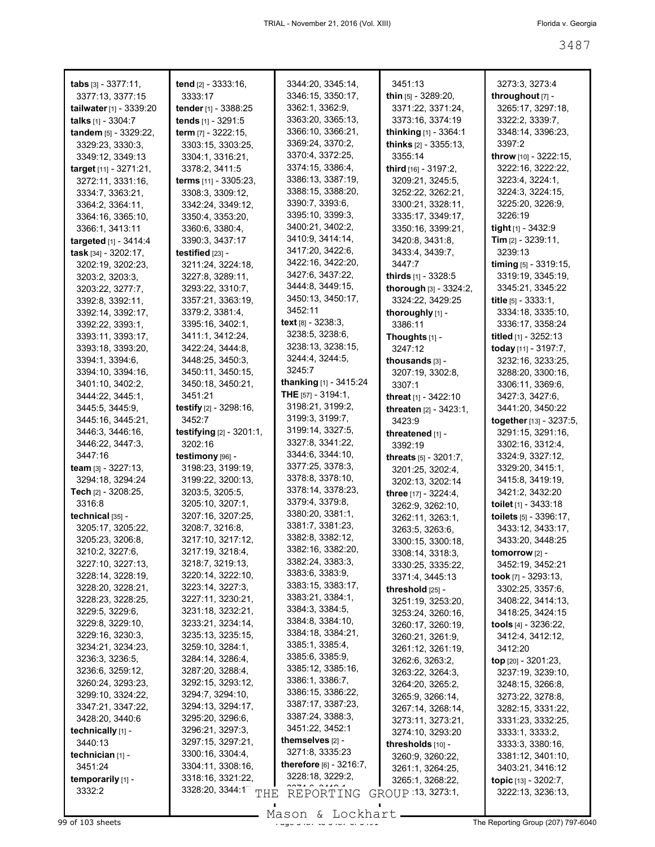| <b>tabs</b> $[3] - 3377:11$ ,  | <b>tend</b> $[2] - 3333:16$ ,      | 3344:20, 3345:14,                    | 3451:13                          | 3273:3, 3273:4               |
|--------------------------------|------------------------------------|--------------------------------------|----------------------------------|------------------------------|
| 3377:13, 3377:15               | 3333:17                            | 3346:15, 3350:17,<br>3362:1, 3362:9, | <b>thin</b> $[5]$ - 3289:20,     | throughout [7] -             |
| tailwater $[1]$ - 3339:20      | tender $[1]$ - 3388:25             |                                      | 3371:22, 3371:24,                | 3265:17, 3297:18,            |
| talks $[1] - 3304.7$           | tends [1] - 3291:5                 | 3363:20, 3365:13,                    | 3373:16, 3374:19                 | 3322:2, 3339:7,              |
| tandem [5] - 3329:22,          | term $[7] - 3222:15$ ,             | 3366:10, 3366:21,                    | thinking $[1]$ - 3364:1          | 3348:14, 3396:23,            |
| 3329:23, 3330:3,               | 3303:15, 3303:25,                  | 3369:24, 3370:2,                     | <b>thinks</b> $[2] - 3355:13$ ,  | 3397:2                       |
| 3349:12, 3349:13               | 3304:1, 3316:21,                   | 3370:4, 3372:25,                     | 3355:14                          | throw [10] - 3222:15,        |
| target [11] - 3271:21,         | 3378:2, 3411:5                     | 3374:15, 3386:4,                     | third [16] - 3197:2,             | 3222:16, 3222:22,            |
| 3272:11, 3331:16,              | terms [11] - 3305:23,              | 3386:13, 3387:19,                    | 3209:21, 3245:5,                 | 3223:4, 3224:1,              |
| 3334:7, 3363:21,               | 3308:3, 3309:12,                   | 3388:15, 3388:20,                    | 3252:22, 3262:21,                | 3224:3, 3224:15,             |
| 3364:2, 3364:11,               | 3342:24, 3349:12,                  | 3390:7, 3393:6,                      | 3300:21, 3328:11,                | 3225:20, 3226:9,             |
| 3364:16, 3365:10,              | 3350:4, 3353:20,                   | 3395:10, 3399:3,                     | 3335:17, 3349:17,                | 3226:19                      |
| 3366:1, 3413:11                | 3360:6, 3380:4,                    | 3400:21, 3402:2,                     | 3350:16, 3399:21,                | <b>tight</b> $[1]$ - 3432:9  |
| <b>targeted</b> $[1] - 3414:4$ | 3390:3, 3437:17                    | 3410:9, 3414:14,                     | 3420:8, 3431:8,                  | <b>Tim</b> $[2] - 3239:11$ , |
| task [34] - 3202:17,           | testified $[23]$ -                 | 3417:20, 3422:6,                     | 3433:4, 3439:7,                  | 3239:13                      |
| 3202:19, 3202:23,              | 3211:24, 3224:18,                  | 3422:16, 3422:20,                    | 3447:7                           | timing [5] - 3319:15,        |
| 3203:2, 3203:3,                | 3227:8, 3289:11,                   | 3427:6, 3437:22,                     | thirds [1] - 3328:5              | 3319:19, 3345:19,            |
| 3203:22, 3277:7,               | 3293:22, 3310:7,                   | 3444:8, 3449:15,                     | <b>thorough</b> $[3] - 3324:2$ , | 3345:21, 3345:22             |
| 3392:8, 3392:11,               | 3357:21, 3363:19,                  | 3450:13, 3450:17,                    | 3324:22, 3429:25                 | title [5] - 3333:1,          |
| 3392:14, 3392:17,              | 3379:2, 3381:4,                    | 3452:11                              | thoroughly [1] -                 | 3334:18, 3335:10,            |
| 3392:22, 3393:1,               | 3395:16, 3402:1,                   | <b>text</b> $[8] - 3238:3$ ,         | 3386:11                          | 3336:17, 3358:24             |
| 3393:11, 3393:17,              | 3411:1, 3412:24,                   | 3238:5, 3238:6,                      | Thoughts $[1]$ -                 | titled [1] - 3252:13         |
| 3393:18, 3393:20,              | 3422:24, 3444:8,                   | 3238:13, 3238:15,                    | 3247:12                          | today [11] - 3197:7,         |
| 3394:1, 3394:6,                | 3448:25, 3450:3,                   | 3244:4, 3244:5,                      | thousands [3] -                  | 3232:16, 3233:25,            |
| 3394:10, 3394:16,              | 3450:11, 3450:15,                  | 3245:7                               | 3207:19, 3302:8,                 | 3288:20, 3300:16,            |
| 3401:10, 3402:2,               | 3450:18, 3450:21,                  | <b>thanking</b> [1] - 3415:24        | 3307:1                           | 3306:11, 3369:6,             |
| 3444:22, 3445:1,               | 3451:21                            | <b>THE</b> $[57] - 3194:1$ ,         | threat [1] - 3422:10             | 3427:3, 3427:6,              |
| 3445:5, 3445:9,                | testify $[2] - 3298:16$ ,          | 3198:21, 3199:2,                     | threaten [2] - 3423:1,           | 3441:20, 3450:22             |
| 3445:16, 3445:21,              | 3452:7                             | 3199:3, 3199:7,                      | 3423:9                           | together [13] - 3237:5,      |
| 3446:3, 3446:16,               | <b>testifying</b> $[2] - 3201:1$ , | 3199:14, 3327:5,                     | threatened [1] -                 | 3291:15, 3291:16,            |
| 3446:22, 3447:3,               | 3202:16                            | 3327:8, 3341:22,                     | 3392:19                          | 3302:16, 3312:4,             |
| 3447:16                        | testimony [96] -                   | 3344:6, 3344:10,                     | threats [5] - 3201:7,            | 3324:9, 3327:12,             |
| <b>team</b> [3] - 3227:13,     | 3198:23, 3199:19,                  | 3377:25, 3378:3,                     | 3201:25, 3202:4,                 | 3329:20, 3415:1,             |
| 3294:18, 3294:24               | 3199:22, 3200:13,                  | 3378:8, 3378:10,                     | 3202:13, 3202:14                 | 3415:8, 3419:19,             |
| <b>Tech</b> [2] - 3208:25,     | 3203:5, 3205:5,                    | 3378:14, 3378:23,                    | three [17] - 3224:4,             | 3421:2, 3432:20              |
| 3316:8                         | 3205:10, 3207:1,                   | 3379:4, 3379:8,                      | 3262:9, 3262:10,                 | toilet $[1]$ - 3433:18       |
| technical [35] -               | 3207:16, 3207:25,                  | 3380:20, 3381:1,                     | 3262:11, 3263:1,                 | toilets $[5] - 3396:17$ ,    |
| 3205:17, 3205:22,              | 3208:7, 3216:8,                    | 3381:7, 3381:23,                     | 3263:5, 3263:6,                  | 3433:12, 3433:17,            |
| 3205:23, 3206:8,               | 3217:10, 3217:12,                  | 3382:8, 3382:12,                     | 3300:15, 3300:18,                | 3433:20, 3448:25             |
| 3210:2, 3227:6,                | 3217:19, 3218:4,                   | 3382:16, 3382:20.                    | 3308:14, 3318:3,                 | <b>tomorrow</b> $[2]$ -      |
| 3227:10, 3227:13,              | 3218:7, 3219:13,                   | 3382:24, 3383:3,                     | 3330:25, 3335:22,                | 3452:19, 3452:21             |
| 3228:14, 3228:19,              | 3220:14, 3222:10,                  | 3383:6, 3383:9,                      | 3371:4, 3445:13                  | took $[7] - 3293:13,$        |
| 3228:20, 3228:21,              | 3223:14, 3227:3,                   | 3383:15, 3383:17,                    | threshold $[25]$ -               | 3302:25, 3357:6,             |
| 3228:23, 3228:25,              | 3227:11, 3230:21,                  | 3383:21, 3384:1,                     | 3251:19, 3253:20,                | 3408:22, 3414:13,            |
| 3229:5, 3229:6,                | 3231:18, 3232:21,                  | 3384:3, 3384:5,                      | 3253:24, 3260:16,                | 3418:25, 3424:15             |
| 3229:8, 3229:10,               | 3233:21, 3234:14,                  | 3384:8, 3384:10,                     | 3260:17, 3260:19,                | tools $[4]$ - 3236:22,       |
| 3229:16, 3230:3,               | 3235:13, 3235:15,                  | 3384:18, 3384:21,                    | 3260:21, 3261:9,                 | 3412:4, 3412:12,             |
| 3234:21, 3234:23,              | 3259:10, 3284:1,                   | 3385:1, 3385:4,                      | 3261:12, 3261:19,                | 3412:20                      |
| 3236:3, 3236:5,                | 3284:14, 3286:4,                   | 3385:6, 3385:9,                      | 3262:6, 3263:2,                  | top $[20] - 3201:23$ ,       |
| 3236:6, 3259:12,               | 3287:20, 3288:4,                   | 3385:12, 3385:16,                    | 3263:22, 3264:3,                 | 3237:19, 3239:10,            |
| 3260:24, 3293:23,              | 3292:15, 3293:12,                  | 3386:1, 3386:7,                      | 3264:20, 3265:2,                 | 3248:15, 3266:8,             |
| 3299:10, 3324:22,              | 3294:7, 3294:10,                   | 3386:15, 3386:22,                    | 3265:9, 3266:14,                 | 3273:22, 3278:8,             |
| 3347:21, 3347:22,              | 3294:13, 3294:17,                  | 3387:17, 3387:23,                    | 3267:14, 3268:14,                | 3282:15, 3331:22,            |
| 3428:20, 3440:6                | 3295:20, 3296:6,                   | 3387:24, 3388:3,                     | 3273:11, 3273:21,                | 3331:23, 3332:25,            |
| technically [1] -              | 3296:21, 3297:3,                   | 3451:22, 3452:1                      | 3274:10, 3293:20                 | 3333:1, 3333:2,              |
| 3440:13                        | 3297:15, 3297:21,                  | themselves $[2]$ -                   | thresholds [10] -                | 3333:3, 3380:16,             |
| technician [1] -               | 3300:16, 3304:4,                   | 3271:8, 3335:23                      | 3260:9, 3260:22,                 | 3381:12, 3401:10,            |
| 3451:24                        | 3304:11, 3308:16,                  | <b>therefore</b> $[6] - 3216.7$ ,    | 3261:1, 3264:25,                 | 3403:21, 3416:12             |
| temporarily [1] -              | 3318:16, 3321:22,                  | 3228:18, 3229:2,                     | 3265:1, 3268:22,                 | topic $[13] - 3202:7$ ,      |
| 3332:2                         | 3328:20, 3344:1 <sup>-</sup> THE   |                                      | GROUP 13, 3273:1,                | 3222:13, 3236:13,            |
|                                |                                    | REPORTING                            |                                  |                              |

Mason & Lockhart **Page 3487 of 103 sheets** Page 3487 and 34887 of 3491 Mason & Lockhart **Page 3487 of 3491 The Reporting Group** (207) 797-6040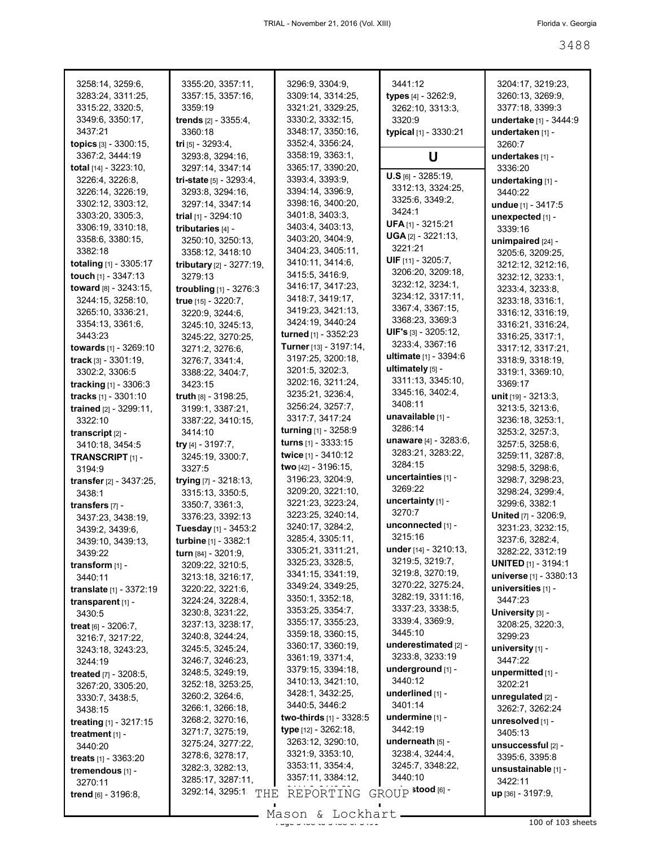| 3258:14, 3259:6,                                                         | 3355:20, 3357:11,                                             | 3296:9, 3304:9,                                                              | 3441:12                                                          | 3204:17, 3219:23,                                  |
|--------------------------------------------------------------------------|---------------------------------------------------------------|------------------------------------------------------------------------------|------------------------------------------------------------------|----------------------------------------------------|
| 3283:24, 3311:25,                                                        | 3357:15, 3357:16,                                             | 3309:14, 3314:25,                                                            | types [4] - 3262:9,                                              | 3260:13, 3269:9,                                   |
| 3315:22, 3320:5,                                                         | 3359:19                                                       | 3321:21, 3329:25,                                                            | 3262:10, 3313:3,                                                 | 3377:18, 3399:3                                    |
| 3349:6, 3350:17,                                                         | <b>trends</b> [2] - 3355:4,                                   | 3330:2, 3332:15,                                                             | 3320:9                                                           | undertake [1] - 3444:9                             |
| 3437:21                                                                  | 3360:18                                                       | 3348:17, 3350:16,                                                            | typical [1] - 3330:21                                            | undertaken [1] -                                   |
| topics [3] - 3300:15,                                                    | tri $[5] - 3293.4$ ,                                          | 3352:4, 3356:24,                                                             |                                                                  | 3260.7                                             |
| 3367:2, 3444:19                                                          | 3293:8, 3294:16,                                              | 3358:19, 3363:1,                                                             | U                                                                | undertakes [1] -                                   |
| <b>total</b> $[14] - 3223:10$ ,                                          | 3297:14, 3347:14                                              | 3365:17, 3390:20,                                                            | $U.S$ [6] - 3285:19,                                             | 3336:20                                            |
| 3226:4, 3226:8,                                                          | tri-state [5] - 3293:4,                                       | 3393:4, 3393:9,                                                              | 3312:13, 3324:25,                                                | undertaking [1] -                                  |
| 3226:14, 3226:19,<br>3302:12, 3303:12,<br>3303:20, 3305:3,               | 3293:8, 3294:16,<br>3297:14, 3347:14<br>trial $[1] - 3294:10$ | 3394:14, 3396:9,<br>3398:16, 3400:20,<br>3401:8, 3403:3,<br>3403:4, 3403:13, | 3325:6, 3349:2,<br>3424:1<br><b>UFA</b> [1] - 3215:21            | 3440:22<br>undue [1] - 3417:5<br>unexpected [1] -  |
| 3306:19, 3310:18,<br>3358:6, 3380:15,<br>3382:18                         | tributaries [4] -<br>3250:10, 3250:13,<br>3358:12, 3418:10    | 3403:20, 3404:9,<br>3404:23, 3405:11,                                        | <b>UGA</b> $[2] - 3221:13$ ,<br>3221:21<br>UIF $[11] - 3205:7$ , | 3339:16<br>unimpaired [24] -<br>3205:6, 3209:25,   |
| totaling [1] - 3305:17                                                   | tributary [2] - 3277:19,                                      | 3410:11, 3414:6,                                                             | 3206:20, 3209:18,                                                | 3212:12, 3212:16,                                  |
| touch [1] - 3347:13                                                      | 3279:13                                                       | 3415:5, 3416:9,                                                              | 3232:12, 3234:1,                                                 | 3232:12, 3233:1,                                   |
| toward $[8] - 3243:15$ ,                                                 | troubling [1] - 3276:3                                        | 3416:17, 3417:23,                                                            | 3234:12, 3317:11,                                                | 3233:4, 3233:8,                                    |
| 3244:15, 3258:10,                                                        | true [15] - 3220:7,                                           | 3418:7, 3419:17,                                                             | 3367:4, 3367:15,                                                 | 3233:18, 3316:1,                                   |
| 3265:10, 3336:21,                                                        | 3220:9, 3244:6,                                               | 3419:23, 3421:13,                                                            | 3368:23, 3369:3                                                  | 3316:12, 3316:19,                                  |
| 3354:13, 3361:6,                                                         | 3245:10, 3245:13,                                             | 3424:19, 3440:24                                                             | UIF's [3] - 3205:12,                                             | 3316:21, 3316:24,                                  |
| 3443:23                                                                  | 3245:22. 3270:25.                                             | turned [1] - 3352:23                                                         | 3233:4, 3367:16                                                  | 3316:25, 3317:1,                                   |
| towards [1] - 3269:10                                                    | 3271:2, 3276:6,                                               | Turner [13] - 3197:14,                                                       | ultimate [1] - 3394:6                                            | 3317:12, 3317:21,                                  |
| <b>track</b> $[3] - 3301:19$ ,                                           | 3276:7, 3341:4,                                               | 3197:25, 3200:18,                                                            | ultimately $[5]$ -                                               | 3318:9, 3318:19,                                   |
| 3302:2, 3306:5<br><b>tracking</b> $[1] - 3306:3$<br>tracks [1] - 3301:10 | 3388:22, 3404:7,<br>3423:15<br>truth [8] - 3198:25,           | 3201:5, 3202:3,<br>3202:16, 3211:24,<br>3235:21, 3236:4,                     | 3311:13, 3345:10,<br>3345:16, 3402:4,                            | 3319:1, 3369:10,<br>3369:17<br>unit [19] - 3213:3, |
| trained [2] - 3299:11,                                                   | 3199:1, 3387:21,                                              | 3256:24, 3257:7,                                                             | 3408:11                                                          | 3213:5, 3213:6,                                    |
| 3322:10                                                                  | 3387:22, 3410:15,                                             | 3317:7, 3417:24                                                              | unavailable [1] -                                                | 3236:18, 3253:1,                                   |
| transcript $[2]$ -                                                       | 3414:10                                                       | turning [1] - 3258:9                                                         | 3286:14                                                          | 3253:2, 3257:3,                                    |
| 3410:18, 3454:5                                                          | try $[4] - 3197:7,$                                           | <b>turns</b> $[1] - 3333:15$                                                 | unaware [4] - 3283:6,                                            | 3257:5, 3258:6,                                    |
| TRANSCRIPT <sub>[1]</sub> -                                              | 3245:19, 3300:7,                                              | twice [1] - 3410:12                                                          | 3283:21, 3283:22,                                                | 3259:11, 3287:8,                                   |
| 3194:9                                                                   | 3327:5                                                        | two [42] - 3196:15,                                                          | 3284:15                                                          | 3298:5, 3298:6,                                    |
| transfer [2] - 3437:25,                                                  | trying [7] - 3218:13,                                         | 3196:23, 3204:9,                                                             | uncertainties [1] -                                              | 3298:7, 3298:23,                                   |
| 3438:1                                                                   | 3315:13, 3350:5,                                              | 3209:20, 3221:10,                                                            | 3269:22                                                          | 3298:24, 3299:4,                                   |
| transfers [7] -                                                          | 3350:7, 3361:3,                                               | 3221:23, 3223:24,                                                            | uncertainty [1] -                                                | 3299:6, 3382:1                                     |
| 3437:23, 3438:19,                                                        | 3376:23, 3392:13                                              | 3223:25, 3240:14,                                                            | 3270:7                                                           | United [7] - 3206:9,                               |
| 3439:2, 3439:6,                                                          | Tuesday [1] - 3453:2                                          | 3240:17, 3284:2,                                                             | unconnected [1] -                                                | 3231:23, 3232:15,                                  |
| 3439:10, 3439:13,                                                        | turbine [1] - 3382:1                                          | 3285:4, 3305:11,                                                             | 3215:16                                                          | 3237:6, 3282:4,                                    |
| 3439:22                                                                  | <b>turn</b> [84] - 3201:9,                                    | 3305:21, 3311:21,                                                            | under [14] - 3210:13,                                            | 3282:22, 3312:19                                   |
| transform $[1]$ -                                                        | 3209:22, 3210:5,                                              | 3325:23, 3328:5,                                                             | 3219:5, 3219:7,                                                  | <b>UNITED</b> [1] - 3194:1                         |
| 3440:11                                                                  | 3213:18, 3216:17,                                             | 3341:15, 3341:19,                                                            | 3219:8, 3270:19,                                                 | universe [1] - 3380:13                             |
| translate [1] - 3372:19                                                  | 3220:22, 3221:6,                                              | 3349:24, 3349:25,                                                            | 3270:22, 3275:24,                                                | universities [1] -                                 |
| transparent [1] -                                                        | 3224:24, 3228:4,                                              | 3350:1, 3352:18,                                                             | 3282:19, 3311:16,                                                | 3447:23                                            |
| 3430:5                                                                   | 3230:8, 3231:22,                                              | 3353:25, 3354:7,                                                             | 3337:23, 3338:5,                                                 | University [3] -                                   |
| treat $[6] - 3206:7$ ,                                                   | 3237:13, 3238:17,                                             | 3355:17, 3355:23,                                                            | 3339:4, 3369:9,                                                  | 3208:25, 3220:3,                                   |
| 3216:7, 3217:22,                                                         | 3240:8, 3244:24,                                              | 3359:18, 3360:15,                                                            | 3445:10                                                          | 3299:23                                            |
| 3243:18, 3243:23,                                                        | 3245:5, 3245:24,                                              | 3360:17, 3360:19,                                                            | underestimated [2] -                                             | university $[1]$ -                                 |
| 3244:19<br>treated [7] - 3208:5,                                         | 3246:7, 3246:23,<br>3248:5, 3249:19,<br>3252:18, 3253:25,     | 3361:19, 3371:4,<br>3379:15, 3394:18,<br>3410:13, 3421:10,                   | 3233:8, 3233:19<br>underground [1] -<br>3440:12                  | 3447:22<br>unpermitted [1] -<br>3202:21            |
| 3267:20, 3305:20,<br>3330:7, 3438:5,<br>3438:15                          | 3260:2, 3264:6,<br>3266:1, 3266:18,                           | 3428:1, 3432:25,<br>3440:5, 3446:2<br>two-thirds [1] - 3328:5                | underlined [1] -<br>3401:14<br>undermine [1] -                   | unregulated [2] -<br>3262:7, 3262:24               |
| treating [1] - 3217:15                                                   | 3268:2, 3270:16,                                              | type [12] - 3262:18,                                                         | 3442:19                                                          | unresolved [1] -                                   |
| treatment $[1]$ -                                                        | 3271:7, 3275:19,                                              | 3263:12, 3290:10,                                                            | underneath $[5]$ -                                               | 3405:13                                            |
| 3440:20                                                                  | 3275:24, 3277:22,                                             | 3321:9, 3353:10,                                                             | 3238:4, 3244:4,                                                  | unsuccessful [2] -                                 |
| <b>treats</b> $[1] - 3363:20$<br>tremendous [1] -<br>3270:11             | 3278:6, 3278:17,<br>3282:3, 3282:13,<br>3285:17, 3287:11,     | 3353:11, 3354:4,<br>3357:11, 3384:12,                                        | 3245:7, 3348:22,<br>3440:10                                      | 3395:6, 3395:8<br>unsustainable [1] -<br>3422:11   |
| <b>trend</b> $[6] - 3196:8$                                              | 3292:14, 3295:1<br>THE                                        | REPORTING<br>Mason & Lockhart                                                | GROUP stood [6] -                                                | $up$ [36] - 3197:9,                                |

Mason & Lockhart 100 of 103 sheets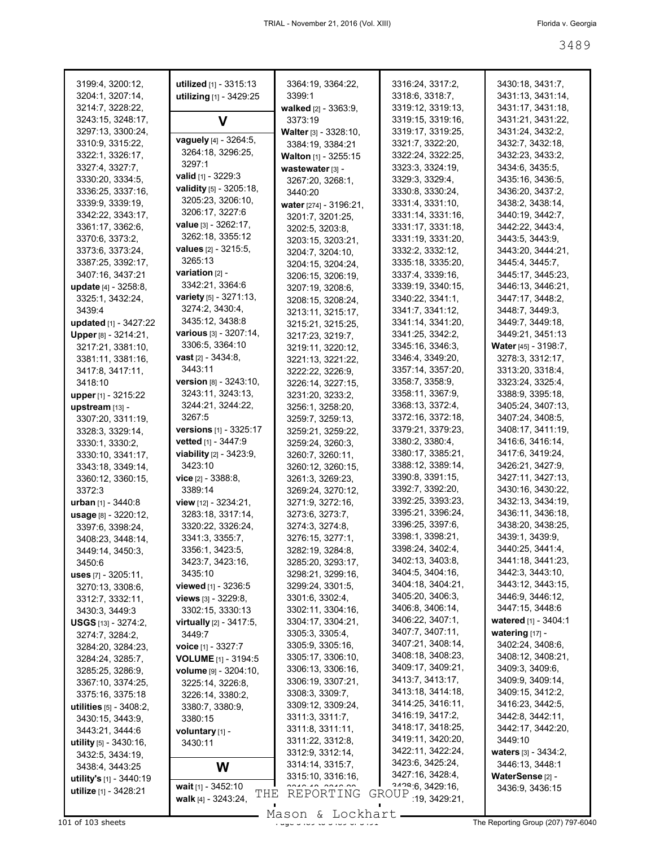| 3199:4, 3200:12,                                 | utilized [1] - 3315:13           | 3364:19, 3364:22,               | 3316:24, 3317:2,     | 3430:18, 3431:7,                       |
|--------------------------------------------------|----------------------------------|---------------------------------|----------------------|----------------------------------------|
| 3204:1, 3207:14,                                 | utilizing [1] - 3429:25          | 3399:1                          | 3318:6, 3318:7,      | 3431:13, 3431:14,                      |
| 3214:7, 3228:22,                                 |                                  | walked [2] - 3363:9,            | 3319:12, 3319:13,    | 3431:17, 3431:18,                      |
| 3243:15, 3248:17,                                | V                                | 3373:19                         | 3319:15, 3319:16,    | 3431:21, 3431:22,                      |
| 3297:13, 3300:24,                                |                                  | <b>Walter</b> $[3] - 3328:10$ , | 3319:17, 3319:25,    | 3431:24, 3432:2,                       |
| 3310:9, 3315:22,                                 | vaguely [4] - 3264:5,            | 3384:19, 3384:21                | 3321:7, 3322:20,     | 3432:7, 3432:18,                       |
| 3322:1, 3326:17,                                 | 3264:18, 3296:25,                | Walton [1] - 3255:15            | 3322:24, 3322:25,    | 3432:23, 3433:2,                       |
| 3327:4, 3327:7,                                  | 3297:1                           |                                 | 3323:3, 3324:19,     | 3434:6, 3435:5,                        |
| 3330:20, 3334:5,                                 | valid $[1] - 3229:3$             | wastewater [3] -                | 3329:3, 3329:4,      | 3435:16, 3436:5,                       |
|                                                  | validity [5] - 3205:18,          | 3267:20, 3268:1,                | 3330:8, 3330:24,     | 3436:20, 3437:2,                       |
| 3336:25, 3337:16,                                | 3205:23, 3206:10,                | 3440:20                         |                      | 3438:2, 3438:14,                       |
| 3339:9, 3339:19,                                 | 3206:17, 3227:6                  | water [274] - 3196:21,          | 3331:4, 3331:10,     |                                        |
| 3342:22, 3343:17,                                | <b>value</b> $[3] - 3262:17$ ,   | 3201:7, 3201:25,                | 3331:14, 3331:16,    | 3440:19, 3442:7,                       |
| 3361:17, 3362:6,                                 |                                  | 3202:5, 3203:8,                 | 3331:17, 3331:18,    | 3442:22, 3443:4,                       |
| 3370:6, 3373:2,                                  | 3262:18, 3355:12                 | 3203:15, 3203:21,               | 3331:19, 3331:20,    | 3443:5, 3443:9,                        |
| 3373:6, 3373:24,                                 | values [2] - 3215:5,             | 3204:7, 3204:10,                | 3332:2, 3332:12,     | 3443:20, 3444:21,                      |
| 3387:25, 3392:17,                                | 3265:13                          | 3204:15, 3204:24,               | 3335:18, 3335:20,    | 3445:4, 3445:7,                        |
| 3407:16, 3437:21                                 | <b>variation</b> $[2]$ -         | 3206:15, 3206:19,               | 3337:4, 3339:16,     | 3445:17, 3445:23,                      |
| update [4] - 3258:8.                             | 3342:21, 3364:6                  | 3207:19, 3208:6,                | 3339:19, 3340:15,    | 3446:13, 3446:21,                      |
| 3325:1, 3432:24,                                 | variety [5] - 3271:13,           | 3208:15, 3208:24,               | 3340:22, 3341:1,     | 3447:17, 3448:2,                       |
| 3439:4                                           | 3274:2, 3430:4,                  | 3213:11, 3215:17,               | 3341:7, 3341:12,     | 3448.7, 3449.3,                        |
| updated [1] - 3427:22                            | 3435:12, 3438:8                  | 3215:21, 3215:25,               | 3341:14, 3341:20,    | 3449:7, 3449:18,                       |
| Upper [8] - 3214:21,                             | various [3] - 3207:14,           | 3217:23, 3219:7,                | 3341:25, 3342:2,     | 3449:21, 3451:13                       |
| 3217:21, 3381:10,                                | 3306:5, 3364:10                  | 3219:11, 3220:12,               | 3345:16, 3346:3,     | Water [45] - 3198:7,                   |
| 3381:11, 3381:16,                                | <b>vast</b> $[2] - 3434:8$ ,     | 3221:13, 3221:22,               | 3346:4, 3349:20,     | 3278:3, 3312:17,                       |
| 3417:8, 3417:11,                                 | 3443:11                          | 3222:22, 3226:9,                | 3357:14, 3357:20,    | 3313:20, 3318:4,                       |
| 3418:10                                          | <b>version</b> $[8] - 3243:10$ , | 3226:14, 3227:15,               | 3358:7, 3358:9,      | 3323:24, 3325:4,                       |
| upper [1] - 3215:22                              | 3243:11, 3243:13,                | 3231:20, 3233:2,                | 3358:11, 3367:9,     | 3388:9, 3395:18,                       |
| upstream [13] -                                  | 3244:21, 3244:22,                | 3256:1, 3258:20,                | 3368:13, 3372:4,     | 3405:24, 3407:13,                      |
| 3307:20, 3311:19,                                | 3267:5                           | 3259:7, 3259:13,                | 3372:16, 3372:18,    | 3407:24, 3408:5,                       |
| 3328:3, 3329:14,                                 | <b>versions</b> $[1] - 3325:17$  | 3259:21, 3259:22,               | 3379:21, 3379:23,    | 3408:17, 3411:19,                      |
| 3330:1, 3330:2,                                  | vetted [1] - 3447:9              | 3259:24, 3260:3,                | 3380:2, 3380:4,      | 3416:6, 3416:14,                       |
| 3330:10, 3341:17,                                | viability [2] - 3423:9,          | 3260:7, 3260:11,                | 3380:17, 3385:21,    | 3417:6, 3419:24,                       |
| 3343:18, 3349:14,                                | 3423:10                          | 3260:12, 3260:15,               | 3388:12, 3389:14,    | 3426:21, 3427:9,                       |
|                                                  | $vice$ [2] - 3388:8,             |                                 | 3390:8, 3391:15,     | 3427:11, 3427:13,                      |
| 3360:12, 3360:15,                                |                                  | 3261:3, 3269:23,                | 3392:7, 3392:20,     | 3430:16, 3430:22,                      |
| 3372:3                                           | 3389:14                          | 3269:24, 3270:12,               | 3392:25, 3393:23,    | 3432:13, 3434:19,                      |
| urban $[1] - 3440.8$                             | view [12] - 3234:21,             | 3271:9, 3272:16,                | 3395:21, 3396:24,    |                                        |
| usage [8] - 3220:12,                             | 3283:18, 3317:14,                | 3273:6, 3273:7,                 |                      | 3436:11, 3436:18,<br>3438:20, 3438:25, |
| 3397:6, 3398:24,                                 | 3320:22, 3326:24,                | 3274:3, 3274:8,                 | 3396:25, 3397:6,     |                                        |
| 3408:23, 3448:14,                                | 3341:3, 3355:7,                  | 3276:15, 3277:1,                | 3398:1, 3398:21,     | 3439:1, 3439:9,                        |
| 3449:14, 3450:3,                                 | 3356:1, 3423:5,                  | 3282:19, 3284:8,                | 3398:24, 3402:4,     | 3440:25, 3441:4,                       |
| 3450:6                                           | 3423:7, 3423:16,                 | 3285:20, 3293:17,               | 3402:13, 3403:8,     | 3441:18, 3441:23,                      |
| uses [7] - 3205:11,                              | 3435:10                          | 3298:21, 3299:16,               | 3404:5, 3404:16,     | 3442:3, 3443:10,                       |
| 3270:13, 3308:6,                                 | <b>viewed</b> $[1] - 3236.5$     | 3299:24, 3301:5,                | 3404:18, 3404:21,    | 3443:12, 3443:15,                      |
| 3312:7, 3332:11,                                 | <b>views</b> $[3] - 3229:8$ ,    | 3301:6, 3302:4,                 | 3405:20, 3406:3,     | 3446:9, 3446:12,                       |
| 3430:3, 3449:3                                   | 3302:15, 3330:13                 | 3302:11, 3304:16,               | 3406:8, 3406:14,     | 3447:15, 3448:6                        |
| <b>USGS</b> $[13] - 3274:2,$                     | virtually [2] - 3417:5,          | 3304:17, 3304:21,               | 3406:22, 3407:1,     | watered [1] - 3404:1                   |
| 3274:7, 3284:2,                                  | 3449:7                           | 3305:3, 3305:4,                 | 3407:7, 3407:11,     | watering $[17] -$                      |
| 3284:20, 3284:23,                                | voice [1] - 3327:7               | 3305:9, 3305:16,                | 3407:21, 3408:14,    | 3402:24, 3408:6,                       |
| 3284:24, 3285:7,                                 | <b>VOLUME</b> [1] - 3194:5       | 3305:17, 3306:10,               | 3408:18, 3408:23,    | 3408:12, 3408:21,                      |
| 3285:25, 3286:9,                                 | volume [9] - 3204:10,            | 3306:13, 3306:16,               | 3409:17, 3409:21,    | 3409:3, 3409:6,                        |
| 3367:10, 3374:25,                                | 3225:14, 3226:8,                 | 3306:19, 3307:21,               | 3413:7, 3413:17,     | 3409:9, 3409:14,                       |
| 3375:16, 3375:18                                 | 3226:14, 3380:2,                 | 3308:3, 3309:7,                 | 3413:18, 3414:18,    | 3409:15, 3412:2,                       |
| <b>utilities</b> $[5]$ - 3408:2,                 | 3380:7, 3380:9,                  | 3309:12, 3309:24,               | 3414:25, 3416:11,    | 3416:23, 3442:5,                       |
| 3430:15, 3443:9,                                 | 3380:15                          | 3311:3, 3311:7,                 | 3416:19, 3417:2,     | 3442:8, 3442:11,                       |
| 3443:21, 3444:6                                  | voluntary [1] -                  | 3311:8, 3311:11,                | 3418:17, 3418:25,    | 3442:17, 3442:20,                      |
| utility $[5] - 3430:16$ ,                        | 3430:11                          | 3311:22, 3312:8,                | 3419:11, 3420:20,    | 3449:10                                |
| 3432:5, 3434:19,                                 |                                  | 3312:9, 3312:14,                | 3422:11, 3422:24,    | <b>waters</b> $[3] - 3434:2$ ,         |
| 3438:4, 3443:25                                  | W                                | 3314:14, 3315:7,                | 3423:6, 3425:24,     | 3446:13, 3448:1                        |
|                                                  |                                  | 3315:10, 3316:16,               | 3427:16, 3428:4,     | WaterSense [2] -                       |
| utility's [1] - 3440:19<br>utilize [1] - 3428:21 | wait $[1] - 3452:10$             |                                 | 2429.6, 3429.16,     | 3436:9, 3436:15                        |
|                                                  | THE<br>walk [4] - 3243:24,       | REPORTING                       | GROUP : 19, 3429:21, |                                        |
|                                                  |                                  |                                 |                      |                                        |

Mason & Lockhart **Page 3489 of 103 sheets** Page 3489 to 3489 Mason & Lockhart **Page 349** The Reporting Group (207) 797-6040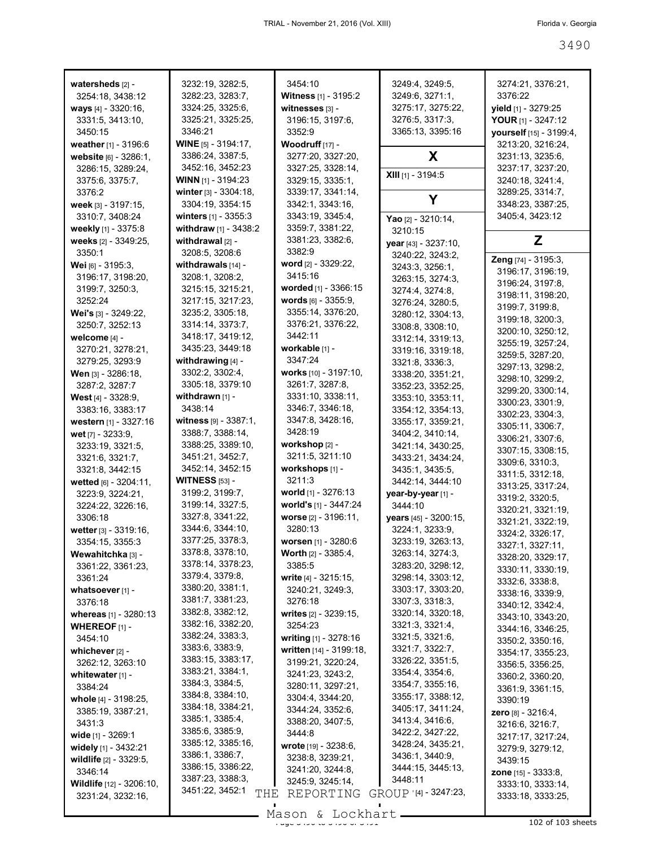| watersheds [2] -             | 3232:19, 3282:5,                      | 3454:10                              | 3249:4, 3249:5,                     | 3274:21, 3376:21,                     |
|------------------------------|---------------------------------------|--------------------------------------|-------------------------------------|---------------------------------------|
| 3254:18, 3438:12             | 3282:23, 3283:7,                      | <b>Witness</b> [1] - 3195:2          | 3249:6, 3271:1,                     | 3376:22                               |
| ways $[4] - 3320:16$ ,       | 3324:25, 3325:6,                      | witnesses [3] -                      | 3275:17, 3275:22,                   | yield [1] - 3279:25                   |
| 3331:5, 3413:10,             | 3325:21, 3325:25,                     | 3196:15, 3197:6,                     | 3276:5, 3317:3,                     | YOUR [1] - 3247:12                    |
| 3450:15                      | 3346:21                               | 3352:9                               | 3365:13, 3395:16                    | vourself [15] - 3199:4,               |
| weather [1] - 3196:6         | <b>WINE</b> $[5] - 3194:17$ ,         | <b>Woodruff</b> $[17] -$             |                                     | 3213:20, 3216:24,                     |
| website [6] - 3286:1,        | 3386:24, 3387:5,                      | 3277:20, 3327:20,                    | X.                                  | 3231:13, 3235:6,                      |
| 3286:15, 3289:24,            | 3452:16, 3452:23                      | 3327:25, 3328:14,                    |                                     | 3237:17, 3237:20,                     |
| 3375:6, 3375:7,              | <b>WINN</b> [1] - 3194:23             | 3329:15, 3335:1,                     | XIII [1] - 3194:5                   | 3240:18, 3241:4,                      |
| 3376:2                       | winter $[3] - 3304:18$ ,              | 3339:17, 3341:14,                    |                                     | 3289:25, 3314:7,                      |
| week [3] - 3197:15,          | 3304:19, 3354:15                      | 3342:1, 3343:16,                     | Y                                   | 3348:23, 3387:25,                     |
| 3310:7, 3408:24              | <b>winters</b> $[1]$ - 3355:3         | 3343:19, 3345:4,                     | Yao [2] - 3210:14,                  | 3405:4, 3423:12                       |
| weekly [1] - 3375:8          | withdraw [1] - 3438:2                 | 3359:7, 3381:22,                     | 3210:15                             |                                       |
| weeks [2] - 3349:25,         | withdrawal $[2]$ -                    | 3381:23, 3382:6,                     | year [43] - 3237:10,                | Z                                     |
| 3350:1                       | 3208:5, 3208:6                        | 3382:9                               | 3240:22, 3243:2,                    |                                       |
| <b>Wei</b> [6] - 3195:3,     | withdrawals [14] -                    | word $[2] - 3329:22$ ,               | 3243:3, 3256:1,                     | Zeng [74] - 3195:3,                   |
| 3196:17, 3198:20,            | 3208:1, 3208:2,                       | 3415:16                              | 3263:15, 3274:3,                    | 3196:17, 3196:19,                     |
| 3199:7, 3250:3,              | 3215:15, 3215:21,                     | worded [1] - 3366:15                 | 3274:4, 3274:8,                     | 3196:24, 3197:8,                      |
| 3252:24                      | 3217:15, 3217:23,                     | <b>words</b> $[6] - 3355:9$ ,        | 3276:24, 3280:5,                    | 3198:11, 3198:20,                     |
| Wei's [3] - 3249:22,         | 3235:2, 3305:18,                      | 3355:14, 3376:20,                    | 3280:12, 3304:13,                   | 3199:7, 3199:8,                       |
| 3250:7, 3252:13              | 3314:14, 3373:7,                      | 3376:21, 3376:22,                    | 3308:8, 3308:10,                    | 3199:18, 3200:3,                      |
| welcome [4] -                | 3418:17, 3419:12,                     | 3442:11                              | 3312:14, 3319:13,                   | 3200:10, 3250:12,                     |
| 3270:21, 3278:21,            | 3435:23, 3449:18                      | workable [1] -                       | 3319:16, 3319:18,                   | 3255:19, 3257:24,                     |
| 3279:25, 3293:9              | withdrawing $[4]$ -                   | 3347:24                              | 3321:8, 3336:3,                     | 3259:5, 3287:20,                      |
| Wen [3] - 3286:18,           | 3302:2, 3302:4,                       | works [10] - 3197:10,                | 3338:20, 3351:21,                   | 3297:13, 3298:2,<br>3298:10, 3299:2,  |
| 3287:2, 3287:7               | 3305:18, 3379:10                      | 3261:7, 3287:8,                      | 3352:23, 3352:25,                   |                                       |
| <b>West</b> $[4] - 3328:9$ , | withdrawn $[1]$ -                     | 3331:10, 3338:11,                    | 3353:10, 3353:11,                   | 3299:20, 3300:14,<br>3300:23, 3301:9, |
| 3383:16, 3383:17             | 3438:14                               | 3346:7, 3346:18,                     | 3354:12, 3354:13,                   | 3302:23, 3304:3,                      |
| western [1] - 3327:16        | witness $[9] - 3387:1$ ,              | 3347:8, 3428:16,                     | 3355:17, 3359:21,                   | 3305:11, 3306:7,                      |
| wet [7] - 3233:9,            | 3388:7, 3388:14,                      | 3428:19                              | 3404:2, 3410:14,                    | 3306:21, 3307:6,                      |
| 3233:19, 3321:5,             | 3388:25, 3389:10,                     | workshop [2] -                       | 3421:14, 3430:25,                   | 3307:15, 3308:15,                     |
| 3321:6, 3321:7,              | 3451:21, 3452:7,                      | 3211:5, 3211:10                      | 3433:21, 3434:24,                   | 3309:6, 3310:3,                       |
| 3321:8, 3442:15              | 3452:14, 3452:15                      | workshops [1] -                      | 3435:1, 3435:5,                     | 3311:5, 3312:18,                      |
| wetted [6] - 3204:11,        | <b>WITNESS</b> [53] -                 | 3211:3                               | 3442:14, 3444:10                    | 3313:25, 3317:24,                     |
| 3223:9, 3224:21,             | 3199:2, 3199:7,                       | world $[1]$ - 3276:13                | year-by-year [1] -                  | 3319:2, 3320:5,                       |
| 3224:22, 3226:16,            | 3199:14, 3327:5,                      | world's [1] - 3447:24                | 3444:10                             | 3320:21, 3321:19,                     |
| 3306:18                      | 3327:8, 3341:22,                      | worse [2] - 3196:11,                 | years [45] - 3200:15,               | 3321:21, 3322:19,                     |
| wetter [3] - 3319:16,        | 3344:6, 3344:10,                      | 3280:13                              | 3224:1, 3233:9,                     | 3324:2, 3326:17,                      |
| 3354:15, 3355:3              | 3377:25, 3378:3,                      | worsen [1] - 3280:6                  | 3233:19, 3263:13,                   | 3327:1, 3327:11,                      |
| Wewahitchka [3] -            | 3378:8, 3378:10,                      | <b>Worth</b> $[2] - 3385:4$ ,        | 3263:14, 3274:3,                    | 3328:20, 3329:17,                     |
| 3361:22, 3361:23,            | 3378:14, 3378:23,                     | 3385:5                               | 3283:20, 3298:12,                   | 3330:11, 3330:19,                     |
| 3361:24                      | 3379:4, 3379:8,                       | write [4] - 3215:15,                 | 3298:14, 3303:12,                   | 3332:6, 3338:8,                       |
| whatsoever [1] -             | 3380:20, 3381:1,                      | 3240:21, 3249:3,                     | 3303:17, 3303:20,                   | 3338:16, 3339:9,                      |
| 3376:18                      | 3381:7, 3381:23,                      | 3276:18                              | 3307:3, 3318:3                      | 3340:12, 3342:4,                      |
| whereas [1] - 3280:13        | 3382:8, 3382:12,                      | writes [2] - 3239:15,                | 3320:14, 3320:18,                   | 3343:10, 3343:20,                     |
| <b>WHEREOF</b> $[1]$ -       | 3382:16, 3382:20,<br>3382:24, 3383:3, | 3254:23                              | 3321:3, 3321:4,                     | 3344:16, 3346:25,                     |
| 3454:10                      | 3383:6, 3383:9,                       | writing [1] - 3278:16                | 3321:5, 3321:6,                     | 3350:2, 3350:16,                      |
| whichever [2] -              | 3383:15, 3383:17,                     | written [14] - 3199:18,              | 3321:7, 3322:7,                     | 3354:17, 3355:23,                     |
| 3262:12, 3263:10             | 3383:21, 3384:1,                      | 3199:21, 3220:24,                    | 3326:22, 3351:5,<br>3354:4, 3354:6, | 3356:5, 3356:25,                      |
| whitewater $[1]$ -           | 3384:3, 3384:5,                       | 3241:23, 3243:2,                     | 3354:7, 3355:16,                    | 3360:2, 3360:20,                      |
| 3384:24                      | 3384:8, 3384:10,                      | 3280:11, 3297:21,                    | 3355:17, 3388:12,                   | 3361:9, 3361:15,                      |
| whole [4] - 3198:25,         | 3384:18, 3384:21,                     | 3304:4, 3344:20,                     | 3405:17, 3411:24,                   | 3390:19                               |
| 3385:19, 3387:21,            | 3385:1, 3385:4,                       | 3344:24, 3352:6,<br>3388:20, 3407:5, | 3413:4, 3416:6,                     | <b>zero</b> [8] - 3216:4,             |
| 3431:3                       | 3385:6, 3385:9,                       | 3444:8                               | 3422:2, 3427:22,                    | 3216:6, 3216:7,                       |
| wide [1] - 3269:1            | 3385:12, 3385:16,                     | wrote [19] - 3238:6,                 | 3428:24, 3435:21,                   | 3217:17, 3217:24,                     |
| widely [1] - 3432:21         | 3386:1, 3386:7,                       | 3238:8, 3239:21,                     | 3436:1, 3440:9,                     | 3279:9, 3279:12,                      |
| wildlife [2] - 3329:5,       | 3386:15, 3386:22,                     | 3241:20, 3244:8,                     | 3444:15, 3445:13,                   | 3439:15                               |
| 3346:14                      | 3387:23, 3388:3,                      | 3245:9, 3245:14,                     | 3448:11                             | <b>zone</b> $[15] - 3333:8$           |
| Wildlife [12] - 3206:10,     | 3451:22, 3452:1<br>THE                | REPORTING                            | GROUP '[4] - 3247:23,               | 3333:10, 3333:14,                     |
| 3231:24, 3232:16,            |                                       |                                      |                                     | 3333:18, 3333:25,                     |
|                              |                                       | $Mason$ , Lockhart                   |                                     |                                       |

Mason & Lockhart 102 of 103 sheets